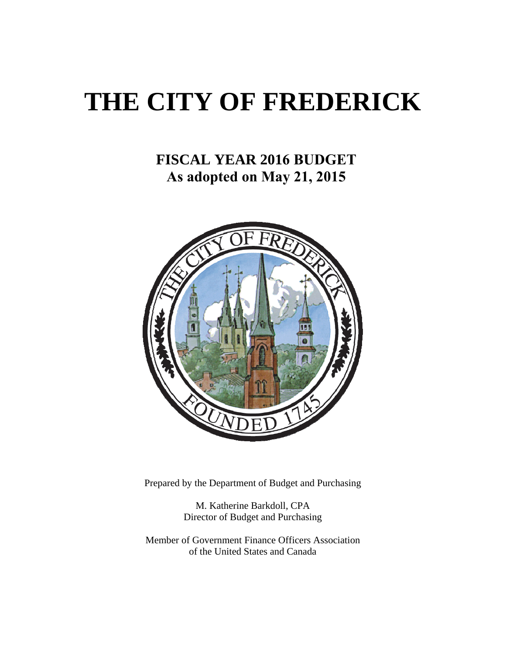# **THE CITY OF FREDERICK**

# **FISCAL YEAR 2016 BUDGET As adopted on May 21, 2015**



Prepared by the Department of Budget and Purchasing

M. Katherine Barkdoll, CPA Director of Budget and Purchasing

Member of Government Finance Officers Association of the United States and Canada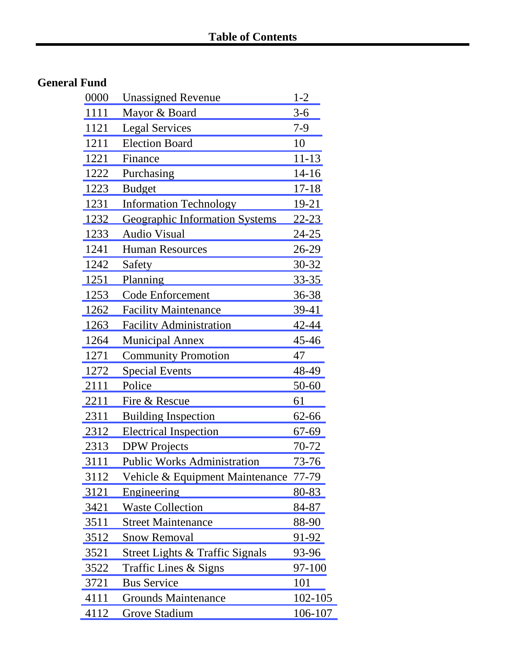# **General Fund**

| 0000 | <b>Unassigned Revenue</b>          | $1 - 2$   |
|------|------------------------------------|-----------|
| 1111 | Mayor & Board                      | $3 - 6$   |
| 1121 | <b>Legal Services</b>              | $7-9$     |
| 1211 | <b>Election Board</b>              | 10        |
| 1221 | Finance                            | $11 - 13$ |
| 1222 | Purchasing                         | $14 - 16$ |
| 1223 | <b>Budget</b>                      | $17 - 18$ |
| 1231 | <b>Information Technology</b>      | 19-21     |
| 1232 | Geographic Information Systems     | $22 - 23$ |
| 1233 | <b>Audio Visual</b>                | 24-25     |
| 1241 | <b>Human Resources</b>             | 26-29     |
| 1242 | Safety                             | 30-32     |
| 1251 | Planning                           | 33-35     |
| 1253 | <b>Code Enforcement</b>            | 36-38     |
| 1262 | <b>Facility Maintenance</b>        | 39-41     |
| 1263 | <b>Facility Administration</b>     | 42-44     |
| 1264 | <b>Municipal Annex</b>             | 45-46     |
| 1271 | <b>Community Promotion</b>         | 47        |
| 1272 | <b>Special Events</b>              | 48-49     |
| 2111 | Police                             | 50-60     |
| 2211 | Fire & Rescue                      | 61        |
| 2311 | <b>Building Inspection</b>         | 62-66     |
| 2312 | <b>Electrical Inspection</b>       | 67-69     |
| 2313 | <b>DPW</b> Projects                | 70-72     |
| 3111 | <b>Public Works Administration</b> | 73-76     |
| 3112 | Vehicle & Equipment Maintenance    | 77-79     |
| 3121 | Engineering                        | 80-83     |
| 3421 | <b>Waste Collection</b>            | 84-87     |
| 3511 | <b>Street Maintenance</b>          | 88-90     |
| 3512 | <b>Snow Removal</b>                | 91-92     |
| 3521 | Street Lights & Traffic Signals    | 93-96     |
| 3522 | Traffic Lines & Signs              | 97-100    |
| 3721 | <b>Bus Service</b>                 | 101       |
| 4111 | <b>Grounds Maintenance</b>         | 102-105   |
| 4112 | <b>Grove Stadium</b>               | 106-107   |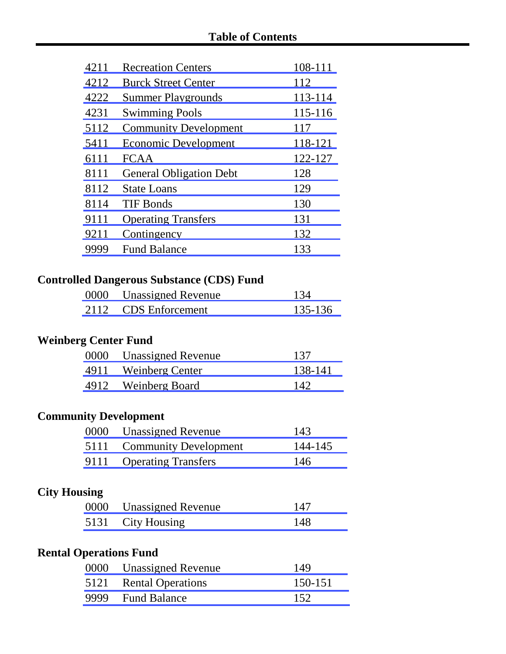|                               | 4211 | <b>Recreation Centers</b>                        | 108-111 |
|-------------------------------|------|--------------------------------------------------|---------|
|                               | 4212 | <b>Burck Street Center</b>                       | 112     |
|                               | 4222 | <b>Summer Playgrounds</b>                        | 113-114 |
|                               | 4231 | <b>Swimming Pools</b>                            | 115-116 |
|                               | 5112 | <b>Community Development</b>                     | 117     |
|                               | 5411 | <b>Economic Development</b>                      | 118-121 |
|                               | 6111 | <b>FCAA</b>                                      | 122-127 |
|                               | 8111 | <b>General Obligation Debt</b>                   | 128     |
|                               | 8112 | <b>State Loans</b>                               | 129     |
|                               | 8114 | <b>TIF Bonds</b>                                 | 130     |
|                               | 9111 | <b>Operating Transfers</b>                       | 131     |
|                               | 9211 | Contingency                                      | 132     |
|                               | 9999 | <b>Fund Balance</b>                              | 133     |
|                               |      | <b>Controlled Dangerous Substance (CDS) Fund</b> |         |
|                               | 0000 | <b>Unassigned Revenue</b>                        | 134     |
|                               | 2112 | <b>CDS</b> Enforcement                           | 135-136 |
| <b>Weinberg Center Fund</b>   |      |                                                  |         |
|                               | 0000 | <b>Unassigned Revenue</b>                        | 137     |
|                               |      | 4911 Weinberg Center                             | 138-141 |
|                               |      | 4912 Weinberg Board                              | 142     |
| <b>Community Development</b>  |      |                                                  |         |
|                               | 0000 | <b>Unassigned Revenue</b>                        | 143     |
|                               | 5111 | <b>Community Development</b>                     | 144-145 |
|                               | 9111 | <b>Operating Transfers</b>                       | 146     |
| <b>City Housing</b>           |      |                                                  |         |
|                               | 0000 | <b>Unassigned Revenue</b>                        | 147     |
|                               | 5131 | <b>City Housing</b>                              | 148     |
| <b>Rental Operations Fund</b> |      |                                                  |         |
|                               | 0000 | <b>Unassigned Revenue</b>                        | 149     |
|                               | 5121 | <b>Rental Operations</b>                         | 150-151 |
|                               | 9999 | <b>Fund Balance</b>                              | 152     |
|                               |      |                                                  |         |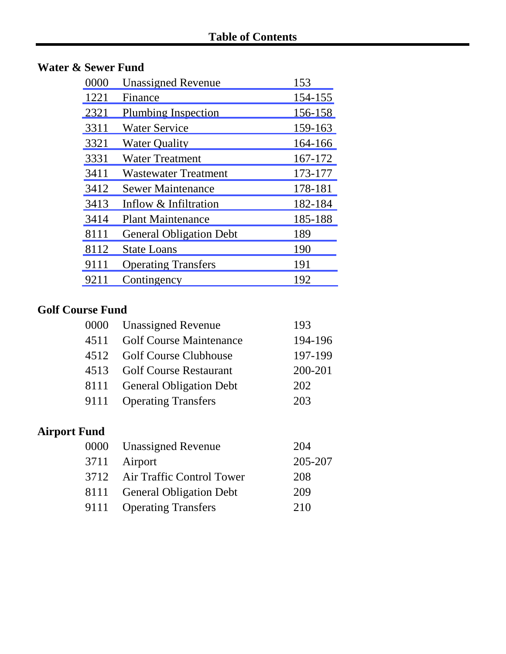## **Water & Sewer Fund**

| 0000 | <b>Unassigned Revenue</b>      | 153     |
|------|--------------------------------|---------|
| 1221 | Finance                        | 154-155 |
| 2321 | Plumbing Inspection            | 156-158 |
| 3311 | <b>Water Service</b>           | 159-163 |
| 3321 | <b>Water Quality</b>           | 164-166 |
| 3331 | Water Treatment                | 167-172 |
| 3411 | <b>Wastewater Treatment</b>    | 173-177 |
| 3412 | <b>Sewer Maintenance</b>       | 178-181 |
| 3413 | Inflow & Infiltration          | 182-184 |
| 3414 | <b>Plant Maintenance</b>       | 185-188 |
| 8111 | <b>General Obligation Debt</b> | 189     |
| 8112 | <b>State Loans</b>             | 190     |
| 9111 | <b>Operating Transfers</b>     | 191     |
| 9211 | Contingency                    | 192     |

# **Golf Course Fund**

|      | 0000 Unassigned Revenue        | 193     |
|------|--------------------------------|---------|
|      | 4511 Golf Course Maintenance   | 194-196 |
|      | 4512 Golf Course Clubhouse     | 197-199 |
|      | 4513 Golf Course Restaurant    | 200-201 |
| 8111 | <b>General Obligation Debt</b> | 202     |
|      | 9111 Operating Transfers       | 203     |
|      |                                |         |

# **Airport Fund**

| 0000 Unassigned Revenue        | 204     |
|--------------------------------|---------|
| 3711 Airport                   | 205-207 |
| 3712 Air Traffic Control Tower | 208     |
| 8111 General Obligation Debt   | 209     |
| 9111 Operating Transfers       | 210     |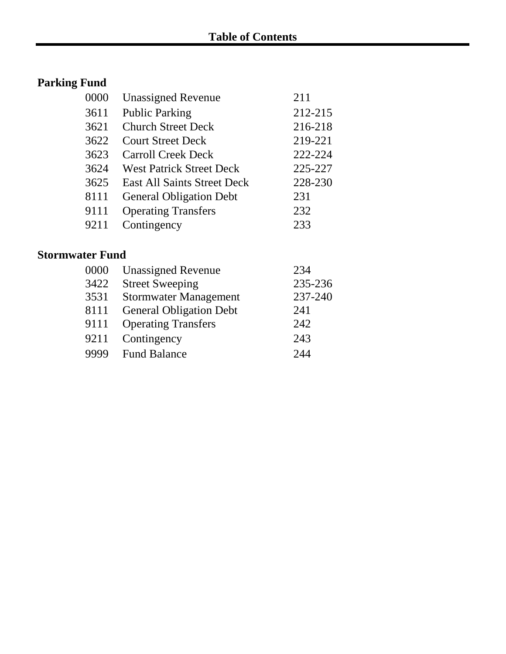# **Parking Fund**

| 0000 | <b>Unassigned Revenue</b>          | 211     |
|------|------------------------------------|---------|
| 3611 | <b>Public Parking</b>              | 212-215 |
| 3621 | <b>Church Street Deck</b>          | 216-218 |
| 3622 | <b>Court Street Deck</b>           | 219-221 |
| 3623 | <b>Carroll Creek Deck</b>          | 222-224 |
| 3624 | <b>West Patrick Street Deck</b>    | 225-227 |
| 3625 | <b>East All Saints Street Deck</b> | 228-230 |
| 8111 | <b>General Obligation Debt</b>     | 231     |
| 9111 | <b>Operating Transfers</b>         | 232     |
| 9211 | Contingency                        | 233     |

## **Stormwater Fund**

| 0000 | <b>Unassigned Revenue</b>      | 234     |
|------|--------------------------------|---------|
| 3422 | <b>Street Sweeping</b>         | 235-236 |
| 3531 | <b>Stormwater Management</b>   | 237-240 |
| 8111 | <b>General Obligation Debt</b> | 241     |
| 9111 | <b>Operating Transfers</b>     | 242     |
| 9211 | Contingency                    | 243     |
| 9999 | <b>Fund Balance</b>            | 244     |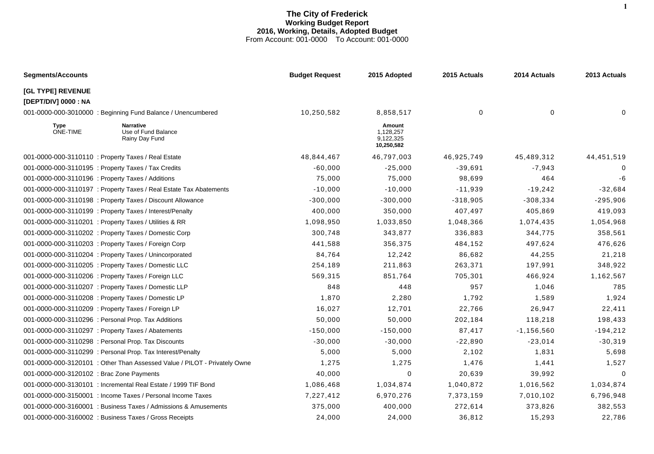#### **The City of Frederick Working Budget Report 2016, Working, Details, Adopted Budget** From Account: 001-0000 To Account: 001-0000

<span id="page-5-0"></span>

| <b>Segments/Accounts</b>                  |                                                                           | <b>Budget Request</b> | 2015 Adopted                                   | 2015 Actuals | 2014 Actuals   | 2013 Actuals |
|-------------------------------------------|---------------------------------------------------------------------------|-----------------------|------------------------------------------------|--------------|----------------|--------------|
| [GL TYPE] REVENUE<br>[DEPT/DIV] 0000: NA  |                                                                           |                       |                                                |              |                |              |
|                                           | 001-0000-000-3010000 : Beginning Fund Balance / Unencumbered              | 10,250,582            | 8,858,517                                      | $\mathbf 0$  | 0              | $\Omega$     |
| Type<br>ONE-TIME                          | <b>Narrative</b><br>Use of Fund Balance<br>Rainy Day Fund                 |                       | Amount<br>1,128,257<br>9,122,325<br>10,250,582 |              |                |              |
|                                           | 001-0000-000-3110110 : Property Taxes / Real Estate                       | 48,844,467            | 46,797,003                                     | 46,925,749   | 45,489,312     | 44,451,519   |
|                                           | 001-0000-000-3110195 : Property Taxes / Tax Credits                       | $-60,000$             | $-25,000$                                      | $-39,691$    | $-7,943$       | $\Omega$     |
|                                           | 001-0000-000-3110196 : Property Taxes / Additions                         | 75,000                | 75,000                                         | 98,699       | 464            | $-6$         |
|                                           | 001-0000-000-3110197 : Property Taxes / Real Estate Tax Abatements        | $-10,000$             | $-10,000$                                      | $-11,939$    | $-19,242$      | $-32,684$    |
|                                           | 001-0000-000-3110198 : Property Taxes / Discount Allowance                | $-300,000$            | $-300,000$                                     | $-318,905$   | $-308,334$     | $-295,906$   |
|                                           | 001-0000-000-3110199 : Property Taxes / Interest/Penalty                  | 400,000               | 350,000                                        | 407,497      | 405,869        | 419,093      |
|                                           | 001-0000-000-3110201 : Property Taxes / Utilities & RR                    | 1,098,950             | 1,033,850                                      | 1,048,366    | 1,074,435      | 1,054,968    |
|                                           | 001-0000-000-3110202 : Property Taxes / Domestic Corp                     | 300,748               | 343,877                                        | 336,883      | 344,775        | 358,561      |
|                                           | 001-0000-000-3110203 : Property Taxes / Foreign Corp                      | 441,588               | 356,375                                        | 484,152      | 497,624        | 476,626      |
|                                           | 001-0000-000-3110204 : Property Taxes / Unincorporated                    | 84,764                | 12,242                                         | 86,682       | 44,255         | 21,218       |
|                                           | 001-0000-000-3110205 : Property Taxes / Domestic LLC                      | 254,189               | 211,863                                        | 263,371      | 197,991        | 348,922      |
|                                           | 001-0000-000-3110206 : Property Taxes / Foreign LLC                       | 569,315               | 851,764                                        | 705,301      | 466,924        | 1,162,567    |
|                                           | 001-0000-000-3110207 : Property Taxes / Domestic LLP                      | 848                   | 448                                            | 957          | 1,046          | 785          |
|                                           | 001-0000-000-3110208 : Property Taxes / Domestic LP                       | 1,870                 | 2,280                                          | 1,792        | 1,589          | 1,924        |
|                                           | 001-0000-000-3110209 : Property Taxes / Foreign LP                        | 16,027                | 12,701                                         | 22,766       | 26,947         | 22,411       |
|                                           | 001-0000-000-3110296 : Personal Prop. Tax Additions                       | 50,000                | 50,000                                         | 202,184      | 118,218        | 198,433      |
|                                           | 001-0000-000-3110297 : Property Taxes / Abatements                        | $-150,000$            | $-150,000$                                     | 87,417       | $-1, 156, 560$ | $-194,212$   |
|                                           | 001-0000-000-3110298 : Personal Prop. Tax Discounts                       | $-30,000$             | $-30,000$                                      | $-22,890$    | $-23,014$      | $-30,319$    |
|                                           | 001-0000-000-3110299 : Personal Prop. Tax Interest/Penalty                | 5,000                 | 5,000                                          | 2,102        | 1,831          | 5,698        |
|                                           | 001-0000-000-3120101 : Other Than Assessed Value / PILOT - Privately Owne | 1,275                 | 1,275                                          | 1,476        | 1,441          | 1,527        |
| 001-0000-000-3120102 : Brac Zone Payments |                                                                           | 40,000                | $\mathbf 0$                                    | 20,639       | 39,992         | $\Omega$     |
|                                           | 001-0000-000-3130101 : Incremental Real Estate / 1999 TIF Bond            | 1,086,468             | 1,034,874                                      | 1,040,872    | 1,016,562      | 1,034,874    |
|                                           | 001-0000-000-3150001 : Income Taxes / Personal Income Taxes               | 7,227,412             | 6,970,276                                      | 7,373,159    | 7,010,102      | 6,796,948    |
|                                           | 001-0000-000-3160001 : Business Taxes / Admissions & Amusements           | 375,000               | 400,000                                        | 272,614      | 373,826        | 382,553      |
|                                           | 001-0000-000-3160002 : Business Taxes / Gross Receipts                    | 24,000                | 24,000                                         | 36,812       | 15,293         | 22,786       |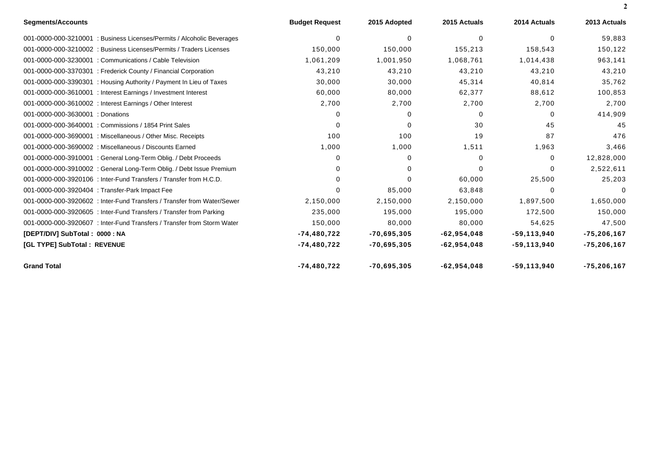| <b>Segments/Accounts</b>                                                | <b>Budget Request</b> | 2015 Adopted  | 2015 Actuals  | 2014 Actuals    | 2013 Actuals  |
|-------------------------------------------------------------------------|-----------------------|---------------|---------------|-----------------|---------------|
| 001-0000-000-3210001: Business Licenses/Permits / Alcoholic Beverages   | $\Omega$              | $\Omega$      | 0             | 0               | 59,883        |
| 001-0000-000-3210002: Business Licenses/Permits / Traders Licenses      | 150,000               | 150,000       | 155,213       | 158,543         | 150,122       |
| 001-0000-000-3230001 : Communications / Cable Television                | 1,061,209             | 1,001,950     | 1,068,761     | 1,014,438       | 963,141       |
| 001-0000-000-3370301: Frederick County / Financial Corporation          | 43,210                | 43,210        | 43,210        | 43,210          | 43,210        |
| 001-0000-000-3390301: Housing Authority / Payment In Lieu of Taxes      | 30,000                | 30,000        | 45,314        | 40,814          | 35,762        |
| 001-0000-000-3610001 : Interest Earnings / Investment Interest          | 60,000                | 80,000        | 62,377        | 88,612          | 100,853       |
| 001-0000-000-3610002 : Interest Earnings / Other Interest               | 2,700                 | 2,700         | 2,700         | 2,700           | 2,700         |
| 001-0000-000-3630001 : Donations                                        |                       | ∩             | 0             | 0               | 414,909       |
| 001-0000-000-3640001: Commissions / 1854 Print Sales                    | 0                     | $\Omega$      | 30            | 45              | 45            |
| 001-0000-000-3690001 : Miscellaneous / Other Misc. Receipts             | 100                   | 100           | 19            | 87              | 476           |
| 001-0000-000-3690002 : Miscellaneous / Discounts Earned                 | 1,000                 | 1,000         | 1,511         | 1,963           | 3,466         |
| 001-0000-000-3910001 : General Long-Term Oblig. / Debt Proceeds         | 0                     | 0             | 0             | 0               | 12,828,000    |
| 001-0000-000-3910002 : General Long-Term Oblig. / Debt Issue Premium    | 0                     | ∩             | 0             | $\Omega$        | 2,522,611     |
| 001-0000-000-3920106 : Inter-Fund Transfers / Transfer from H.C.D.      | $\Omega$              | ∩             | 60,000        | 25,500          | 25,203        |
| 001-0000-000-3920404 : Transfer-Park Impact Fee                         |                       | 85,000        | 63,848        | $\Omega$        |               |
| 001-0000-000-3920602 : Inter-Fund Transfers / Transfer from Water/Sewer | 2,150,000             | 2,150,000     | 2,150,000     | 1,897,500       | 1,650,000     |
| 001-0000-000-3920605 : Inter-Fund Transfers / Transfer from Parking     | 235,000               | 195,000       | 195,000       | 172,500         | 150,000       |
| 001-0000-000-3920607 : Inter-Fund Transfers / Transfer from Storm Water | 150,000               | 80,000        | 80,000        | 54,625          | 47,500        |
| [DEPT/DIV] SubTotal: 0000: NA                                           | $-74,480,722$         | $-70,695,305$ | $-62,954,048$ | $-59, 113, 940$ | $-75,206,167$ |
| [GL TYPE] SubTotal: REVENUE                                             | $-74,480,722$         | $-70,695,305$ | $-62,954,048$ | $-59, 113, 940$ | $-75,206,167$ |
| <b>Grand Total</b>                                                      | $-74,480,722$         | $-70,695,305$ | $-62,954,048$ | $-59, 113, 940$ | $-75,206,167$ |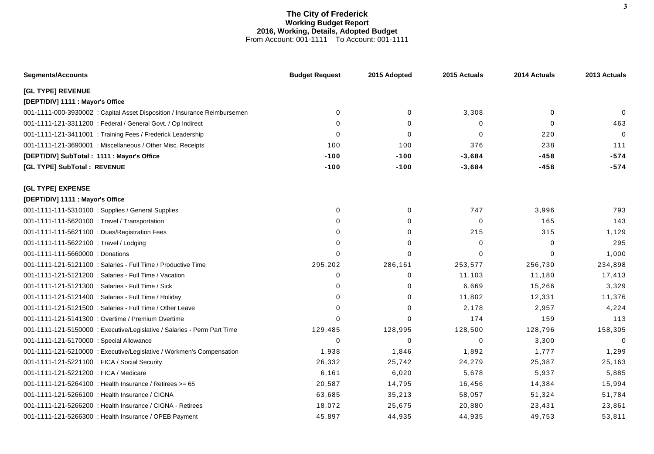#### **The City of Frederick Working Budget Report 2016, Working, Details, Adopted Budget** From Account: 001-1111 To Account: 001-1111

<span id="page-7-0"></span>

| <b>Segments/Accounts</b>                                                  | <b>Budget Request</b> | 2015 Adopted | 2015 Actuals | 2014 Actuals | 2013 Actuals |
|---------------------------------------------------------------------------|-----------------------|--------------|--------------|--------------|--------------|
| [GL TYPE] REVENUE                                                         |                       |              |              |              |              |
| [DEPT/DIV] 1111 : Mayor's Office                                          |                       |              |              |              |              |
| 001-1111-000-3930002 : Capital Asset Disposition / Insurance Reimbursemen | 0                     | $\Omega$     | 3,308        | 0            | $\Omega$     |
| 001-1111-121-3311200 : Federal / General Govt. / Op Indirect              | 0                     | 0            | 0            | 0            | 463          |
| 001-1111-121-3411001 : Training Fees / Frederick Leadership               | 0                     | 0            | 0            | 220          | $\mathbf 0$  |
| 001-1111-121-3690001 : Miscellaneous / Other Misc. Receipts               | 100                   | 100          | 376          | 238          | 111          |
| [DEPT/DIV] SubTotal: 1111: Mayor's Office                                 | $-100$                | $-100$       | $-3,684$     | $-458$       | $-574$       |
| [GL TYPE] SubTotal: REVENUE                                               | $-100$                | $-100$       | $-3,684$     | $-458$       | $-574$       |
| [GL TYPE] EXPENSE                                                         |                       |              |              |              |              |
| [DEPT/DIV] 1111 : Mayor's Office                                          |                       |              |              |              |              |
| 001-1111-111-5310100 : Supplies / General Supplies                        | 0                     | 0            | 747          | 3,996        | 793          |
| 001-1111-111-5620100 : Travel / Transportation                            | 0                     | 0            | 0            | 165          | 143          |
| 001-1111-111-5621100 : Dues/Registration Fees                             | 0                     | 0            | 215          | 315          | 1,129        |
| 001-1111-111-5622100 : Travel / Lodging                                   | 0                     | $\Omega$     | 0            | 0            | 295          |
| 001-1111-111-5660000 : Donations                                          | 0                     | $\Omega$     | $\Omega$     | $\Omega$     | 1,000        |
| 001-1111-121-5121100 : Salaries - Full Time / Productive Time             | 295,202               | 286,161      | 253,577      | 256,730      | 234,898      |
| 001-1111-121-5121200 : Salaries - Full Time / Vacation                    | 0                     | 0            | 11,103       | 11,180       | 17,413       |
| 001-1111-121-5121300 : Salaries - Full Time / Sick                        | 0                     | $\Omega$     | 6,669        | 15,266       | 3,329        |
| 001-1111-121-5121400 : Salaries - Full Time / Holiday                     | $\Omega$              | $\Omega$     | 11,802       | 12,331       | 11,376       |
| 001-1111-121-5121500 : Salaries - Full Time / Other Leave                 | 0                     | 0            | 2,178        | 2,957        | 4,224        |
| 001-1111-121-5141300 : Overtime / Premium Overtime                        | 0                     | $\Omega$     | 174          | 159          | 113          |
| 001-1111-121-5150000 : Executive/Legislative / Salaries - Perm Part Time  | 129,485               | 128,995      | 128,500      | 128,796      | 158,305      |
| 001-1111-121-5170000 : Special Allowance                                  | 0                     | 0            | 0            | 3,300        | 0            |
| 001-1111-121-5210000 : Executive/Legislative / Workmen's Compensation     | 1,938                 | 1,846        | 1,892        | 1,777        | 1,299        |
| 001-1111-121-5221100 : FICA / Social Security                             | 26,332                | 25,742       | 24,279       | 25,387       | 25,163       |
| 001-1111-121-5221200 : FICA / Medicare                                    | 6,161                 | 6,020        | 5,678        | 5,937        | 5,885        |
| 001-1111-121-5264100 : Health Insurance / Retirees $>= 65$                | 20,587                | 14,795       | 16,456       | 14,384       | 15,994       |
| 001-1111-121-5266100 : Health Insurance / CIGNA                           | 63,685                | 35,213       | 58,057       | 51,324       | 51,784       |
| 001-1111-121-5266200 : Health Insurance / CIGNA - Retirees                | 18,072                | 25,675       | 20,880       | 23,431       | 23,861       |
| 001-1111-121-5266300 : Health Insurance / OPEB Payment                    | 45,897                | 44,935       | 44,935       | 49,753       | 53,811       |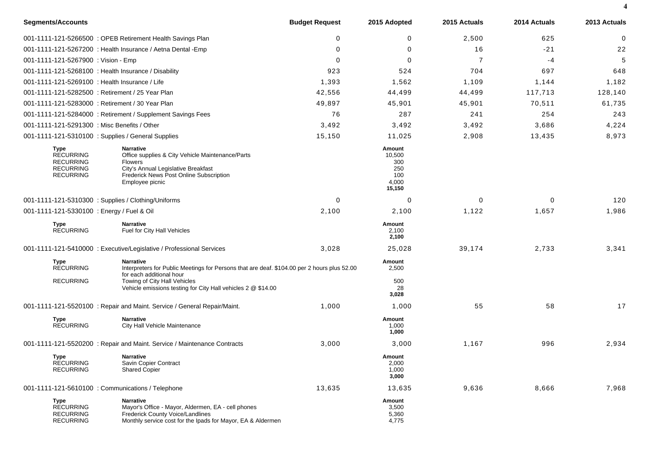| <b>Segments/Accounts</b>                                                             |                                                                                                                                                                                                                                      | <b>Budget Request</b> | 2015 Adopted                                             | 2015 Actuals | 2014 Actuals | 2013 Actuals |
|--------------------------------------------------------------------------------------|--------------------------------------------------------------------------------------------------------------------------------------------------------------------------------------------------------------------------------------|-----------------------|----------------------------------------------------------|--------------|--------------|--------------|
|                                                                                      | 001-1111-121-5266500 : OPEB Retirement Health Savings Plan                                                                                                                                                                           | 0                     | 0                                                        | 2,500        | 625          | 0            |
|                                                                                      | 001-1111-121-5267200 : Health Insurance / Aetna Dental - Emp                                                                                                                                                                         | 0                     | 0                                                        | 16           | $-21$        | 22           |
| 001-1111-121-5267900 : Vision - Emp                                                  |                                                                                                                                                                                                                                      | 0                     | $\mathbf 0$                                              | 7            | -4           | 5            |
|                                                                                      | 001-1111-121-5268100 : Health Insurance / Disability                                                                                                                                                                                 | 923                   | 524                                                      | 704          | 697          | 648          |
| 001-1111-121-5269100 : Health Insurance / Life                                       |                                                                                                                                                                                                                                      | 1,393                 | 1,562                                                    | 1,109        | 1,144        | 1,182        |
|                                                                                      | 001-1111-121-5282500 : Retirement / 25 Year Plan                                                                                                                                                                                     | 42,556                | 44,499                                                   | 44,499       | 117,713      | 128,140      |
|                                                                                      | 001-1111-121-5283000 : Retirement / 30 Year Plan                                                                                                                                                                                     | 49,897                | 45,901                                                   | 45,901       | 70,511       | 61,735       |
|                                                                                      | 001-1111-121-5284000: Retirement / Supplement Savings Fees                                                                                                                                                                           | 76                    | 287                                                      | 241          | 254          | 243          |
| 001-1111-121-5291300 : Misc Benefits / Other                                         |                                                                                                                                                                                                                                      | 3,492                 | 3,492                                                    | 3,492        | 3,686        | 4,224        |
|                                                                                      | 001-1111-121-5310100 : Supplies / General Supplies                                                                                                                                                                                   | 15,150                | 11,025                                                   | 2,908        | 13,435       | 8,973        |
| Type<br><b>RECURRING</b><br><b>RECURRING</b><br><b>RECURRING</b><br><b>RECURRING</b> | Narrative<br>Office supplies & City Vehicle Maintenance/Parts<br><b>Flowers</b><br>City's Annual Legislative Breakfast<br>Frederick News Post Online Subscription<br>Employee picnic                                                 |                       | Amount<br>10,500<br>300<br>250<br>100<br>4,000<br>15,150 |              |              |              |
|                                                                                      | 001-1111-121-5310300: Supplies / Clothing/Uniforms                                                                                                                                                                                   | 0                     | 0                                                        | 0            | 0            | 120          |
| 001-1111-121-5330100 : Energy / Fuel & Oil                                           |                                                                                                                                                                                                                                      | 2,100                 | 2,100                                                    | 1,122        | 1,657        | 1,986        |
| Type<br><b>RECURRING</b>                                                             | <b>Narrative</b><br>Fuel for City Hall Vehicles                                                                                                                                                                                      |                       | Amount<br>2,100<br>2,100                                 |              |              |              |
|                                                                                      | 001-1111-121-5410000 : Executive/Legislative / Professional Services                                                                                                                                                                 | 3,028                 | 25,028                                                   | 39,174       | 2,733        | 3,341        |
| Type<br><b>RECURRING</b><br><b>RECURRING</b>                                         | Narrative<br>Interpreters for Public Meetings for Persons that are deaf. \$104.00 per 2 hours plus 52.00<br>for each additional hour<br>Towing of City Hall Vehicles<br>Vehicle emissions testing for City Hall vehicles 2 @ \$14.00 |                       | Amount<br>2,500<br>500<br>28<br>3,028                    |              |              |              |
|                                                                                      | 001-1111-121-5520100 : Repair and Maint. Service / General Repair/Maint.                                                                                                                                                             | 1,000                 | 1,000                                                    | 55           | 58           | 17           |
| Type<br><b>RECURRING</b>                                                             | <b>Narrative</b><br>City Hall Vehicle Maintenance                                                                                                                                                                                    |                       | Amount<br>1,000<br>1,000                                 |              |              |              |
|                                                                                      | 001-1111-121-5520200 : Repair and Maint. Service / Maintenance Contracts                                                                                                                                                             | 3,000                 | 3,000                                                    | 1,167        | 996          | 2,934        |
| Type<br><b>RECURRING</b><br><b>RECURRING</b>                                         | <b>Narrative</b><br>Savin Copier Contract<br><b>Shared Copier</b>                                                                                                                                                                    |                       | Amount<br>2,000<br>1,000<br>3,000                        |              |              |              |
|                                                                                      | 001-1111-121-5610100 : Communications / Telephone                                                                                                                                                                                    | 13,635                | 13,635                                                   | 9,636        | 8,666        | 7,968        |
| Type<br><b>RECURRING</b><br><b>RECURRING</b><br><b>RECURRING</b>                     | <b>Narrative</b><br>Mayor's Office - Mayor, Aldermen, EA - cell phones<br>Frederick County Voice/Landlines<br>Monthly service cost for the Ipads for Mayor, EA & Aldermen                                                            |                       | Amount<br>3,500<br>5,360<br>4,775                        |              |              |              |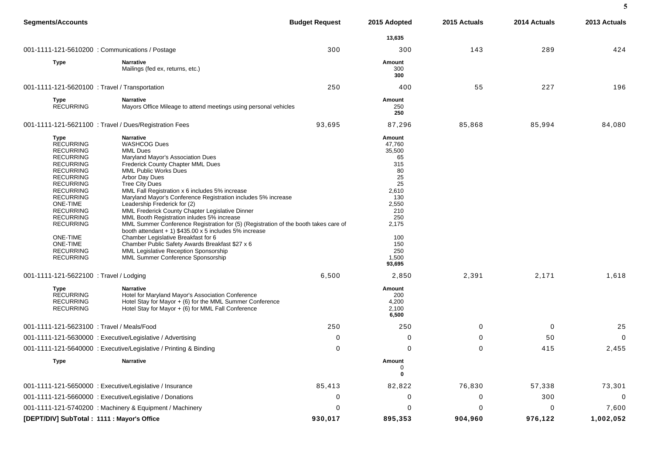| <b>Segments/Accounts</b>                                                                                                                                                                                                                                                                                                                |                                                                                                                                                                                                                                                                                                                                                                                                                                                                                                                                                                                                                                                                                                                                                                                                        | <b>Budget Request</b> | 2015 Adopted                                                                                                                                      | 2015 Actuals | 2014 Actuals | 2013 Actuals |
|-----------------------------------------------------------------------------------------------------------------------------------------------------------------------------------------------------------------------------------------------------------------------------------------------------------------------------------------|--------------------------------------------------------------------------------------------------------------------------------------------------------------------------------------------------------------------------------------------------------------------------------------------------------------------------------------------------------------------------------------------------------------------------------------------------------------------------------------------------------------------------------------------------------------------------------------------------------------------------------------------------------------------------------------------------------------------------------------------------------------------------------------------------------|-----------------------|---------------------------------------------------------------------------------------------------------------------------------------------------|--------------|--------------|--------------|
|                                                                                                                                                                                                                                                                                                                                         |                                                                                                                                                                                                                                                                                                                                                                                                                                                                                                                                                                                                                                                                                                                                                                                                        |                       | 13,635                                                                                                                                            |              |              |              |
|                                                                                                                                                                                                                                                                                                                                         | 001-1111-121-5610200 : Communications / Postage                                                                                                                                                                                                                                                                                                                                                                                                                                                                                                                                                                                                                                                                                                                                                        | 300                   | 300                                                                                                                                               | 143          | 289          | 424          |
| <b>Type</b>                                                                                                                                                                                                                                                                                                                             | <b>Narrative</b><br>Mailings (fed ex, returns, etc.)                                                                                                                                                                                                                                                                                                                                                                                                                                                                                                                                                                                                                                                                                                                                                   |                       | Amount<br>300<br>300                                                                                                                              |              |              |              |
| 001-1111-121-5620100 : Travel / Transportation                                                                                                                                                                                                                                                                                          |                                                                                                                                                                                                                                                                                                                                                                                                                                                                                                                                                                                                                                                                                                                                                                                                        | 250                   | 400                                                                                                                                               | 55           | 227          | 196          |
| Type<br><b>RECURRING</b>                                                                                                                                                                                                                                                                                                                | <b>Narrative</b><br>Mayors Office Mileage to attend meetings using personal vehicles                                                                                                                                                                                                                                                                                                                                                                                                                                                                                                                                                                                                                                                                                                                   |                       | Amount<br>250<br>250                                                                                                                              |              |              |              |
|                                                                                                                                                                                                                                                                                                                                         | 001-1111-121-5621100 : Travel / Dues/Registration Fees                                                                                                                                                                                                                                                                                                                                                                                                                                                                                                                                                                                                                                                                                                                                                 | 93,695                | 87,296                                                                                                                                            | 85,868       | 85,994       | 84,080       |
| <b>Type</b><br><b>RECURRING</b><br><b>RECURRING</b><br><b>RECURRING</b><br><b>RECURRING</b><br><b>RECURRING</b><br><b>RECURRING</b><br><b>RECURRING</b><br><b>RECURRING</b><br><b>RECURRING</b><br>ONE-TIME<br><b>RECURRING</b><br><b>RECURRING</b><br><b>RECURRING</b><br>ONE-TIME<br>ONE-TIME<br><b>RECURRING</b><br><b>RECURRING</b> | <b>Narrative</b><br><b>WASHCOG Dues</b><br><b>MML Dues</b><br>Maryland Mayor's Association Dues<br>Frederick County Chapter MML Dues<br><b>MML Public Works Dues</b><br><b>Arbor Day Dues</b><br><b>Tree City Dues</b><br>MML Fall Registration x 6 includes 5% increase<br>Maryland Mayor's Conference Registration includes 5% increase<br>Leadership Frederick for (2)<br>MML Frederick County Chapter Legislative Dinner<br>MML Booth Registration inludes 5% increase<br>MML Summer Conference Registration for (5) (Registration of the booth takes care of<br>booth attendant $+ 1$ ) \$435.00 x 5 includes 5% increase<br>Chamber Legislative Breakfast for 6<br>Chamber Public Safety Awards Breakfast \$27 x 6<br>MML Legislative Reception Sponsorship<br>MML Summer Conference Sponsorship |                       | Amount<br>47,760<br>35,500<br>65<br>315<br>80<br>25<br>25<br>2,610<br>130<br>2,550<br>210<br>250<br>2,175<br>100<br>150<br>250<br>1,500<br>93,695 |              |              |              |
| 001-1111-121-5622100 : Travel / Lodging                                                                                                                                                                                                                                                                                                 |                                                                                                                                                                                                                                                                                                                                                                                                                                                                                                                                                                                                                                                                                                                                                                                                        | 6,500                 | 2,850                                                                                                                                             | 2,391        | 2,171        | 1,618        |
| Type<br><b>RECURRING</b><br><b>RECURRING</b><br><b>RECURRING</b>                                                                                                                                                                                                                                                                        | <b>Narrative</b><br>Hotel for Maryland Mayor's Association Conference<br>Hotel Stay for Mayor + (6) for the MML Summer Conference<br>Hotel Stay for Mayor + (6) for MML Fall Conference                                                                                                                                                                                                                                                                                                                                                                                                                                                                                                                                                                                                                |                       | Amount<br>200<br>4,200<br>2,100<br>6,500                                                                                                          |              |              |              |
| 001-1111-121-5623100 : Travel / Meals/Food                                                                                                                                                                                                                                                                                              |                                                                                                                                                                                                                                                                                                                                                                                                                                                                                                                                                                                                                                                                                                                                                                                                        | 250                   | 250                                                                                                                                               | 0            | 0            | 25           |
|                                                                                                                                                                                                                                                                                                                                         | 001-1111-121-5630000: Executive/Legislative / Advertising                                                                                                                                                                                                                                                                                                                                                                                                                                                                                                                                                                                                                                                                                                                                              | 0                     | 0                                                                                                                                                 | 0            | 50           | 0            |
|                                                                                                                                                                                                                                                                                                                                         | 001-1111-121-5640000: Executive/Legislative / Printing & Binding                                                                                                                                                                                                                                                                                                                                                                                                                                                                                                                                                                                                                                                                                                                                       | 0                     | $\mathbf 0$                                                                                                                                       | 0            | 415          | 2,455        |
| <b>Type</b>                                                                                                                                                                                                                                                                                                                             | <b>Narrative</b>                                                                                                                                                                                                                                                                                                                                                                                                                                                                                                                                                                                                                                                                                                                                                                                       |                       | Amount<br>O                                                                                                                                       |              |              |              |
|                                                                                                                                                                                                                                                                                                                                         | 001-1111-121-5650000 : Executive/Legislative / Insurance                                                                                                                                                                                                                                                                                                                                                                                                                                                                                                                                                                                                                                                                                                                                               | 85,413                | 82,822                                                                                                                                            | 76,830       | 57,338       | 73,301       |
|                                                                                                                                                                                                                                                                                                                                         | 001-1111-121-5660000: Executive/Legislative / Donations                                                                                                                                                                                                                                                                                                                                                                                                                                                                                                                                                                                                                                                                                                                                                | 0                     | 0                                                                                                                                                 | 0            | 300          | 0            |
|                                                                                                                                                                                                                                                                                                                                         | 001-1111-121-5740200 : Machinery & Equipment / Machinery                                                                                                                                                                                                                                                                                                                                                                                                                                                                                                                                                                                                                                                                                                                                               | 0                     | $\Omega$                                                                                                                                          | 0            | 0            | 7,600        |
| [DEPT/DIV] SubTotal: 1111: Mayor's Office                                                                                                                                                                                                                                                                                               |                                                                                                                                                                                                                                                                                                                                                                                                                                                                                                                                                                                                                                                                                                                                                                                                        | 930,017               | 895,353                                                                                                                                           | 904,960      | 976,122      | 1,002,052    |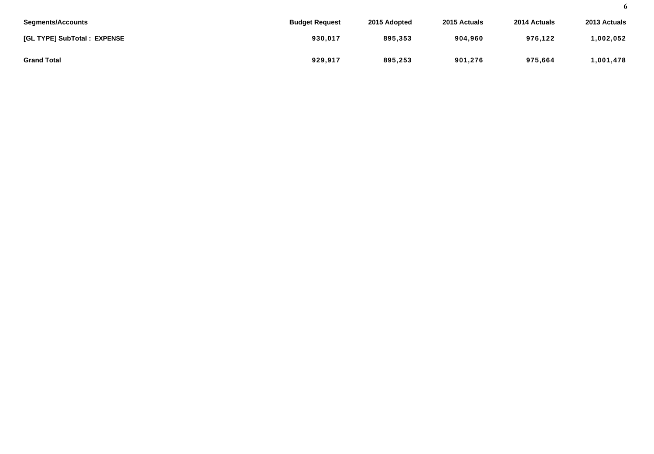| <b>Segments/Accounts</b>    | <b>Budget Request</b> | 2015 Adopted | 2015 Actuals | 2014 Actuals | 2013 Actuals |
|-----------------------------|-----------------------|--------------|--------------|--------------|--------------|
| [GL TYPE] SubTotal: EXPENSE | 930,017               | 895,353      | 904,960      | 976.122      | .002.052     |
| <b>Grand Total</b>          | 929,917               | 895,253      | 901,276      | 975,664      | ,001,478     |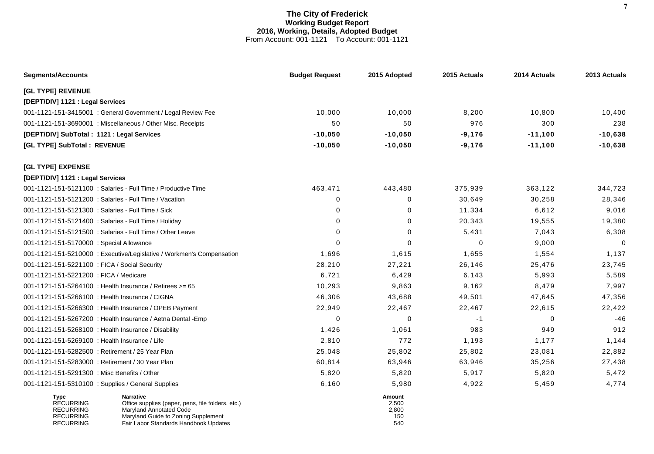#### **The City of Frederick Working Budget Report 2016, Working, Details, Adopted Budget** From Account: 001-1121 To Account: 001-1121

<span id="page-11-0"></span>

| <b>Segments/Accounts</b>                                                                    |                                                                                                                                                                                  | <b>Budget Request</b> | 2015 Adopted                           | 2015 Actuals | 2014 Actuals | 2013 Actuals |
|---------------------------------------------------------------------------------------------|----------------------------------------------------------------------------------------------------------------------------------------------------------------------------------|-----------------------|----------------------------------------|--------------|--------------|--------------|
| [GL TYPE] REVENUE                                                                           |                                                                                                                                                                                  |                       |                                        |              |              |              |
| [DEPT/DIV] 1121 : Legal Services                                                            |                                                                                                                                                                                  |                       |                                        |              |              |              |
|                                                                                             | 001-1121-151-3415001 : General Government / Legal Review Fee                                                                                                                     | 10,000                | 10,000                                 | 8,200        | 10,800       | 10,400       |
|                                                                                             | 001-1121-151-3690001 : Miscellaneous / Other Misc. Receipts                                                                                                                      | 50                    | 50                                     | 976          | 300          | 238          |
| [DEPT/DIV] SubTotal: 1121 : Legal Services                                                  |                                                                                                                                                                                  | $-10,050$             | $-10,050$                              | $-9,176$     | $-11,100$    | $-10,638$    |
| [GL TYPE] SubTotal: REVENUE                                                                 |                                                                                                                                                                                  | $-10,050$             | $-10,050$                              | $-9,176$     | $-11,100$    | $-10,638$    |
| [GL TYPE] EXPENSE                                                                           |                                                                                                                                                                                  |                       |                                        |              |              |              |
| [DEPT/DIV] 1121 : Legal Services                                                            |                                                                                                                                                                                  |                       |                                        |              |              |              |
|                                                                                             | 001-1121-151-5121100 : Salaries - Full Time / Productive Time                                                                                                                    | 463,471               | 443,480                                | 375,939      | 363,122      | 344,723      |
| 001-1121-151-5121200 : Salaries - Full Time / Vacation                                      |                                                                                                                                                                                  | 0                     | 0                                      | 30,649       | 30,258       | 28,346       |
| 001-1121-151-5121300 : Salaries - Full Time / Sick                                          |                                                                                                                                                                                  | 0                     | 0                                      | 11,334       | 6,612        | 9,016        |
| 001-1121-151-5121400 : Salaries - Full Time / Holiday                                       |                                                                                                                                                                                  | 0                     | 0                                      | 20,343       | 19,555       | 19,380       |
|                                                                                             | 001-1121-151-5121500 : Salaries - Full Time / Other Leave                                                                                                                        | $\Omega$              | $\Omega$                               | 5,431        | 7,043        | 6,308        |
| 001-1121-151-5170000 : Special Allowance                                                    |                                                                                                                                                                                  | 0                     | $\Omega$                               | 0            | 9,000        | 0            |
|                                                                                             | 001-1121-151-5210000 : Executive/Legislative / Workmen's Compensation                                                                                                            | 1,696                 | 1,615                                  | 1,655        | 1,554        | 1,137        |
| 001-1121-151-5221100 : FICA / Social Security                                               |                                                                                                                                                                                  | 28,210                | 27,221                                 | 26,146       | 25,476       | 23,745       |
| 001-1121-151-5221200 : FICA / Medicare                                                      |                                                                                                                                                                                  | 6,721                 | 6,429                                  | 6,143        | 5,993        | 5,589        |
|                                                                                             | 001-1121-151-5264100 : Health Insurance / Retirees >= 65                                                                                                                         | 10,293                | 9,863                                  | 9,162        | 8,479        | 7,997        |
| 001-1121-151-5266100 : Health Insurance / CIGNA                                             |                                                                                                                                                                                  | 46,306                | 43,688                                 | 49,501       | 47,645       | 47,356       |
|                                                                                             | 001-1121-151-5266300 : Health Insurance / OPEB Payment                                                                                                                           | 22,949                | 22,467                                 | 22,467       | 22,615       | 22,422       |
|                                                                                             | 001-1121-151-5267200 : Health Insurance / Aetna Dental - Emp                                                                                                                     | $\Omega$              | $\Omega$                               | $-1$         | 0            | $-46$        |
| 001-1121-151-5268100 : Health Insurance / Disability                                        |                                                                                                                                                                                  | 1,426                 | 1,061                                  | 983          | 949          | 912          |
| 001-1121-151-5269100 : Health Insurance / Life                                              |                                                                                                                                                                                  | 2,810                 | 772                                    | 1,193        | 1,177        | 1,144        |
| 001-1121-151-5282500 : Retirement / 25 Year Plan                                            |                                                                                                                                                                                  | 25,048                | 25,802                                 | 25,802       | 23,081       | 22,882       |
| 001-1121-151-5283000 : Retirement / 30 Year Plan                                            |                                                                                                                                                                                  | 60,814                | 63,946                                 | 63,946       | 35,256       | 27,438       |
| 001-1121-151-5291300 : Misc Benefits / Other                                                |                                                                                                                                                                                  | 5,820                 | 5,820                                  | 5,917        | 5,820        | 5,472        |
| 001-1121-151-5310100 : Supplies / General Supplies                                          |                                                                                                                                                                                  | 6,160                 | 5,980                                  | 4,922        | 5,459        | 4,774        |
| <b>Type</b><br><b>RECURRING</b><br><b>RECURRING</b><br><b>RECURRING</b><br><b>RECURRING</b> | <b>Narrative</b><br>Office supplies (paper, pens, file folders, etc.)<br>Maryland Annotated Code<br>Maryland Guide to Zoning Supplement<br>Fair Labor Standards Handbook Updates |                       | Amount<br>2,500<br>2,800<br>150<br>540 |              |              |              |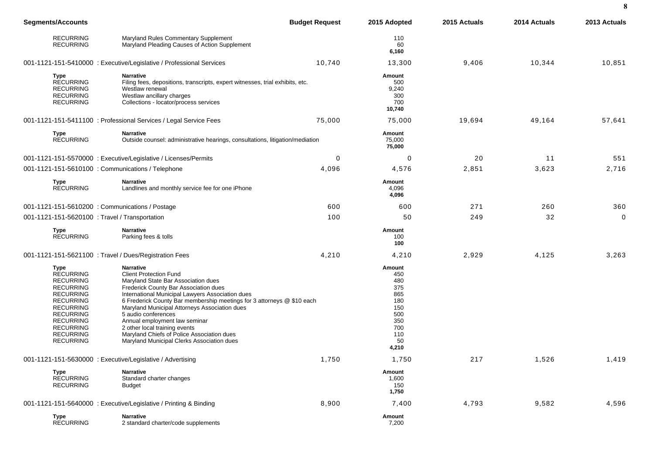| <b>Segments/Accounts</b>                                                                                                                                                                                                         |                                                                                                                                                                                                                                                                                                                                                                                                                                                                                                       | <b>Budget Request</b> | 2015 Adopted                                                                                | 2015 Actuals | 2014 Actuals | 2013 Actuals |
|----------------------------------------------------------------------------------------------------------------------------------------------------------------------------------------------------------------------------------|-------------------------------------------------------------------------------------------------------------------------------------------------------------------------------------------------------------------------------------------------------------------------------------------------------------------------------------------------------------------------------------------------------------------------------------------------------------------------------------------------------|-----------------------|---------------------------------------------------------------------------------------------|--------------|--------------|--------------|
| <b>RECURRING</b><br><b>RECURRING</b>                                                                                                                                                                                             | Maryland Rules Commentary Supplement<br>Maryland Pleading Causes of Action Supplement                                                                                                                                                                                                                                                                                                                                                                                                                 |                       | 110<br>60<br>6,160                                                                          |              |              |              |
|                                                                                                                                                                                                                                  | 001-1121-151-5410000 : Executive/Legislative / Professional Services                                                                                                                                                                                                                                                                                                                                                                                                                                  | 10,740                | 13,300                                                                                      | 9,406        | 10,344       | 10,851       |
| Type<br><b>RECURRING</b><br><b>RECURRING</b><br><b>RECURRING</b><br><b>RECURRING</b>                                                                                                                                             | <b>Narrative</b><br>Filing fees, depositions, transcripts, expert witnesses, trial exhibits, etc.<br>Westlaw renewal<br>Westlaw ancillary charges<br>Collections - locator/process services                                                                                                                                                                                                                                                                                                           |                       | Amount<br>500<br>9,240<br>300<br>700<br>10,740                                              |              |              |              |
|                                                                                                                                                                                                                                  | 001-1121-151-5411100 : Professional Services / Legal Service Fees                                                                                                                                                                                                                                                                                                                                                                                                                                     | 75,000                | 75,000                                                                                      | 19,694       | 49,164       | 57,641       |
| Type<br><b>RECURRING</b>                                                                                                                                                                                                         | <b>Narrative</b><br>Outside counsel: administrative hearings, consultations, litigation/mediation                                                                                                                                                                                                                                                                                                                                                                                                     |                       | Amount<br>75,000<br>75,000                                                                  |              |              |              |
|                                                                                                                                                                                                                                  | 001-1121-151-5570000 : Executive/Legislative / Licenses/Permits                                                                                                                                                                                                                                                                                                                                                                                                                                       | 0                     | 0                                                                                           | 20           | 11           | 551          |
| 001-1121-151-5610100 : Communications / Telephone                                                                                                                                                                                |                                                                                                                                                                                                                                                                                                                                                                                                                                                                                                       | 4,096                 | 4,576                                                                                       | 2,851        | 3,623        | 2,716        |
| <b>Type</b><br><b>RECURRING</b>                                                                                                                                                                                                  | <b>Narrative</b><br>Landlines and monthly service fee for one iPhone                                                                                                                                                                                                                                                                                                                                                                                                                                  |                       | Amount<br>4,096<br>4,096                                                                    |              |              |              |
| 001-1121-151-5610200 : Communications / Postage                                                                                                                                                                                  |                                                                                                                                                                                                                                                                                                                                                                                                                                                                                                       | 600                   | 600                                                                                         | 271          | 260          | 360          |
| 001-1121-151-5620100 : Travel / Transportation                                                                                                                                                                                   |                                                                                                                                                                                                                                                                                                                                                                                                                                                                                                       | 100                   | 50                                                                                          | 249          | 32           | 0            |
| Type<br><b>RECURRING</b>                                                                                                                                                                                                         | Narrative<br>Parking fees & tolls                                                                                                                                                                                                                                                                                                                                                                                                                                                                     |                       | Amount<br>100<br>100                                                                        |              |              |              |
|                                                                                                                                                                                                                                  | 001-1121-151-5621100 : Travel / Dues/Registration Fees                                                                                                                                                                                                                                                                                                                                                                                                                                                | 4,210                 | 4,210                                                                                       | 2,929        | 4,125        | 3,263        |
| Type<br><b>RECURRING</b><br><b>RECURRING</b><br><b>RECURRING</b><br><b>RECURRING</b><br><b>RECURRING</b><br><b>RECURRING</b><br><b>RECURRING</b><br><b>RECURRING</b><br><b>RECURRING</b><br><b>RECURRING</b><br><b>RECURRING</b> | <b>Narrative</b><br><b>Client Protection Fund</b><br>Maryland State Bar Association dues<br>Frederick County Bar Association dues<br>International Municipal Lawyers Association dues<br>6 Frederick County Bar membership meetings for 3 attorneys @ \$10 each<br>Maryland Municipal Attorneys Association dues<br>5 audio conferences<br>Annual employment law seminar<br>2 other local training events<br>Maryland Chiefs of Police Association dues<br>Maryland Municipal Clerks Association dues |                       | Amount<br>450<br>480<br>375<br>865<br>180<br>150<br>500<br>350<br>700<br>110<br>50<br>4,210 |              |              |              |
|                                                                                                                                                                                                                                  | 001-1121-151-5630000: Executive/Legislative / Advertising                                                                                                                                                                                                                                                                                                                                                                                                                                             | 1,750                 | 1,750                                                                                       | 217          | 1,526        | 1,419        |
| Type<br>RECURRING<br><b>RECURRING</b>                                                                                                                                                                                            | <b>Narrative</b><br>Standard charter changes<br><b>Budget</b>                                                                                                                                                                                                                                                                                                                                                                                                                                         |                       | Amount<br>1,600<br>150<br>1,750                                                             |              |              |              |
|                                                                                                                                                                                                                                  | 001-1121-151-5640000: Executive/Legislative / Printing & Binding                                                                                                                                                                                                                                                                                                                                                                                                                                      | 8,900                 | 7,400                                                                                       | 4,793        | 9,582        | 4,596        |
| Type<br>RECURRING                                                                                                                                                                                                                | Narrative<br>2 standard charter/code supplements                                                                                                                                                                                                                                                                                                                                                                                                                                                      |                       | Amount<br>7,200                                                                             |              |              |              |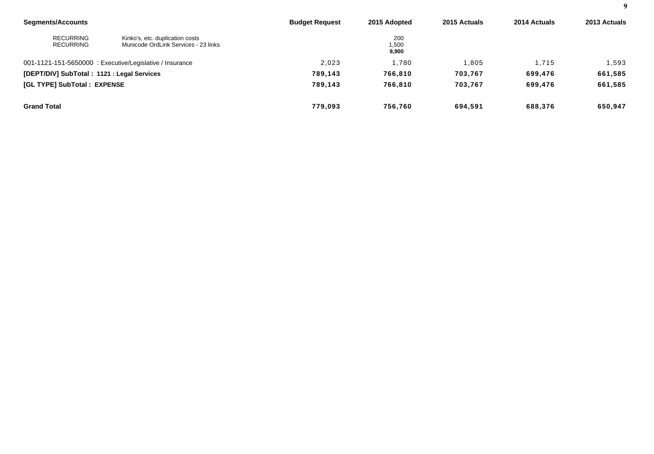| <b>Segments/Accounts</b>                  |                                                                         | <b>Budget Request</b> | 2015 Adopted          | 2015 Actuals | 2014 Actuals | 2013 Actuals |
|-------------------------------------------|-------------------------------------------------------------------------|-----------------------|-----------------------|--------------|--------------|--------------|
| <b>RECURRING</b><br><b>RECURRING</b>      | Kinko's, etc. duplication costs<br>Municode OrdLink Services - 23 links |                       | 200<br>1,500<br>8,900 |              |              |              |
|                                           | 001-1121-151-5650000: Executive/Legislative / Insurance                 | 2.023                 | 1.780                 | .805         | 1.715        | 1,593        |
| [DEPT/DIV] SubTotal: 1121: Legal Services |                                                                         | 789.143               | 766.810               | 703,767      | 699.476      | 661,585      |
| [GL TYPE] SubTotal: EXPENSE               |                                                                         | 789.143               | 766.810               | 703,767      | 699.476      | 661,585      |
| <b>Grand Total</b>                        |                                                                         | 779.093               | 756.760               | 694,591      | 688.376      | 650,947      |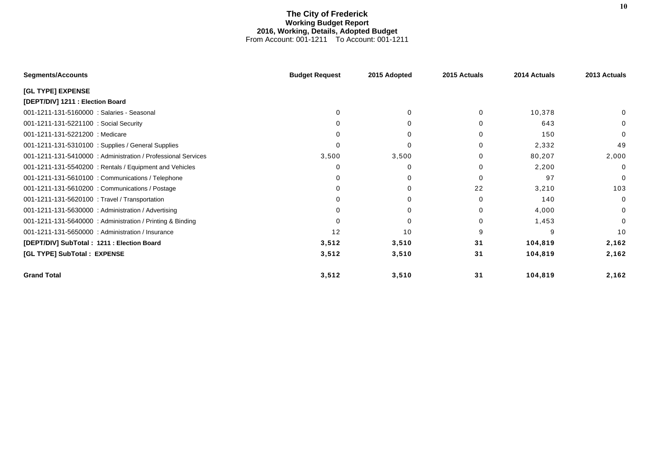#### **The City of Frederick Working Budget Report 2016, Working, Details, Adopted Budget** From Account: 001-1211 To Account: 001-1211

<span id="page-14-0"></span>

| <b>Segments/Accounts</b>                                     | <b>Budget Request</b> | 2015 Adopted | 2015 Actuals | 2014 Actuals | 2013 Actuals |
|--------------------------------------------------------------|-----------------------|--------------|--------------|--------------|--------------|
| [GL TYPE] EXPENSE                                            |                       |              |              |              |              |
| [DEPT/DIV] 1211 : Election Board                             |                       |              |              |              |              |
| 001-1211-131-5160000 : Salaries - Seasonal                   |                       | $\Omega$     | $\Omega$     | 10,378       |              |
| 001-1211-131-5221100 : Social Security                       |                       | ∩            | $\Omega$     | 643          | 0            |
| 001-1211-131-5221200 : Medicare                              |                       |              | 0            | 150          | 0            |
| 001-1211-131-5310100 : Supplies / General Supplies           |                       | ∩            | 0            | 2,332        | 49           |
| 001-1211-131-5410000: Administration / Professional Services | 3,500                 | 3,500        | $\Omega$     | 80,207       | 2,000        |
| 001-1211-131-5540200: Rentals / Equipment and Vehicles       |                       | $\Omega$     | 0            | 2,200        | 0            |
| 001-1211-131-5610100 : Communications / Telephone            |                       | ∩            | $\Omega$     | 97           | $\Omega$     |
| 001-1211-131-5610200 : Communications / Postage              |                       |              | 22           | 3,210        | 103          |
| 001-1211-131-5620100 : Travel / Transportation               |                       |              | 0            | 140          | $\Omega$     |
| 001-1211-131-5630000 : Administration / Advertising          |                       | n            | $\Omega$     | 4,000        | 0            |
| 001-1211-131-5640000: Administration / Printing & Binding    |                       | n            | $\Omega$     | 1,453        | 0            |
| 001-1211-131-5650000 : Administration / Insurance            | 12                    | 10           | 9            | 9            | 10           |
| [DEPT/DIV] SubTotal: 1211: Election Board                    | 3,512                 | 3,510        | 31           | 104,819      | 2,162        |
| [GL TYPE] SubTotal: EXPENSE                                  | 3,512                 | 3,510        | 31           | 104,819      | 2,162        |
| <b>Grand Total</b>                                           | 3,512                 | 3,510        | 31           | 104,819      | 2,162        |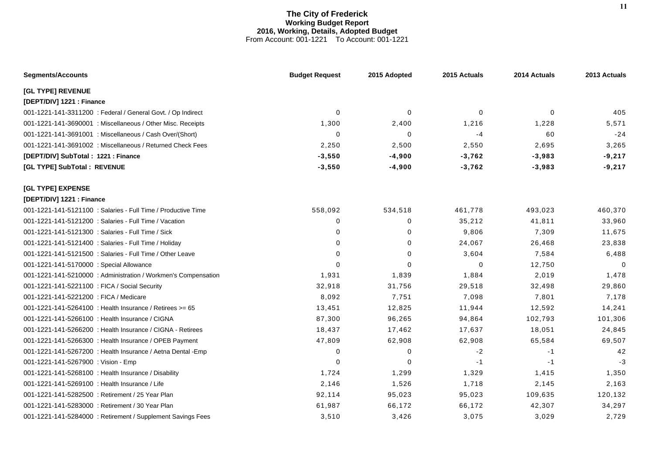#### **The City of Frederick Working Budget Report 2016, Working, Details, Adopted Budget** From Account: 001-1221 To Account: 001-1221

<span id="page-15-0"></span>

| <b>Segments/Accounts</b>                                      | <b>Budget Request</b> | 2015 Adopted | 2015 Actuals | 2014 Actuals | 2013 Actuals |
|---------------------------------------------------------------|-----------------------|--------------|--------------|--------------|--------------|
| [GL TYPE] REVENUE                                             |                       |              |              |              |              |
| [DEPT/DIV] 1221 : Finance                                     |                       |              |              |              |              |
| 001-1221-141-3311200 : Federal / General Govt. / Op Indirect  | 0                     | 0            | $\mathbf 0$  | 0            | 405          |
| 001-1221-141-3690001 : Miscellaneous / Other Misc. Receipts   | 1,300                 | 2,400        | 1,216        | 1,228        | 5,571        |
| 001-1221-141-3691001 : Miscellaneous / Cash Over/(Short)      | 0                     | 0            | $-4$         | 60           | $-24$        |
| 001-1221-141-3691002 : Miscellaneous / Returned Check Fees    | 2,250                 | 2,500        | 2,550        | 2,695        | 3,265        |
| [DEPT/DIV] SubTotal: 1221: Finance                            | $-3,550$              | $-4,900$     | $-3,762$     | $-3,983$     | $-9,217$     |
| [GL TYPE] SubTotal: REVENUE                                   | $-3,550$              | $-4,900$     | $-3,762$     | $-3,983$     | $-9,217$     |
| [GL TYPE] EXPENSE                                             |                       |              |              |              |              |
| [DEPT/DIV] 1221 : Finance                                     |                       |              |              |              |              |
| 001-1221-141-5121100 : Salaries - Full Time / Productive Time | 558,092               | 534,518      | 461,778      | 493,023      | 460,370      |
| 001-1221-141-5121200 : Salaries - Full Time / Vacation        | 0                     | 0            | 35,212       | 41,811       | 33,960       |
| 001-1221-141-5121300 : Salaries - Full Time / Sick            | 0                     | $\Omega$     | 9,806        | 7,309        | 11,675       |
| 001-1221-141-5121400 : Salaries - Full Time / Holiday         | 0                     | 0            | 24,067       | 26,468       | 23,838       |
| 001-1221-141-5121500 : Salaries - Full Time / Other Leave     | 0                     | $\Omega$     | 3,604        | 7,584        | 6,488        |
| 001-1221-141-5170000 : Special Allowance                      | 0                     | 0            | $\Omega$     | 12,750       | $\mathbf 0$  |
| 001-1221-141-5210000: Administration / Workmen's Compensation | 1,931                 | 1,839        | 1,884        | 2,019        | 1,478        |
| 001-1221-141-5221100 : FICA / Social Security                 | 32,918                | 31,756       | 29,518       | 32,498       | 29,860       |
| 001-1221-141-5221200 : FICA / Medicare                        | 8,092                 | 7,751        | 7,098        | 7,801        | 7,178        |
| 001-1221-141-5264100 : Health Insurance / Retirees >= 65      | 13,451                | 12,825       | 11,944       | 12,592       | 14,241       |
| 001-1221-141-5266100 : Health Insurance / CIGNA               | 87,300                | 96,265       | 94,864       | 102,793      | 101,306      |
| 001-1221-141-5266200 : Health Insurance / CIGNA - Retirees    | 18,437                | 17,462       | 17,637       | 18,051       | 24,845       |
| 001-1221-141-5266300 : Health Insurance / OPEB Payment        | 47,809                | 62,908       | 62,908       | 65,584       | 69,507       |
| 001-1221-141-5267200 : Health Insurance / Aetna Dental - Emp  | 0                     | 0            | $-2$         | $-1$         | 42           |
| 001-1221-141-5267900 : Vision - Emp                           | 0                     | 0            | $-1$         | $-1$         | -3           |
| 001-1221-141-5268100 : Health Insurance / Disability          | 1,724                 | 1,299        | 1,329        | 1,415        | 1,350        |
| 001-1221-141-5269100 : Health Insurance / Life                | 2,146                 | 1,526        | 1,718        | 2,145        | 2,163        |
| 001-1221-141-5282500: Retirement / 25 Year Plan               | 92,114                | 95,023       | 95,023       | 109,635      | 120,132      |
| 001-1221-141-5283000 : Retirement / 30 Year Plan              | 61,987                | 66,172       | 66,172       | 42,307       | 34,297       |
| 001-1221-141-5284000: Retirement / Supplement Savings Fees    | 3,510                 | 3,426        | 3,075        | 3,029        | 2,729        |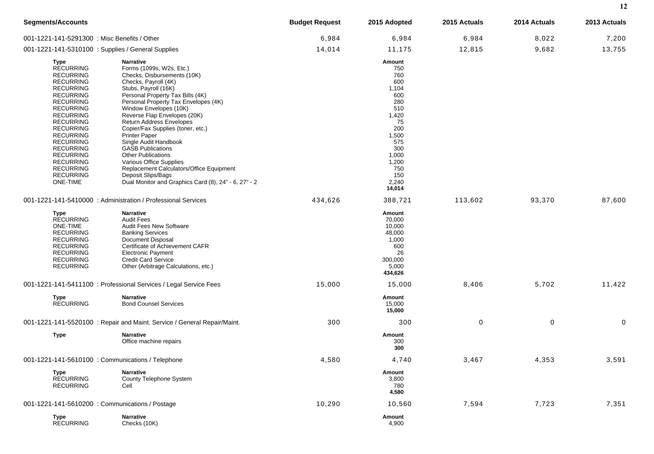| <b>Segments/Accounts</b>                                                                                                                                                                                                                                                                                                                                                    |                                                                                                                                                                                                                                                                                                                                                                                                                                                                                                                                                                                                                 | <b>Budget Request</b> | 2015 Adopted                                                                                                                                              | 2015 Actuals | 2014 Actuals | 2013 Actuals |
|-----------------------------------------------------------------------------------------------------------------------------------------------------------------------------------------------------------------------------------------------------------------------------------------------------------------------------------------------------------------------------|-----------------------------------------------------------------------------------------------------------------------------------------------------------------------------------------------------------------------------------------------------------------------------------------------------------------------------------------------------------------------------------------------------------------------------------------------------------------------------------------------------------------------------------------------------------------------------------------------------------------|-----------------------|-----------------------------------------------------------------------------------------------------------------------------------------------------------|--------------|--------------|--------------|
|                                                                                                                                                                                                                                                                                                                                                                             | 001-1221-141-5291300 : Misc Benefits / Other                                                                                                                                                                                                                                                                                                                                                                                                                                                                                                                                                                    | 6,984                 | 6,984                                                                                                                                                     | 6,984        | 8,022        | 7,200        |
|                                                                                                                                                                                                                                                                                                                                                                             | 001-1221-141-5310100 : Supplies / General Supplies                                                                                                                                                                                                                                                                                                                                                                                                                                                                                                                                                              | 14,014                | 11,175                                                                                                                                                    | 12,815       | 9,682        | 13,755       |
| <b>Type</b><br><b>RECURRING</b><br><b>RECURRING</b><br><b>RECURRING</b><br><b>RECURRING</b><br><b>RECURRING</b><br><b>RECURRING</b><br><b>RECURRING</b><br><b>RECURRING</b><br><b>RECURRING</b><br><b>RECURRING</b><br><b>RECURRING</b><br><b>RECURRING</b><br><b>RECURRING</b><br><b>RECURRING</b><br><b>RECURRING</b><br><b>RECURRING</b><br><b>RECURRING</b><br>ONE-TIME | <b>Narrative</b><br>Forms (1099s, W2s, Etc.)<br>Checks, Disbursements (10K)<br>Checks, Payroll (4K)<br>Stubs, Payroll (16K)<br>Personal Property Tax Bills (4K)<br>Personal Property Tax Envelopes (4K)<br>Window Envelopes (10K)<br>Reverse Flap Envelopes (20K)<br><b>Return Address Envelopes</b><br>Copier/Fax Supplies (toner, etc.)<br><b>Printer Paper</b><br>Single Audit Handbook<br><b>GASB Publications</b><br><b>Other Publications</b><br>Various Office Supplies<br>Replacement Calculators/Office Equipment<br><b>Deposit Slips/Bags</b><br>Dual Monitor and Graphics Card (8), 24" - 6, 27" - 2 |                       | Amount<br>750<br>760<br>600<br>1,104<br>600<br>280<br>510<br>1,420<br>75<br>200<br>1,500<br>575<br>300<br>1,000<br>1,200<br>750<br>150<br>2,240<br>14,014 |              |              |              |
|                                                                                                                                                                                                                                                                                                                                                                             | 001-1221-141-5410000: Administration / Professional Services                                                                                                                                                                                                                                                                                                                                                                                                                                                                                                                                                    | 434,626               | 388,721                                                                                                                                                   | 113,602      | 93,370       | 87,600       |
| Type<br><b>RECURRING</b><br>ONE-TIME<br><b>RECURRING</b><br><b>RECURRING</b><br><b>RECURRING</b><br><b>RECURRING</b><br><b>RECURRING</b><br><b>RECURRING</b>                                                                                                                                                                                                                | <b>Narrative</b><br><b>Audit Fees</b><br><b>Audit Fees New Software</b><br><b>Banking Services</b><br>Document Disposal<br>Certificate of Achievement CAFR<br><b>Electronic Payment</b><br><b>Credit Card Service</b><br>Other (Arbitrage Calculations, etc.)                                                                                                                                                                                                                                                                                                                                                   |                       | Amount<br>70,000<br>10,000<br>48,000<br>1,000<br>600<br>26<br>300,000<br>5,000<br>434,626                                                                 |              |              |              |
|                                                                                                                                                                                                                                                                                                                                                                             | 001-1221-141-5411100 : Professional Services / Legal Service Fees                                                                                                                                                                                                                                                                                                                                                                                                                                                                                                                                               | 15,000                | 15,000                                                                                                                                                    | 8,406        | 5,702        | 11,422       |
| Type<br><b>RECURRING</b>                                                                                                                                                                                                                                                                                                                                                    | <b>Narrative</b><br><b>Bond Counsel Services</b>                                                                                                                                                                                                                                                                                                                                                                                                                                                                                                                                                                |                       | Amount<br>15,000<br>15,000                                                                                                                                |              |              |              |
|                                                                                                                                                                                                                                                                                                                                                                             | 001-1221-141-5520100 : Repair and Maint. Service / General Repair/Maint.                                                                                                                                                                                                                                                                                                                                                                                                                                                                                                                                        | 300                   | 300                                                                                                                                                       | 0            | $\mathbf 0$  | $\mathbf 0$  |
| <b>Type</b>                                                                                                                                                                                                                                                                                                                                                                 | <b>Narrative</b><br>Office machine repairs                                                                                                                                                                                                                                                                                                                                                                                                                                                                                                                                                                      |                       | Amount<br>300<br>300                                                                                                                                      |              |              |              |
|                                                                                                                                                                                                                                                                                                                                                                             | 001-1221-141-5610100 : Communications / Telephone                                                                                                                                                                                                                                                                                                                                                                                                                                                                                                                                                               | 4,580                 | 4,740                                                                                                                                                     | 3,467        | 4,353        | 3,591        |
| <b>Type</b><br><b>RECURRING</b><br><b>RECURRING</b>                                                                                                                                                                                                                                                                                                                         | Narrative<br>County Telephone System<br>Cell                                                                                                                                                                                                                                                                                                                                                                                                                                                                                                                                                                    |                       | Amount<br>3,800<br>780<br>4,580                                                                                                                           |              |              |              |
|                                                                                                                                                                                                                                                                                                                                                                             | 001-1221-141-5610200 : Communications / Postage                                                                                                                                                                                                                                                                                                                                                                                                                                                                                                                                                                 | 10,290                | 10,560                                                                                                                                                    | 7,594        | 7,723        | 7,351        |
| Type<br><b>RECURRING</b>                                                                                                                                                                                                                                                                                                                                                    | Narrative<br>Checks (10K)                                                                                                                                                                                                                                                                                                                                                                                                                                                                                                                                                                                       |                       | Amount<br>4,900                                                                                                                                           |              |              |              |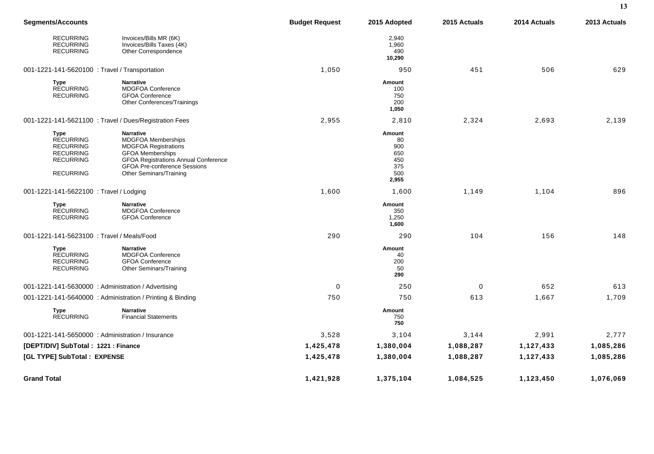| <b>Segments/Accounts</b>                                                                                 |                                                                                                                                                                                                                          | <b>Budget Request</b> | 2015 Adopted                                             | 2015 Actuals | 2014 Actuals | 2013 Actuals |
|----------------------------------------------------------------------------------------------------------|--------------------------------------------------------------------------------------------------------------------------------------------------------------------------------------------------------------------------|-----------------------|----------------------------------------------------------|--------------|--------------|--------------|
| <b>RECURRING</b><br><b>RECURRING</b><br><b>RECURRING</b>                                                 | Invoices/Bills MR (6K)<br>Invoices/Bills Taxes (4K)<br>Other Correspondence                                                                                                                                              |                       | 2,940<br>1,960<br>490<br>10,290                          |              |              |              |
| 001-1221-141-5620100 : Travel / Transportation                                                           |                                                                                                                                                                                                                          | 1,050                 | 950                                                      | 451          | 506          | 629          |
| Type<br><b>RECURRING</b><br><b>RECURRING</b>                                                             | <b>Narrative</b><br><b>MDGFOA Conference</b><br><b>GFOA Conference</b><br>Other Conferences/Trainings                                                                                                                    |                       | Amount<br>100<br>750<br>200<br>1,050                     |              |              |              |
| 001-1221-141-5621100 : Travel / Dues/Registration Fees                                                   |                                                                                                                                                                                                                          | 2,955                 | 2,810                                                    | 2,324        | 2,693        | 2,139        |
| Type<br><b>RECURRING</b><br><b>RECURRING</b><br><b>RECURRING</b><br><b>RECURRING</b><br><b>RECURRING</b> | <b>Narrative</b><br><b>MDGFOA Memberships</b><br><b>MDGFOA Registrations</b><br><b>GFOA Memberships</b><br><b>GFOA Registrations Annual Conference</b><br><b>GFOA Pre-conference Sessions</b><br>Other Seminars/Training |                       | Amount<br>80<br>900<br>650<br>450<br>375<br>500<br>2,955 |              |              |              |
| 001-1221-141-5622100 : Travel / Lodging                                                                  |                                                                                                                                                                                                                          | 1,600                 | 1,600                                                    | 1,149        | 1,104        | 896          |
| Type<br><b>RECURRING</b><br><b>RECURRING</b>                                                             | <b>Narrative</b><br><b>MDGFOA Conference</b><br><b>GFOA Conference</b>                                                                                                                                                   |                       | Amount<br>350<br>1,250<br>1,600                          |              |              |              |
| 001-1221-141-5623100 : Travel / Meals/Food                                                               |                                                                                                                                                                                                                          | 290                   | 290                                                      | 104          | 156          | 148          |
| Type<br><b>RECURRING</b><br><b>RECURRING</b><br><b>RECURRING</b>                                         | <b>Narrative</b><br><b>MDGFOA Conference</b><br><b>GFOA Conference</b><br>Other Seminars/Training                                                                                                                        |                       | Amount<br>40<br>200<br>50<br>290                         |              |              |              |
| 001-1221-141-5630000: Administration / Advertising                                                       |                                                                                                                                                                                                                          | $\mathbf 0$           | 250                                                      | $\mathbf 0$  | 652          | 613          |
| 001-1221-141-5640000: Administration / Printing & Binding                                                |                                                                                                                                                                                                                          | 750                   | 750                                                      | 613          | 1,667        | 1,709        |
| Type<br><b>RECURRING</b>                                                                                 | <b>Narrative</b><br><b>Financial Statements</b>                                                                                                                                                                          |                       | Amount<br>750<br>750                                     |              |              |              |
| 001-1221-141-5650000 : Administration / Insurance                                                        |                                                                                                                                                                                                                          | 3,528                 | 3,104                                                    | 3,144        | 2,991        | 2,777        |
| [DEPT/DIV] SubTotal: 1221: Finance                                                                       |                                                                                                                                                                                                                          | 1,425,478             | 1,380,004                                                | 1,088,287    | 1,127,433    | 1,085,286    |
| [GL TYPE] SubTotal: EXPENSE                                                                              |                                                                                                                                                                                                                          | 1,425,478             | 1,380,004                                                | 1,088,287    | 1,127,433    | 1,085,286    |
| <b>Grand Total</b>                                                                                       |                                                                                                                                                                                                                          | 1,421,928             | 1,375,104                                                | 1,084,525    | 1,123,450    | 1,076,069    |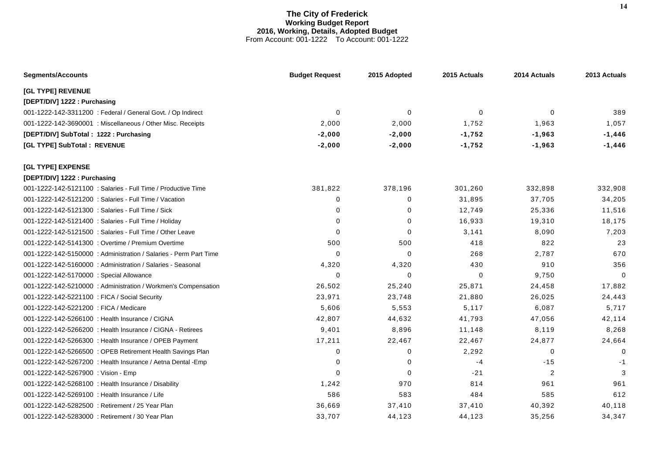#### **The City of Frederick Working Budget Report 2016, Working, Details, Adopted Budget** From Account: 001-1222 To Account: 001-1222

<span id="page-18-0"></span>

| <b>Segments/Accounts</b>                                         | <b>Budget Request</b> | 2015 Adopted | 2015 Actuals | 2014 Actuals   | 2013 Actuals |
|------------------------------------------------------------------|-----------------------|--------------|--------------|----------------|--------------|
| [GL TYPE] REVENUE                                                |                       |              |              |                |              |
| [DEPT/DIV] 1222 : Purchasing                                     |                       |              |              |                |              |
| 001-1222-142-3311200 : Federal / General Govt. / Op Indirect     | $\Omega$              | $\Omega$     | $\mathbf 0$  | $\mathbf 0$    | 389          |
| 001-1222-142-3690001 : Miscellaneous / Other Misc. Receipts      | 2,000                 | 2,000        | 1,752        | 1,963          | 1,057        |
| [DEPT/DIV] SubTotal: 1222: Purchasing                            | $-2,000$              | $-2,000$     | $-1,752$     | $-1,963$       | $-1,446$     |
| [GL TYPE] SubTotal: REVENUE                                      | $-2,000$              | $-2,000$     | $-1,752$     | $-1,963$       | $-1,446$     |
| [GL TYPE] EXPENSE                                                |                       |              |              |                |              |
| [DEPT/DIV] 1222 : Purchasing                                     |                       |              |              |                |              |
| 001-1222-142-5121100 : Salaries - Full Time / Productive Time    | 381,822               | 378,196      | 301,260      | 332,898        | 332,908      |
| 001-1222-142-5121200 : Salaries - Full Time / Vacation           | 0                     | 0            | 31,895       | 37,705         | 34,205       |
| 001-1222-142-5121300 : Salaries - Full Time / Sick               | 0                     | 0            | 12,749       | 25,336         | 11,516       |
| 001-1222-142-5121400 : Salaries - Full Time / Holiday            | 0                     | 0            | 16,933       | 19,310         | 18,175       |
| 001-1222-142-5121500 : Salaries - Full Time / Other Leave        | 0                     | $\Omega$     | 3,141        | 8,090          | 7,203        |
| 001-1222-142-5141300 : Overtime / Premium Overtime               | 500                   | 500          | 418          | 822            | 23           |
| 001-1222-142-5150000: Administration / Salaries - Perm Part Time | $\Omega$              | $\Omega$     | 268          | 2,787          | 670          |
| 001-1222-142-5160000: Administration / Salaries - Seasonal       | 4,320                 | 4,320        | 430          | 910            | 356          |
| 001-1222-142-5170000 : Special Allowance                         | 0                     | 0            | 0            | 9,750          | 0            |
| 001-1222-142-5210000: Administration / Workmen's Compensation    | 26,502                | 25,240       | 25,871       | 24,458         | 17,882       |
| 001-1222-142-5221100 : FICA / Social Security                    | 23,971                | 23,748       | 21,880       | 26,025         | 24,443       |
| 001-1222-142-5221200 : FICA / Medicare                           | 5,606                 | 5,553        | 5,117        | 6,087          | 5,717        |
| 001-1222-142-5266100 : Health Insurance / CIGNA                  | 42,807                | 44,632       | 41,793       | 47,056         | 42,114       |
| 001-1222-142-5266200 : Health Insurance / CIGNA - Retirees       | 9,401                 | 8,896        | 11,148       | 8,119          | 8,268        |
| 001-1222-142-5266300 : Health Insurance / OPEB Payment           | 17,211                | 22,467       | 22,467       | 24,877         | 24,664       |
| 001-1222-142-5266500 : OPEB Retirement Health Savings Plan       | 0                     | 0            | 2,292        | $\pmb{0}$      | 0            |
| 001-1222-142-5267200 : Health Insurance / Aetna Dental - Emp     | 0                     | 0            | $-4$         | $-15$          | -1           |
| 001-1222-142-5267900 : Vision - Emp                              | O                     | $\Omega$     | $-21$        | $\overline{2}$ | 3            |
| 001-1222-142-5268100 : Health Insurance / Disability             | 1,242                 | 970          | 814          | 961            | 961          |
| 001-1222-142-5269100 : Health Insurance / Life                   | 586                   | 583          | 484          | 585            | 612          |
| 001-1222-142-5282500: Retirement / 25 Year Plan                  | 36,669                | 37,410       | 37,410       | 40,392         | 40,118       |
| 001-1222-142-5283000 : Retirement / 30 Year Plan                 | 33,707                | 44,123       | 44,123       | 35,256         | 34,347       |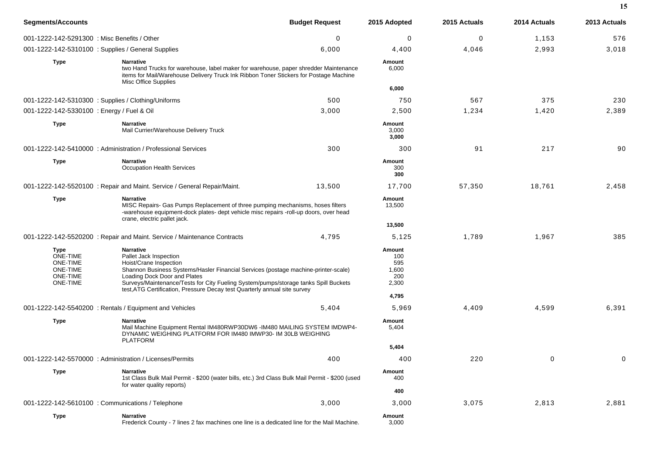| <b>Segments/Accounts</b>                                         |                                                                                                                                                                                                                                                                                                                                                                | <b>Budget Request</b> | 2015 Adopted                                  | 2015 Actuals | 2014 Actuals | 2013 Actuals |
|------------------------------------------------------------------|----------------------------------------------------------------------------------------------------------------------------------------------------------------------------------------------------------------------------------------------------------------------------------------------------------------------------------------------------------------|-----------------------|-----------------------------------------------|--------------|--------------|--------------|
| 001-1222-142-5291300 : Misc Benefits / Other                     |                                                                                                                                                                                                                                                                                                                                                                | 0                     | 0                                             | 0            | 1,153        | 576          |
|                                                                  | 001-1222-142-5310100 : Supplies / General Supplies                                                                                                                                                                                                                                                                                                             | 6,000                 | 4,400                                         | 4,046        | 2,993        | 3,018        |
| <b>Type</b>                                                      | <b>Narrative</b><br>two Hand Trucks for warehouse, label maker for warehouse, paper shredder Maintenance<br>items for Mail/Warehouse Delivery Truck Ink Ribbon Toner Stickers for Postage Machine<br><b>Misc Office Supplies</b>                                                                                                                               |                       | Amount<br>6,000                               |              |              |              |
|                                                                  |                                                                                                                                                                                                                                                                                                                                                                |                       | 6,000                                         |              |              |              |
|                                                                  | 001-1222-142-5310300: Supplies / Clothing/Uniforms                                                                                                                                                                                                                                                                                                             | 500                   | 750                                           | 567          | 375          | 230          |
| 001-1222-142-5330100 : Energy / Fuel & Oil                       |                                                                                                                                                                                                                                                                                                                                                                | 3,000                 | 2,500                                         | 1,234        | 1,420        | 2,389        |
| Type                                                             | <b>Narrative</b><br>Mail Currier/Warehouse Delivery Truck                                                                                                                                                                                                                                                                                                      |                       | Amount<br>3,000<br>3,000                      |              |              |              |
|                                                                  | 001-1222-142-5410000: Administration / Professional Services                                                                                                                                                                                                                                                                                                   | 300                   | 300                                           | 91           | 217          | 90           |
| <b>Type</b>                                                      | <b>Narrative</b><br><b>Occupation Health Services</b>                                                                                                                                                                                                                                                                                                          |                       | Amount<br>300<br>300                          |              |              |              |
|                                                                  | 001-1222-142-5520100: Repair and Maint. Service / General Repair/Maint.                                                                                                                                                                                                                                                                                        | 13,500                | 17,700                                        | 57,350       | 18,761       | 2,458        |
| <b>Type</b>                                                      | <b>Narrative</b><br>MISC Repairs- Gas Pumps Replacement of three pumping mechanisms, hoses filters<br>-warehouse equipment-dock plates- dept vehicle misc repairs -roll-up doors, over head<br>crane, electric pallet jack.                                                                                                                                    |                       | Amount<br>13,500                              |              |              |              |
|                                                                  |                                                                                                                                                                                                                                                                                                                                                                |                       | 13,500                                        |              |              |              |
|                                                                  | 001-1222-142-5520200 : Repair and Maint. Service / Maintenance Contracts                                                                                                                                                                                                                                                                                       | 4,795                 | 5,125                                         | 1,789        | 1,967        | 385          |
| Type<br>ONE-TIME<br>ONE-TIME<br>ONE-TIME<br>ONE-TIME<br>ONE-TIME | <b>Narrative</b><br>Pallet Jack Inspection<br>Hoist/Crane Inspection<br>Shannon Business Systems/Hasler Financial Services (postage machine-printer-scale)<br>Loading Dock Door and Plates<br>Surveys/Maintenance/Tests for City Fueling System/pumps/storage tanks Spill Buckets<br>test, ATG Certification, Pressure Decay test Quarterly annual site survey |                       | Amount<br>100<br>595<br>1,600<br>200<br>2,300 |              |              |              |
|                                                                  |                                                                                                                                                                                                                                                                                                                                                                |                       | 4,795                                         |              |              |              |
|                                                                  | 001-1222-142-5540200: Rentals / Equipment and Vehicles                                                                                                                                                                                                                                                                                                         | 5,404                 | 5,969                                         | 4,409        | 4,599        | 6,391        |
| Type                                                             | <b>Narrative</b><br>Mail Machine Equipment Rental IM480RWP30DW6 -IM480 MAILING SYSTEM IMDWP4-<br>DYNAMIC WEIGHING PLATFORM FOR IM480 IMWP30- IM 30LB WEIGHING<br><b>PLATFORM</b>                                                                                                                                                                               |                       | Amount<br>5,404                               |              |              |              |
|                                                                  |                                                                                                                                                                                                                                                                                                                                                                |                       | 5.404                                         |              |              |              |
|                                                                  | 001-1222-142-5570000: Administration / Licenses/Permits                                                                                                                                                                                                                                                                                                        | 400                   | 400                                           | 220          | 0            | 0            |
| <b>Type</b>                                                      | <b>Narrative</b><br>1st Class Bulk Mail Permit - \$200 (water bills, etc.) 3rd Class Bulk Mail Permit - \$200 (used<br>for water quality reports)                                                                                                                                                                                                              |                       | Amount<br>400                                 |              |              |              |
|                                                                  |                                                                                                                                                                                                                                                                                                                                                                |                       | 400                                           |              |              |              |
|                                                                  | 001-1222-142-5610100 : Communications / Telephone                                                                                                                                                                                                                                                                                                              | 3,000                 | 3,000                                         | 3,075        | 2,813        | 2,881        |
| <b>Type</b>                                                      | <b>Narrative</b><br>Frederick County - 7 lines 2 fax machines one line is a dedicated line for the Mail Machine.                                                                                                                                                                                                                                               |                       | Amount<br>3,000                               |              |              |              |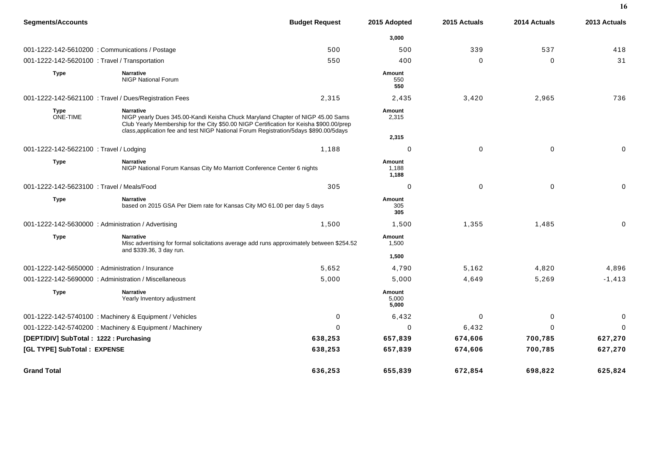| <b>Segments/Accounts</b>                       |                                                                                                                                                                                                                                                                                        | <b>Budget Request</b>                                                  | 2015 Adopted             | 2015 Actuals | 2014 Actuals | 2013 Actuals |
|------------------------------------------------|----------------------------------------------------------------------------------------------------------------------------------------------------------------------------------------------------------------------------------------------------------------------------------------|------------------------------------------------------------------------|--------------------------|--------------|--------------|--------------|
|                                                |                                                                                                                                                                                                                                                                                        |                                                                        | 3,000                    |              |              |              |
|                                                | 001-1222-142-5610200 : Communications / Postage                                                                                                                                                                                                                                        | 500                                                                    | 500                      | 339          | 537          | 418          |
| 001-1222-142-5620100 : Travel / Transportation |                                                                                                                                                                                                                                                                                        | 550                                                                    | 400                      | 0            | 0            | 31           |
| <b>Type</b>                                    | Narrative<br><b>NIGP National Forum</b>                                                                                                                                                                                                                                                |                                                                        | Amount<br>550<br>550     |              |              |              |
|                                                | 001-1222-142-5621100 : Travel / Dues/Registration Fees                                                                                                                                                                                                                                 | 2,315                                                                  | 2,435                    | 3,420        | 2,965        | 736          |
| <b>Type</b><br>ONE-TIME                        | <b>Narrative</b><br>NIGP yearly Dues 345.00-Kandi Keisha Chuck Maryland Chapter of NIGP 45.00 Sams<br>Club Yearly Membership for the City \$50.00 NIGP Certification for Keisha \$900.00/prep<br>class, application fee and test NIGP National Forum Registration/5days \$890.00/5days |                                                                        | Amount<br>2,315          |              |              |              |
|                                                |                                                                                                                                                                                                                                                                                        |                                                                        | 2,315                    |              |              |              |
| 001-1222-142-5622100 : Travel / Lodging        |                                                                                                                                                                                                                                                                                        | 1,188                                                                  | $\Omega$                 | $\mathbf 0$  | $\mathbf 0$  | 0            |
| Type                                           | <b>Narrative</b>                                                                                                                                                                                                                                                                       | NIGP National Forum Kansas City Mo Marriott Conference Center 6 nights |                          |              |              |              |
| 001-1222-142-5623100 : Travel / Meals/Food     |                                                                                                                                                                                                                                                                                        | 305                                                                    | 0                        | $\mathbf 0$  | $\mathbf 0$  | 0            |
| <b>Type</b>                                    | <b>Narrative</b><br>based on 2015 GSA Per Diem rate for Kansas City MO 61.00 per day 5 days                                                                                                                                                                                            |                                                                        | Amount<br>305<br>305     |              |              |              |
|                                                | 001-1222-142-5630000 : Administration / Advertising                                                                                                                                                                                                                                    | 1,500                                                                  | 1,500                    | 1,355        | 1,485        | 0            |
| <b>Type</b>                                    | <b>Narrative</b><br>Misc advertising for formal solicitations average add runs approximately between \$254.52<br>and \$339.36, 3 day run.                                                                                                                                              |                                                                        | Amount<br>1,500          |              |              |              |
|                                                |                                                                                                                                                                                                                                                                                        |                                                                        | 1,500                    |              |              |              |
|                                                | 001-1222-142-5650000 : Administration / Insurance                                                                                                                                                                                                                                      | 5,652                                                                  | 4,790                    | 5,162        | 4,820        | 4,896        |
|                                                | 001-1222-142-5690000 : Administration / Miscellaneous                                                                                                                                                                                                                                  | 5,000                                                                  | 5,000                    | 4,649        | 5,269        | $-1,413$     |
| <b>Type</b>                                    | <b>Narrative</b><br>Yearly Inventory adjustment                                                                                                                                                                                                                                        |                                                                        | Amount<br>5,000<br>5,000 |              |              |              |
|                                                | 001-1222-142-5740100 : Machinery & Equipment / Vehicles                                                                                                                                                                                                                                | $\mathbf 0$                                                            | 6,432                    | 0            | 0            | 0            |
|                                                | 001-1222-142-5740200 : Machinery & Equipment / Machinery                                                                                                                                                                                                                               | $\Omega$                                                               | 0                        | 6,432        | 0            | 0            |
| [DEPT/DIV] SubTotal: 1222: Purchasing          |                                                                                                                                                                                                                                                                                        | 638,253                                                                | 657,839                  | 674,606      | 700,785      | 627,270      |
| [GL TYPE] SubTotal: EXPENSE                    |                                                                                                                                                                                                                                                                                        | 638,253                                                                | 657,839                  | 674,606      | 700,785      | 627,270      |
| <b>Grand Total</b>                             |                                                                                                                                                                                                                                                                                        | 636,253                                                                | 655,839                  | 672,854      | 698,822      | 625,824      |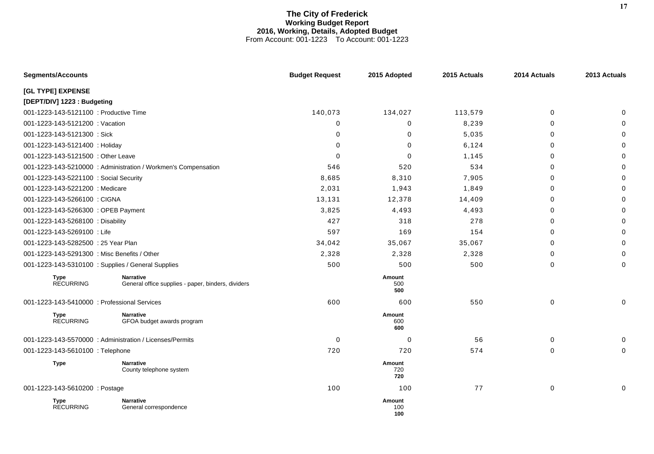#### **The City of Frederick Working Budget Report 2016, Working, Details, Adopted Budget** From Account: 001-1223 To Account: 001-1223

<span id="page-21-0"></span>

| <b>Segments/Accounts</b>                                 |                                                                        | <b>Budget Request</b> | 2015 Adopted         | 2015 Actuals | 2014 Actuals | 2013 Actuals |
|----------------------------------------------------------|------------------------------------------------------------------------|-----------------------|----------------------|--------------|--------------|--------------|
| [GL TYPE] EXPENSE                                        |                                                                        |                       |                      |              |              |              |
| [DEPT/DIV] 1223 : Budgeting                              |                                                                        |                       |                      |              |              |              |
| 001-1223-143-5121100 : Productive Time                   |                                                                        | 140,073               | 134,027              | 113,579      | 0            | 0            |
| 001-1223-143-5121200 : Vacation                          |                                                                        | 0                     | 0                    | 8,239        | $\mathbf 0$  | $\Omega$     |
| 001-1223-143-5121300 : Sick                              |                                                                        | 0                     | 0                    | 5,035        | 0            | $\Omega$     |
| 001-1223-143-5121400 : Holiday                           |                                                                        | 0                     | $\Omega$             | 6,124        | $\Omega$     | $\Omega$     |
| 001-1223-143-5121500 : Other Leave                       |                                                                        | $\Omega$              | $\Omega$             | 1,145        | $\Omega$     | $\Omega$     |
|                                                          | 001-1223-143-5210000: Administration / Workmen's Compensation          | 546                   | 520                  | 534          | $\mathbf 0$  | $\Omega$     |
| 001-1223-143-5221100 : Social Security                   |                                                                        | 8,685                 | 8,310                | 7,905        | $\Omega$     | $\Omega$     |
| 001-1223-143-5221200 : Medicare                          |                                                                        | 2,031                 | 1,943                | 1,849        | 0            | $\Omega$     |
| 001-1223-143-5266100 : CIGNA                             |                                                                        | 13,131                | 12,378               | 14,409       | $\mathbf 0$  | $\Omega$     |
| 001-1223-143-5266300 : OPEB Payment                      |                                                                        | 3,825                 | 4,493                | 4,493        | $\mathbf 0$  | 0            |
| 001-1223-143-5268100 : Disability                        |                                                                        | 427                   | 318                  | 278          | $\mathbf 0$  | $\Omega$     |
| 001-1223-143-5269100 : Life                              |                                                                        | 597                   | 169                  | 154          | $\mathbf 0$  | $\Omega$     |
| 001-1223-143-5282500 : 25 Year Plan                      |                                                                        | 34,042                | 35,067               | 35,067       | $\Omega$     | 0            |
| 001-1223-143-5291300 : Misc Benefits / Other             |                                                                        | 2,328                 | 2,328                | 2,328        | $\mathbf 0$  | $\mathbf 0$  |
| 001-1223-143-5310100 : Supplies / General Supplies       |                                                                        | 500                   | 500                  | 500          | $\mathbf 0$  | $\mathbf 0$  |
| Type<br><b>RECURRING</b>                                 | <b>Narrative</b><br>General office supplies - paper, binders, dividers |                       | Amount<br>500<br>500 |              |              |              |
| 001-1223-143-5410000 : Professional Services             |                                                                        | 600                   | 600                  | 550          | $\pmb{0}$    | 0            |
| Type<br><b>RECURRING</b>                                 | <b>Narrative</b><br>GFOA budget awards program                         |                       | Amount<br>600<br>600 |              |              |              |
| 001-1223-143-5570000 : Administration / Licenses/Permits |                                                                        | 0                     | $\Omega$             | 56           | 0            | $\Omega$     |
| 001-1223-143-5610100 : Telephone                         |                                                                        | 720                   | 720                  | 574          | $\mathbf 0$  | $\mathbf 0$  |
| <b>Type</b>                                              | Narrative<br>County telephone system                                   |                       | Amount<br>720<br>720 |              |              |              |
| 001-1223-143-5610200 : Postage                           |                                                                        | 100                   | 100                  | 77           | $\pmb{0}$    | $\Omega$     |
| Type<br><b>RECURRING</b>                                 | Narrative<br>General correspondence                                    |                       | Amount<br>100<br>100 |              |              |              |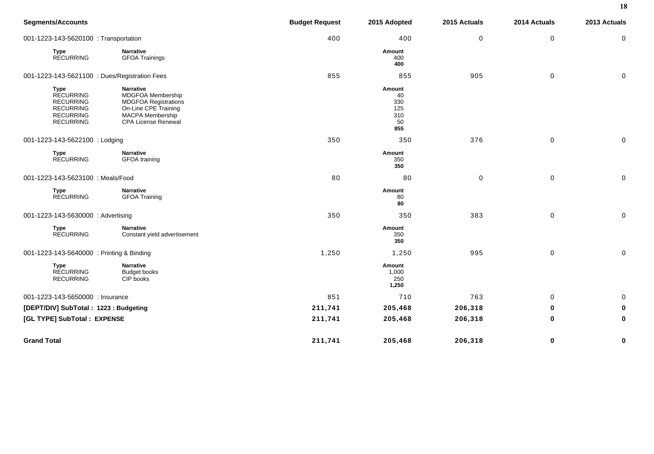| <b>Segments/Accounts</b>                                                                                        |                                                                                                                                                       | <b>Budget Request</b> | 2015 Adopted                                   | 2015 Actuals | 2014 Actuals | 2013 Actuals |
|-----------------------------------------------------------------------------------------------------------------|-------------------------------------------------------------------------------------------------------------------------------------------------------|-----------------------|------------------------------------------------|--------------|--------------|--------------|
| 001-1223-143-5620100 : Transportation                                                                           |                                                                                                                                                       | 400                   | 400                                            | $\pmb{0}$    | 0            | 0            |
| Type<br><b>RECURRING</b>                                                                                        | <b>Narrative</b><br><b>GFOA Trainings</b>                                                                                                             |                       | Amount<br>400<br>400                           |              |              |              |
| 001-1223-143-5621100 : Dues/Registration Fees                                                                   |                                                                                                                                                       | 855                   | 855                                            | 905          | 0            | 0            |
| <b>Type</b><br><b>RECURRING</b><br><b>RECURRING</b><br><b>RECURRING</b><br><b>RECURRING</b><br><b>RECURRING</b> | <b>Narrative</b><br>MDGFOA Membership<br><b>MDGFOA Registrations</b><br>On-Line CPE Training<br><b>MACPA Membership</b><br><b>CPA License Renewal</b> |                       | Amount<br>40<br>330<br>125<br>310<br>50<br>855 |              |              |              |
| 001-1223-143-5622100 : Lodging                                                                                  |                                                                                                                                                       | 350                   | 350                                            | 376          | 0            | 0            |
| Type<br><b>RECURRING</b>                                                                                        | Narrative<br>GFOA training                                                                                                                            |                       | Amount<br>350<br>350                           |              |              |              |
| 001-1223-143-5623100 : Meals/Food                                                                               |                                                                                                                                                       | 80                    | 80                                             | $\pmb{0}$    | 0            | $\pmb{0}$    |
| Type<br><b>RECURRING</b>                                                                                        | Narrative<br><b>GFOA Training</b>                                                                                                                     |                       | Amount<br>80<br>80                             |              |              |              |
| 001-1223-143-5630000: Advertising                                                                               |                                                                                                                                                       | 350                   | 350                                            | 383          | 0            | $\pmb{0}$    |
| Type<br><b>RECURRING</b>                                                                                        | <b>Narrative</b><br>Constant yield advertisement                                                                                                      |                       | Amount<br>350<br>350                           |              |              |              |
| 001-1223-143-5640000: Printing & Binding                                                                        |                                                                                                                                                       | 1,250                 | 1,250                                          | 995          | 0            | 0            |
| <b>Type</b><br><b>RECURRING</b><br><b>RECURRING</b>                                                             | <b>Narrative</b><br><b>Budget books</b><br>CIP books                                                                                                  |                       | Amount<br>1,000<br>250<br>1,250                |              |              |              |
| 001-1223-143-5650000 : Insurance                                                                                |                                                                                                                                                       | 851                   | 710                                            | 763          | 0            | 0            |
| [DEPT/DIV] SubTotal: 1223: Budgeting                                                                            |                                                                                                                                                       | 211,741               | 205,468                                        | 206,318      | 0            | 0            |
| [GL TYPE] SubTotal: EXPENSE                                                                                     |                                                                                                                                                       | 211,741               | 205,468                                        | 206,318      | $\mathbf 0$  | 0            |
| <b>Grand Total</b>                                                                                              |                                                                                                                                                       | 211,741               | 205,468                                        | 206,318      | 0            | 0            |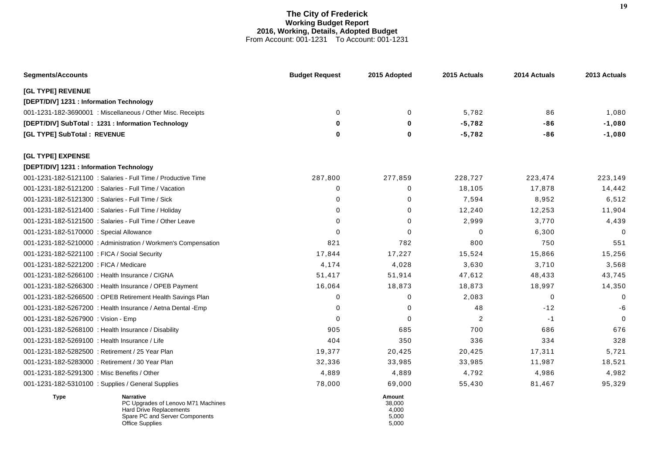#### **The City of Frederick Working Budget Report 2016, Working, Details, Adopted Budget** From Account: 001-1231 To Account: 001-1231

<span id="page-23-0"></span>

| <b>Segments/Accounts</b>                       |                                                                                                                                        | <b>Budget Request</b> | 2015 Adopted                                | 2015 Actuals   | 2014 Actuals | 2013 Actuals |
|------------------------------------------------|----------------------------------------------------------------------------------------------------------------------------------------|-----------------------|---------------------------------------------|----------------|--------------|--------------|
| [GL TYPE] REVENUE                              |                                                                                                                                        |                       |                                             |                |              |              |
| [DEPT/DIV] 1231 : Information Technology       |                                                                                                                                        |                       |                                             |                |              |              |
|                                                | 001-1231-182-3690001 : Miscellaneous / Other Misc. Receipts                                                                            | 0                     | $\mathbf 0$                                 | 5,782          | 86           | 1,080        |
|                                                | [DEPT/DIV] SubTotal: 1231: Information Technology                                                                                      | 0                     | 0                                           | $-5,782$       | -86          | $-1,080$     |
| [GL TYPE] SubTotal: REVENUE                    |                                                                                                                                        | $\mathbf 0$           | $\mathbf 0$                                 | $-5,782$       | -86          | $-1,080$     |
| [GL TYPE] EXPENSE                              |                                                                                                                                        |                       |                                             |                |              |              |
| [DEPT/DIV] 1231 : Information Technology       |                                                                                                                                        |                       |                                             |                |              |              |
|                                                | 001-1231-182-5121100 : Salaries - Full Time / Productive Time                                                                          | 287,800               | 277,859                                     | 228,727        | 223,474      | 223,149      |
|                                                | 001-1231-182-5121200 : Salaries - Full Time / Vacation                                                                                 | 0                     | 0                                           | 18,105         | 17,878       | 14,442       |
|                                                | 001-1231-182-5121300 : Salaries - Full Time / Sick                                                                                     | $\Omega$              | $\Omega$                                    | 7,594          | 8,952        | 6,512        |
|                                                | 001-1231-182-5121400 : Salaries - Full Time / Holiday                                                                                  | 0                     | $\Omega$                                    | 12,240         | 12,253       | 11,904       |
|                                                | 001-1231-182-5121500 : Salaries - Full Time / Other Leave                                                                              | 0                     | 0                                           | 2,999          | 3,770        | 4,439        |
| 001-1231-182-5170000 : Special Allowance       |                                                                                                                                        | 0                     | $\Omega$                                    | 0              | 6,300        | $\Omega$     |
|                                                | 001-1231-182-5210000: Administration / Workmen's Compensation                                                                          | 821                   | 782                                         | 800            | 750          | 551          |
| 001-1231-182-5221100 : FICA / Social Security  |                                                                                                                                        | 17,844                | 17,227                                      | 15,524         | 15,866       | 15,256       |
| 001-1231-182-5221200 : FICA / Medicare         |                                                                                                                                        | 4,174                 | 4,028                                       | 3,630          | 3,710        | 3,568        |
|                                                | 001-1231-182-5266100 : Health Insurance / CIGNA                                                                                        | 51,417                | 51,914                                      | 47,612         | 48,433       | 43,745       |
|                                                | 001-1231-182-5266300 : Health Insurance / OPEB Payment                                                                                 | 16,064                | 18,873                                      | 18,873         | 18,997       | 14,350       |
|                                                | 001-1231-182-5266500 : OPEB Retirement Health Savings Plan                                                                             | 0                     | 0                                           | 2,083          | $\mathbf 0$  | 0            |
|                                                | 001-1231-182-5267200 : Health Insurance / Aetna Dental -Emp                                                                            | 0                     | $\Omega$                                    | 48             | $-12$        | -6           |
| 001-1231-182-5267900 : Vision - Emp            |                                                                                                                                        | $\Omega$              | $\Omega$                                    | $\overline{2}$ | -1           | $\Omega$     |
|                                                | 001-1231-182-5268100 : Health Insurance / Disability                                                                                   | 905                   | 685                                         | 700            | 686          | 676          |
| 001-1231-182-5269100 : Health Insurance / Life |                                                                                                                                        | 404                   | 350                                         | 336            | 334          | 328          |
|                                                | 001-1231-182-5282500 : Retirement / 25 Year Plan                                                                                       | 19,377                | 20,425                                      | 20,425         | 17,311       | 5,721        |
|                                                | 001-1231-182-5283000 : Retirement / 30 Year Plan                                                                                       | 32,336                | 33,985                                      | 33,985         | 11,987       | 18,521       |
| 001-1231-182-5291300 : Misc Benefits / Other   |                                                                                                                                        | 4,889                 | 4,889                                       | 4,792          | 4,986        | 4,982        |
|                                                | 001-1231-182-5310100 : Supplies / General Supplies                                                                                     | 78,000                | 69,000                                      | 55,430         | 81,467       | 95,329       |
| <b>Type</b>                                    | <b>Narrative</b><br>PC Upgrades of Lenovo M71 Machines<br>Hard Drive Replacements<br>Spare PC and Server Components<br>Office Supplies |                       | Amount<br>38,000<br>4,000<br>5,000<br>5,000 |                |              |              |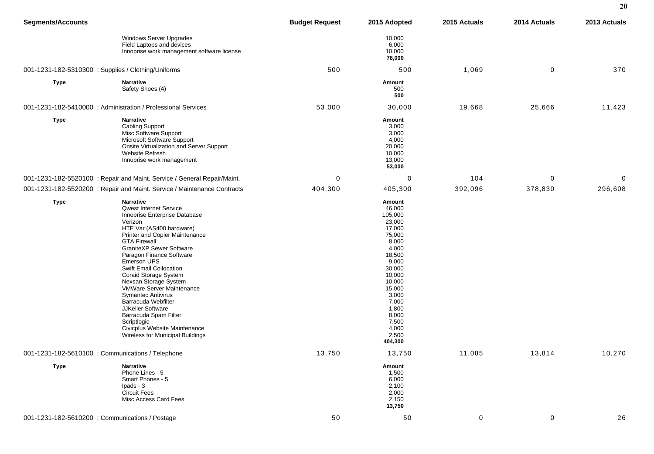| <b>Segments/Accounts</b> |                                                                                                                                                                                                                                                                                                                                                                                                                                                                                                                                                                                | <b>Budget Request</b> | 2015 Adopted                                                                                                                                                                                                     | 2015 Actuals | 2014 Actuals | 2013 Actuals |
|--------------------------|--------------------------------------------------------------------------------------------------------------------------------------------------------------------------------------------------------------------------------------------------------------------------------------------------------------------------------------------------------------------------------------------------------------------------------------------------------------------------------------------------------------------------------------------------------------------------------|-----------------------|------------------------------------------------------------------------------------------------------------------------------------------------------------------------------------------------------------------|--------------|--------------|--------------|
|                          | <b>Windows Server Upgrades</b><br>Field Laptops and devices<br>Innoprise work management software license                                                                                                                                                                                                                                                                                                                                                                                                                                                                      |                       | 10,000<br>6,000<br>10,000<br>78,000                                                                                                                                                                              |              |              |              |
|                          | 001-1231-182-5310300: Supplies / Clothing/Uniforms                                                                                                                                                                                                                                                                                                                                                                                                                                                                                                                             | 500                   | 500                                                                                                                                                                                                              | 1,069        | 0            | 370          |
| <b>Type</b>              | Narrative<br>Safety Shoes (4)                                                                                                                                                                                                                                                                                                                                                                                                                                                                                                                                                  |                       | Amount<br>500<br>500                                                                                                                                                                                             |              |              |              |
|                          | 001-1231-182-5410000: Administration / Professional Services                                                                                                                                                                                                                                                                                                                                                                                                                                                                                                                   | 53,000                | 30,000                                                                                                                                                                                                           | 19,668       | 25,666       | 11,423       |
| <b>Type</b>              | Narrative<br><b>Cabling Support</b><br>Misc Software Support<br>Microsoft Software Support<br>Onsite Virtualization and Server Support<br><b>Website Refresh</b><br>Innoprise work management                                                                                                                                                                                                                                                                                                                                                                                  |                       | Amount<br>3,000<br>3,000<br>4,000<br>20,000<br>10,000<br>13,000<br>53,000                                                                                                                                        |              |              |              |
|                          | 001-1231-182-5520100 : Repair and Maint. Service / General Repair/Maint.                                                                                                                                                                                                                                                                                                                                                                                                                                                                                                       | 0                     | 0                                                                                                                                                                                                                | 104          | 0            | 0            |
|                          | 001-1231-182-5520200: Repair and Maint. Service / Maintenance Contracts                                                                                                                                                                                                                                                                                                                                                                                                                                                                                                        | 404,300               | 405,300                                                                                                                                                                                                          | 392,096      | 378,830      | 296,608      |
| <b>Type</b>              | <b>Narrative</b><br><b>Qwest Internet Service</b><br>Innoprise Enterprise Database<br>Verizon<br>HTE Var (AS400 hardware)<br>Printer and Copier Maintenance<br><b>GTA Firewall</b><br><b>GraniteXP Sewer Software</b><br>Paragon Finance Software<br><b>Emerson UPS</b><br>Swift Email Collocation<br>Coraid Storage System<br>Nexsan Storage System<br>VMWare Server Maintenance<br><b>Symantec Antivirus</b><br>Barracuda Webfilter<br><b>JJKeller Software</b><br>Barracuda Spam Filter<br>Scriptlogic<br>Civicplus Website Maintenance<br>Wireless for Municipal Buildings |                       | Amount<br>46,000<br>105,000<br>23,000<br>17,000<br>75,000<br>8,000<br>4,000<br>18,500<br>9,000<br>30,000<br>10,000<br>10,000<br>15,000<br>3,000<br>7,000<br>1,800<br>8,000<br>7,500<br>4,000<br>2,500<br>404,300 |              |              |              |
|                          | 001-1231-182-5610100 : Communications / Telephone                                                                                                                                                                                                                                                                                                                                                                                                                                                                                                                              | 13,750                | 13,750                                                                                                                                                                                                           | 11,085       | 13,814       | 10,270       |
| <b>Type</b>              | <b>Narrative</b><br>Phone Lines - 5<br>Smart Phones - 5<br>Ipads - $3$<br><b>Circuit Fees</b><br>Misc Access Card Fees                                                                                                                                                                                                                                                                                                                                                                                                                                                         |                       | Amount<br>1,500<br>6,000<br>2,100<br>2,000<br>2,150<br>13,750                                                                                                                                                    |              |              |              |
|                          | 001-1231-182-5610200 : Communications / Postage                                                                                                                                                                                                                                                                                                                                                                                                                                                                                                                                | 50                    | 50                                                                                                                                                                                                               | $\mathbf 0$  | $\mathbf 0$  | 26           |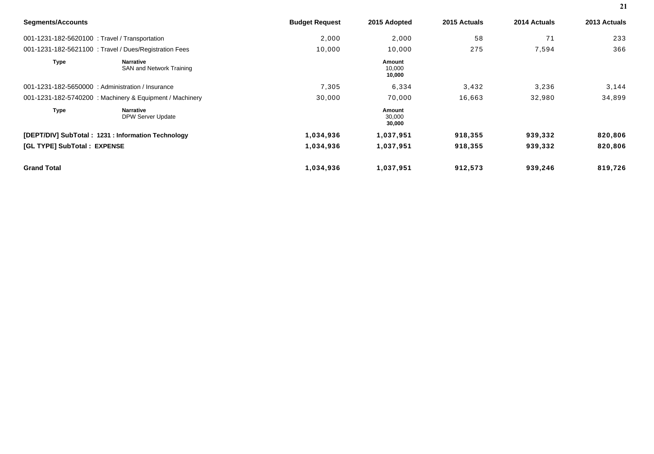| <b>Segments/Accounts</b>                       |                                                          | <b>Budget Request</b> | 2015 Adopted               | 2015 Actuals | 2014 Actuals | 2013 Actuals |
|------------------------------------------------|----------------------------------------------------------|-----------------------|----------------------------|--------------|--------------|--------------|
| 001-1231-182-5620100 : Travel / Transportation |                                                          | 2,000                 | 2,000                      | 58           | 71           | 233          |
|                                                | 001-1231-182-5621100 : Travel / Dues/Registration Fees   | 10,000                | 10,000                     | 275          | 7,594        | 366          |
| <b>Type</b>                                    | <b>Narrative</b><br>SAN and Network Training             |                       | Amount<br>10,000<br>10,000 |              |              |              |
|                                                | 001-1231-182-5650000 : Administration / Insurance        | 7,305                 | 6,334                      | 3,432        | 3,236        | 3,144        |
|                                                | 001-1231-182-5740200 : Machinery & Equipment / Machinery | 30,000                | 70,000                     | 16,663       | 32,980       | 34,899       |
| <b>Type</b>                                    | <b>Narrative</b><br><b>DPW Server Update</b>             |                       | Amount<br>30,000<br>30,000 |              |              |              |
|                                                | [DEPT/DIV] SubTotal: 1231: Information Technology        | 1,034,936             | 1,037,951                  | 918,355      | 939,332      | 820,806      |
| [GL TYPE] SubTotal: EXPENSE                    |                                                          | 1,034,936             | 1,037,951                  | 918,355      | 939,332      | 820,806      |
| <b>Grand Total</b>                             |                                                          | 1,034,936             | 1,037,951                  | 912,573      | 939,246      | 819,726      |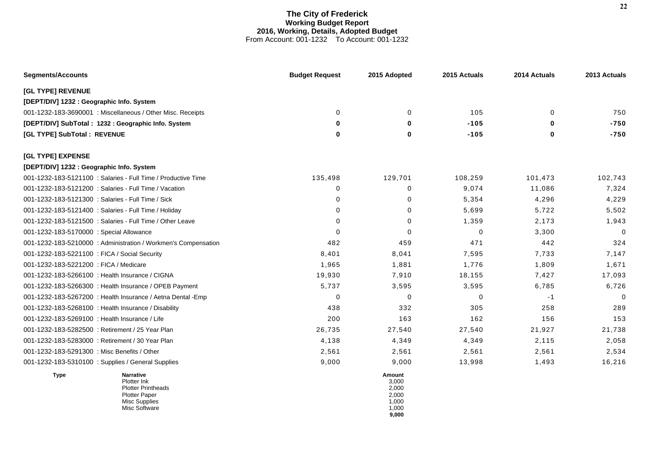#### **The City of Frederick Working Budget Report 2016, Working, Details, Adopted Budget** From Account: 001-1232 To Account: 001-1232

<span id="page-26-0"></span>

| <b>Segments/Accounts</b>                                                                                                              | <b>Budget Request</b> | 2015 Adopted                                                 | 2015 Actuals | 2014 Actuals | 2013 Actuals |
|---------------------------------------------------------------------------------------------------------------------------------------|-----------------------|--------------------------------------------------------------|--------------|--------------|--------------|
| [GL TYPE] REVENUE                                                                                                                     |                       |                                                              |              |              |              |
| [DEPT/DIV] 1232 : Geographic Info. System                                                                                             |                       |                                                              |              |              |              |
| 001-1232-183-3690001 : Miscellaneous / Other Misc. Receipts                                                                           | 0                     | $\Omega$                                                     | 105          | 0            | 750          |
| [DEPT/DIV] SubTotal: 1232 : Geographic Info. System                                                                                   | $\bf{0}$              | $\bf{0}$                                                     | $-105$       | $\mathbf{0}$ | $-750$       |
| [GL TYPE] SubTotal: REVENUE                                                                                                           | $\bf{0}$              | $\bf{0}$                                                     | $-105$       | 0            | $-750$       |
| [GL TYPE] EXPENSE                                                                                                                     |                       |                                                              |              |              |              |
| [DEPT/DIV] 1232 : Geographic Info. System                                                                                             |                       |                                                              |              |              |              |
| 001-1232-183-5121100 : Salaries - Full Time / Productive Time                                                                         | 135,498               | 129,701                                                      | 108,259      | 101,473      | 102,743      |
| 001-1232-183-5121200 : Salaries - Full Time / Vacation                                                                                | 0                     | 0                                                            | 9,074        | 11,086       | 7,324        |
| 001-1232-183-5121300 : Salaries - Full Time / Sick                                                                                    | 0                     | $\Omega$                                                     | 5,354        | 4,296        | 4,229        |
| 001-1232-183-5121400 : Salaries - Full Time / Holiday                                                                                 | $\Omega$              | $\Omega$                                                     | 5,699        | 5,722        | 5,502        |
| 001-1232-183-5121500 : Salaries - Full Time / Other Leave                                                                             | 0                     | $\Omega$                                                     | 1,359        | 2,173        | 1,943        |
| 001-1232-183-5170000 : Special Allowance                                                                                              | 0                     | $\Omega$                                                     | $\mathbf 0$  | 3,300        | $\Omega$     |
| 001-1232-183-5210000: Administration / Workmen's Compensation                                                                         | 482                   | 459                                                          | 471          | 442          | 324          |
| 001-1232-183-5221100 : FICA / Social Security                                                                                         | 8,401                 | 8,041                                                        | 7,595        | 7,733        | 7,147        |
| 001-1232-183-5221200 : FICA / Medicare                                                                                                | 1,965                 | 1,881                                                        | 1,776        | 1,809        | 1,671        |
| 001-1232-183-5266100 : Health Insurance / CIGNA                                                                                       | 19,930                | 7,910                                                        | 18,155       | 7,427        | 17,093       |
| 001-1232-183-5266300 : Health Insurance / OPEB Payment                                                                                | 5,737                 | 3,595                                                        | 3,595        | 6,785        | 6,726        |
| 001-1232-183-5267200 : Health Insurance / Aetna Dental - Emp                                                                          | $\Omega$              | $\mathbf{0}$                                                 | 0            | $-1$         | $\Omega$     |
| 001-1232-183-5268100 : Health Insurance / Disability                                                                                  | 438                   | 332                                                          | 305          | 258          | 289          |
| 001-1232-183-5269100 : Health Insurance / Life                                                                                        | 200                   | 163                                                          | 162          | 156          | 153          |
| 001-1232-183-5282500 : Retirement / 25 Year Plan                                                                                      | 26,735                | 27,540                                                       | 27,540       | 21,927       | 21,738       |
| 001-1232-183-5283000 : Retirement / 30 Year Plan                                                                                      | 4,138                 | 4,349                                                        | 4,349        | 2,115        | 2,058        |
| 001-1232-183-5291300 : Misc Benefits / Other                                                                                          | 2,561                 | 2,561                                                        | 2,561        | 2,561        | 2,534        |
| 001-1232-183-5310100 : Supplies / General Supplies                                                                                    | 9,000                 | 9,000                                                        | 13,998       | 1,493        | 16,216       |
| Narrative<br><b>Type</b><br>Plotter Ink<br><b>Plotter Printheads</b><br><b>Plotter Paper</b><br><b>Misc Supplies</b><br>Misc Software |                       | Amount<br>3,000<br>2,000<br>2,000<br>1,000<br>1,000<br>9,000 |              |              |              |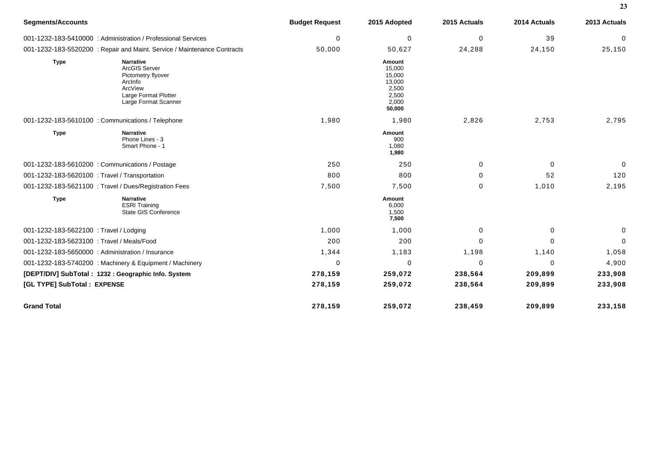| <b>Segments/Accounts</b>                       |                                                                                                                                      | <b>Budget Request</b> | 2015 Adopted                                                              | 2015 Actuals | 2014 Actuals | 2013 Actuals |
|------------------------------------------------|--------------------------------------------------------------------------------------------------------------------------------------|-----------------------|---------------------------------------------------------------------------|--------------|--------------|--------------|
|                                                | 001-1232-183-5410000 : Administration / Professional Services                                                                        | 0                     | $\mathbf 0$                                                               | 0            | 39           | 0            |
|                                                | 001-1232-183-5520200 : Repair and Maint. Service / Maintenance Contracts                                                             | 50,000                | 50,627                                                                    | 24,288       | 24,150       | 25,150       |
| <b>Type</b>                                    | <b>Narrative</b><br><b>ArcGIS Server</b><br>Pictometry flyover<br>ArcInfo<br>ArcView<br>Large Format Plotter<br>Large Format Scanner |                       | Amount<br>15,000<br>15,000<br>13,000<br>2,500<br>2,500<br>2,000<br>50,000 |              |              |              |
|                                                | 001-1232-183-5610100 : Communications / Telephone                                                                                    | 1,980                 | 1,980                                                                     | 2,826        | 2,753        | 2,795        |
| <b>Type</b>                                    | <b>Narrative</b><br>Phone Lines - 3<br>Smart Phone - 1                                                                               |                       | Amount<br>900<br>1,080<br>1,980                                           |              |              |              |
|                                                | 001-1232-183-5610200 : Communications / Postage                                                                                      | 250                   | 250                                                                       | 0            | 0            | 0            |
| 001-1232-183-5620100 : Travel / Transportation |                                                                                                                                      | 800                   | 800                                                                       | 0            | 52           | 120          |
|                                                | 001-1232-183-5621100 : Travel / Dues/Registration Fees                                                                               | 7,500                 | 7,500                                                                     | 0            | 1,010        | 2,195        |
| <b>Type</b>                                    | <b>Narrative</b><br><b>ESRI Training</b><br>State GIS Conference                                                                     |                       | Amount<br>6,000<br>1,500<br>7,500                                         |              |              |              |
| 001-1232-183-5622100 : Travel / Lodging        |                                                                                                                                      | 1,000                 | 1,000                                                                     | 0            | 0            | 0            |
| 001-1232-183-5623100 : Travel / Meals/Food     |                                                                                                                                      | 200                   | 200                                                                       | $\Omega$     | $\Omega$     | 0            |
|                                                | 001-1232-183-5650000 : Administration / Insurance                                                                                    | 1,344                 | 1,183                                                                     | 1,198        | 1,140        | 1,058        |
|                                                | 001-1232-183-5740200 : Machinery & Equipment / Machinery                                                                             | $\Omega$              | $\Omega$                                                                  | $\Omega$     | $\Omega$     | 4,900        |
|                                                | [DEPT/DIV] SubTotal: 1232 : Geographic Info. System                                                                                  | 278,159               | 259,072                                                                   | 238,564      | 209,899      | 233,908      |
| [GL TYPE] SubTotal: EXPENSE                    |                                                                                                                                      | 278,159               | 259,072                                                                   | 238,564      | 209,899      | 233,908      |
| <b>Grand Total</b>                             |                                                                                                                                      | 278,159               | 259,072                                                                   | 238,459      | 209,899      | 233,158      |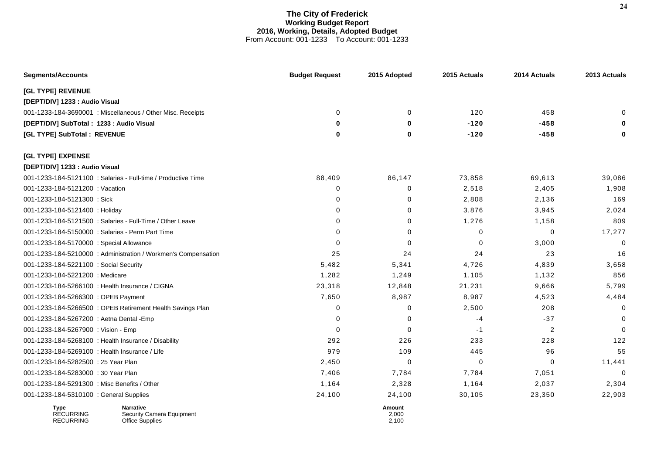#### **The City of Frederick Working Budget Report 2016, Working, Details, Adopted Budget** From Account: 001-1233 To Account: 001-1233

<span id="page-28-0"></span>

| <b>Segments/Accounts</b>                                                |                                                            | <b>Budget Request</b> | 2015 Adopted             | 2015 Actuals | 2014 Actuals | 2013 Actuals |
|-------------------------------------------------------------------------|------------------------------------------------------------|-----------------------|--------------------------|--------------|--------------|--------------|
| [GL TYPE] REVENUE                                                       |                                                            |                       |                          |              |              |              |
| [DEPT/DIV] 1233 : Audio Visual                                          |                                                            |                       |                          |              |              |              |
| 001-1233-184-3690001 : Miscellaneous / Other Misc. Receipts             |                                                            | 0                     | $\Omega$                 | 120          | 458          | $\mathbf{0}$ |
| [DEPT/DIV] SubTotal: 1233 : Audio Visual                                |                                                            | 0                     | $\bf{0}$                 | $-120$       | $-458$       | 0            |
| [GL TYPE] SubTotal: REVENUE                                             |                                                            | $\mathbf 0$           | $\bf{0}$                 | $-120$       | $-458$       | 0            |
| [GL TYPE] EXPENSE                                                       |                                                            |                       |                          |              |              |              |
| [DEPT/DIV] 1233 : Audio Visual                                          |                                                            |                       |                          |              |              |              |
| 001-1233-184-5121100 : Salaries - Full-time / Productive Time           |                                                            | 88,409                | 86,147                   | 73,858       | 69,613       | 39,086       |
| 001-1233-184-5121200 : Vacation                                         |                                                            | 0                     | $\Omega$                 | 2,518        | 2,405        | 1,908        |
| 001-1233-184-5121300: Sick                                              |                                                            | 0                     | $\Omega$                 | 2,808        | 2,136        | 169          |
| 001-1233-184-5121400 : Holiday                                          |                                                            | 0                     | 0                        | 3,876        | 3,945        | 2,024        |
| 001-1233-184-5121500 : Salaries - Full-Time / Other Leave               |                                                            | 0                     | $\Omega$                 | 1,276        | 1,158        | 809          |
| 001-1233-184-5150000 : Salaries - Perm Part Time                        |                                                            | 0                     | $\Omega$                 | 0            | 0            | 17,277       |
| 001-1233-184-5170000 : Special Allowance                                |                                                            | 0                     | $\Omega$                 | 0            | 3,000        | $\mathbf 0$  |
| 001-1233-184-5210000 : Administration / Workmen's Compensation          |                                                            | 25                    | 24                       | 24           | 23           | 16           |
| 001-1233-184-5221100 : Social Security                                  |                                                            | 5,482                 | 5,341                    | 4,726        | 4,839        | 3,658        |
| 001-1233-184-5221200 : Medicare                                         |                                                            | 1,282                 | 1,249                    | 1,105        | 1,132        | 856          |
| 001-1233-184-5266100 : Health Insurance / CIGNA                         |                                                            | 23,318                | 12,848                   | 21,231       | 9,666        | 5,799        |
| 001-1233-184-5266300 : OPEB Payment                                     |                                                            | 7,650                 | 8,987                    | 8,987        | 4,523        | 4,484        |
| 001-1233-184-5266500 : OPEB Retirement Health Savings Plan              |                                                            | 0                     | 0                        | 2,500        | 208          | 0            |
| 001-1233-184-5267200 : Aetna Dental - Emp                               |                                                            | 0                     | $\Omega$                 | $-4$         | $-37$        | $\Omega$     |
| 001-1233-184-5267900 : Vision - Emp                                     |                                                            | $\Omega$              | $\Omega$                 | $-1$         | 2            | $\Omega$     |
| 001-1233-184-5268100 : Health Insurance / Disability                    |                                                            | 292                   | 226                      | 233          | 228          | 122          |
| 001-1233-184-5269100 : Health Insurance / Life                          |                                                            | 979                   | 109                      | 445          | 96           | 55           |
| 001-1233-184-5282500 : 25 Year Plan                                     |                                                            | 2.450                 | $\Omega$                 | 0            | $\Omega$     | 11,441       |
| 001-1233-184-5283000 : 30 Year Plan                                     |                                                            | 7,406                 | 7,784                    | 7,784        | 7,051        | 0            |
| 001-1233-184-5291300 : Misc Benefits / Other                            |                                                            | 1,164                 | 2,328                    | 1,164        | 2,037        | 2,304        |
| 001-1233-184-5310100 : General Supplies                                 |                                                            | 24,100                | 24,100                   | 30,105       | 23,350       | 22,903       |
| <b>Narrative</b><br><b>Type</b><br><b>RECURRING</b><br><b>RECURRING</b> | <b>Security Camera Equipment</b><br><b>Office Supplies</b> |                       | Amount<br>2,000<br>2,100 |              |              |              |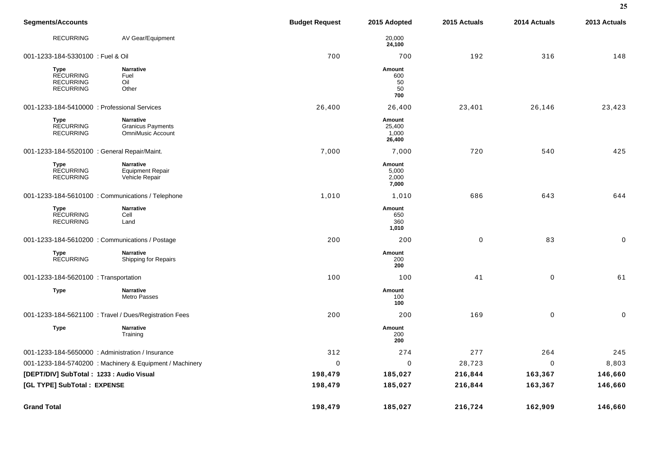| <b>Segments/Accounts</b>                                         |                                                            | <b>Budget Request</b> | 2015 Adopted                        | 2015 Actuals | 2014 Actuals | 2013 Actuals |
|------------------------------------------------------------------|------------------------------------------------------------|-----------------------|-------------------------------------|--------------|--------------|--------------|
| <b>RECURRING</b>                                                 | AV Gear/Equipment                                          |                       | 20,000<br>24,100                    |              |              |              |
| 001-1233-184-5330100 : Fuel & Oil                                |                                                            | 700                   | 700                                 | 192          | 316          | 148          |
| Type<br><b>RECURRING</b><br><b>RECURRING</b><br><b>RECURRING</b> | Narrative<br>Fuel<br>Oil<br>Other                          |                       | Amount<br>600<br>50<br>50<br>700    |              |              |              |
| 001-1233-184-5410000 : Professional Services                     |                                                            | 26,400                | 26,400                              | 23,401       | 26,146       | 23,423       |
| Type<br><b>RECURRING</b><br><b>RECURRING</b>                     | Narrative<br><b>Granicus Payments</b><br>OmniMusic Account |                       | Amount<br>25,400<br>1,000<br>26,400 |              |              |              |
| 001-1233-184-5520100 : General Repair/Maint.                     |                                                            | 7,000                 | 7,000                               | 720          | 540          | 425          |
| Type<br><b>RECURRING</b><br><b>RECURRING</b>                     | Narrative<br><b>Equipment Repair</b><br>Vehicle Repair     |                       | Amount<br>5,000<br>2,000<br>7,000   |              |              |              |
| 001-1233-184-5610100 : Communications / Telephone                |                                                            | 1,010                 | 1,010                               | 686          | 643          | 644          |
| Type<br><b>RECURRING</b><br><b>RECURRING</b>                     | Narrative<br>Cell<br>Land                                  |                       | Amount<br>650<br>360<br>1,010       |              |              |              |
| 001-1233-184-5610200 : Communications / Postage                  |                                                            | 200                   | 200                                 | $\pmb{0}$    | 83           | $\mathbf 0$  |
| Type<br><b>RECURRING</b>                                         | Narrative<br>Shipping for Repairs                          |                       | Amount<br>200<br>200                |              |              |              |
| 001-1233-184-5620100 : Transportation                            |                                                            | 100                   | 100                                 | 41           | $\pmb{0}$    | 61           |
| <b>Type</b>                                                      | <b>Narrative</b><br>Metro Passes                           |                       | <b>Amount</b><br>100<br>100         |              |              |              |
|                                                                  | 001-1233-184-5621100 : Travel / Dues/Registration Fees     | 200                   | 200                                 | 169          | $\pmb{0}$    | 0            |
| <b>Type</b>                                                      | Narrative<br>Training                                      |                       | Amount<br>200<br>200                |              |              |              |
| 001-1233-184-5650000 : Administration / Insurance                |                                                            | 312                   | 274                                 | 277          | 264          | 245          |
|                                                                  | 001-1233-184-5740200 : Machinery & Equipment / Machinery   | 0                     | 0                                   | 28,723       | 0            | 8,803        |
| [DEPT/DIV] SubTotal: 1233 : Audio Visual                         |                                                            | 198,479               | 185,027                             | 216,844      | 163,367      | 146,660      |
| [GL TYPE] SubTotal: EXPENSE                                      |                                                            | 198,479               | 185,027                             | 216,844      | 163,367      | 146,660      |
| <b>Grand Total</b>                                               |                                                            | 198,479               | 185,027                             | 216,724      | 162,909      | 146,660      |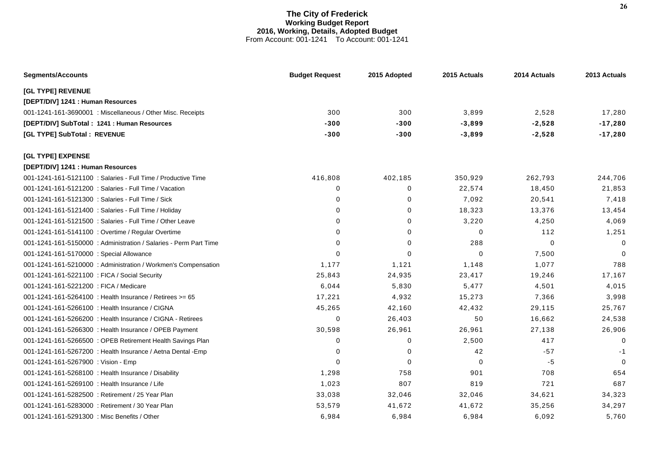#### **The City of Frederick Working Budget Report 2016, Working, Details, Adopted Budget** From Account: 001-1241 To Account: 001-1241

<span id="page-30-0"></span>

| <b>Segments/Accounts</b>                                         | <b>Budget Request</b> | 2015 Adopted | 2015 Actuals | 2014 Actuals | 2013 Actuals |
|------------------------------------------------------------------|-----------------------|--------------|--------------|--------------|--------------|
| [GL TYPE] REVENUE                                                |                       |              |              |              |              |
| [DEPT/DIV] 1241 : Human Resources                                |                       |              |              |              |              |
| 001-1241-161-3690001 : Miscellaneous / Other Misc. Receipts      | 300                   | 300          | 3,899        | 2,528        | 17,280       |
| [DEPT/DIV] SubTotal: 1241: Human Resources                       | $-300$                | $-300$       | $-3,899$     | $-2,528$     | $-17,280$    |
| [GL TYPE] SubTotal: REVENUE                                      | $-300$                | $-300$       | $-3,899$     | $-2,528$     | $-17,280$    |
| [GL TYPE] EXPENSE                                                |                       |              |              |              |              |
| [DEPT/DIV] 1241 : Human Resources                                |                       |              |              |              |              |
| 001-1241-161-5121100 : Salaries - Full Time / Productive Time    | 416,808               | 402,185      | 350,929      | 262,793      | 244,706      |
| 001-1241-161-5121200 : Salaries - Full Time / Vacation           | 0                     | $\Omega$     | 22,574       | 18,450       | 21,853       |
| 001-1241-161-5121300 : Salaries - Full Time / Sick               | 0                     | 0            | 7,092        | 20,541       | 7,418        |
| 001-1241-161-5121400 : Salaries - Full Time / Holiday            | 0                     | 0            | 18,323       | 13,376       | 13,454       |
| 001-1241-161-5121500 : Salaries - Full Time / Other Leave        | $\Omega$              | $\Omega$     | 3,220        | 4,250        | 4,069        |
| 001-1241-161-5141100 : Overtime / Regular Overtime               | 0                     | 0            | $\Omega$     | 112          | 1,251        |
| 001-1241-161-5150000: Administration / Salaries - Perm Part Time | $\Omega$              | $\Omega$     | 288          | $\Omega$     | $\Omega$     |
| 001-1241-161-5170000 : Special Allowance                         | $\Omega$              | $\Omega$     | $\mathbf 0$  | 7,500        | $\Omega$     |
| 001-1241-161-5210000: Administration / Workmen's Compensation    | 1,177                 | 1,121        | 1,148        | 1,077        | 788          |
| 001-1241-161-5221100 : FICA / Social Security                    | 25,843                | 24,935       | 23,417       | 19,246       | 17,167       |
| 001-1241-161-5221200 : FICA / Medicare                           | 6,044                 | 5,830        | 5,477        | 4,501        | 4,015        |
| 001-1241-161-5264100 : Health Insurance / Retirees $>= 65$       | 17,221                | 4,932        | 15,273       | 7,366        | 3,998        |
| 001-1241-161-5266100 : Health Insurance / CIGNA                  | 45,265                | 42,160       | 42,432       | 29,115       | 25,767       |
| 001-1241-161-5266200 : Health Insurance / CIGNA - Retirees       | 0                     | 26,403       | 50           | 16,662       | 24,538       |
| 001-1241-161-5266300 : Health Insurance / OPEB Payment           | 30,598                | 26,961       | 26,961       | 27,138       | 26,906       |
| 001-1241-161-5266500 : OPEB Retirement Health Savings Plan       | 0                     | $\Omega$     | 2,500        | 417          | $\mathbf 0$  |
| 001-1241-161-5267200 : Health Insurance / Aetna Dental - Emp     | 0                     | 0            | 42           | $-57$        | -1           |
| 001-1241-161-5267900 : Vision - Emp                              | 0                     | $\Omega$     | $\mathbf 0$  | $-5$         | $\Omega$     |
| 001-1241-161-5268100 : Health Insurance / Disability             | 1,298                 | 758          | 901          | 708          | 654          |
| 001-1241-161-5269100 : Health Insurance / Life                   | 1,023                 | 807          | 819          | 721          | 687          |
| 001-1241-161-5282500 : Retirement / 25 Year Plan                 | 33,038                | 32,046       | 32,046       | 34,621       | 34,323       |
| 001-1241-161-5283000 : Retirement / 30 Year Plan                 | 53,579                | 41,672       | 41,672       | 35,256       | 34,297       |
| 001-1241-161-5291300 : Misc Benefits / Other                     | 6,984                 | 6,984        | 6,984        | 6,092        | 5,760        |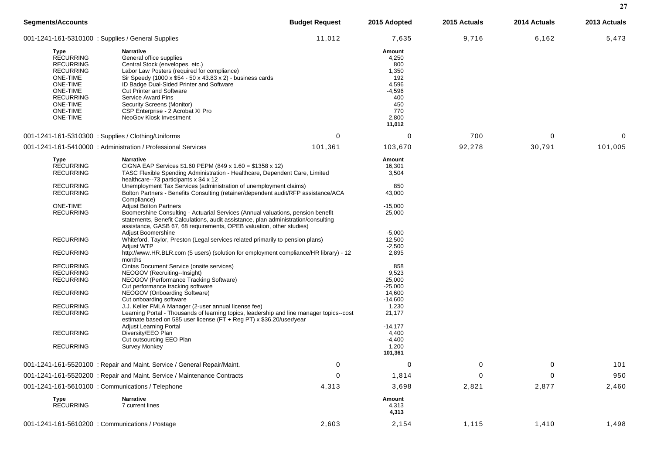| <b>Segments/Accounts</b>                                                                                                                                                                                                 |                                                                                                                                                                                                                                                                                                                                                                                                                                                                                                                                                                                                                                                                                                                                                                                                                                                                                                                                                                                                                   | <b>Budget Request</b> | 2015 Adopted                                                                                                                           | 2015 Actuals | 2014 Actuals | 2013 Actuals |
|--------------------------------------------------------------------------------------------------------------------------------------------------------------------------------------------------------------------------|-------------------------------------------------------------------------------------------------------------------------------------------------------------------------------------------------------------------------------------------------------------------------------------------------------------------------------------------------------------------------------------------------------------------------------------------------------------------------------------------------------------------------------------------------------------------------------------------------------------------------------------------------------------------------------------------------------------------------------------------------------------------------------------------------------------------------------------------------------------------------------------------------------------------------------------------------------------------------------------------------------------------|-----------------------|----------------------------------------------------------------------------------------------------------------------------------------|--------------|--------------|--------------|
| 001-1241-161-5310100 : Supplies / General Supplies                                                                                                                                                                       |                                                                                                                                                                                                                                                                                                                                                                                                                                                                                                                                                                                                                                                                                                                                                                                                                                                                                                                                                                                                                   | 11,012                | 7,635                                                                                                                                  | 9,716        | 6,162        | 5,473        |
| Type<br><b>RECURRING</b><br><b>RECURRING</b><br><b>RECURRING</b><br>ONE-TIME<br>ONE-TIME<br>ONE-TIME<br><b>RECURRING</b><br>ONE-TIME<br>ONE-TIME<br>ONE-TIME                                                             | <b>Narrative</b><br>General office supplies<br>Central Stock (envelopes, etc.)<br>Labor Law Posters (required for compliance)<br>Sir Speedy (1000 x \$54 - 50 x 43.83 x 2) - business cards<br>ID Badge Dual-Sided Printer and Software<br><b>Cut Printer and Software</b><br><b>Service Award Pins</b><br>Security Screens (Monitor)<br>CSP Enterprise - 2 Acrobat XI Pro<br>NeoGov Kiosk Investment                                                                                                                                                                                                                                                                                                                                                                                                                                                                                                                                                                                                             |                       | Amount<br>4,250<br>800<br>1,350<br>192<br>4,596<br>$-4,596$<br>400<br>450<br>770<br>2,800<br>11,012                                    |              |              |              |
| 001-1241-161-5310300: Supplies / Clothing/Uniforms                                                                                                                                                                       |                                                                                                                                                                                                                                                                                                                                                                                                                                                                                                                                                                                                                                                                                                                                                                                                                                                                                                                                                                                                                   | 0                     | 0                                                                                                                                      | 700          | $\mathbf 0$  | 0            |
|                                                                                                                                                                                                                          | 001-1241-161-5410000: Administration / Professional Services                                                                                                                                                                                                                                                                                                                                                                                                                                                                                                                                                                                                                                                                                                                                                                                                                                                                                                                                                      | 101,361               | 103,670                                                                                                                                | 92,278       | 30,791       | 101,005      |
| Type<br><b>RECURRING</b><br><b>RECURRING</b><br><b>RECURRING</b><br><b>RECURRING</b><br>ONE-TIME<br><b>RECURRING</b><br><b>RECURRING</b><br><b>RECURRING</b><br><b>RECURRING</b><br><b>RECURRING</b><br><b>RECURRING</b> | <b>Narrative</b><br>CIGNA EAP Services \$1.60 PEPM (849 x 1.60 = \$1358 x 12)<br>TASC Flexible Spending Administration - Healthcare, Dependent Care, Limited<br>healthcare--73 participants x \$4 x 12<br>Unemployment Tax Services (administration of unemployment claims)<br>Bolton Partners - Benefits Consulting (retainer/dependent audit/RFP assistance/ACA<br>Compliance)<br><b>Adjust Bolton Partners</b><br>Boomershine Consulting - Actuarial Services (Annual valuations, pension benefit<br>statements, Benefit Calculations, audit assistance, plan administration/consulting<br>assistance, GASB 67, 68 requirements, OPEB valuation, other studies)<br>Adjust Boomershine<br>Whiteford, Taylor, Preston (Legal services related primarily to pension plans)<br>Adjust WTP<br>http://www.HR.BLR.com (5 users) (solution for employment compliance/HR library) - 12<br>months<br>Cintas Document Service (onsite services)<br>NEOGOV (Recruiting--Insight)<br>NEOGOV (Performance Tracking Software) |                       | Amount<br>16,301<br>3,504<br>850<br>43,000<br>$-15,000$<br>25,000<br>$-5,000$<br>12,500<br>$-2,500$<br>2,895<br>858<br>9,523<br>25,000 |              |              |              |
| <b>RECURRING</b><br><b>RECURRING</b><br><b>RECURRING</b>                                                                                                                                                                 | Cut performance tracking software<br>NEOGOV (Onboarding Software)<br>Cut onboarding software<br>J.J. Keller FMLA Manager (2-user annual license fee)<br>Learning Portal - Thousands of learning topics, leadership and line manager topics--cost                                                                                                                                                                                                                                                                                                                                                                                                                                                                                                                                                                                                                                                                                                                                                                  |                       | $-25,000$<br>14,600<br>$-14,600$<br>1,230<br>21,177                                                                                    |              |              |              |
| <b>RECURRING</b><br><b>RECURRING</b>                                                                                                                                                                                     | estimate based on 585 user license (FT + Reg PT) x \$36.20/user/year<br>Adjust Learning Portal<br>Diversity/EEO Plan<br>Cut outsourcing EEO Plan<br>Survey Monkey                                                                                                                                                                                                                                                                                                                                                                                                                                                                                                                                                                                                                                                                                                                                                                                                                                                 |                       | $-14,177$<br>4,400<br>$-4,400$<br>1,200<br>101,361                                                                                     |              |              |              |
|                                                                                                                                                                                                                          | 001-1241-161-5520100 : Repair and Maint. Service / General Repair/Maint.                                                                                                                                                                                                                                                                                                                                                                                                                                                                                                                                                                                                                                                                                                                                                                                                                                                                                                                                          | 0                     | 0                                                                                                                                      | 0            | 0            | 101          |
|                                                                                                                                                                                                                          | 001-1241-161-5520200: Repair and Maint. Service / Maintenance Contracts                                                                                                                                                                                                                                                                                                                                                                                                                                                                                                                                                                                                                                                                                                                                                                                                                                                                                                                                           | 0                     | 1,814                                                                                                                                  | $\mathbf 0$  | $\mathbf 0$  | 950          |
| 001-1241-161-5610100 : Communications / Telephone                                                                                                                                                                        |                                                                                                                                                                                                                                                                                                                                                                                                                                                                                                                                                                                                                                                                                                                                                                                                                                                                                                                                                                                                                   | 4,313                 | 3,698                                                                                                                                  | 2,821        | 2,877        | 2,460        |
| Type<br><b>RECURRING</b>                                                                                                                                                                                                 | <b>Narrative</b><br>7 current lines                                                                                                                                                                                                                                                                                                                                                                                                                                                                                                                                                                                                                                                                                                                                                                                                                                                                                                                                                                               |                       | Amount<br>4,313<br>4,313                                                                                                               |              |              |              |
| 001-1241-161-5610200 : Communications / Postage                                                                                                                                                                          |                                                                                                                                                                                                                                                                                                                                                                                                                                                                                                                                                                                                                                                                                                                                                                                                                                                                                                                                                                                                                   | 2,603                 | 2,154                                                                                                                                  | 1,115        | 1,410        | 1,498        |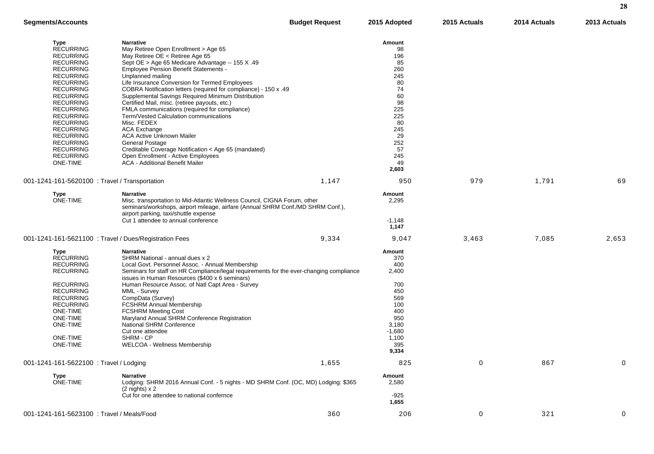| <b>Segments/Accounts</b>                       |                                                                                                                                           | <b>Budget Request</b> | 2015 Adopted      | 2015 Actuals | 2014 Actuals | 2013 Actuals |
|------------------------------------------------|-------------------------------------------------------------------------------------------------------------------------------------------|-----------------------|-------------------|--------------|--------------|--------------|
| Type                                           | <b>Narrative</b>                                                                                                                          |                       | Amount            |              |              |              |
| <b>RECURRING</b>                               | May Retiree Open Enrollment > Age 65                                                                                                      |                       | 98                |              |              |              |
| <b>RECURRING</b>                               | May Retiree OE < Retiree Age 65                                                                                                           |                       | 196               |              |              |              |
| <b>RECURRING</b>                               | Sept OE > Age 65 Medicare Advantage -- 155 X .49                                                                                          |                       | 85                |              |              |              |
| <b>RECURRING</b>                               | <b>Employee Pension Benefit Statements -</b>                                                                                              |                       | 260               |              |              |              |
| <b>RECURRING</b>                               | Unplanned mailing                                                                                                                         |                       | 245               |              |              |              |
| <b>RECURRING</b>                               | Life Insurance Conversion for Termed Employees                                                                                            |                       | 80                |              |              |              |
| <b>RECURRING</b><br><b>RECURRING</b>           | COBRA Notification letters (required for compliance) - 150 x .49<br>Supplemental Savings Required Minimum Distribution                    |                       | 74<br>60          |              |              |              |
| <b>RECURRING</b>                               | Certified Mail, misc. (retiree payouts, etc.)                                                                                             |                       | 98                |              |              |              |
| <b>RECURRING</b>                               | FMLA communications (required for compliance)                                                                                             |                       | 225               |              |              |              |
| <b>RECURRING</b>                               | Term/Vested Calculation communications                                                                                                    |                       | 225               |              |              |              |
| <b>RECURRING</b>                               | Misc. FEDEX                                                                                                                               |                       | 80                |              |              |              |
| <b>RECURRING</b>                               | <b>ACA Exchange</b>                                                                                                                       |                       | 245               |              |              |              |
| <b>RECURRING</b>                               | <b>ACA Active Unknown Mailer</b>                                                                                                          |                       | 29                |              |              |              |
| <b>RECURRING</b>                               | <b>General Postage</b>                                                                                                                    |                       | 252               |              |              |              |
| <b>RECURRING</b>                               | Creditable Coverage Notification < Age 65 (mandated)                                                                                      |                       | 57                |              |              |              |
| <b>RECURRING</b>                               | Open Enrollment - Active Employees                                                                                                        |                       | 245               |              |              |              |
| ONE-TIME                                       | <b>ACA - Additional Benefit Mailer</b>                                                                                                    |                       | 49                |              |              |              |
|                                                |                                                                                                                                           |                       | 2,603             |              |              |              |
| 001-1241-161-5620100 : Travel / Transportation |                                                                                                                                           | 1,147                 | 950               | 979          | 1,791        | 69           |
| Type<br><b>ONE-TIME</b>                        | <b>Narrative</b><br>Misc. transportation to Mid-Atlantic Wellness Council, CIGNA Forum, other                                             |                       | Amount<br>2,295   |              |              |              |
|                                                | seminars/workshops, airport mileage, airfare (Annual SHRM Conf./MD SHRM Conf.),<br>airport parking, taxi/shuttle expense                  |                       |                   |              |              |              |
|                                                | Cut 1 attendee to annual conference                                                                                                       |                       | $-1,148$<br>1,147 |              |              |              |
|                                                | 001-1241-161-5621100 : Travel / Dues/Registration Fees                                                                                    | 9,334                 | 9,047             | 3,463        | 7,085        | 2,653        |
| Type                                           | <b>Narrative</b>                                                                                                                          |                       | Amount            |              |              |              |
| <b>RECURRING</b>                               | SHRM National - annual dues x 2                                                                                                           |                       | 370               |              |              |              |
| <b>RECURRING</b>                               | Local Govt. Personnel Assoc. - Annual Membership                                                                                          |                       | 400               |              |              |              |
| <b>RECURRING</b>                               | Seminars for staff on HR Compliance/legal requirements for the ever-changing compliance<br>issues in Human Resources (\$400 x 6 seminars) |                       | 2,400             |              |              |              |
| <b>RECURRING</b>                               | Human Resource Assoc. of Natl Capt Area - Survey                                                                                          |                       | 700               |              |              |              |
| <b>RECURRING</b>                               | MML - Survey                                                                                                                              |                       | 450               |              |              |              |
| <b>RECURRING</b>                               | CompData (Survey)                                                                                                                         |                       | 569               |              |              |              |
| <b>RECURRING</b>                               | <b>FCSHRM Annual Membership</b>                                                                                                           |                       | 100               |              |              |              |
| <b>ONE-TIME</b>                                | <b>FCSHRM Meeting Cost</b>                                                                                                                |                       | 400               |              |              |              |
| <b>ONE-TIME</b>                                | Maryland Annual SHRM Conference Registration                                                                                              |                       | 950               |              |              |              |
| ONE-TIME                                       | National SHRM Conference<br>Cut one attendee                                                                                              |                       | 3,180<br>$-1,680$ |              |              |              |
| <b>ONE-TIME</b>                                | SHRM - CP                                                                                                                                 |                       | 1,100             |              |              |              |
| <b>ONE-TIME</b>                                | WELCOA - Wellness Membership                                                                                                              |                       | 395               |              |              |              |
|                                                |                                                                                                                                           |                       | 9,334             |              |              |              |
| 001-1241-161-5622100 : Travel / Lodging        |                                                                                                                                           | 1,655                 | 825               | 0            | 867          | 0            |
| Type                                           | <b>Narrative</b>                                                                                                                          |                       | Amount            |              |              |              |
| ONE-TIME                                       | Lodging: SHRM 2016 Annual Conf. - 5 nights - MD SHRM Conf. (OC, MD) Lodging: \$365                                                        |                       | 2,580             |              |              |              |
|                                                | $(2 \text{ nights}) \times 2$                                                                                                             |                       |                   |              |              |              |
|                                                | Cut for one attendee to national confernce                                                                                                |                       | -925<br>1,655     |              |              |              |
|                                                |                                                                                                                                           |                       |                   |              |              |              |
| 001-1241-161-5623100 : Travel / Meals/Food     |                                                                                                                                           | 360                   | 206               | $\mathbf 0$  | 321          | $\mathbf{0}$ |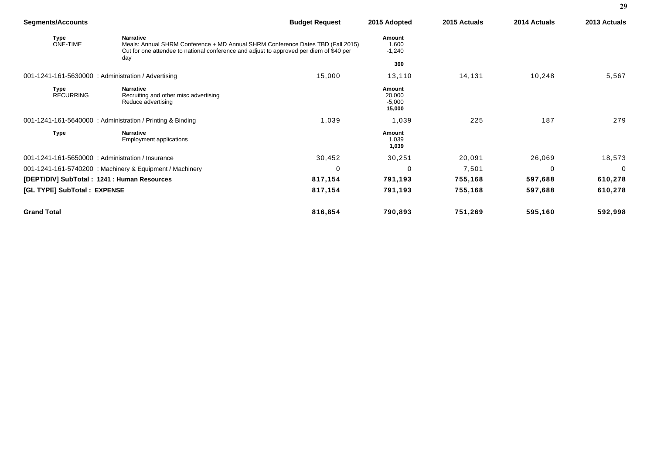| <b>Segments/Accounts</b>        |                                                                                                                                                                                                       | <b>Budget Request</b> | 2015 Adopted                           | 2015 Actuals | 2014 Actuals | 2013 Actuals |
|---------------------------------|-------------------------------------------------------------------------------------------------------------------------------------------------------------------------------------------------------|-----------------------|----------------------------------------|--------------|--------------|--------------|
| <b>Type</b><br><b>ONE-TIME</b>  | <b>Narrative</b><br>Meals: Annual SHRM Conference + MD Annual SHRM Conference Dates TBD (Fall 2015)<br>Cut for one attendee to national conference and adjust to approved per diem of \$40 per<br>day |                       | Amount<br>1,600<br>$-1,240$            |              |              |              |
|                                 |                                                                                                                                                                                                       |                       | 360                                    |              |              |              |
|                                 | 001-1241-161-5630000 : Administration / Advertising                                                                                                                                                   | 15,000                | 13,110                                 | 14,131       | 10,248       | 5,567        |
| <b>Type</b><br><b>RECURRING</b> | <b>Narrative</b><br>Recruiting and other misc advertising<br>Reduce advertising                                                                                                                       |                       | Amount<br>20,000<br>$-5,000$<br>15,000 |              |              |              |
|                                 | 001-1241-161-5640000: Administration / Printing & Binding                                                                                                                                             | 1,039                 | 1,039                                  | 225          | 187          | 279          |
| Type                            | <b>Narrative</b><br>Employment applications                                                                                                                                                           |                       | Amount<br>1,039<br>1,039               |              |              |              |
|                                 | 001-1241-161-5650000 : Administration / Insurance                                                                                                                                                     | 30,452                | 30,251                                 | 20,091       | 26,069       | 18,573       |
|                                 | 001-1241-161-5740200 : Machinery & Equipment / Machinery                                                                                                                                              | 0                     | $\Omega$                               | 7,501        | 0            | $\Omega$     |
|                                 | [DEPT/DIV] SubTotal: 1241: Human Resources                                                                                                                                                            | 817,154               | 791,193                                | 755,168      | 597,688      | 610,278      |
| [GL TYPE] SubTotal: EXPENSE     |                                                                                                                                                                                                       | 817,154               | 791,193                                | 755,168      | 597,688      | 610,278      |
| <b>Grand Total</b>              |                                                                                                                                                                                                       | 816,854               | 790,893                                | 751,269      | 595,160      | 592,998      |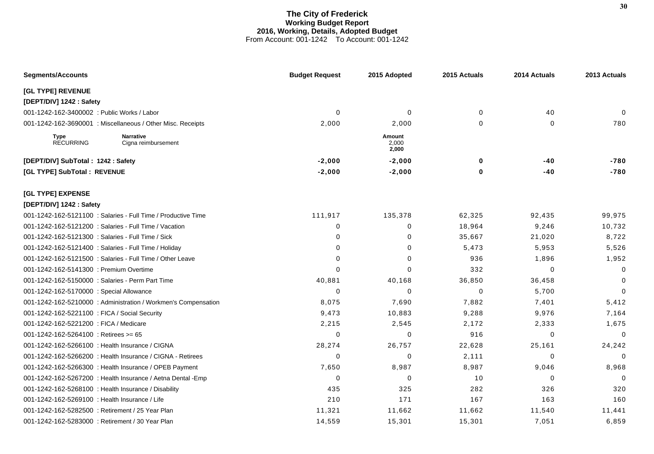#### **The City of Frederick Working Budget Report 2016, Working, Details, Adopted Budget** From Account: 001-1242 To Account: 001-1242

<span id="page-34-0"></span>

| <b>Segments/Accounts</b>                                      | <b>Budget Request</b> | 2015 Adopted             | 2015 Actuals | 2014 Actuals | 2013 Actuals |
|---------------------------------------------------------------|-----------------------|--------------------------|--------------|--------------|--------------|
| [GL TYPE] REVENUE                                             |                       |                          |              |              |              |
| [DEPT/DIV] 1242 : Safety                                      |                       |                          |              |              |              |
| 001-1242-162-3400002 : Public Works / Labor                   | 0                     | $\mathbf{0}$             | 0            | 40           | 0            |
| 001-1242-162-3690001 : Miscellaneous / Other Misc. Receipts   | 2,000                 | 2,000                    | 0            | $\mathbf 0$  | 780          |
| Narrative<br>Type<br><b>RECURRING</b><br>Cigna reimbursement  |                       | Amount<br>2,000<br>2,000 |              |              |              |
| [DEPT/DIV] SubTotal: 1242: Safety                             | $-2,000$              | $-2,000$                 | 0            | -40          | $-780$       |
| [GL TYPE] SubTotal: REVENUE                                   | $-2,000$              | $-2,000$                 | $\bf{0}$     | -40          | $-780$       |
| [GL TYPE] EXPENSE                                             |                       |                          |              |              |              |
| [DEPT/DIV] 1242 : Safety                                      |                       |                          |              |              |              |
| 001-1242-162-5121100 : Salaries - Full Time / Productive Time | 111,917               | 135,378                  | 62,325       | 92,435       | 99,975       |
| 001-1242-162-5121200 : Salaries - Full Time / Vacation        | 0                     | 0                        | 18,964       | 9,246        | 10,732       |
| 001-1242-162-5121300 : Salaries - Full Time / Sick            | 0                     | $\Omega$                 | 35,667       | 21,020       | 8,722        |
| 001-1242-162-5121400 : Salaries - Full Time / Holiday         | $\Omega$              | $\Omega$                 | 5,473        | 5,953        | 5,526        |
| 001-1242-162-5121500 : Salaries - Full Time / Other Leave     | 0                     | 0                        | 936          | 1,896        | 1,952        |
| 001-1242-162-5141300 : Premium Overtime                       | 0                     | 0                        | 332          | 0            | 0            |
| 001-1242-162-5150000 : Salaries - Perm Part Time              | 40,881                | 40,168                   | 36,850       | 36,458       | 0            |
| 001-1242-162-5170000 : Special Allowance                      | 0                     | 0                        | 0            | 5,700        | 0            |
| 001-1242-162-5210000: Administration / Workmen's Compensation | 8,075                 | 7,690                    | 7,882        | 7,401        | 5,412        |
| 001-1242-162-5221100 : FICA / Social Security                 | 9,473                 | 10,883                   | 9,288        | 9,976        | 7,164        |
| 001-1242-162-5221200 : FICA / Medicare                        | 2,215                 | 2,545                    | 2,172        | 2,333        | 1,675        |
| 001-1242-162-5264100 : Retirees >= 65                         | 0                     | $\Omega$                 | 916          | 0            | 0            |
| 001-1242-162-5266100 : Health Insurance / CIGNA               | 28,274                | 26,757                   | 22,628       | 25,161       | 24,242       |
| 001-1242-162-5266200 : Health Insurance / CIGNA - Retirees    | 0                     | $\mathbf 0$              | 2,111        | 0            | 0            |
| 001-1242-162-5266300 : Health Insurance / OPEB Payment        | 7,650                 | 8,987                    | 8,987        | 9,046        | 8,968        |
| 001-1242-162-5267200 : Health Insurance / Aetna Dental -Emp   | 0                     | $\mathbf{0}$             | 10           | 0            | $\Omega$     |
| 001-1242-162-5268100 : Health Insurance / Disability          | 435                   | 325                      | 282          | 326          | 320          |
| 001-1242-162-5269100 : Health Insurance / Life                | 210                   | 171                      | 167          | 163          | 160          |
| 001-1242-162-5282500 : Retirement / 25 Year Plan              | 11,321                | 11,662                   | 11,662       | 11,540       | 11,441       |
| 001-1242-162-5283000 : Retirement / 30 Year Plan              | 14,559                | 15,301                   | 15,301       | 7,051        | 6,859        |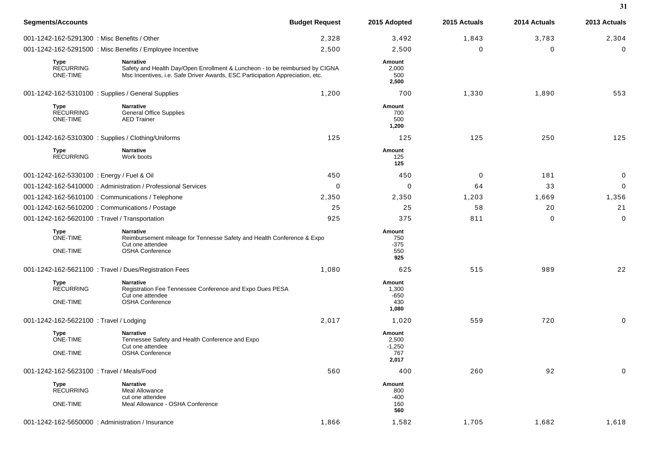| <b>Segments/Accounts</b>                              |                                                                                                                                          | <b>Budget Request</b>                                                                                                                                         | 2015 Adopted                                | 2015 Actuals | 2014 Actuals | 2013 Actuals |
|-------------------------------------------------------|------------------------------------------------------------------------------------------------------------------------------------------|---------------------------------------------------------------------------------------------------------------------------------------------------------------|---------------------------------------------|--------------|--------------|--------------|
| 001-1242-162-5291300 : Misc Benefits / Other          |                                                                                                                                          | 2,328                                                                                                                                                         | 3,492                                       | 1,843        | 3,783        | 2,304        |
|                                                       | 2,500<br>001-1242-162-5291500 : Misc Benefits / Employee Incentive                                                                       |                                                                                                                                                               | 2,500                                       | 0            | 0            | 0            |
| Type<br><b>RECURRING</b><br>ONE-TIME                  | <b>Narrative</b>                                                                                                                         | Safety and Health Day/Open Enrollment & Luncheon - to be reimbursed by CIGNA<br>Msc Incentives, i.e. Safe Driver Awards, ESC Participation Appreciation, etc. |                                             |              |              |              |
|                                                       | 001-1242-162-5310100 : Supplies / General Supplies                                                                                       | 1,200                                                                                                                                                         | 700                                         | 1,330        | 1,890        | 553          |
| Type<br><b>RECURRING</b><br>ONE-TIME                  | <b>Narrative</b><br><b>General Office Supplies</b><br><b>AED Trainer</b>                                                                 |                                                                                                                                                               | Amount<br>700<br>500<br>1,200               |              |              |              |
|                                                       | 001-1242-162-5310300: Supplies / Clothing/Uniforms                                                                                       | 125                                                                                                                                                           | 125                                         | 125          | 250          | 125          |
| Type<br><b>RECURRING</b>                              | Narrative<br>Work boots                                                                                                                  |                                                                                                                                                               | Amount<br>125<br>125                        |              |              |              |
| 001-1242-162-5330100 : Energy / Fuel & Oil            |                                                                                                                                          | 450                                                                                                                                                           | 450                                         | 0            | 181          | 0            |
|                                                       | 001-1242-162-5410000: Administration / Professional Services                                                                             | 0                                                                                                                                                             | 0                                           | 64           | 33           | 0            |
|                                                       | 001-1242-162-5610100 : Communications / Telephone                                                                                        | 2,350                                                                                                                                                         | 2,350                                       | 1,203        | 1,669        | 1,356        |
| 25<br>001-1242-162-5610200 : Communications / Postage |                                                                                                                                          |                                                                                                                                                               | 25                                          | 58           | 20           | 21           |
| 001-1242-162-5620100 : Travel / Transportation        |                                                                                                                                          | 925                                                                                                                                                           | 375                                         | 811          | 0            | 0            |
| Type<br><b>ONE-TIME</b><br>ONE-TIME                   | <b>Narrative</b><br>Reimbursement mileage for Tennesse Safety and Health Conference & Expo<br>Cut one attendee<br><b>OSHA Conference</b> |                                                                                                                                                               | Amount<br>750<br>$-375$<br>550<br>925       |              |              |              |
|                                                       | 001-1242-162-5621100 : Travel / Dues/Registration Fees                                                                                   | 1,080                                                                                                                                                         | 625                                         | 515          | 989          | 22           |
| Type<br><b>RECURRING</b><br>ONE-TIME                  | <b>Narrative</b><br>Registration Fee Tennessee Conference and Expo Dues PESA<br>Cut one attendee<br><b>OSHA Conference</b>               |                                                                                                                                                               | Amount<br>1,300<br>$-650$<br>430<br>1,080   |              |              |              |
| 001-1242-162-5622100 : Travel / Lodging               |                                                                                                                                          | 2,017                                                                                                                                                         | 1,020                                       | 559          | 720          | 0            |
| Type<br>ONE-TIME<br>ONE-TIME                          | <b>Narrative</b><br>Tennessee Safety and Health Conference and Expo<br>Cut one attendee<br>OSHA Conference                               |                                                                                                                                                               | Amount<br>2,500<br>$-1,250$<br>767<br>2,017 |              |              |              |
| 560<br>001-1242-162-5623100 : Travel / Meals/Food     |                                                                                                                                          | 400                                                                                                                                                           | 260                                         | 92           | 0            |              |
| Type<br><b>RECURRING</b><br>ONE-TIME                  | <b>Narrative</b><br>Meal Allowance<br>cut one attendee<br>Meal Allowance - OSHA Conference                                               |                                                                                                                                                               | Amount<br>800<br>$-400$<br>160              |              |              |              |
|                                                       | 001-1242-162-5650000 : Administration / Insurance                                                                                        | 1,866                                                                                                                                                         | 560<br>1,582                                | 1,705        | 1,682        | 1,618        |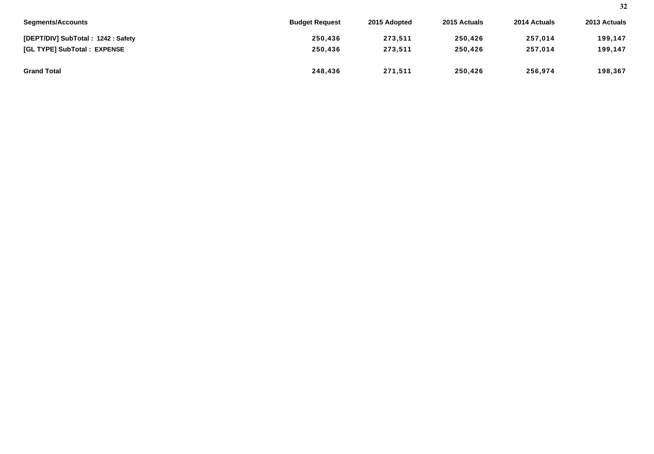| <b>Segments/Accounts</b>                                         | <b>Budget Request</b> | 2015 Adopted       | 2015 Actuals       | 2014 Actuals       | 2013 Actuals       |
|------------------------------------------------------------------|-----------------------|--------------------|--------------------|--------------------|--------------------|
| [DEPT/DIV] SubTotal: 1242: Safety<br>[GL TYPE] SubTotal: EXPENSE | 250,436<br>250,436    | 273,511<br>273.511 | 250,426<br>250.426 | 257,014<br>257.014 | 199,147<br>199,147 |
| <b>Grand Total</b>                                               | 248,436               | 271,511            | 250,426            | 256,974            | 198,367            |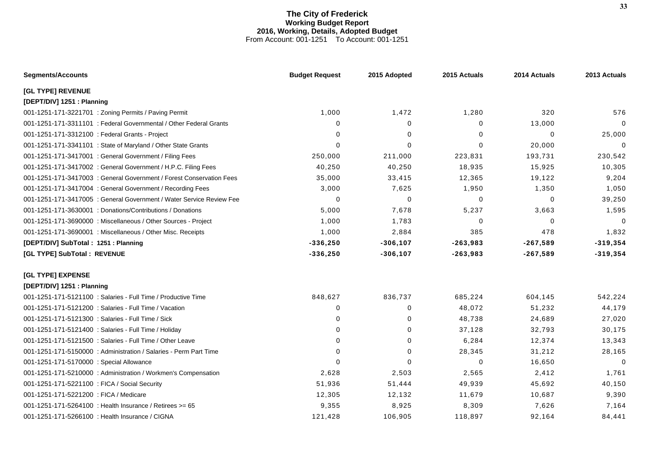# **The City of Frederick Working Budget Report 2016, Working, Details, Adopted Budget** From Account: 001-1251 To Account: 001-1251

| <b>Segments/Accounts</b>                                             | <b>Budget Request</b> | 2015 Adopted | 2015 Actuals | 2014 Actuals | 2013 Actuals |
|----------------------------------------------------------------------|-----------------------|--------------|--------------|--------------|--------------|
| [GL TYPE] REVENUE                                                    |                       |              |              |              |              |
| [DEPT/DIV] 1251 : Planning                                           |                       |              |              |              |              |
| 001-1251-171-3221701 : Zoning Permits / Paving Permit                | 1,000                 | 1,472        | 1,280        | 320          | 576          |
| 001-1251-171-3311101 : Federal Governmental / Other Federal Grants   | 0                     | 0            | 0            | 13,000       | 0            |
| 001-1251-171-3312100 : Federal Grants - Project                      | 0                     | $\mathbf{0}$ | 0            | 0            | 25,000       |
| 001-1251-171-3341101 : State of Maryland / Other State Grants        | $\Omega$              | $\Omega$     | $\Omega$     | 20,000       | $\mathbf 0$  |
| 001-1251-171-3417001 : General Government / Filing Fees              | 250,000               | 211,000      | 223,831      | 193,731      | 230,542      |
| 001-1251-171-3417002 : General Government / H.P.C. Filing Fees       | 40,250                | 40,250       | 18,935       | 15,925       | 10,305       |
| 001-1251-171-3417003 : General Government / Forest Conservation Fees | 35,000                | 33,415       | 12,365       | 19,122       | 9,204        |
| 001-1251-171-3417004 : General Government / Recording Fees           | 3,000                 | 7,625        | 1,950        | 1,350        | 1,050        |
| 001-1251-171-3417005 : General Government / Water Service Review Fee | 0                     | 0            | 0            | 0            | 39,250       |
| 001-1251-171-3630001 : Donations/Contributions / Donations           | 5,000                 | 7,678        | 5,237        | 3,663        | 1,595        |
| 001-1251-171-3690000: Miscellaneous / Other Sources - Project        | 1,000                 | 1,783        | 0            | $\Omega$     | $\Omega$     |
| 001-1251-171-3690001 : Miscellaneous / Other Misc. Receipts          | 1,000                 | 2,884        | 385          | 478          | 1,832        |
| [DEPT/DIV] SubTotal: 1251: Planning                                  | $-336,250$            | $-306, 107$  | $-263,983$   | $-267,589$   | $-319,354$   |
| [GL TYPE] SubTotal: REVENUE                                          | $-336,250$            | $-306, 107$  | $-263,983$   | $-267,589$   | $-319,354$   |
| [GL TYPE] EXPENSE                                                    |                       |              |              |              |              |
| [DEPT/DIV] 1251 : Planning                                           |                       |              |              |              |              |
| 001-1251-171-5121100 : Salaries - Full Time / Productive Time        | 848,627               | 836,737      | 685,224      | 604,145      | 542,224      |
| 001-1251-171-5121200 : Salaries - Full Time / Vacation               | 0                     | 0            | 48,072       | 51,232       | 44,179       |
| 001-1251-171-5121300 : Salaries - Full Time / Sick                   | 0                     | 0            | 48,738       | 24,689       | 27,020       |
| 001-1251-171-5121400 : Salaries - Full Time / Holiday                | 0                     | $\Omega$     | 37,128       | 32,793       | 30,175       |
| 001-1251-171-5121500 : Salaries - Full Time / Other Leave            | $\Omega$              | 0            | 6,284        | 12,374       | 13,343       |
| 001-1251-171-5150000 : Administration / Salaries - Perm Part Time    | $\Omega$              | $\Omega$     | 28,345       | 31,212       | 28,165       |
| 001-1251-171-5170000 : Special Allowance                             | 0                     | $\Omega$     | $\mathbf{0}$ | 16,650       | 0            |
| 001-1251-171-5210000: Administration / Workmen's Compensation        | 2,628                 | 2,503        | 2,565        | 2,412        | 1,761        |
| 001-1251-171-5221100 : FICA / Social Security                        | 51,936                | 51,444       | 49,939       | 45,692       | 40,150       |
| 001-1251-171-5221200 : FICA / Medicare                               | 12,305                | 12,132       | 11,679       | 10,687       | 9,390        |
| 001-1251-171-5264100 : Health Insurance / Retirees >= 65             | 9,355                 | 8,925        | 8,309        | 7,626        | 7,164        |
| 001-1251-171-5266100 : Health Insurance / CIGNA                      | 121,428               | 106,905      | 118,897      | 92,164       | 84,441       |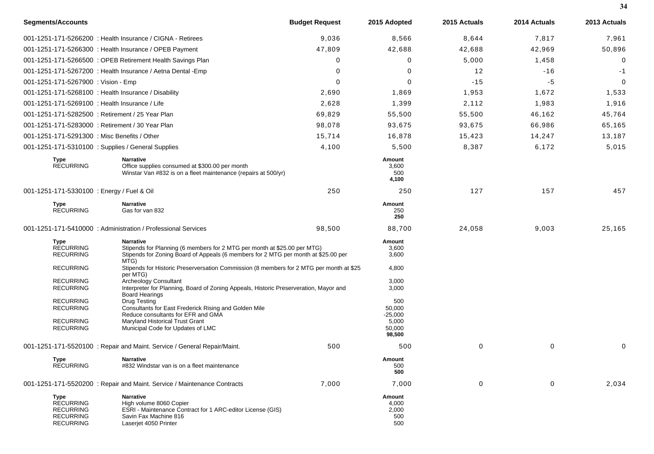| <b>Segments/Accounts</b>                                                             |                                                                                                                                                                                            | <b>Budget Request</b> | 2015 Adopted                                            | 2015 Actuals | 2014 Actuals | 2013 Actuals |
|--------------------------------------------------------------------------------------|--------------------------------------------------------------------------------------------------------------------------------------------------------------------------------------------|-----------------------|---------------------------------------------------------|--------------|--------------|--------------|
|                                                                                      | 001-1251-171-5266200 : Health Insurance / CIGNA - Retirees                                                                                                                                 | 9,036                 | 8,566                                                   | 8,644        | 7,817        | 7,961        |
|                                                                                      | 001-1251-171-5266300 : Health Insurance / OPEB Payment                                                                                                                                     | 47,809                | 42,688                                                  | 42,688       | 42,969       | 50,896       |
|                                                                                      | 001-1251-171-5266500 : OPEB Retirement Health Savings Plan                                                                                                                                 | 0                     | 0                                                       | 5,000        | 1,458        | 0            |
|                                                                                      | 001-1251-171-5267200 : Health Insurance / Aetna Dental - Emp                                                                                                                               | 0                     | 0                                                       | 12           | $-16$        | $-1$         |
| 001-1251-171-5267900 : Vision - Emp                                                  |                                                                                                                                                                                            | 0                     | $\Omega$                                                | $-15$        | -5           | $\mathbf 0$  |
|                                                                                      | 001-1251-171-5268100 : Health Insurance / Disability                                                                                                                                       | 2,690                 | 1,869                                                   | 1,953        | 1,672        | 1,533        |
| 001-1251-171-5269100 : Health Insurance / Life                                       |                                                                                                                                                                                            | 2,628                 | 1,399                                                   | 2,112        | 1,983        | 1,916        |
| 001-1251-171-5282500 : Retirement / 25 Year Plan                                     |                                                                                                                                                                                            | 69,829                | 55,500                                                  | 55,500       | 46,162       | 45,764       |
| 001-1251-171-5283000 : Retirement / 30 Year Plan                                     |                                                                                                                                                                                            | 98,078                | 93,675                                                  | 93,675       | 66,986       | 65,165       |
| 001-1251-171-5291300 : Misc Benefits / Other                                         |                                                                                                                                                                                            | 15,714                | 16,878                                                  | 15,423       | 14,247       | 13,187       |
|                                                                                      | 001-1251-171-5310100 : Supplies / General Supplies                                                                                                                                         | 4,100                 | 5,500                                                   | 8,387        | 6,172        | 5,015        |
| Type<br><b>RECURRING</b>                                                             | <b>Narrative</b><br>Office supplies consumed at \$300.00 per month<br>Winstar Van #832 is on a fleet maintenance (repairs at 500/yr)                                                       |                       | Amount<br>3,600<br>500<br>4,100                         |              |              |              |
| 001-1251-171-5330100 : Energy / Fuel & Oil                                           |                                                                                                                                                                                            | 250                   | 250                                                     | 127          | 157          | 457          |
| Type<br><b>RECURRING</b>                                                             | <b>Narrative</b><br>Gas for van 832                                                                                                                                                        |                       | Amount<br>250<br>250                                    |              |              |              |
|                                                                                      | 001-1251-171-5410000: Administration / Professional Services                                                                                                                               | 98,500                | 88,700                                                  | 24,058       | 9,003        | 25,165       |
| Type<br><b>RECURRING</b><br><b>RECURRING</b>                                         | <b>Narrative</b><br>Stipends for Planning (6 members for 2 MTG per month at \$25.00 per MTG)<br>Stipends for Zoning Board of Appeals (6 members for 2 MTG per month at \$25.00 per<br>MTG) |                       | Amount<br>3,600<br>3,600                                |              |              |              |
| <b>RECURRING</b>                                                                     | Stipends for Historic Preserversation Commission (8 members for 2 MTG per month at \$25                                                                                                    |                       | 4,800                                                   |              |              |              |
| <b>RECURRING</b><br><b>RECURRING</b>                                                 | per MTG)<br><b>Archeology Consultant</b><br>Interpreter for Planning, Board of Zoning Appeals, Historic Preserveration, Mayor and<br><b>Board Hearings</b>                                 |                       | 3,000<br>3,000                                          |              |              |              |
| <b>RECURRING</b><br><b>RECURRING</b><br><b>RECURRING</b><br><b>RECURRING</b>         | Drug Testing<br>Consultants for East Frederick Rising and Golden Mile<br>Reduce consultants for EFR and GMA<br>Maryland Historical Trust Grant<br>Municipal Code for Updates of LMC        |                       | 500<br>50,000<br>$-25,000$<br>5,000<br>50,000<br>98,500 |              |              |              |
|                                                                                      | 001-1251-171-5520100 : Repair and Maint. Service / General Repair/Maint.                                                                                                                   | 500                   | 500                                                     | 0            | $\Omega$     |              |
| Type<br><b>RECURRING</b>                                                             | Narrative<br>#832 Windstar van is on a fleet maintenance                                                                                                                                   |                       | Amount<br>500<br>500                                    |              |              |              |
|                                                                                      | 001-1251-171-5520200 : Repair and Maint. Service / Maintenance Contracts                                                                                                                   | 7,000                 | 7,000                                                   | 0            | 0            | 2,034        |
| Type<br><b>RECURRING</b><br><b>RECURRING</b><br><b>RECURRING</b><br><b>RECURRING</b> | <b>Narrative</b><br>High volume 8060 Copier<br>ESRI - Maintenance Contract for 1 ARC-editor License (GIS)<br>Savin Fax Machine 816<br>Laserjet 4050 Printer                                |                       | Amount<br>4,000<br>2,000<br>500<br>500                  |              |              |              |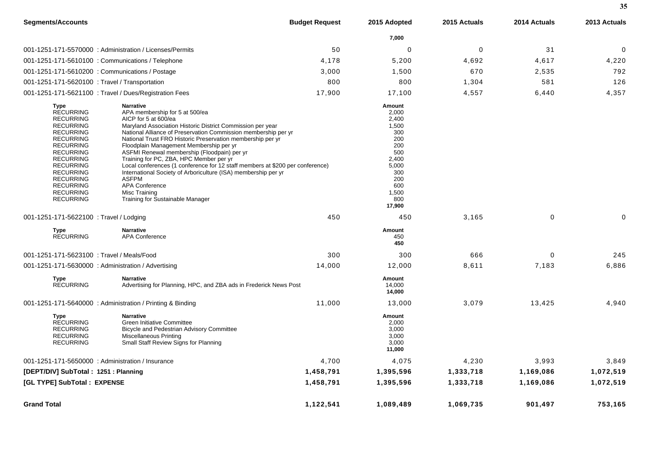| <b>Segments/Accounts</b>                                                                                                                                                                                                                                                                     |                                                                                                                                                                                                                                                                                                                                                                                                                                                                                                                                                                                                                                                         | <b>Budget Request</b> | 2015 Adopted                                                                                                                   | 2015 Actuals | 2014 Actuals | 2013 Actuals |
|----------------------------------------------------------------------------------------------------------------------------------------------------------------------------------------------------------------------------------------------------------------------------------------------|---------------------------------------------------------------------------------------------------------------------------------------------------------------------------------------------------------------------------------------------------------------------------------------------------------------------------------------------------------------------------------------------------------------------------------------------------------------------------------------------------------------------------------------------------------------------------------------------------------------------------------------------------------|-----------------------|--------------------------------------------------------------------------------------------------------------------------------|--------------|--------------|--------------|
|                                                                                                                                                                                                                                                                                              |                                                                                                                                                                                                                                                                                                                                                                                                                                                                                                                                                                                                                                                         |                       | 7,000                                                                                                                          |              |              |              |
| 001-1251-171-5570000: Administration / Licenses/Permits                                                                                                                                                                                                                                      |                                                                                                                                                                                                                                                                                                                                                                                                                                                                                                                                                                                                                                                         | 50                    | 0                                                                                                                              | $\pmb{0}$    | 31           | 0            |
| 001-1251-171-5610100 : Communications / Telephone                                                                                                                                                                                                                                            |                                                                                                                                                                                                                                                                                                                                                                                                                                                                                                                                                                                                                                                         | 4,178                 | 5,200                                                                                                                          | 4,692        | 4,617        | 4,220        |
| 001-1251-171-5610200 : Communications / Postage                                                                                                                                                                                                                                              |                                                                                                                                                                                                                                                                                                                                                                                                                                                                                                                                                                                                                                                         | 3,000                 | 1,500                                                                                                                          | 670          | 2,535        | 792          |
| 001-1251-171-5620100 : Travel / Transportation                                                                                                                                                                                                                                               |                                                                                                                                                                                                                                                                                                                                                                                                                                                                                                                                                                                                                                                         | 800                   | 800                                                                                                                            | 1,304        | 581          | 126          |
| 001-1251-171-5621100 : Travel / Dues/Registration Fees                                                                                                                                                                                                                                       |                                                                                                                                                                                                                                                                                                                                                                                                                                                                                                                                                                                                                                                         | 17,900                | 17,100                                                                                                                         | 4,557        | 6,440        | 4,357        |
| Type<br><b>RECURRING</b><br><b>RECURRING</b><br><b>RECURRING</b><br><b>RECURRING</b><br><b>RECURRING</b><br><b>RECURRING</b><br><b>RECURRING</b><br><b>RECURRING</b><br><b>RECURRING</b><br><b>RECURRING</b><br><b>RECURRING</b><br><b>RECURRING</b><br><b>RECURRING</b><br><b>RECURRING</b> | <b>Narrative</b><br>APA membership for 5 at 500/ea<br>AICP for 5 at 600/ea<br>Maryland Association Historic District Commission per year<br>National Alliance of Preservation Commission membership per yr<br>National Trust FRO Historic Preservation membership per yr<br>Floodplain Management Membership per yr<br>ASFMI Renewal membership (Floodpain) per yr<br>Training for PC, ZBA, HPC Member per yr<br>Local conferences (1 conference for 12 staff members at \$200 per conference)<br>International Society of Arboriculture (ISA) membership per yr<br>ASFPM<br><b>APA Conference</b><br>Misc Training<br>Training for Sustainable Manager |                       | Amount<br>2,000<br>2,400<br>1,500<br>300<br>200<br>200<br>500<br>2,400<br>5,000<br>300<br>200<br>600<br>1,500<br>800<br>17,900 |              |              |              |
| 001-1251-171-5622100 : Travel / Lodging                                                                                                                                                                                                                                                      |                                                                                                                                                                                                                                                                                                                                                                                                                                                                                                                                                                                                                                                         | 450                   | 450                                                                                                                            | 3,165        | 0            | 0            |
| Type<br><b>RECURRING</b>                                                                                                                                                                                                                                                                     | <b>Narrative</b><br><b>APA Conference</b>                                                                                                                                                                                                                                                                                                                                                                                                                                                                                                                                                                                                               |                       | Amount<br>450<br>450                                                                                                           |              |              |              |
| 001-1251-171-5623100 : Travel / Meals/Food                                                                                                                                                                                                                                                   |                                                                                                                                                                                                                                                                                                                                                                                                                                                                                                                                                                                                                                                         | 300                   | 300                                                                                                                            | 666          | 0            | 245          |
| 001-1251-171-5630000 : Administration / Advertising                                                                                                                                                                                                                                          |                                                                                                                                                                                                                                                                                                                                                                                                                                                                                                                                                                                                                                                         | 14,000                | 12,000                                                                                                                         | 8,611        | 7,183        | 6,886        |
| Type<br><b>RECURRING</b>                                                                                                                                                                                                                                                                     | <b>Narrative</b><br>Advertising for Planning, HPC, and ZBA ads in Frederick News Post                                                                                                                                                                                                                                                                                                                                                                                                                                                                                                                                                                   |                       | Amount<br>14,000<br>14,000                                                                                                     |              |              |              |
|                                                                                                                                                                                                                                                                                              | 001-1251-171-5640000 : Administration / Printing & Binding                                                                                                                                                                                                                                                                                                                                                                                                                                                                                                                                                                                              | 11,000                | 13,000                                                                                                                         | 3,079        | 13,425       | 4,940        |
| Type<br><b>RECURRING</b><br><b>RECURRING</b><br><b>RECURRING</b><br><b>RECURRING</b>                                                                                                                                                                                                         | <b>Narrative</b><br><b>Green Initiative Committee</b><br><b>Bicycle and Pedestrian Advisory Committee</b><br><b>Miscellaneous Printing</b><br>Small Staff Review Signs for Planning                                                                                                                                                                                                                                                                                                                                                                                                                                                                     |                       | Amount<br>2,000<br>3,000<br>3,000<br>3,000<br>11,000                                                                           |              |              |              |
| 001-1251-171-5650000 : Administration / Insurance                                                                                                                                                                                                                                            |                                                                                                                                                                                                                                                                                                                                                                                                                                                                                                                                                                                                                                                         | 4,700                 | 4,075                                                                                                                          | 4,230        | 3,993        | 3,849        |
| [DEPT/DIV] SubTotal: 1251: Planning                                                                                                                                                                                                                                                          |                                                                                                                                                                                                                                                                                                                                                                                                                                                                                                                                                                                                                                                         | 1,458,791             | 1,395,596                                                                                                                      | 1,333,718    | 1,169,086    | 1,072,519    |
| [GL TYPE] SubTotal: EXPENSE                                                                                                                                                                                                                                                                  |                                                                                                                                                                                                                                                                                                                                                                                                                                                                                                                                                                                                                                                         | 1,458,791             | 1,395,596                                                                                                                      | 1,333,718    | 1,169,086    | 1,072,519    |
| <b>Grand Total</b>                                                                                                                                                                                                                                                                           |                                                                                                                                                                                                                                                                                                                                                                                                                                                                                                                                                                                                                                                         | 1,122,541             | 1,089,489                                                                                                                      | 1,069,735    | 901,497      | 753,165      |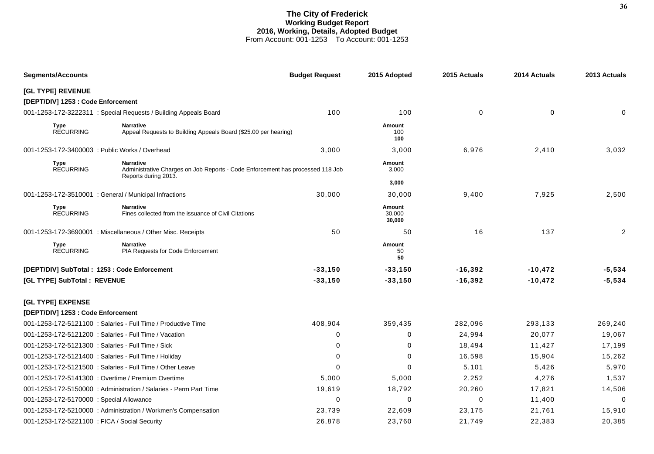# **The City of Frederick Working Budget Report 2016, Working, Details, Adopted Budget** From Account: 001-1253 To Account: 001-1253

| <b>Segments/Accounts</b>                               |                                                                                                                            | <b>Budget Request</b> | 2015 Adopted               | 2015 Actuals | 2014 Actuals | 2013 Actuals |
|--------------------------------------------------------|----------------------------------------------------------------------------------------------------------------------------|-----------------------|----------------------------|--------------|--------------|--------------|
| [GL TYPE] REVENUE                                      |                                                                                                                            |                       |                            |              |              |              |
| [DEPT/DIV] 1253 : Code Enforcement                     |                                                                                                                            |                       |                            |              |              |              |
|                                                        | 001-1253-172-3222311 : Special Requests / Building Appeals Board                                                           | 100                   | 100                        | $\mathbf 0$  | $\mathbf 0$  | $\mathbf 0$  |
| Type<br><b>RECURRING</b>                               | <b>Narrative</b><br>Appeal Requests to Building Appeals Board (\$25.00 per hearing)                                        |                       | Amount<br>100<br>100       |              |              |              |
| 001-1253-172-3400003: Public Works / Overhead          |                                                                                                                            | 3,000                 | 3,000                      | 6,976        | 2,410        | 3,032        |
| <b>Type</b><br><b>RECURRING</b>                        | <b>Narrative</b><br>Administrative Charges on Job Reports - Code Enforcement has processed 118 Job<br>Reports during 2013. |                       | Amount<br>3,000            |              |              |              |
|                                                        |                                                                                                                            |                       | 3,000                      |              |              |              |
| 001-1253-172-3510001 : General / Municipal Infractions |                                                                                                                            | 30,000                | 30,000                     | 9,400        | 7,925        | 2,500        |
| Type<br><b>RECURRING</b>                               | <b>Narrative</b><br>Fines collected from the issuance of Civil Citations                                                   |                       | Amount<br>30,000<br>30,000 |              |              |              |
|                                                        | 001-1253-172-3690001 : Miscellaneous / Other Misc. Receipts                                                                | 50                    | 50                         | 16           | 137          | 2            |
| <b>Type</b><br><b>RECURRING</b>                        | <b>Narrative</b><br>PIA Requests for Code Enforcement                                                                      |                       | Amount<br>50<br>50         |              |              |              |
| [DEPT/DIV] SubTotal: 1253: Code Enforcement            |                                                                                                                            | $-33,150$             | $-33,150$                  | $-16,392$    | $-10,472$    | $-5,534$     |
| [GL TYPE] SubTotal: REVENUE                            |                                                                                                                            | $-33,150$             | $-33,150$                  | $-16,392$    | $-10,472$    | $-5,534$     |
| [GL TYPE] EXPENSE                                      |                                                                                                                            |                       |                            |              |              |              |
| [DEPT/DIV] 1253 : Code Enforcement                     |                                                                                                                            |                       |                            |              |              |              |
|                                                        | 001-1253-172-5121100 : Salaries - Full Time / Productive Time                                                              | 408,904               | 359,435                    | 282,096      | 293,133      | 269,240      |
| 001-1253-172-5121200 : Salaries - Full Time / Vacation |                                                                                                                            | 0                     | 0                          | 24,994       | 20,077       | 19,067       |
| 001-1253-172-5121300 : Salaries - Full Time / Sick     |                                                                                                                            | 0                     | 0                          | 18,494       | 11,427       | 17,199       |
| 001-1253-172-5121400 : Salaries - Full Time / Holiday  |                                                                                                                            | 0                     | $\Omega$                   | 16,598       | 15,904       | 15,262       |
|                                                        | 001-1253-172-5121500 : Salaries - Full Time / Other Leave                                                                  | $\Omega$              | $\Omega$                   | 5,101        | 5,426        | 5,970        |
| 001-1253-172-5141300 : Overtime / Premium Overtime     |                                                                                                                            | 5,000                 | 5,000                      | 2,252        | 4,276        | 1,537        |
|                                                        | 001-1253-172-5150000: Administration / Salaries - Perm Part Time                                                           | 19,619                | 18,792                     | 20,260       | 17,821       | 14,506       |
| 001-1253-172-5170000 : Special Allowance               |                                                                                                                            | $\mathbf 0$           | 0                          | 0            | 11,400       | $\mathbf 0$  |
|                                                        | 001-1253-172-5210000: Administration / Workmen's Compensation                                                              | 23,739                | 22,609                     | 23,175       | 21,761       | 15,910       |
| 001-1253-172-5221100 : FICA / Social Security          |                                                                                                                            | 26,878                | 23,760                     | 21,749       | 22,383       | 20,385       |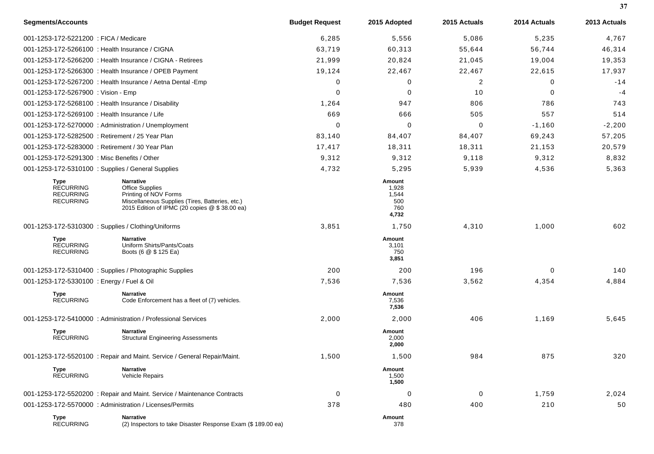| <b>Segments/Accounts</b>                                         |                                                                                                                                                                  | <b>Budget Request</b> | 2015 Adopted                                    | 2015 Actuals   | 2014 Actuals | 2013 Actuals |
|------------------------------------------------------------------|------------------------------------------------------------------------------------------------------------------------------------------------------------------|-----------------------|-------------------------------------------------|----------------|--------------|--------------|
| 001-1253-172-5221200 : FICA / Medicare                           |                                                                                                                                                                  | 6,285                 | 5,556                                           | 5,086          | 5,235        | 4,767        |
|                                                                  | 001-1253-172-5266100 : Health Insurance / CIGNA                                                                                                                  | 63,719                | 60,313                                          | 55,644         | 56,744       | 46,314       |
|                                                                  | 001-1253-172-5266200 : Health Insurance / CIGNA - Retirees                                                                                                       | 21,999                | 20,824                                          | 21,045         | 19,004       | 19,353       |
|                                                                  | 001-1253-172-5266300 : Health Insurance / OPEB Payment                                                                                                           | 19,124                | 22,467                                          | 22,467         | 22,615       | 17,937       |
|                                                                  | 001-1253-172-5267200 : Health Insurance / Aetna Dental - Emp                                                                                                     | 0                     | 0                                               | $\overline{2}$ | 0            | $-14$        |
| 001-1253-172-5267900 : Vision - Emp                              |                                                                                                                                                                  | $\Omega$              | $\Omega$                                        | 10             | $\Omega$     | $-4$         |
|                                                                  | 001-1253-172-5268100 : Health Insurance / Disability                                                                                                             | 1,264                 | 947                                             | 806            | 786          | 743          |
| 001-1253-172-5269100 : Health Insurance / Life                   |                                                                                                                                                                  | 669                   | 666                                             | 505            | 557          | 514          |
|                                                                  | 001-1253-172-5270000: Administration / Unemployment                                                                                                              | $\mathbf 0$           | $\mathbf 0$                                     | 0              | $-1,160$     | $-2,200$     |
|                                                                  | 001-1253-172-5282500: Retirement / 25 Year Plan                                                                                                                  | 83,140                | 84,407                                          | 84,407         | 69,243       | 57,205       |
|                                                                  | 001-1253-172-5283000 : Retirement / 30 Year Plan                                                                                                                 | 17,417                | 18,311                                          | 18,311         | 21,153       | 20,579       |
| 001-1253-172-5291300 : Misc Benefits / Other                     |                                                                                                                                                                  | 9,312                 | 9,312                                           | 9,118          | 9,312        | 8,832        |
|                                                                  | 001-1253-172-5310100 : Supplies / General Supplies                                                                                                               | 4,732                 | 5,295                                           | 5,939          | 4,536        | 5,363        |
| Type<br><b>RECURRING</b><br><b>RECURRING</b><br><b>RECURRING</b> | Narrative<br><b>Office Supplies</b><br>Printing of NOV Forms<br>Miscellaneous Supplies (Tires, Batteries, etc.)<br>2015 Edition of IPMC (20 copies @ \$38.00 ea) |                       | Amount<br>1,928<br>1,544<br>500<br>760<br>4,732 |                |              |              |
|                                                                  | 001-1253-172-5310300: Supplies / Clothing/Uniforms                                                                                                               | 3,851                 | 1,750                                           | 4,310          | 1,000        | 602          |
| Type<br><b>RECURRING</b><br><b>RECURRING</b>                     | <b>Narrative</b><br>Uniform Shirts/Pants/Coats<br>Boots (6 @ \$ 125 Ea)                                                                                          |                       | Amount<br>3,101<br>750<br>3,851                 |                |              |              |
|                                                                  | 001-1253-172-5310400: Supplies / Photographic Supplies                                                                                                           | 200                   | 200                                             | 196            | $\Omega$     | 140          |
| 001-1253-172-5330100 : Energy / Fuel & Oil                       |                                                                                                                                                                  | 7,536                 | 7,536                                           | 3,562          | 4,354        | 4,884        |
| Type<br><b>RECURRING</b>                                         | <b>Narrative</b><br>Code Enforcement has a fleet of (7) vehicles.                                                                                                |                       | Amount<br>7,536<br>7,536                        |                |              |              |
|                                                                  | 001-1253-172-5410000: Administration / Professional Services                                                                                                     | 2,000                 | 2,000                                           | 406            | 1,169        | 5,645        |
| Type<br><b>RECURRING</b>                                         | Narrative<br><b>Structural Engineering Assessments</b>                                                                                                           |                       | Amount<br>2,000<br>2,000                        |                |              |              |
|                                                                  | 001-1253-172-5520100: Repair and Maint. Service / General Repair/Maint.                                                                                          | 1,500                 | 1,500                                           | 984            | 875          | 320          |
| Type<br><b>RECURRING</b>                                         | <b>Narrative</b><br>Vehicle Repairs                                                                                                                              |                       | Amount<br>1,500<br>1,500                        |                |              |              |
|                                                                  | 001-1253-172-5520200: Repair and Maint. Service / Maintenance Contracts                                                                                          | 0                     | 0                                               | 0              | 1,759        | 2,024        |
|                                                                  | 001-1253-172-5570000 : Administration / Licenses/Permits                                                                                                         | 378                   | 480                                             | 400            | 210          | 50           |
| <b>Type</b><br><b>RECURRING</b>                                  | <b>Narrative</b><br>(2) Inspectors to take Disaster Response Exam (\$ 189.00 ea)                                                                                 |                       | Amount<br>378                                   |                |              |              |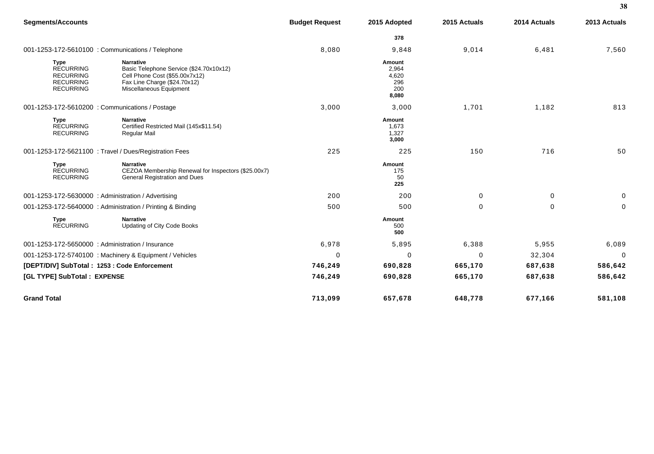| <b>Segments/Accounts</b>                                                                    |                                                                                                                                                          | <b>Budget Request</b> | 2015 Adopted                                    | 2015 Actuals | 2014 Actuals | 2013 Actuals |
|---------------------------------------------------------------------------------------------|----------------------------------------------------------------------------------------------------------------------------------------------------------|-----------------------|-------------------------------------------------|--------------|--------------|--------------|
|                                                                                             |                                                                                                                                                          |                       | 378                                             |              |              |              |
| 001-1253-172-5610100 : Communications / Telephone                                           |                                                                                                                                                          | 8,080                 | 9,848                                           | 9,014        | 6,481        | 7,560        |
| <b>Type</b><br><b>RECURRING</b><br><b>RECURRING</b><br><b>RECURRING</b><br><b>RECURRING</b> | <b>Narrative</b><br>Basic Telephone Service (\$24.70x10x12)<br>Cell Phone Cost (\$55.00x7x12)<br>Fax Line Charge (\$24.70x12)<br>Miscellaneous Equipment |                       | Amount<br>2.964<br>4,620<br>296<br>200<br>8,080 |              |              |              |
| 001-1253-172-5610200 : Communications / Postage                                             |                                                                                                                                                          | 3,000                 | 3,000                                           | 1,701        | 1,182        | 813          |
| <b>Type</b><br><b>RECURRING</b><br><b>RECURRING</b>                                         | <b>Narrative</b><br>Certified Restricted Mail (145x\$11.54)<br>Regular Mail                                                                              |                       | Amount<br>1,673<br>1,327<br>3,000               |              |              |              |
| 001-1253-172-5621100 : Travel / Dues/Registration Fees                                      |                                                                                                                                                          | 225                   | 225                                             | 150          | 716          | 50           |
| <b>Type</b><br><b>RECURRING</b><br><b>RECURRING</b>                                         | <b>Narrative</b><br>CEZOA Membership Renewal for Inspectors (\$25.00x7)<br>General Registration and Dues                                                 |                       | Amount<br>175<br>50<br>225                      |              |              |              |
| 001-1253-172-5630000 : Administration / Advertising                                         |                                                                                                                                                          | 200                   | 200                                             | 0            | $\mathbf 0$  | 0            |
| 001-1253-172-5640000: Administration / Printing & Binding                                   |                                                                                                                                                          | 500                   | 500                                             | 0            | $\mathbf 0$  | 0            |
| <b>Type</b><br><b>RECURRING</b>                                                             | <b>Narrative</b><br><b>Updating of City Code Books</b>                                                                                                   |                       | Amount<br>500<br>500                            |              |              |              |
| 001-1253-172-5650000 : Administration / Insurance                                           |                                                                                                                                                          | 6,978                 | 5,895                                           | 6,388        | 5,955        | 6,089        |
| 001-1253-172-5740100 : Machinery & Equipment / Vehicles                                     |                                                                                                                                                          | $\Omega$              | $\Omega$                                        | $\Omega$     | 32,304       | $\Omega$     |
| [DEPT/DIV] SubTotal: 1253: Code Enforcement                                                 |                                                                                                                                                          | 746,249               | 690,828                                         | 665,170      | 687,638      | 586,642      |
| [GL TYPE] SubTotal: EXPENSE                                                                 |                                                                                                                                                          | 746,249               | 690,828                                         | 665,170      | 687,638      | 586,642      |
| <b>Grand Total</b>                                                                          |                                                                                                                                                          | 713,099               | 657,678                                         | 648,778      | 677,166      | 581,108      |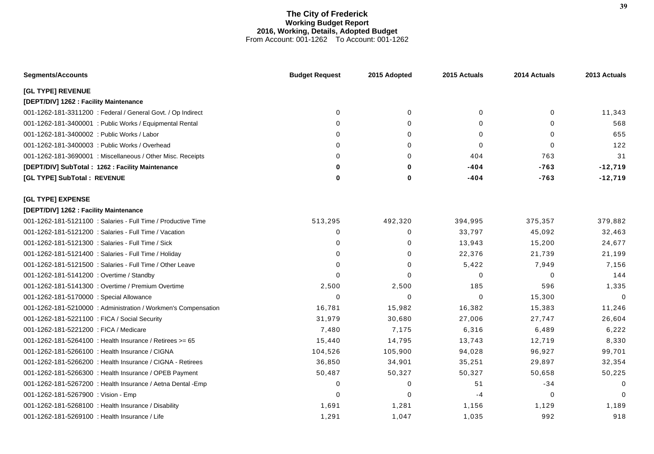# **The City of Frederick Working Budget Report 2016, Working, Details, Adopted Budget** From Account: 001-1262 To Account: 001-1262

| <b>Segments/Accounts</b>                                      | <b>Budget Request</b> | 2015 Adopted | 2015 Actuals | 2014 Actuals | 2013 Actuals |
|---------------------------------------------------------------|-----------------------|--------------|--------------|--------------|--------------|
| [GL TYPE] REVENUE                                             |                       |              |              |              |              |
| [DEPT/DIV] 1262 : Facility Maintenance                        |                       |              |              |              |              |
| 001-1262-181-3311200 : Federal / General Govt. / Op Indirect  | $\mathbf 0$           | $\mathbf{0}$ | 0            | 0            | 11,343       |
| 001-1262-181-3400001 : Public Works / Equipmental Rental      | $\Omega$              | 0            | 0            | 0            | 568          |
| 001-1262-181-3400002 : Public Works / Labor                   | $\Omega$              | $\Omega$     | 0            | $\Omega$     | 655          |
| 001-1262-181-3400003: Public Works / Overhead                 | 0                     | $\Omega$     | 0            | 0            | 122          |
| 001-1262-181-3690001 : Miscellaneous / Other Misc. Receipts   | 0                     | $\Omega$     | 404          | 763          | 31           |
| [DEPT/DIV] SubTotal: 1262 : Facility Maintenance              | 0                     | 0            | $-404$       | $-763$       | $-12,719$    |
| [GL TYPE] SubTotal: REVENUE                                   | 0                     | $\bf{0}$     | $-404$       | $-763$       | $-12,719$    |
| [GL TYPE] EXPENSE                                             |                       |              |              |              |              |
| [DEPT/DIV] 1262 : Facility Maintenance                        |                       |              |              |              |              |
| 001-1262-181-5121100 : Salaries - Full Time / Productive Time | 513,295               | 492,320      | 394,995      | 375,357      | 379,882      |
| 001-1262-181-5121200 : Salaries - Full Time / Vacation        | 0                     | $\Omega$     | 33,797       | 45,092       | 32,463       |
| 001-1262-181-5121300 : Salaries - Full Time / Sick            | 0                     | $\Omega$     | 13,943       | 15,200       | 24,677       |
| 001-1262-181-5121400 : Salaries - Full Time / Holiday         | 0                     | $\Omega$     | 22,376       | 21,739       | 21,199       |
| 001-1262-181-5121500 : Salaries - Full Time / Other Leave     | $\Omega$              | $\Omega$     | 5,422        | 7,949        | 7,156        |
| 001-1262-181-5141200 : Overtime / Standby                     | $\Omega$              | $\Omega$     | 0            | 0            | 144          |
| 001-1262-181-5141300 : Overtime / Premium Overtime            | 2,500                 | 2,500        | 185          | 596          | 1,335        |
| 001-1262-181-5170000 : Special Allowance                      | O                     | 0            | 0            | 15,300       | $\Omega$     |
| 001-1262-181-5210000: Administration / Workmen's Compensation | 16,781                | 15,982       | 16,382       | 15,383       | 11,246       |
| 001-1262-181-5221100 : FICA / Social Security                 | 31,979                | 30,680       | 27,006       | 27,747       | 26,604       |
| 001-1262-181-5221200 : FICA / Medicare                        | 7,480                 | 7,175        | 6,316        | 6,489        | 6,222        |
| 001-1262-181-5264100 : Health Insurance / Retirees >= 65      | 15,440                | 14,795       | 13,743       | 12,719       | 8,330        |
| 001-1262-181-5266100 : Health Insurance / CIGNA               | 104,526               | 105,900      | 94,028       | 96,927       | 99,701       |
| 001-1262-181-5266200 : Health Insurance / CIGNA - Retirees    | 36,850                | 34,901       | 35,251       | 29,897       | 32,354       |
| 001-1262-181-5266300 : Health Insurance / OPEB Payment        | 50,487                | 50,327       | 50,327       | 50,658       | 50,225       |
| 001-1262-181-5267200 : Health Insurance / Aetna Dental -Emp   | 0                     | 0            | 51           | $-34$        | $\Omega$     |
| 001-1262-181-5267900 : Vision - Emp                           | 0                     | $\Omega$     | $-4$         | 0            | $\Omega$     |
| 001-1262-181-5268100 : Health Insurance / Disability          | 1,691                 | 1,281        | 1,156        | 1,129        | 1,189        |
| 001-1262-181-5269100 : Health Insurance / Life                | 1,291                 | 1,047        | 1,035        | 992          | 918          |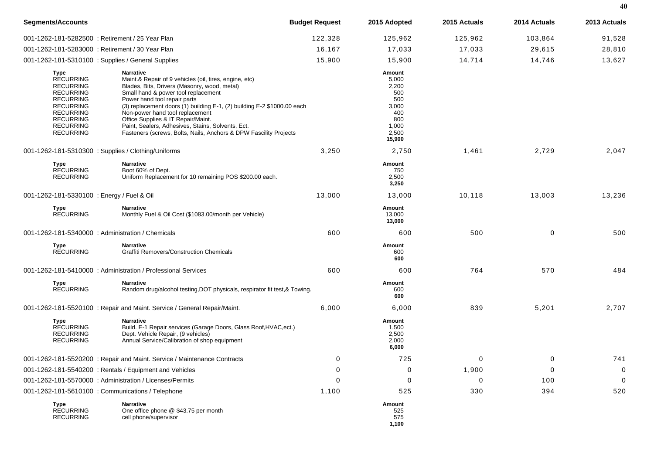| <b>Segments/Accounts</b>                                                                                                                                                                 |                                                                                                                                                                                                                                                                                                                                                                                                                                                                                 | <b>Budget Request</b> | 2015 Adopted                                                                              | 2015 Actuals | 2014 Actuals | 2013 Actuals |
|------------------------------------------------------------------------------------------------------------------------------------------------------------------------------------------|---------------------------------------------------------------------------------------------------------------------------------------------------------------------------------------------------------------------------------------------------------------------------------------------------------------------------------------------------------------------------------------------------------------------------------------------------------------------------------|-----------------------|-------------------------------------------------------------------------------------------|--------------|--------------|--------------|
|                                                                                                                                                                                          | 001-1262-181-5282500 : Retirement / 25 Year Plan                                                                                                                                                                                                                                                                                                                                                                                                                                | 122,328               | 125,962                                                                                   | 125,962      | 103,864      | 91,528       |
|                                                                                                                                                                                          | 001-1262-181-5283000 : Retirement / 30 Year Plan                                                                                                                                                                                                                                                                                                                                                                                                                                | 16,167                | 17,033                                                                                    | 17,033       | 29,615       | 28,810       |
|                                                                                                                                                                                          | 001-1262-181-5310100 : Supplies / General Supplies                                                                                                                                                                                                                                                                                                                                                                                                                              | 15,900                | 15,900                                                                                    | 14,714       | 14,746       | 13,627       |
| Type<br><b>RECURRING</b><br><b>RECURRING</b><br><b>RECURRING</b><br><b>RECURRING</b><br><b>RECURRING</b><br><b>RECURRING</b><br><b>RECURRING</b><br><b>RECURRING</b><br><b>RECURRING</b> | <b>Narrative</b><br>Maint.& Repair of 9 vehicles (oil, tires, engine, etc)<br>Blades, Bits, Drivers (Masonry, wood, metal)<br>Small hand & power tool replacement<br>Power hand tool repair parts<br>(3) replacement doors (1) building E-1, (2) building E-2 \$1000.00 each<br>Non-power hand tool replacement<br>Office Supplies & IT Repair/Maint.<br>Paint, Sealers, Adhesives, Stains, Solvents, Ect.<br>Fasteners (screws, Bolts, Nails, Anchors & DPW Fascility Projects |                       | Amount<br>5,000<br>2,200<br>500<br>500<br>3,000<br>400<br>800<br>1,000<br>2,500<br>15,900 |              |              |              |
|                                                                                                                                                                                          | 001-1262-181-5310300: Supplies / Clothing/Uniforms                                                                                                                                                                                                                                                                                                                                                                                                                              | 3,250                 | 2,750                                                                                     | 1,461        | 2,729        | 2,047        |
| Type<br><b>RECURRING</b><br><b>RECURRING</b>                                                                                                                                             | <b>Narrative</b><br>Boot 60% of Dept.<br>Uniform Replacement for 10 remaining POS \$200.00 each.                                                                                                                                                                                                                                                                                                                                                                                |                       | Amount<br>750<br>2,500<br>3,250                                                           |              |              |              |
| 001-1262-181-5330100 : Energy / Fuel & Oil                                                                                                                                               |                                                                                                                                                                                                                                                                                                                                                                                                                                                                                 | 13,000                | 13,000                                                                                    | 10,118       | 13,003       | 13,236       |
| Type<br><b>RECURRING</b>                                                                                                                                                                 | <b>Narrative</b><br>Monthly Fuel & Oil Cost (\$1083.00/month per Vehicle)                                                                                                                                                                                                                                                                                                                                                                                                       |                       | Amount<br>13,000<br>13,000                                                                |              |              |              |
|                                                                                                                                                                                          | 001-1262-181-5340000 : Administration / Chemicals                                                                                                                                                                                                                                                                                                                                                                                                                               | 600                   | 600                                                                                       | 500          | 0            | 500          |
| Type<br><b>RECURRING</b>                                                                                                                                                                 | <b>Narrative</b><br><b>Graffiti Removers/Construction Chemicals</b>                                                                                                                                                                                                                                                                                                                                                                                                             |                       | Amount<br>600<br>600                                                                      |              |              |              |
|                                                                                                                                                                                          | 001-1262-181-5410000: Administration / Professional Services                                                                                                                                                                                                                                                                                                                                                                                                                    | 600                   | 600                                                                                       | 764          | 570          | 484          |
| Type<br><b>RECURRING</b>                                                                                                                                                                 | <b>Narrative</b><br>Random drug/alcohol testing, DOT physicals, respirator fit test, & Towing.                                                                                                                                                                                                                                                                                                                                                                                  |                       | Amount<br>600<br>600                                                                      |              |              |              |
|                                                                                                                                                                                          | 001-1262-181-5520100 : Repair and Maint. Service / General Repair/Maint.                                                                                                                                                                                                                                                                                                                                                                                                        | 6,000                 | 6,000                                                                                     | 839          | 5,201        | 2,707        |
| Type<br><b>RECURRING</b><br><b>RECURRING</b><br><b>RECURRING</b>                                                                                                                         | <b>Narrative</b><br>Build. E-1 Repair services (Garage Doors, Glass Roof, HVAC, ect.)<br>Dept. Vehicle Repair, (9 vehicles)<br>Annual Service/Calibration of shop equipment                                                                                                                                                                                                                                                                                                     |                       | Amount<br>1,500<br>2,500<br>2,000<br>6,000                                                |              |              |              |
|                                                                                                                                                                                          | 001-1262-181-5520200: Repair and Maint. Service / Maintenance Contracts                                                                                                                                                                                                                                                                                                                                                                                                         | 0                     | 725                                                                                       | 0            | 0            | 741          |
|                                                                                                                                                                                          | 001-1262-181-5540200: Rentals / Equipment and Vehicles                                                                                                                                                                                                                                                                                                                                                                                                                          | 0                     | 0                                                                                         | 1,900        | 0            | 0            |
|                                                                                                                                                                                          | 001-1262-181-5570000 : Administration / Licenses/Permits                                                                                                                                                                                                                                                                                                                                                                                                                        | 0                     | 0                                                                                         | 0            | 100          | $\Omega$     |
|                                                                                                                                                                                          | 001-1262-181-5610100 : Communications / Telephone                                                                                                                                                                                                                                                                                                                                                                                                                               | 1,100                 | 525                                                                                       | 330          | 394          | 520          |
| Type<br><b>RECURRING</b><br><b>RECURRING</b>                                                                                                                                             | <b>Narrative</b><br>One office phone @ \$43.75 per month<br>cell phone/supervisor                                                                                                                                                                                                                                                                                                                                                                                               |                       | Amount<br>525<br>575<br>1,100                                                             |              |              |              |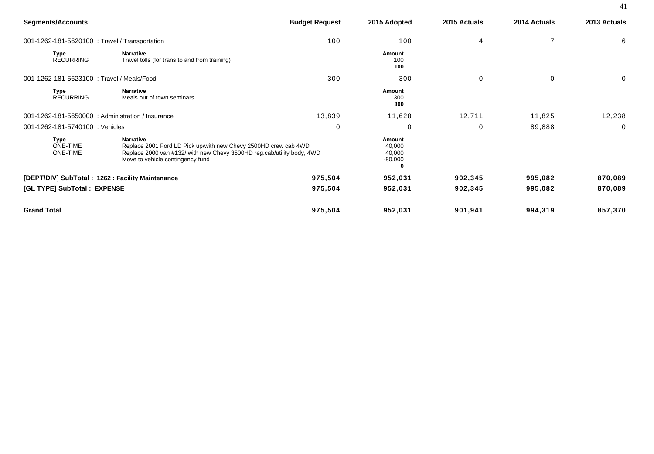| <b>Segments/Accounts</b>                       |                                                                                                                                                                                                   | <b>Budget Request</b> | 2015 Adopted                                 | 2015 Actuals | 2014 Actuals   | 2013 Actuals |
|------------------------------------------------|---------------------------------------------------------------------------------------------------------------------------------------------------------------------------------------------------|-----------------------|----------------------------------------------|--------------|----------------|--------------|
| 001-1262-181-5620100 : Travel / Transportation |                                                                                                                                                                                                   | 100                   | 100                                          | 4            | $\overline{7}$ | 6            |
| <b>Type</b><br><b>RECURRING</b>                | <b>Narrative</b><br>Travel tolls (for trans to and from training)                                                                                                                                 |                       | Amount<br>100<br>100                         |              |                |              |
| 001-1262-181-5623100 : Travel / Meals/Food     |                                                                                                                                                                                                   | 300                   | 300                                          | $\pmb{0}$    | 0              | 0            |
| <b>Type</b><br><b>RECURRING</b>                | <b>Narrative</b><br>Meals out of town seminars                                                                                                                                                    |                       | Amount<br>300<br>300                         |              |                |              |
|                                                | 001-1262-181-5650000 : Administration / Insurance                                                                                                                                                 | 13,839                | 11,628                                       | 12,711       | 11,825         | 12,238       |
| 001-1262-181-5740100 : Vehicles                |                                                                                                                                                                                                   | 0                     | 0                                            | 0            | 89,888         | 0            |
| <b>Type</b><br>ONE-TIME<br>ONE-TIME            | <b>Narrative</b><br>Replace 2001 Ford LD Pick up/with new Chevy 2500HD crew cab 4WD<br>Replace 2000 van #132/ with new Chevy 3500HD reg.cab/utility body, 4WD<br>Move to vehicle contingency fund |                       | Amount<br>40,000<br>40,000<br>$-80,000$<br>0 |              |                |              |
|                                                | [DEPT/DIV] SubTotal: 1262 : Facility Maintenance                                                                                                                                                  | 975,504               | 952,031                                      | 902,345      | 995,082        | 870,089      |
| [GL TYPE] SubTotal: EXPENSE                    |                                                                                                                                                                                                   | 975,504               | 952,031                                      | 902,345      | 995,082        | 870,089      |
| <b>Grand Total</b>                             |                                                                                                                                                                                                   | 975,504               | 952,031                                      | 901,941      | 994,319        | 857,370      |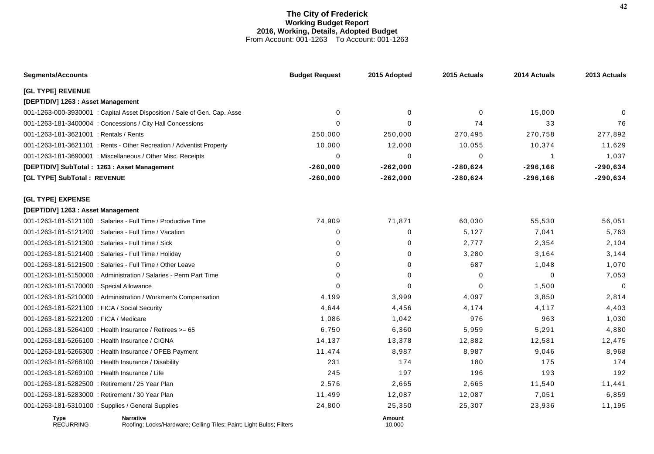# **The City of Frederick Working Budget Report 2016, Working, Details, Adopted Budget** From Account: 001-1263 To Account: 001-1263

| <b>Segments/Accounts</b>                       |                                                                          | <b>Budget Request</b> | 2015 Adopted | 2015 Actuals | 2014 Actuals | 2013 Actuals |
|------------------------------------------------|--------------------------------------------------------------------------|-----------------------|--------------|--------------|--------------|--------------|
| [GL TYPE] REVENUE                              |                                                                          |                       |              |              |              |              |
| [DEPT/DIV] 1263 : Asset Management             |                                                                          |                       |              |              |              |              |
|                                                | 001-1263-000-3930001: Capital Asset Disposition / Sale of Gen. Cap. Asse | 0                     | $\Omega$     | $\mathbf 0$  | 15,000       | $\Omega$     |
|                                                | 001-1263-181-3400004 : Concessions / City Hall Concessions               | $\Omega$              | $\Omega$     | 74           | 33           | 76           |
| 001-1263-181-3621001 : Rentals / Rents         |                                                                          | 250,000               | 250,000      | 270,495      | 270,758      | 277,892      |
|                                                | 001-1263-181-3621101 : Rents - Other Recreation / Adventist Property     | 10,000                | 12,000       | 10,055       | 10,374       | 11,629       |
|                                                | 001-1263-181-3690001 : Miscellaneous / Other Misc. Receipts              | 0                     | 0            | 0            | $\mathbf 1$  | 1,037        |
|                                                | [DEPT/DIV] SubTotal: 1263: Asset Management                              | $-260,000$            | $-262,000$   | $-280,624$   | $-296, 166$  | $-290,634$   |
| [GL TYPE] SubTotal: REVENUE                    |                                                                          | $-260,000$            | $-262,000$   | $-280,624$   | $-296,166$   | $-290,634$   |
| [GL TYPE] EXPENSE                              |                                                                          |                       |              |              |              |              |
| [DEPT/DIV] 1263 : Asset Management             |                                                                          |                       |              |              |              |              |
|                                                | 001-1263-181-5121100 : Salaries - Full Time / Productive Time            | 74,909                | 71,871       | 60,030       | 55,530       | 56,051       |
|                                                | 001-1263-181-5121200 : Salaries - Full Time / Vacation                   | 0                     | $\Omega$     | 5,127        | 7,041        | 5,763        |
|                                                | 001-1263-181-5121300 : Salaries - Full Time / Sick                       | 0                     | 0            | 2,777        | 2,354        | 2,104        |
|                                                | 001-1263-181-5121400 : Salaries - Full Time / Holiday                    | 0                     | $\Omega$     | 3,280        | 3,164        | 3,144        |
|                                                | 001-1263-181-5121500 : Salaries - Full Time / Other Leave                | 0                     | $\Omega$     | 687          | 1,048        | 1,070        |
|                                                | 001-1263-181-5150000: Administration / Salaries - Perm Part Time         | $\Omega$              | $\Omega$     | 0            | 0            | 7,053        |
| 001-1263-181-5170000 : Special Allowance       |                                                                          | 0                     | 0            | 0            | 1,500        | $\mathbf 0$  |
|                                                | 001-1263-181-5210000: Administration / Workmen's Compensation            | 4,199                 | 3,999        | 4,097        | 3,850        | 2,814        |
| 001-1263-181-5221100 : FICA / Social Security  |                                                                          | 4,644                 | 4,456        | 4,174        | 4,117        | 4,403        |
| 001-1263-181-5221200 : FICA / Medicare         |                                                                          | 1,086                 | 1,042        | 976          | 963          | 1,030        |
|                                                | 001-1263-181-5264100 : Health Insurance / Retirees >= 65                 | 6,750                 | 6,360        | 5,959        | 5,291        | 4,880        |
|                                                | 001-1263-181-5266100 : Health Insurance / CIGNA                          | 14,137                | 13,378       | 12,882       | 12,581       | 12,475       |
|                                                | 001-1263-181-5266300 : Health Insurance / OPEB Payment                   | 11,474                | 8,987        | 8,987        | 9,046        | 8,968        |
|                                                | 001-1263-181-5268100 : Health Insurance / Disability                     | 231                   | 174          | 180          | 175          | 174          |
| 001-1263-181-5269100 : Health Insurance / Life |                                                                          | 245                   | 197          | 196          | 193          | 192          |
|                                                | 001-1263-181-5282500: Retirement / 25 Year Plan                          | 2,576                 | 2,665        | 2,665        | 11,540       | 11,441       |
|                                                | 001-1263-181-5283000: Retirement / 30 Year Plan                          | 11,499                | 12,087       | 12,087       | 7,051        | 6,859        |
|                                                | 001-1263-181-5310100 : Supplies / General Supplies                       | 24,800                | 25,350       | 25,307       | 23,936       | 11,195       |
| <b>Type</b>                                    | <b>Narrative</b>                                                         |                       | Amount       |              |              |              |

RECURRING Roofing; Locks/Hardware; Ceiling Tiles; Paint; Light Bulbs; Filters 10,000 Roofing; 10,000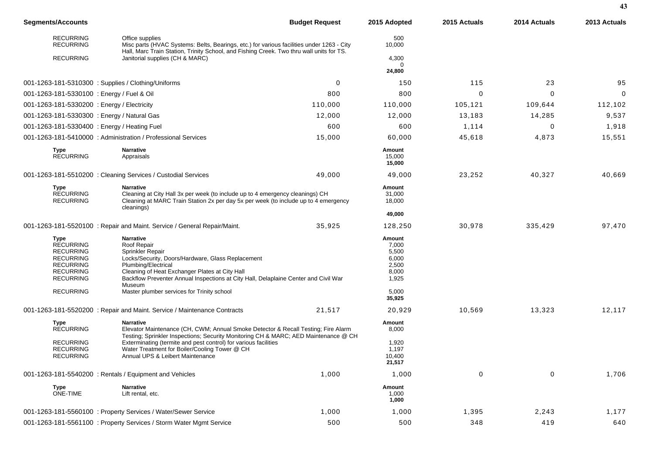| <b>Segments/Accounts</b>                                                                                                                         |                                                                                                                                                                                                                                                                                                                           | <b>Budget Request</b> | 2015 Adopted                                                                    | 2015 Actuals | 2014 Actuals | 2013 Actuals |
|--------------------------------------------------------------------------------------------------------------------------------------------------|---------------------------------------------------------------------------------------------------------------------------------------------------------------------------------------------------------------------------------------------------------------------------------------------------------------------------|-----------------------|---------------------------------------------------------------------------------|--------------|--------------|--------------|
| <b>RECURRING</b><br><b>RECURRING</b>                                                                                                             | Office supplies<br>Misc parts (HVAC Systems: Belts, Bearings, etc.) for various facilities under 1263 - City<br>Hall, Marc Train Station, Trinity School, and Fishing Creek. Two thru wall units for TS.                                                                                                                  |                       | 500<br>10,000                                                                   |              |              |              |
| <b>RECURRING</b>                                                                                                                                 | Janitorial supplies (CH & MARC)                                                                                                                                                                                                                                                                                           |                       | 4,300<br>$\Omega$<br>24,800                                                     |              |              |              |
| 001-1263-181-5310300: Supplies / Clothing/Uniforms                                                                                               |                                                                                                                                                                                                                                                                                                                           | 0                     | 150                                                                             | 115          | 23           | 95           |
| 001-1263-181-5330100 : Energy / Fuel & Oil                                                                                                       |                                                                                                                                                                                                                                                                                                                           | 800                   | 800                                                                             | $\mathbf 0$  | $\Omega$     | $\Omega$     |
| 001-1263-181-5330200 : Energy / Electricity                                                                                                      |                                                                                                                                                                                                                                                                                                                           | 110,000               | 110,000                                                                         | 105,121      | 109,644      | 112,102      |
| 001-1263-181-5330300 : Energy / Natural Gas                                                                                                      |                                                                                                                                                                                                                                                                                                                           | 12,000                | 12,000                                                                          | 13,183       | 14,285       | 9,537        |
| 001-1263-181-5330400 : Energy / Heating Fuel                                                                                                     |                                                                                                                                                                                                                                                                                                                           | 600                   | 600                                                                             | 1,114        | $\mathbf 0$  | 1,918        |
|                                                                                                                                                  | 001-1263-181-5410000 : Administration / Professional Services                                                                                                                                                                                                                                                             | 15,000                | 60,000                                                                          | 45,618       | 4,873        | 15,551       |
| Type<br><b>RECURRING</b>                                                                                                                         | <b>Narrative</b><br>Appraisals                                                                                                                                                                                                                                                                                            |                       | Amount<br>15,000<br>15,000                                                      |              |              |              |
|                                                                                                                                                  | 001-1263-181-5510200 : Cleaning Services / Custodial Services                                                                                                                                                                                                                                                             | 49,000                | 49,000                                                                          | 23,252       | 40,327       | 40,669       |
| Type<br><b>RECURRING</b><br><b>RECURRING</b>                                                                                                     | <b>Narrative</b><br>Cleaning at City Hall 3x per week (to include up to 4 emergency cleanings) CH<br>Cleaning at MARC Train Station 2x per day 5x per week (to include up to 4 emergency<br>cleanings)                                                                                                                    |                       | Amount<br>31,000<br>18,000                                                      |              |              |              |
|                                                                                                                                                  |                                                                                                                                                                                                                                                                                                                           |                       | 49,000                                                                          |              |              |              |
|                                                                                                                                                  | 001-1263-181-5520100 : Repair and Maint. Service / General Repair/Maint.                                                                                                                                                                                                                                                  | 35,925                | 128,250                                                                         | 30,978       | 335,429      | 97,470       |
| Type<br><b>RECURRING</b><br><b>RECURRING</b><br><b>RECURRING</b><br><b>RECURRING</b><br><b>RECURRING</b><br><b>RECURRING</b><br><b>RECURRING</b> | Narrative<br>Roof Repair<br>Sprinkler Repair<br>Locks/Security, Doors/Hardware, Glass Replacement<br>Plumbing/Electrical<br>Cleaning of Heat Exchanger Plates at City Hall<br>Backflow Preventer Annual Inspections at City Hall, Delaplaine Center and Civil War<br>Museum<br>Master plumber services for Trinity school |                       | Amount<br>7,000<br>5,500<br>6,000<br>2,500<br>8,000<br>1,925<br>5,000<br>35,925 |              |              |              |
|                                                                                                                                                  | 001-1263-181-5520200: Repair and Maint. Service / Maintenance Contracts                                                                                                                                                                                                                                                   | 21.517                | 20,929                                                                          | 10,569       | 13,323       | 12,117       |
| Type<br><b>RECURRING</b>                                                                                                                         | <b>Narrative</b><br>Elevator Maintenance (CH, CWM; Annual Smoke Detector & Recall Testing; Fire Alarm                                                                                                                                                                                                                     |                       | Amount<br>8,000                                                                 |              |              |              |
| <b>RECURRING</b><br><b>RECURRING</b><br><b>RECURRING</b>                                                                                         | Testing; Sprinkler Inspections; Security Monitoring CH & MARC; AED Maintenance @ CH<br>Exterminating (termite and pest control) for various facilities<br>Water Treatment for Boiler/Cooling Tower @ CH<br>Annual UPS & Leibert Maintenance                                                                               |                       | 1,920<br>1,197<br>10,400<br>21,517                                              |              |              |              |
|                                                                                                                                                  | 001-1263-181-5540200: Rentals / Equipment and Vehicles                                                                                                                                                                                                                                                                    | 1,000                 | 1,000                                                                           | 0            | 0            | 1,706        |
| <b>Type</b><br>ONE-TIME                                                                                                                          | Narrative<br>Lift rental, etc.                                                                                                                                                                                                                                                                                            |                       | Amount<br>1,000<br>1,000                                                        |              |              |              |
|                                                                                                                                                  | 001-1263-181-5560100 : Property Services / Water/Sewer Service                                                                                                                                                                                                                                                            | 1,000                 | 1,000                                                                           | 1,395        | 2,243        | 1,177        |
|                                                                                                                                                  | 001-1263-181-5561100 : Property Services / Storm Water Mgmt Service                                                                                                                                                                                                                                                       | 500                   | 500                                                                             | 348          | 419          | 640          |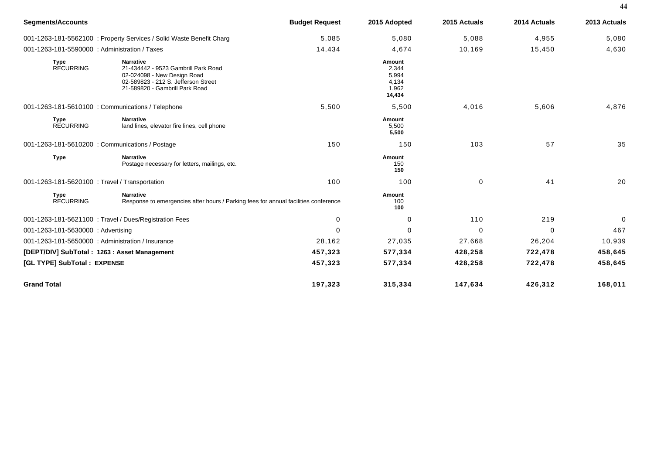| <b>Segments/Accounts</b>                               |                                                                                                                                                                 | <b>Budget Request</b> | 2015 Adopted                                         | 2015 Actuals | 2014 Actuals | 2013 Actuals |
|--------------------------------------------------------|-----------------------------------------------------------------------------------------------------------------------------------------------------------------|-----------------------|------------------------------------------------------|--------------|--------------|--------------|
|                                                        | 001-1263-181-5562100 : Property Services / Solid Waste Benefit Charg                                                                                            | 5,085                 | 5,080                                                | 5,088        | 4,955        | 5,080        |
| 001-1263-181-5590000 : Administration / Taxes          |                                                                                                                                                                 | 14,434                | 4,674                                                | 10,169       | 15,450       | 4,630        |
| <b>Type</b><br><b>RECURRING</b>                        | <b>Narrative</b><br>21-434442 - 9523 Gambrill Park Road<br>02-024098 - New Design Road<br>02-589823 - 212 S. Jefferson Street<br>21-589820 - Gambrill Park Road |                       | Amount<br>2,344<br>5,994<br>4,134<br>1,962<br>14,434 |              |              |              |
| 001-1263-181-5610100 : Communications / Telephone      |                                                                                                                                                                 | 5,500                 | 5,500                                                | 4,016        | 5,606        | 4,876        |
| <b>Type</b><br><b>RECURRING</b>                        | <b>Narrative</b><br>land lines, elevator fire lines, cell phone                                                                                                 |                       | Amount<br>5,500<br>5,500                             |              |              |              |
| 001-1263-181-5610200 : Communications / Postage        |                                                                                                                                                                 | 150                   | 150                                                  | 103          | 57           | 35           |
| <b>Type</b>                                            | <b>Narrative</b><br>Postage necessary for letters, mailings, etc.                                                                                               |                       | Amount<br>150<br>150                                 |              |              |              |
| 001-1263-181-5620100 : Travel / Transportation         |                                                                                                                                                                 | 100                   | 100                                                  | 0            | 41           | 20           |
| <b>Type</b><br><b>RECURRING</b>                        | <b>Narrative</b><br>Response to emergencies after hours / Parking fees for annual facilities conference                                                         |                       | Amount<br>100<br>100                                 |              |              |              |
| 001-1263-181-5621100 : Travel / Dues/Registration Fees |                                                                                                                                                                 | 0                     | $\mathbf 0$                                          | 110          | 219          | 0            |
| 001-1263-181-5630000 : Advertising                     |                                                                                                                                                                 | 0                     | $\Omega$                                             | 0            | $\mathbf 0$  | 467          |
| 001-1263-181-5650000 : Administration / Insurance      |                                                                                                                                                                 | 28,162                | 27,035                                               | 27,668       | 26,204       | 10,939       |
| [DEPT/DIV] SubTotal: 1263: Asset Management            |                                                                                                                                                                 | 457,323               | 577,334                                              | 428,258      | 722,478      | 458,645      |
| [GL TYPE] SubTotal: EXPENSE                            |                                                                                                                                                                 | 457,323               | 577,334                                              | 428,258      | 722,478      | 458,645      |
| <b>Grand Total</b>                                     |                                                                                                                                                                 | 197,323               | 315,334                                              | 147,634      | 426,312      | 168,011      |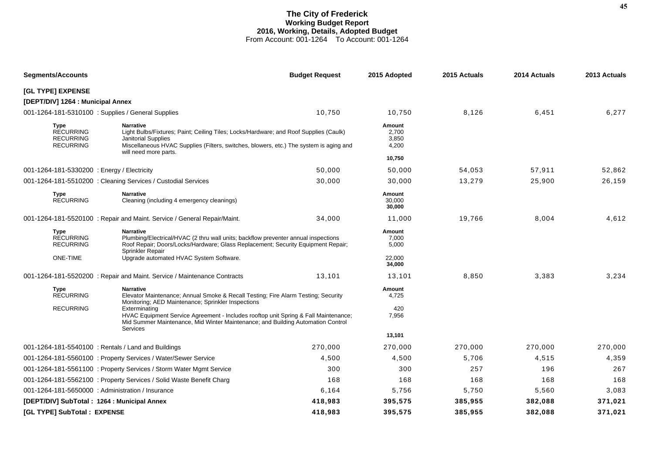# **The City of Frederick Working Budget Report 2016, Working, Details, Adopted Budget** From Account: 001-1264 To Account: 001-1264

| <b>Segments/Accounts</b>                                         |                                                                                                                                                                                                                                                            | <b>Budget Request</b> | 2015 Adopted                      | 2015 Actuals | 2014 Actuals | 2013 Actuals |
|------------------------------------------------------------------|------------------------------------------------------------------------------------------------------------------------------------------------------------------------------------------------------------------------------------------------------------|-----------------------|-----------------------------------|--------------|--------------|--------------|
| [GL TYPE] EXPENSE                                                |                                                                                                                                                                                                                                                            |                       |                                   |              |              |              |
| [DEPT/DIV] 1264 : Municipal Annex                                |                                                                                                                                                                                                                                                            |                       |                                   |              |              |              |
|                                                                  | 001-1264-181-5310100 : Supplies / General Supplies                                                                                                                                                                                                         | 10,750                | 10.750                            | 8,126        | 6,451        | 6,277        |
| Type<br><b>RECURRING</b><br><b>RECURRING</b><br><b>RECURRING</b> | <b>Narrative</b><br>Light Bulbs/Fixtures; Paint; Ceiling Tiles; Locks/Hardware; and Roof Supplies (Caulk)<br><b>Janitorial Supplies</b><br>Miscellaneous HVAC Supplies (Filters, switches, blowers, etc.) The system is aging and<br>will need more parts. |                       | Amount<br>2,700<br>3,850<br>4,200 |              |              |              |
|                                                                  |                                                                                                                                                                                                                                                            |                       | 10,750                            |              |              |              |
| 001-1264-181-5330200 : Energy / Electricity                      |                                                                                                                                                                                                                                                            | 50,000                | 50,000                            | 54,053       | 57,911       | 52,862       |
|                                                                  | 001-1264-181-5510200 : Cleaning Services / Custodial Services                                                                                                                                                                                              | 30,000                | 30,000                            | 13,279       | 25,900       | 26,159       |
| <b>Type</b><br><b>RECURRING</b>                                  | <b>Narrative</b><br>Cleaning (including 4 emergency cleanings)                                                                                                                                                                                             |                       | Amount<br>30,000<br>30,000        |              |              |              |
|                                                                  | 001-1264-181-5520100 : Repair and Maint. Service / General Repair/Maint.                                                                                                                                                                                   | 34,000                | 11,000                            | 19,766       | 8,004        | 4,612        |
| <b>Type</b><br><b>RECURRING</b><br><b>RECURRING</b>              | <b>Narrative</b><br>Plumbing/Electrical/HVAC (2 thru wall units; backflow preventer annual inspections<br>Roof Repair; Doors/Locks/Hardware; Glass Replacement; Security Equipment Repair;<br>Sprinkler Repair                                             |                       | Amount<br>7,000<br>5,000          |              |              |              |
| <b>ONE-TIME</b>                                                  | Upgrade automated HVAC System Software.                                                                                                                                                                                                                    |                       | 22,000<br>34,000                  |              |              |              |
|                                                                  | 001-1264-181-5520200 : Repair and Maint. Service / Maintenance Contracts                                                                                                                                                                                   | 13,101                | 13,101                            | 8,850        | 3,383        | 3,234        |
| <b>Type</b><br><b>RECURRING</b>                                  | <b>Narrative</b><br>Elevator Maintenance; Annual Smoke & Recall Testing; Fire Alarm Testing; Security<br>Monitoring; AED Maintenance; Sprinkler Inspections                                                                                                |                       | Amount<br>4,725                   |              |              |              |
| <b>RECURRING</b>                                                 | Exterminating<br>HVAC Equipment Service Agreement - Includes rooftop unit Spring & Fall Maintenance;<br>Mid Summer Maintenance, Mid Winter Maintenance; and Building Automation Control<br>Services                                                        |                       | 420<br>7,956                      |              |              |              |
|                                                                  |                                                                                                                                                                                                                                                            |                       | 13,101                            |              |              |              |
|                                                                  | 001-1264-181-5540100 : Rentals / Land and Buildings                                                                                                                                                                                                        | 270,000               | 270,000                           | 270,000      | 270,000      | 270,000      |
|                                                                  | 001-1264-181-5560100: Property Services / Water/Sewer Service                                                                                                                                                                                              | 4,500                 | 4,500                             | 5,706        | 4,515        | 4,359        |
|                                                                  | 001-1264-181-5561100 : Property Services / Storm Water Mgmt Service                                                                                                                                                                                        | 300                   | 300                               | 257          | 196          | 267          |
|                                                                  | 001-1264-181-5562100 : Property Services / Solid Waste Benefit Charg                                                                                                                                                                                       | 168                   | 168                               | 168          | 168          | 168          |
|                                                                  | 001-1264-181-5650000 : Administration / Insurance                                                                                                                                                                                                          | 6,164                 | 5,756                             | 5,750        | 5,560        | 3,083        |
| [DEPT/DIV] SubTotal: 1264: Municipal Annex                       |                                                                                                                                                                                                                                                            | 418,983               | 395,575                           | 385,955      | 382,088      | 371,021      |
| [GL TYPE] SubTotal: EXPENSE                                      |                                                                                                                                                                                                                                                            | 418.983               | 395,575                           | 385.955      | 382.088      | 371,021      |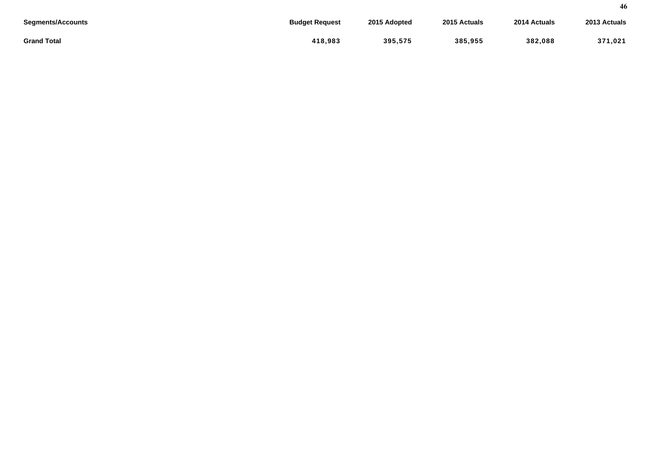| <b>Segments/Accounts</b> | <b>Budget Request</b> | 2015 Adopted | 2015 Actuals | 2014 Actuals | 2013 Actuals |
|--------------------------|-----------------------|--------------|--------------|--------------|--------------|
| <b>Grand Total</b>       | 418.983               | 395.575      | 385.955      | 382.088      | 371,021      |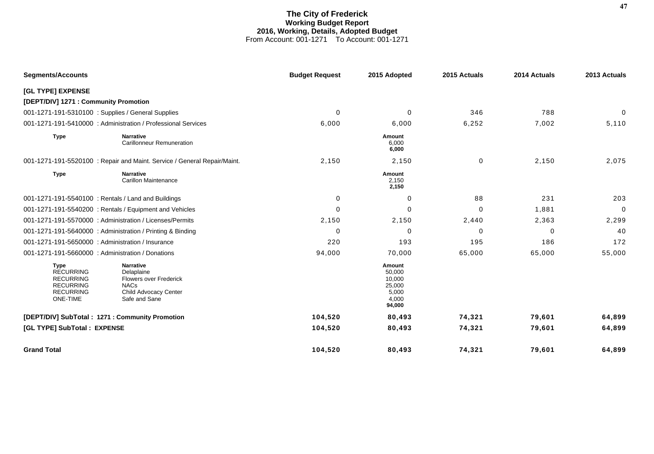# **The City of Frederick Working Budget Report 2016, Working, Details, Adopted Budget** From Account: 001-1271 To Account: 001-1271

| <b>Segments/Accounts</b>                                                                                       |                                                                                                                          | <b>Budget Request</b> | 2015 Adopted                                                     | 2015 Actuals | 2014 Actuals | 2013 Actuals |
|----------------------------------------------------------------------------------------------------------------|--------------------------------------------------------------------------------------------------------------------------|-----------------------|------------------------------------------------------------------|--------------|--------------|--------------|
| [GL TYPE] EXPENSE                                                                                              |                                                                                                                          |                       |                                                                  |              |              |              |
| [DEPT/DIV] 1271 : Community Promotion                                                                          |                                                                                                                          |                       |                                                                  |              |              |              |
|                                                                                                                | 001-1271-191-5310100 : Supplies / General Supplies                                                                       | $\mathbf 0$           | 0                                                                | 346          | 788          | 0            |
|                                                                                                                | 001-1271-191-5410000: Administration / Professional Services                                                             | 6,000                 | 6,000                                                            | 6,252        | 7,002        | 5,110        |
| <b>Type</b>                                                                                                    | <b>Narrative</b><br><b>Carillonneur Remuneration</b>                                                                     |                       | Amount<br>6,000<br>6,000                                         |              |              |              |
|                                                                                                                | 001-1271-191-5520100 : Repair and Maint. Service / General Repair/Maint.                                                 | 2,150                 | 2,150                                                            | 0            | 2,150        | 2,075        |
| <b>Type</b>                                                                                                    | <b>Narrative</b><br><b>Carillon Maintenance</b>                                                                          |                       | Amount<br>2,150<br>2,150                                         |              |              |              |
|                                                                                                                | 001-1271-191-5540100 : Rentals / Land and Buildings                                                                      | 0                     | $\Omega$                                                         | 88           | 231          | 203          |
|                                                                                                                | 001-1271-191-5540200: Rentals / Equipment and Vehicles                                                                   | 0                     | $\Omega$                                                         | 0            | 1,881        | $\Omega$     |
|                                                                                                                | 001-1271-191-5570000: Administration / Licenses/Permits                                                                  | 2,150                 | 2,150                                                            | 2,440        | 2,363        | 2,299        |
|                                                                                                                | 001-1271-191-5640000: Administration / Printing & Binding                                                                | $\Omega$              | $\Omega$                                                         | 0            | 0            | 40           |
|                                                                                                                | 001-1271-191-5650000 : Administration / Insurance                                                                        | 220                   | 193                                                              | 195          | 186          | 172          |
|                                                                                                                | 001-1271-191-5660000 : Administration / Donations                                                                        | 94,000                | 70,000                                                           | 65,000       | 65,000       | 55,000       |
| <b>Type</b><br><b>RECURRING</b><br><b>RECURRING</b><br><b>RECURRING</b><br><b>RECURRING</b><br><b>ONE-TIME</b> | <b>Narrative</b><br>Delaplaine<br><b>Flowers over Frederick</b><br><b>NACs</b><br>Child Advocacy Center<br>Safe and Sane |                       | Amount<br>50,000<br>10,000<br>25,000<br>5,000<br>4,000<br>94,000 |              |              |              |
|                                                                                                                | [DEPT/DIV] SubTotal: 1271: Community Promotion                                                                           | 104,520               | 80,493                                                           | 74,321       | 79,601       | 64,899       |
| [GL TYPE] SubTotal: EXPENSE                                                                                    |                                                                                                                          | 104,520               | 80,493                                                           | 74,321       | 79,601       | 64,899       |
| <b>Grand Total</b>                                                                                             |                                                                                                                          | 104,520               | 80,493                                                           | 74,321       | 79,601       | 64,899       |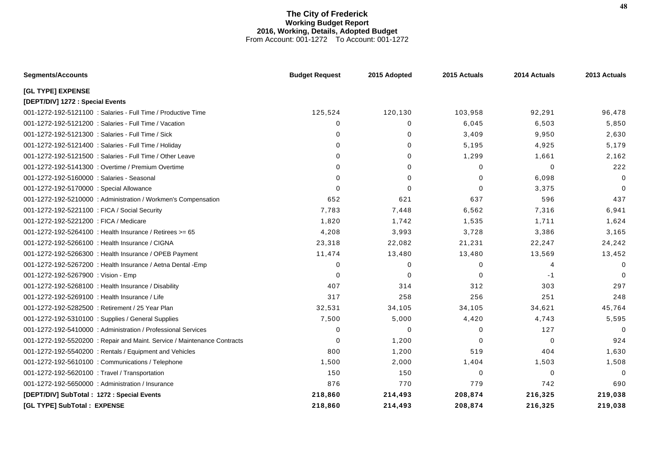# **The City of Frederick Working Budget Report 2016, Working, Details, Adopted Budget** From Account: 001-1272 To Account: 001-1272

| <b>Segments/Accounts</b>                                                | <b>Budget Request</b> | 2015 Adopted | 2015 Actuals | 2014 Actuals | 2013 Actuals |
|-------------------------------------------------------------------------|-----------------------|--------------|--------------|--------------|--------------|
| [GL TYPE] EXPENSE                                                       |                       |              |              |              |              |
| [DEPT/DIV] 1272 : Special Events                                        |                       |              |              |              |              |
| 001-1272-192-5121100 : Salaries - Full Time / Productive Time           | 125,524               | 120,130      | 103,958      | 92,291       | 96,478       |
| 001-1272-192-5121200 : Salaries - Full Time / Vacation                  | 0                     | 0            | 6,045        | 6,503        | 5,850        |
| 001-1272-192-5121300 : Salaries - Full Time / Sick                      | 0                     | $\Omega$     | 3,409        | 9,950        | 2,630        |
| 001-1272-192-5121400 : Salaries - Full Time / Holiday                   | 0                     | 0            | 5,195        | 4,925        | 5,179        |
| 001-1272-192-5121500 : Salaries - Full Time / Other Leave               | $\Omega$              | $\Omega$     | 1,299        | 1,661        | 2,162        |
| 001-1272-192-5141300 : Overtime / Premium Overtime                      | $\Omega$              | $\Omega$     | 0            | 0            | 222          |
| 001-1272-192-5160000 : Salaries - Seasonal                              | 0                     | $\Omega$     | 0            | 6,098        | $\Omega$     |
| 001-1272-192-5170000 : Special Allowance                                | O                     | $\Omega$     | $\Omega$     | 3,375        | $\Omega$     |
| 001-1272-192-5210000: Administration / Workmen's Compensation           | 652                   | 621          | 637          | 596          | 437          |
| 001-1272-192-5221100 : FICA / Social Security                           | 7.783                 | 7,448        | 6,562        | 7,316        | 6,941        |
| 001-1272-192-5221200 : FICA / Medicare                                  | 1,820                 | 1,742        | 1,535        | 1,711        | 1,624        |
| 001-1272-192-5264100 : Health Insurance / Retirees >= 65                | 4,208                 | 3,993        | 3,728        | 3,386        | 3,165        |
| 001-1272-192-5266100 : Health Insurance / CIGNA                         | 23,318                | 22,082       | 21,231       | 22,247       | 24,242       |
| 001-1272-192-5266300 : Health Insurance / OPEB Payment                  | 11,474                | 13,480       | 13,480       | 13,569       | 13,452       |
| 001-1272-192-5267200 : Health Insurance / Aetna Dental - Emp            | 0                     | 0            | 0            | 4            | $\Omega$     |
| 001-1272-192-5267900 : Vision - Emp                                     | $\Omega$              | $\Omega$     | 0            | -1           | $\Omega$     |
| 001-1272-192-5268100 : Health Insurance / Disability                    | 407                   | 314          | 312          | 303          | 297          |
| 001-1272-192-5269100 : Health Insurance / Life                          | 317                   | 258          | 256          | 251          | 248          |
| 001-1272-192-5282500 : Retirement / 25 Year Plan                        | 32,531                | 34,105       | 34,105       | 34,621       | 45,764       |
| 001-1272-192-5310100 : Supplies / General Supplies                      | 7,500                 | 5,000        | 4,420        | 4,743        | 5,595        |
| 001-1272-192-5410000: Administration / Professional Services            | 0                     | $\Omega$     | 0            | 127          |              |
| 001-1272-192-5520200: Repair and Maint. Service / Maintenance Contracts | 0                     | 1,200        | 0            | $\mathbf 0$  | 924          |
| 001-1272-192-5540200: Rentals / Equipment and Vehicles                  | 800                   | 1,200        | 519          | 404          | 1,630        |
| 001-1272-192-5610100 : Communications / Telephone                       | 1,500                 | 2,000        | 1,404        | 1,503        | 1,508        |
| 001-1272-192-5620100 : Travel / Transportation                          | 150                   | 150          | 0            | 0            | $\Omega$     |
| 001-1272-192-5650000 : Administration / Insurance                       | 876                   | 770          | 779          | 742          | 690          |
| [DEPT/DIV] SubTotal: 1272 : Special Events                              | 218,860               | 214,493      | 208,874      | 216,325      | 219,038      |
| [GL TYPE] SubTotal: EXPENSE                                             | 218.860               | 214,493      | 208.874      | 216.325      | 219,038      |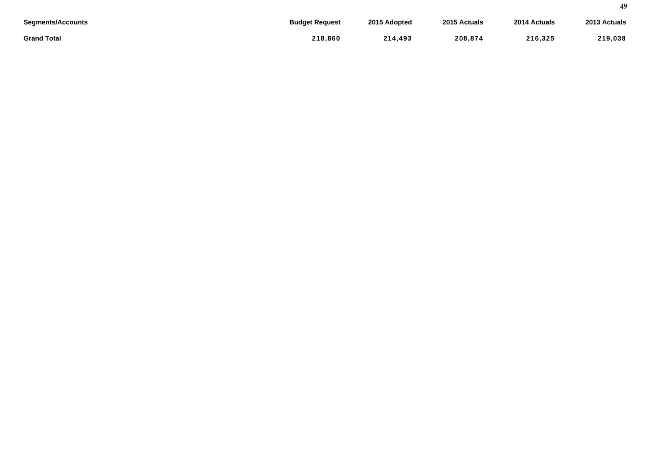| <b>Segments/Accounts</b> | <b>Budget Request</b> | 2015 Adopted | 2015 Actuals | 2014 Actuals | 2013 Actuals |
|--------------------------|-----------------------|--------------|--------------|--------------|--------------|
| <b>Grand Total</b>       | 218,860               | 214.493      | 208.874      | 216.325      | 219,038      |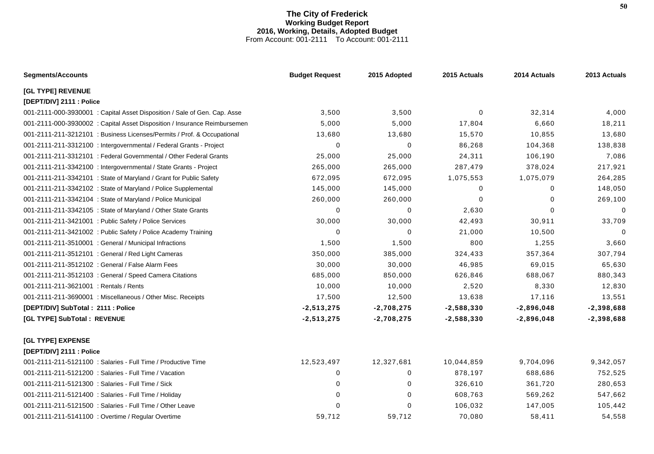# **The City of Frederick Working Budget Report 2016, Working, Details, Adopted Budget** From Account: 001-2111 To Account: 001-2111

| <b>Segments/Accounts</b>                                                  | <b>Budget Request</b> | 2015 Adopted | 2015 Actuals | 2014 Actuals | 2013 Actuals |
|---------------------------------------------------------------------------|-----------------------|--------------|--------------|--------------|--------------|
| [GL TYPE] REVENUE                                                         |                       |              |              |              |              |
| [DEPT/DIV] 2111 : Police                                                  |                       |              |              |              |              |
| 001-2111-000-3930001 : Capital Asset Disposition / Sale of Gen. Cap. Asse | 3,500                 | 3,500        | $\mathbf 0$  | 32,314       | 4,000        |
| 001-2111-000-3930002 : Capital Asset Disposition / Insurance Reimbursemen | 5,000                 | 5,000        | 17,804       | 6,660        | 18,211       |
| 001-2111-211-3212101 : Business Licenses/Permits / Prof. & Occupational   | 13,680                | 13,680       | 15,570       | 10,855       | 13,680       |
| 001-2111-211-3312100 : Intergovernmental / Federal Grants - Project       | 0                     | 0            | 86,268       | 104,368      | 138,838      |
| 001-2111-211-3312101 : Federal Governmental / Other Federal Grants        | 25,000                | 25,000       | 24,311       | 106,190      | 7,086        |
| 001-2111-211-3342100 : Intergovernmental / State Grants - Project         | 265,000               | 265,000      | 287,479      | 378,024      | 217,921      |
| 001-2111-211-3342101 : State of Maryland / Grant for Public Safety        | 672,095               | 672,095      | 1,075,553    | 1,075,079    | 264,285      |
| 001-2111-211-3342102 : State of Maryland / Police Supplemental            | 145,000               | 145,000      | 0            | 0            | 148,050      |
| 001-2111-211-3342104 : State of Maryland / Police Municipal               | 260,000               | 260,000      | $\mathbf 0$  | $\Omega$     | 269,100      |
| 001-2111-211-3342105 : State of Maryland / Other State Grants             | 0                     | 0            | 2,630        | $\Omega$     | $\mathbf 0$  |
| 001-2111-211-3421001 : Public Safety / Police Services                    | 30,000                | 30,000       | 42,493       | 30,911       | 33,709       |
| 001-2111-211-3421002 : Public Safety / Police Academy Training            | $\mathbf 0$           | 0            | 21,000       | 10,500       | $\Omega$     |
| 001-2111-211-3510001 : General / Municipal Infractions                    | 1,500                 | 1,500        | 800          | 1,255        | 3,660        |
| 001-2111-211-3512101 : General / Red Light Cameras                        | 350,000               | 385,000      | 324,433      | 357,364      | 307,794      |
| 001-2111-211-3512102 : General / False Alarm Fees                         | 30,000                | 30,000       | 46,985       | 69,015       | 65,630       |
| 001-2111-211-3512103 : General / Speed Camera Citations                   | 685,000               | 850,000      | 626,846      | 688,067      | 880,343      |
| 001-2111-211-3621001 : Rentals / Rents                                    | 10,000                | 10,000       | 2,520        | 8,330        | 12,830       |
| 001-2111-211-3690001 : Miscellaneous / Other Misc. Receipts               | 17,500                | 12,500       | 13,638       | 17,116       | 13,551       |
| [DEPT/DIV] SubTotal: 2111: Police                                         | $-2,513,275$          | $-2,708,275$ | $-2,588,330$ | $-2,896,048$ | $-2,398,688$ |
| [GL TYPE] SubTotal: REVENUE                                               | $-2,513,275$          | $-2,708,275$ | $-2,588,330$ | $-2,896,048$ | $-2,398,688$ |
| [GL TYPE] EXPENSE                                                         |                       |              |              |              |              |
| [DEPT/DIV] 2111 : Police                                                  |                       |              |              |              |              |
| 001-2111-211-5121100 : Salaries - Full Time / Productive Time             | 12,523,497            | 12,327,681   | 10,044,859   | 9,704,096    | 9,342,057    |
| 001-2111-211-5121200 : Salaries - Full Time / Vacation                    | 0                     | 0            | 878,197      | 688,686      | 752,525      |
| 001-2111-211-5121300 : Salaries - Full Time / Sick                        | $\mathbf 0$           | 0            | 326,610      | 361,720      | 280,653      |
| 001-2111-211-5121400 : Salaries - Full Time / Holiday                     | 0                     | $\Omega$     | 608,763      | 569,262      | 547,662      |
| 001-2111-211-5121500 : Salaries - Full Time / Other Leave                 | 0                     | $\Omega$     | 106,032      | 147,005      | 105,442      |
| 001-2111-211-5141100 : Overtime / Regular Overtime                        | 59,712                | 59,712       | 70,080       | 58,411       | 54,558       |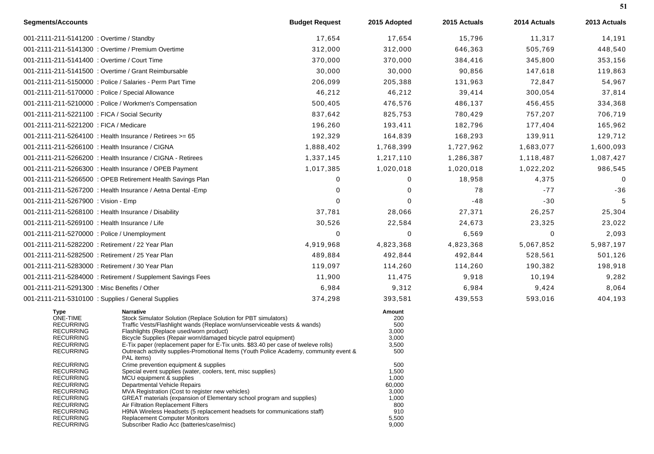| <b>Segments/Accounts</b>                                                            |                                                                                                                                                                                                                                                                               | <b>Budget Request</b> | 2015 Adopted                           | 2015 Actuals | 2014 Actuals | 2013 Actuals |
|-------------------------------------------------------------------------------------|-------------------------------------------------------------------------------------------------------------------------------------------------------------------------------------------------------------------------------------------------------------------------------|-----------------------|----------------------------------------|--------------|--------------|--------------|
| 001-2111-211-5141200 : Overtime / Standby                                           |                                                                                                                                                                                                                                                                               | 17,654                | 17.654                                 | 15,796       | 11,317       | 14,191       |
|                                                                                     | 001-2111-211-5141300 : Overtime / Premium Overtime                                                                                                                                                                                                                            | 312,000               | 312,000                                | 646,363      | 505,769      | 448,540      |
| 001-2111-211-5141400 : Overtime / Court Time                                        |                                                                                                                                                                                                                                                                               | 370,000               | 370,000                                | 384,416      | 345,800      | 353,156      |
|                                                                                     | 001-2111-211-5141500 : Overtime / Grant Reimbursable                                                                                                                                                                                                                          | 30,000                | 30,000                                 | 90,856       | 147,618      | 119,863      |
|                                                                                     | 001-2111-211-5150000 : Police / Salaries - Perm Part Time                                                                                                                                                                                                                     | 206,099               | 205,388                                | 131,963      | 72,847       | 54,967       |
|                                                                                     | 001-2111-211-5170000 : Police / Special Allowance                                                                                                                                                                                                                             | 46,212                | 46,212                                 | 39,414       | 300,054      | 37,814       |
|                                                                                     | 001-2111-211-5210000: Police / Workmen's Compensation                                                                                                                                                                                                                         | 500,405               | 476,576                                | 486,137      | 456,455      | 334,368      |
| 001-2111-211-5221100 : FICA / Social Security                                       |                                                                                                                                                                                                                                                                               | 837,642               | 825,753                                | 780,429      | 757,207      | 706,719      |
| 001-2111-211-5221200 : FICA / Medicare                                              |                                                                                                                                                                                                                                                                               | 196,260               | 193,411                                | 182,796      | 177,404      | 165,962      |
|                                                                                     | 001-2111-211-5264100 : Health Insurance / Retirees >= 65                                                                                                                                                                                                                      | 192,329               | 164,839                                | 168,293      | 139,911      | 129,712      |
|                                                                                     | 001-2111-211-5266100 : Health Insurance / CIGNA                                                                                                                                                                                                                               | 1,888,402             | 1,768,399                              | 1,727,962    | 1,683,077    | 1,600,093    |
|                                                                                     | 001-2111-211-5266200 : Health Insurance / CIGNA - Retirees                                                                                                                                                                                                                    | 1,337,145             | 1,217,110                              | 1,286,387    | 1,118,487    | 1,087,427    |
|                                                                                     | 001-2111-211-5266300 : Health Insurance / OPEB Payment                                                                                                                                                                                                                        | 1,017,385             | 1,020,018                              | 1,020,018    | 1,022,202    | 986,545      |
|                                                                                     | 001-2111-211-5266500 : OPEB Retirement Health Savings Plan                                                                                                                                                                                                                    | 0                     | 0                                      | 18,958       | 4,375        | 0            |
|                                                                                     | 001-2111-211-5267200 : Health Insurance / Aetna Dental - Emp                                                                                                                                                                                                                  | 0                     | $\Omega$                               | 78           | $-77$        | $-36$        |
| 001-2111-211-5267900 : Vision - Emp                                                 |                                                                                                                                                                                                                                                                               | 0                     | $\Omega$                               | $-48$        | $-30$        | 5            |
|                                                                                     | 001-2111-211-5268100 : Health Insurance / Disability                                                                                                                                                                                                                          | 37,781                | 28,066                                 | 27,371       | 26,257       | 25,304       |
| 001-2111-211-5269100 : Health Insurance / Life                                      |                                                                                                                                                                                                                                                                               | 30,526                | 22,584                                 | 24,673       | 23,325       | 23,022       |
| 001-2111-211-5270000 : Police / Unemployment                                        |                                                                                                                                                                                                                                                                               | 0                     | $\Omega$                               | 6,569        | $\mathbf 0$  | 2,093        |
|                                                                                     | 001-2111-211-5282200 : Retirement / 22 Year Plan                                                                                                                                                                                                                              | 4,919,968             | 4,823,368                              | 4,823,368    | 5,067,852    | 5,987,197    |
|                                                                                     | 001-2111-211-5282500 : Retirement / 25 Year Plan                                                                                                                                                                                                                              | 489,884               | 492,844                                | 492,844      | 528,561      | 501,126      |
|                                                                                     | 001-2111-211-5283000 : Retirement / 30 Year Plan                                                                                                                                                                                                                              | 119,097               | 114,260                                | 114,260      | 190,382      | 198,918      |
|                                                                                     | 001-2111-211-5284000: Retirement / Supplement Savings Fees                                                                                                                                                                                                                    | 11,900                | 11,475                                 | 9,918        | 10,194       | 9,282        |
| 001-2111-211-5291300 : Misc Benefits / Other                                        |                                                                                                                                                                                                                                                                               | 6,984                 | 9,312                                  | 6,984        | 9,424        | 8,064        |
|                                                                                     | 001-2111-211-5310100 : Supplies / General Supplies                                                                                                                                                                                                                            | 374,298               | 393,581                                | 439,553      | 593,016      | 404,193      |
| Type<br><b>ONE-TIME</b><br><b>RECURRING</b><br><b>RECURRING</b><br><b>RECURRING</b> | <b>Narrative</b><br>Stock Simulator Solution (Replace Solution for PBT simulators)<br>Traffic Vests/Flashlight wands (Replace worn/unserviceable vests & wands)<br>Flashlights (Replace used/worn product)<br>Bicycle Supplies (Repair worn/damaged bicycle patrol equipment) |                       | Amount<br>200<br>500<br>3,000<br>3,000 |              |              |              |

| <b>RECURRING</b> | Bicycle Supplies (Repair worn/damaged bicycle patrol equipment)                                     | 3,000  |
|------------------|-----------------------------------------------------------------------------------------------------|--------|
| <b>RECURRING</b> | E-Tix paper (replacement paper for E-Tix units, \$83.40 per case of tweleve rolls)                  | 3.500  |
| <b>RECURRING</b> | Outreach activity supplies-Promotional Items (Youth Police Academy, community event &<br>PAL items) | 500    |
| <b>RECURRING</b> | Crime prevention equipment & supplies                                                               | 500    |
| <b>RECURRING</b> | Special event supplies (water, coolers, tent, misc supplies)                                        | 1.500  |
| <b>RECURRING</b> | MCU equipment & supplies                                                                            | 1.000  |
| <b>RECURRING</b> | Departmental Vehicle Repairs                                                                        | 60,000 |
| <b>RECURRING</b> | MVA Registration (Cost to register new vehicles)                                                    | 3.000  |
| <b>RECURRING</b> | GREAT materials (expansion of Elementary school program and supplies)                               | 1.000  |
| <b>RECURRING</b> | Air Filtration Replacement Filters                                                                  | 800    |
| <b>RECURRING</b> | H9NA Wireless Headsets (5 replacement headsets for communications staff)                            | 910    |
| <b>RECURRING</b> | <b>Replacement Computer Monitors</b>                                                                | 5,500  |
| <b>RECURRING</b> | Subscriber Radio Acc (batteries/case/misc)                                                          | 9.000  |
|                  |                                                                                                     |        |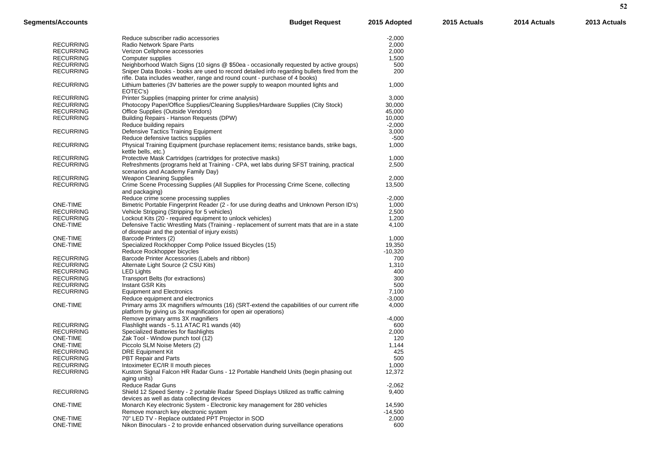| <b>Segments/Accounts</b> | <b>Budget Request</b>                                                                                                        | 2015 Adopted | 2015 Actuals | 2014 Actuals | 2013 Actuals |
|--------------------------|------------------------------------------------------------------------------------------------------------------------------|--------------|--------------|--------------|--------------|
|                          | Reduce subscriber radio accessories                                                                                          | $-2,000$     |              |              |              |
| <b>RECURRING</b>         | Radio Network Spare Parts                                                                                                    | 2,000        |              |              |              |
| <b>RECURRING</b>         | Verizon Cellphone accessories                                                                                                | 2,000        |              |              |              |
| <b>RECURRING</b>         | Computer supplies                                                                                                            | 1,500        |              |              |              |
| <b>RECURRING</b>         | Neighborhood Watch Signs (10 signs @ \$50ea - occasionally requested by active groups)                                       | 500          |              |              |              |
| <b>RECURRING</b>         | Sniper Data Books - books are used to record detailed info regarding bullets fired from the                                  | 200          |              |              |              |
|                          | rifle. Data includes weather, range and round count - purchase of 4 books)                                                   |              |              |              |              |
| <b>RECURRING</b>         | Lithium batteries (3V batteries are the power supply to weapon mounted lights and<br>EOTEC's)                                | 1,000        |              |              |              |
| <b>RECURRING</b>         | Printer Supplies (mapping printer for crime analysis)                                                                        | 3,000        |              |              |              |
| <b>RECURRING</b>         | Photocopy Paper/Office Supplies/Cleaning Supplies/Hardware Supplies (City Stock)                                             | 30,000       |              |              |              |
| <b>RECURRING</b>         | Office Supplies (Outside Vendors)                                                                                            | 45,000       |              |              |              |
| <b>RECURRING</b>         | Building Repairs - Hanson Requests (DPW)                                                                                     | 10,000       |              |              |              |
|                          | Reduce building repairs                                                                                                      | $-2,000$     |              |              |              |
| <b>RECURRING</b>         | Defensive Tactics Training Equipment                                                                                         | 3,000        |              |              |              |
|                          |                                                                                                                              |              |              |              |              |
|                          | Reduce defensive tactics supplies                                                                                            | $-500$       |              |              |              |
| <b>RECURRING</b>         | Physical Training Equipment (purchase replacement items; resistance bands, strike bags,<br>kettle bells, etc.)               | 1,000        |              |              |              |
| <b>RECURRING</b>         | Protective Mask Cartridges (cartridges for protective masks)                                                                 | 1,000        |              |              |              |
| <b>RECURRING</b>         | Refreshments (programs held at Training - CPA, wet labs during SFST training, practical<br>scenarios and Academy Family Day) | 2,500        |              |              |              |
| <b>RECURRING</b>         |                                                                                                                              | 2,000        |              |              |              |
|                          | <b>Weapon Cleaning Supplies</b>                                                                                              |              |              |              |              |
| <b>RECURRING</b>         | Crime Scene Processing Supplies (All Supplies for Processing Crime Scene, collecting<br>and packaging)                       | 13,500       |              |              |              |
|                          | Reduce crime scene processing supplies                                                                                       | $-2,000$     |              |              |              |
| <b>ONE-TIME</b>          | Bimetric Portable Fingerprint Reader (2 - for use during deaths and Unknown Person ID's)                                     | 1,000        |              |              |              |
| <b>RECURRING</b>         | Vehicle Stripping (Stripping for 5 vehicles)                                                                                 | 2,500        |              |              |              |
| <b>RECURRING</b>         | Lockout Kits (20 - required equipment to unlock vehicles)                                                                    | 1,200        |              |              |              |
|                          | Defensive Tactic Wrestling Mats (Training - replacement of surrent mats that are in a state                                  |              |              |              |              |
| <b>ONE-TIME</b>          | of disrepair and the potential of injury exists)                                                                             | 4,100        |              |              |              |
| <b>ONE-TIME</b>          | Barcode Printers (2)                                                                                                         | 1,000        |              |              |              |
|                          |                                                                                                                              |              |              |              |              |
| <b>ONE-TIME</b>          | Specialized Rockhopper Comp Police Issued Bicycles (15)                                                                      | 19,350       |              |              |              |
|                          | Reduce Rockhopper bicycles                                                                                                   | $-10,320$    |              |              |              |
| <b>RECURRING</b>         | Barcode Printer Accessories (Labels and ribbon)                                                                              | 700          |              |              |              |
| <b>RECURRING</b>         | Alternate Light Source (2 CSU Kits)                                                                                          | 1,310        |              |              |              |
| <b>RECURRING</b>         | <b>LED Lights</b>                                                                                                            | 400          |              |              |              |
| <b>RECURRING</b>         | Transport Belts (for extractions)                                                                                            | 300          |              |              |              |
| <b>RECURRING</b>         | <b>Instant GSR Kits</b>                                                                                                      | 500          |              |              |              |
| <b>RECURRING</b>         | <b>Equipment and Electronics</b>                                                                                             | 7,100        |              |              |              |
|                          | Reduce equipment and electronics                                                                                             | $-3,000$     |              |              |              |
| ONE-TIME                 | Primary arms 3X magnifiers w/mounts (16) (SRT-extend the capabilities of our current rifle                                   | 4,000        |              |              |              |
|                          | platform by giving us 3x magnification for open air operations)                                                              |              |              |              |              |
|                          | Remove primary arms 3X magnifiers                                                                                            | $-4,000$     |              |              |              |
| <b>RECURRING</b>         | Flashlight wands - 5.11 ATAC R1 wands (40)                                                                                   | 600          |              |              |              |
| <b>RECURRING</b>         | Specialized Batteries for flashlights                                                                                        | 2,000        |              |              |              |
| <b>ONE-TIME</b>          | Zak Tool - Window punch tool (12)                                                                                            | 120          |              |              |              |
| <b>ONE-TIME</b>          | Piccolo SLM Noise Meters (2)                                                                                                 | 1,144        |              |              |              |
| <b>RECURRING</b>         | DRE Equipment Kit                                                                                                            | 425          |              |              |              |
| <b>RECURRING</b>         | PBT Repair and Parts                                                                                                         | 500          |              |              |              |
| <b>RECURRING</b>         | Intoximeter EC/IR II mouth pieces                                                                                            | 1,000        |              |              |              |
| <b>RECURRING</b>         | Kustom Signal Falcon HR Radar Guns - 12 Portable Handheld Units (begin phasing out                                           | 12,372       |              |              |              |
|                          | aging units)                                                                                                                 |              |              |              |              |
|                          | Reduce Radar Guns                                                                                                            | $-2,062$     |              |              |              |
| <b>RECURRING</b>         | Shield 12 Speed Sentry - 2 portable Radar Speed Displays Utilized as traffic calming                                         | 9,400        |              |              |              |
|                          | devices as well as data collecting devices                                                                                   |              |              |              |              |
| <b>ONE-TIME</b>          | Monarch Key electronic System - Electronic key management for 280 vehicles                                                   | 14,590       |              |              |              |
|                          | Remove monarch key electronic system                                                                                         | $-14,500$    |              |              |              |
| <b>ONE-TIME</b>          | 70" LED TV - Replace outdated PPT Projector in SOD                                                                           | 2,000        |              |              |              |
| <b>ONE-TIME</b>          | Nikon Binoculars - 2 to provide enhanced observation during surveillance operations                                          | 600          |              |              |              |
|                          |                                                                                                                              |              |              |              |              |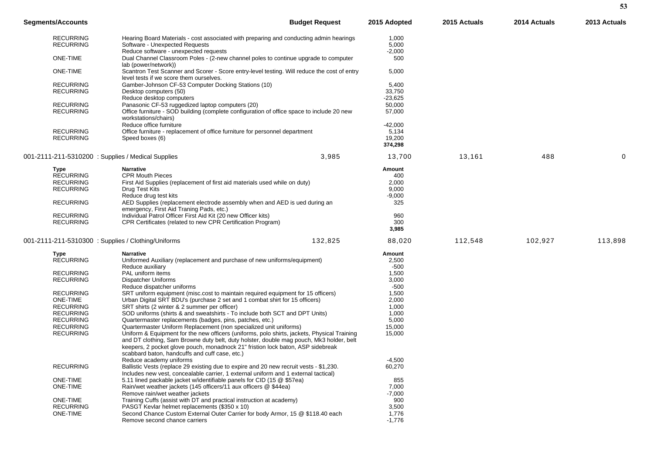| <b>Segments/Accounts</b>             | <b>Budget Request</b>                                                                                                                                           | 2015 Adopted      | 2015 Actuals | 2014 Actuals | 2013 Actuals |
|--------------------------------------|-----------------------------------------------------------------------------------------------------------------------------------------------------------------|-------------------|--------------|--------------|--------------|
| <b>RECURRING</b>                     | Hearing Board Materials - cost associated with preparing and conducting admin hearings                                                                          | 1,000             |              |              |              |
| <b>RECURRING</b>                     | Software - Unexpected Requests                                                                                                                                  | 5,000             |              |              |              |
|                                      | Reduce software - unexpected requests                                                                                                                           | $-2,000$          |              |              |              |
| <b>ONE-TIME</b>                      | Dual Channel Classroom Poles - (2-new channel poles to continue upgrade to computer<br>lab (power/network))                                                     | 500               |              |              |              |
| ONE-TIME                             | Scantron Test Scanner and Scorer - Score entry-level testing. Will reduce the cost of entry<br>level tests if we score them ourselves.                          | 5,000             |              |              |              |
| <b>RECURRING</b>                     | Gamber-Johnson CF-53 Computer Docking Stations (10)                                                                                                             | 5,400             |              |              |              |
| <b>RECURRING</b>                     | Desktop computers (50)                                                                                                                                          | 33,750            |              |              |              |
|                                      | Reduce desktop computers                                                                                                                                        | -23,625           |              |              |              |
| <b>RECURRING</b>                     | Panasonic CF-53 ruggedized laptop computers (20)                                                                                                                | 50,000            |              |              |              |
| <b>RECURRING</b>                     | Office furniture - SOD building (complete configuration of office space to include 20 new                                                                       | 57,000            |              |              |              |
|                                      | workstations/chairs)                                                                                                                                            |                   |              |              |              |
|                                      | Reduce office furniture                                                                                                                                         | -42,000           |              |              |              |
| <b>RECURRING</b><br><b>RECURRING</b> | Office furniture - replacement of office furniture for personnel department<br>Speed boxes (6)                                                                  | 5,134<br>19,200   |              |              |              |
|                                      |                                                                                                                                                                 | 374,298           |              |              |              |
|                                      |                                                                                                                                                                 |                   |              |              |              |
|                                      | 3,985<br>001-2111-211-5310200 : Supplies / Medical Supplies                                                                                                     | 13,700            | 13,161       | 488          | 0            |
| Type                                 | <b>Narrative</b>                                                                                                                                                | Amount            |              |              |              |
| <b>RECURRING</b>                     | <b>CPR Mouth Pieces</b>                                                                                                                                         | 400               |              |              |              |
| <b>RECURRING</b>                     | First Aid Supplies (replacement of first aid materials used while on duty)                                                                                      | 2,000             |              |              |              |
| <b>RECURRING</b>                     | Drug Test Kits<br>Reduce drug test kits                                                                                                                         | 9,000<br>$-9,000$ |              |              |              |
| <b>RECURRING</b>                     | AED Supplies (replacement electrode assembly when and AED is ued during an                                                                                      | 325               |              |              |              |
|                                      | emergency, First Aid Traning Pads, etc.)                                                                                                                        |                   |              |              |              |
| <b>RECURRING</b>                     | Individual Patrol Officer First Aid Kit (20 new Officer kits)                                                                                                   | 960               |              |              |              |
| <b>RECURRING</b>                     | CPR Certificates (related to new CPR Certification Program)                                                                                                     | 300               |              |              |              |
|                                      |                                                                                                                                                                 | 3,985             |              |              |              |
|                                      | 001-2111-211-5310300: Supplies / Clothing/Uniforms<br>132,825                                                                                                   | 88,020            | 112,548      | 102,927      | 113,898      |
| Type                                 | Narrative                                                                                                                                                       | Amount            |              |              |              |
| <b>RECURRING</b>                     | Uniformed Auxiliary (replacement and purchase of new uniforms/equipment)                                                                                        | 2,500             |              |              |              |
|                                      | Reduce auxiliary                                                                                                                                                | $-500$            |              |              |              |
| <b>RECURRING</b>                     | PAL uniform items                                                                                                                                               | 1,500             |              |              |              |
| <b>RECURRING</b>                     | <b>Dispatcher Uniforms</b>                                                                                                                                      | 3,000             |              |              |              |
|                                      | Reduce dispatcher uniforms                                                                                                                                      | $-500$            |              |              |              |
| <b>RECURRING</b><br><b>ONE-TIME</b>  | SRT uniform equipment (misc.cost to maintain required equipment for 15 officers)<br>Urban Digital SRT BDU's (purchase 2 set and 1 combat shirt for 15 officers) | 1,500<br>2,000    |              |              |              |
| <b>RECURRING</b>                     | SRT shirts (2 winter & 2 summer per officer)                                                                                                                    | 1,000             |              |              |              |
| <b>RECURRING</b>                     | SOD uniforms (shirts & and sweatshirts - To include both SCT and DPT Units)                                                                                     | 1,000             |              |              |              |
| <b>RECURRING</b>                     | Quartermaster replacements (badges, pins, patches, etc.)                                                                                                        | 5,000             |              |              |              |
| <b>RECURRING</b>                     | Quartermaster Uniform Replacement (non specialized unit uniforms)                                                                                               | 15,000            |              |              |              |
| <b>RECURRING</b>                     | Uniform & Equipment for the new officers (uniforms, polo shirts, jackets, Physical Training                                                                     | 15,000            |              |              |              |
|                                      | and DT clothing, Sam Browne duty belt, duty holster, double mag pouch, Mk3 holder, belt                                                                         |                   |              |              |              |
|                                      | keepers, 2 pocket glove pouch, monadnock 21" fristion lock baton, ASP sidebreak                                                                                 |                   |              |              |              |
|                                      | scabbard baton, handcuffs and cuff case, etc.)<br>Reduce academy uniforms                                                                                       | $-4,500$          |              |              |              |
| <b>RECURRING</b>                     | Ballistic Vests (replace 29 existing due to expire and 20 new recruit vests - \$1,230.                                                                          | 60,270            |              |              |              |
|                                      | Includes new vest, concealable carrier, 1 external uniform and 1 external tactical)                                                                             |                   |              |              |              |
| <b>ONE-TIME</b>                      | 5.11 lined packable jacket w/identifiable panels for CID (15 @ \$57ea)                                                                                          | 855               |              |              |              |
| <b>ONE-TIME</b>                      | Rain/wet weather jackets (145 officers/11 aux officers @ \$44ea)                                                                                                | 7,000             |              |              |              |
|                                      | Remove rain/wet weather jackets                                                                                                                                 | $-7,000$          |              |              |              |
| ONE-TIME                             | Training Cuffs (assist with DT and practical instruction at academy)                                                                                            | 900               |              |              |              |
| <b>RECURRING</b>                     | PASGT Kevlar helmet replacements (\$350 x 10)                                                                                                                   | 3,500             |              |              |              |
| ONE-TIME                             | Second Chance Custom External Outer Carrier for body Armor, 15 @ \$118.40 each<br>Remove second chance carriers                                                 | 1,776<br>$-1,776$ |              |              |              |
|                                      |                                                                                                                                                                 |                   |              |              |              |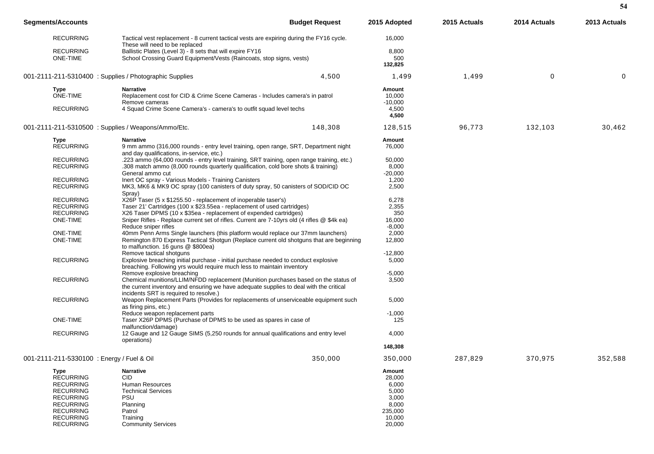| <b>Segments/Accounts</b>                                                                                                     |                                                                                                                                                                                                                                                       | <b>Budget Request</b> | 2015 Adopted                                                    | 2015 Actuals | 2014 Actuals | 2013 Actuals |
|------------------------------------------------------------------------------------------------------------------------------|-------------------------------------------------------------------------------------------------------------------------------------------------------------------------------------------------------------------------------------------------------|-----------------------|-----------------------------------------------------------------|--------------|--------------|--------------|
| <b>RECURRING</b>                                                                                                             | Tactical vest replacement - 8 current tactical vests are expiring during the FY16 cycle.<br>These will need to be replaced                                                                                                                            |                       | 16,000                                                          |              |              |              |
| <b>RECURRING</b><br>ONE-TIME                                                                                                 | Ballistic Plates (Level 3) - 8 sets that will expire FY16<br>School Crossing Guard Equipment/Vests (Raincoats, stop signs, vests)                                                                                                                     |                       | 8,800<br>500<br>132,825                                         |              |              |              |
|                                                                                                                              | 001-2111-211-5310400: Supplies / Photographic Supplies                                                                                                                                                                                                | 4,500                 | 1,499                                                           | 1,499        | 0            | 0            |
| Type<br>ONE-TIME<br><b>RECURRING</b>                                                                                         | <b>Narrative</b><br>Replacement cost for CID & Crime Scene Cameras - Includes camera's in patrol<br>Remove cameras<br>4 Squad Crime Scene Camera's - camera's to outfit squad level techs                                                             |                       | Amount<br>10,000<br>$-10,000$<br>4,500<br>4,500                 |              |              |              |
|                                                                                                                              | 001-2111-211-5310500: Supplies / Weapons/Ammo/Etc.                                                                                                                                                                                                    | 148,308               | 128,515                                                         | 96,773       | 132,103      | 30,462       |
| Type<br><b>RECURRING</b>                                                                                                     | <b>Narrative</b><br>9 mm ammo (316,000 rounds - entry level training, open range, SRT, Department night<br>and day qualifications, in-service, etc.)                                                                                                  |                       | Amount<br>76,000                                                |              |              |              |
| <b>RECURRING</b><br><b>RECURRING</b>                                                                                         | .223 ammo (64,000 rounds - entry level training, SRT training, open range training, etc.)<br>.308 match ammo (8,000 rounds quarterly qualification, cold bore shots & training)<br>General ammo cut                                                   |                       | 50,000<br>8,000<br>$-20,000$                                    |              |              |              |
| <b>RECURRING</b><br><b>RECURRING</b>                                                                                         | Inert OC spray - Various Models - Training Canisters<br>MK3, MK6 & MK9 OC spray (100 canisters of duty spray, 50 canisters of SOD/CID OC<br>Spray)                                                                                                    |                       | 1,200<br>2,500                                                  |              |              |              |
| <b>RECURRING</b><br><b>RECURRING</b><br><b>RECURRING</b>                                                                     | X26P Taser (5 x \$1255.50 - replacement of inoperable taser's)<br>Taser 21' Cartridges (100 x \$23.55ea - replacement of used cartridges)<br>X26 Taser DPMS (10 x \$35ea - replacement of expended cartridges)                                        |                       | 6,278<br>2,355<br>350                                           |              |              |              |
| ONE-TIME                                                                                                                     | Sniper Rifles - Replace current set of rifles. Current are 7-10yrs old (4 rifles @ \$4k ea)<br>Reduce sniper rifles                                                                                                                                   |                       | 16,000<br>$-8,000$                                              |              |              |              |
| ONE-TIME<br>ONE-TIME                                                                                                         | 40mm Penn Arms Single launchers (this platform would replace our 37mm launchers)<br>Remington 870 Express Tactical Shotgun (Replace current old shotguns that are beginning<br>to malfunction. 16 guns @ \$800ea)                                     |                       | 2,000<br>12,800                                                 |              |              |              |
| <b>RECURRING</b>                                                                                                             | Remove tactical shotguns<br>Explosive breaching initial purchase - initial purchase needed to conduct explosive<br>breaching. Following yrs would require much less to maintain inventory                                                             |                       | $-12,800$<br>5,000                                              |              |              |              |
| <b>RECURRING</b>                                                                                                             | Remove explosive breaching<br>Chemical munitions/LLIM/NFDD replacement (Munition purchases based on the status of<br>the current inventory and ensuring we have adequate supplies to deal with the critical<br>incidents SRT is required to resolve.) |                       | $-5,000$<br>3,500                                               |              |              |              |
| <b>RECURRING</b>                                                                                                             | Weapon Replacement Parts (Provides for replacements of unserviceable equipment such<br>as firing pins, etc.)                                                                                                                                          |                       | 5,000                                                           |              |              |              |
| ONE-TIME                                                                                                                     | Reduce weapon replacement parts<br>Taser X26P DPMS (Purchase of DPMS to be used as spares in case of<br>malfunction/damage)                                                                                                                           |                       | $-1,000$<br>125                                                 |              |              |              |
| <b>RECURRING</b>                                                                                                             | 12 Gauge and 12 Gauge SIMS (5,250 rounds for annual qualifications and entry level<br>operations)                                                                                                                                                     |                       | 4,000                                                           |              |              |              |
|                                                                                                                              |                                                                                                                                                                                                                                                       |                       | 148,308                                                         |              |              |              |
| 001-2111-211-5330100 : Energy / Fuel & Oil                                                                                   |                                                                                                                                                                                                                                                       | 350,000               | 350,000                                                         | 287,829      | 370,975      | 352,588      |
| Type<br><b>RECURRING</b><br><b>RECURRING</b><br><b>RECURRING</b><br><b>RECURRING</b><br><b>RECURRING</b><br><b>RECURRING</b> | <b>Narrative</b><br><b>CID</b><br>Human Resources<br><b>Technical Services</b><br>PSU<br>Planning<br>Patrol                                                                                                                                           |                       | Amount<br>28,000<br>6,000<br>5,000<br>3,000<br>8,000<br>235,000 |              |              |              |
| <b>RECURRING</b><br><b>RECURRING</b>                                                                                         | Training<br><b>Community Services</b>                                                                                                                                                                                                                 |                       | 10,000<br>20,000                                                |              |              |              |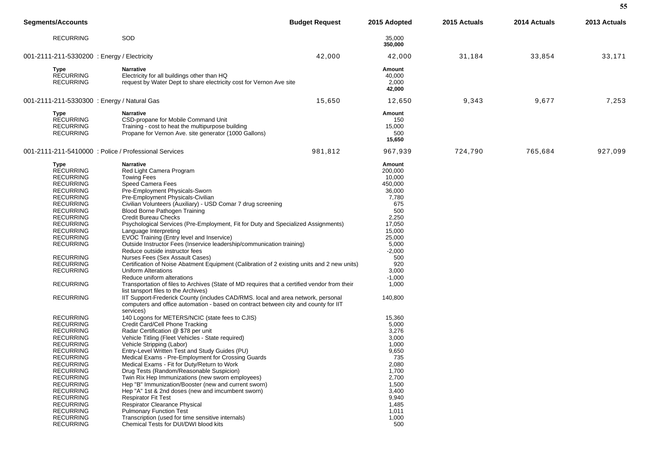| <b>Segments/Accounts</b>                                                                                                                                                                                                                                                                                                                                        |                                                                                                                                                                                                                                                                                                                                                                                                                                                                                                                                                                                                                                                                                                                                                                                                                                                                                                                                                                                                                                                                                       | <b>Budget Request</b> | 2015 Adopted                                                                                                                                                                               | 2015 Actuals | 2014 Actuals | 2013 Actuals |
|-----------------------------------------------------------------------------------------------------------------------------------------------------------------------------------------------------------------------------------------------------------------------------------------------------------------------------------------------------------------|---------------------------------------------------------------------------------------------------------------------------------------------------------------------------------------------------------------------------------------------------------------------------------------------------------------------------------------------------------------------------------------------------------------------------------------------------------------------------------------------------------------------------------------------------------------------------------------------------------------------------------------------------------------------------------------------------------------------------------------------------------------------------------------------------------------------------------------------------------------------------------------------------------------------------------------------------------------------------------------------------------------------------------------------------------------------------------------|-----------------------|--------------------------------------------------------------------------------------------------------------------------------------------------------------------------------------------|--------------|--------------|--------------|
| <b>RECURRING</b>                                                                                                                                                                                                                                                                                                                                                | SOD                                                                                                                                                                                                                                                                                                                                                                                                                                                                                                                                                                                                                                                                                                                                                                                                                                                                                                                                                                                                                                                                                   |                       | 35,000<br>350,000                                                                                                                                                                          |              |              |              |
| 001-2111-211-5330200 : Energy / Electricity                                                                                                                                                                                                                                                                                                                     |                                                                                                                                                                                                                                                                                                                                                                                                                                                                                                                                                                                                                                                                                                                                                                                                                                                                                                                                                                                                                                                                                       | 42,000                | 42,000                                                                                                                                                                                     | 31,184       | 33,854       | 33,171       |
| Type<br><b>RECURRING</b><br><b>RECURRING</b>                                                                                                                                                                                                                                                                                                                    | <b>Narrative</b><br>Electricity for all buildings other than HQ<br>request by Water Dept to share electricity cost for Vernon Ave site                                                                                                                                                                                                                                                                                                                                                                                                                                                                                                                                                                                                                                                                                                                                                                                                                                                                                                                                                |                       | Amount<br>40,000<br>2,000<br>42,000                                                                                                                                                        |              |              |              |
| 001-2111-211-5330300 : Energy / Natural Gas                                                                                                                                                                                                                                                                                                                     |                                                                                                                                                                                                                                                                                                                                                                                                                                                                                                                                                                                                                                                                                                                                                                                                                                                                                                                                                                                                                                                                                       | 15,650                | 12,650                                                                                                                                                                                     | 9,343        | 9,677        | 7,253        |
| Type<br><b>RECURRING</b><br><b>RECURRING</b><br><b>RECURRING</b>                                                                                                                                                                                                                                                                                                | <b>Narrative</b><br>CSD-propane for Mobile Command Unit<br>Training - cost to heat the multipurpose building<br>Propane for Vernon Ave. site generator (1000 Gallons)                                                                                                                                                                                                                                                                                                                                                                                                                                                                                                                                                                                                                                                                                                                                                                                                                                                                                                                 |                       | Amount<br>150<br>15,000<br>500<br>15,650                                                                                                                                                   |              |              |              |
|                                                                                                                                                                                                                                                                                                                                                                 | 001-2111-211-5410000: Police / Professional Services                                                                                                                                                                                                                                                                                                                                                                                                                                                                                                                                                                                                                                                                                                                                                                                                                                                                                                                                                                                                                                  | 981,812               | 967,939                                                                                                                                                                                    | 724,790      | 765,684      | 927,099      |
| <b>Type</b><br><b>RECURRING</b><br><b>RECURRING</b><br><b>RECURRING</b><br><b>RECURRING</b><br><b>RECURRING</b><br><b>RECURRING</b><br><b>RECURRING</b><br><b>RECURRING</b><br><b>RECURRING</b><br><b>RECURRING</b><br><b>RECURRING</b><br><b>RECURRING</b><br><b>RECURRING</b><br><b>RECURRING</b><br><b>RECURRING</b><br><b>RECURRING</b><br><b>RECURRING</b> | <b>Narrative</b><br>Red Light Camera Program<br><b>Towing Fees</b><br>Speed Camera Fees<br>Pre-Employment Physicals-Sworn<br>Pre-Employment Physicals-Civilian<br>Civilian Volunteers (Auxiliary) - USD Comar 7 drug screening<br><b>Blood Borne Pathogen Training</b><br>Credit Bureau Checks<br>Psychological Services (Pre-Employment, Fit for Duty and Specialized Assignments)<br>Language Interpreting<br>EVOC Training (Entry level and Inservice)<br>Outside Instructor Fees (Inservice leadership/communication training)<br>Reduce outside instructor fees<br>Nurses Fees (Sex Assault Cases)<br>Certification of Noise Abatment Equipment (Calibration of 2 existing units and 2 new units)<br><b>Uniform Alterations</b><br>Reduce uniform alterations<br>Transportation of files to Archives (State of MD requires that a certified vendor from their<br>list tansport files to the Archives)<br>IIT Support-Frederick County (includes CAD/RMS. local and area network, personal<br>computers and office automation - based on contract between city and county for IIT |                       | Amount<br>200,000<br>10,000<br>450,000<br>36,000<br>7,780<br>675<br>500<br>2,250<br>17,050<br>15,000<br>25,000<br>5,000<br>$-2,000$<br>500<br>920<br>3,000<br>$-1,000$<br>1,000<br>140,800 |              |              |              |
| <b>RECURRING</b><br><b>RECURRING</b><br><b>RECURRING</b><br><b>RECURRING</b><br><b>RECURRING</b><br><b>RECURRING</b><br><b>RECURRING</b><br><b>RECURRING</b><br><b>RECURRING</b><br><b>RECURRING</b><br><b>RECURRING</b><br><b>RECURRING</b><br><b>RECURRING</b><br><b>RECURRING</b><br><b>RECURRING</b><br><b>RECURRING</b><br><b>RECURRING</b>                | services)<br>140 Logons for METERS/NCIC (state fees to CJIS)<br>Credit Card/Cell Phone Tracking<br>Radar Certification @ \$78 per unit<br>Vehicle Titling (Fleet Vehicles - State required)<br>Vehicle Stripping (Labor)<br>Entry-Level Written Test and Study Guides (PU)<br>Medical Exams - Pre-Employment for Crossing Guards<br>Medical Exams - Fit for Duty/Return to Work<br>Drug Tests (Random/Reasonable Suspicion)<br>Twin Rix Hep Immunizations (new sworn employees)<br>Hep "B" Immunization/Booster (new and current sworn)<br>Hep "A" 1st & 2nd doses (new and imcumbent sworn)<br><b>Respirator Fit Test</b><br>Respirator Clearance Physical<br><b>Pulmonary Function Test</b><br>Transcription (used for time sensitive internals)<br>Chemical Tests for DUI/DWI blood kits                                                                                                                                                                                                                                                                                           |                       | 15,360<br>5,000<br>3,276<br>3,000<br>1,000<br>9,650<br>735<br>2,080<br>1,700<br>2,700<br>1,500<br>3,400<br>9,940<br>1,485<br>1,011<br>1,000<br>500                                         |              |              |              |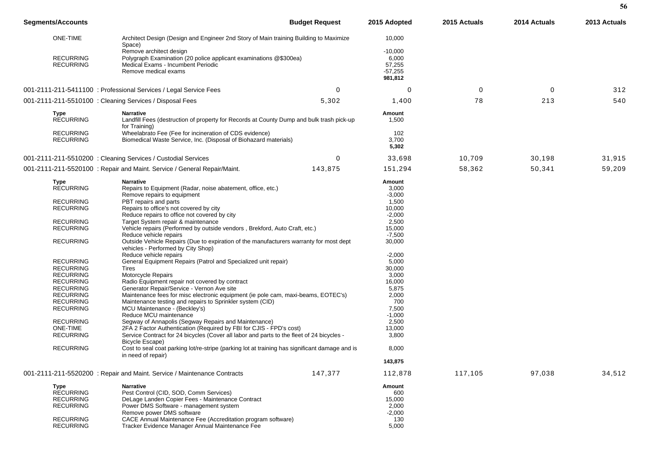| <b>Segments/Accounts</b>                                                                                 |                                                                                                                                                                                                                                                                                                   | <b>Budget Request</b> | 2015 Adopted                                                 | 2015 Actuals | 2014 Actuals | 2013 Actuals |
|----------------------------------------------------------------------------------------------------------|---------------------------------------------------------------------------------------------------------------------------------------------------------------------------------------------------------------------------------------------------------------------------------------------------|-----------------------|--------------------------------------------------------------|--------------|--------------|--------------|
| ONE-TIME                                                                                                 | Architect Design (Design and Engineer 2nd Story of Main training Building to Maximize<br>Space)                                                                                                                                                                                                   |                       | 10,000                                                       |              |              |              |
| <b>RECURRING</b><br><b>RECURRING</b>                                                                     | Remove architect design<br>Polygraph Examination (20 police applicant examinations @\$300ea)<br>Medical Exams - Incumbent Periodic<br>Remove medical exams                                                                                                                                        |                       | $-10,000$<br>6,000<br>57,255<br>$-57,255$<br>981,812         |              |              |              |
|                                                                                                          | 001-2111-211-5411100 : Professional Services / Legal Service Fees                                                                                                                                                                                                                                 | 0                     | 0                                                            | 0            | 0            | 312          |
| 001-2111-211-5510100 : Cleaning Services / Disposal Fees                                                 |                                                                                                                                                                                                                                                                                                   | 5,302                 | 1,400                                                        | 78           | 213          | 540          |
| <b>Type</b><br><b>RECURRING</b>                                                                          | <b>Narrative</b><br>Landfill Fees (destruction of property for Records at County Dump and bulk trash pick-up<br>for Training)                                                                                                                                                                     |                       | Amount<br>1,500                                              |              |              |              |
| <b>RECURRING</b><br><b>RECURRING</b>                                                                     | Wheelabrato Fee (Fee for incineration of CDS evidence)<br>Biomedical Waste Service, Inc. (Disposal of Biohazard materials)                                                                                                                                                                        |                       | 102<br>3,700<br>5,302                                        |              |              |              |
|                                                                                                          | 001-2111-211-5510200 : Cleaning Services / Custodial Services                                                                                                                                                                                                                                     | $\mathbf 0$           | 33,698                                                       | 10,709       | 30,198       | 31,915       |
|                                                                                                          | 001-2111-211-5520100: Repair and Maint. Service / General Repair/Maint.                                                                                                                                                                                                                           | 143,875               | 151,294                                                      | 58,362       | 50,341       | 59,209       |
| Type<br><b>RECURRING</b>                                                                                 | <b>Narrative</b><br>Repairs to Equipment (Radar, noise abatement, office, etc.)<br>Remove repairs to equipment                                                                                                                                                                                    |                       | Amount<br>3,000<br>$-3,000$                                  |              |              |              |
| <b>RECURRING</b><br><b>RECURRING</b>                                                                     | PBT repairs and parts<br>Repairs to office's not covered by city<br>Reduce repairs to office not covered by city                                                                                                                                                                                  |                       | 1,500<br>10,000<br>$-2,000$                                  |              |              |              |
| <b>RECURRING</b><br><b>RECURRING</b>                                                                     | Target System repair & maintenance<br>Vehicle repairs (Performed by outside vendors, Brekford, Auto Craft, etc.)<br>Reduce vehicle repairs                                                                                                                                                        |                       | 2,500<br>15,000<br>$-7,500$                                  |              |              |              |
| <b>RECURRING</b>                                                                                         | Outside Vehicle Repairs (Due to expiration of the manufacturers warranty for most dept<br>vehicles - Performed by City Shop)                                                                                                                                                                      |                       | 30,000                                                       |              |              |              |
| <b>RECURRING</b><br><b>RECURRING</b>                                                                     | Reduce vehicle repairs<br>General Equipment Repairs (Patrol and Specialized unit repair)<br><b>Tires</b>                                                                                                                                                                                          |                       | $-2,000$<br>5,000<br>30,000                                  |              |              |              |
| <b>RECURRING</b><br><b>RECURRING</b>                                                                     | Motorcycle Repairs<br>Radio Equipment repair not covered by contract                                                                                                                                                                                                                              |                       | 3,000<br>16,000                                              |              |              |              |
| <b>RECURRING</b>                                                                                         | Generator Repair/Service - Vernon Ave site                                                                                                                                                                                                                                                        |                       | 5,875                                                        |              |              |              |
| <b>RECURRING</b><br><b>RECURRING</b>                                                                     | Maintenance fees for misc electronic equipment (ie pole cam, maxi-beams, EOTEC's)<br>Maintenance testing and repairs to Sprinkler system (CID)                                                                                                                                                    |                       | 2,000<br>700                                                 |              |              |              |
| <b>RECURRING</b>                                                                                         | MCU Maintenance - (Beckley's)                                                                                                                                                                                                                                                                     |                       | 7,500                                                        |              |              |              |
|                                                                                                          | Reduce MCU maintenance                                                                                                                                                                                                                                                                            |                       | $-1,000$                                                     |              |              |              |
| <b>RECURRING</b><br>ONE-TIME                                                                             | Segway of Annapolis (Segway Repairs and Maintenance)<br>2FA 2 Factor Authentication (Required by FBI for CJIS - FPD's cost)                                                                                                                                                                       |                       | 2,500<br>13,000                                              |              |              |              |
| <b>RECURRING</b>                                                                                         | Service Contract for 24 bicycles (Cover all labor and parts to the fleet of 24 bicycles -<br>Bicycle Escape)                                                                                                                                                                                      |                       | 3,800                                                        |              |              |              |
| <b>RECURRING</b>                                                                                         | Cost to seal coat parking lot/re-stripe (parking lot at training has significant damage and is<br>in need of repair)                                                                                                                                                                              |                       | 8,000                                                        |              |              |              |
|                                                                                                          |                                                                                                                                                                                                                                                                                                   |                       | 143,875                                                      |              |              |              |
|                                                                                                          | 001-2111-211-5520200 : Repair and Maint. Service / Maintenance Contracts                                                                                                                                                                                                                          | 147,377               | 112,878                                                      | 117,105      | 97,038       | 34,512       |
| Type<br><b>RECURRING</b><br><b>RECURRING</b><br><b>RECURRING</b><br><b>RECURRING</b><br><b>RECURRING</b> | Narrative<br>Pest Control (CID, SOD, Comm Services)<br>DeLage Landen Copier Fees - Maintenance Contract<br>Power DMS Software - management system<br>Remove power DMS software<br>CACE Annual Maintenance Fee (Accreditation program software)<br>Tracker Evidence Manager Annual Maintenance Fee |                       | Amount<br>600<br>15,000<br>2,000<br>$-2,000$<br>130<br>5,000 |              |              |              |
|                                                                                                          |                                                                                                                                                                                                                                                                                                   |                       |                                                              |              |              |              |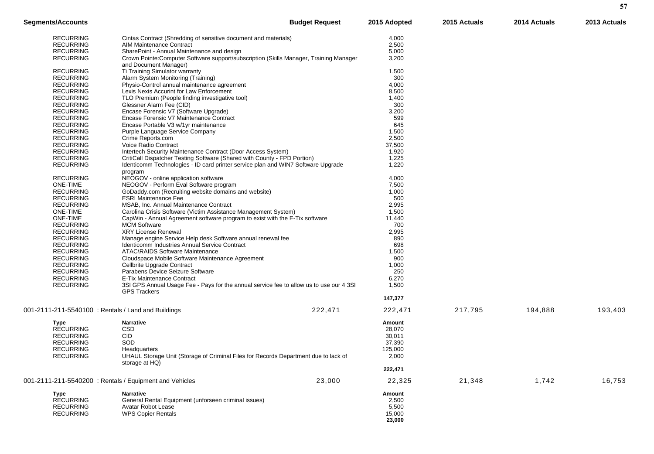| <b>Segments/Accounts</b>                            |                                                                                                                 | <b>Budget Request</b> | 2015 Adopted | 2015 Actuals | 2014 Actuals | 2013 Actuals |
|-----------------------------------------------------|-----------------------------------------------------------------------------------------------------------------|-----------------------|--------------|--------------|--------------|--------------|
| <b>RECURRING</b>                                    | Cintas Contract (Shredding of sensitive document and materials)                                                 |                       | 4,000        |              |              |              |
| <b>RECURRING</b>                                    | AIM Maintenance Contract                                                                                        |                       | 2,500        |              |              |              |
| <b>RECURRING</b>                                    | SharePoint - Annual Maintenance and design                                                                      |                       | 5,000        |              |              |              |
| <b>RECURRING</b>                                    | Crown Pointe: Computer Software support/subscription (Skills Manager, Training Manager<br>and Document Manager) |                       | 3,200        |              |              |              |
| <b>RECURRING</b>                                    | Ti Training Simulator warranty                                                                                  |                       | 1,500        |              |              |              |
| <b>RECURRING</b>                                    | Alarm System Monitoring (Training)                                                                              |                       | 300          |              |              |              |
| <b>RECURRING</b>                                    | Physio-Control annual maintenance agreement                                                                     |                       | 4,000        |              |              |              |
| <b>RECURRING</b>                                    | Lexis Nexis Accurint for Law Enforcement                                                                        |                       | 8,500        |              |              |              |
| <b>RECURRING</b>                                    | TLO Premium (People finding investigative tool)                                                                 |                       | 1,400        |              |              |              |
| <b>RECURRING</b>                                    | Glessner Alarm Fee (CID)                                                                                        |                       | 300          |              |              |              |
| <b>RECURRING</b>                                    | Encase Forensic V7 (Software Upgrade)                                                                           |                       | 3,200        |              |              |              |
| <b>RECURRING</b>                                    | Encase Forensic V7 Maintenance Contract                                                                         |                       |              |              |              |              |
|                                                     |                                                                                                                 |                       | 599          |              |              |              |
| <b>RECURRING</b>                                    | Encase Portable V3 w/1yr maintenance                                                                            |                       | 645          |              |              |              |
| <b>RECURRING</b>                                    | Purple Language Service Company                                                                                 |                       | 1,500        |              |              |              |
| <b>RECURRING</b>                                    | Crime Reports.com                                                                                               |                       | 2,500        |              |              |              |
| <b>RECURRING</b>                                    | <b>Voice Radio Contract</b>                                                                                     |                       | 37,500       |              |              |              |
| <b>RECURRING</b>                                    | Intertech Security Maintenance Contract (Door Access System)                                                    |                       | 1,920        |              |              |              |
| <b>RECURRING</b>                                    | CritiCall Dispatcher Testing Software (Shared with County - FPD Portion)                                        |                       | 1,225        |              |              |              |
| <b>RECURRING</b>                                    | Identicomm Technologies - ID card printer service plan and WIN7 Software Upgrade<br>program                     |                       | 1,220        |              |              |              |
| <b>RECURRING</b>                                    | NEOGOV - online application software                                                                            |                       | 4,000        |              |              |              |
| ONE-TIME                                            | NEOGOV - Perform Eval Software program                                                                          |                       | 7,500        |              |              |              |
| <b>RECURRING</b>                                    | GoDaddy.com (Recruiting website domains and website)                                                            |                       | 1,000        |              |              |              |
| <b>RECURRING</b>                                    | <b>ESRI Maintenance Fee</b>                                                                                     |                       | 500          |              |              |              |
| <b>RECURRING</b>                                    | MSAB, Inc. Annual Maintenance Contract                                                                          |                       | 2,995        |              |              |              |
| ONE-TIME                                            | Carolina Crisis Software (Victim Assistance Management System)                                                  |                       | 1,500        |              |              |              |
| ONE-TIME                                            | CapWin - Annual Agreement software program to exist with the E-Tix software                                     |                       | 11,440       |              |              |              |
| <b>RECURRING</b>                                    | <b>MCM Software</b>                                                                                             |                       | 700          |              |              |              |
| <b>RECURRING</b>                                    | <b>XRY License Renewal</b>                                                                                      |                       | 2,995        |              |              |              |
| <b>RECURRING</b>                                    |                                                                                                                 |                       | 890          |              |              |              |
|                                                     | Manage engine Service Help desk Software annual renewal fee                                                     |                       |              |              |              |              |
| <b>RECURRING</b><br><b>RECURRING</b>                | Identicomm Industries Annual Service Contract                                                                   |                       | 698          |              |              |              |
|                                                     | ATAC\RAIDS Software Maintenance                                                                                 |                       | 1,500        |              |              |              |
| <b>RECURRING</b>                                    | Cloudspace Mobile Software Maintenance Agreement                                                                |                       | 900          |              |              |              |
| <b>RECURRING</b>                                    | Cellbrite Upgrade Contract                                                                                      |                       | 1,000        |              |              |              |
| <b>RECURRING</b>                                    | Parabens Device Seizure Software                                                                                |                       | 250          |              |              |              |
| <b>RECURRING</b>                                    | E-Tix Maintenance Contract                                                                                      |                       | 6,270        |              |              |              |
| <b>RECURRING</b>                                    | 3SI GPS Annual Usage Fee - Pays for the annual service fee to allow us to use our 4 3SI<br><b>GPS Trackers</b>  |                       | 1,500        |              |              |              |
|                                                     |                                                                                                                 |                       | 147,377      |              |              |              |
| 001-2111-211-5540100 : Rentals / Land and Buildings |                                                                                                                 | 222,471               | 222,471      | 217,795      | 194,888      | 193,403      |
| Type                                                | <b>Narrative</b>                                                                                                |                       | Amount       |              |              |              |
| <b>RECURRING</b>                                    | CSD                                                                                                             |                       | 28,070       |              |              |              |
| <b>RECURRING</b>                                    | <b>CID</b>                                                                                                      |                       | 30,011       |              |              |              |
| <b>RECURRING</b>                                    | SOD                                                                                                             |                       | 37,390       |              |              |              |
| <b>RECURRING</b>                                    | Headquarters                                                                                                    |                       | 125,000      |              |              |              |
| <b>RECURRING</b>                                    | UHAUL Storage Unit (Storage of Criminal Files for Records Department due to lack of                             |                       | 2,000        |              |              |              |
|                                                     | storage at HQ)                                                                                                  |                       |              |              |              |              |
|                                                     |                                                                                                                 |                       | 222,471      |              |              |              |
|                                                     | 001-2111-211-5540200: Rentals / Equipment and Vehicles                                                          | 23,000                | 22,325       | 21,348       | 1,742        | 16,753       |
| Type                                                | Narrative                                                                                                       |                       | Amount       |              |              |              |
| <b>RECURRING</b>                                    | General Rental Equipment (unforseen criminal issues)                                                            |                       | 2,500        |              |              |              |
| <b>RECURRING</b>                                    | Avatar Robot Lease                                                                                              |                       | 5,500        |              |              |              |
| <b>RECURRING</b>                                    | <b>WPS Copier Rentals</b>                                                                                       |                       | 15,000       |              |              |              |
|                                                     |                                                                                                                 |                       | 23,000       |              |              |              |
|                                                     |                                                                                                                 |                       |              |              |              |              |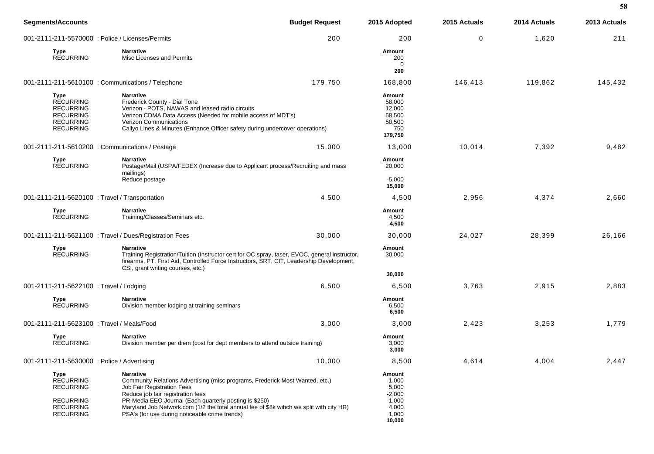| <b>Segments/Accounts</b>                                                                                        |                                                                                                                                                                                                                                                                                                                                                                            | <b>Budget Request</b> | 2015 Adopted                                                              | 2015 Actuals | 2014 Actuals | 2013 Actuals |
|-----------------------------------------------------------------------------------------------------------------|----------------------------------------------------------------------------------------------------------------------------------------------------------------------------------------------------------------------------------------------------------------------------------------------------------------------------------------------------------------------------|-----------------------|---------------------------------------------------------------------------|--------------|--------------|--------------|
| 001-2111-211-5570000 : Police / Licenses/Permits                                                                |                                                                                                                                                                                                                                                                                                                                                                            | 200                   | 200                                                                       | 0            | 1,620        | 211          |
| Type<br><b>RECURRING</b>                                                                                        | <b>Narrative</b><br>Misc Licenses and Permits                                                                                                                                                                                                                                                                                                                              |                       | Amount<br>200<br>$\mathbf 0$<br>200                                       |              |              |              |
| 001-2111-211-5610100 : Communications / Telephone                                                               |                                                                                                                                                                                                                                                                                                                                                                            | 179,750               | 168,800                                                                   | 146,413      | 119,862      | 145,432      |
| <b>Type</b><br><b>RECURRING</b><br><b>RECURRING</b><br><b>RECURRING</b><br><b>RECURRING</b><br><b>RECURRING</b> | <b>Narrative</b><br>Frederick County - Dial Tone<br>Verizon - POTS, NAWAS and leased radio circuits<br>Verizon CDMA Data Access (Needed for mobile access of MDT's)<br><b>Verizon Communications</b><br>Callyo Lines & Minutes (Enhance Officer safety during undercover operations)                                                                                       |                       | Amount<br>58,000<br>12,000<br>58,500<br>50,500<br>750<br>179,750          |              |              |              |
| 001-2111-211-5610200 : Communications / Postage                                                                 |                                                                                                                                                                                                                                                                                                                                                                            | 15,000                | 13,000                                                                    | 10,014       | 7,392        | 9,482        |
| Type<br><b>RECURRING</b>                                                                                        | Narrative<br>Postage/Mail (USPA/FEDEX (Increase due to Applicant process/Recruiting and mass<br>mailings)                                                                                                                                                                                                                                                                  |                       | Amount<br>20,000                                                          |              |              |              |
|                                                                                                                 | Reduce postage                                                                                                                                                                                                                                                                                                                                                             |                       | $-5,000$<br>15,000                                                        |              |              |              |
| 001-2111-211-5620100 : Travel / Transportation                                                                  |                                                                                                                                                                                                                                                                                                                                                                            | 4,500                 | 4,500                                                                     | 2,956        | 4,374        | 2,660        |
| Type<br><b>RECURRING</b>                                                                                        | <b>Narrative</b><br>Training/Classes/Seminars etc.                                                                                                                                                                                                                                                                                                                         |                       | Amount<br>4,500<br>4,500                                                  |              |              |              |
| 001-2111-211-5621100 : Travel / Dues/Registration Fees                                                          |                                                                                                                                                                                                                                                                                                                                                                            | 30,000                | 30,000                                                                    | 24,027       | 28,399       | 26,166       |
| Type<br><b>RECURRING</b>                                                                                        | <b>Narrative</b><br>Training Registration/Tuition (Instructor cert for OC spray, taser, EVOC, general instructor,<br>firearms, PT, First Aid, Controlled Force Instructors, SRT, CIT, Leadership Development,<br>CSI, grant writing courses, etc.)                                                                                                                         |                       | Amount<br>30,000                                                          |              |              |              |
|                                                                                                                 |                                                                                                                                                                                                                                                                                                                                                                            |                       | 30,000                                                                    |              |              |              |
| 001-2111-211-5622100 : Travel / Lodging                                                                         |                                                                                                                                                                                                                                                                                                                                                                            | 6,500                 | 6,500                                                                     | 3,763        | 2,915        | 2,883        |
| <b>Type</b><br><b>RECURRING</b>                                                                                 | <b>Narrative</b><br>Division member lodging at training seminars                                                                                                                                                                                                                                                                                                           |                       | Amount<br>6,500<br>6,500                                                  |              |              |              |
| 001-2111-211-5623100 : Travel / Meals/Food                                                                      |                                                                                                                                                                                                                                                                                                                                                                            | 3,000                 | 3,000                                                                     | 2,423        | 3,253        | 1,779        |
| Type<br><b>RECURRING</b>                                                                                        | Narrative<br>Division member per diem (cost for dept members to attend outside training)                                                                                                                                                                                                                                                                                   |                       | Amount<br>3,000<br>3,000                                                  |              |              |              |
| 001-2111-211-5630000: Police / Advertising                                                                      |                                                                                                                                                                                                                                                                                                                                                                            | 10,000                | 8,500                                                                     | 4,614        | 4,004        | 2,447        |
| Type<br><b>RECURRING</b><br><b>RECURRING</b><br><b>RECURRING</b><br><b>RECURRING</b><br><b>RECURRING</b>        | <b>Narrative</b><br>Community Relations Advertising (misc programs, Frederick Most Wanted, etc.)<br>Job Fair Registration Fees<br>Reduce job fair registration fees<br>PR-Media EEO Journal (Each quarterly posting is \$250)<br>Maryland Job Network.com (1/2 the total annual fee of \$8k wihch we split with city HR)<br>PSA's (for use during noticeable crime trends) |                       | Amount<br>1,000<br>5,000<br>$-2,000$<br>1,000<br>4,000<br>1,000<br>10,000 |              |              |              |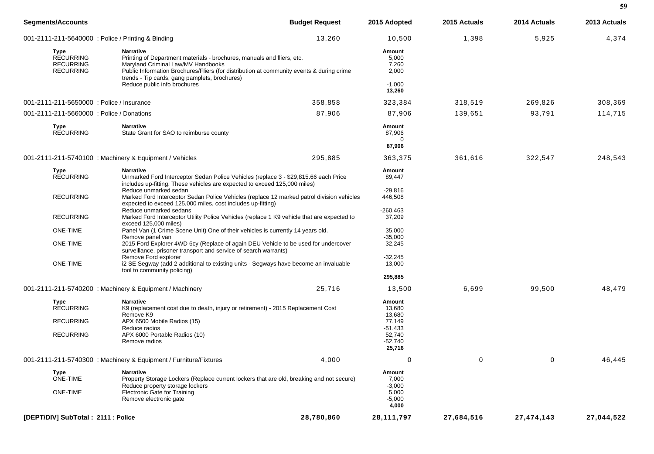| <b>Segments/Accounts</b>                                         |                                                                                                                                                                                                                                                                                                               | <b>Budget Request</b> | 2015 Adopted                                            | 2015 Actuals | 2014 Actuals | 2013 Actuals |
|------------------------------------------------------------------|---------------------------------------------------------------------------------------------------------------------------------------------------------------------------------------------------------------------------------------------------------------------------------------------------------------|-----------------------|---------------------------------------------------------|--------------|--------------|--------------|
| 001-2111-211-5640000: Police / Printing & Binding                |                                                                                                                                                                                                                                                                                                               | 13,260                | 10,500                                                  | 1,398        | 5,925        | 4,374        |
| Type<br><b>RECURRING</b><br><b>RECURRING</b><br><b>RECURRING</b> | <b>Narrative</b><br>Printing of Department materials - brochures, manuals and fliers, etc.<br>Maryland Criminal Law/MV Handbooks<br>Public Information Brochures/Fliers (for distribution at community events & during crime<br>trends - Tip cards, gang pamplets, brochures)<br>Reduce public info brochures |                       | Amount<br>5,000<br>7,260<br>2,000<br>$-1,000$<br>13,260 |              |              |              |
| 001-2111-211-5650000 : Police / Insurance                        |                                                                                                                                                                                                                                                                                                               | 358.858               | 323,384                                                 | 318,519      | 269,826      | 308,369      |
| 001-2111-211-5660000 : Police / Donations                        |                                                                                                                                                                                                                                                                                                               | 87,906                | 87,906                                                  | 139,651      | 93,791       | 114,715      |
| Type<br><b>RECURRING</b>                                         | <b>Narrative</b><br>State Grant for SAO to reimburse county                                                                                                                                                                                                                                                   |                       | Amount<br>87,906<br>$\Omega$<br>87,906                  |              |              |              |
| 001-2111-211-5740100 : Machinery & Equipment / Vehicles          |                                                                                                                                                                                                                                                                                                               | 295,885               | 363,375                                                 | 361,616      | 322,547      | 248,543      |
| Type<br><b>RECURRING</b>                                         | <b>Narrative</b><br>Unmarked Ford Interceptor Sedan Police Vehicles (replace 3 - \$29,815.66 each Price<br>includes up-fitting. These vehicles are expected to exceed 125,000 miles)                                                                                                                          |                       | Amount<br>89,447                                        |              |              |              |
| <b>RECURRING</b>                                                 | Reduce unmarked sedan<br>Marked Ford Interceptor Sedan Police Vehicles (replace 12 marked patrol division vehicles<br>expected to exceed 125,000 miles, cost includes up-fitting)                                                                                                                             |                       | $-29,816$<br>446,508                                    |              |              |              |
| <b>RECURRING</b>                                                 | Reduce unmarked sedans<br>Marked Ford Interceptor Utility Police Vehicles (replace 1 K9 vehicle that are expected to<br>exceed 125,000 miles)                                                                                                                                                                 |                       | $-260,463$<br>37,209                                    |              |              |              |
| <b>ONE-TIME</b>                                                  | Panel Van (1 Crime Scene Unit) One of their vehicles is currently 14 years old.                                                                                                                                                                                                                               |                       | 35,000                                                  |              |              |              |
| <b>ONE-TIME</b>                                                  | Remove panel van<br>2015 Ford Explorer 4WD 6cy (Replace of again DEU Vehicle to be used for undercover<br>surveillance, prisoner transport and service of search warrants)                                                                                                                                    |                       | $-35,000$<br>32,245                                     |              |              |              |
| ONE-TIME                                                         | Remove Ford explorer<br>i2 SE Segway (add 2 additional to existing units - Segways have become an invaluable<br>tool to community policing)                                                                                                                                                                   |                       | $-32,245$<br>13,000                                     |              |              |              |
|                                                                  |                                                                                                                                                                                                                                                                                                               |                       | 295,885                                                 |              |              |              |
| 001-2111-211-5740200 : Machinery & Equipment / Machinery         |                                                                                                                                                                                                                                                                                                               | 25,716                | 13,500                                                  | 6,699        | 99,500       | 48,479       |
| Type<br><b>RECURRING</b><br><b>RECURRING</b>                     | <b>Narrative</b><br>K9 (replacement cost due to death, injury or retirement) - 2015 Replacement Cost<br>Remove K9<br>APX 6500 Mobile Radios (15)                                                                                                                                                              |                       | Amount<br>13,680<br>$-13,680$<br>77,149                 |              |              |              |
| <b>RECURRING</b>                                                 | Reduce radios<br>APX 6000 Portable Radios (10)<br>Remove radios                                                                                                                                                                                                                                               |                       | $-51,433$<br>52,740<br>$-52,740$<br>25,716              |              |              |              |
|                                                                  | 001-2111-211-5740300: Machinery & Equipment / Furniture/Fixtures                                                                                                                                                                                                                                              | 4,000                 | 0                                                       | 0            | 0            | 46,445       |
| <b>Type</b><br>ONE-TIME<br><b>ONE-TIME</b>                       | <b>Narrative</b><br>Property Storage Lockers (Replace current lockers that are old, breaking and not secure)<br>Reduce property storage lockers<br><b>Electronic Gate for Training</b><br>Remove electronic gate                                                                                              |                       | Amount<br>7,000<br>$-3,000$<br>5,000<br>$-5,000$        |              |              |              |
| [DEPT/DIV] SubTotal: 2111: Police                                |                                                                                                                                                                                                                                                                                                               | 28,780,860            | 4,000<br>28, 111, 797                                   | 27,684,516   | 27,474,143   | 27,044,522   |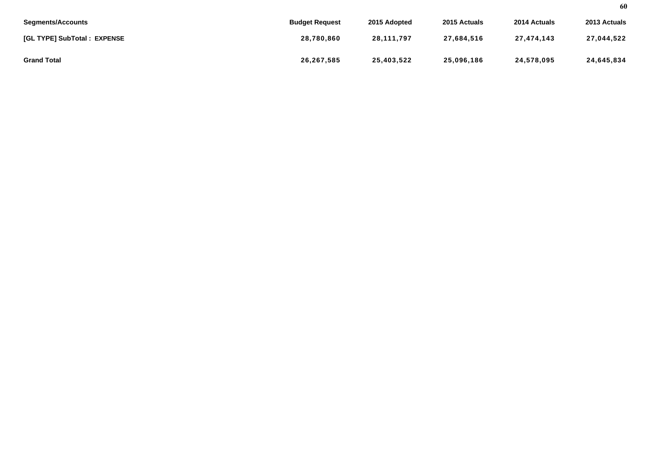| <b>Segments/Accounts</b>    | <b>Budget Request</b> | 2015 Adopted | 2015 Actuals | 2014 Actuals | 2013 Actuals |
|-----------------------------|-----------------------|--------------|--------------|--------------|--------------|
| [GL TYPE] SubTotal: EXPENSE | 28,780,860            | 28.111.797   | 27.684.516   | 27.474.143   | 27.044.522   |
| <b>Grand Total</b>          | 26,267,585            | 25,403,522   | 25,096,186   | 24.578.095   | 24,645,834   |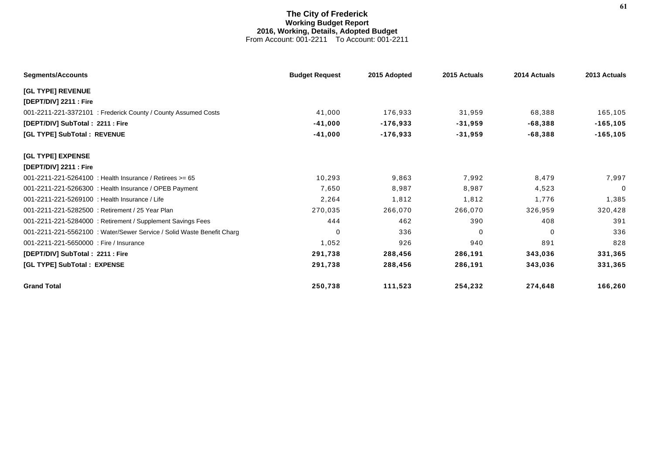# **The City of Frederick Working Budget Report 2016, Working, Details, Adopted Budget** From Account: 001-2211 To Account: 001-2211

| <b>Segments/Accounts</b>                                               | <b>Budget Request</b> | 2015 Adopted | 2015 Actuals | 2014 Actuals | 2013 Actuals |
|------------------------------------------------------------------------|-----------------------|--------------|--------------|--------------|--------------|
| [GL TYPE] REVENUE                                                      |                       |              |              |              |              |
| [DEPT/DIV] 2211 : Fire                                                 |                       |              |              |              |              |
| 001-2211-221-3372101: Frederick County / County Assumed Costs          | 41,000                | 176,933      | 31,959       | 68,388       | 165,105      |
| [DEPT/DIV] SubTotal: 2211 : Fire                                       | $-41,000$             | $-176,933$   | $-31,959$    | $-68,388$    | $-165, 105$  |
| [GL TYPE] SubTotal: REVENUE                                            | $-41,000$             | $-176,933$   | $-31,959$    | $-68,388$    | $-165, 105$  |
| [GL TYPE] EXPENSE                                                      |                       |              |              |              |              |
| [DEPT/DIV] 2211 : Fire                                                 |                       |              |              |              |              |
| 001-2211-221-5264100 : Health Insurance / Retirees >= 65               | 10,293                | 9,863        | 7,992        | 8,479        | 7,997        |
| 001-2211-221-5266300 : Health Insurance / OPEB Payment                 | 7,650                 | 8,987        | 8,987        | 4,523        | 0            |
| 001-2211-221-5269100 : Health Insurance / Life                         | 2,264                 | 1,812        | 1,812        | 1.776        | 1,385        |
| 001-2211-221-5282500 : Retirement / 25 Year Plan                       | 270,035               | 266,070      | 266,070      | 326,959      | 320,428      |
| 001-2211-221-5284000: Retirement / Supplement Savings Fees             | 444                   | 462          | 390          | 408          | 391          |
| 001-2211-221-5562100 : Water/Sewer Service / Solid Waste Benefit Charg | $\Omega$              | 336          | $\mathbf 0$  | $\Omega$     | 336          |
| 001-2211-221-5650000 : Fire / Insurance                                | 1,052                 | 926          | 940          | 891          | 828          |
| [DEPT/DIV] SubTotal: 2211 : Fire                                       | 291,738               | 288,456      | 286,191      | 343,036      | 331,365      |
| [GL TYPE] SubTotal: EXPENSE                                            | 291,738               | 288,456      | 286,191      | 343,036      | 331,365      |
| <b>Grand Total</b>                                                     | 250,738               | 111,523      | 254,232      | 274,648      | 166,260      |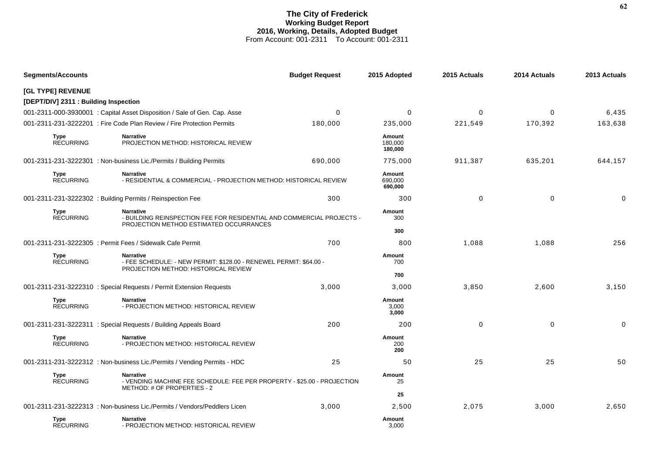# **The City of Frederick Working Budget Report 2016, Working, Details, Adopted Budget** From Account: 001-2311 To Account: 001-2311

| <b>Segments/Accounts</b>              |                                                                                                                                      | <b>Budget Request</b> | 2015 Adopted                 | 2015 Actuals | 2014 Actuals | 2013 Actuals |
|---------------------------------------|--------------------------------------------------------------------------------------------------------------------------------------|-----------------------|------------------------------|--------------|--------------|--------------|
| [GL TYPE] REVENUE                     |                                                                                                                                      |                       |                              |              |              |              |
| [DEPT/DIV] 2311 : Building Inspection |                                                                                                                                      |                       |                              |              |              |              |
|                                       | 001-2311-000-3930001 : Capital Asset Disposition / Sale of Gen. Cap. Asse                                                            | $\mathbf 0$           | $\mathbf 0$                  | 0            | $\mathbf 0$  | 6,435        |
|                                       | 001-2311-231-3222201 : Fire Code Plan Review / Fire Protection Permits                                                               | 180,000               | 235,000                      | 221,549      | 170,392      | 163,638      |
| Type<br><b>RECURRING</b>              | <b>Narrative</b><br>PROJECTION METHOD: HISTORICAL REVIEW                                                                             |                       | Amount<br>180,000<br>180,000 |              |              |              |
|                                       | 001-2311-231-3222301 : Non-business Lic./Permits / Building Permits                                                                  | 690,000               | 775,000                      | 911,387      | 635,201      | 644,157      |
| Type<br><b>RECURRING</b>              | <b>Narrative</b><br>- RESIDENTIAL & COMMERCIAL - PROJECTION METHOD: HISTORICAL REVIEW                                                |                       | Amount<br>690,000<br>690,000 |              |              |              |
|                                       | 001-2311-231-3222302 : Building Permits / Reinspection Fee                                                                           | 300                   | 300                          | $\mathbf 0$  | $\mathbf 0$  | $\Omega$     |
| Type<br><b>RECURRING</b>              | <b>Narrative</b><br>- BUILDING REINSPECTION FEE FOR RESIDENTIAL AND COMMERCIAL PROJECTS -<br>PROJECTION METHOD ESTIMATED OCCURRANCES |                       | Amount<br>300                |              |              |              |
|                                       |                                                                                                                                      |                       | 300                          |              |              |              |
|                                       | 001-2311-231-3222305 : Permit Fees / Sidewalk Cafe Permit                                                                            | 700                   | 800                          | 1,088        | 1,088        | 256          |
| <b>Type</b><br><b>RECURRING</b>       | <b>Narrative</b><br>- FEE SCHEDULE: - NEW PERMIT: \$128.00 - RENEWEL PERMIT: \$64.00 -<br>PROJECTION METHOD: HISTORICAL REVIEW       |                       | Amount<br>700                |              |              |              |
|                                       |                                                                                                                                      |                       | 700                          |              |              |              |
|                                       | 001-2311-231-3222310 : Special Requests / Permit Extension Requests                                                                  | 3,000                 | 3,000                        | 3,850        | 2,600        | 3,150        |
| Type<br><b>RECURRING</b>              | <b>Narrative</b><br>- PROJECTION METHOD: HISTORICAL REVIEW                                                                           |                       | Amount<br>3,000<br>3.000     |              |              |              |
|                                       | 001-2311-231-3222311 : Special Requests / Building Appeals Board                                                                     | 200                   | 200                          | $\mathbf 0$  | $\mathbf 0$  | $\mathbf 0$  |
| Type<br><b>RECURRING</b>              | <b>Narrative</b><br>- PROJECTION METHOD: HISTORICAL REVIEW                                                                           |                       | Amount<br>200<br>200         |              |              |              |
|                                       | 001-2311-231-3222312 : Non-business Lic./Permits / Vending Permits - HDC                                                             | 25                    | 50                           | 25           | 25           | 50           |
| Type<br><b>RECURRING</b>              | <b>Narrative</b><br>- VENDING MACHINE FEE SCHEDULE: FEE PER PROPERTY - \$25.00 - PROJECTION<br>METHOD: # OF PROPERTIES - 2           |                       | Amount<br>25                 |              |              |              |
|                                       |                                                                                                                                      |                       | 25                           |              |              |              |
|                                       | 001-2311-231-3222313 : Non-business Lic./Permits / Vendors/Peddlers Licen                                                            | 3,000                 | 2,500                        | 2,075        | 3,000        | 2,650        |
| <b>Type</b><br><b>RECURRING</b>       | <b>Narrative</b><br>- PROJECTION METHOD: HISTORICAL REVIEW                                                                           |                       | Amount<br>3,000              |              |              |              |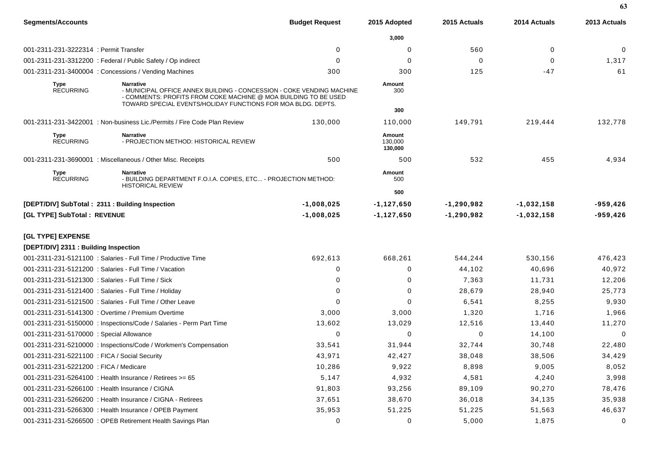| <b>Segments/Accounts</b>                      |                                                                                                                                                                                                                       | <b>Budget Request</b> | 2015 Adopted                 | 2015 Actuals   | 2014 Actuals | 2013 Actuals |
|-----------------------------------------------|-----------------------------------------------------------------------------------------------------------------------------------------------------------------------------------------------------------------------|-----------------------|------------------------------|----------------|--------------|--------------|
|                                               |                                                                                                                                                                                                                       |                       | 3,000                        |                |              |              |
| 001-2311-231-3222314 : Permit Transfer        |                                                                                                                                                                                                                       | 0                     | $\Omega$                     | 560            | 0            | 0            |
|                                               | 001-2311-231-3312200 : Federal / Public Safety / Op indirect                                                                                                                                                          | $\Omega$              | $\Omega$                     | 0              | $\mathbf 0$  | 1,317        |
|                                               | 001-2311-231-3400004 : Concessions / Vending Machines                                                                                                                                                                 | 300                   | 300                          | 125            | $-47$        | 61           |
| Type<br><b>RECURRING</b>                      | Narrative<br>- MUNICIPAL OFFICE ANNEX BUILDING - CONCESSION - COKE VENDING MACHINE<br>- COMMENTS: PROFITS FROM COKE MACHINE @ MOA BUILDING TO BE USED<br>TOWARD SPECIAL EVENTS/HOLIDAY FUNCTIONS FOR MOA BLDG. DEPTS. |                       | Amount<br>300<br>300         |                |              |              |
|                                               | 001-2311-231-3422001 : Non-business Lic./Permits / Fire Code Plan Review                                                                                                                                              | 130,000               | 110,000                      | 149,791        | 219,444      | 132,778      |
| Type<br><b>RECURRING</b>                      | <b>Narrative</b><br>- PROJECTION METHOD: HISTORICAL REVIEW                                                                                                                                                            |                       | Amount<br>130,000<br>130,000 |                |              |              |
|                                               | 001-2311-231-3690001 : Miscellaneous / Other Misc. Receipts                                                                                                                                                           | 500                   | 500                          | 532            | 455          | 4,934        |
| <b>Type</b><br><b>RECURRING</b>               | Narrative<br>- BUILDING DEPARTMENT F.O.I.A. COPIES, ETC - PROJECTION METHOD:<br><b>HISTORICAL REVIEW</b>                                                                                                              |                       | Amount<br>500                |                |              |              |
|                                               |                                                                                                                                                                                                                       |                       | 500                          |                |              |              |
|                                               | [DEPT/DIV] SubTotal: 2311: Building Inspection                                                                                                                                                                        | $-1,008,025$          | $-1, 127, 650$               | $-1, 290, 982$ | $-1,032,158$ | $-959,426$   |
| [GL TYPE] SubTotal: REVENUE                   |                                                                                                                                                                                                                       | $-1,008,025$          | $-1, 127, 650$               | $-1,290,982$   | $-1,032,158$ | $-959,426$   |
| [GL TYPE] EXPENSE                             |                                                                                                                                                                                                                       |                       |                              |                |              |              |
| [DEPT/DIV] 2311 : Building Inspection         |                                                                                                                                                                                                                       |                       |                              |                |              |              |
|                                               | 001-2311-231-5121100 : Salaries - Full Time / Productive Time                                                                                                                                                         | 692,613               | 668,261                      | 544,244        | 530,156      | 476,423      |
|                                               | 001-2311-231-5121200 : Salaries - Full Time / Vacation                                                                                                                                                                | 0                     | $\Omega$                     | 44,102         | 40,696       | 40,972       |
|                                               | 001-2311-231-5121300 : Salaries - Full Time / Sick                                                                                                                                                                    | 0                     | 0                            | 7,363          | 11,731       | 12,206       |
|                                               | 001-2311-231-5121400 : Salaries - Full Time / Holiday                                                                                                                                                                 | 0                     | $\Omega$                     | 28,679         | 28,940       | 25,773       |
|                                               | 001-2311-231-5121500 : Salaries - Full Time / Other Leave                                                                                                                                                             | $\Omega$              | $\Omega$                     | 6,541          | 8,255        | 9,930        |
|                                               | 001-2311-231-5141300 : Overtime / Premium Overtime                                                                                                                                                                    | 3,000                 | 3,000                        | 1,320          | 1,716        | 1,966        |
|                                               | 001-2311-231-5150000: Inspections/Code / Salaries - Perm Part Time                                                                                                                                                    | 13,602                | 13,029                       | 12,516         | 13,440       | 11,270       |
| 001-2311-231-5170000 : Special Allowance      |                                                                                                                                                                                                                       | $\Omega$              | $\Omega$                     | 0              | 14,100       | 0            |
|                                               | 001-2311-231-5210000: Inspections/Code / Workmen's Compensation                                                                                                                                                       | 33,541                | 31,944                       | 32,744         | 30,748       | 22,480       |
| 001-2311-231-5221100 : FICA / Social Security |                                                                                                                                                                                                                       | 43,971                | 42,427                       | 38,048         | 38,506       | 34,429       |
| 001-2311-231-5221200 : FICA / Medicare        |                                                                                                                                                                                                                       | 10,286                | 9,922                        | 8,898          | 9,005        | 8,052        |
|                                               | 001-2311-231-5264100 : Health Insurance / Retirees >= 65                                                                                                                                                              | 5,147                 | 4,932                        | 4,581          | 4,240        | 3,998        |
|                                               | 001-2311-231-5266100 : Health Insurance / CIGNA                                                                                                                                                                       | 91,803                | 93,256                       | 89,109         | 90,270       | 78,476       |
|                                               | 001-2311-231-5266200 : Health Insurance / CIGNA - Retirees                                                                                                                                                            | 37,651                | 38,670                       | 36,018         | 34,135       | 35,938       |
|                                               | 001-2311-231-5266300 : Health Insurance / OPEB Payment                                                                                                                                                                | 35,953                | 51,225                       | 51,225         | 51,563       | 46,637       |
|                                               | 001-2311-231-5266500 : OPEB Retirement Health Savings Plan                                                                                                                                                            | 0                     | 0                            | 5,000          | 1,875        | 0            |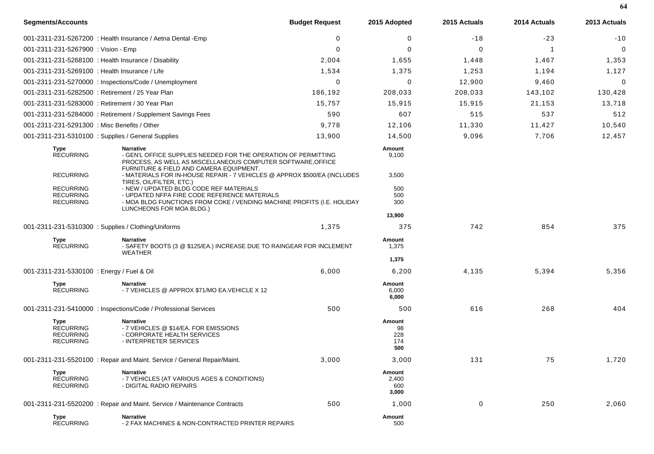| <b>Segments/Accounts</b>                                                |                                                                                                                                                                          | <b>Budget Request</b> | 2015 Adopted                      | 2015 Actuals | 2014 Actuals | 2013 Actuals |
|-------------------------------------------------------------------------|--------------------------------------------------------------------------------------------------------------------------------------------------------------------------|-----------------------|-----------------------------------|--------------|--------------|--------------|
|                                                                         | 001-2311-231-5267200 : Health Insurance / Aetna Dental - Emp                                                                                                             | 0                     | $\Omega$                          | $-18$        | $-23$        | $-10$        |
| 001-2311-231-5267900 : Vision - Emp                                     |                                                                                                                                                                          | $\Omega$              | $\Omega$                          | 0            | $\mathbf{1}$ | 0            |
|                                                                         | 001-2311-231-5268100 : Health Insurance / Disability                                                                                                                     | 2,004                 | 1,655                             | 1,448        | 1,467        | 1,353        |
| 001-2311-231-5269100 : Health Insurance / Life                          |                                                                                                                                                                          | 1,534                 | 1,375                             | 1,253        | 1,194        | 1,127        |
|                                                                         | 001-2311-231-5270000: Inspections/Code / Unemployment                                                                                                                    | 0                     | $\Omega$                          | 12,900       | 9,460        | 0            |
|                                                                         | 001-2311-231-5282500 : Retirement / 25 Year Plan                                                                                                                         | 186,192               | 208,033                           | 208,033      | 143,102      | 130,428      |
|                                                                         | 001-2311-231-5283000: Retirement / 30 Year Plan                                                                                                                          | 15,757                | 15,915                            | 15,915       | 21,153       | 13,718       |
|                                                                         | 001-2311-231-5284000: Retirement / Supplement Savings Fees                                                                                                               | 590                   | 607                               | 515          | 537          | 512          |
| 001-2311-231-5291300 : Misc Benefits / Other                            |                                                                                                                                                                          | 9,778                 | 12,106                            | 11,330       | 11,427       | 10,540       |
|                                                                         | 001-2311-231-5310100 : Supplies / General Supplies                                                                                                                       | 13,900                | 14,500                            | 9,096        | 7,706        | 12,457       |
| Type                                                                    | Narrative                                                                                                                                                                |                       | Amount                            |              |              |              |
| <b>RECURRING</b>                                                        | - GEN'L OFFICE SUPPLIES NEEDED FOR THE OPERATION OF PERMITTING<br>PROCESS, AS WELL AS MISCELLANEOUS COMPUTER SOFTWARE, OFFICE<br>FURNITURE & FIELD AND CAMERA EQUIPMENT. |                       | 9,100                             |              |              |              |
| <b>RECURRING</b>                                                        | - MATERIALS FOR IN-HOUSE REPAIR - 7 VEHICLES @ APPROX \$500/EA (INCLUDES<br>TIRES, OIL/FILTER, ETC.)                                                                     |                       | 3,500                             |              |              |              |
| <b>RECURRING</b><br><b>RECURRING</b><br><b>RECURRING</b>                | - NEW / UPDATED BLDG CODE REF MATERIALS<br>- UPDATED NFPA FIRE CODE REFERENCE MATERIALS<br>- MOA BLDG FUNCTIONS FROM COKE / VENDING MACHINE PROFITS (I.E. HOLIDAY        |                       | 500<br>500<br>300                 |              |              |              |
|                                                                         | LUNCHEONS FOR MOA BLDG.)                                                                                                                                                 |                       | 13,900                            |              |              |              |
|                                                                         | 001-2311-231-5310300: Supplies / Clothing/Uniforms                                                                                                                       | 1,375                 | 375                               | 742          | 854          | 375          |
| Type<br><b>RECURRING</b>                                                | <b>Narrative</b><br>- SAFETY BOOTS (3 @ \$125/EA.) INCREASE DUE TO RAINGEAR FOR INCLEMENT                                                                                |                       | Amount<br>1,375                   |              |              |              |
|                                                                         | <b>WEATHER</b>                                                                                                                                                           |                       | 1,375                             |              |              |              |
| 001-2311-231-5330100 : Energy / Fuel & Oil                              |                                                                                                                                                                          | 6,000                 | 6,200                             | 4,135        | 5,394        | 5,356        |
| Type<br><b>RECURRING</b>                                                | <b>Narrative</b><br>- 7 VEHICLES @ APPROX \$71/MO EA.VEHICLE X 12                                                                                                        |                       | Amount<br>6,000<br>6,000          |              |              |              |
|                                                                         | 001-2311-231-5410000 : Inspections/Code / Professional Services                                                                                                          | 500                   | 500                               | 616          | 268          | 404          |
| <b>Type</b><br><b>RECURRING</b><br><b>RECURRING</b><br><b>RECURRING</b> | <b>Narrative</b><br>- 7 VEHICLES @ \$14/EA. FOR EMISSIONS<br>- CORPORATE HEALTH SERVICES<br>- INTERPRETER SERVICES                                                       |                       | Amount<br>98<br>228<br>174<br>500 |              |              |              |
|                                                                         | 001-2311-231-5520100: Repair and Maint. Service / General Repair/Maint.                                                                                                  | 3,000                 | 3,000                             | 131          | 75           | 1,720        |
| Type<br><b>RECURRING</b><br><b>RECURRING</b>                            | <b>Narrative</b><br>- 7 VEHICLES (AT VARIOUS AGES & CONDITIONS)<br>- DIGITAL RADIO REPAIRS                                                                               |                       | Amount<br>2,400<br>600<br>3,000   |              |              |              |
|                                                                         | 001-2311-231-5520200: Repair and Maint. Service / Maintenance Contracts                                                                                                  | 500                   | 1,000                             | 0            | 250          | 2,060        |
| <b>Type</b><br><b>RECURRING</b>                                         | <b>Narrative</b><br>- 2 FAX MACHINES & NON-CONTRACTED PRINTER REPAIRS                                                                                                    |                       | Amount<br>500                     |              |              |              |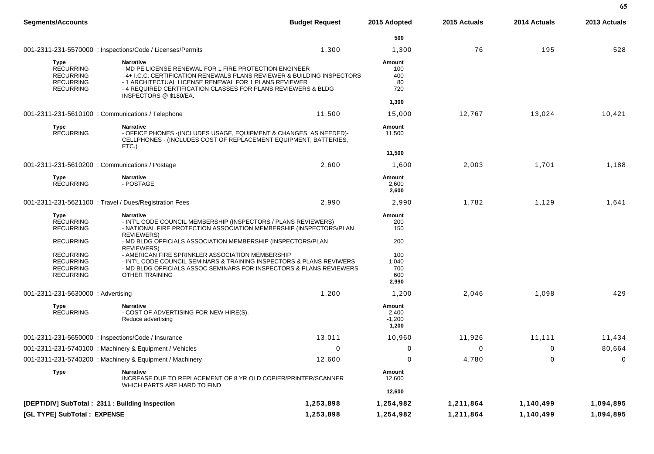| <b>Segments/Accounts</b>                                                             |                                                                                                                                                                                                                                                                                                          | <b>Budget Request</b> | 2015 Adopted                               | 2015 Actuals | 2014 Actuals   | 2013 Actuals |
|--------------------------------------------------------------------------------------|----------------------------------------------------------------------------------------------------------------------------------------------------------------------------------------------------------------------------------------------------------------------------------------------------------|-----------------------|--------------------------------------------|--------------|----------------|--------------|
|                                                                                      |                                                                                                                                                                                                                                                                                                          |                       | 500                                        |              |                |              |
|                                                                                      | 001-2311-231-5570000 : Inspections/Code / Licenses/Permits                                                                                                                                                                                                                                               | 1,300                 | 1,300                                      | 76           | 195            | 528          |
| Type<br><b>RECURRING</b><br><b>RECURRING</b><br><b>RECURRING</b><br><b>RECURRING</b> | <b>Narrative</b><br>- MD PE LICENSE RENEWAL FOR 1 FIRE PROTECTION ENGINEER<br>-4+ I.C.C. CERTIFICATION RENEWALS PLANS REVIEWER & BUILDING INSPECTORS<br>- 1 ARCHITECTUAL LICENSE RENEWAL FOR 1 PLANS REVIEWER<br>- 4 REQUIRED CERTIFICATION CLASSES FOR PLANS REVIEWERS & BLDG<br>INSPECTORS @ \$180/EA. |                       | Amount<br>100<br>400<br>80<br>720<br>1,300 |              |                |              |
| 001-2311-231-5610100 : Communications / Telephone                                    |                                                                                                                                                                                                                                                                                                          | 11,500                | 15,000                                     | 12,767       | 13,024         | 10,421       |
| Type<br><b>RECURRING</b>                                                             | <b>Narrative</b><br>- OFFICE PHONES -(INCLUDES USAGE, EQUIPMENT & CHANGES, AS NEEDED)-<br>CELLPHONES - (INCLUDES COST OF REPLACEMENT EQUIPMENT, BATTERIES,<br>ETC.)                                                                                                                                      |                       | Amount<br>11,500                           |              |                |              |
|                                                                                      |                                                                                                                                                                                                                                                                                                          |                       | 11,500                                     |              |                |              |
| 001-2311-231-5610200 : Communications / Postage                                      |                                                                                                                                                                                                                                                                                                          | 2,600                 | 1,600                                      | 2,003        | 1,701          | 1,188        |
| Type<br><b>RECURRING</b>                                                             | Narrative<br>- POSTAGE                                                                                                                                                                                                                                                                                   |                       | Amount<br>2,600<br>2,600                   |              |                |              |
| 001-2311-231-5621100 : Travel / Dues/Registration Fees                               |                                                                                                                                                                                                                                                                                                          | 2,990                 | 2,990                                      | 1,782        | 1,129          | 1,641        |
| Type<br><b>RECURRING</b><br><b>RECURRING</b>                                         | <b>Narrative</b><br>- INT'L CODE COUNCIL MEMBERSHIP (INSPECTORS / PLANS REVIEWERS)<br>- NATIONAL FIRE PROTECTION ASSOCIATION MEMBERSHIP (INSPECTORS/PLAN<br>REVIEWERS)                                                                                                                                   |                       | Amount<br>200<br>150                       |              |                |              |
| <b>RECURRING</b>                                                                     | - MD BLDG OFFICIALS ASSOCIATION MEMBERSHIP (INSPECTORS/PLAN<br>REVIEWERS)                                                                                                                                                                                                                                |                       | 200                                        |              |                |              |
| <b>RECURRING</b><br><b>RECURRING</b><br><b>RECURRING</b><br><b>RECURRING</b>         | - AMERICAN FIRE SPRINKLER ASSOCIATION MEMBERSHIP<br>- INT'L CODE COUNCIL SEMINARS & TRAINING INSPECTORS & PLANS REVIWERS<br>- MD BLDG OFFICIALS ASSOC SEMINARS FOR INSPECTORS & PLANS REVIEWERS<br><b>OTHER TRAINING</b>                                                                                 |                       | 100<br>1,040<br>700<br>600<br>2,990        |              |                |              |
| 001-2311-231-5630000: Advertising                                                    |                                                                                                                                                                                                                                                                                                          | 1,200                 | 1,200                                      | 2,046        | 1,098          | 429          |
| Type<br><b>RECURRING</b>                                                             | Narrative<br>- COST OF ADVERTISING FOR NEW HIRE(S).<br>Reduce advertising                                                                                                                                                                                                                                |                       | Amount<br>2,400<br>$-1,200$<br>1,200       |              |                |              |
| 001-2311-231-5650000 : Inspections/Code / Insurance                                  |                                                                                                                                                                                                                                                                                                          | 13,011                | 10,960                                     | 11,926       | 11,111         | 11,434       |
| 001-2311-231-5740100 : Machinery & Equipment / Vehicles                              |                                                                                                                                                                                                                                                                                                          | $\Omega$              | $\overline{\mathbf{0}}$                    | $\Omega$     | $\overline{0}$ | 80,664       |
|                                                                                      | 001-2311-231-5740200 : Machinery & Equipment / Machinery                                                                                                                                                                                                                                                 | 12,600                | $\Omega$                                   | 4,780        | 0              | 0            |
| <b>Type</b>                                                                          | <b>Narrative</b><br>INCREASE DUE TO REPLACEMENT OF 8 YR OLD COPIER/PRINTER/SCANNER<br>WHICH PARTS ARE HARD TO FIND                                                                                                                                                                                       |                       | Amount<br>12,600                           |              |                |              |
|                                                                                      |                                                                                                                                                                                                                                                                                                          |                       | 12,600                                     |              |                |              |
| [DEPT/DIV] SubTotal: 2311: Building Inspection                                       |                                                                                                                                                                                                                                                                                                          | 1,253,898             | 1,254,982                                  | 1,211,864    | 1,140,499      | 1,094,895    |
| [GL TYPE] SubTotal: EXPENSE                                                          |                                                                                                                                                                                                                                                                                                          | 1,253,898             | 1,254,982                                  | 1,211,864    | 1,140,499      | 1,094,895    |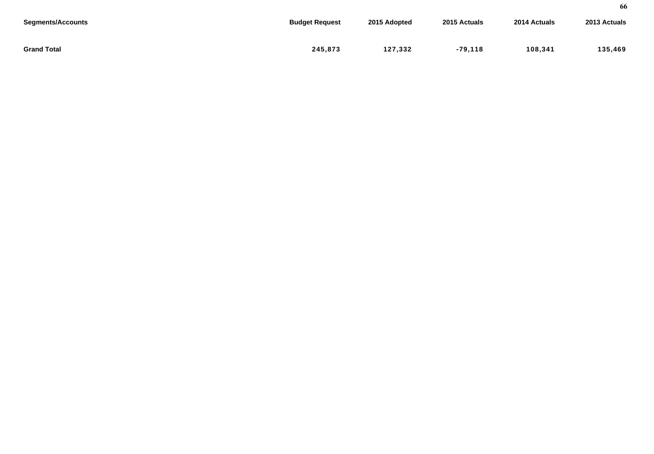| <b>Segments/Accounts</b> | <b>Budget Reguest</b> | 2015 Adopted | 2015 Actuals | 2014 Actuals | 2013 Actuals |
|--------------------------|-----------------------|--------------|--------------|--------------|--------------|
| <b>Grand Total</b>       | 245,873               | 127,332      | $-79,118$    | 108,341      | 135,469      |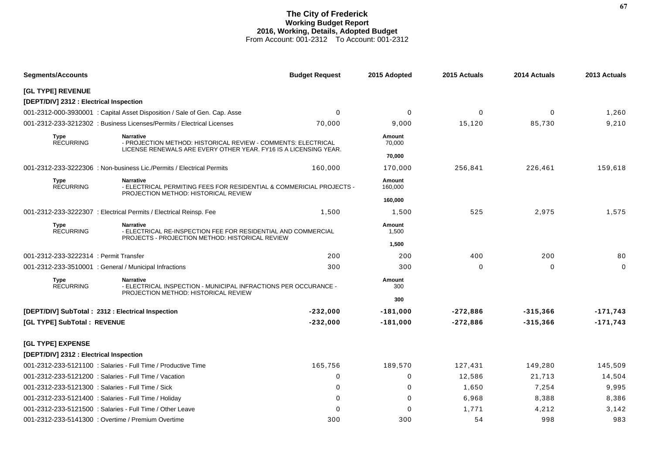# **The City of Frederick Working Budget Report 2016, Working, Details, Adopted Budget** From Account: 001-2312 To Account: 001-2312

| <b>Segments/Accounts</b>                                                                                                                                                                 |                                                                                                                                  | <b>Budget Request</b> | 2015 Adopted      | 2015 Actuals | 2014 Actuals | 2013 Actuals |
|------------------------------------------------------------------------------------------------------------------------------------------------------------------------------------------|----------------------------------------------------------------------------------------------------------------------------------|-----------------------|-------------------|--------------|--------------|--------------|
| [GL TYPE] REVENUE                                                                                                                                                                        |                                                                                                                                  |                       |                   |              |              |              |
| [DEPT/DIV] 2312 : Electrical Inspection                                                                                                                                                  |                                                                                                                                  |                       |                   |              |              |              |
|                                                                                                                                                                                          | 001-2312-000-3930001 : Capital Asset Disposition / Sale of Gen. Cap. Asse                                                        | $\Omega$              | $\mathbf{0}$      | $\Omega$     | $\Omega$     | 1,260        |
|                                                                                                                                                                                          | 001-2312-233-3212302 : Business Licenses/Permits / Electrical Licenses                                                           | 70,000                | 9,000             | 15,120       | 85,730       | 9,210        |
| <b>Narrative</b><br><b>Type</b><br><b>RECURRING</b><br>- PROJECTION METHOD: HISTORICAL REVIEW - COMMENTS: ELECTRICAL<br>LICENSE RENEWALS ARE EVERY OTHER YEAR. FY16 IS A LICENSING YEAR. |                                                                                                                                  |                       | Amount<br>70,000  |              |              |              |
|                                                                                                                                                                                          |                                                                                                                                  |                       | 70,000            |              |              |              |
|                                                                                                                                                                                          | 001-2312-233-3222306 : Non-business Lic./Permits / Electrical Permits                                                            | 160,000               | 170,000           | 256,841      | 226,461      | 159,618      |
| <b>Type</b><br><b>RECURRING</b>                                                                                                                                                          | <b>Narrative</b><br>- ELECTRICAL PERMITING FEES FOR RESIDENTIAL & COMMERICIAL PROJECTS -<br>PROJECTION METHOD: HISTORICAL REVIEW |                       | Amount<br>160,000 |              |              |              |
|                                                                                                                                                                                          |                                                                                                                                  |                       | 160,000           |              |              |              |
| 001-2312-233-3222307 : Electrical Permits / Electrical Reinsp. Fee                                                                                                                       |                                                                                                                                  | 1,500                 | 1,500             | 525          | 2,975        | 1,575        |
| <b>Type</b><br><b>RECURRING</b>                                                                                                                                                          | <b>Narrative</b><br>- ELECTRICAL RE-INSPECTION FEE FOR RESIDENTIAL AND COMMERCIAL                                                |                       | Amount<br>1,500   |              |              |              |
|                                                                                                                                                                                          | PROJECTS - PROJECTION METHOD: HISTORICAL REVIEW                                                                                  |                       | 1,500             |              |              |              |
| 001-2312-233-3222314 : Permit Transfer                                                                                                                                                   |                                                                                                                                  | 200                   | 200               | 400          | 200          | 80           |
| 001-2312-233-3510001 : General / Municipal Infractions                                                                                                                                   |                                                                                                                                  | 300                   | 300               | $\Omega$     | 0            | $\mathbf 0$  |
| <b>Type</b><br><b>RECURRING</b>                                                                                                                                                          | <b>Narrative</b><br>- ELECTRICAL INSPECTION - MUNICIPAL INFRACTIONS PER OCCURANCE -<br>PROJECTION METHOD: HISTORICAL REVIEW      |                       |                   |              |              |              |
|                                                                                                                                                                                          |                                                                                                                                  |                       | 300               |              |              |              |
| [DEPT/DIV] SubTotal: 2312 : Electrical Inspection                                                                                                                                        |                                                                                                                                  | $-232,000$            | $-181,000$        | $-272,886$   | $-315,366$   | $-171,743$   |
| [GL TYPE] SubTotal: REVENUE                                                                                                                                                              |                                                                                                                                  | $-232,000$            | $-181,000$        | $-272,886$   | $-315,366$   | $-171,743$   |
| [GL TYPE] EXPENSE                                                                                                                                                                        |                                                                                                                                  |                       |                   |              |              |              |
| [DEPT/DIV] 2312 : Electrical Inspection                                                                                                                                                  |                                                                                                                                  |                       |                   |              |              |              |
| 001-2312-233-5121100 : Salaries - Full Time / Productive Time                                                                                                                            |                                                                                                                                  | 165,756               | 189,570           | 127,431      | 149,280      | 145,509      |
| 001-2312-233-5121200 : Salaries - Full Time / Vacation                                                                                                                                   |                                                                                                                                  | 0                     | 0                 | 12,586       | 21,713       | 14,504       |
| 001-2312-233-5121300 : Salaries - Full Time / Sick                                                                                                                                       |                                                                                                                                  | 0                     | $\Omega$          | 1,650        | 7,254        | 9,995        |
| 001-2312-233-5121400 : Salaries - Full Time / Holiday                                                                                                                                    |                                                                                                                                  | 0                     | $\Omega$          | 6,968        | 8,388        | 8,386        |
| 001-2312-233-5121500 : Salaries - Full Time / Other Leave                                                                                                                                |                                                                                                                                  | $\Omega$              | $\Omega$          | 1,771        | 4,212        | 3,142        |
| 001-2312-233-5141300 : Overtime / Premium Overtime                                                                                                                                       |                                                                                                                                  | 300                   | 300               | 54           | 998          | 983          |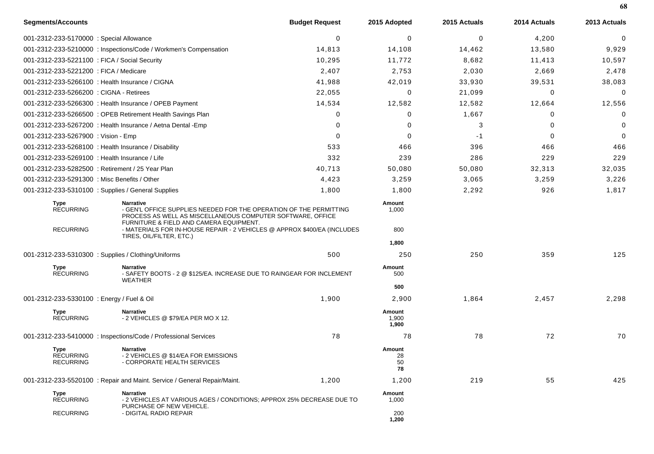| <b>Segments/Accounts</b>                       |                                                                                                                                                                                                 | <b>Budget Request</b> | 2015 Adopted             | 2015 Actuals | 2014 Actuals | 2013 Actuals |
|------------------------------------------------|-------------------------------------------------------------------------------------------------------------------------------------------------------------------------------------------------|-----------------------|--------------------------|--------------|--------------|--------------|
| 001-2312-233-5170000 : Special Allowance       |                                                                                                                                                                                                 | $\mathbf 0$           | $\Omega$                 | 0            | 4,200        | $\mathbf 0$  |
|                                                | 001-2312-233-5210000: Inspections/Code / Workmen's Compensation                                                                                                                                 | 14,813                | 14,108                   | 14,462       | 13,580       | 9,929        |
| 001-2312-233-5221100 : FICA / Social Security  |                                                                                                                                                                                                 | 10,295                | 11.772                   | 8,682        | 11,413       | 10,597       |
| 001-2312-233-5221200 : FICA / Medicare         |                                                                                                                                                                                                 | 2,407                 | 2,753                    | 2,030        | 2,669        | 2,478        |
|                                                | 001-2312-233-5266100 : Health Insurance / CIGNA                                                                                                                                                 | 41,988                | 42,019                   | 33,930       | 39,531       | 38,083       |
| 001-2312-233-5266200 : CIGNA - Retirees        |                                                                                                                                                                                                 | 22,055                | $\Omega$                 | 21,099       | 0            | 0            |
|                                                | 001-2312-233-5266300 : Health Insurance / OPEB Payment                                                                                                                                          | 14,534                | 12,582                   | 12,582       | 12,664       | 12,556       |
|                                                | 001-2312-233-5266500 : OPEB Retirement Health Savings Plan                                                                                                                                      | 0                     | 0                        | 1,667        | 0            | 0            |
|                                                | 001-2312-233-5267200 : Health Insurance / Aetna Dental - Emp                                                                                                                                    | 0                     | 0                        | 3            | $\Omega$     | 0            |
| 001-2312-233-5267900 : Vision - Emp            |                                                                                                                                                                                                 | $\Omega$              | $\Omega$                 | $-1$         | $\Omega$     | $\Omega$     |
|                                                | 001-2312-233-5268100 : Health Insurance / Disability                                                                                                                                            | 533                   | 466                      | 396          | 466          | 466          |
| 001-2312-233-5269100 : Health Insurance / Life |                                                                                                                                                                                                 | 332                   | 239                      | 286          | 229          | 229          |
|                                                | 001-2312-233-5282500 : Retirement / 25 Year Plan                                                                                                                                                | 40,713                | 50,080                   | 50,080       | 32,313       | 32,035       |
| 001-2312-233-5291300 : Misc Benefits / Other   |                                                                                                                                                                                                 | 4,423                 | 3,259                    | 3,065        | 3,259        | 3,226        |
|                                                | 001-2312-233-5310100 : Supplies / General Supplies                                                                                                                                              | 1,800                 | 1,800                    | 2,292        | 926          | 1,817        |
| Type<br><b>RECURRING</b>                       | <b>Narrative</b><br>- GEN'L OFFICE SUPPLIES NEEDED FOR THE OPERATION OF THE PERMITTING<br>PROCESS AS WELL AS MISCELLANEOUS COMPUTER SOFTWARE, OFFICE<br>FURNITURE & FIELD AND CAMERA EQUIPMENT. |                       | Amount<br>1,000          |              |              |              |
| <b>RECURRING</b>                               | - MATERIALS FOR IN-HOUSE REPAIR - 2 VEHICLES @ APPROX \$400/EA (INCLUDES<br>TIRES, OIL/FILTER, ETC.)                                                                                            |                       | 800                      |              |              |              |
|                                                |                                                                                                                                                                                                 |                       | 1,800                    |              |              |              |
|                                                | 001-2312-233-5310300: Supplies / Clothing/Uniforms                                                                                                                                              | 500                   | 250                      | 250          | 359          | 125          |
| <b>Type</b><br><b>RECURRING</b>                | <b>Narrative</b><br>- SAFETY BOOTS - 2 @ \$125/EA. INCREASE DUE TO RAINGEAR FOR INCLEMENT<br>WEATHER                                                                                            |                       | Amount<br>500            |              |              |              |
|                                                |                                                                                                                                                                                                 |                       | 500                      |              |              |              |
| 001-2312-233-5330100 : Energy / Fuel & Oil     |                                                                                                                                                                                                 | 1,900                 | 2,900                    | 1,864        | 2,457        | 2,298        |
| Type<br><b>RECURRING</b>                       | <b>Narrative</b><br>- 2 VEHICLES @ \$79/EA PER MO X 12.                                                                                                                                         |                       | Amount<br>1,900<br>1,900 |              |              |              |
|                                                | 001-2312-233-5410000 : Inspections/Code / Professional Services                                                                                                                                 | 78                    | 78                       | 78           | 72           | 70           |
| Type<br><b>RECURRING</b><br><b>RECURRING</b>   | <b>Narrative</b><br>- 2 VEHICLES @ \$14/EA FOR EMISSIONS<br>- CORPORATE HEALTH SERVICES                                                                                                         |                       | Amount<br>28<br>50<br>78 |              |              |              |
|                                                | 001-2312-233-5520100 : Repair and Maint. Service / General Repair/Maint.                                                                                                                        | 1,200                 | 1,200                    | 219          | 55           | 425          |
| Type<br><b>RECURRING</b>                       | <b>Narrative</b><br>- 2 VEHICLES AT VARIOUS AGES / CONDITIONS: APPROX 25% DECREASE DUE TO<br>PURCHASE OF NEW VEHICLE.                                                                           |                       | Amount<br>1,000          |              |              |              |
| <b>RECURRING</b>                               | - DIGITAL RADIO REPAIR                                                                                                                                                                          |                       | 200<br>1,200             |              |              |              |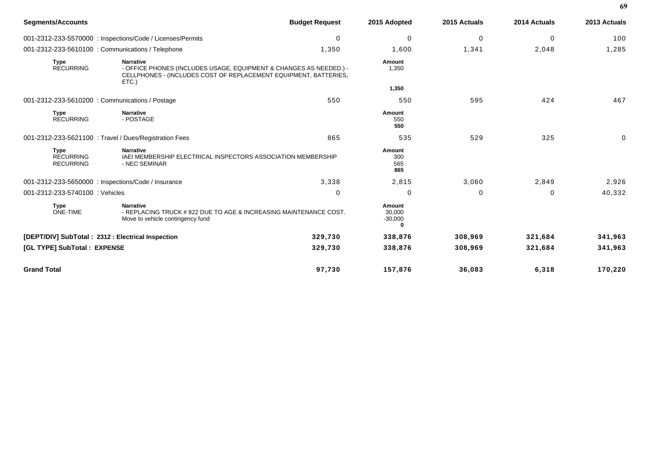| <b>Segments/Accounts</b>                            |                                                                                                                                                                     | <b>Budget Request</b> | 2015 Adopted                       | 2015 Actuals | 2014 Actuals | 2013 Actuals |
|-----------------------------------------------------|---------------------------------------------------------------------------------------------------------------------------------------------------------------------|-----------------------|------------------------------------|--------------|--------------|--------------|
|                                                     | 001-2312-233-5570000: Inspections/Code / Licenses/Permits                                                                                                           | $\Omega$              | 0                                  | 0            | 0            | 100          |
|                                                     | 001-2312-233-5610100 : Communications / Telephone                                                                                                                   | 1,350                 | 1,600                              | 1,341        | 2,048        | 1,285        |
| <b>Type</b><br><b>RECURRING</b>                     | <b>Narrative</b><br>- OFFICE PHONES (INCLUDES USAGE, EQUIPMENT & CHANGES AS NEEDED.) -<br>CELLPHONES - (INCLUDES COST OF REPLACEMENT EQUIPMENT, BATTERIES,<br>ETC.) |                       | Amount<br>1,350                    |              |              |              |
|                                                     |                                                                                                                                                                     |                       | 1,350                              |              |              |              |
|                                                     | 001-2312-233-5610200 : Communications / Postage                                                                                                                     | 550                   | 550                                | 595          | 424          | 467          |
| <b>Type</b><br><b>RECURRING</b>                     | <b>Narrative</b><br>- POSTAGE                                                                                                                                       |                       | Amount<br>550<br>550               |              |              |              |
|                                                     | 001-2312-233-5621100 : Travel / Dues/Registration Fees                                                                                                              | 865                   | 535                                | 529          | 325          | $\Omega$     |
| <b>Type</b><br><b>RECURRING</b><br><b>RECURRING</b> | <b>Narrative</b><br>IAEI MEMBERSHIP ELECTRICAL INSPECTORS ASSOCIATION MEMBERSHIP<br>- NEC SEMINAR                                                                   |                       | Amount<br>300<br>565<br>865        |              |              |              |
|                                                     | 001-2312-233-5650000 : Inspections/Code / Insurance                                                                                                                 | 3,338                 | 2,815                              | 3,060        | 2,849        | 2,926        |
| 001-2312-233-5740100 : Vehicles                     |                                                                                                                                                                     | $\Omega$              | $\Omega$                           | 0            | $\mathbf 0$  | 40,332       |
| <b>Type</b><br>ONE-TIME                             | <b>Narrative</b><br>- REPLACING TRUCK # 822 DUE TO AGE & INCREASING MAINTENANCE COST.<br>Move to vehicle contingency fund                                           |                       | Amount<br>30,000<br>$-30,000$<br>O |              |              |              |
|                                                     | [DEPT/DIV] SubTotal: 2312 : Electrical Inspection                                                                                                                   | 329,730               | 338,876                            | 308,969      | 321,684      | 341,963      |
| [GL TYPE] SubTotal: EXPENSE                         |                                                                                                                                                                     | 329,730               | 338,876                            | 308,969      | 321,684      | 341,963      |
| <b>Grand Total</b>                                  |                                                                                                                                                                     | 97,730                | 157,876                            | 36,083       | 6,318        | 170,220      |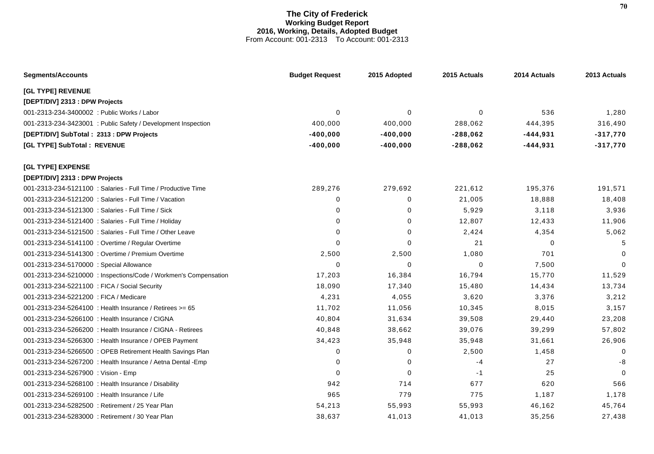# **The City of Frederick Working Budget Report 2016, Working, Details, Adopted Budget** From Account: 001-2313 To Account: 001-2313

| <b>Segments/Accounts</b>                                         | <b>Budget Request</b> | 2015 Adopted | 2015 Actuals | 2014 Actuals | 2013 Actuals |
|------------------------------------------------------------------|-----------------------|--------------|--------------|--------------|--------------|
| [GL TYPE] REVENUE                                                |                       |              |              |              |              |
| [DEPT/DIV] 2313 : DPW Projects                                   |                       |              |              |              |              |
| 001-2313-234-3400002 : Public Works / Labor                      | 0                     | $\Omega$     | 0            | 536          | 1,280        |
| 001-2313-234-3423001: Public Safety / Development Inspection     | 400,000               | 400,000      | 288,062      | 444,395      | 316,490      |
| [DEPT/DIV] SubTotal: 2313: DPW Projects                          | $-400,000$            | $-400,000$   | $-288,062$   | $-444,931$   | $-317,770$   |
| [GL TYPE] SubTotal: REVENUE                                      | $-400,000$            | $-400,000$   | $-288,062$   | $-444,931$   | $-317,770$   |
| [GL TYPE] EXPENSE                                                |                       |              |              |              |              |
| [DEPT/DIV] 2313 : DPW Projects                                   |                       |              |              |              |              |
| 001-2313-234-5121100 : Salaries - Full Time / Productive Time    | 289,276               | 279,692      | 221,612      | 195,376      | 191,571      |
| 001-2313-234-5121200 : Salaries - Full Time / Vacation           | 0                     | 0            | 21,005       | 18,888       | 18,408       |
| 001-2313-234-5121300 : Salaries - Full Time / Sick               | 0                     | 0            | 5,929        | 3,118        | 3,936        |
| 001-2313-234-5121400 : Salaries - Full Time / Holiday            | 0                     | 0            | 12,807       | 12,433       | 11,906       |
| 001-2313-234-5121500 : Salaries - Full Time / Other Leave        | 0                     | 0            | 2,424        | 4,354        | 5,062        |
| 001-2313-234-5141100 : Overtime / Regular Overtime               | 0                     | $\Omega$     | 21           | 0            | 5            |
| 001-2313-234-5141300 : Overtime / Premium Overtime               | 2,500                 | 2,500        | 1,080        | 701          | $\Omega$     |
| 001-2313-234-5170000 : Special Allowance                         | 0                     | 0            | 0            | 7,500        | $\Omega$     |
| 001-2313-234-5210000 : Inspections/Code / Workmen's Compensation | 17,203                | 16,384       | 16,794       | 15,770       | 11,529       |
| 001-2313-234-5221100 : FICA / Social Security                    | 18,090                | 17,340       | 15,480       | 14,434       | 13,734       |
| 001-2313-234-5221200 : FICA / Medicare                           | 4,231                 | 4,055        | 3,620        | 3,376        | 3,212        |
| 001-2313-234-5264100 : Health Insurance / Retirees >= 65         | 11,702                | 11,056       | 10,345       | 8,015        | 3,157        |
| 001-2313-234-5266100 : Health Insurance / CIGNA                  | 40,804                | 31,634       | 39,508       | 29,440       | 23,208       |
| 001-2313-234-5266200 : Health Insurance / CIGNA - Retirees       | 40,848                | 38,662       | 39,076       | 39,299       | 57,802       |
| 001-2313-234-5266300 : Health Insurance / OPEB Payment           | 34,423                | 35,948       | 35,948       | 31,661       | 26,906       |
| 001-2313-234-5266500 : OPEB Retirement Health Savings Plan       | 0                     | 0            | 2,500        | 1,458        | 0            |
| 001-2313-234-5267200 : Health Insurance / Aetna Dental -Emp      | 0                     | $\Omega$     | $-4$         | 27           | -8           |
| 001-2313-234-5267900 : Vision - Emp                              | 0                     | 0            | $-1$         | 25           | $\Omega$     |
| 001-2313-234-5268100 : Health Insurance / Disability             | 942                   | 714          | 677          | 620          | 566          |
| 001-2313-234-5269100 : Health Insurance / Life                   | 965                   | 779          | 775          | 1,187        | 1,178        |
| 001-2313-234-5282500: Retirement / 25 Year Plan                  | 54,213                | 55,993       | 55,993       | 46,162       | 45,764       |
| 001-2313-234-5283000 : Retirement / 30 Year Plan                 | 38,637                | 41,013       | 41,013       | 35,256       | 27,438       |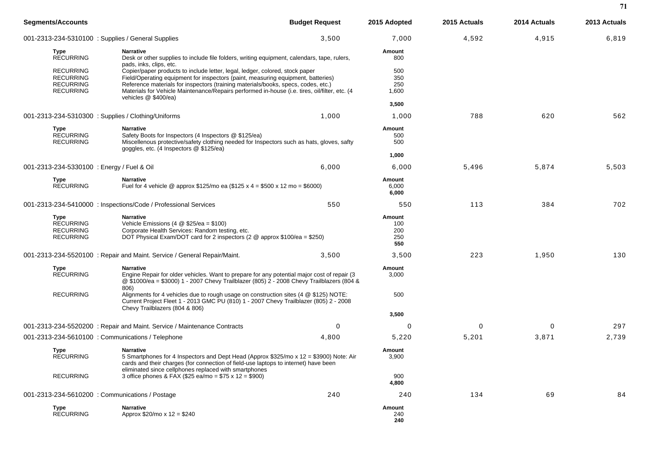| <b>Segments/Accounts</b>                                                     |                                                                                                                                                                                                                                                                                                                                                                                | <b>Budget Request</b> | 2015 Adopted                       | 2015 Actuals | 2014 Actuals | 2013 Actuals |
|------------------------------------------------------------------------------|--------------------------------------------------------------------------------------------------------------------------------------------------------------------------------------------------------------------------------------------------------------------------------------------------------------------------------------------------------------------------------|-----------------------|------------------------------------|--------------|--------------|--------------|
|                                                                              | 001-2313-234-5310100 : Supplies / General Supplies                                                                                                                                                                                                                                                                                                                             | 3,500                 | 7,000                              | 4,592        | 4,915        | 6,819        |
| Type<br><b>RECURRING</b>                                                     | <b>Narrative</b><br>Desk or other supplies to include file folders, writing equipment, calendars, tape, rulers,<br>pads, inks, clips, etc.                                                                                                                                                                                                                                     |                       | Amount<br>800                      |              |              |              |
| <b>RECURRING</b><br><b>RECURRING</b><br><b>RECURRING</b><br><b>RECURRING</b> | Copier/paper products to include letter, legal, ledger, colored, stock paper<br>Field/Operating equipment for inspectors (paint, measuring equipment, batteries)<br>Reference materials for inspectors (training materials/books, specs, codes, etc.)<br>Materials for Vehicle Maintenance/Repairs performed in-house (i.e. tires, oil/filter, etc. (4<br>vehicles @ \$400/ea) |                       | 500<br>350<br>250<br>1,600         |              |              |              |
|                                                                              |                                                                                                                                                                                                                                                                                                                                                                                |                       | 3,500                              |              |              |              |
|                                                                              | 001-2313-234-5310300: Supplies / Clothing/Uniforms                                                                                                                                                                                                                                                                                                                             | 1,000                 | 1,000                              | 788          | 620          | 562          |
| Type<br><b>RECURRING</b><br><b>RECURRING</b>                                 | <b>Narrative</b><br>Safety Boots for Inspectors (4 Inspectors @ \$125/ea)<br>Miscellenous protective/safety clothing needed for Inspectors such as hats, gloves, safty<br>goggles, etc. (4 Inspectors @ \$125/ea)                                                                                                                                                              |                       | Amount<br>500<br>500               |              |              |              |
|                                                                              |                                                                                                                                                                                                                                                                                                                                                                                |                       | 1,000                              |              |              |              |
| 001-2313-234-5330100 : Energy / Fuel & Oil                                   |                                                                                                                                                                                                                                                                                                                                                                                | 6,000                 | 6,000                              | 5,496        | 5,874        | 5,503        |
| Type<br><b>RECURRING</b>                                                     | <b>Narrative</b><br>Fuel for 4 vehicle @ approx \$125/mo ea (\$125 x 4 = \$500 x 12 mo = \$6000)                                                                                                                                                                                                                                                                               |                       | Amount<br>6,000<br>6,000           |              |              |              |
|                                                                              | 001-2313-234-5410000 : Inspections/Code / Professional Services                                                                                                                                                                                                                                                                                                                | 550                   | 550                                | 113          | 384          | 702          |
| Type<br><b>RECURRING</b><br><b>RECURRING</b><br><b>RECURRING</b>             | <b>Narrative</b><br>Vehicle Emissions (4 $@$ \$25/ea = \$100)<br>Corporate Health Services: Random testing, etc.<br>DOT Physical Exam/DOT card for 2 inspectors (2 $@$ approx \$100/ea = \$250)                                                                                                                                                                                |                       | Amount<br>100<br>200<br>250<br>550 |              |              |              |
|                                                                              | 001-2313-234-5520100: Repair and Maint. Service / General Repair/Maint.                                                                                                                                                                                                                                                                                                        | 3,500                 | 3,500                              | 223          | 1,950        | 130          |
| <b>Type</b><br><b>RECURRING</b>                                              | <b>Narrative</b><br>Engine Repair for older vehicles. Want to prepare for any potential major cost of repair (3<br>@ \$1000/ea = \$3000) 1 - 2007 Chevy Trailblazer (805) 2 - 2008 Chevy Trailblazers (804 &                                                                                                                                                                   |                       | Amount<br>3,000                    |              |              |              |
| <b>RECURRING</b>                                                             | 806)<br>Alignments for 4 vehicles due to rough usage on construction sites (4 @ \$125) NOTE:<br>Current Project Fleet 1 - 2013 GMC PU (810) 1 - 2007 Chevy Trailblazer (805) 2 - 2008<br>Chevy Trailblazers (804 & 806)                                                                                                                                                        |                       | 500                                |              |              |              |
|                                                                              |                                                                                                                                                                                                                                                                                                                                                                                |                       | 3,500                              |              |              |              |
|                                                                              | 001-2313-234-5520200: Repair and Maint. Service / Maintenance Contracts                                                                                                                                                                                                                                                                                                        | 0                     | 0                                  | 0            | 0            | 297          |
|                                                                              | 001-2313-234-5610100 : Communications / Telephone                                                                                                                                                                                                                                                                                                                              | 4,800                 | 5,220                              | 5,201        | 3,871        | 2,739        |
| Type<br><b>RECURRING</b>                                                     | Narrative<br>5 Smartphones for 4 Inspectors and Dept Head (Approx \$325/mo x 12 = \$3900) Note: Air<br>cards and their charges (for connection of field-use laptops to internet) have been<br>eliminated since cellphones replaced with smartphones                                                                                                                            |                       | Amount<br>3,900                    |              |              |              |
| <b>RECURRING</b>                                                             | 3 office phones & FAX (\$25 ea/mo = \$75 x 12 = \$900)                                                                                                                                                                                                                                                                                                                         |                       | 900<br>4,800                       |              |              |              |
|                                                                              | 001-2313-234-5610200 : Communications / Postage                                                                                                                                                                                                                                                                                                                                | 240                   | 240                                | 134          | 69           | 84           |
| Type<br><b>RECURRING</b>                                                     | <b>Narrative</b><br>Approx $$20/mo \times 12 = $240$                                                                                                                                                                                                                                                                                                                           |                       | Amount<br>240<br>240               |              |              |              |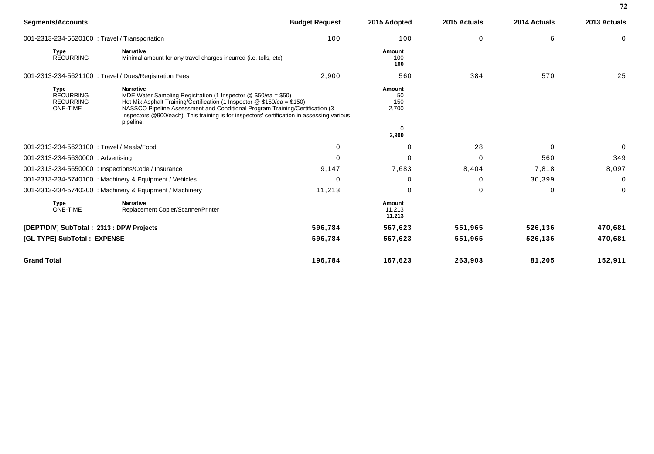| <b>Segments/Accounts</b>                                        |                                                                                                                                                                                                                                                                                                                                                              | <b>Budget Request</b> | 2015 Adopted                 | 2015 Actuals | 2014 Actuals | 2013 Actuals |
|-----------------------------------------------------------------|--------------------------------------------------------------------------------------------------------------------------------------------------------------------------------------------------------------------------------------------------------------------------------------------------------------------------------------------------------------|-----------------------|------------------------------|--------------|--------------|--------------|
| 001-2313-234-5620100 : Travel / Transportation                  |                                                                                                                                                                                                                                                                                                                                                              | 100                   | 100                          | 0            | 6            | $\mathbf 0$  |
| <b>Type</b><br><b>RECURRING</b>                                 | <b>Narrative</b><br>Minimal amount for any travel charges incurred (i.e. tolls, etc)                                                                                                                                                                                                                                                                         |                       | Amount<br>100<br>100         |              |              |              |
|                                                                 | 001-2313-234-5621100 : Travel / Dues/Registration Fees                                                                                                                                                                                                                                                                                                       | 2,900                 | 560                          | 384          | 570          | 25           |
| Type<br><b>RECURRING</b><br><b>RECURRING</b><br><b>ONE-TIME</b> | <b>Narrative</b><br>MDE Water Sampling Registration (1 Inspector $@$ \$50/ea = \$50)<br>Hot Mix Asphalt Training/Certification (1 Inspector $@$ \$150/ea = \$150)<br>NASSCO Pipeline Assessment and Conditional Program Training/Certification (3<br>Inspectors @900/each). This training is for inspectors' certification in assessing various<br>pipeline. |                       | Amount<br>50<br>150<br>2,700 |              |              |              |
|                                                                 |                                                                                                                                                                                                                                                                                                                                                              |                       | 2,900                        |              |              |              |
| 001-2313-234-5623100: Travel / Meals/Food                       |                                                                                                                                                                                                                                                                                                                                                              | $\mathbf 0$           | 0                            | 28           | $\Omega$     | $\Omega$     |
| 001-2313-234-5630000: Advertising                               |                                                                                                                                                                                                                                                                                                                                                              | $\Omega$              | 0                            | $\Omega$     | 560          | 349          |
|                                                                 | 001-2313-234-5650000 : Inspections/Code / Insurance                                                                                                                                                                                                                                                                                                          | 9,147                 | 7,683                        | 8,404        | 7,818        | 8,097        |
|                                                                 | 001-2313-234-5740100 : Machinery & Equipment / Vehicles                                                                                                                                                                                                                                                                                                      | $\Omega$              | 0                            | 0            | 30,399       | $\Omega$     |
|                                                                 | 001-2313-234-5740200 : Machinery & Equipment / Machinery                                                                                                                                                                                                                                                                                                     | 11,213                | 0                            | 0            | $\Omega$     | $\mathbf 0$  |
| <b>Type</b><br><b>ONE-TIME</b>                                  | <b>Narrative</b><br>Replacement Copier/Scanner/Printer                                                                                                                                                                                                                                                                                                       |                       | Amount<br>11,213<br>11,213   |              |              |              |
| [DEPT/DIV] SubTotal: 2313: DPW Projects                         |                                                                                                                                                                                                                                                                                                                                                              | 596,784               | 567,623                      | 551,965      | 526,136      | 470,681      |
| [GL TYPE] SubTotal: EXPENSE                                     |                                                                                                                                                                                                                                                                                                                                                              | 596,784               | 567,623                      | 551,965      | 526,136      | 470,681      |
| <b>Grand Total</b>                                              |                                                                                                                                                                                                                                                                                                                                                              | 196,784               | 167,623                      | 263,903      | 81,205       | 152,911      |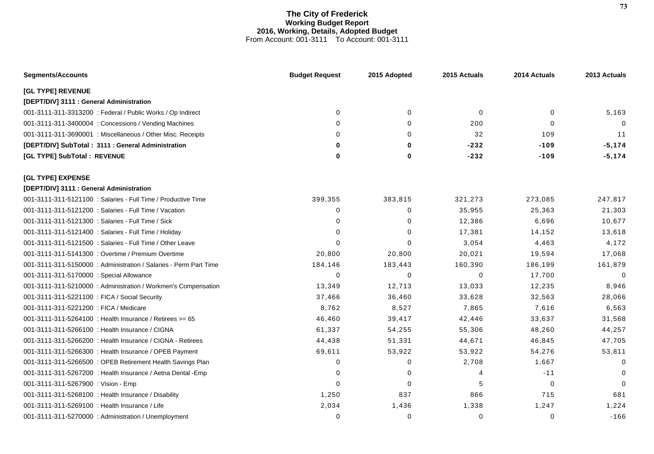# **The City of Frederick Working Budget Report 2016, Working, Details, Adopted Budget** From Account: 001-3111 To Account: 001-3111

| <b>Segments/Accounts</b>                                         | <b>Budget Request</b> | 2015 Adopted | 2015 Actuals | 2014 Actuals | 2013 Actuals |
|------------------------------------------------------------------|-----------------------|--------------|--------------|--------------|--------------|
| [GL TYPE] REVENUE                                                |                       |              |              |              |              |
| [DEPT/DIV] 3111 : General Administration                         |                       |              |              |              |              |
| 001-3111-311-3313200 : Federal / Public Works / Op Indirect      | 0                     | 0            | 0            | 0            | 5,163        |
| 001-3111-311-3400004 : Concessions / Vending Machines            | 0                     | 0            | 200          | $\Omega$     | $\Omega$     |
| 001-3111-311-3690001 : Miscellaneous / Other Misc. Receipts      | $\Omega$              | 0            | 32           | 109          | 11           |
| [DEPT/DIV] SubTotal: 3111 : General Administration               | ŋ                     | 0            | $-232$       | $-109$       | $-5,174$     |
| [GL TYPE] SubTotal: REVENUE                                      | 0                     | 0            | $-232$       | $-109$       | $-5,174$     |
| [GL TYPE] EXPENSE                                                |                       |              |              |              |              |
| [DEPT/DIV] 3111 : General Administration                         |                       |              |              |              |              |
| 001-3111-311-5121100 : Salaries - Full Time / Productive Time    | 399,355               | 383,815      | 321,273      | 273,085      | 247,817      |
| 001-3111-311-5121200 : Salaries - Full Time / Vacation           | 0                     | 0            | 35,955       | 25,363       | 21,303       |
| 001-3111-311-5121300 : Salaries - Full Time / Sick               | 0                     | 0            | 12,386       | 6,696        | 10,677       |
| 001-3111-311-5121400 : Salaries - Full Time / Holiday            | $\Omega$              | 0            | 17,381       | 14,152       | 13,618       |
| 001-3111-311-5121500 : Salaries - Full Time / Other Leave        | $\Omega$              | $\Omega$     | 3,054        | 4,463        | 4,172        |
| 001-3111-311-5141300 : Overtime / Premium Overtime               | 20,800                | 20,800       | 20,021       | 19,594       | 17,068       |
| 001-3111-311-5150000: Administration / Salaries - Perm Part Time | 184,146               | 183,443      | 160,390      | 186,199      | 161,879      |
| 001-3111-311-5170000 : Special Allowance                         | 0                     | 0            | 0            | 17,700       | 0            |
| 001-3111-311-5210000: Administration / Workmen's Compensation    | 13,349                | 12,713       | 13,033       | 12,235       | 8,946        |
| 001-3111-311-5221100 : FICA / Social Security                    | 37,466                | 36,460       | 33,628       | 32,563       | 28,066       |
| 001-3111-311-5221200 : FICA / Medicare                           | 8,762                 | 8,527        | 7,865        | 7,616        | 6,563        |
| 001-3111-311-5264100 : Health Insurance / Retirees >= 65         | 46,460                | 39,417       | 42,446       | 33,637       | 31,568       |
| 001-3111-311-5266100 : Health Insurance / CIGNA                  | 61,337                | 54,255       | 55,306       | 48,260       | 44,257       |
| 001-3111-311-5266200 : Health Insurance / CIGNA - Retirees       | 44,438                | 51,331       | 44,671       | 46,845       | 47,705       |
| 001-3111-311-5266300 : Health Insurance / OPEB Payment           | 69,611                | 53,922       | 53,922       | 54,276       | 53,811       |
| 001-3111-311-5266500 : OPEB Retirement Health Savings Plan       | 0                     | $\Omega$     | 2,708        | 1,667        | $\Omega$     |
| 001-3111-311-5267200 : Health Insurance / Aetna Dental - Emp     | 0                     | 0            | 4            | $-11$        | 0            |
| 001-3111-311-5267900 : Vision - Emp                              | $\Omega$              | 0            | 5            | $\mathbf 0$  | $\Omega$     |
| 001-3111-311-5268100 : Health Insurance / Disability             | 1,250                 | 837          | 866          | 715          | 681          |
| 001-3111-311-5269100 : Health Insurance / Life                   | 2,034                 | 1,436        | 1,338        | 1,247        | 1,224        |
| 001-3111-311-5270000: Administration / Unemployment              | 0                     | 0            | 0            | 0            | $-166$       |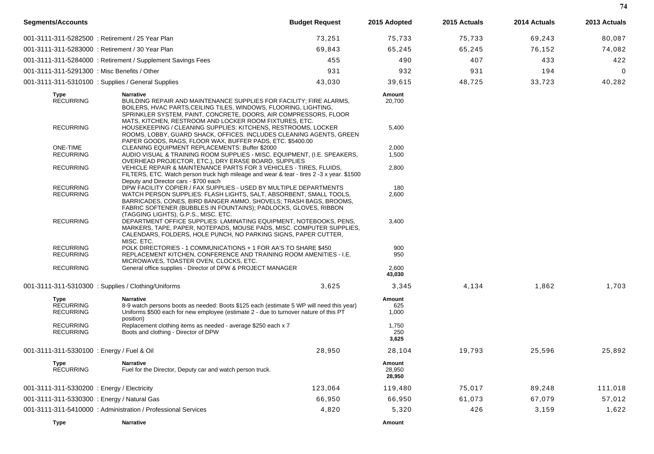| <b>Segments/Accounts</b>                     |                                                                                                                                                                                                                                                                       | <b>Budget Request</b> | 2015 Adopted               | 2015 Actuals | 2014 Actuals | 2013 Actuals |
|----------------------------------------------|-----------------------------------------------------------------------------------------------------------------------------------------------------------------------------------------------------------------------------------------------------------------------|-----------------------|----------------------------|--------------|--------------|--------------|
|                                              | 001-3111-311-5282500 : Retirement / 25 Year Plan                                                                                                                                                                                                                      | 73,251                | 75,733                     | 75,733       | 69,243       | 80,087       |
|                                              | 001-3111-311-5283000 : Retirement / 30 Year Plan                                                                                                                                                                                                                      | 69,843                | 65,245                     | 65,245       | 76,152       | 74,082       |
|                                              | 001-3111-311-5284000: Retirement / Supplement Savings Fees                                                                                                                                                                                                            | 455                   | 490                        | 407          | 433          | 422          |
| 001-3111-311-5291300 : Misc Benefits / Other |                                                                                                                                                                                                                                                                       | 931                   | 932                        | 931          | 194          | $\mathbf 0$  |
|                                              | 001-3111-311-5310100 : Supplies / General Supplies                                                                                                                                                                                                                    | 43,030                | 39,615                     | 48,725       | 33,723       | 40,282       |
| Type                                         | Narrative                                                                                                                                                                                                                                                             |                       | Amount                     |              |              |              |
| <b>RECURRING</b>                             | BUILDING REPAIR AND MAINTENANCE SUPPLIES FOR FACILITY; FIRE ALARMS,<br>BOILERS, HVAC PARTS, CEILING TILES, WINDOWS, FLOORING, LIGHTING,<br>SPRINKLER SYSTEM, PAINT, CONCRETE, DOORS, AIR COMPRESSORS, FLOOR<br>MATS, KITCHEN, RESTROOM AND LOCKER ROOM FIXTURES, ETC. |                       | 20,700                     |              |              |              |
| <b>RECURRING</b>                             | HOUSEKEEPING / CLEANING SUPPLIES: KITCHENS, RESTROOMS, LOCKER<br>ROOMS, LOBBY, GUARD SHACK, OFFICES. INCLUDES CLEANING AGENTS, GREEN<br>PAPER GOODS, RAGS, FLOOR WAX, BUFFER PADS, ETC. \$5400.00                                                                     |                       | 5,400                      |              |              |              |
| ONE-TIME                                     | CLEANING EQUIPMENT REPLACEMENTS: Buffer \$2000                                                                                                                                                                                                                        |                       | 2,000                      |              |              |              |
| <b>RECURRING</b>                             | AUDIO VISUAL & TRAINING ROOM SUPPLIES - MISC. EQUIPMENT, (I.E. SPEAKERS,<br>OVERHEAD PROJECTOR, ETC.), DRY ERASE BOARD, SUPPLIES                                                                                                                                      |                       | 1,500                      |              |              |              |
| <b>RECURRING</b>                             | VEHICLE REPAIR & MAINTENANCE PARTS FOR 3 VEHICLES - TIRES, FLUIDS,                                                                                                                                                                                                    |                       | 2,800                      |              |              |              |
|                                              | FILTERS, ETC. Watch person truck high mileage and wear & tear - tires 2 -3 x year. \$1500<br>Deputy and Director cars - \$700 each                                                                                                                                    |                       |                            |              |              |              |
| <b>RECURRING</b>                             | DPW FACILITY COPIER / FAX SUPPLIES - USED BY MULTIPLE DEPARTMENTS                                                                                                                                                                                                     |                       | 180                        |              |              |              |
| <b>RECURRING</b>                             | WATCH PERSON SUPPLIES: FLASH LIGHTS, SALT, ABSORBENT, SMALL TOOLS,<br>BARRICADES, CONES, BIRD BANGER AMMO, SHOVELS; TRASH BAGS, BROOMS,<br>FABRIC SOFTENER (BUBBLES IN FOUNTAINS); PADLOCKS, GLOVES, RIBBON<br>(TAGGING LIGHTS), G.P.S., MISC. ETC.                   |                       | 2,600                      |              |              |              |
| <b>RECURRING</b>                             | DEPARTMENT OFFICE SUPPLIES: LAMINATING EQUIPMENT, NOTEBOOKS, PENS,<br>MARKERS, TAPE, PAPER, NOTEPADS, MOUSE PADS, MISC. COMPUTER SUPPLIES,<br>CALENDARS, FOLDERS, HOLE PUNCH, NO PARKING SIGNS, PAPER CUTTER,<br>MISC. ETC.                                           |                       | 3,400                      |              |              |              |
| <b>RECURRING</b>                             | POLK DIRECTORIES - 1 COMMUNICATIONS + 1 FOR AA'S TO SHARE \$450                                                                                                                                                                                                       |                       | 900                        |              |              |              |
| <b>RECURRING</b>                             | REPLACEMENT KITCHEN, CONFERENCE AND TRAINING ROOM AMENITIES - I.E.<br>MICROWAVES, TOASTER OVEN, CLOCKS, ETC.                                                                                                                                                          |                       | 950                        |              |              |              |
| <b>RECURRING</b>                             | General office supplies - Director of DPW & PROJECT MANAGER                                                                                                                                                                                                           |                       | 2,600<br>43,030            |              |              |              |
|                                              | 001-3111-311-5310300: Supplies / Clothing/Uniforms                                                                                                                                                                                                                    | 3,625                 | 3,345                      | 4,134        | 1,862        | 1,703        |
| Type                                         | <b>Narrative</b>                                                                                                                                                                                                                                                      |                       | Amount                     |              |              |              |
| <b>RECURRING</b><br><b>RECURRING</b>         | 8-9 watch persons boots as needed: Boots \$125 each (estimate 5 WP will need this year)<br>Uniforms \$500 each for new employee (estimate 2 - due to turnover nature of this PT<br>position)                                                                          |                       | 625<br>1,000               |              |              |              |
| <b>RECURRING</b><br><b>RECURRING</b>         | Replacement clothing items as needed - average \$250 each x 7<br>Boots and clothing - Director of DPW                                                                                                                                                                 |                       | 1,750<br>250<br>3,625      |              |              |              |
| 001-3111-311-5330100 : Energy / Fuel & Oil   |                                                                                                                                                                                                                                                                       | 28,950                | 28,104                     | 19,793       | 25,596       | 25,892       |
| Type<br><b>RECURRING</b>                     | <b>Narrative</b><br>Fuel for the Director, Deputy car and watch person truck.                                                                                                                                                                                         |                       | Amount<br>28,950<br>28,950 |              |              |              |
| 001-3111-311-5330200 : Energy / Electricity  |                                                                                                                                                                                                                                                                       | 123,064               | 119,480                    | 75,017       | 89,248       | 111,018      |
| 001-3111-311-5330300 : Energy / Natural Gas  |                                                                                                                                                                                                                                                                       | 66,950                | 66,950                     | 61,073       | 67,079       | 57,012       |
|                                              | 001-3111-311-5410000: Administration / Professional Services                                                                                                                                                                                                          | 4,820                 | 5,320                      | 426          | 3,159        | 1,622        |
| Type                                         | Narrative                                                                                                                                                                                                                                                             |                       | Amount                     |              |              |              |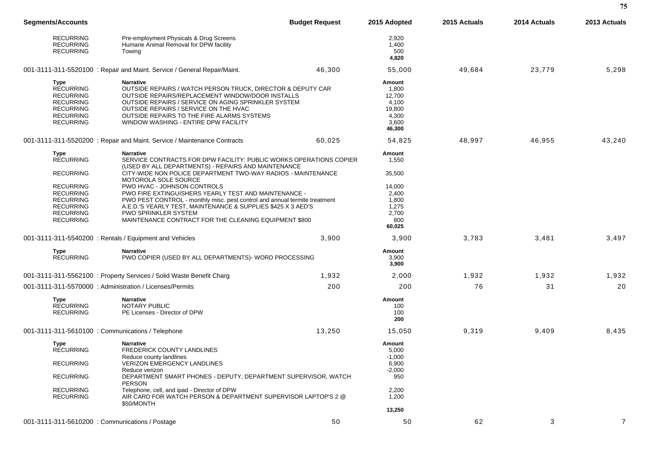| <b>Segments/Accounts</b>                                                                                                                                                    |                                                                                                                                                                                                                                                                                                                                                                                                                                                                                                                                                             | <b>Budget Request</b> | 2015 Adopted                                                                             | 2015 Actuals | 2014 Actuals | 2013 Actuals |
|-----------------------------------------------------------------------------------------------------------------------------------------------------------------------------|-------------------------------------------------------------------------------------------------------------------------------------------------------------------------------------------------------------------------------------------------------------------------------------------------------------------------------------------------------------------------------------------------------------------------------------------------------------------------------------------------------------------------------------------------------------|-----------------------|------------------------------------------------------------------------------------------|--------------|--------------|--------------|
| <b>RECURRING</b><br><b>RECURRING</b><br><b>RECURRING</b>                                                                                                                    | Pre-employment Physicals & Drug Screens<br>Humane Animal Removal for DPW facility<br>Towing                                                                                                                                                                                                                                                                                                                                                                                                                                                                 |                       | 2,920<br>1,400<br>500<br>4,820                                                           |              |              |              |
|                                                                                                                                                                             | 001-3111-311-5520100 : Repair and Maint. Service / General Repair/Maint.                                                                                                                                                                                                                                                                                                                                                                                                                                                                                    | 46,300                | 55,000                                                                                   | 49,684       | 23,779       | 5,298        |
| <b>Type</b><br><b>RECURRING</b><br><b>RECURRING</b><br><b>RECURRING</b><br><b>RECURRING</b><br><b>RECURRING</b><br><b>RECURRING</b>                                         | <b>Narrative</b><br>OUTSIDE REPAIRS / WATCH PERSON TRUCK, DIRECTOR & DEPUTY CAR<br>OUTSIDE REPAIRS/REPLACEMENT WINDOW/DOOR INSTALLS<br>OUTSIDE REPAIRS / SERVICE ON AGING SPRINKLER SYSTEM<br>OUTSIDE REPAIRS / SERVICE ON THE HVAC<br>OUTSIDE REPAIRS TO THE FIRE ALARMS SYSTEMS<br>WINDOW WASHING - ENTIRE DPW FACILITY                                                                                                                                                                                                                                   |                       | Amount<br>1,800<br>12,700<br>4,100<br>19,800<br>4,300<br>3,600<br>46,300                 |              |              |              |
|                                                                                                                                                                             | 001-3111-311-5520200: Repair and Maint. Service / Maintenance Contracts                                                                                                                                                                                                                                                                                                                                                                                                                                                                                     | 60,025                | 54,825                                                                                   | 48,997       | 46,955       | 43,240       |
| <b>Type</b><br><b>RECURRING</b><br><b>RECURRING</b><br><b>RECURRING</b><br><b>RECURRING</b><br><b>RECURRING</b><br><b>RECURRING</b><br><b>RECURRING</b><br><b>RECURRING</b> | <b>Narrative</b><br>SERVICE CONTRACTS FOR DPW FACILITY: PUBLIC WORKS OPERATIONS COPIER<br>(USED BY ALL DEPARTMENTS) - REPAIRS AND MAINTENANCE<br>CITY-WIDE NON POLICE DEPARTMENT TWO-WAY RADIOS - MAINTENANCE<br>MOTOROLA SOLE SOURCE<br>PWO HVAC - JOHNSON CONTROLS<br>PWO FIRE EXTINGUISHERS YEARLY TEST AND MAINTENANCE -<br>PWO PEST CONTROL - monthly misc. pest control and annual termite treatment<br>A.E.D.'S YEARLY TEST. MAINTENANCE & SUPPLIES \$425 X 3 AED'S<br>PWO SPRINKLER SYSTEM<br>MAINTENANCE CONTRACT FOR THE CLEANING EQUIPMENT \$800 |                       | Amount<br>1,550<br>35,500<br>14,000<br>2,400<br>1,800<br>1,275<br>2,700<br>800<br>60,025 |              |              |              |
| 001-3111-311-5540200: Rentals / Equipment and Vehicles                                                                                                                      |                                                                                                                                                                                                                                                                                                                                                                                                                                                                                                                                                             | 3,900                 | 3,900                                                                                    | 3,783        | 3,481        | 3,497        |
| Type<br><b>RECURRING</b>                                                                                                                                                    | <b>Narrative</b><br>PWO COPIER (USED BY ALL DEPARTMENTS)- WORD PROCESSING                                                                                                                                                                                                                                                                                                                                                                                                                                                                                   |                       | Amount<br>3,900<br>3,900                                                                 |              |              |              |
|                                                                                                                                                                             | 001-3111-311-5562100: Property Services / Solid Waste Benefit Charg                                                                                                                                                                                                                                                                                                                                                                                                                                                                                         | 1,932                 | 2,000                                                                                    | 1,932        | 1,932        | 1,932        |
| 001-3111-311-5570000 : Administration / Licenses/Permits                                                                                                                    |                                                                                                                                                                                                                                                                                                                                                                                                                                                                                                                                                             | 200                   | 200                                                                                      | 76           | 31           | 20           |
| Type<br><b>RECURRING</b><br><b>RECURRING</b>                                                                                                                                | <b>Narrative</b><br>NOTARY PUBLIC<br>PE Licenses - Director of DPW                                                                                                                                                                                                                                                                                                                                                                                                                                                                                          |                       | Amount<br>100<br>100<br>200                                                              |              |              |              |
| 001-3111-311-5610100 : Communications / Telephone                                                                                                                           |                                                                                                                                                                                                                                                                                                                                                                                                                                                                                                                                                             | 13,250                | 15,050                                                                                   | 9,319        | 9,409        | 8,435        |
| Type<br><b>RECURRING</b><br><b>RECURRING</b><br><b>RECURRING</b><br><b>RECURRING</b><br><b>RECURRING</b>                                                                    | Narrative<br>FREDERICK COUNTY LANDLINES<br>Reduce county landlines<br><b>VERIZON EMERGENCY LANDLINES</b><br>Reduce verizon<br>DEPARTMENT SMART PHONES - DEPUTY, DEPARTMENT SUPERVISOR, WATCH<br><b>PERSON</b><br>Telephone, cell, and ipad - Director of DPW<br>AIR CARD FOR WATCH PERSON & DEPARTMENT SUPERVISOR LAPTOP'S 2 @<br>\$50/MONTH                                                                                                                                                                                                                |                       | Amount<br>5,000<br>$-1,000$<br>6,900<br>$-2,000$<br>950<br>2,200<br>1,200                |              |              |              |
|                                                                                                                                                                             |                                                                                                                                                                                                                                                                                                                                                                                                                                                                                                                                                             |                       | 13,250                                                                                   |              |              |              |
| 001-3111-311-5610200 : Communications / Postage                                                                                                                             |                                                                                                                                                                                                                                                                                                                                                                                                                                                                                                                                                             | 50                    | 50                                                                                       | 62           | 3            | $7^{\circ}$  |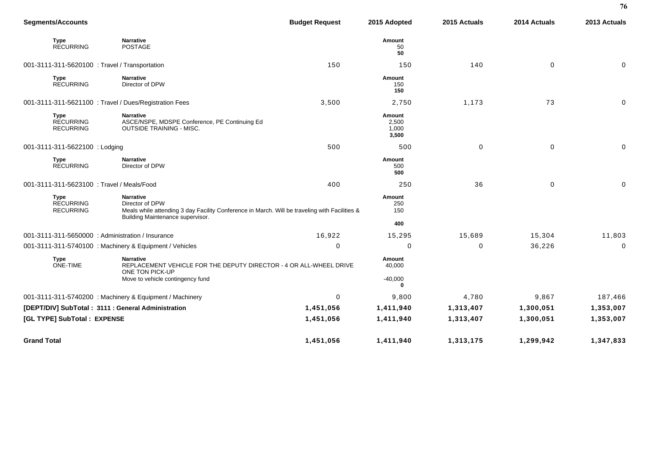| <b>Segments/Accounts</b>                                |                                                                                                                                                                          | <b>Budget Request</b> | 2015 Adopted                      | 2015 Actuals | 2014 Actuals | 2013 Actuals |
|---------------------------------------------------------|--------------------------------------------------------------------------------------------------------------------------------------------------------------------------|-----------------------|-----------------------------------|--------------|--------------|--------------|
| Type<br><b>RECURRING</b>                                | Narrative<br><b>POSTAGE</b>                                                                                                                                              |                       | Amount<br>50<br>50                |              |              |              |
| 001-3111-311-5620100 : Travel / Transportation          |                                                                                                                                                                          | 150                   | 150                               | 140          | 0            | 0            |
| <b>Type</b><br><b>RECURRING</b>                         | <b>Narrative</b><br>Director of DPW                                                                                                                                      |                       | Amount<br>150<br>150              |              |              |              |
| 001-3111-311-5621100 : Travel / Dues/Registration Fees  |                                                                                                                                                                          | 3,500                 | 2,750                             | 1,173        | 73           | 0            |
| Type<br><b>RECURRING</b><br><b>RECURRING</b>            | <b>Narrative</b><br>ASCE/NSPE, MDSPE Conference, PE Continuing Ed<br><b>OUTSIDE TRAINING - MISC.</b>                                                                     |                       | Amount<br>2,500<br>1,000<br>3,500 |              |              |              |
| 001-3111-311-5622100 : Lodging                          |                                                                                                                                                                          | 500                   | 500                               | 0            | 0            | 0            |
| <b>Type</b><br><b>RECURRING</b>                         | <b>Narrative</b><br>Director of DPW                                                                                                                                      |                       | Amount<br>500<br>500              |              |              |              |
| 001-3111-311-5623100 : Travel / Meals/Food              |                                                                                                                                                                          | 400                   | 250                               | 36           | $\mathbf 0$  | $\mathbf 0$  |
| Type<br><b>RECURRING</b><br><b>RECURRING</b>            | <b>Narrative</b><br>Director of DPW<br>Meals while attending 3 day Facility Conference in March. Will be traveling with Facilities &<br>Building Maintenance supervisor. |                       | Amount<br>250<br>150<br>400       |              |              |              |
| 001-3111-311-5650000 : Administration / Insurance       |                                                                                                                                                                          | 16,922                | 15,295                            | 15,689       | 15,304       | 11,803       |
| 001-3111-311-5740100 : Machinery & Equipment / Vehicles |                                                                                                                                                                          | 0                     | 0                                 | 0            | 36,226       | $\mathbf 0$  |
| <b>Type</b><br>ONE-TIME                                 | <b>Narrative</b><br>REPLACEMENT VEHICLE FOR THE DEPUTY DIRECTOR - 4 OR ALL-WHEEL DRIVE<br>ONE TON PICK-UP                                                                |                       | Amount<br>40,000                  |              |              |              |
|                                                         | Move to vehicle contingency fund                                                                                                                                         |                       | $-40,000$<br>$\Omega$             |              |              |              |
|                                                         | 001-3111-311-5740200 : Machinery & Equipment / Machinery                                                                                                                 | 0                     | 9,800                             | 4,780        | 9,867        | 187,466      |
| [DEPT/DIV] SubTotal: 3111 : General Administration      |                                                                                                                                                                          | 1,451,056             | 1,411,940                         | 1,313,407    | 1,300,051    | 1,353,007    |
| [GL TYPE] SubTotal: EXPENSE                             |                                                                                                                                                                          | 1,451,056             | 1,411,940                         | 1,313,407    | 1,300,051    | 1,353,007    |
| <b>Grand Total</b>                                      |                                                                                                                                                                          | 1,451,056             | 1,411,940                         | 1,313,175    | 1,299,942    | 1,347,833    |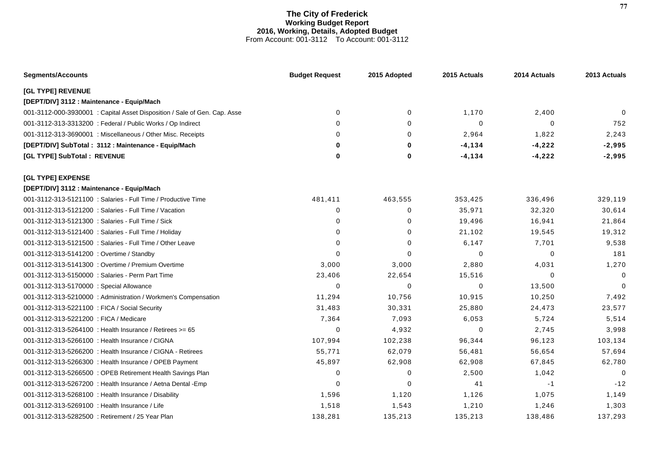# **The City of Frederick Working Budget Report 2016, Working, Details, Adopted Budget** From Account: 001-3112 To Account: 001-3112

| <b>Segments/Accounts</b>                                                 | <b>Budget Request</b> | 2015 Adopted | 2015 Actuals | 2014 Actuals | 2013 Actuals |
|--------------------------------------------------------------------------|-----------------------|--------------|--------------|--------------|--------------|
| [GL TYPE] REVENUE                                                        |                       |              |              |              |              |
| [DEPT/DIV] 3112 : Maintenance - Equip/Mach                               |                       |              |              |              |              |
| 001-3112-000-3930001: Capital Asset Disposition / Sale of Gen. Cap. Asse | $\mathbf 0$           | $\Omega$     | 1,170        | 2,400        | $\Omega$     |
| 001-3112-313-3313200 : Federal / Public Works / Op Indirect              | 0                     | $\Omega$     | 0            | $\mathbf 0$  | 752          |
| 001-3112-313-3690001 : Miscellaneous / Other Misc. Receipts              | 0                     | 0            | 2,964        | 1,822        | 2,243        |
| [DEPT/DIV] SubTotal: 3112: Maintenance - Equip/Mach                      | 0                     | $\bf{0}$     | $-4, 134$    | $-4,222$     | $-2,995$     |
| [GL TYPE] SubTotal: REVENUE                                              | 0                     | $\bf{0}$     | $-4, 134$    | $-4,222$     | $-2,995$     |
| [GL TYPE] EXPENSE                                                        |                       |              |              |              |              |
| [DEPT/DIV] 3112 : Maintenance - Equip/Mach                               |                       |              |              |              |              |
| 001-3112-313-5121100 : Salaries - Full Time / Productive Time            | 481,411               | 463,555      | 353,425      | 336,496      | 329,119      |
| 001-3112-313-5121200 : Salaries - Full Time / Vacation                   | 0                     | 0            | 35,971       | 32,320       | 30,614       |
| 001-3112-313-5121300 : Salaries - Full Time / Sick                       | 0                     | $\Omega$     | 19,496       | 16,941       | 21,864       |
| 001-3112-313-5121400 : Salaries - Full Time / Holiday                    | 0                     | $\Omega$     | 21,102       | 19,545       | 19,312       |
| 001-3112-313-5121500 : Salaries - Full Time / Other Leave                | 0                     | $\Omega$     | 6,147        | 7,701        | 9,538        |
| 001-3112-313-5141200 : Overtime / Standby                                | $\Omega$              | $\Omega$     | 0            | $\Omega$     | 181          |
| 001-3112-313-5141300 : Overtime / Premium Overtime                       | 3,000                 | 3,000        | 2,880        | 4,031        | 1,270        |
| 001-3112-313-5150000 : Salaries - Perm Part Time                         | 23,406                | 22,654       | 15,516       | 0            | 0            |
| 001-3112-313-5170000 : Special Allowance                                 | 0                     | 0            | 0            | 13,500       | $\Omega$     |
| 001-3112-313-5210000: Administration / Workmen's Compensation            | 11,294                | 10,756       | 10,915       | 10,250       | 7,492        |
| 001-3112-313-5221100 : FICA / Social Security                            | 31,483                | 30,331       | 25,880       | 24,473       | 23,577       |
| 001-3112-313-5221200 : FICA / Medicare                                   | 7,364                 | 7,093        | 6,053        | 5,724        | 5,514        |
| 001-3112-313-5264100 : Health Insurance / Retirees >= 65                 | 0                     | 4,932        | 0            | 2,745        | 3,998        |
| 001-3112-313-5266100 : Health Insurance / CIGNA                          | 107,994               | 102,238      | 96,344       | 96,123       | 103,134      |
| 001-3112-313-5266200 : Health Insurance / CIGNA - Retirees               | 55,771                | 62,079       | 56,481       | 56,654       | 57,694       |
| 001-3112-313-5266300 : Health Insurance / OPEB Payment                   | 45,897                | 62,908       | 62,908       | 67,845       | 62,780       |
| 001-3112-313-5266500 : OPEB Retirement Health Savings Plan               | 0                     | 0            | 2,500        | 1,042        | $\Omega$     |
| 001-3112-313-5267200 : Health Insurance / Aetna Dental - Emp             | 0                     | $\Omega$     | 41           | $-1$         | $-12$        |
| 001-3112-313-5268100 : Health Insurance / Disability                     | 1,596                 | 1,120        | 1,126        | 1,075        | 1,149        |
| 001-3112-313-5269100 : Health Insurance / Life                           | 1,518                 | 1,543        | 1,210        | 1,246        | 1,303        |
| 001-3112-313-5282500 : Retirement / 25 Year Plan                         | 138,281               | 135,213      | 135,213      | 138,486      | 137,293      |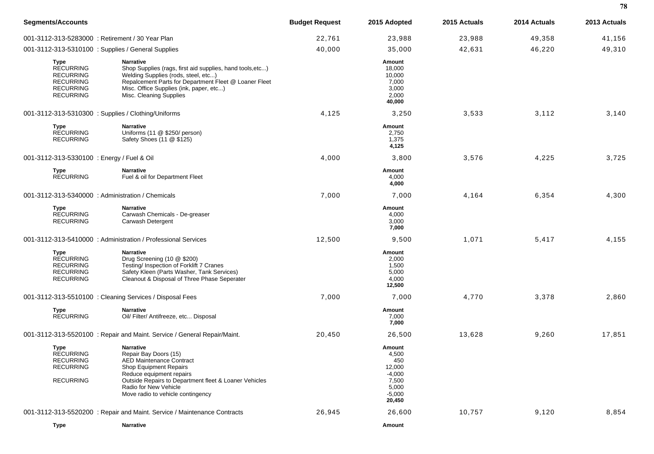| <b>Segments/Accounts</b>                                                                                 |                                                                                                                                                                                                                                                     | <b>Budget Request</b> | 2015 Adopted                                                                         | 2015 Actuals | 2014 Actuals | 2013 Actuals |
|----------------------------------------------------------------------------------------------------------|-----------------------------------------------------------------------------------------------------------------------------------------------------------------------------------------------------------------------------------------------------|-----------------------|--------------------------------------------------------------------------------------|--------------|--------------|--------------|
| 001-3112-313-5283000 : Retirement / 30 Year Plan                                                         |                                                                                                                                                                                                                                                     | 22,761                | 23,988                                                                               | 23,988       | 49,358       | 41,156       |
| 001-3112-313-5310100 : Supplies / General Supplies                                                       |                                                                                                                                                                                                                                                     | 40,000                | 35,000                                                                               | 42,631       | 46,220       | 49,310       |
| Type<br><b>RECURRING</b><br><b>RECURRING</b><br><b>RECURRING</b><br><b>RECURRING</b><br><b>RECURRING</b> | <b>Narrative</b><br>Shop Supplies (rags, first aid supplies, hand tools, etc)<br>Welding Supplies (rods, steel, etc)<br>Repalcement Parts for Department Fleet @ Loaner Fleet<br>Misc. Office Supplies (ink, paper, etc)<br>Misc. Cleaning Supplies |                       | Amount<br>18,000<br>10,000<br>7,000<br>3,000<br>2,000<br>40,000                      |              |              |              |
| 001-3112-313-5310300: Supplies / Clothing/Uniforms                                                       |                                                                                                                                                                                                                                                     | 4,125                 | 3,250                                                                                | 3,533        | 3,112        | 3,140        |
| Type<br><b>RECURRING</b><br><b>RECURRING</b>                                                             | <b>Narrative</b><br>Uniforms (11 @ \$250/ person)<br>Safety Shoes (11 @ \$125)                                                                                                                                                                      |                       | Amount<br>2,750<br>1,375<br>4,125                                                    |              |              |              |
| 001-3112-313-5330100 : Energy / Fuel & Oil                                                               |                                                                                                                                                                                                                                                     | 4,000                 | 3,800                                                                                | 3,576        | 4,225        | 3,725        |
| <b>Type</b><br><b>RECURRING</b>                                                                          | <b>Narrative</b><br>Fuel & oil for Department Fleet                                                                                                                                                                                                 |                       | Amount<br>4,000<br>4,000                                                             |              |              |              |
| 001-3112-313-5340000 : Administration / Chemicals                                                        |                                                                                                                                                                                                                                                     | 7,000                 | 7,000                                                                                | 4,164        | 6,354        | 4,300        |
| <b>Type</b><br><b>RECURRING</b><br><b>RECURRING</b>                                                      | <b>Narrative</b><br>Carwash Chemicals - De-greaser<br>Carwash Detergent                                                                                                                                                                             |                       | Amount<br>4,000<br>3,000<br>7,000                                                    |              |              |              |
|                                                                                                          | 001-3112-313-5410000 : Administration / Professional Services                                                                                                                                                                                       | 12,500                | 9,500                                                                                | 1,071        | 5,417        | 4,155        |
| <b>Type</b><br><b>RECURRING</b><br><b>RECURRING</b><br><b>RECURRING</b><br><b>RECURRING</b>              | Narrative<br>Drug Screening (10 @ \$200)<br>Testing/ Inspection of Forklift 7 Cranes<br>Safety Kleen (Parts Washer, Tank Services)<br>Cleanout & Disposal of Three Phase Seperater                                                                  |                       | Amount<br>2,000<br>1,500<br>5,000<br>4,000<br>12,500                                 |              |              |              |
|                                                                                                          | 001-3112-313-5510100 : Cleaning Services / Disposal Fees                                                                                                                                                                                            | 7,000                 | 7,000                                                                                | 4,770        | 3,378        | 2,860        |
| Type<br><b>RECURRING</b>                                                                                 | Narrative<br>Oil/ Filter/ Antifreeze, etc Disposal                                                                                                                                                                                                  |                       | Amount<br>7,000<br>7,000                                                             |              |              |              |
|                                                                                                          | 001-3112-313-5520100 : Repair and Maint. Service / General Repair/Maint.                                                                                                                                                                            | 20,450                | 26,500                                                                               | 13,628       | 9,260        | 17,851       |
| Type<br><b>RECURRING</b><br><b>RECURRING</b><br><b>RECURRING</b><br><b>RECURRING</b>                     | Narrative<br>Repair Bay Doors (15)<br><b>AED Maintenance Contract</b><br>Shop Equipment Repairs<br>Reduce equipment repairs<br>Outside Repairs to Department fleet & Loaner Vehicles<br>Radio for New Vehicle<br>Move radio to vehicle contingency  |                       | Amount<br>4,500<br>450<br>12,000<br>$-4,000$<br>7,500<br>5,000<br>$-5,000$<br>20,450 |              |              |              |
|                                                                                                          | 001-3112-313-5520200 : Repair and Maint. Service / Maintenance Contracts                                                                                                                                                                            | 26,945                | 26,600                                                                               | 10,757       | 9,120        | 8,854        |
| Type                                                                                                     | Narrative                                                                                                                                                                                                                                           |                       | Amount                                                                               |              |              |              |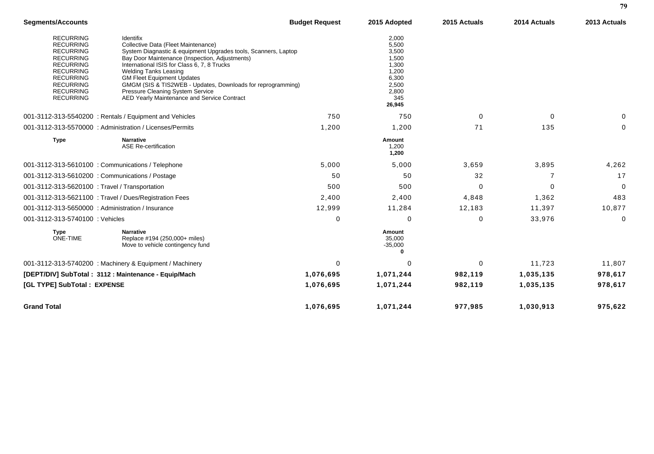| <b>Segments/Accounts</b>                                                                                                                                                                             |                                                                                                                                                                                                                                                                                                                                                                                                                                            | <b>Budget Request</b> | 2015 Adopted                                                                                   | 2015 Actuals | 2014 Actuals | 2013 Actuals |
|------------------------------------------------------------------------------------------------------------------------------------------------------------------------------------------------------|--------------------------------------------------------------------------------------------------------------------------------------------------------------------------------------------------------------------------------------------------------------------------------------------------------------------------------------------------------------------------------------------------------------------------------------------|-----------------------|------------------------------------------------------------------------------------------------|--------------|--------------|--------------|
| <b>RECURRING</b><br><b>RECURRING</b><br><b>RECURRING</b><br><b>RECURRING</b><br><b>RECURRING</b><br><b>RECURRING</b><br><b>RECURRING</b><br><b>RECURRING</b><br><b>RECURRING</b><br><b>RECURRING</b> | Identifix<br>Collective Data (Fleet Maintenance)<br>System Diagnastic & equipment Upgrades tools, Scanners, Laptop<br>Bay Door Maintenance (Inspection, Adjustments)<br>International ISIS for Class 6, 7, 8 Trucks<br><b>Welding Tanks Leasing</b><br><b>GM Fleet Equipment Updates</b><br>GMGM (SIS & TIS2WEB - Updates, Downloads for reprogramming)<br>Pressure Cleaning System Service<br>AED Yearly Maintenance and Service Contract |                       | 2,000<br>5,500<br>3,500<br>1,500<br>1,300<br>1,200<br>6,300<br>2,500<br>2,800<br>345<br>26,945 |              |              |              |
|                                                                                                                                                                                                      | 001-3112-313-5540200: Rentals / Equipment and Vehicles                                                                                                                                                                                                                                                                                                                                                                                     | 750                   | 750                                                                                            | $\mathbf 0$  | $\mathbf 0$  | 0            |
|                                                                                                                                                                                                      | 001-3112-313-5570000: Administration / Licenses/Permits                                                                                                                                                                                                                                                                                                                                                                                    | 1,200                 | 1,200                                                                                          | 71           | 135          | 0            |
| <b>Type</b>                                                                                                                                                                                          | <b>Narrative</b><br><b>ASE Re-certification</b>                                                                                                                                                                                                                                                                                                                                                                                            |                       | Amount<br>1,200<br>1,200                                                                       |              |              |              |
|                                                                                                                                                                                                      | 001-3112-313-5610100 : Communications / Telephone                                                                                                                                                                                                                                                                                                                                                                                          | 5,000                 | 5,000                                                                                          | 3,659        | 3,895        | 4,262        |
|                                                                                                                                                                                                      | 001-3112-313-5610200 : Communications / Postage                                                                                                                                                                                                                                                                                                                                                                                            | 50                    | 50                                                                                             | 32           | 7            | 17           |
| 001-3112-313-5620100 : Travel / Transportation                                                                                                                                                       |                                                                                                                                                                                                                                                                                                                                                                                                                                            | 500                   | 500                                                                                            | 0            | $\Omega$     | $\Omega$     |
|                                                                                                                                                                                                      | 001-3112-313-5621100 : Travel / Dues/Registration Fees                                                                                                                                                                                                                                                                                                                                                                                     | 2,400                 | 2,400                                                                                          | 4,848        | 1,362        | 483          |
|                                                                                                                                                                                                      | 001-3112-313-5650000 : Administration / Insurance                                                                                                                                                                                                                                                                                                                                                                                          | 12,999                | 11,284                                                                                         | 12,183       | 11,397       | 10,877       |
| 001-3112-313-5740100 : Vehicles                                                                                                                                                                      |                                                                                                                                                                                                                                                                                                                                                                                                                                            | $\Omega$              | $\Omega$                                                                                       | $\mathbf 0$  | 33,976       | 0            |
| <b>Type</b><br>ONE-TIME                                                                                                                                                                              | <b>Narrative</b><br>Replace #194 (250,000+ miles)<br>Move to vehicle contingency fund                                                                                                                                                                                                                                                                                                                                                      |                       | Amount<br>35,000<br>$-35,000$<br>0                                                             |              |              |              |
|                                                                                                                                                                                                      | 001-3112-313-5740200 : Machinery & Equipment / Machinery                                                                                                                                                                                                                                                                                                                                                                                   | $\Omega$              | $\Omega$                                                                                       | 0            | 11,723       | 11,807       |
|                                                                                                                                                                                                      | [DEPT/DIV] SubTotal: 3112: Maintenance - Equip/Mach                                                                                                                                                                                                                                                                                                                                                                                        | 1,076,695             | 1,071,244                                                                                      | 982,119      | 1,035,135    | 978,617      |
| [GL TYPE] SubTotal: EXPENSE                                                                                                                                                                          |                                                                                                                                                                                                                                                                                                                                                                                                                                            | 1,076,695             | 1,071,244                                                                                      | 982,119      | 1,035,135    | 978,617      |
| <b>Grand Total</b>                                                                                                                                                                                   |                                                                                                                                                                                                                                                                                                                                                                                                                                            | 1,076,695             | 1,071,244                                                                                      | 977,985      | 1,030,913    | 975,622      |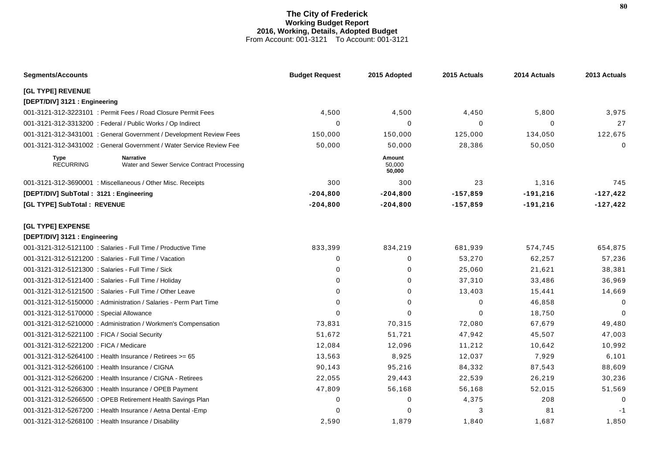# **The City of Frederick Working Budget Report 2016, Working, Details, Adopted Budget** From Account: 001-3121 To Account: 001-3121

| <b>Segments/Accounts</b>                      |                                                                      | <b>Budget Request</b> | 2015 Adopted               | 2015 Actuals | 2014 Actuals | 2013 Actuals |
|-----------------------------------------------|----------------------------------------------------------------------|-----------------------|----------------------------|--------------|--------------|--------------|
| [GL TYPE] REVENUE                             |                                                                      |                       |                            |              |              |              |
| [DEPT/DIV] 3121 : Engineering                 |                                                                      |                       |                            |              |              |              |
|                                               | 001-3121-312-3223101 : Permit Fees / Road Closure Permit Fees        | 4,500                 | 4,500                      | 4,450        | 5,800        | 3,975        |
|                                               | 001-3121-312-3313200 : Federal / Public Works / Op Indirect          | O                     | $\Omega$                   | 0            | $\Omega$     | 27           |
|                                               | 001-3121-312-3431001 : General Government / Development Review Fees  | 150,000               | 150,000                    | 125,000      | 134,050      | 122,675      |
|                                               | 001-3121-312-3431002 : General Government / Water Service Review Fee | 50,000                | 50,000                     | 28,386       | 50,050       | 0            |
| <b>Type</b><br><b>RECURRING</b>               | <b>Narrative</b><br>Water and Sewer Service Contract Processing      |                       | Amount<br>50,000<br>50,000 |              |              |              |
|                                               | 001-3121-312-3690001 : Miscellaneous / Other Misc. Receipts          | 300                   | 300                        | 23           | 1,316        | 745          |
| [DEPT/DIV] SubTotal: 3121: Engineering        |                                                                      | $-204,800$            | $-204,800$                 | $-157,859$   | $-191,216$   | $-127,422$   |
| [GL TYPE] SubTotal: REVENUE                   |                                                                      | $-204,800$            | $-204,800$                 | $-157,859$   | $-191,216$   | $-127,422$   |
| [GL TYPE] EXPENSE                             |                                                                      |                       |                            |              |              |              |
| [DEPT/DIV] 3121 : Engineering                 |                                                                      |                       |                            |              |              |              |
|                                               | 001-3121-312-5121100 : Salaries - Full Time / Productive Time        | 833,399               | 834,219                    | 681,939      | 574,745      | 654,875      |
|                                               | 001-3121-312-5121200 : Salaries - Full Time / Vacation               | 0                     | 0                          | 53,270       | 62,257       | 57,236       |
|                                               | 001-3121-312-5121300 : Salaries - Full Time / Sick                   | 0                     | $\Omega$                   | 25,060       | 21,621       | 38,381       |
|                                               | 001-3121-312-5121400 : Salaries - Full Time / Holiday                | 0                     | $\Omega$                   | 37,310       | 33,486       | 36,969       |
|                                               | 001-3121-312-5121500 : Salaries - Full Time / Other Leave            | $\Omega$              | $\Omega$                   | 13,403       | 15,441       | 14,669       |
|                                               | 001-3121-312-5150000: Administration / Salaries - Perm Part Time     | $\Omega$              | $\Omega$                   | 0            | 46,858       | $\Omega$     |
| 001-3121-312-5170000 : Special Allowance      |                                                                      | 0                     | $\Omega$                   | 0            | 18,750       | $\Omega$     |
|                                               | 001-3121-312-5210000: Administration / Workmen's Compensation        | 73,831                | 70,315                     | 72,080       | 67,679       | 49,480       |
| 001-3121-312-5221100 : FICA / Social Security |                                                                      | 51,672                | 51,721                     | 47,942       | 45,507       | 47,003       |
| 001-3121-312-5221200 : FICA / Medicare        |                                                                      | 12,084                | 12,096                     | 11,212       | 10,642       | 10,992       |
|                                               | 001-3121-312-5264100 : Health Insurance / Retirees >= 65             | 13,563                | 8,925                      | 12,037       | 7,929        | 6,101        |
|                                               | 001-3121-312-5266100 : Health Insurance / CIGNA                      | 90,143                | 95,216                     | 84,332       | 87,543       | 88,609       |
|                                               | 001-3121-312-5266200 : Health Insurance / CIGNA - Retirees           | 22,055                | 29,443                     | 22,539       | 26,219       | 30,236       |
|                                               | 001-3121-312-5266300 : Health Insurance / OPEB Payment               | 47,809                | 56,168                     | 56,168       | 52,015       | 51,569       |
|                                               | 001-3121-312-5266500 : OPEB Retirement Health Savings Plan           | 0                     | $\Omega$                   | 4,375        | 208          | $\Omega$     |
|                                               | 001-3121-312-5267200 : Health Insurance / Aetna Dental -Emp          | 0                     | $\Omega$                   | 3            | 81           | -1           |
|                                               | 001-3121-312-5268100 : Health Insurance / Disability                 | 2,590                 | 1,879                      | 1,840        | 1,687        | 1,850        |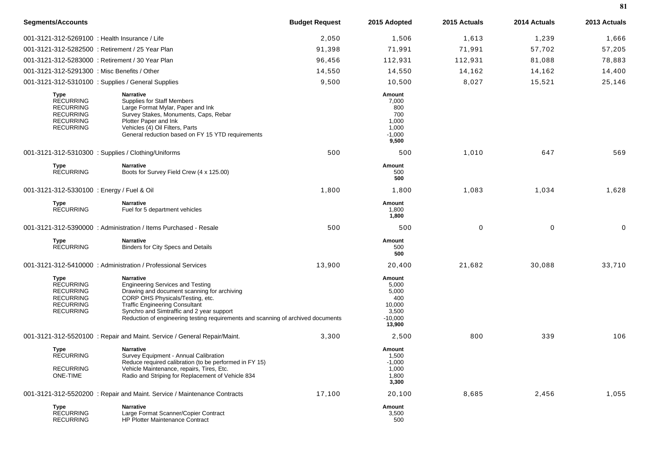| <b>Segments/Accounts</b>                                                                                 |                                                                                                                                                                                                                                                                                                                          | <b>Budget Request</b> | 2015 Adopted                                                              | 2015 Actuals | 2014 Actuals | 2013 Actuals |
|----------------------------------------------------------------------------------------------------------|--------------------------------------------------------------------------------------------------------------------------------------------------------------------------------------------------------------------------------------------------------------------------------------------------------------------------|-----------------------|---------------------------------------------------------------------------|--------------|--------------|--------------|
| 001-3121-312-5269100 : Health Insurance / Life                                                           |                                                                                                                                                                                                                                                                                                                          | 2,050                 | 1,506                                                                     | 1,613        | 1,239        | 1,666        |
| 001-3121-312-5282500 : Retirement / 25 Year Plan                                                         |                                                                                                                                                                                                                                                                                                                          | 91,398                | 71,991                                                                    | 71,991       | 57,702       | 57,205       |
| 001-3121-312-5283000 : Retirement / 30 Year Plan                                                         |                                                                                                                                                                                                                                                                                                                          | 96,456                | 112,931                                                                   | 112,931      | 81,088       | 78,883       |
| 001-3121-312-5291300 : Misc Benefits / Other                                                             |                                                                                                                                                                                                                                                                                                                          | 14,550                | 14,550                                                                    | 14,162       | 14,162       | 14,400       |
| 001-3121-312-5310100 : Supplies / General Supplies                                                       |                                                                                                                                                                                                                                                                                                                          | 9,500                 | 10,500                                                                    | 8,027        | 15,521       | 25,146       |
| Type<br><b>RECURRING</b><br><b>RECURRING</b><br><b>RECURRING</b><br><b>RECURRING</b><br><b>RECURRING</b> | <b>Narrative</b><br><b>Supplies for Staff Members</b><br>Large Format Mylar, Paper and Ink<br>Survey Stakes, Monuments, Caps, Rebar<br>Plotter Paper and Ink<br>Vehicles (4) Oil Filters, Parts<br>General reduction based on FY 15 YTD requirements                                                                     |                       | Amount<br>7,000<br>800<br>700<br>1,000<br>1,000<br>$-1,000$<br>9,500      |              |              |              |
| 001-3121-312-5310300 : Supplies / Clothing/Uniforms                                                      |                                                                                                                                                                                                                                                                                                                          | 500                   | 500                                                                       | 1,010        | 647          | 569          |
| <b>Type</b><br><b>RECURRING</b>                                                                          | <b>Narrative</b><br>Boots for Survey Field Crew (4 x 125.00)                                                                                                                                                                                                                                                             |                       | Amount<br>500<br>500                                                      |              |              |              |
| 001-3121-312-5330100 : Energy / Fuel & Oil                                                               |                                                                                                                                                                                                                                                                                                                          | 1,800                 | 1,800                                                                     | 1,083        | 1,034        | 1,628        |
| Type<br><b>RECURRING</b>                                                                                 | <b>Narrative</b><br>Fuel for 5 department vehicles                                                                                                                                                                                                                                                                       |                       | Amount<br>1,800<br>1,800                                                  |              |              |              |
|                                                                                                          | 001-3121-312-5390000 : Administration / Items Purchased - Resale                                                                                                                                                                                                                                                         | 500                   | 500                                                                       | $\pmb{0}$    | 0            | 0            |
| Type<br><b>RECURRING</b>                                                                                 | <b>Narrative</b><br>Binders for City Specs and Details                                                                                                                                                                                                                                                                   |                       | Amount<br>500<br>500                                                      |              |              |              |
|                                                                                                          | 001-3121-312-5410000 : Administration / Professional Services                                                                                                                                                                                                                                                            | 13,900                | 20,400                                                                    | 21,682       | 30,088       | 33,710       |
| Type<br><b>RECURRING</b><br><b>RECURRING</b><br><b>RECURRING</b><br><b>RECURRING</b><br><b>RECURRING</b> | <b>Narrative</b><br><b>Engineering Services and Testing</b><br>Drawing and document scanning for archiving<br>CORP OHS Physicals/Testing, etc.<br><b>Traffic Engineering Consultant</b><br>Synchro and Simtraffic and 2 year support<br>Reduction of engineering testing requirements and scanning of archived documents |                       | Amount<br>5,000<br>5,000<br>400<br>10,000<br>3,500<br>$-10,000$<br>13,900 |              |              |              |
|                                                                                                          | 001-3121-312-5520100: Repair and Maint. Service / General Repair/Maint.                                                                                                                                                                                                                                                  | 3,300                 | 2,500                                                                     | 800          | 339          | 106          |
| Type<br><b>RECURRING</b><br><b>RECURRING</b><br>ONE-TIME                                                 | Narrative<br>Survey Equipment - Annual Calibration<br>Reduce required calibration (to be performed in FY 15)<br>Vehicle Maintenance, repairs, Tires, Etc.<br>Radio and Striping for Replacement of Vehicle 834                                                                                                           |                       | Amount<br>1,500<br>$-1,000$<br>1,000<br>1,800<br>3,300                    |              |              |              |
|                                                                                                          | 001-3121-312-5520200 : Repair and Maint. Service / Maintenance Contracts                                                                                                                                                                                                                                                 | 17,100                | 20,100                                                                    | 8,685        | 2,456        | 1,055        |
| Type<br><b>RECURRING</b><br><b>RECURRING</b>                                                             | <b>Narrative</b><br>Large Format Scanner/Copier Contract<br><b>HP Plotter Maintenance Contract</b>                                                                                                                                                                                                                       |                       | Amount<br>3,500<br>500                                                    |              |              |              |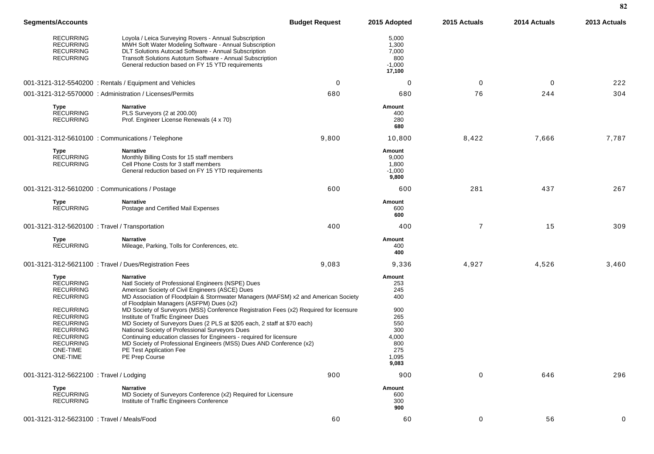| <b>Segments/Accounts</b>                                                                                                                                                                                         |                                                                                                                                                                                                                                                                                                                                                                                                                                                                                                                                                                                                                                                                                                                       | <b>Budget Request</b> | 2015 Adopted                                                                                     | 2015 Actuals   | 2014 Actuals | 2013 Actuals |
|------------------------------------------------------------------------------------------------------------------------------------------------------------------------------------------------------------------|-----------------------------------------------------------------------------------------------------------------------------------------------------------------------------------------------------------------------------------------------------------------------------------------------------------------------------------------------------------------------------------------------------------------------------------------------------------------------------------------------------------------------------------------------------------------------------------------------------------------------------------------------------------------------------------------------------------------------|-----------------------|--------------------------------------------------------------------------------------------------|----------------|--------------|--------------|
| <b>RECURRING</b><br><b>RECURRING</b><br><b>RECURRING</b><br><b>RECURRING</b>                                                                                                                                     | Loyola / Leica Surveying Rovers - Annual Subscription<br>MWH Soft Water Modeling Software - Annual Subscription<br>DLT Solutions Autocad Software - Annual Subscription<br>Transoft Solutions Autoturn Software - Annual Subscription<br>General reduction based on FY 15 YTD requirements                                                                                                                                                                                                                                                                                                                                                                                                                            |                       | 5,000<br>1,300<br>7,000<br>800<br>$-1,000$<br>17,100                                             |                |              |              |
| 001-3121-312-5540200: Rentals / Equipment and Vehicles                                                                                                                                                           |                                                                                                                                                                                                                                                                                                                                                                                                                                                                                                                                                                                                                                                                                                                       | 0                     | 0                                                                                                | 0              | 0            | 222          |
| 001-3121-312-5570000 : Administration / Licenses/Permits                                                                                                                                                         |                                                                                                                                                                                                                                                                                                                                                                                                                                                                                                                                                                                                                                                                                                                       | 680                   | 680                                                                                              | 76             | 244          | 304          |
| Type<br><b>RECURRING</b><br><b>RECURRING</b>                                                                                                                                                                     | <b>Narrative</b><br>PLS Surveyors (2 at 200.00)<br>Prof. Engineer License Renewals (4 x 70)                                                                                                                                                                                                                                                                                                                                                                                                                                                                                                                                                                                                                           |                       | Amount<br>400<br>280<br>680                                                                      |                |              |              |
| 001-3121-312-5610100 : Communications / Telephone                                                                                                                                                                |                                                                                                                                                                                                                                                                                                                                                                                                                                                                                                                                                                                                                                                                                                                       | 9,800                 | 10,800                                                                                           | 8,422          | 7,666        | 7,787        |
| Type<br><b>RECURRING</b><br><b>RECURRING</b>                                                                                                                                                                     | <b>Narrative</b><br>Monthly Billing Costs for 15 staff members<br>Cell Phone Costs for 3 staff members<br>General reduction based on FY 15 YTD requirements                                                                                                                                                                                                                                                                                                                                                                                                                                                                                                                                                           |                       | Amount<br>9,000<br>1,800<br>$-1,000$<br>9,800                                                    |                |              |              |
| 001-3121-312-5610200 : Communications / Postage                                                                                                                                                                  |                                                                                                                                                                                                                                                                                                                                                                                                                                                                                                                                                                                                                                                                                                                       | 600                   | 600                                                                                              | 281            | 437          | 267          |
| Type<br><b>RECURRING</b>                                                                                                                                                                                         | <b>Narrative</b><br>Postage and Certified Mail Expenses                                                                                                                                                                                                                                                                                                                                                                                                                                                                                                                                                                                                                                                               |                       | Amount<br>600<br>600                                                                             |                |              |              |
| 001-3121-312-5620100 : Travel / Transportation                                                                                                                                                                   |                                                                                                                                                                                                                                                                                                                                                                                                                                                                                                                                                                                                                                                                                                                       | 400                   | 400                                                                                              | $\overline{7}$ | 15           | 309          |
| Type<br><b>RECURRING</b>                                                                                                                                                                                         | Narrative<br>Mileage, Parking, Tolls for Conferences, etc.                                                                                                                                                                                                                                                                                                                                                                                                                                                                                                                                                                                                                                                            |                       | Amount<br>400<br>400                                                                             |                |              |              |
| 001-3121-312-5621100 : Travel / Dues/Registration Fees                                                                                                                                                           |                                                                                                                                                                                                                                                                                                                                                                                                                                                                                                                                                                                                                                                                                                                       | 9,083                 | 9,336                                                                                            | 4,927          | 4,526        | 3,460        |
| Type<br><b>RECURRING</b><br><b>RECURRING</b><br><b>RECURRING</b><br><b>RECURRING</b><br><b>RECURRING</b><br><b>RECURRING</b><br><b>RECURRING</b><br><b>RECURRING</b><br><b>RECURRING</b><br>ONE-TIME<br>ONE-TIME | <b>Narrative</b><br>Natl Society of Professional Engineers (NSPE) Dues<br>American Society of Civil Engineers (ASCE) Dues<br>MD Association of Floodplain & Stormwater Managers (MAFSM) x2 and American Society<br>of Floodplain Managers (ASFPM) Dues (x2)<br>MD Society of Surveyors (MSS) Conference Registration Fees (x2) Required for licensure<br>Institute of Traffic Engineer Dues<br>MD Society of Surveyors Dues (2 PLS at \$205 each, 2 staff at \$70 each)<br>National Society of Professional Surveyors Dues<br>Continuing education classes for Engineers - required for licensure<br>MD Society of Professional Engineers (MSS) Dues AND Conference (x2)<br>PE Test Application Fee<br>PE Prep Course |                       | Amount<br>253<br>245<br>400<br>900<br>265<br>550<br>300<br>4,000<br>800<br>275<br>1,095<br>9,083 |                |              |              |
| 001-3121-312-5622100 : Travel / Lodging                                                                                                                                                                          |                                                                                                                                                                                                                                                                                                                                                                                                                                                                                                                                                                                                                                                                                                                       | 900                   | 900                                                                                              | 0              | 646          | 296          |
| Type<br><b>RECURRING</b><br><b>RECURRING</b>                                                                                                                                                                     | <b>Narrative</b><br>MD Society of Surveyors Conference (x2) Required for Licensure<br>Institute of Traffic Engineers Conference                                                                                                                                                                                                                                                                                                                                                                                                                                                                                                                                                                                       |                       | Amount<br>600<br>300<br>900                                                                      |                |              |              |
| 001-3121-312-5623100 : Travel / Meals/Food                                                                                                                                                                       |                                                                                                                                                                                                                                                                                                                                                                                                                                                                                                                                                                                                                                                                                                                       | 60                    | 60                                                                                               | 0              | 56           | $\mathbf 0$  |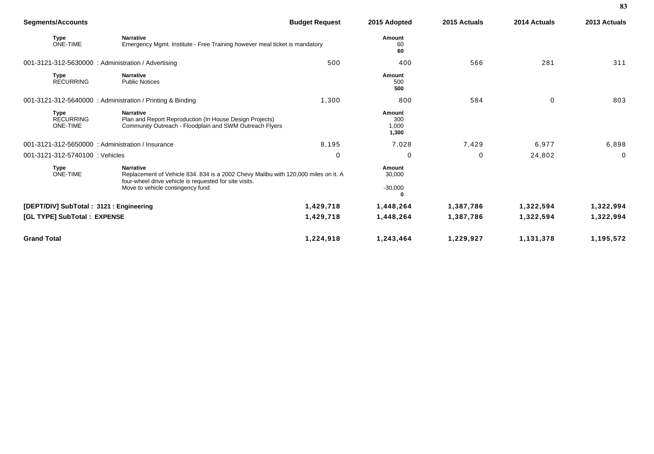|                    | <b>Segments/Accounts</b>                            |                                                                                                                                                                  | <b>Budget Request</b> | 2015 Adopted                    | 2015 Actuals | 2014 Actuals | 2013 Actuals |
|--------------------|-----------------------------------------------------|------------------------------------------------------------------------------------------------------------------------------------------------------------------|-----------------------|---------------------------------|--------------|--------------|--------------|
|                    | <b>Type</b><br><b>ONE-TIME</b>                      | <b>Narrative</b><br>Emergency Mgmt. Institute - Free Training however meal ticket is mandatory                                                                   |                       | Amount<br>60<br>60              |              |              |              |
|                    | 001-3121-312-5630000 : Administration / Advertising |                                                                                                                                                                  | 500                   | 400                             | 566          | 281          | 311          |
|                    | <b>Type</b><br><b>RECURRING</b>                     | <b>Narrative</b><br><b>Public Notices</b>                                                                                                                        |                       | Amount<br>500<br>500            |              |              |              |
|                    |                                                     | 001-3121-312-5640000: Administration / Printing & Binding                                                                                                        | 1,300                 | 800                             | 584          | 0            | 803          |
|                    | <b>Type</b><br><b>RECURRING</b><br><b>ONE-TIME</b>  | <b>Narrative</b><br>Plan and Report Reproduction (In House Design Projects)<br>Community Outreach - Floodplain and SWM Outreach Flyers                           |                       | Amount<br>300<br>1,000<br>1,300 |              |              |              |
|                    | 001-3121-312-5650000 : Administration / Insurance   |                                                                                                                                                                  | 8,195                 | 7,028                           | 7,429        | 6,977        | 6,898        |
|                    | 001-3121-312-5740100 : Vehicles                     |                                                                                                                                                                  | $\Omega$              | 0                               | 0            | 24,802       | $\mathbf{0}$ |
|                    | <b>Type</b><br><b>ONE-TIME</b>                      | <b>Narrative</b><br>Replacement of Vehicle 834. 834 is a 2002 Chevy Malibu with 120,000 miles on it. A<br>four-wheel drive vehicle is requested for site visits. |                       | Amount<br>30,000                |              |              |              |
|                    | Move to vehicle contingency fund                    |                                                                                                                                                                  |                       | $-30,000$                       |              |              |              |
|                    | [DEPT/DIV] SubTotal: 3121 : Engineering             |                                                                                                                                                                  | 1,429,718             | 1,448,264                       | 1,387,786    | 1,322,594    | 1,322,994    |
|                    | [GL TYPE] SubTotal: EXPENSE                         |                                                                                                                                                                  | 1,429,718             | 1,448,264                       | 1,387,786    | 1,322,594    | 1,322,994    |
| <b>Grand Total</b> |                                                     |                                                                                                                                                                  | 1,224,918             | 1,243,464                       | 1,229,927    | 1,131,378    | 1,195,572    |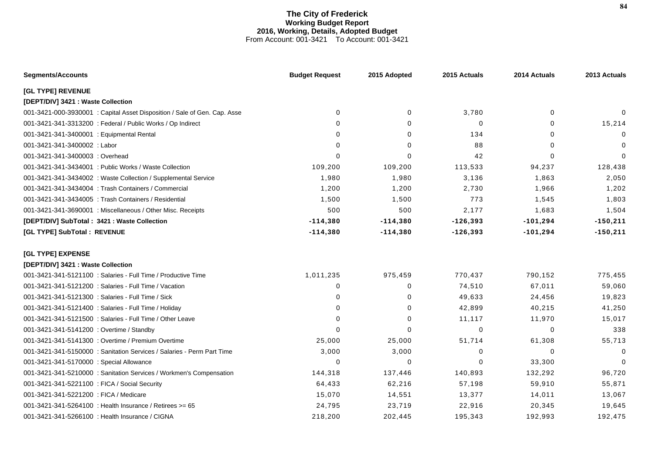# **The City of Frederick Working Budget Report 2016, Working, Details, Adopted Budget** From Account: 001-3421 To Account: 001-3421

| <b>Segments/Accounts</b>                                                  | <b>Budget Request</b> | 2015 Adopted | 2015 Actuals | 2014 Actuals | 2013 Actuals |
|---------------------------------------------------------------------------|-----------------------|--------------|--------------|--------------|--------------|
| [GL TYPE] REVENUE                                                         |                       |              |              |              |              |
| [DEPT/DIV] 3421 : Waste Collection                                        |                       |              |              |              |              |
| 001-3421-000-3930001 : Capital Asset Disposition / Sale of Gen. Cap. Asse | 0                     | 0            | 3,780        | 0            | O            |
| 001-3421-341-3313200 : Federal / Public Works / Op Indirect               | 0                     | $\Omega$     | 0            | 0            | 15,214       |
| 001-3421-341-3400001 : Equipmental Rental                                 | 0                     | $\Omega$     | 134          | 0            | $\Omega$     |
| 001-3421-341-3400002 : Labor                                              | 0                     | $\Omega$     | 88           | 0            | $\Omega$     |
| 001-3421-341-3400003 : Overhead                                           | $\Omega$              | $\Omega$     | 42           | $\Omega$     | $\Omega$     |
| 001-3421-341-3434001 : Public Works / Waste Collection                    | 109,200               | 109,200      | 113,533      | 94,237       | 128,438      |
| 001-3421-341-3434002 : Waste Collection / Supplemental Service            | 1,980                 | 1,980        | 3,136        | 1,863        | 2,050        |
| 001-3421-341-3434004 : Trash Containers / Commercial                      | 1,200                 | 1,200        | 2,730        | 1,966        | 1,202        |
| 001-3421-341-3434005 : Trash Containers / Residential                     | 1,500                 | 1,500        | 773          | 1,545        | 1,803        |
| 001-3421-341-3690001 : Miscellaneous / Other Misc. Receipts               | 500                   | 500          | 2,177        | 1,683        | 1,504        |
| [DEPT/DIV] SubTotal: 3421: Waste Collection                               | $-114,380$            | $-114,380$   | $-126,393$   | $-101,294$   | $-150,211$   |
| [GL TYPE] SubTotal: REVENUE                                               | $-114,380$            | $-114,380$   | $-126,393$   | $-101, 294$  | $-150,211$   |
| [GL TYPE] EXPENSE                                                         |                       |              |              |              |              |
| [DEPT/DIV] 3421 : Waste Collection                                        |                       |              |              |              |              |
| 001-3421-341-5121100 : Salaries - Full Time / Productive Time             | 1,011,235             | 975,459      | 770,437      | 790,152      | 775,455      |
| 001-3421-341-5121200 : Salaries - Full Time / Vacation                    | 0                     | 0            | 74,510       | 67,011       | 59,060       |
| 001-3421-341-5121300 : Salaries - Full Time / Sick                        | 0                     | $\Omega$     | 49,633       | 24,456       | 19,823       |
| 001-3421-341-5121400 : Salaries - Full Time / Holiday                     | 0                     | $\Omega$     | 42,899       | 40,215       | 41,250       |
| 001-3421-341-5121500 : Salaries - Full Time / Other Leave                 | 0                     | $\Omega$     | 11,117       | 11,970       | 15,017       |
| 001-3421-341-5141200 : Overtime / Standby                                 | $\Omega$              | $\Omega$     | 0            | $\Omega$     | 338          |
| 001-3421-341-5141300 : Overtime / Premium Overtime                        | 25,000                | 25,000       | 51,714       | 61,308       | 55,713       |
| 001-3421-341-5150000 : Sanitation Services / Salaries - Perm Part Time    | 3,000                 | 3,000        | 0            | $\mathbf 0$  | 0            |
| 001-3421-341-5170000 : Special Allowance                                  | $\Omega$              | $\Omega$     | $\Omega$     | 33,300       | $\Omega$     |
| 001-3421-341-5210000: Sanitation Services / Workmen's Compensation        | 144,318               | 137,446      | 140,893      | 132,292      | 96,720       |
| 001-3421-341-5221100 : FICA / Social Security                             | 64,433                | 62,216       | 57,198       | 59,910       | 55,871       |
| 001-3421-341-5221200 : FICA / Medicare                                    | 15,070                | 14,551       | 13,377       | 14,011       | 13,067       |
| 001-3421-341-5264100 : Health Insurance / Retirees $>= 65$                | 24,795                | 23,719       | 22,916       | 20,345       | 19,645       |
| 001-3421-341-5266100 : Health Insurance / CIGNA                           | 218,200               | 202,445      | 195,343      | 192,993      | 192,475      |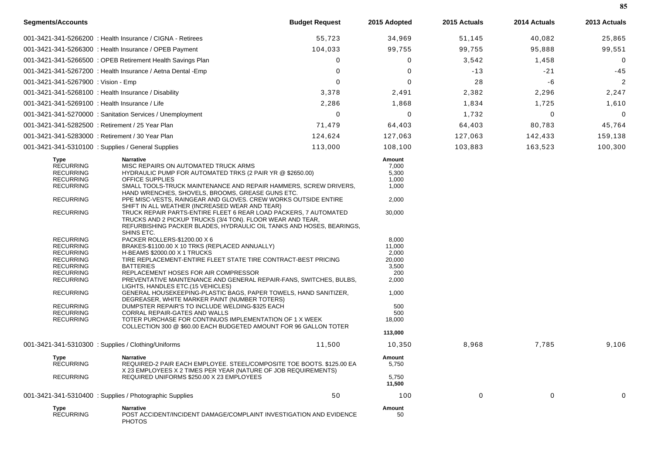| <b>Segments/Accounts</b>                                                                                                                                                                                                                                                                                                                                 |                                                                                                                                                                                                                                                                                                                                                                                                                                                                                                                                                                                                                                                                                                                                                                                                                                                                                                                                                                                                                                                                                                                                                                                                                                                                                                                          | <b>Budget Request</b> | 2015 Adopted                                                                                                                                                  | 2015 Actuals | 2014 Actuals | 2013 Actuals   |
|----------------------------------------------------------------------------------------------------------------------------------------------------------------------------------------------------------------------------------------------------------------------------------------------------------------------------------------------------------|--------------------------------------------------------------------------------------------------------------------------------------------------------------------------------------------------------------------------------------------------------------------------------------------------------------------------------------------------------------------------------------------------------------------------------------------------------------------------------------------------------------------------------------------------------------------------------------------------------------------------------------------------------------------------------------------------------------------------------------------------------------------------------------------------------------------------------------------------------------------------------------------------------------------------------------------------------------------------------------------------------------------------------------------------------------------------------------------------------------------------------------------------------------------------------------------------------------------------------------------------------------------------------------------------------------------------|-----------------------|---------------------------------------------------------------------------------------------------------------------------------------------------------------|--------------|--------------|----------------|
|                                                                                                                                                                                                                                                                                                                                                          | 001-3421-341-5266200 : Health Insurance / CIGNA - Retirees                                                                                                                                                                                                                                                                                                                                                                                                                                                                                                                                                                                                                                                                                                                                                                                                                                                                                                                                                                                                                                                                                                                                                                                                                                                               | 55,723                | 34,969                                                                                                                                                        | 51,145       | 40,082       | 25,865         |
|                                                                                                                                                                                                                                                                                                                                                          | 001-3421-341-5266300 : Health Insurance / OPEB Payment                                                                                                                                                                                                                                                                                                                                                                                                                                                                                                                                                                                                                                                                                                                                                                                                                                                                                                                                                                                                                                                                                                                                                                                                                                                                   | 104,033               | 99,755                                                                                                                                                        | 99,755       | 95,888       | 99,551         |
|                                                                                                                                                                                                                                                                                                                                                          | 001-3421-341-5266500 : OPEB Retirement Health Savings Plan                                                                                                                                                                                                                                                                                                                                                                                                                                                                                                                                                                                                                                                                                                                                                                                                                                                                                                                                                                                                                                                                                                                                                                                                                                                               | 0                     | 0                                                                                                                                                             | 3,542        | 1,458        | 0              |
|                                                                                                                                                                                                                                                                                                                                                          | 001-3421-341-5267200 : Health Insurance / Aetna Dental - Emp                                                                                                                                                                                                                                                                                                                                                                                                                                                                                                                                                                                                                                                                                                                                                                                                                                                                                                                                                                                                                                                                                                                                                                                                                                                             | 0                     | $\Omega$                                                                                                                                                      | $-13$        | $-21$        | $-45$          |
| 001-3421-341-5267900 : Vision - Emp                                                                                                                                                                                                                                                                                                                      |                                                                                                                                                                                                                                                                                                                                                                                                                                                                                                                                                                                                                                                                                                                                                                                                                                                                                                                                                                                                                                                                                                                                                                                                                                                                                                                          | $\mathbf 0$           | $\Omega$                                                                                                                                                      | 28           | -6           | $\overline{2}$ |
|                                                                                                                                                                                                                                                                                                                                                          | 001-3421-341-5268100 : Health Insurance / Disability                                                                                                                                                                                                                                                                                                                                                                                                                                                                                                                                                                                                                                                                                                                                                                                                                                                                                                                                                                                                                                                                                                                                                                                                                                                                     | 3,378                 | 2,491                                                                                                                                                         | 2,382        | 2,296        | 2,247          |
| 001-3421-341-5269100 : Health Insurance / Life                                                                                                                                                                                                                                                                                                           |                                                                                                                                                                                                                                                                                                                                                                                                                                                                                                                                                                                                                                                                                                                                                                                                                                                                                                                                                                                                                                                                                                                                                                                                                                                                                                                          | 2,286                 | 1,868                                                                                                                                                         | 1,834        | 1,725        | 1,610          |
|                                                                                                                                                                                                                                                                                                                                                          | 001-3421-341-5270000 : Sanitation Services / Unemployment                                                                                                                                                                                                                                                                                                                                                                                                                                                                                                                                                                                                                                                                                                                                                                                                                                                                                                                                                                                                                                                                                                                                                                                                                                                                | 0                     | 0                                                                                                                                                             | 1,732        | 0            | 0              |
|                                                                                                                                                                                                                                                                                                                                                          | 001-3421-341-5282500 : Retirement / 25 Year Plan                                                                                                                                                                                                                                                                                                                                                                                                                                                                                                                                                                                                                                                                                                                                                                                                                                                                                                                                                                                                                                                                                                                                                                                                                                                                         | 71,479                | 64,403                                                                                                                                                        | 64,403       | 80,783       | 45,764         |
|                                                                                                                                                                                                                                                                                                                                                          | 001-3421-341-5283000 : Retirement / 30 Year Plan                                                                                                                                                                                                                                                                                                                                                                                                                                                                                                                                                                                                                                                                                                                                                                                                                                                                                                                                                                                                                                                                                                                                                                                                                                                                         | 124,624               | 127,063                                                                                                                                                       | 127,063      | 142,433      | 159,138        |
|                                                                                                                                                                                                                                                                                                                                                          | 001-3421-341-5310100 : Supplies / General Supplies                                                                                                                                                                                                                                                                                                                                                                                                                                                                                                                                                                                                                                                                                                                                                                                                                                                                                                                                                                                                                                                                                                                                                                                                                                                                       | 113,000               | 108,100                                                                                                                                                       | 103,883      | 163,523      | 100,300        |
| Type<br><b>RECURRING</b><br><b>RECURRING</b><br><b>RECURRING</b><br><b>RECURRING</b><br><b>RECURRING</b><br><b>RECURRING</b><br><b>RECURRING</b><br><b>RECURRING</b><br><b>RECURRING</b><br><b>RECURRING</b><br><b>RECURRING</b><br><b>RECURRING</b><br><b>RECURRING</b><br><b>RECURRING</b><br><b>RECURRING</b><br><b>RECURRING</b><br><b>RECURRING</b> | <b>Narrative</b><br>MISC REPAIRS ON AUTOMATED TRUCK ARMS<br>HYDRAULIC PUMP FOR AUTOMATED TRKS (2 PAIR YR @ \$2650.00)<br><b>OFFICE SUPPLIES</b><br>SMALL TOOLS-TRUCK MAINTENANCE AND REPAIR HAMMERS, SCREW DRIVERS,<br>HAND WRENCHES, SHOVELS, BROOMS, GREASE GUNS ETC.<br>PPE MISC-VESTS, RAINGEAR AND GLOVES. CREW WORKS OUTSIDE ENTIRE<br>SHIFT IN ALL WEATHER (INCREASED WEAR AND TEAR)<br>TRUCK REPAIR PARTS-ENTIRE FLEET 6 REAR LOAD PACKERS, 7 AUTOMATED<br>TRUCKS AND 2 PICKUP TRUCKS (3/4 TON). FLOOR WEAR AND TEAR,<br>REFURBISHING PACKER BLADES, HYDRAULIC OIL TANKS AND HOSES, BEARINGS,<br>SHINS ETC.<br>PACKER ROLLERS-\$1200.00 X 6<br>BRAKES-\$1100.00 X 10 TRKS (REPLACED ANNUALLY)<br>H-BEAMS \$2000.00 X 1 TRUCKS<br>TIRE REPLACEMENT-ENTIRE FLEET STATE TIRE CONTRACT-BEST PRICING<br><b>BATTERIES</b><br>REPLACEMENT HOSES FOR AIR COMPRESSOR<br>PREVENTATIVE MAINTENANCE AND GENERAL REPAIR-FANS, SWITCHES, BULBS,<br>LIGHTS, HANDLES ETC. (15 VEHICLES)<br>GENERAL HOUSEKEEPING-PLASTIC BAGS, PAPER TOWELS, HAND SANITIZER,<br>DEGREASER, WHITE MARKER PAINT (NUMBER TOTERS)<br>DUMPSTER REPAIR'S TO INCLUDE WELDING-\$325 EACH<br>CORRAL REPAIR-GATES AND WALLS<br>TOTER PURCHASE FOR CONTINUOS IMPLEMENTATION OF 1 X WEEK<br>COLLECTION 300 @ \$60.00 EACH BUDGETED AMOUNT FOR 96 GALLON TOTER |                       | Amount<br>7,000<br>5,300<br>1,000<br>1,000<br>2,000<br>30,000<br>8,000<br>11,000<br>2,000<br>20,000<br>3,500<br>200<br>2,000<br>1,000<br>500<br>500<br>18,000 |              |              |                |
|                                                                                                                                                                                                                                                                                                                                                          |                                                                                                                                                                                                                                                                                                                                                                                                                                                                                                                                                                                                                                                                                                                                                                                                                                                                                                                                                                                                                                                                                                                                                                                                                                                                                                                          |                       | 113,000                                                                                                                                                       |              |              |                |
|                                                                                                                                                                                                                                                                                                                                                          | 001-3421-341-5310300: Supplies / Clothing/Uniforms                                                                                                                                                                                                                                                                                                                                                                                                                                                                                                                                                                                                                                                                                                                                                                                                                                                                                                                                                                                                                                                                                                                                                                                                                                                                       | 11,500                | 10,350                                                                                                                                                        | 8,968        | 7,785        | 9,106          |
| Type<br><b>RECURRING</b><br><b>RECURRING</b>                                                                                                                                                                                                                                                                                                             | <b>Narrative</b><br>REQUIRED-2 PAIR EACH EMPLOYEE. STEEL/COMPOSITE TOE BOOTS. \$125.00 EA<br>X 23 EMPLOYEES X 2 TIMES PER YEAR (NATURE OF JOB REQUIREMENTS)<br>REQUIRED UNIFORMS \$250.00 X 23 EMPLOYEES                                                                                                                                                                                                                                                                                                                                                                                                                                                                                                                                                                                                                                                                                                                                                                                                                                                                                                                                                                                                                                                                                                                 |                       | Amount<br>5,750<br>5,750<br>11,500                                                                                                                            |              |              |                |
|                                                                                                                                                                                                                                                                                                                                                          | 001-3421-341-5310400: Supplies / Photographic Supplies                                                                                                                                                                                                                                                                                                                                                                                                                                                                                                                                                                                                                                                                                                                                                                                                                                                                                                                                                                                                                                                                                                                                                                                                                                                                   | 50                    | 100                                                                                                                                                           | 0            | 0            | 0              |
| Type<br><b>RECURRING</b>                                                                                                                                                                                                                                                                                                                                 | Narrative<br>POST ACCIDENT/INCIDENT DAMAGE/COMPLAINT INVESTIGATION AND EVIDENCE<br><b>PHOTOS</b>                                                                                                                                                                                                                                                                                                                                                                                                                                                                                                                                                                                                                                                                                                                                                                                                                                                                                                                                                                                                                                                                                                                                                                                                                         |                       | Amount<br>50                                                                                                                                                  |              |              |                |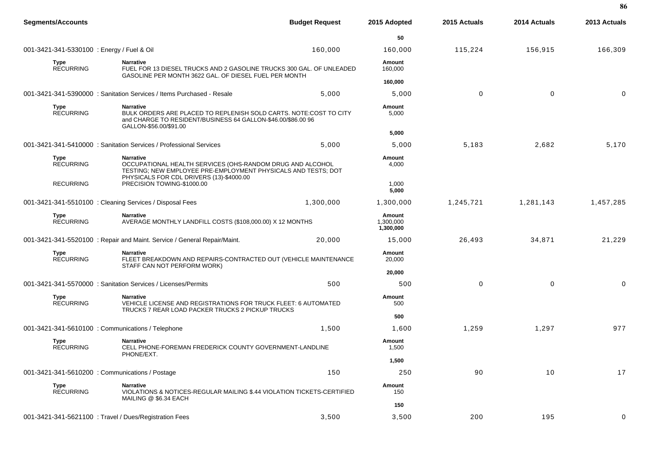| <b>Segments/Accounts</b>                                                                                                                                                                                    |                                                                                                                                                   | <b>Budget Request</b> | 2015 Adopted                     | 2015 Actuals | 2014 Actuals | 2013 Actuals |
|-------------------------------------------------------------------------------------------------------------------------------------------------------------------------------------------------------------|---------------------------------------------------------------------------------------------------------------------------------------------------|-----------------------|----------------------------------|--------------|--------------|--------------|
|                                                                                                                                                                                                             |                                                                                                                                                   |                       | 50                               |              |              |              |
| 001-3421-341-5330100 : Energy / Fuel & Oil                                                                                                                                                                  |                                                                                                                                                   | 160,000               | 160,000                          | 115,224      | 156,915      | 166,309      |
| Type<br><b>RECURRING</b>                                                                                                                                                                                    | <b>Narrative</b><br>FUEL FOR 13 DIESEL TRUCKS AND 2 GASOLINE TRUCKS 300 GAL. OF UNLEADED<br>GASOLINE PER MONTH 3622 GAL. OF DIESEL FUEL PER MONTH |                       | Amount<br>160,000                |              |              |              |
|                                                                                                                                                                                                             |                                                                                                                                                   |                       | 160,000                          |              |              |              |
|                                                                                                                                                                                                             | 001-3421-341-5390000 : Sanitation Services / Items Purchased - Resale                                                                             | 5,000                 | 5,000                            | 0            | $\mathbf 0$  | $\Omega$     |
| <b>Narrative</b><br>Type<br><b>RECURRING</b><br>BULK ORDERS ARE PLACED TO REPLENISH SOLD CARTS. NOTE:COST TO CITY<br>and CHARGE TO RESIDENT/BUSINESS 64 GALLON-\$46.00/\$86.00 96<br>GALLON-\$56.00/\$91.00 |                                                                                                                                                   |                       | Amount<br>5,000                  |              |              |              |
|                                                                                                                                                                                                             |                                                                                                                                                   |                       | 5,000                            |              |              |              |
|                                                                                                                                                                                                             | 001-3421-341-5410000: Sanitation Services / Professional Services                                                                                 | 5,000                 | 5,000                            | 5,183        | 2,682        | 5,170        |
| Type<br><b>RECURRING</b>                                                                                                                                                                                    | <b>Narrative</b><br>OCCUPATIONAL HEALTH SERVICES (OHS-RANDOM DRUG AND ALCOHOL<br>TESTING; NEW EMPLOYEE PRE-EMPLOYMENT PHYSICALS AND TESTS; DOT    |                       | Amount<br>4,000                  |              |              |              |
| <b>RECURRING</b>                                                                                                                                                                                            | PHYSICALS FOR CDL DRIVERS (13)-\$4000.00<br>PRECISION TOWING-\$1000.00                                                                            |                       | 1,000<br>5,000                   |              |              |              |
| 1,300,000<br>001-3421-341-5510100 : Cleaning Services / Disposal Fees                                                                                                                                       |                                                                                                                                                   | 1,300,000             | 1,245,721                        | 1,281,143    | 1.457.285    |              |
| Type<br><b>RECURRING</b>                                                                                                                                                                                    | <b>Narrative</b><br>AVERAGE MONTHLY LANDFILL COSTS (\$108,000.00) X 12 MONTHS                                                                     |                       | Amount<br>1,300,000<br>1,300,000 |              |              |              |
|                                                                                                                                                                                                             | 001-3421-341-5520100 : Repair and Maint. Service / General Repair/Maint.                                                                          | 20,000                | 15,000                           | 26,493       | 34,871       | 21,229       |
| Type<br><b>RECURRING</b>                                                                                                                                                                                    | <b>Narrative</b><br>FLEET BREAKDOWN AND REPAIRS-CONTRACTED OUT (VEHICLE MAINTENANCE<br>STAFF CAN NOT PERFORM WORK)                                |                       | Amount<br>20,000                 |              |              |              |
|                                                                                                                                                                                                             |                                                                                                                                                   |                       | 20,000                           |              |              |              |
|                                                                                                                                                                                                             | 001-3421-341-5570000 : Sanitation Services / Licenses/Permits                                                                                     | 500                   | 500                              | 0            | $\mathbf 0$  | 0            |
| Type<br><b>RECURRING</b>                                                                                                                                                                                    | <b>Narrative</b><br>VEHICLE LICENSE AND REGISTRATIONS FOR TRUCK FLEET: 6 AUTOMATED<br>TRUCKS 7 REAR LOAD PACKER TRUCKS 2 PICKUP TRUCKS            |                       | Amount<br>500                    |              |              |              |
|                                                                                                                                                                                                             |                                                                                                                                                   |                       | 500                              |              |              |              |
| 001-3421-341-5610100 : Communications / Telephone                                                                                                                                                           |                                                                                                                                                   | 1,500                 | 1,600                            | 1,259        | 1,297        | 977          |
| Type<br><b>RECURRING</b>                                                                                                                                                                                    | <b>Narrative</b><br>CELL PHONE-FOREMAN FREDERICK COUNTY GOVERNMENT-LANDLINE<br>PHONE/EXT.                                                         |                       | Amount<br>1,500                  |              |              |              |
|                                                                                                                                                                                                             |                                                                                                                                                   |                       | 1,500                            |              |              |              |
| 001-3421-341-5610200 : Communications / Postage                                                                                                                                                             |                                                                                                                                                   | 150                   | 250                              | 90           | 10           | 17           |
| Type<br>RECURRING                                                                                                                                                                                           | <b>Narrative</b><br>VIOLATIONS & NOTICES-REGULAR MAILING \$.44 VIOLATION TICKETS-CERTIFIED<br>MAILING @ \$6.34 EACH                               |                       | Amount<br>150                    |              |              |              |
|                                                                                                                                                                                                             |                                                                                                                                                   |                       | 150                              |              |              |              |
|                                                                                                                                                                                                             | 001-3421-341-5621100 : Travel / Dues/Registration Fees                                                                                            | 3,500                 | 3,500                            | 200          | 195          | $\mathbf{0}$ |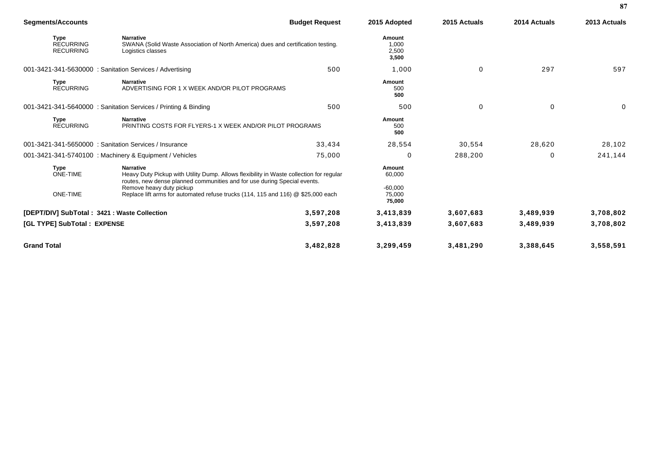| Segments/Accounts                                   |                                                                                                                                                                                         | <b>Budget Request</b> | 2015 Adopted                      | 2015 Actuals | 2014 Actuals | 2013 Actuals |
|-----------------------------------------------------|-----------------------------------------------------------------------------------------------------------------------------------------------------------------------------------------|-----------------------|-----------------------------------|--------------|--------------|--------------|
| <b>Type</b><br><b>RECURRING</b><br><b>RECURRING</b> | <b>Narrative</b><br>SWANA (Solid Waste Association of North America) dues and certification testing.<br>Logistics classes                                                               |                       | Amount<br>1,000<br>2,500<br>3,500 |              |              |              |
|                                                     | 001-3421-341-5630000: Sanitation Services / Advertising                                                                                                                                 | 500                   | 1,000                             | 0            | 297          | 597          |
| <b>Type</b><br><b>RECURRING</b>                     | <b>Narrative</b><br>ADVERTISING FOR 1 X WEEK AND/OR PILOT PROGRAMS                                                                                                                      |                       | Amount<br>500<br>500              |              |              |              |
|                                                     | 001-3421-341-5640000: Sanitation Services / Printing & Binding                                                                                                                          | 500                   | 500                               | 0            | $\mathbf 0$  | 0            |
| <b>Type</b><br><b>RECURRING</b>                     | <b>Narrative</b><br>PRINTING COSTS FOR FLYERS-1 X WEEK AND/OR PILOT PROGRAMS                                                                                                            |                       | Amount<br>500<br>500              |              |              |              |
|                                                     | 001-3421-341-5650000 : Sanitation Services / Insurance                                                                                                                                  | 33,434                | 28,554                            | 30,554       | 28,620       | 28,102       |
|                                                     | 001-3421-341-5740100 : Machinery & Equipment / Vehicles                                                                                                                                 | 75,000                | $\Omega$                          | 288,200      | 0            | 241,144      |
| <b>Type</b><br><b>ONE-TIME</b>                      | <b>Narrative</b><br>Heavy Duty Pickup with Utility Dump. Allows flexibility in Waste collection for regular<br>routes, new dense planned communities and for use during Special events. |                       | Amount<br>60,000                  |              |              |              |
| <b>ONE-TIME</b>                                     | Remove heavy duty pickup<br>Replace lift arms for automated refuse trucks (114, 115 and 116) @ \$25,000 each                                                                            |                       | $-60.000$<br>75.000<br>75,000     |              |              |              |
| [DEPT/DIV] SubTotal: 3421: Waste Collection         |                                                                                                                                                                                         | 3,597,208             | 3,413,839                         | 3,607,683    | 3,489,939    | 3,708,802    |
| [GL TYPE] SubTotal: EXPENSE                         |                                                                                                                                                                                         | 3,597,208             | 3,413,839                         | 3,607,683    | 3,489,939    | 3,708,802    |
| <b>Grand Total</b>                                  |                                                                                                                                                                                         | 3,482,828             | 3,299,459                         | 3,481,290    | 3,388,645    | 3,558,591    |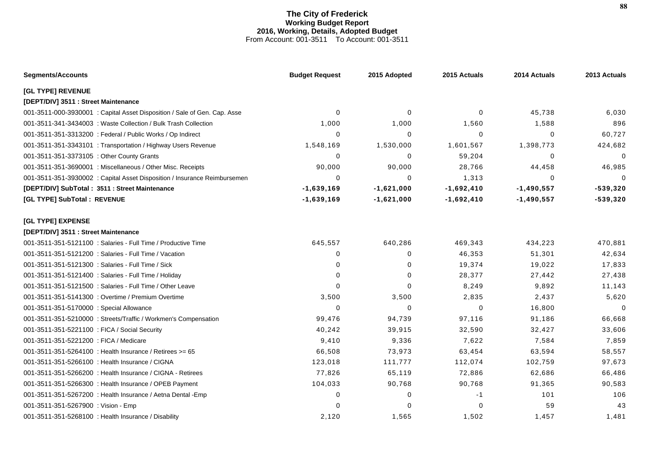# **The City of Frederick Working Budget Report 2016, Working, Details, Adopted Budget** From Account: 001-3511 To Account: 001-3511

| <b>Segments/Accounts</b>                                                  | <b>Budget Request</b> | 2015 Adopted | 2015 Actuals | 2014 Actuals | 2013 Actuals |
|---------------------------------------------------------------------------|-----------------------|--------------|--------------|--------------|--------------|
| [GL TYPE] REVENUE                                                         |                       |              |              |              |              |
| [DEPT/DIV] 3511 : Street Maintenance                                      |                       |              |              |              |              |
| 001-3511-000-3930001 : Capital Asset Disposition / Sale of Gen. Cap. Asse | $\Omega$              | $\Omega$     | $\Omega$     | 45,738       | 6,030        |
| 001-3511-341-3434003 : Waste Collection / Bulk Trash Collection           | 1,000                 | 1,000        | 1,560        | 1,588        | 896          |
| 001-3511-351-3313200 : Federal / Public Works / Op Indirect               | 0                     | 0            | 0            | 0            | 60,727       |
| 001-3511-351-3343101 : Transportation / Highway Users Revenue             | 1,548,169             | 1,530,000    | 1,601,567    | 1,398,773    | 424,682      |
| 001-3511-351-3373105 : Other County Grants                                | 0                     | $\Omega$     | 59,204       | 0            | $\mathbf 0$  |
| 001-3511-351-3690001 : Miscellaneous / Other Misc. Receipts               | 90,000                | 90,000       | 28,766       | 44,458       | 46,985       |
| 001-3511-351-3930002 : Capital Asset Disposition / Insurance Reimbursemen | $\Omega$              | $\Omega$     | 1,313        | $\Omega$     | $\Omega$     |
| [DEPT/DIV] SubTotal: 3511: Street Maintenance                             | $-1,639,169$          | $-1,621,000$ | $-1,692,410$ | $-1,490,557$ | $-539,320$   |
| [GL TYPE] SubTotal: REVENUE                                               | $-1,639,169$          | $-1,621,000$ | $-1,692,410$ | $-1,490,557$ | $-539,320$   |
| [GL TYPE] EXPENSE                                                         |                       |              |              |              |              |
| [DEPT/DIV] 3511 : Street Maintenance                                      |                       |              |              |              |              |
| 001-3511-351-5121100 : Salaries - Full Time / Productive Time             | 645,557               | 640,286      | 469,343      | 434,223      | 470,881      |
| 001-3511-351-5121200 : Salaries - Full Time / Vacation                    | 0                     | $\Omega$     | 46,353       | 51,301       | 42,634       |
| 001-3511-351-5121300 : Salaries - Full Time / Sick                        | 0                     | $\Omega$     | 19,374       | 19,022       | 17,833       |
| 001-3511-351-5121400 : Salaries - Full Time / Holiday                     | 0                     | $\Omega$     | 28,377       | 27,442       | 27,438       |
| 001-3511-351-5121500 : Salaries - Full Time / Other Leave                 | 0                     | $\Omega$     | 8,249        | 9,892        | 11,143       |
| 001-3511-351-5141300 : Overtime / Premium Overtime                        | 3,500                 | 3,500        | 2,835        | 2,437        | 5,620        |
| 001-3511-351-5170000 : Special Allowance                                  | $\Omega$              | $\Omega$     | $\Omega$     | 16,800       | $\Omega$     |
| 001-3511-351-5210000: Streets/Traffic / Workmen's Compensation            | 99,476                | 94,739       | 97,116       | 91,186       | 66,668       |
| 001-3511-351-5221100 : FICA / Social Security                             | 40,242                | 39,915       | 32,590       | 32,427       | 33,606       |
| 001-3511-351-5221200 : FICA / Medicare                                    | 9,410                 | 9,336        | 7,622        | 7,584        | 7,859        |
| 001-3511-351-5264100 : Health Insurance / Retirees $>= 65$                | 66,508                | 73,973       | 63,454       | 63,594       | 58,557       |
| 001-3511-351-5266100 : Health Insurance / CIGNA                           | 123,018               | 111,777      | 112,074      | 102,759      | 97,673       |
| 001-3511-351-5266200 : Health Insurance / CIGNA - Retirees                | 77,826                | 65,119       | 72,886       | 62,686       | 66,486       |
| 001-3511-351-5266300 : Health Insurance / OPEB Payment                    | 104,033               | 90,768       | 90,768       | 91,365       | 90,583       |
| 001-3511-351-5267200 : Health Insurance / Aetna Dental -Emp               | 0                     | 0            | $-1$         | 101          | 106          |
| 001-3511-351-5267900 : Vision - Emp                                       | 0                     | 0            | $\Omega$     | 59           | 43           |
| 001-3511-351-5268100 : Health Insurance / Disability                      | 2,120                 | 1,565        | 1,502        | 1,457        | 1,481        |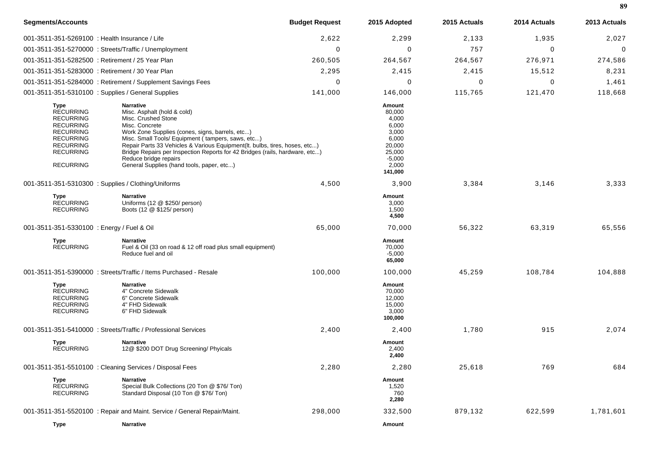| <b>Segments/Accounts</b>                                                                                                                                                    |                                                                                                                                                                                                                                                                                                                                                                                                                                     | <b>Budget Request</b> | 2015 Adopted                                                                                             | 2015 Actuals | 2014 Actuals | 2013 Actuals |
|-----------------------------------------------------------------------------------------------------------------------------------------------------------------------------|-------------------------------------------------------------------------------------------------------------------------------------------------------------------------------------------------------------------------------------------------------------------------------------------------------------------------------------------------------------------------------------------------------------------------------------|-----------------------|----------------------------------------------------------------------------------------------------------|--------------|--------------|--------------|
| 001-3511-351-5269100 : Health Insurance / Life                                                                                                                              |                                                                                                                                                                                                                                                                                                                                                                                                                                     | 2,622                 | 2,299                                                                                                    | 2,133        | 1,935        | 2,027        |
|                                                                                                                                                                             | 001-3511-351-5270000: Streets/Traffic / Unemployment                                                                                                                                                                                                                                                                                                                                                                                | $\Omega$              | $\Omega$                                                                                                 | 757          | 0            | 0            |
|                                                                                                                                                                             | 001-3511-351-5282500 : Retirement / 25 Year Plan                                                                                                                                                                                                                                                                                                                                                                                    | 260,505               | 264,567                                                                                                  | 264,567      | 276,971      | 274,586      |
|                                                                                                                                                                             | 001-3511-351-5283000 : Retirement / 30 Year Plan                                                                                                                                                                                                                                                                                                                                                                                    | 2,295                 | 2,415                                                                                                    | 2,415        | 15,512       | 8,231        |
|                                                                                                                                                                             | 001-3511-351-5284000: Retirement / Supplement Savings Fees                                                                                                                                                                                                                                                                                                                                                                          | 0                     | $\Omega$                                                                                                 | 0            | 0            | 1,461        |
|                                                                                                                                                                             | 001-3511-351-5310100 : Supplies / General Supplies                                                                                                                                                                                                                                                                                                                                                                                  | 141,000               | 146,000                                                                                                  | 115,765      | 121,470      | 118,668      |
| <b>Type</b><br><b>RECURRING</b><br><b>RECURRING</b><br><b>RECURRING</b><br><b>RECURRING</b><br><b>RECURRING</b><br><b>RECURRING</b><br><b>RECURRING</b><br><b>RECURRING</b> | <b>Narrative</b><br>Misc. Asphalt (hold & cold)<br>Misc. Crushed Stone<br>Misc. Concrete<br>Work Zone Supplies (cones, signs, barrels, etc)<br>Misc. Small Tools/ Equipment (tampers, saws, etc)<br>Repair Parts 33 Vehicles & Various Equipment(It. bulbs, tires, hoses, etc)<br>Bridge Repairs per Inspection Reports for 42 Bridges (rails, hardware, etc)<br>Reduce bridge repairs<br>General Supplies (hand tools, paper, etc) |                       | Amount<br>80,000<br>4,000<br>6,000<br>3,000<br>6,000<br>20,000<br>25,000<br>$-5,000$<br>2,000<br>141,000 |              |              |              |
|                                                                                                                                                                             | 001-3511-351-5310300: Supplies / Clothing/Uniforms                                                                                                                                                                                                                                                                                                                                                                                  | 4,500                 | 3,900                                                                                                    | 3,384        | 3,146        | 3,333        |
| Type<br><b>RECURRING</b><br><b>RECURRING</b>                                                                                                                                | <b>Narrative</b><br>Uniforms (12 @ \$250/ person)<br>Boots (12 @ \$125/ person)                                                                                                                                                                                                                                                                                                                                                     |                       | Amount<br>3,000<br>1,500<br>4,500                                                                        |              |              |              |
| 001-3511-351-5330100 : Energy / Fuel & Oil                                                                                                                                  |                                                                                                                                                                                                                                                                                                                                                                                                                                     | 65,000                | 70,000                                                                                                   | 56,322       | 63,319       | 65,556       |
| Type<br><b>RECURRING</b>                                                                                                                                                    | <b>Narrative</b><br>Fuel & Oil (33 on road & 12 off road plus small equipment)<br>Reduce fuel and oil                                                                                                                                                                                                                                                                                                                               |                       | Amount<br>70,000<br>$-5,000$<br>65,000                                                                   |              |              |              |
|                                                                                                                                                                             | 001-3511-351-5390000: Streets/Traffic / Items Purchased - Resale                                                                                                                                                                                                                                                                                                                                                                    | 100,000               | 100,000                                                                                                  | 45,259       | 108,784      | 104,888      |
| Type<br><b>RECURRING</b><br><b>RECURRING</b><br><b>RECURRING</b><br><b>RECURRING</b>                                                                                        | <b>Narrative</b><br>4" Concrete Sidewalk<br>6" Concrete Sidewalk<br>4" FHD Sidewalk<br>6" FHD Sidewalk                                                                                                                                                                                                                                                                                                                              |                       | Amount<br>70,000<br>12,000<br>15,000<br>3,000<br>100,000                                                 |              |              |              |
|                                                                                                                                                                             | 001-3511-351-5410000: Streets/Traffic / Professional Services                                                                                                                                                                                                                                                                                                                                                                       | 2,400                 | 2,400                                                                                                    | 1,780        | 915          | 2,074        |
| Type<br><b>RECURRING</b>                                                                                                                                                    | <b>Narrative</b><br>12@ \$200 DOT Drug Screening/ Phyicals                                                                                                                                                                                                                                                                                                                                                                          |                       | Amount<br>2,400<br>2,400                                                                                 |              |              |              |
|                                                                                                                                                                             | 001-3511-351-5510100 : Cleaning Services / Disposal Fees                                                                                                                                                                                                                                                                                                                                                                            | 2,280                 | 2,280                                                                                                    | 25,618       | 769          | 684          |
| Type<br><b>RECURRING</b><br><b>RECURRING</b>                                                                                                                                | <b>Narrative</b><br>Special Bulk Collections (20 Ton @ \$76/ Ton)<br>Standard Disposal (10 Ton @ \$76/ Ton)                                                                                                                                                                                                                                                                                                                         |                       | Amount<br>1,520<br>760<br>2,280                                                                          |              |              |              |
|                                                                                                                                                                             | 001-3511-351-5520100: Repair and Maint. Service / General Repair/Maint.                                                                                                                                                                                                                                                                                                                                                             | 298,000               | 332,500                                                                                                  | 879,132      | 622,599      | 1,781,601    |
| <b>Type</b>                                                                                                                                                                 | Narrative                                                                                                                                                                                                                                                                                                                                                                                                                           |                       | Amount                                                                                                   |              |              |              |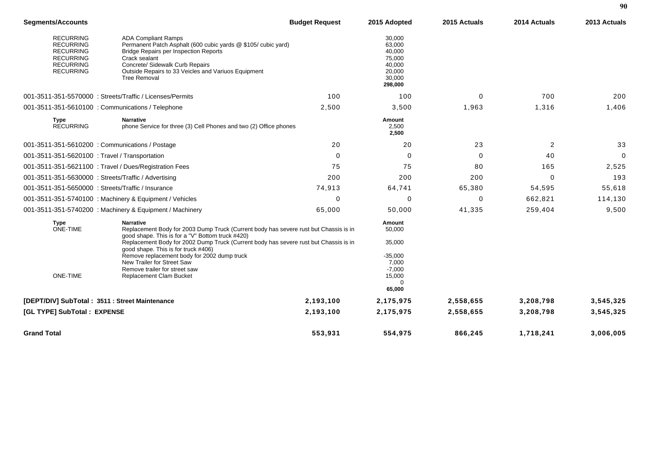| <b>Segments/Accounts</b>                                                                                             |                                                                                                                                                                                                                                                                               | <b>Budget Request</b> | 2015 Adopted                                                                  | 2015 Actuals | 2014 Actuals | 2013 Actuals |
|----------------------------------------------------------------------------------------------------------------------|-------------------------------------------------------------------------------------------------------------------------------------------------------------------------------------------------------------------------------------------------------------------------------|-----------------------|-------------------------------------------------------------------------------|--------------|--------------|--------------|
| <b>RECURRING</b><br><b>RECURRING</b><br><b>RECURRING</b><br><b>RECURRING</b><br><b>RECURRING</b><br><b>RECURRING</b> | <b>ADA Compliant Ramps</b><br>Permanent Patch Asphalt (600 cubic yards @ \$105/ cubic yard)<br><b>Bridge Repairs per Inspection Reports</b><br>Crack sealant<br>Concrete/ Sidewalk Curb Repairs<br>Outside Repairs to 33 Veicles and Variuos Equipment<br><b>Tree Removal</b> |                       | 30,000<br>63,000<br>40,000<br>75,000<br>40,000<br>20,000<br>30,000<br>298,000 |              |              |              |
| 001-3511-351-5570000: Streets/Traffic / Licenses/Permits                                                             |                                                                                                                                                                                                                                                                               | 100                   | 100                                                                           | 0            | 700          | 200          |
| 001-3511-351-5610100 : Communications / Telephone                                                                    |                                                                                                                                                                                                                                                                               | 2,500                 | 3,500                                                                         | 1,963        | 1,316        | 1,406        |
| Type<br><b>RECURRING</b>                                                                                             | <b>Narrative</b><br>phone Service for three (3) Cell Phones and two (2) Office phones                                                                                                                                                                                         |                       | Amount<br>2,500<br>2,500                                                      |              |              |              |
| 001-3511-351-5610200 : Communications / Postage                                                                      |                                                                                                                                                                                                                                                                               | 20                    | 20                                                                            | 23           | 2            | 33           |
| 001-3511-351-5620100 : Travel / Transportation                                                                       |                                                                                                                                                                                                                                                                               | 0                     | 0                                                                             | 0            | 40           | $\mathbf 0$  |
| 001-3511-351-5621100 : Travel / Dues/Registration Fees                                                               |                                                                                                                                                                                                                                                                               | 75                    | 75                                                                            | 80           | 165          | 2,525        |
| 001-3511-351-5630000: Streets/Traffic / Advertising                                                                  |                                                                                                                                                                                                                                                                               | 200                   | 200                                                                           | 200          | $\Omega$     | 193          |
| 001-3511-351-5650000 : Streets/Traffic / Insurance                                                                   |                                                                                                                                                                                                                                                                               | 74,913                | 64,741                                                                        | 65,380       | 54,595       | 55,618       |
| 001-3511-351-5740100 : Machinery & Equipment / Vehicles                                                              |                                                                                                                                                                                                                                                                               | 0                     | 0                                                                             | 0            | 662,821      | 114,130      |
|                                                                                                                      | 001-3511-351-5740200 : Machinery & Equipment / Machinery                                                                                                                                                                                                                      | 65,000                | 50,000                                                                        | 41,335       | 259,404      | 9,500        |
| Type<br>ONE-TIME                                                                                                     | <b>Narrative</b><br>Replacement Body for 2003 Dump Truck (Current body has severe rust but Chassis is in<br>good shape. This is for a "V" Bottom truck #420)                                                                                                                  |                       | Amount<br>50,000                                                              |              |              |              |
|                                                                                                                      | Replacement Body for 2002 Dump Truck (Current body has severe rust but Chassis is in<br>good shape. This is for truck #406)                                                                                                                                                   |                       | 35,000                                                                        |              |              |              |
| <b>ONE-TIME</b>                                                                                                      | Remove replacement body for 2002 dump truck<br>New Trailer for Street Saw<br>Remove trailer for street saw<br>Replacement Clam Bucket                                                                                                                                         |                       | $-35,000$<br>7,000<br>$-7,000$<br>15,000<br><sup>0</sup>                      |              |              |              |
|                                                                                                                      |                                                                                                                                                                                                                                                                               |                       | 65,000                                                                        |              |              |              |
| [DEPT/DIV] SubTotal: 3511: Street Maintenance                                                                        |                                                                                                                                                                                                                                                                               | 2,193,100             | 2,175,975                                                                     | 2,558,655    | 3,208,798    | 3,545,325    |
| [GL TYPE] SubTotal: EXPENSE                                                                                          |                                                                                                                                                                                                                                                                               | 2,193,100             | 2,175,975                                                                     | 2,558,655    | 3,208,798    | 3,545,325    |
| <b>Grand Total</b>                                                                                                   |                                                                                                                                                                                                                                                                               | 553,931               | 554,975                                                                       | 866,245      | 1,718,241    | 3,006,005    |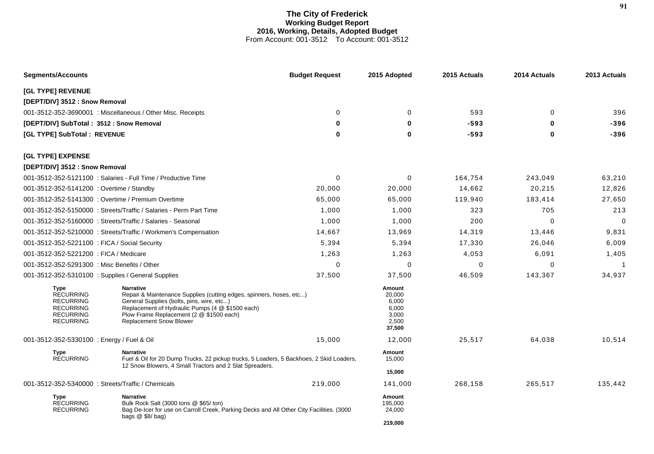## **The City of Frederick Working Budget Report 2016, Working, Details, Adopted Budget** From Account: 001-3512 To Account: 001-3512

| <b>Segments/Accounts</b>                                                                                 |                                                                                                                                                                                                                                                                        | <b>Budget Request</b> | 2015 Adopted                                                   | 2015 Actuals | 2014 Actuals | 2013 Actuals   |
|----------------------------------------------------------------------------------------------------------|------------------------------------------------------------------------------------------------------------------------------------------------------------------------------------------------------------------------------------------------------------------------|-----------------------|----------------------------------------------------------------|--------------|--------------|----------------|
| [GL TYPE] REVENUE                                                                                        |                                                                                                                                                                                                                                                                        |                       |                                                                |              |              |                |
| [DEPT/DIV] 3512 : Snow Removal                                                                           |                                                                                                                                                                                                                                                                        |                       |                                                                |              |              |                |
|                                                                                                          | 001-3512-352-3690001 : Miscellaneous / Other Misc. Receipts                                                                                                                                                                                                            | 0                     | $\Omega$                                                       | 593          | 0            | 396            |
| [DEPT/DIV] SubTotal: 3512: Snow Removal                                                                  |                                                                                                                                                                                                                                                                        | 0                     | $\bf{0}$                                                       | $-593$       | 0            | $-396$         |
| [GL TYPE] SubTotal: REVENUE                                                                              |                                                                                                                                                                                                                                                                        | 0                     | $\bf{0}$                                                       | $-593$       | $\bf{0}$     | $-396$         |
| [GL TYPE] EXPENSE                                                                                        |                                                                                                                                                                                                                                                                        |                       |                                                                |              |              |                |
| [DEPT/DIV] 3512 : Snow Removal                                                                           |                                                                                                                                                                                                                                                                        |                       |                                                                |              |              |                |
|                                                                                                          | 001-3512-352-5121100 : Salaries - Full Time / Productive Time                                                                                                                                                                                                          | 0                     | $\Omega$                                                       | 164,754      | 243,049      | 63,210         |
| 001-3512-352-5141200 : Overtime / Standby                                                                |                                                                                                                                                                                                                                                                        | 20,000                | 20,000                                                         | 14,662       | 20,215       | 12,826         |
| 001-3512-352-5141300 : Overtime / Premium Overtime                                                       |                                                                                                                                                                                                                                                                        | 65,000                | 65,000                                                         | 119,940      | 183,414      | 27,650         |
|                                                                                                          | 001-3512-352-5150000: Streets/Traffic / Salaries - Perm Part Time                                                                                                                                                                                                      | 1,000                 | 1,000                                                          | 323          | 705          | 213            |
|                                                                                                          | 001-3512-352-5160000: Streets/Traffic / Salaries - Seasonal                                                                                                                                                                                                            | 1,000                 | 1,000                                                          | 200          | 0            | 0              |
|                                                                                                          | 001-3512-352-5210000: Streets/Traffic / Workmen's Compensation                                                                                                                                                                                                         | 14,667                | 13,969                                                         | 14,319       | 13,446       | 9,831          |
| 001-3512-352-5221100 : FICA / Social Security                                                            |                                                                                                                                                                                                                                                                        | 5,394                 | 5,394                                                          | 17,330       | 26,046       | 6,009          |
| 001-3512-352-5221200 : FICA / Medicare                                                                   |                                                                                                                                                                                                                                                                        | 1,263                 | 1,263                                                          | 4,053        | 6,091        | 1,405          |
| 001-3512-352-5291300 : Misc Benefits / Other                                                             |                                                                                                                                                                                                                                                                        | $\Omega$              | $\Omega$                                                       | 0            | 0            | $\overline{1}$ |
| 001-3512-352-5310100 : Supplies / General Supplies                                                       |                                                                                                                                                                                                                                                                        | 37,500                | 37,500                                                         | 46,509       | 143,367      | 34,937         |
| Type<br><b>RECURRING</b><br><b>RECURRING</b><br><b>RECURRING</b><br><b>RECURRING</b><br><b>RECURRING</b> | <b>Narrative</b><br>Repair & Maintenance Supplies (cutting edges, spinners, hoses, etc)<br>General Supplies (bolts, pins, wire, etc)<br>Replacement of Hydraulic Pumps (4 @ \$1500 each)<br>Plow Frame Replacement (2 @ \$1500 each)<br><b>Replacement Snow Blower</b> |                       | Amount<br>20.000<br>6,000<br>6,000<br>3,000<br>2,500<br>37,500 |              |              |                |
| 001-3512-352-5330100 : Energy / Fuel & Oil                                                               |                                                                                                                                                                                                                                                                        | 15,000                | 12,000                                                         | 25,517       | 64,038       | 10,514         |
| Type<br><b>RECURRING</b>                                                                                 | <b>Narrative</b><br>Fuel & Oil for 20 Dump Trucks, 22 pickup trucks, 5 Loaders, 5 Backhoes, 2 Skid Loaders,<br>12 Snow Blowers, 4 Small Tractors and 2 Slat Spreaders.                                                                                                 |                       | Amount<br>15,000                                               |              |              |                |
|                                                                                                          |                                                                                                                                                                                                                                                                        |                       | 15,000                                                         |              |              |                |
| 001-3512-352-5340000 : Streets/Traffic / Chemicals                                                       |                                                                                                                                                                                                                                                                        | 219,000               | 141,000                                                        | 268,158      | 265,517      | 135,442        |
| Type<br><b>RECURRING</b><br><b>RECURRING</b>                                                             | <b>Narrative</b><br>Bulk Rock Salt (3000 tons @ \$65/ ton)<br>Bag De-Icer for use on Carroll Creek, Parking Decks and All Other City Facilities. (3000<br>bags @ \$8/ bag)                                                                                             |                       | Amount<br>195,000<br>24,000                                    |              |              |                |
|                                                                                                          |                                                                                                                                                                                                                                                                        |                       | 219.000                                                        |              |              |                |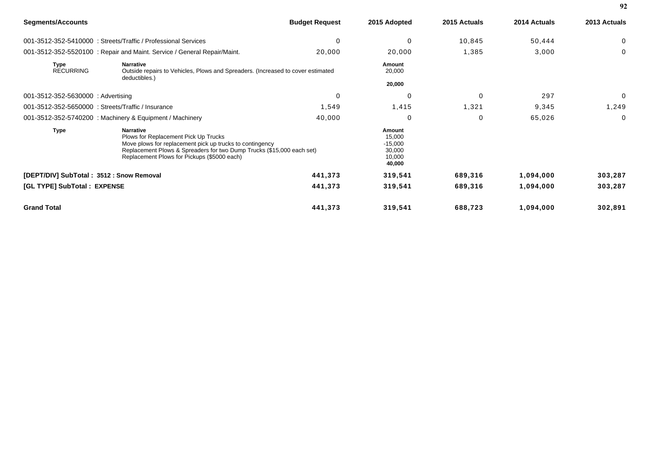| <b>Segments/Accounts</b>                |                                                                                                                                                                                                                                              | <b>Budget Request</b> | 2015 Adopted                                                | 2015 Actuals | 2014 Actuals | 2013 Actuals |
|-----------------------------------------|----------------------------------------------------------------------------------------------------------------------------------------------------------------------------------------------------------------------------------------------|-----------------------|-------------------------------------------------------------|--------------|--------------|--------------|
|                                         | 001-3512-352-5410000: Streets/Traffic / Professional Services                                                                                                                                                                                | 0                     | 0                                                           | 10,845       | 50,444       | $\mathbf 0$  |
|                                         | 001-3512-352-5520100: Repair and Maint. Service / General Repair/Maint.                                                                                                                                                                      | 20,000                | 20,000                                                      | 1,385        | 3,000        | $\mathbf 0$  |
| <b>Type</b><br><b>RECURRING</b>         | <b>Narrative</b><br>Outside repairs to Vehicles, Plows and Spreaders. (Increased to cover estimated                                                                                                                                          |                       | Amount<br>20,000                                            |              |              |              |
|                                         | deductibles.)                                                                                                                                                                                                                                |                       | 20,000                                                      |              |              |              |
| 001-3512-352-5630000: Advertising       |                                                                                                                                                                                                                                              | 0                     | $\Omega$                                                    | 0            | 297          | $\Omega$     |
|                                         | 001-3512-352-5650000: Streets/Traffic / Insurance                                                                                                                                                                                            | 1,549                 | 1,415                                                       | 1,321        | 9,345        | 1,249        |
|                                         | 001-3512-352-5740200 : Machinery & Equipment / Machinery                                                                                                                                                                                     | 40,000                | $\Omega$                                                    | $\Omega$     | 65,026       | $\Omega$     |
| <b>Type</b>                             | <b>Narrative</b><br>Plows for Replacement Pick Up Trucks<br>Move plows for replacement pick up trucks to contingency<br>Replacement Plows & Spreaders for two Dump Trucks (\$15,000 each set)<br>Replacement Plows for Pickups (\$5000 each) |                       | Amount<br>15,000<br>$-15,000$<br>30,000<br>10,000<br>40,000 |              |              |              |
| [DEPT/DIV] SubTotal: 3512: Snow Removal |                                                                                                                                                                                                                                              | 441,373               | 319,541                                                     | 689,316      | 1,094,000    | 303,287      |
| [GL TYPE] SubTotal: EXPENSE             |                                                                                                                                                                                                                                              | 441,373               | 319,541                                                     | 689,316      | 1,094,000    | 303,287      |
| <b>Grand Total</b>                      |                                                                                                                                                                                                                                              | 441,373               | 319,541                                                     | 688,723      | 1,094,000    | 302,891      |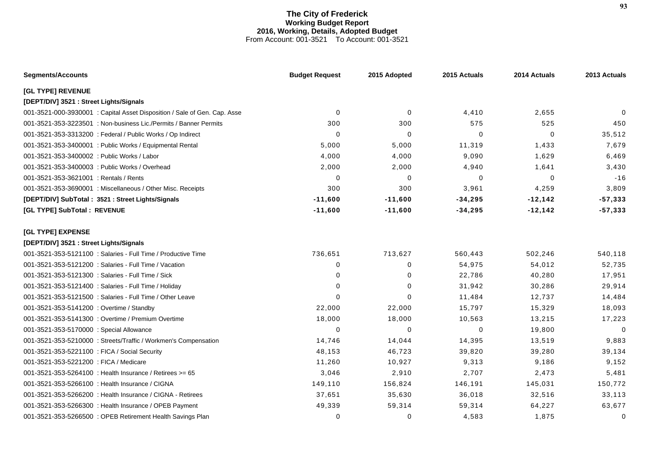# **The City of Frederick Working Budget Report 2016, Working, Details, Adopted Budget** From Account: 001-3521 To Account: 001-3521

| <b>Segments/Accounts</b>                                                 | <b>Budget Request</b> | 2015 Adopted | 2015 Actuals | 2014 Actuals | 2013 Actuals     |
|--------------------------------------------------------------------------|-----------------------|--------------|--------------|--------------|------------------|
| [GL TYPE] REVENUE                                                        |                       |              |              |              |                  |
| [DEPT/DIV] 3521 : Street Lights/Signals                                  |                       |              |              |              |                  |
| 001-3521-000-3930001: Capital Asset Disposition / Sale of Gen. Cap. Asse | $\mathbf 0$           | $\Omega$     | 4,410        | 2,655        | $\mathbf 0$      |
| 001-3521-353-3223501 : Non-business Lic./Permits / Banner Permits        | 300                   | 300          | 575          | 525          | 450              |
| 001-3521-353-3313200 : Federal / Public Works / Op Indirect              | 0                     | 0            | $\mathbf 0$  | 0            | 35,512           |
| 001-3521-353-3400001: Public Works / Equipmental Rental                  | 5,000                 | 5,000        | 11,319       | 1,433        | 7,679            |
| 001-3521-353-3400002 : Public Works / Labor                              | 4,000                 | 4,000        | 9,090        | 1,629        | 6,469            |
| 001-3521-353-3400003: Public Works / Overhead                            | 2,000                 | 2,000        | 4,940        | 1,641        | 3,430            |
| 001-3521-353-3621001 : Rentals / Rents                                   | 0                     | $\Omega$     | $\mathbf 0$  | 0            | $-16$            |
| 001-3521-353-3690001 : Miscellaneous / Other Misc. Receipts              | 300                   | 300          | 3,961        | 4,259        | 3,809            |
| [DEPT/DIV] SubTotal: 3521: Street Lights/Signals                         | $-11,600$             | $-11,600$    | $-34,295$    | $-12, 142$   | $-57,333$        |
| [GL TYPE] SubTotal: REVENUE                                              | $-11,600$             | $-11,600$    | $-34,295$    | $-12,142$    | $-57,333$        |
|                                                                          |                       |              |              |              |                  |
| [GL TYPE] EXPENSE                                                        |                       |              |              |              |                  |
| [DEPT/DIV] 3521 : Street Lights/Signals                                  |                       |              |              |              |                  |
| 001-3521-353-5121100 : Salaries - Full Time / Productive Time            | 736,651               | 713,627      | 560,443      | 502,246      | 540,118          |
| 001-3521-353-5121200 : Salaries - Full Time / Vacation                   | 0                     | 0            | 54,975       | 54,012       | 52,735           |
| 001-3521-353-5121300 : Salaries - Full Time / Sick                       | 0                     | $\Omega$     | 22,786       | 40,280       | 17,951           |
| 001-3521-353-5121400 : Salaries - Full Time / Holiday                    | 0                     | 0            | 31,942       | 30,286       | 29,914           |
| 001-3521-353-5121500 : Salaries - Full Time / Other Leave                | $\Omega$              | 0            | 11,484       | 12,737       | 14,484           |
| 001-3521-353-5141200 : Overtime / Standby                                | 22,000                | 22,000       | 15,797       | 15,329       | 18,093           |
| 001-3521-353-5141300 : Overtime / Premium Overtime                       | 18,000                | 18,000       | 10,563       | 13,215       | 17,223           |
| 001-3521-353-5170000 : Special Allowance                                 | 0                     | 0            | $\Omega$     | 19,800       | $\mathbf 0$      |
| 001-3521-353-5210000: Streets/Traffic / Workmen's Compensation           | 14,746                | 14,044       | 14,395       | 13,519       | 9,883            |
| 001-3521-353-5221100 : FICA / Social Security                            | 48,153                | 46,723       | 39,820       | 39,280       | 39,134           |
| 001-3521-353-5221200 : FICA / Medicare                                   | 11,260                | 10,927       | 9,313        | 9,186        | 9,152            |
| 001-3521-353-5264100 : Health Insurance / Retirees $>= 65$               | 3,046                 | 2,910        | 2,707        | 2,473        | 5,481            |
| 001-3521-353-5266100 : Health Insurance / CIGNA                          | 149,110               | 156,824      | 146,191      | 145,031      | 150,772          |
| 001-3521-353-5266200 : Health Insurance / CIGNA - Retirees               | 37,651                | 35,630       | 36,018       | 32,516       | 33,113           |
| 001-3521-353-5266300 : Health Insurance / OPEB Payment                   | 49,339                | 59,314       | 59,314       | 64,227       | 63,677           |
| 001-3521-353-5266500 : OPEB Retirement Health Savings Plan               | 0                     | 0            | 4,583        | 1,875        | $\boldsymbol{0}$ |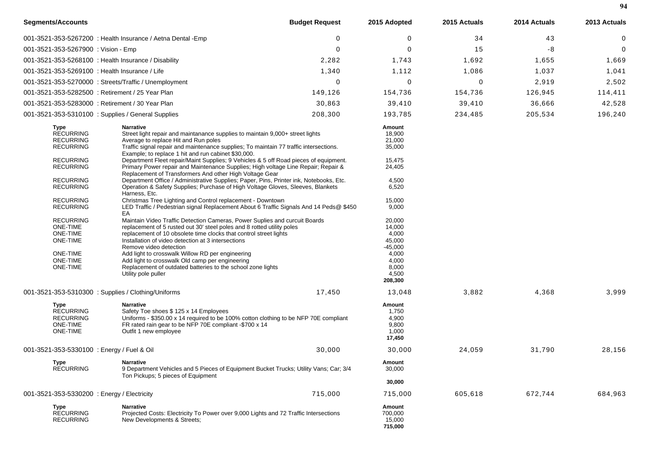| <b>Segments/Accounts</b>                                                                                                                                                                                                                                                                                  |                                                                                                                                                                                                                                                                                                                                                                                                                                                                                                                                                                                                                                                                                                                                                                                                                                                                                                                                                                                                                                                                                                                                                                                                                                                                                                                                                                                                         | <b>Budget Request</b> | 2015 Adopted                                                                                                                                                                                     | 2015 Actuals | 2014 Actuals | 2013 Actuals |
|-----------------------------------------------------------------------------------------------------------------------------------------------------------------------------------------------------------------------------------------------------------------------------------------------------------|---------------------------------------------------------------------------------------------------------------------------------------------------------------------------------------------------------------------------------------------------------------------------------------------------------------------------------------------------------------------------------------------------------------------------------------------------------------------------------------------------------------------------------------------------------------------------------------------------------------------------------------------------------------------------------------------------------------------------------------------------------------------------------------------------------------------------------------------------------------------------------------------------------------------------------------------------------------------------------------------------------------------------------------------------------------------------------------------------------------------------------------------------------------------------------------------------------------------------------------------------------------------------------------------------------------------------------------------------------------------------------------------------------|-----------------------|--------------------------------------------------------------------------------------------------------------------------------------------------------------------------------------------------|--------------|--------------|--------------|
|                                                                                                                                                                                                                                                                                                           | 001-3521-353-5267200 : Health Insurance / Aetna Dental - Emp                                                                                                                                                                                                                                                                                                                                                                                                                                                                                                                                                                                                                                                                                                                                                                                                                                                                                                                                                                                                                                                                                                                                                                                                                                                                                                                                            | 0                     | 0                                                                                                                                                                                                | 34           | 43           | 0            |
| 001-3521-353-5267900 : Vision - Emp                                                                                                                                                                                                                                                                       |                                                                                                                                                                                                                                                                                                                                                                                                                                                                                                                                                                                                                                                                                                                                                                                                                                                                                                                                                                                                                                                                                                                                                                                                                                                                                                                                                                                                         | $\mathbf 0$           | $\Omega$                                                                                                                                                                                         | 15           | $-8$         | $\mathbf 0$  |
| 001-3521-353-5268100 : Health Insurance / Disability                                                                                                                                                                                                                                                      |                                                                                                                                                                                                                                                                                                                                                                                                                                                                                                                                                                                                                                                                                                                                                                                                                                                                                                                                                                                                                                                                                                                                                                                                                                                                                                                                                                                                         | 2,282                 | 1,743                                                                                                                                                                                            | 1,692        | 1,655        | 1,669        |
| 001-3521-353-5269100 : Health Insurance / Life                                                                                                                                                                                                                                                            |                                                                                                                                                                                                                                                                                                                                                                                                                                                                                                                                                                                                                                                                                                                                                                                                                                                                                                                                                                                                                                                                                                                                                                                                                                                                                                                                                                                                         | 1,340                 | 1,112                                                                                                                                                                                            | 1,086        | 1,037        | 1,041        |
| 001-3521-353-5270000 : Streets/Traffic / Unemployment                                                                                                                                                                                                                                                     |                                                                                                                                                                                                                                                                                                                                                                                                                                                                                                                                                                                                                                                                                                                                                                                                                                                                                                                                                                                                                                                                                                                                                                                                                                                                                                                                                                                                         | 0                     | $\mathbf 0$                                                                                                                                                                                      | $\mathbf 0$  | 2,919        | 2,502        |
| 001-3521-353-5282500 : Retirement / 25 Year Plan                                                                                                                                                                                                                                                          |                                                                                                                                                                                                                                                                                                                                                                                                                                                                                                                                                                                                                                                                                                                                                                                                                                                                                                                                                                                                                                                                                                                                                                                                                                                                                                                                                                                                         | 149,126               | 154,736                                                                                                                                                                                          | 154,736      | 126,945      | 114,411      |
| 001-3521-353-5283000 : Retirement / 30 Year Plan                                                                                                                                                                                                                                                          |                                                                                                                                                                                                                                                                                                                                                                                                                                                                                                                                                                                                                                                                                                                                                                                                                                                                                                                                                                                                                                                                                                                                                                                                                                                                                                                                                                                                         | 30,863                | 39,410                                                                                                                                                                                           | 39,410       | 36,666       | 42,528       |
| 001-3521-353-5310100 : Supplies / General Supplies                                                                                                                                                                                                                                                        |                                                                                                                                                                                                                                                                                                                                                                                                                                                                                                                                                                                                                                                                                                                                                                                                                                                                                                                                                                                                                                                                                                                                                                                                                                                                                                                                                                                                         | 208,300               | 193,785                                                                                                                                                                                          | 234,485      | 205,534      | 196,240      |
| <b>Type</b><br><b>RECURRING</b><br><b>RECURRING</b><br><b>RECURRING</b><br><b>RECURRING</b><br><b>RECURRING</b><br><b>RECURRING</b><br><b>RECURRING</b><br><b>RECURRING</b><br><b>RECURRING</b><br><b>RECURRING</b><br>ONE-TIME<br><b>ONE-TIME</b><br>ONE-TIME<br><b>ONE-TIME</b><br>ONE-TIME<br>ONE-TIME | <b>Narrative</b><br>Street light repair and maintanance supplies to maintain 9,000+ street lights<br>Average to replace Hit and Run poles<br>Traffic signal repair and maintenance supplies; To maintain 77 traffic intersections.<br>Example; to replace 1 hit and run cabinet \$30,000.<br>Department Fleet repair/Maint Supplies; 9 Vehicles & 5 off Road pieces of equipment.<br>Primary Power repair and Maintenance Supplies; High voltage Line Repair; Repair &<br>Replacement of Transformers And other High Voltage Gear<br>Department Office / Administrative Supplies; Paper, Pins, Printer ink, Notebooks, Etc.<br>Operation & Safety Supplies; Purchase of High Voltage Gloves, Sleeves, Blankets<br>Harness, Etc.<br>Christmas Tree Lighting and Control replacement - Downtown<br>LED Traffic / Pedestrian signal Replacement About 6 Traffic Signals And 14 Peds@ \$450<br>EA<br>Maintain Video Traffic Detection Cameras, Power Suplies and curcuit Boards<br>replacement of 5 rusted out 30' steel poles and 8 rotted utility poles<br>replacement of 10 obsolete time clocks that control street lights<br>Installation of video detection at 3 intersections<br>Remove video detection<br>Add light to crosswalk Willow RD per engineering<br>Add light to crosswalk Old camp per engineering<br>Replacement of outdated batteries to the school zone lights<br>Utility pole puller |                       | Amount<br>18,900<br>21,000<br>35,000<br>15,475<br>24,405<br>4,500<br>6,520<br>15,000<br>9,000<br>20,000<br>14,000<br>4,000<br>45,000<br>$-45,000$<br>4,000<br>4,000<br>8,000<br>4,500<br>208,300 |              |              |              |
| 001-3521-353-5310300: Supplies / Clothing/Uniforms                                                                                                                                                                                                                                                        |                                                                                                                                                                                                                                                                                                                                                                                                                                                                                                                                                                                                                                                                                                                                                                                                                                                                                                                                                                                                                                                                                                                                                                                                                                                                                                                                                                                                         | 17,450                | 13,048                                                                                                                                                                                           | 3,882        | 4,368        | 3,999        |
| Type<br><b>RECURRING</b><br><b>RECURRING</b><br>ONE-TIME<br><b>ONE-TIME</b>                                                                                                                                                                                                                               | Narrative<br>Safety Toe shoes \$125 x 14 Employees<br>Uniforms - \$350.00 x 14 required to be 100% cotton clothing to be NFP 70E compliant<br>FR rated rain gear to be NFP 70E compliant -\$700 x 14<br>Outfit 1 new employee                                                                                                                                                                                                                                                                                                                                                                                                                                                                                                                                                                                                                                                                                                                                                                                                                                                                                                                                                                                                                                                                                                                                                                           |                       | Amount<br>1,750<br>4,900<br>9,800<br>1,000<br>17,450                                                                                                                                             |              |              |              |
| 001-3521-353-5330100 : Energy / Fuel & Oil                                                                                                                                                                                                                                                                |                                                                                                                                                                                                                                                                                                                                                                                                                                                                                                                                                                                                                                                                                                                                                                                                                                                                                                                                                                                                                                                                                                                                                                                                                                                                                                                                                                                                         | 30,000                | 30,000                                                                                                                                                                                           | 24,059       | 31,790       | 28,156       |
| Type<br><b>RECURRING</b>                                                                                                                                                                                                                                                                                  | <b>Narrative</b><br>9 Department Vehicles and 5 Pieces of Equipment Bucket Trucks; Utility Vans; Car; 3/4<br>Ton Pickups; 5 pieces of Equipment                                                                                                                                                                                                                                                                                                                                                                                                                                                                                                                                                                                                                                                                                                                                                                                                                                                                                                                                                                                                                                                                                                                                                                                                                                                         |                       | Amount<br>30,000                                                                                                                                                                                 |              |              |              |
| 001-3521-353-5330200 : Energy / Electricity                                                                                                                                                                                                                                                               |                                                                                                                                                                                                                                                                                                                                                                                                                                                                                                                                                                                                                                                                                                                                                                                                                                                                                                                                                                                                                                                                                                                                                                                                                                                                                                                                                                                                         | 715,000               | 30,000<br>715,000                                                                                                                                                                                | 605,618      | 672,744      | 684,963      |
| Type<br><b>RECURRING</b><br><b>RECURRING</b>                                                                                                                                                                                                                                                              | <b>Narrative</b><br>Projected Costs: Electricity To Power over 9,000 Lights and 72 Traffic Intersections<br>New Developments & Streets;                                                                                                                                                                                                                                                                                                                                                                                                                                                                                                                                                                                                                                                                                                                                                                                                                                                                                                                                                                                                                                                                                                                                                                                                                                                                 |                       | Amount<br>700,000<br>15,000<br>715,000                                                                                                                                                           |              |              |              |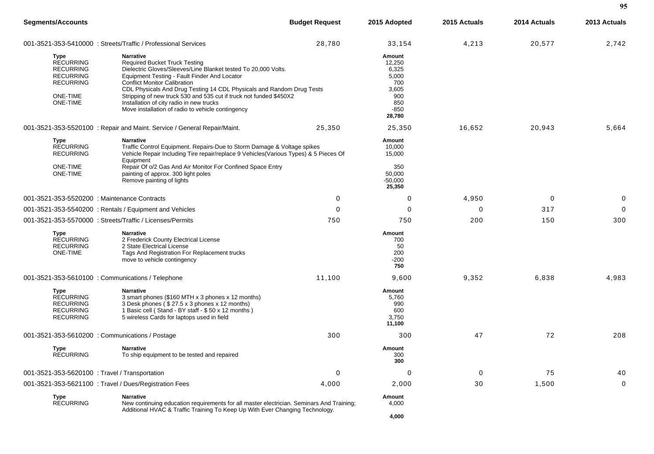| <b>Budget Request</b>                                                                                                                                                                                                         | 2015 Adopted                                                                         | 2015 Actuals | 2014 Actuals | 2013 Actuals |
|-------------------------------------------------------------------------------------------------------------------------------------------------------------------------------------------------------------------------------|--------------------------------------------------------------------------------------|--------------|--------------|--------------|
| 28,780                                                                                                                                                                                                                        | 33,154                                                                               | 4,213        | 20,577       | 2,742        |
| Dielectric Gloves/Sleeves/Line Blanket tested To 20,000 Volts.<br>CDL Physicals And Drug Testing 14 CDL Physicals and Random Drug Tests<br>Stripping of new truck 530 and 535 cut if truck not funded \$450X2                 | Amount<br>12,250<br>6,325<br>5,000<br>700<br>3,605<br>900<br>850<br>$-850$<br>28,780 |              |              |              |
| 25,350                                                                                                                                                                                                                        | 25,350                                                                               | 16,652       | 20,943       | 5,664        |
| Traffic Control Equipment. Repairs-Due to Storm Damage & Voltage spikes<br>Vehicle Repair Including Tire repair/replace 9 Vehicles(Various Types) & 5 Pieces Of<br>Repair Of o/2 Gas And Air Monitor For Confined Space Entry | Amount<br>10,000<br>15,000<br>350                                                    |              |              |              |
|                                                                                                                                                                                                                               | 50,000<br>$-50,000$<br>25,350                                                        |              |              |              |
| 0                                                                                                                                                                                                                             | 0                                                                                    | 4,950        | 0            | 0            |
| 0                                                                                                                                                                                                                             | $\Omega$                                                                             | 0            | 317          | $\mathbf 0$  |
| 750                                                                                                                                                                                                                           | 750                                                                                  | 200          | 150          | 300          |
|                                                                                                                                                                                                                               | Amount<br>700<br>50<br>200<br>$-200$<br>750                                          |              |              |              |
| 11,100                                                                                                                                                                                                                        | 9,600                                                                                | 9,352        | 6,838        | 4,983        |
|                                                                                                                                                                                                                               | Amount<br>5,760<br>990<br>600<br>3,750<br>11,100                                     |              |              |              |
| 300                                                                                                                                                                                                                           | 300                                                                                  | 47           | 72           | 208          |
|                                                                                                                                                                                                                               | Amount<br>300<br>300                                                                 |              |              |              |
| 0                                                                                                                                                                                                                             | 0                                                                                    | 0            | 75           | 40           |
| 4,000                                                                                                                                                                                                                         | 2,000                                                                                | 30           | 1,500        | 0            |
| New continuing education requirements for all master electrician. Seminars And Training;<br>Additional HVAC & Traffic Training To Keep Up With Ever Changing Technology.                                                      | Amount<br>4,000                                                                      |              |              |              |
|                                                                                                                                                                                                                               |                                                                                      | 4,000        |              |              |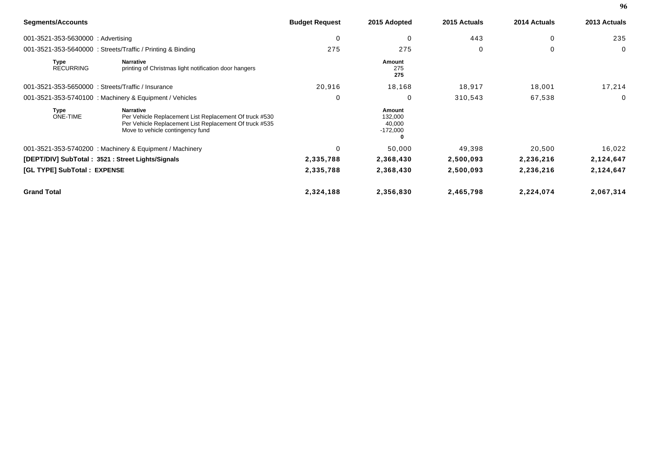| Segments/Accounts                 |                                                                                                                                                                          | <b>Budget Request</b> | 2015 Adopted                              | 2015 Actuals | 2014 Actuals | 2013 Actuals |
|-----------------------------------|--------------------------------------------------------------------------------------------------------------------------------------------------------------------------|-----------------------|-------------------------------------------|--------------|--------------|--------------|
| 001-3521-353-5630000: Advertising |                                                                                                                                                                          | 0                     | 0                                         | 443          | 0            | 235          |
|                                   | 001-3521-353-5640000: Streets/Traffic / Printing & Binding                                                                                                               | 275                   | 275                                       | $\mathbf 0$  | 0            | $\mathbf 0$  |
| <b>Type</b><br><b>RECURRING</b>   | <b>Narrative</b><br>printing of Christmas light notification door hangers                                                                                                |                       | Amount<br>275<br>275                      |              |              |              |
|                                   | 001-3521-353-5650000: Streets/Traffic / Insurance                                                                                                                        | 20,916                | 18,168                                    | 18,917       | 18,001       | 17,214       |
|                                   | 001-3521-353-5740100 : Machinery & Equipment / Vehicles                                                                                                                  | 0                     | 0                                         | 310,543      | 67,538       | $\mathbf 0$  |
| <b>Type</b><br>ONE-TIME           | <b>Narrative</b><br>Per Vehicle Replacement List Replacement Of truck #530<br>Per Vehicle Replacement List Replacement Of truck #535<br>Move to vehicle contingency fund |                       | Amount<br>132,000<br>40,000<br>$-172,000$ |              |              |              |
|                                   | 001-3521-353-5740200 : Machinery & Equipment / Machinery                                                                                                                 | $\Omega$              | 50,000                                    | 49,398       | 20,500       | 16,022       |
|                                   | [DEPT/DIV] SubTotal: 3521: Street Lights/Signals                                                                                                                         | 2,335,788             | 2,368,430                                 | 2,500,093    | 2,236,216    | 2,124,647    |
| [GL TYPE] SubTotal: EXPENSE       |                                                                                                                                                                          | 2,335,788             | 2,368,430                                 | 2,500,093    | 2,236,216    | 2,124,647    |
| <b>Grand Total</b>                |                                                                                                                                                                          | 2,324,188             | 2,356,830                                 | 2,465,798    | 2,224,074    | 2,067,314    |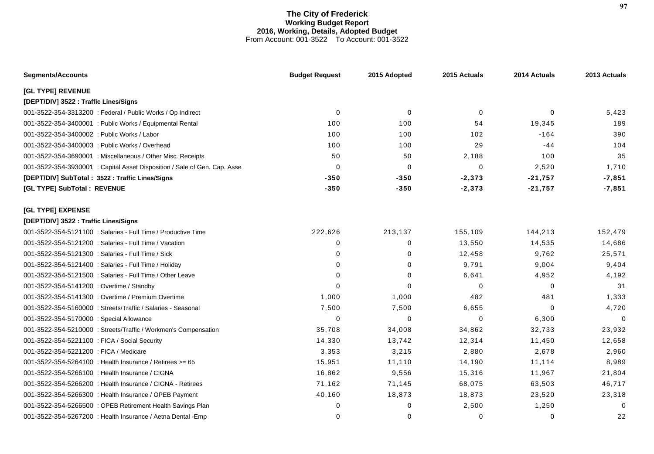### **The City of Frederick Working Budget Report 2016, Working, Details, Adopted Budget** From Account: 001-3522 To Account: 001-3522

| <b>Segments/Accounts</b>                                                 | <b>Budget Request</b> | 2015 Adopted | 2015 Actuals | 2014 Actuals | 2013 Actuals |
|--------------------------------------------------------------------------|-----------------------|--------------|--------------|--------------|--------------|
| [GL TYPE] REVENUE                                                        |                       |              |              |              |              |
| [DEPT/DIV] 3522 : Traffic Lines/Signs                                    |                       |              |              |              |              |
| 001-3522-354-3313200 : Federal / Public Works / Op Indirect              | $\Omega$              | $\Omega$     | $\Omega$     | $\Omega$     | 5,423        |
| 001-3522-354-3400001 : Public Works / Equipmental Rental                 | 100                   | 100          | 54           | 19,345       | 189          |
| 001-3522-354-3400002 : Public Works / Labor                              | 100                   | 100          | 102          | $-164$       | 390          |
| 001-3522-354-3400003 : Public Works / Overhead                           | 100                   | 100          | 29           | $-44$        | 104          |
| 001-3522-354-3690001 : Miscellaneous / Other Misc. Receipts              | 50                    | 50           | 2,188        | 100          | 35           |
| 001-3522-354-3930001: Capital Asset Disposition / Sale of Gen. Cap. Asse | 0                     | 0            | $\mathbf{0}$ | 2,520        | 1,710        |
| [DEPT/DIV] SubTotal: 3522: Traffic Lines/Signs                           | $-350$                | $-350$       | $-2,373$     | $-21,757$    | $-7,851$     |
| [GL TYPE] SubTotal: REVENUE                                              | $-350$                | $-350$       | $-2,373$     | $-21,757$    | $-7,851$     |
| [GL TYPE] EXPENSE                                                        |                       |              |              |              |              |
| [DEPT/DIV] 3522 : Traffic Lines/Signs                                    |                       |              |              |              |              |
| 001-3522-354-5121100 : Salaries - Full Time / Productive Time            | 222,626               | 213,137      | 155,109      | 144,213      | 152,479      |
| 001-3522-354-5121200 : Salaries - Full Time / Vacation                   | 0                     | 0            | 13,550       | 14,535       | 14,686       |
| 001-3522-354-5121300 : Salaries - Full Time / Sick                       | 0                     | $\Omega$     | 12,458       | 9,762        | 25,571       |
| 001-3522-354-5121400 : Salaries - Full Time / Holiday                    | $\Omega$              | $\Omega$     | 9,791        | 9,004        | 9,404        |
| 001-3522-354-5121500 : Salaries - Full Time / Other Leave                | 0                     | 0            | 6,641        | 4,952        | 4,192        |
| 001-3522-354-5141200 : Overtime / Standby                                | 0                     | $\Omega$     | 0            | 0            | 31           |
| 001-3522-354-5141300 : Overtime / Premium Overtime                       | 1,000                 | 1,000        | 482          | 481          | 1,333        |
| 001-3522-354-5160000: Streets/Traffic / Salaries - Seasonal              | 7,500                 | 7,500        | 6,655        | 0            | 4,720        |
| 001-3522-354-5170000 : Special Allowance                                 | $\Omega$              | $\Omega$     | $\Omega$     | 6,300        | $\Omega$     |
| 001-3522-354-5210000: Streets/Traffic / Workmen's Compensation           | 35,708                | 34,008       | 34,862       | 32,733       | 23,932       |
| 001-3522-354-5221100 : FICA / Social Security                            | 14,330                | 13,742       | 12,314       | 11,450       | 12,658       |
| 001-3522-354-5221200 : FICA / Medicare                                   | 3,353                 | 3,215        | 2,880        | 2,678        | 2,960        |
| 001-3522-354-5264100 : Health Insurance / Retirees >= 65                 | 15,951                | 11,110       | 14,190       | 11,114       | 8,989        |
| 001-3522-354-5266100 : Health Insurance / CIGNA                          | 16,862                | 9,556        | 15,316       | 11,967       | 21,804       |
| 001-3522-354-5266200 : Health Insurance / CIGNA - Retirees               | 71,162                | 71,145       | 68,075       | 63,503       | 46,717       |
| 001-3522-354-5266300 : Health Insurance / OPEB Payment                   | 40,160                | 18,873       | 18,873       | 23,520       | 23,318       |
| 001-3522-354-5266500 : OPEB Retirement Health Savings Plan               | 0                     | 0            | 2,500        | 1,250        | 0            |
| 001-3522-354-5267200 : Health Insurance / Aetna Dental -Emp              | 0                     | 0            | $\Omega$     | 0            | 22           |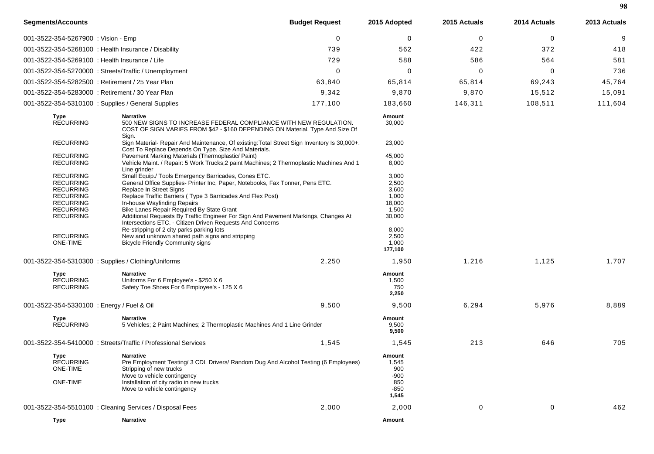| <b>Segments/Accounts</b>                                                                                                                 |                                                                                                                                                                                                                                                                                                                                                                                                                                                              | <b>Budget Request</b> | 2015 Adopted                                                  | 2015 Actuals | 2014 Actuals | 2013 Actuals |
|------------------------------------------------------------------------------------------------------------------------------------------|--------------------------------------------------------------------------------------------------------------------------------------------------------------------------------------------------------------------------------------------------------------------------------------------------------------------------------------------------------------------------------------------------------------------------------------------------------------|-----------------------|---------------------------------------------------------------|--------------|--------------|--------------|
| 001-3522-354-5267900 : Vision - Emp                                                                                                      |                                                                                                                                                                                                                                                                                                                                                                                                                                                              | 0                     | $\mathbf 0$                                                   | 0            | 0            | 9            |
|                                                                                                                                          | 001-3522-354-5268100 : Health Insurance / Disability                                                                                                                                                                                                                                                                                                                                                                                                         | 739                   | 562                                                           | 422          | 372          | 418          |
| 001-3522-354-5269100 : Health Insurance / Life                                                                                           |                                                                                                                                                                                                                                                                                                                                                                                                                                                              | 729                   | 588                                                           | 586          | 564          | 581          |
|                                                                                                                                          | 001-3522-354-5270000 : Streets/Traffic / Unemployment                                                                                                                                                                                                                                                                                                                                                                                                        | 0                     | 0                                                             | 0            | 0            | 736          |
|                                                                                                                                          | 001-3522-354-5282500 : Retirement / 25 Year Plan                                                                                                                                                                                                                                                                                                                                                                                                             | 63,840                | 65,814                                                        | 65,814       | 69,243       | 45,764       |
|                                                                                                                                          | 001-3522-354-5283000 : Retirement / 30 Year Plan                                                                                                                                                                                                                                                                                                                                                                                                             | 9,342                 | 9,870                                                         | 9,870        | 15,512       | 15,091       |
|                                                                                                                                          | 001-3522-354-5310100 : Supplies / General Supplies                                                                                                                                                                                                                                                                                                                                                                                                           | 177,100               | 183,660                                                       | 146,311      | 108,511      | 111,604      |
| Type<br><b>RECURRING</b>                                                                                                                 | <b>Narrative</b><br>500 NEW SIGNS TO INCREASE FEDERAL COMPLIANCE WITH NEW REGULATION.<br>COST OF SIGN VARIES FROM \$42 - \$160 DEPENDING ON Material, Type And Size Of                                                                                                                                                                                                                                                                                       |                       | Amount<br>30,000                                              |              |              |              |
| <b>RECURRING</b>                                                                                                                         | Sign.<br>Sign Material- Repair And Maintenance, Of existing: Total Street Sign Inventory Is 30,000+.<br>Cost To Replace Depends On Type, Size And Materials.                                                                                                                                                                                                                                                                                                 |                       | 23,000                                                        |              |              |              |
| <b>RECURRING</b><br><b>RECURRING</b>                                                                                                     | Pavement Marking Materials (Thermoplastic/ Paint)<br>Vehicle Maint. / Repair: 5 Work Trucks; 2 paint Machines; 2 Thermoplastic Machines And 1<br>Line grinder                                                                                                                                                                                                                                                                                                |                       | 45,000<br>8,000                                               |              |              |              |
| <b>RECURRING</b><br><b>RECURRING</b><br><b>RECURRING</b><br><b>RECURRING</b><br><b>RECURRING</b><br><b>RECURRING</b><br><b>RECURRING</b> | Small Equip./ Tools Emergency Barricades, Cones ETC.<br>General Office Supplies-Printer Inc, Paper, Notebooks, Fax Tonner, Pens ETC.<br>Replace In Street Signs<br>Replace Traffic Barriers (Type 3 Barricades And Flex Post)<br>In-house Wayfinding Repairs<br>Bike Lanes Repair Required By State Grant<br>Additional Requests By Traffic Engineer For Sign And Pavement Markings, Changes At<br>Intersections ETC. - Citizen Driven Requests And Concerns |                       | 3,000<br>2,500<br>3,600<br>1,000<br>18,000<br>1,500<br>30,000 |              |              |              |
| <b>RECURRING</b><br>ONE-TIME                                                                                                             | Re-stripping of 2 city parks parking lots<br>New and unknown shared path signs and stripping<br><b>Bicycle Friendly Community signs</b>                                                                                                                                                                                                                                                                                                                      |                       | 8,000<br>2,500<br>1,000<br>177,100                            |              |              |              |
|                                                                                                                                          | 001-3522-354-5310300: Supplies / Clothing/Uniforms                                                                                                                                                                                                                                                                                                                                                                                                           | 2,250                 | 1,950                                                         | 1,216        | 1,125        | 1,707        |
| Type<br><b>RECURRING</b><br><b>RECURRING</b>                                                                                             | <b>Narrative</b><br>Uniforms For 6 Employee's - \$250 X 6<br>Safety Toe Shoes For 6 Employee's - 125 X 6                                                                                                                                                                                                                                                                                                                                                     |                       | Amount<br>1,500<br>750<br>2,250                               |              |              |              |
| 001-3522-354-5330100 : Energy / Fuel & Oil                                                                                               |                                                                                                                                                                                                                                                                                                                                                                                                                                                              | 9,500                 | 9,500                                                         | 6,294        | 5,976        | 8,889        |
| Type<br><b>RECURRING</b>                                                                                                                 | <b>Narrative</b><br>5 Vehicles; 2 Paint Machines; 2 Thermoplastic Machines And 1 Line Grinder                                                                                                                                                                                                                                                                                                                                                                |                       | Amount<br>9,500<br>9,500                                      |              |              |              |
|                                                                                                                                          | 001-3522-354-5410000 : Streets/Traffic / Professional Services                                                                                                                                                                                                                                                                                                                                                                                               | 1,545                 | 1,545                                                         | 213          | 646          | 705          |
| Type<br><b>RECURRING</b><br>ONE-TIME<br>ONE-TIME                                                                                         | <b>Narrative</b><br>Pre Employment Testing/ 3 CDL Drivers/ Random Dug And Alcohol Testing (6 Employees)<br>Stripping of new trucks<br>Move to vehicle contingency<br>Installation of city radio in new trucks<br>Move to vehicle contingency                                                                                                                                                                                                                 |                       | Amount<br>1,545<br>900<br>$-900$<br>850<br>$-850$<br>1,545    |              |              |              |
|                                                                                                                                          | 001-3522-354-5510100: Cleaning Services / Disposal Fees                                                                                                                                                                                                                                                                                                                                                                                                      | 2,000                 | 2,000                                                         | 0            | 0            | 462          |
| Type                                                                                                                                     | <b>Narrative</b>                                                                                                                                                                                                                                                                                                                                                                                                                                             |                       | Amount                                                        |              |              |              |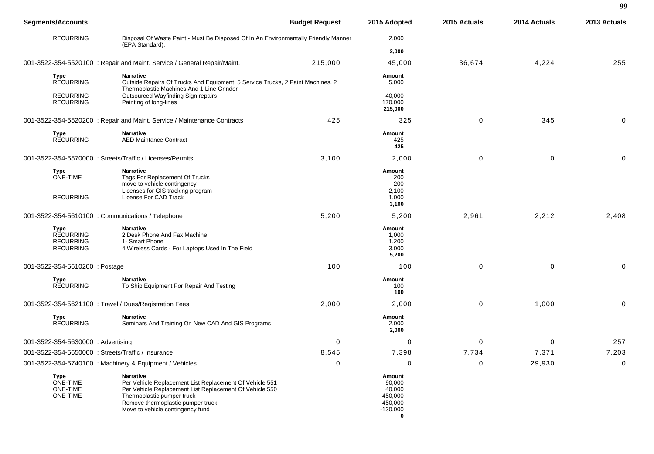| <b>Segments/Accounts</b>                                         |                                                                                                                                                                                                                                               | <b>Budget Request</b> | 2015 Adopted                                                                  | 2015 Actuals | 2014 Actuals | 2013 Actuals |
|------------------------------------------------------------------|-----------------------------------------------------------------------------------------------------------------------------------------------------------------------------------------------------------------------------------------------|-----------------------|-------------------------------------------------------------------------------|--------------|--------------|--------------|
| <b>RECURRING</b>                                                 | Disposal Of Waste Paint - Must Be Disposed Of In An Environmentally Friendly Manner<br>(EPA Standard).                                                                                                                                        |                       | 2,000                                                                         |              |              |              |
|                                                                  |                                                                                                                                                                                                                                               |                       | 2,000                                                                         |              |              |              |
|                                                                  | 001-3522-354-5520100: Repair and Maint. Service / General Repair/Maint.                                                                                                                                                                       | 215,000               | 45,000                                                                        | 36,674       | 4,224        | 255          |
| Type<br><b>RECURRING</b>                                         | <b>Narrative</b><br>Outside Repairs Of Trucks And Equipment: 5 Service Trucks, 2 Paint Machines, 2<br>Thermoplastic Machines And 1 Line Grinder                                                                                               |                       | Amount<br>5,000                                                               |              |              |              |
| <b>RECURRING</b><br><b>RECURRING</b>                             | Outsourced Wayfinding Sign repairs<br>Painting of long-lines                                                                                                                                                                                  |                       | 40,000<br>170,000<br>215,000                                                  |              |              |              |
|                                                                  | 001-3522-354-5520200: Repair and Maint. Service / Maintenance Contracts                                                                                                                                                                       | 425                   | 325                                                                           | 0            | 345          | 0            |
| Type<br><b>RECURRING</b>                                         | <b>Narrative</b><br><b>AED Maintance Contract</b>                                                                                                                                                                                             |                       | Amount<br>425<br>425                                                          |              |              |              |
| 001-3522-354-5570000: Streets/Traffic / Licenses/Permits         |                                                                                                                                                                                                                                               | 3,100                 | 2,000                                                                         | 0            | 0            | 0            |
| <b>Type</b><br>ONE-TIME                                          | <b>Narrative</b><br>Tags For Replacement Of Trucks<br>move to vehicle contingency<br>Licenses for GIS tracking program                                                                                                                        |                       | Amount<br>200<br>$-200$<br>2,100                                              |              |              |              |
| <b>RECURRING</b>                                                 | License For CAD Track                                                                                                                                                                                                                         |                       | 1,000<br>3,100                                                                |              |              |              |
| 001-3522-354-5610100 : Communications / Telephone                |                                                                                                                                                                                                                                               | 5,200                 | 5,200                                                                         | 2,961        | 2,212        | 2,408        |
| Type<br><b>RECURRING</b><br><b>RECURRING</b><br><b>RECURRING</b> | <b>Narrative</b><br>2 Desk Phone And Fax Machine<br>1- Smart Phone<br>4 Wireless Cards - For Laptops Used In The Field                                                                                                                        |                       | Amount<br>1,000<br>1,200<br>3,000<br>5,200                                    |              |              |              |
| 001-3522-354-5610200 : Postage                                   |                                                                                                                                                                                                                                               | 100                   | 100                                                                           | $\mathbf 0$  | $\mathbf 0$  | 0            |
| Type<br><b>RECURRING</b>                                         | <b>Narrative</b><br>To Ship Equipment For Repair And Testing                                                                                                                                                                                  |                       | Amount<br>100<br>100                                                          |              |              |              |
| 001-3522-354-5621100 : Travel / Dues/Registration Fees           |                                                                                                                                                                                                                                               | 2,000                 | 2,000                                                                         | 0            | 1,000        | 0            |
| Type<br><b>RECURRING</b>                                         | Narrative<br>Seminars And Training On New CAD And GIS Programs                                                                                                                                                                                |                       | Amount<br>2,000<br>2,000                                                      |              |              |              |
| 001-3522-354-5630000: Advertising                                |                                                                                                                                                                                                                                               | 0                     | 0                                                                             | 0            | 0            | 257          |
| 001-3522-354-5650000 : Streets/Traffic / Insurance               |                                                                                                                                                                                                                                               | 8,545                 | 7,398                                                                         | 7,734        | 7,371        | 7,203        |
|                                                                  | 001-3522-354-5740100 : Machinery & Equipment / Vehicles                                                                                                                                                                                       | 0                     | $\Omega$                                                                      | 0            | 29,930       | $\mathbf{0}$ |
| Type<br><b>ONE-TIME</b><br>ONE-TIME<br>ONE-TIME                  | <b>Narrative</b><br>Per Vehicle Replacement List Replacement Of Vehicle 551<br>Per Vehicle Replacement List Replacement Of Vehicle 550<br>Thermoplastic pumper truck<br>Remove thermoplastic pumper truck<br>Move to vehicle contingency fund |                       | Amount<br>90,000<br>40,000<br>450,000<br>$-450,000$<br>$-130,000$<br>$\bf{0}$ |              |              |              |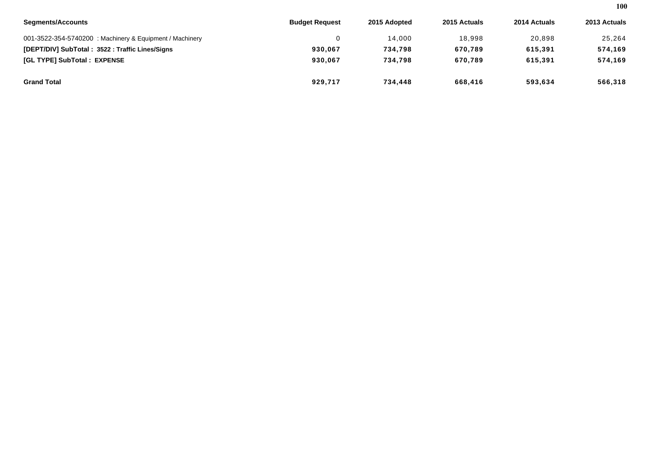| <b>Segments/Accounts</b>                                 | <b>Budget Request</b> | 2015 Adopted | 2015 Actuals | 2014 Actuals | 2013 Actuals |
|----------------------------------------------------------|-----------------------|--------------|--------------|--------------|--------------|
| 001-3522-354-5740200 : Machinery & Equipment / Machinery |                       | 14.000       | 18,998       | 20.898       | 25,264       |
| [DEPT/DIV] SubTotal: 3522 : Traffic Lines/Signs          | 930.067               | 734.798      | 670.789      | 615,391      | 574,169      |
| [GL TYPE] SubTotal: EXPENSE                              | 930.067               | 734.798      | 670.789      | 615.391      | 574,169      |
| <b>Grand Total</b>                                       | 929,717               | 734.448      | 668,416      | 593.634      | 566,318      |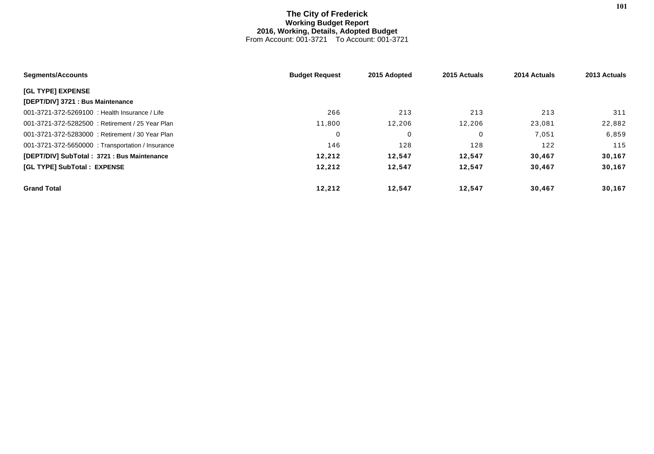# **The City of Frederick Working Budget Report 2016, Working, Details, Adopted Budget** From Account: 001-3721 To Account: 001-3721

| <b>Segments/Accounts</b>                          | <b>Budget Request</b> | 2015 Adopted | 2015 Actuals | 2014 Actuals | 2013 Actuals |
|---------------------------------------------------|-----------------------|--------------|--------------|--------------|--------------|
| [GL TYPE] EXPENSE                                 |                       |              |              |              |              |
| [DEPT/DIV] 3721 : Bus Maintenance                 |                       |              |              |              |              |
| 001-3721-372-5269100: Health Insurance / Life     | 266                   | 213          | 213          | 213          | 311          |
| 001-3721-372-5282500 : Retirement / 25 Year Plan  | 11,800                | 12.206       | 12,206       | 23.081       | 22,882       |
| 001-3721-372-5283000 : Retirement / 30 Year Plan  | 0                     | 0            | 0            | 7,051        | 6,859        |
| 001-3721-372-5650000 : Transportation / Insurance | 146                   | 128          | 128          | 122          | 115          |
| [DEPT/DIV] SubTotal: 3721 : Bus Maintenance       | 12,212                | 12,547       | 12,547       | 30,467       | 30,167       |
| [GL TYPE] SubTotal: EXPENSE                       | 12.212                | 12,547       | 12,547       | 30,467       | 30,167       |
| <b>Grand Total</b>                                | 12,212                | 12,547       | 12,547       | 30,467       | 30,167       |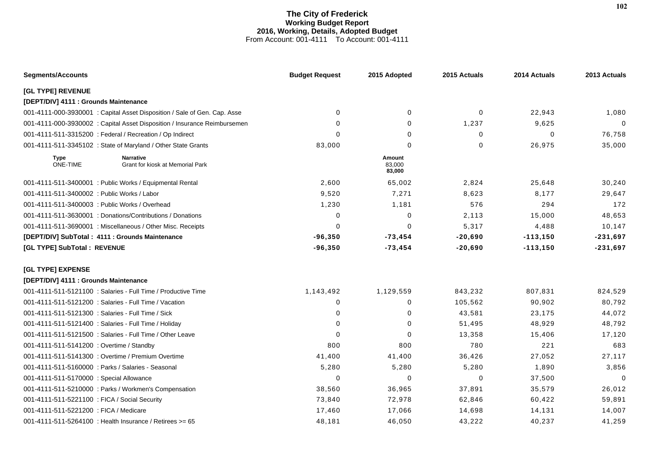# **The City of Frederick Working Budget Report 2016, Working, Details, Adopted Budget** From Account: 001-4111 To Account: 001-4111

| <b>Segments/Accounts</b>                      |                                                                           | <b>Budget Request</b> | 2015 Adopted               | 2015 Actuals | 2014 Actuals | 2013 Actuals |
|-----------------------------------------------|---------------------------------------------------------------------------|-----------------------|----------------------------|--------------|--------------|--------------|
| [GL TYPE] REVENUE                             |                                                                           |                       |                            |              |              |              |
| [DEPT/DIV] 4111 : Grounds Maintenance         |                                                                           |                       |                            |              |              |              |
|                                               | 001-4111-000-3930001: Capital Asset Disposition / Sale of Gen. Cap. Asse  | 0                     | 0                          | 0            | 22,943       | 1,080        |
|                                               | 001-4111-000-3930002 : Capital Asset Disposition / Insurance Reimbursemen | 0                     | 0                          | 1,237        | 9,625        |              |
|                                               | 001-4111-511-3315200 : Federal / Recreation / Op Indirect                 | 0                     | 0                          | 0            | 0            | 76,758       |
|                                               | 001-4111-511-3345102 : State of Maryland / Other State Grants             | 83,000                | 0                          | 0            | 26,975       | 35,000       |
| <b>Type</b><br><b>ONE-TIME</b>                | <b>Narrative</b><br>Grant for kiosk at Memorial Park                      |                       | Amount<br>83,000<br>83,000 |              |              |              |
|                                               | 001-4111-511-3400001 : Public Works / Equipmental Rental                  | 2,600                 | 65,002                     | 2,824        | 25,648       | 30,240       |
| 001-4111-511-3400002 : Public Works / Labor   |                                                                           | 9,520                 | 7,271                      | 8,623        | 8,177        | 29,647       |
|                                               | 001-4111-511-3400003: Public Works / Overhead                             | 1,230                 | 1,181                      | 576          | 294          | 172          |
|                                               | 001-4111-511-3630001 : Donations/Contributions / Donations                | 0                     | $\Omega$                   | 2,113        | 15,000       | 48,653       |
|                                               | 001-4111-511-3690001 : Miscellaneous / Other Misc. Receipts               | 0                     | $\Omega$                   | 5,317        | 4,488        | 10,147       |
|                                               | [DEPT/DIV] SubTotal: 4111: Grounds Maintenance                            | $-96,350$             | $-73,454$                  | $-20,690$    | $-113,150$   | $-231,697$   |
| [GL TYPE] SubTotal: REVENUE                   |                                                                           | $-96,350$             | $-73,454$                  | $-20,690$    | $-113,150$   | $-231,697$   |
| [GL TYPE] EXPENSE                             |                                                                           |                       |                            |              |              |              |
| [DEPT/DIV] 4111 : Grounds Maintenance         |                                                                           |                       |                            |              |              |              |
|                                               | 001-4111-511-5121100 : Salaries - Full Time / Productive Time             | 1,143,492             | 1,129,559                  | 843,232      | 807,831      | 824,529      |
|                                               | 001-4111-511-5121200 : Salaries - Full Time / Vacation                    | 0                     | $\Omega$                   | 105,562      | 90,902       | 80,792       |
|                                               | 001-4111-511-5121300 : Salaries - Full Time / Sick                        | 0                     | $\Omega$                   | 43,581       | 23,175       | 44,072       |
|                                               | 001-4111-511-5121400 : Salaries - Full Time / Holiday                     | $\Omega$              | $\Omega$                   | 51,495       | 48,929       | 48,792       |
|                                               | 001-4111-511-5121500 : Salaries - Full Time / Other Leave                 | 0                     | $\Omega$                   | 13,358       | 15,406       | 17,120       |
| 001-4111-511-5141200 : Overtime / Standby     |                                                                           | 800                   | 800                        | 780          | 221          | 683          |
|                                               | 001-4111-511-5141300 : Overtime / Premium Overtime                        | 41,400                | 41,400                     | 36,426       | 27,052       | 27,117       |
|                                               | 001-4111-511-5160000 : Parks / Salaries - Seasonal                        | 5,280                 | 5,280                      | 5,280        | 1,890        | 3,856        |
| 001-4111-511-5170000 : Special Allowance      |                                                                           | 0                     | 0                          | 0            | 37,500       | $\mathbf 0$  |
|                                               | 001-4111-511-5210000 : Parks / Workmen's Compensation                     | 38,560                | 36,965                     | 37,891       | 35,579       | 26,012       |
| 001-4111-511-5221100 : FICA / Social Security |                                                                           | 73,840                | 72,978                     | 62,846       | 60,422       | 59,891       |
| 001-4111-511-5221200 : FICA / Medicare        |                                                                           | 17,460                | 17,066                     | 14,698       | 14,131       | 14,007       |
|                                               | 001-4111-511-5264100 : Health Insurance / Retirees $>= 65$                | 48,181                | 46,050                     | 43,222       | 40,237       | 41,259       |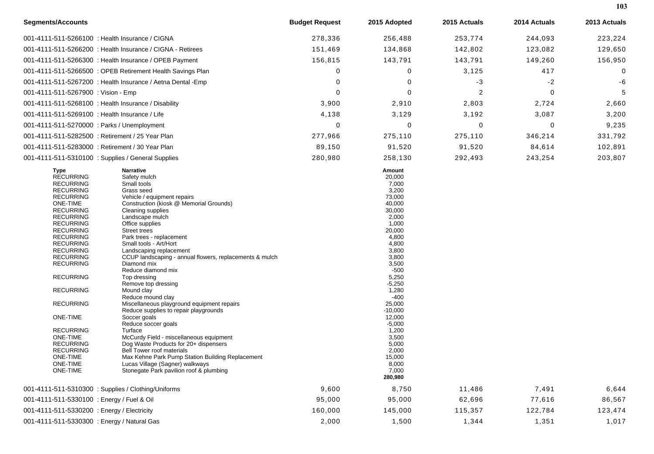| <b>Segments/Accounts</b>                                                                                                                                                                                                                                                                                                                                                                                                                                                               |                                                                                                                                                                                                                                                                                                                                                                                                                                                                                                                                                                                                                                                                                                                                                                                                                                                                                  | <b>Budget Request</b> | 2015 Adopted                                                                                                                                                                                                                                                                                                        | 2015 Actuals | 2014 Actuals | 2013 Actuals |
|----------------------------------------------------------------------------------------------------------------------------------------------------------------------------------------------------------------------------------------------------------------------------------------------------------------------------------------------------------------------------------------------------------------------------------------------------------------------------------------|----------------------------------------------------------------------------------------------------------------------------------------------------------------------------------------------------------------------------------------------------------------------------------------------------------------------------------------------------------------------------------------------------------------------------------------------------------------------------------------------------------------------------------------------------------------------------------------------------------------------------------------------------------------------------------------------------------------------------------------------------------------------------------------------------------------------------------------------------------------------------------|-----------------------|---------------------------------------------------------------------------------------------------------------------------------------------------------------------------------------------------------------------------------------------------------------------------------------------------------------------|--------------|--------------|--------------|
|                                                                                                                                                                                                                                                                                                                                                                                                                                                                                        | 001-4111-511-5266100 : Health Insurance / CIGNA                                                                                                                                                                                                                                                                                                                                                                                                                                                                                                                                                                                                                                                                                                                                                                                                                                  | 278,336               | 256,488                                                                                                                                                                                                                                                                                                             | 253,774      | 244,093      | 223,224      |
|                                                                                                                                                                                                                                                                                                                                                                                                                                                                                        | 001-4111-511-5266200 : Health Insurance / CIGNA - Retirees                                                                                                                                                                                                                                                                                                                                                                                                                                                                                                                                                                                                                                                                                                                                                                                                                       | 151,469               | 134,868                                                                                                                                                                                                                                                                                                             | 142,802      | 123,082      | 129,650      |
|                                                                                                                                                                                                                                                                                                                                                                                                                                                                                        | 001-4111-511-5266300 : Health Insurance / OPEB Payment                                                                                                                                                                                                                                                                                                                                                                                                                                                                                                                                                                                                                                                                                                                                                                                                                           | 156,815               | 143,791                                                                                                                                                                                                                                                                                                             | 143,791      | 149,260      | 156,950      |
|                                                                                                                                                                                                                                                                                                                                                                                                                                                                                        | 001-4111-511-5266500 : OPEB Retirement Health Savings Plan                                                                                                                                                                                                                                                                                                                                                                                                                                                                                                                                                                                                                                                                                                                                                                                                                       | 0                     | 0                                                                                                                                                                                                                                                                                                                   | 3,125        | 417          | 0            |
|                                                                                                                                                                                                                                                                                                                                                                                                                                                                                        | 001-4111-511-5267200 : Health Insurance / Aetna Dental -Emp                                                                                                                                                                                                                                                                                                                                                                                                                                                                                                                                                                                                                                                                                                                                                                                                                      | 0                     | 0                                                                                                                                                                                                                                                                                                                   | -3           | -2           | -6           |
|                                                                                                                                                                                                                                                                                                                                                                                                                                                                                        |                                                                                                                                                                                                                                                                                                                                                                                                                                                                                                                                                                                                                                                                                                                                                                                                                                                                                  |                       |                                                                                                                                                                                                                                                                                                                     |              |              |              |
| 001-4111-511-5267900 : Vision - Emp                                                                                                                                                                                                                                                                                                                                                                                                                                                    |                                                                                                                                                                                                                                                                                                                                                                                                                                                                                                                                                                                                                                                                                                                                                                                                                                                                                  | $\Omega$              | $\Omega$                                                                                                                                                                                                                                                                                                            | 2            | 0            | $\sqrt{5}$   |
|                                                                                                                                                                                                                                                                                                                                                                                                                                                                                        | 001-4111-511-5268100 : Health Insurance / Disability                                                                                                                                                                                                                                                                                                                                                                                                                                                                                                                                                                                                                                                                                                                                                                                                                             | 3,900                 | 2,910                                                                                                                                                                                                                                                                                                               | 2,803        | 2,724        | 2,660        |
| 001-4111-511-5269100 : Health Insurance / Life                                                                                                                                                                                                                                                                                                                                                                                                                                         |                                                                                                                                                                                                                                                                                                                                                                                                                                                                                                                                                                                                                                                                                                                                                                                                                                                                                  | 4,138                 | 3,129                                                                                                                                                                                                                                                                                                               | 3,192        | 3,087        | 3,200        |
| 001-4111-511-5270000 : Parks / Unemployment                                                                                                                                                                                                                                                                                                                                                                                                                                            |                                                                                                                                                                                                                                                                                                                                                                                                                                                                                                                                                                                                                                                                                                                                                                                                                                                                                  | 0                     | 0                                                                                                                                                                                                                                                                                                                   | $\mathbf 0$  | 0            | 9,235        |
|                                                                                                                                                                                                                                                                                                                                                                                                                                                                                        | 001-4111-511-5282500 : Retirement / 25 Year Plan                                                                                                                                                                                                                                                                                                                                                                                                                                                                                                                                                                                                                                                                                                                                                                                                                                 | 277,966               | 275,110                                                                                                                                                                                                                                                                                                             | 275,110      | 346,214      | 331,792      |
|                                                                                                                                                                                                                                                                                                                                                                                                                                                                                        | 001-4111-511-5283000 : Retirement / 30 Year Plan                                                                                                                                                                                                                                                                                                                                                                                                                                                                                                                                                                                                                                                                                                                                                                                                                                 | 89,150                | 91,520                                                                                                                                                                                                                                                                                                              | 91,520       | 84,614       | 102,891      |
|                                                                                                                                                                                                                                                                                                                                                                                                                                                                                        | 001-4111-511-5310100 : Supplies / General Supplies                                                                                                                                                                                                                                                                                                                                                                                                                                                                                                                                                                                                                                                                                                                                                                                                                               | 280,980               | 258,130                                                                                                                                                                                                                                                                                                             | 292,493      | 243,254      | 203,807      |
| Type<br><b>RECURRING</b><br><b>RECURRING</b><br><b>RECURRING</b><br><b>RECURRING</b><br><b>ONE-TIME</b><br><b>RECURRING</b><br><b>RECURRING</b><br><b>RECURRING</b><br><b>RECURRING</b><br><b>RECURRING</b><br><b>RECURRING</b><br><b>RECURRING</b><br><b>RECURRING</b><br><b>RECURRING</b><br><b>RECURRING</b><br><b>RECURRING</b><br><b>RECURRING</b><br>ONE-TIME<br><b>RECURRING</b><br><b>ONE-TIME</b><br><b>RECURRING</b><br><b>RECURRING</b><br>ONE-TIME<br>ONE-TIME<br>ONE-TIME | Narrative<br>Safety mulch<br>Small tools<br>Grass seed<br>Vehicle / equipment repairs<br>Construction (kiosk @ Memorial Grounds)<br>Cleaning supplies<br>Landscape mulch<br>Office supplies<br><b>Street trees</b><br>Park trees - replacement<br>Small tools - Art/Hort<br>Landscaping replacement<br>CCUP landscaping - annual flowers, replacements & mulch<br>Diamond mix<br>Reduce diamond mix<br>Top dressing<br>Remove top dressing<br>Mound clay<br>Reduce mound clay<br>Miscellaneous playground equipment repairs<br>Reduce supplies to repair playgrounds<br>Soccer goals<br>Reduce soccer goals<br>Turface<br>McCurdy Field - miscellaneous equipment<br>Dog Waste Products for 20+ dispensers<br><b>Bell Tower roof materials</b><br>Max Kehne Park Pump Station Building Replacement<br>Lucas Village (Sagner) walkways<br>Stonegate Park pavilion roof & plumbing |                       | Amount<br>20,000<br>7,000<br>3,200<br>73,000<br>40,000<br>30,000<br>2,000<br>1,000<br>20,000<br>4,800<br>4,800<br>3,800<br>3,800<br>3,500<br>$-500$<br>5,250<br>$-5,250$<br>1,280<br>$-400$<br>25,000<br>$-10,000$<br>12,000<br>$-5,000$<br>1,200<br>3,500<br>5,000<br>2,000<br>15,000<br>8,000<br>7,000<br>280,980 |              |              |              |
|                                                                                                                                                                                                                                                                                                                                                                                                                                                                                        | 001-4111-511-5310300: Supplies / Clothing/Uniforms                                                                                                                                                                                                                                                                                                                                                                                                                                                                                                                                                                                                                                                                                                                                                                                                                               | 9,600                 | 8,750                                                                                                                                                                                                                                                                                                               | 11,486       | 7,491        | 6,644        |
| 001-4111-511-5330100 : Energy / Fuel & Oil                                                                                                                                                                                                                                                                                                                                                                                                                                             |                                                                                                                                                                                                                                                                                                                                                                                                                                                                                                                                                                                                                                                                                                                                                                                                                                                                                  | 95,000                | 95,000                                                                                                                                                                                                                                                                                                              | 62,696       | 77,616       | 86,567       |
| 001-4111-511-5330200 : Energy / Electricity                                                                                                                                                                                                                                                                                                                                                                                                                                            |                                                                                                                                                                                                                                                                                                                                                                                                                                                                                                                                                                                                                                                                                                                                                                                                                                                                                  | 160,000               | 145,000                                                                                                                                                                                                                                                                                                             | 115,357      | 122,784      | 123,474      |
| 001-4111-511-5330300 : Energy / Natural Gas                                                                                                                                                                                                                                                                                                                                                                                                                                            |                                                                                                                                                                                                                                                                                                                                                                                                                                                                                                                                                                                                                                                                                                                                                                                                                                                                                  | 2,000                 | 1,500                                                                                                                                                                                                                                                                                                               | 1,344        | 1,351        | 1,017        |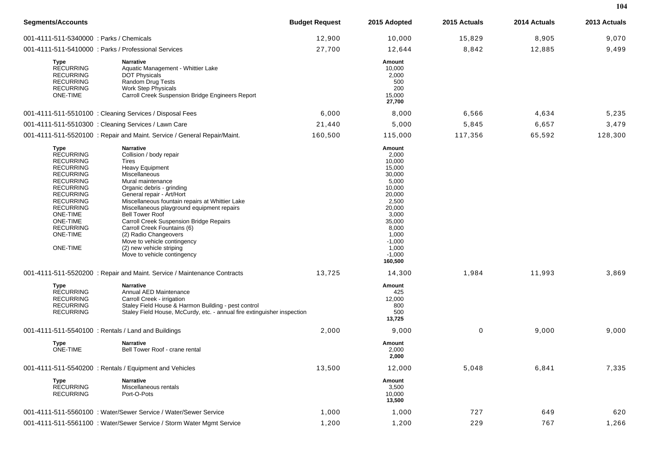| <b>Segments/Accounts</b>                                                                                                                                                                                                                                                          |                                                                                                                                                                                                                                                                                                                                                                                                                                                                                                        | <b>Budget Request</b> | 2015 Adopted                                                                                                                                                                   | 2015 Actuals | 2014 Actuals | 2013 Actuals |
|-----------------------------------------------------------------------------------------------------------------------------------------------------------------------------------------------------------------------------------------------------------------------------------|--------------------------------------------------------------------------------------------------------------------------------------------------------------------------------------------------------------------------------------------------------------------------------------------------------------------------------------------------------------------------------------------------------------------------------------------------------------------------------------------------------|-----------------------|--------------------------------------------------------------------------------------------------------------------------------------------------------------------------------|--------------|--------------|--------------|
| 001-4111-511-5340000 : Parks / Chemicals                                                                                                                                                                                                                                          |                                                                                                                                                                                                                                                                                                                                                                                                                                                                                                        | 12,900                | 10,000                                                                                                                                                                         | 15,829       | 8,905        | 9,070        |
| 001-4111-511-5410000 : Parks / Professional Services                                                                                                                                                                                                                              |                                                                                                                                                                                                                                                                                                                                                                                                                                                                                                        | 27,700                | 12,644                                                                                                                                                                         | 8,842        | 12,885       | 9,499        |
| <b>Type</b><br><b>RECURRING</b><br><b>RECURRING</b><br><b>RECURRING</b><br><b>RECURRING</b><br>ONE-TIME                                                                                                                                                                           | <b>Narrative</b><br>Aquatic Management - Whittier Lake<br><b>DOT Physicals</b><br>Random Drug Tests<br>Work Step Physicals<br>Carroll Creek Suspension Bridge Engineers Report                                                                                                                                                                                                                                                                                                                         |                       | Amount<br>10,000<br>2,000<br>500<br>200<br>15,000<br>27,700                                                                                                                    |              |              |              |
|                                                                                                                                                                                                                                                                                   | 001-4111-511-5510100 : Cleaning Services / Disposal Fees                                                                                                                                                                                                                                                                                                                                                                                                                                               | 6,000                 | 8,000                                                                                                                                                                          | 6,566        | 4,634        | 5,235        |
| 001-4111-511-5510300 : Cleaning Services / Lawn Care                                                                                                                                                                                                                              |                                                                                                                                                                                                                                                                                                                                                                                                                                                                                                        | 21,440                | 5,000                                                                                                                                                                          | 5,845        | 6,657        | 3,479        |
|                                                                                                                                                                                                                                                                                   | 001-4111-511-5520100 : Repair and Maint. Service / General Repair/Maint.                                                                                                                                                                                                                                                                                                                                                                                                                               | 160,500               | 115,000                                                                                                                                                                        | 117,356      | 65,592       | 128,300      |
| Type<br><b>RECURRING</b><br><b>RECURRING</b><br><b>RECURRING</b><br><b>RECURRING</b><br><b>RECURRING</b><br><b>RECURRING</b><br><b>RECURRING</b><br><b>RECURRING</b><br><b>RECURRING</b><br>ONE-TIME<br><b>ONE-TIME</b><br><b>RECURRING</b><br><b>ONE-TIME</b><br><b>ONE-TIME</b> | Narrative<br>Collision / body repair<br>Tires<br><b>Heavy Equipment</b><br><b>Miscellaneous</b><br>Mural maintenance<br>Organic debris - grinding<br>General repair - Art/Hort<br>Miscellaneous fountain repairs at Whittier Lake<br>Miscellaneous playground equipment repairs<br><b>Bell Tower Roof</b><br>Carroll Creek Suspension Bridge Repairs<br>Carroll Creek Fountains (6)<br>(2) Radio Changeovers<br>Move to vehicle contingency<br>(2) new vehicle striping<br>Move to vehicle contingency |                       | Amount<br>2,000<br>10,000<br>15,000<br>30,000<br>5,000<br>10,000<br>20,000<br>2,500<br>20,000<br>3,000<br>35,000<br>8,000<br>1,000<br>$-1,000$<br>1,000<br>$-1,000$<br>160,500 |              |              |              |
|                                                                                                                                                                                                                                                                                   | 001-4111-511-5520200 : Repair and Maint. Service / Maintenance Contracts                                                                                                                                                                                                                                                                                                                                                                                                                               | 13,725                | 14,300                                                                                                                                                                         | 1,984        | 11,993       | 3,869        |
| Type<br><b>RECURRING</b><br><b>RECURRING</b><br><b>RECURRING</b><br><b>RECURRING</b>                                                                                                                                                                                              | <b>Narrative</b><br>Annual AED Maintenance<br>Carroll Creek - irrigation<br>Staley Field House & Harmon Building - pest control<br>Staley Field House, McCurdy, etc. - annual fire extinguisher inspection                                                                                                                                                                                                                                                                                             |                       | Amount<br>425<br>12,000<br>800<br>500<br>13,725                                                                                                                                |              |              |              |
| 001-4111-511-5540100 : Rentals / Land and Buildings                                                                                                                                                                                                                               |                                                                                                                                                                                                                                                                                                                                                                                                                                                                                                        | 2,000                 | 9,000                                                                                                                                                                          | 0            | 9,000        | 9,000        |
| Type<br>ONE-TIME                                                                                                                                                                                                                                                                  | Narrative<br>Bell Tower Roof - crane rental                                                                                                                                                                                                                                                                                                                                                                                                                                                            |                       | Amount<br>2,000<br>2,000                                                                                                                                                       |              |              |              |
|                                                                                                                                                                                                                                                                                   | 001-4111-511-5540200: Rentals / Equipment and Vehicles                                                                                                                                                                                                                                                                                                                                                                                                                                                 | 13,500                | 12,000                                                                                                                                                                         | 5,048        | 6,841        | 7,335        |
| Type<br><b>RECURRING</b><br><b>RECURRING</b>                                                                                                                                                                                                                                      | <b>Narrative</b><br>Miscellaneous rentals<br>Port-O-Pots                                                                                                                                                                                                                                                                                                                                                                                                                                               |                       | Amount<br>3,500<br>10,000<br>13,500                                                                                                                                            |              |              |              |
|                                                                                                                                                                                                                                                                                   | 001-4111-511-5560100: Water/Sewer Service / Water/Sewer Service                                                                                                                                                                                                                                                                                                                                                                                                                                        | 1,000                 | 1,000                                                                                                                                                                          | 727          | 649          | 620          |
|                                                                                                                                                                                                                                                                                   | 001-4111-511-5561100 : Water/Sewer Service / Storm Water Mgmt Service                                                                                                                                                                                                                                                                                                                                                                                                                                  | 1,200                 | 1,200                                                                                                                                                                          | 229          | 767          | 1,266        |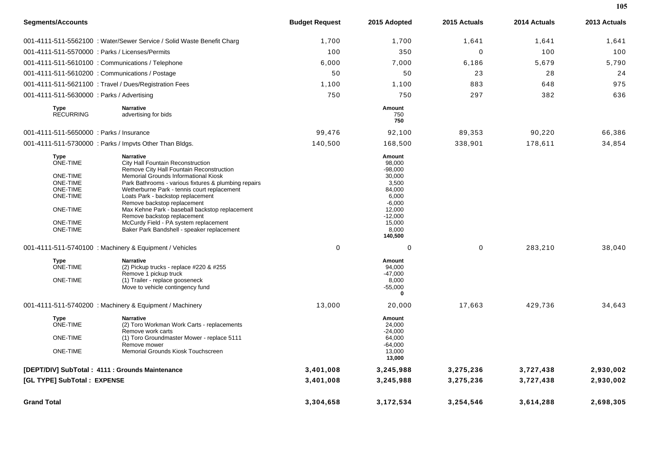| <b>Segments/Accounts</b>                                                                                                                                     |                                                                                                                                                                                                                                                                                                                                                                                                                                                                                              | <b>Budget Request</b> | 2015 Adopted                                                                                                                         | 2015 Actuals | 2014 Actuals | 2013 Actuals |
|--------------------------------------------------------------------------------------------------------------------------------------------------------------|----------------------------------------------------------------------------------------------------------------------------------------------------------------------------------------------------------------------------------------------------------------------------------------------------------------------------------------------------------------------------------------------------------------------------------------------------------------------------------------------|-----------------------|--------------------------------------------------------------------------------------------------------------------------------------|--------------|--------------|--------------|
| 001-4111-511-5562100 : Water/Sewer Service / Solid Waste Benefit Charg                                                                                       |                                                                                                                                                                                                                                                                                                                                                                                                                                                                                              | 1,700                 | 1,700                                                                                                                                | 1,641        | 1,641        | 1,641        |
|                                                                                                                                                              | 001-4111-511-5570000 : Parks / Licenses/Permits                                                                                                                                                                                                                                                                                                                                                                                                                                              | 100                   | 350                                                                                                                                  | 0            | 100          | 100          |
|                                                                                                                                                              | 001-4111-511-5610100 : Communications / Telephone                                                                                                                                                                                                                                                                                                                                                                                                                                            | 6,000                 | 7,000                                                                                                                                | 6,186        | 5,679        | 5,790        |
|                                                                                                                                                              | 001-4111-511-5610200 : Communications / Postage                                                                                                                                                                                                                                                                                                                                                                                                                                              | 50                    | 50                                                                                                                                   | 23           | 28           | 24           |
|                                                                                                                                                              | 001-4111-511-5621100 : Travel / Dues/Registration Fees                                                                                                                                                                                                                                                                                                                                                                                                                                       | 1,100                 | 1,100                                                                                                                                | 883          | 648          | 975          |
| 001-4111-511-5630000: Parks / Advertising                                                                                                                    |                                                                                                                                                                                                                                                                                                                                                                                                                                                                                              | 750                   | 750                                                                                                                                  | 297          | 382          | 636          |
| Type<br><b>RECURRING</b>                                                                                                                                     | <b>Narrative</b><br>advertising for bids                                                                                                                                                                                                                                                                                                                                                                                                                                                     |                       | Amount<br>750<br>750                                                                                                                 |              |              |              |
| 001-4111-511-5650000 : Parks / Insurance                                                                                                                     |                                                                                                                                                                                                                                                                                                                                                                                                                                                                                              | 99,476                | 92,100                                                                                                                               | 89,353       | 90,220       | 66,386       |
|                                                                                                                                                              | 001-4111-511-5730000: Parks / Impvts Other Than Bldgs.                                                                                                                                                                                                                                                                                                                                                                                                                                       | 140,500               | 168,500                                                                                                                              | 338,901      | 178,611      | 34,854       |
| Type<br><b>ONE-TIME</b><br><b>ONE-TIME</b><br><b>ONE-TIME</b><br><b>ONE-TIME</b><br><b>ONE-TIME</b><br><b>ONE-TIME</b><br><b>ONE-TIME</b><br><b>ONE-TIME</b> | <b>Narrative</b><br>City Hall Fountain Reconstruction<br>Remove City Hall Fountain Reconstruction<br>Memorial Grounds Informational Kiosk<br>Park Bathrooms - various fixtures & plumbing repairs<br>Wetherburne Park - tennis court replacement<br>Loats Park - backstop replacement<br>Remove backstop replacement<br>Max Kehne Park - baseball backstop replacement<br>Remove backstop replacement<br>McCurdy Field - PA system replacement<br>Baker Park Bandshell - speaker replacement |                       | Amount<br>98,000<br>$-98,000$<br>30,000<br>3,500<br>84,000<br>6,000<br>$-6,000$<br>12,000<br>$-12,000$<br>15,000<br>8,000<br>140,500 |              |              |              |
|                                                                                                                                                              | 001-4111-511-5740100 : Machinery & Equipment / Vehicles                                                                                                                                                                                                                                                                                                                                                                                                                                      | 0                     | $\mathbf 0$                                                                                                                          | 0            | 283,210      | 38,040       |
| Type<br><b>ONE-TIME</b><br><b>ONE-TIME</b>                                                                                                                   | <b>Narrative</b><br>(2) Pickup trucks - replace #220 & #255<br>Remove 1 pickup truck<br>(1) Trailer - replace gooseneck<br>Move to vehicle contingency fund                                                                                                                                                                                                                                                                                                                                  |                       | Amount<br>94,000<br>$-47,000$<br>8,000<br>$-55,000$<br>$\mathbf 0$                                                                   |              |              |              |
|                                                                                                                                                              | 001-4111-511-5740200 : Machinery & Equipment / Machinery                                                                                                                                                                                                                                                                                                                                                                                                                                     | 13,000                | 20,000                                                                                                                               | 17,663       | 429,736      | 34,643       |
| <b>Type</b><br><b>ONE-TIME</b><br><b>ONE-TIME</b><br>ONE-TIME                                                                                                | <b>Narrative</b><br>(2) Toro Workman Work Carts - replacements<br>Remove work carts<br>(1) Toro Groundmaster Mower - replace 5111<br>Remove mower<br>Memorial Grounds Kiosk Touchscreen                                                                                                                                                                                                                                                                                                      |                       | Amount<br>24,000<br>$-24,000$<br>64,000<br>$-64,000$<br>13,000<br>13,000                                                             |              |              |              |
|                                                                                                                                                              | [DEPT/DIV] SubTotal: 4111: Grounds Maintenance                                                                                                                                                                                                                                                                                                                                                                                                                                               | 3,401,008             | 3,245,988                                                                                                                            | 3,275,236    | 3,727,438    | 2,930,002    |
| [GL TYPE] SubTotal: EXPENSE                                                                                                                                  |                                                                                                                                                                                                                                                                                                                                                                                                                                                                                              | 3,401,008             | 3,245,988                                                                                                                            | 3,275,236    | 3,727,438    | 2,930,002    |
| <b>Grand Total</b>                                                                                                                                           |                                                                                                                                                                                                                                                                                                                                                                                                                                                                                              | 3,304,658             | 3,172,534                                                                                                                            | 3,254,546    | 3,614,288    | 2,698,305    |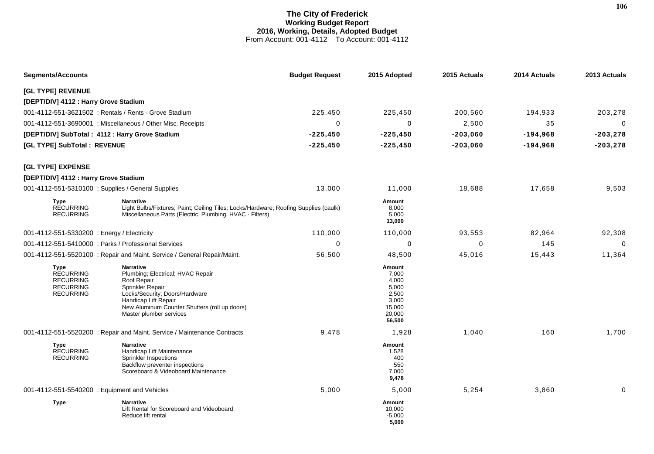# **The City of Frederick Working Budget Report 2016, Working, Details, Adopted Budget** From Account: 001-4112 To Account: 001-4112

| <b>Segments/Accounts</b>                                                             |                                                                                                                                                                                                                                | <b>Budget Request</b> | 2015 Adopted                                                                      | 2015 Actuals | 2014 Actuals | 2013 Actuals |
|--------------------------------------------------------------------------------------|--------------------------------------------------------------------------------------------------------------------------------------------------------------------------------------------------------------------------------|-----------------------|-----------------------------------------------------------------------------------|--------------|--------------|--------------|
| [GL TYPE] REVENUE                                                                    |                                                                                                                                                                                                                                |                       |                                                                                   |              |              |              |
| [DEPT/DIV] 4112 : Harry Grove Stadium                                                |                                                                                                                                                                                                                                |                       |                                                                                   |              |              |              |
| 001-4112-551-3621502 : Rentals / Rents - Grove Stadium                               |                                                                                                                                                                                                                                | 225,450               | 225,450                                                                           | 200,560      | 194,933      | 203,278      |
|                                                                                      | 001-4112-551-3690001 : Miscellaneous / Other Misc. Receipts                                                                                                                                                                    | 0                     | 0                                                                                 | 2,500        | 35           | $\Omega$     |
| [DEPT/DIV] SubTotal: 4112: Harry Grove Stadium                                       |                                                                                                                                                                                                                                | $-225,450$            | $-225,450$                                                                        | $-203,060$   | $-194,968$   | $-203,278$   |
| [GL TYPE] SubTotal: REVENUE                                                          |                                                                                                                                                                                                                                | $-225,450$            | $-225,450$                                                                        | $-203,060$   | $-194,968$   | $-203,278$   |
| [GL TYPE] EXPENSE                                                                    |                                                                                                                                                                                                                                |                       |                                                                                   |              |              |              |
| [DEPT/DIV] 4112 : Harry Grove Stadium                                                |                                                                                                                                                                                                                                |                       |                                                                                   |              |              |              |
| 001-4112-551-5310100 : Supplies / General Supplies                                   |                                                                                                                                                                                                                                | 13,000                | 11,000                                                                            | 18,688       | 17,658       | 9,503        |
| Type<br><b>RECURRING</b><br><b>RECURRING</b>                                         | <b>Narrative</b><br>Light Bulbs/Fixtures; Paint; Ceiling Tiles; Locks/Hardware; Roofing Supplies (caulk)<br>Miscellaneous Parts (Electric, Plumbing, HVAC - Filters)                                                           |                       | Amount<br>8,000<br>5,000<br>13,000                                                |              |              |              |
| 001-4112-551-5330200 : Energy / Electricity                                          |                                                                                                                                                                                                                                | 110,000               | 110,000                                                                           | 93,553       | 82,964       | 92,308       |
| 001-4112-551-5410000 : Parks / Professional Services                                 |                                                                                                                                                                                                                                | $\Omega$              | 0                                                                                 | $\Omega$     | 145          | $\Omega$     |
|                                                                                      | 001-4112-551-5520100 : Repair and Maint. Service / General Repair/Maint.                                                                                                                                                       | 56,500                | 48,500                                                                            | 45,016       | 15,443       | 11,364       |
| Type<br><b>RECURRING</b><br><b>RECURRING</b><br><b>RECURRING</b><br><b>RECURRING</b> | <b>Narrative</b><br>Plumbing; Electrical; HVAC Repair<br>Roof Repair<br>Sprinkler Repair<br>Locks/Security; Doors/Hardware<br>Handicap Lift Repair<br>New Aluminum Counter Shutters (roll up doors)<br>Master plumber services |                       | Amount<br>7,000<br>4,000<br>5,000<br>2,500<br>3,000<br>15,000<br>20,000<br>56,500 |              |              |              |
|                                                                                      | 001-4112-551-5520200 : Repair and Maint. Service / Maintenance Contracts                                                                                                                                                       | 9,478                 | 1,928                                                                             | 1,040        | 160          | 1.700        |
| Type<br><b>RECURRING</b><br><b>RECURRING</b>                                         | Narrative<br>Handicap Lift Maintenance<br>Sprinkler Inspections<br>Backflow preventer inspections<br>Scoreboard & Videoboard Maintenance                                                                                       |                       | Amount<br>1,528<br>400<br>550<br>7,000<br>9,478                                   |              |              |              |
| 001-4112-551-5540200 : Equipment and Vehicles                                        |                                                                                                                                                                                                                                | 5,000                 | 5,000                                                                             | 5,254        | 3,860        | $\mathbf{0}$ |
| <b>Type</b>                                                                          | <b>Narrative</b><br>Lift Rental for Scoreboard and Videoboard<br>Reduce lift rental                                                                                                                                            |                       | Amount<br>10,000<br>$-5,000$<br>5,000                                             |              |              |              |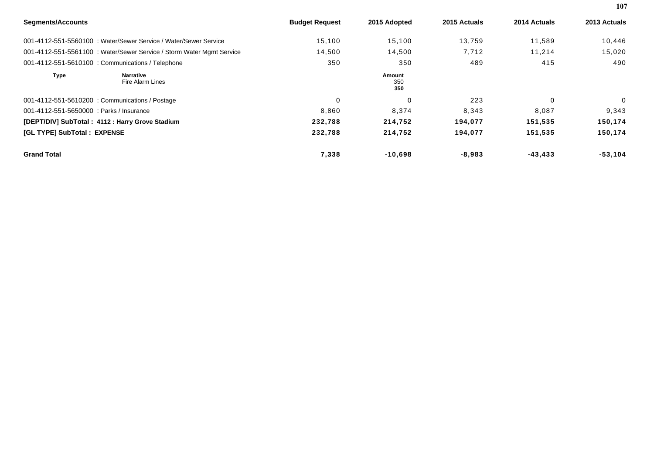| <b>Segments/Accounts</b>                 |                                                                       | <b>Budget Request</b> | 2015 Adopted         | 2015 Actuals | 2014 Actuals | 2013 Actuals |
|------------------------------------------|-----------------------------------------------------------------------|-----------------------|----------------------|--------------|--------------|--------------|
|                                          | 001-4112-551-5560100: Water/Sewer Service / Water/Sewer Service       | 15,100                | 15,100               | 13,759       | 11,589       | 10,446       |
|                                          | 001-4112-551-5561100 : Water/Sewer Service / Storm Water Mgmt Service | 14,500                | 14,500               | 7,712        | 11,214       | 15,020       |
|                                          | 001-4112-551-5610100: Communications / Telephone                      | 350                   | 350                  | 489          | 415          | 490          |
| Type                                     | <b>Narrative</b><br><b>Fire Alarm Lines</b>                           |                       | Amount<br>350<br>350 |              |              |              |
|                                          | 001-4112-551-5610200 : Communications / Postage                       | 0                     | 0                    | 223          | $\mathbf{0}$ | $\mathbf 0$  |
| 001-4112-551-5650000 : Parks / Insurance |                                                                       | 8,860                 | 8,374                | 8,343        | 8,087        | 9,343        |
|                                          | [DEPT/DIV] SubTotal: 4112: Harry Grove Stadium                        | 232,788               | 214,752              | 194,077      | 151,535      | 150,174      |
| [GL TYPE] SubTotal: EXPENSE              |                                                                       | 232,788               | 214,752              | 194,077      | 151,535      | 150,174      |
| <b>Grand Total</b>                       |                                                                       | 7,338                 | $-10,698$            | $-8,983$     | $-43, 433$   | $-53,104$    |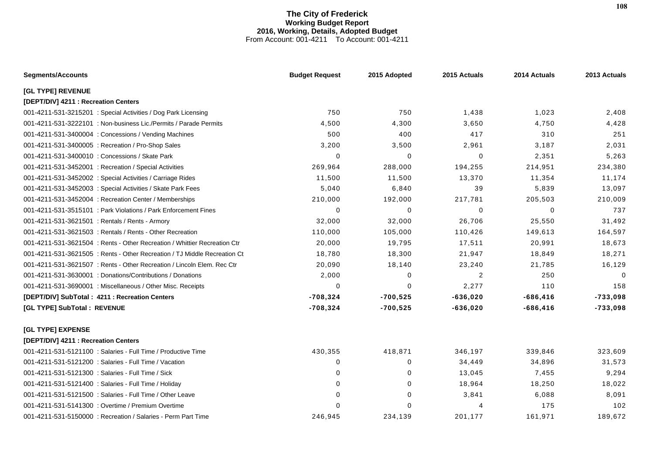# **The City of Frederick Working Budget Report 2016, Working, Details, Adopted Budget** From Account: 001-4211 To Account: 001-4211

| <b>Segments/Accounts</b>                                                  | <b>Budget Request</b> | 2015 Adopted | 2015 Actuals | 2014 Actuals | 2013 Actuals |
|---------------------------------------------------------------------------|-----------------------|--------------|--------------|--------------|--------------|
| [GL TYPE] REVENUE                                                         |                       |              |              |              |              |
| [DEPT/DIV] 4211 : Recreation Centers                                      |                       |              |              |              |              |
| 001-4211-531-3215201 : Special Activities / Dog Park Licensing            | 750                   | 750          | 1,438        | 1,023        | 2,408        |
| 001-4211-531-3222101 : Non-business Lic./Permits / Parade Permits         | 4,500                 | 4,300        | 3,650        | 4,750        | 4,428        |
| 001-4211-531-3400004 : Concessions / Vending Machines                     | 500                   | 400          | 417          | 310          | 251          |
| 001-4211-531-3400005 : Recreation / Pro-Shop Sales                        | 3,200                 | 3,500        | 2,961        | 3,187        | 2,031        |
| 001-4211-531-3400010 : Concessions / Skate Park                           | $\mathbf 0$           | $\Omega$     | $\Omega$     | 2,351        | 5,263        |
| 001-4211-531-3452001 : Recreation / Special Activities                    | 269,964               | 288,000      | 194,255      | 214,951      | 234,380      |
| 001-4211-531-3452002 : Special Activities / Carriage Rides                | 11,500                | 11,500       | 13,370       | 11,354       | 11,174       |
| 001-4211-531-3452003 : Special Activities / Skate Park Fees               | 5,040                 | 6,840        | 39           | 5,839        | 13,097       |
| 001-4211-531-3452004 : Recreation Center / Memberships                    | 210,000               | 192,000      | 217,781      | 205,503      | 210,009      |
| 001-4211-531-3515101: Park Violations / Park Enforcement Fines            | 0                     | 0            | 0            | $\mathbf 0$  | 737          |
| 001-4211-531-3621501 : Rentals / Rents - Armory                           | 32,000                | 32,000       | 26,706       | 25,550       | 31,492       |
| 001-4211-531-3621503 : Rentals / Rents - Other Recreation                 | 110,000               | 105,000      | 110,426      | 149,613      | 164,597      |
| 001-4211-531-3621504 : Rents - Other Recreation / Whittier Recreation Ctr | 20,000                | 19,795       | 17,511       | 20,991       | 18,673       |
| 001-4211-531-3621505 : Rents - Other Recreation / TJ Middle Recreation Ct | 18,780                | 18,300       | 21,947       | 18,849       | 18,271       |
| 001-4211-531-3621507 : Rents - Other Recreation / Lincoln Elem. Rec Ctr   | 20,090                | 18,140       | 23,240       | 21,785       | 16,129       |
| 001-4211-531-3630001 : Donations/Contributions / Donations                | 2,000                 | 0            | 2            | 250          | $\Omega$     |
| 001-4211-531-3690001 : Miscellaneous / Other Misc. Receipts               | $\mathbf 0$           | 0            | 2,277        | 110          | 158          |
| [DEPT/DIV] SubTotal: 4211: Recreation Centers                             | $-708,324$            | $-700,525$   | $-636,020$   | $-686,416$   | $-733,098$   |
| [GL TYPE] SubTotal: REVENUE                                               | $-708,324$            | $-700,525$   | $-636,020$   | $-686, 416$  | $-733,098$   |
| [GL TYPE] EXPENSE                                                         |                       |              |              |              |              |
| [DEPT/DIV] 4211 : Recreation Centers                                      |                       |              |              |              |              |
| 001-4211-531-5121100 : Salaries - Full Time / Productive Time             | 430,355               | 418,871      | 346,197      | 339,846      | 323,609      |
| 001-4211-531-5121200 : Salaries - Full Time / Vacation                    | 0                     | 0            | 34,449       | 34,896       | 31,573       |
| 001-4211-531-5121300 : Salaries - Full Time / Sick                        | 0                     | $\Omega$     | 13,045       | 7,455        | 9,294        |
| 001-4211-531-5121400 : Salaries - Full Time / Holiday                     | 0                     | 0            | 18,964       | 18,250       | 18,022       |
| 001-4211-531-5121500 : Salaries - Full Time / Other Leave                 | 0                     | 0            | 3,841        | 6,088        | 8,091        |
| 001-4211-531-5141300 : Overtime / Premium Overtime                        | O                     | $\Omega$     | 4            | 175          | 102          |
| 001-4211-531-5150000 : Recreation / Salaries - Perm Part Time             | 246,945               | 234,139      | 201,177      | 161,971      | 189,672      |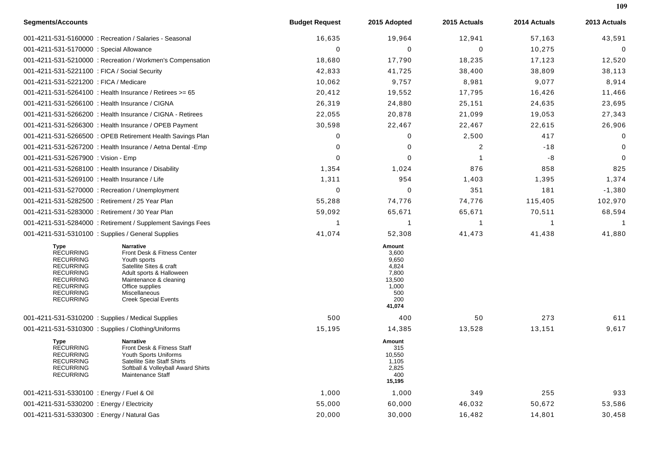| <b>Segments/Accounts</b>                                                                                                                                             |                                                                                                                                                                                                              | <b>Budget Request</b> | 2015 Adopted                                                                          | 2015 Actuals | 2014 Actuals | 2013 Actuals |
|----------------------------------------------------------------------------------------------------------------------------------------------------------------------|--------------------------------------------------------------------------------------------------------------------------------------------------------------------------------------------------------------|-----------------------|---------------------------------------------------------------------------------------|--------------|--------------|--------------|
| 001-4211-531-5160000 : Recreation / Salaries - Seasonal                                                                                                              |                                                                                                                                                                                                              | 16,635                | 19,964                                                                                | 12,941       | 57,163       | 43,591       |
| 001-4211-531-5170000 : Special Allowance                                                                                                                             |                                                                                                                                                                                                              | 0                     | 0                                                                                     | 0            | 10,275       | 0            |
|                                                                                                                                                                      | 001-4211-531-5210000 : Recreation / Workmen's Compensation                                                                                                                                                   | 18,680                | 17,790                                                                                | 18,235       | 17,123       | 12,520       |
| 001-4211-531-5221100 : FICA / Social Security                                                                                                                        |                                                                                                                                                                                                              | 42,833                | 41,725                                                                                | 38,400       | 38,809       | 38,113       |
| 001-4211-531-5221200 : FICA / Medicare                                                                                                                               |                                                                                                                                                                                                              | 10,062                | 9,757                                                                                 | 8,981        | 9,077        | 8,914        |
|                                                                                                                                                                      | 001-4211-531-5264100 : Health Insurance / Retirees >= 65                                                                                                                                                     | 20,412                | 19,552                                                                                | 17,795       | 16,426       | 11,466       |
| 001-4211-531-5266100 : Health Insurance / CIGNA                                                                                                                      |                                                                                                                                                                                                              | 26,319                | 24,880                                                                                | 25,151       | 24,635       | 23,695       |
|                                                                                                                                                                      | 001-4211-531-5266200 : Health Insurance / CIGNA - Retirees                                                                                                                                                   | 22,055                | 20,878                                                                                | 21,099       | 19,053       | 27,343       |
|                                                                                                                                                                      | 001-4211-531-5266300 : Health Insurance / OPEB Payment                                                                                                                                                       | 30,598                | 22,467                                                                                | 22,467       | 22,615       | 26,906       |
|                                                                                                                                                                      | 001-4211-531-5266500 : OPEB Retirement Health Savings Plan                                                                                                                                                   | 0                     | 0                                                                                     | 2,500        | 417          | 0            |
|                                                                                                                                                                      | 001-4211-531-5267200 : Health Insurance / Aetna Dental - Emp                                                                                                                                                 | 0                     | 0                                                                                     | 2            | $-18$        | 0            |
| 001-4211-531-5267900 : Vision - Emp                                                                                                                                  |                                                                                                                                                                                                              | 0                     | 0                                                                                     |              | -8           | $\mathbf 0$  |
| 001-4211-531-5268100 : Health Insurance / Disability                                                                                                                 |                                                                                                                                                                                                              | 1,354                 | 1,024                                                                                 | 876          | 858          | 825          |
| 001-4211-531-5269100 : Health Insurance / Life                                                                                                                       |                                                                                                                                                                                                              | 1,311                 | 954                                                                                   | 1,403        | 1,395        | 1,374        |
| 001-4211-531-5270000 : Recreation / Unemployment                                                                                                                     |                                                                                                                                                                                                              | 0                     | 0                                                                                     | 351          | 181          | $-1,380$     |
| 001-4211-531-5282500 : Retirement / 25 Year Plan                                                                                                                     |                                                                                                                                                                                                              | 55,288                | 74,776                                                                                | 74,776       | 115,405      | 102,970      |
| 001-4211-531-5283000 : Retirement / 30 Year Plan                                                                                                                     |                                                                                                                                                                                                              | 59,092                | 65,671                                                                                | 65,671       | 70,511       | 68,594       |
|                                                                                                                                                                      | 001-4211-531-5284000: Retirement / Supplement Savings Fees                                                                                                                                                   |                       | -1                                                                                    | -1           |              |              |
| 001-4211-531-5310100 : Supplies / General Supplies                                                                                                                   |                                                                                                                                                                                                              | 41,074                | 52,308                                                                                | 41,473       | 41,438       | 41,880       |
| Type<br><b>RECURRING</b><br><b>RECURRING</b><br><b>RECURRING</b><br><b>RECURRING</b><br><b>RECURRING</b><br><b>RECURRING</b><br><b>RECURRING</b><br><b>RECURRING</b> | Narrative<br>Front Desk & Fitness Center<br>Youth sports<br>Satellite Sites & craft<br>Adult sports & Halloween<br>Maintenance & cleaning<br>Office supplies<br>Miscellaneous<br><b>Creek Special Events</b> |                       | Amount<br>3,600<br>9,650<br>4,824<br>7,800<br>13,500<br>1,000<br>500<br>200<br>41,074 |              |              |              |
| 001-4211-531-5310200 : Supplies / Medical Supplies                                                                                                                   |                                                                                                                                                                                                              | 500                   | 400                                                                                   | 50           | 273          | 611          |
| 001-4211-531-5310300 : Supplies / Clothing/Uniforms                                                                                                                  |                                                                                                                                                                                                              | 15,195                | 14,385                                                                                | 13,528       | 13,151       | 9,617        |
| Type<br><b>RECURRING</b><br><b>RECURRING</b><br><b>RECURRING</b><br><b>RECURRING</b><br><b>RECURRING</b>                                                             | Narrative<br>Front Desk & Fitness Staff<br>Youth Sports Uniforms<br><b>Satellite Site Staff Shirts</b><br>Softball & Volleyball Award Shirts<br>Maintenance Staff                                            |                       | Amount<br>315<br>10,550<br>1,105<br>2,825<br>400<br>15,195                            |              |              |              |
| 001-4211-531-5330100 : Energy / Fuel & Oil                                                                                                                           |                                                                                                                                                                                                              | 1,000                 | 1,000                                                                                 | 349          | 255          | 933          |
| 001-4211-531-5330200 : Energy / Electricity                                                                                                                          |                                                                                                                                                                                                              | 55,000                | 60,000                                                                                | 46,032       | 50,672       | 53,586       |
| 001-4211-531-5330300 : Energy / Natural Gas                                                                                                                          |                                                                                                                                                                                                              | 20,000                | 30,000                                                                                | 16,482       | 14,801       | 30,458       |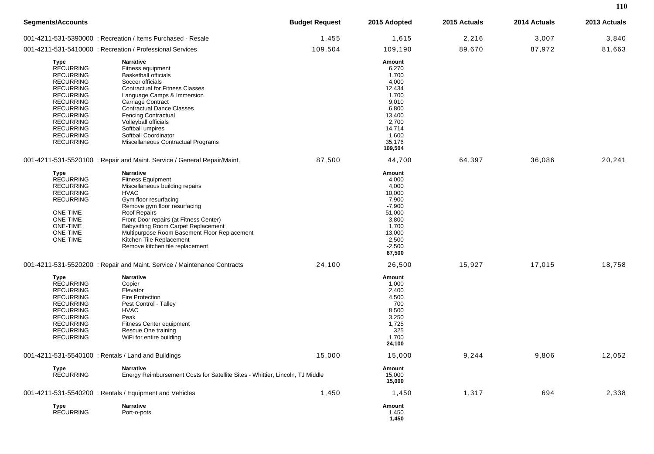| <b>Segments/Accounts</b>                                                                                                                                                                                                                             |                                                                                                                                                                                                                                                                                                                                                                               | <b>Budget Request</b> | 2015 Adopted                                                                                                                      | 2015 Actuals | 2014 Actuals | 2013 Actuals |
|------------------------------------------------------------------------------------------------------------------------------------------------------------------------------------------------------------------------------------------------------|-------------------------------------------------------------------------------------------------------------------------------------------------------------------------------------------------------------------------------------------------------------------------------------------------------------------------------------------------------------------------------|-----------------------|-----------------------------------------------------------------------------------------------------------------------------------|--------------|--------------|--------------|
|                                                                                                                                                                                                                                                      | 001-4211-531-5390000 : Recreation / Items Purchased - Resale                                                                                                                                                                                                                                                                                                                  | 1,455                 | 1,615                                                                                                                             | 2,216        | 3,007        | 3,840        |
|                                                                                                                                                                                                                                                      | 001-4211-531-5410000 : Recreation / Professional Services                                                                                                                                                                                                                                                                                                                     | 109,504               | 109,190                                                                                                                           | 89,670       | 87,972       | 81,663       |
| Type<br><b>RECURRING</b><br><b>RECURRING</b><br><b>RECURRING</b><br><b>RECURRING</b><br><b>RECURRING</b><br><b>RECURRING</b><br><b>RECURRING</b><br><b>RECURRING</b><br><b>RECURRING</b><br><b>RECURRING</b><br><b>RECURRING</b><br><b>RECURRING</b> | <b>Narrative</b><br>Fitness equipment<br><b>Basketball officials</b><br>Soccer officials<br><b>Contractual for Fitness Classes</b><br>Language Camps & Immersion<br>Carriage Contract<br><b>Contractual Dance Classes</b><br><b>Fencing Contractual</b><br>Volleyball officials<br>Softball umpires<br>Softball Coordinator<br>Miscellaneous Contractual Programs             |                       | Amount<br>6,270<br>1,700<br>4,000<br>12,434<br>1,700<br>9,010<br>6,800<br>13,400<br>2,700<br>14,714<br>1,600<br>35,176<br>109,504 |              |              |              |
|                                                                                                                                                                                                                                                      | 001-4211-531-5520100 : Repair and Maint. Service / General Repair/Maint.                                                                                                                                                                                                                                                                                                      | 87,500                | 44,700                                                                                                                            | 64,397       | 36,086       | 20,241       |
| Type<br><b>RECURRING</b><br><b>RECURRING</b><br><b>RECURRING</b><br><b>RECURRING</b><br><b>ONE-TIME</b><br><b>ONE-TIME</b><br><b>ONE-TIME</b><br><b>ONE-TIME</b><br><b>ONE-TIME</b>                                                                  | <b>Narrative</b><br><b>Fitness Equipment</b><br>Miscellaneous building repairs<br><b>HVAC</b><br>Gym floor resurfacing<br>Remove gym floor resurfacing<br>Roof Repairs<br>Front Door repairs (at Fitness Center)<br><b>Babysitting Room Carpet Replacement</b><br>Multipurpose Room Basement Floor Replacement<br>Kitchen Tile Replacement<br>Remove kitchen tile replacement |                       | Amount<br>4,000<br>4,000<br>10,000<br>7,900<br>$-7,900$<br>51,000<br>3,800<br>1,700<br>13,000<br>2,500<br>$-2,500$<br>87,500      |              |              |              |
|                                                                                                                                                                                                                                                      | 001-4211-531-5520200: Repair and Maint. Service / Maintenance Contracts                                                                                                                                                                                                                                                                                                       | 24,100                | 26,500                                                                                                                            | 15,927       | 17,015       | 18,758       |
| Type<br><b>RECURRING</b><br><b>RECURRING</b><br><b>RECURRING</b><br><b>RECURRING</b><br><b>RECURRING</b><br><b>RECURRING</b><br><b>RECURRING</b><br><b>RECURRING</b><br><b>RECURRING</b>                                                             | Narrative<br>Copier<br>Elevator<br><b>Fire Protection</b><br>Pest Control - Talley<br><b>HVAC</b><br>Peak<br>Fitness Center equipment<br>Rescue One training<br>WiFi for entire building                                                                                                                                                                                      |                       | Amount<br>1,000<br>2,400<br>4,500<br>700<br>8,500<br>3,250<br>1,725<br>325<br>1,700<br>24,100                                     |              |              |              |
|                                                                                                                                                                                                                                                      | 001-4211-531-5540100 : Rentals / Land and Buildings                                                                                                                                                                                                                                                                                                                           | 15,000                | 15,000                                                                                                                            | 9,244        | 9,806        | 12,052       |
| Type<br><b>RECURRING</b>                                                                                                                                                                                                                             | <b>Narrative</b><br>Energy Reimbursement Costs for Satellite Sites - Whittier, Lincoln, TJ Middle                                                                                                                                                                                                                                                                             |                       | Amount<br>15,000<br>15,000                                                                                                        |              |              |              |
|                                                                                                                                                                                                                                                      | 001-4211-531-5540200: Rentals / Equipment and Vehicles                                                                                                                                                                                                                                                                                                                        | 1,450                 | 1,450                                                                                                                             | 1,317        | 694          | 2,338        |
| Type<br><b>RECURRING</b>                                                                                                                                                                                                                             | <b>Narrative</b><br>Port-o-pots                                                                                                                                                                                                                                                                                                                                               |                       | Amount<br>1,450<br>1,450                                                                                                          |              |              |              |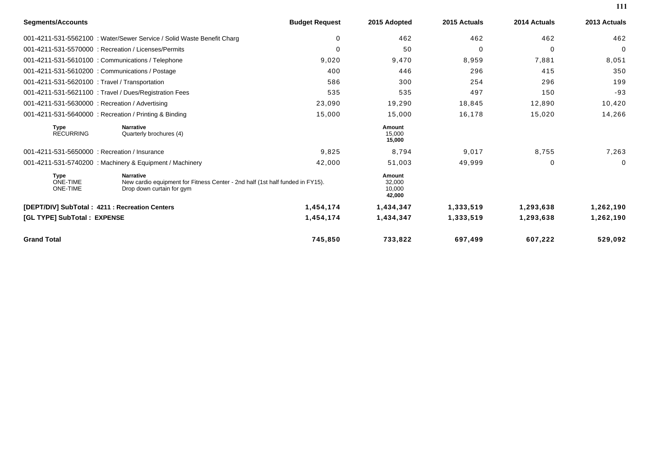| <b>Segments/Accounts</b>                          |                                                                                                                                | <b>Budget Request</b> | 2015 Adopted                         | 2015 Actuals | 2014 Actuals | 2013 Actuals |
|---------------------------------------------------|--------------------------------------------------------------------------------------------------------------------------------|-----------------------|--------------------------------------|--------------|--------------|--------------|
|                                                   | 001-4211-531-5562100 : Water/Sewer Service / Solid Waste Benefit Charg                                                         | 0                     | 462                                  | 462          | 462          | 462          |
|                                                   | 001-4211-531-5570000 : Recreation / Licenses/Permits                                                                           | 0                     | 50                                   | $\mathbf 0$  | $\mathbf 0$  | $\mathbf 0$  |
|                                                   | 001-4211-531-5610100 : Communications / Telephone                                                                              | 9,020                 | 9,470                                | 8,959        | 7,881        | 8,051        |
|                                                   | 001-4211-531-5610200 : Communications / Postage                                                                                | 400                   | 446                                  | 296          | 415          | 350          |
| 001-4211-531-5620100 : Travel / Transportation    |                                                                                                                                | 586                   | 300                                  | 254          | 296          | 199          |
|                                                   | 001-4211-531-5621100 : Travel / Dues/Registration Fees                                                                         | 535                   | 535                                  | 497          | 150          | $-93$        |
| 001-4211-531-5630000 : Recreation / Advertising   |                                                                                                                                | 23,090                | 19,290                               | 18,845       | 12,890       | 10,420       |
|                                                   | 001-4211-531-5640000 : Recreation / Printing & Binding                                                                         | 15,000                | 15,000                               | 16,178       | 15,020       | 14,266       |
| <b>Type</b><br><b>RECURRING</b>                   | <b>Narrative</b><br>Quarterly brochures (4)                                                                                    |                       | Amount<br>15,000<br>15,000           |              |              |              |
| 001-4211-531-5650000 : Recreation / Insurance     |                                                                                                                                | 9,825                 | 8,794                                | 9,017        | 8,755        | 7,263        |
|                                                   | 001-4211-531-5740200 : Machinery & Equipment / Machinery                                                                       | 42,000                | 51,003                               | 49,999       | 0            | $\Omega$     |
| <b>Type</b><br><b>ONE-TIME</b><br><b>ONE-TIME</b> | <b>Narrative</b><br>New cardio equipment for Fitness Center - 2nd half (1st half funded in FY15).<br>Drop down curtain for gym |                       | Amount<br>32,000<br>10,000<br>42,000 |              |              |              |
|                                                   | [DEPT/DIV] SubTotal: 4211: Recreation Centers                                                                                  | 1,454,174             | 1,434,347                            | 1,333,519    | 1,293,638    | 1,262,190    |
| [GL TYPE] SubTotal: EXPENSE                       |                                                                                                                                | 1,454,174             | 1,434,347                            | 1,333,519    | 1,293,638    | 1,262,190    |
| <b>Grand Total</b>                                |                                                                                                                                | 745,850               | 733,822                              | 697,499      | 607,222      | 529,092      |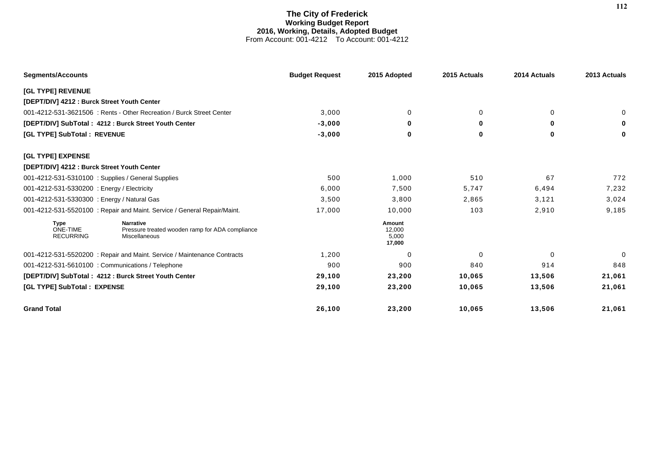# **The City of Frederick Working Budget Report 2016, Working, Details, Adopted Budget** From Account: 001-4212 To Account: 001-4212

| <b>Segments/Accounts</b>                           |                                                                                             | <b>Budget Request</b> | 2015 Adopted                        | 2015 Actuals | 2014 Actuals | 2013 Actuals |
|----------------------------------------------------|---------------------------------------------------------------------------------------------|-----------------------|-------------------------------------|--------------|--------------|--------------|
| [GL TYPE] REVENUE                                  |                                                                                             |                       |                                     |              |              |              |
| [DEPT/DIV] 4212 : Burck Street Youth Center        |                                                                                             |                       |                                     |              |              |              |
|                                                    | 001-4212-531-3621506 : Rents - Other Recreation / Burck Street Center                       | 3,000                 | 0                                   | 0            | 0            | 0            |
|                                                    | [DEPT/DIV] SubTotal: 4212: Burck Street Youth Center                                        | $-3,000$              | 0                                   | 0            | 0            | 0            |
| [GL TYPE] SubTotal: REVENUE                        |                                                                                             | $-3,000$              | 0                                   | 0            | 0            | 0            |
| [GL TYPE] EXPENSE                                  |                                                                                             |                       |                                     |              |              |              |
| [DEPT/DIV] 4212 : Burck Street Youth Center        |                                                                                             |                       |                                     |              |              |              |
|                                                    | 001-4212-531-5310100 : Supplies / General Supplies                                          | 500                   | 1,000                               | 510          | 67           | 772          |
| 001-4212-531-5330200 : Energy / Electricity        |                                                                                             | 6,000                 | 7,500                               | 5,747        | 6,494        | 7,232        |
| 001-4212-531-5330300 : Energy / Natural Gas        |                                                                                             | 3,500                 | 3,800                               | 2,865        | 3,121        | 3,024        |
|                                                    | 001-4212-531-5520100 : Repair and Maint. Service / General Repair/Maint.                    | 17,000                | 10,000                              | 103          | 2,910        | 9,185        |
| <b>Type</b><br><b>ONE-TIME</b><br><b>RECURRING</b> | <b>Narrative</b><br>Pressure treated wooden ramp for ADA compliance<br><b>Miscellaneous</b> |                       | Amount<br>12,000<br>5,000<br>17,000 |              |              |              |
|                                                    | 001-4212-531-5520200 : Repair and Maint. Service / Maintenance Contracts                    | 1,200                 | 0                                   | 0            | $\mathbf 0$  | $\Omega$     |
|                                                    | 001-4212-531-5610100 : Communications / Telephone                                           | 900                   | 900                                 | 840          | 914          | 848          |
|                                                    | [DEPT/DIV] SubTotal: 4212: Burck Street Youth Center                                        | 29,100                | 23,200                              | 10,065       | 13,506       | 21,061       |
| [GL TYPE] SubTotal: EXPENSE                        |                                                                                             | 29,100                | 23,200                              | 10,065       | 13,506       | 21,061       |
| <b>Grand Total</b>                                 |                                                                                             | 26,100                | 23,200                              | 10,065       | 13,506       | 21,061       |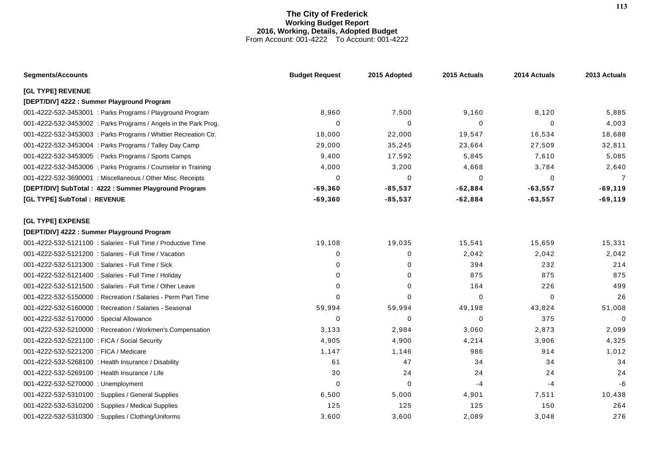## **The City of Frederick Working Budget Report 2016, Working, Details, Adopted Budget** From Account: 001-4222 To Account: 001-4222

| <b>Segments/Accounts</b>                                         | <b>Budget Request</b> | 2015 Adopted | 2015 Actuals | 2014 Actuals | 2013 Actuals   |
|------------------------------------------------------------------|-----------------------|--------------|--------------|--------------|----------------|
| [GL TYPE] REVENUE                                                |                       |              |              |              |                |
| [DEPT/DIV] 4222 : Summer Playground Program                      |                       |              |              |              |                |
| 001-4222-532-3453001: Parks Programs / Playground Program        | 8,960                 | 7,500        | 9,160        | 8,120        | 5,885          |
| 001-4222-532-3453002 : Parks Programs / Angels in the Park Prog. | 0                     | $\Omega$     | $\Omega$     | 0            | 4,003          |
| 001-4222-532-3453003 : Parks Programs / Whittier Recreation Ctr. | 18,000                | 22,000       | 19,547       | 16,534       | 18,688         |
| 001-4222-532-3453004 : Parks Programs / Talley Day Camp          | 29,000                | 35,245       | 23,664       | 27,509       | 32,811         |
| 001-4222-532-3453005 : Parks Programs / Sports Camps             | 9,400                 | 17,592       | 5,845        | 7,610        | 5,085          |
| 001-4222-532-3453006 : Parks Programs / Counselor in Training    | 4,000                 | 3,200        | 4,668        | 3,784        | 2,640          |
| 001-4222-532-3690001 : Miscellaneous / Other Misc. Receipts      | 0                     | 0            | $\Omega$     | 0            | $\overline{7}$ |
| [DEPT/DIV] SubTotal: 4222: Summer Playground Program             | $-69,360$             | $-85,537$    | $-62,884$    | $-63,557$    | $-69, 119$     |
| [GL TYPE] SubTotal: REVENUE                                      | $-69,360$             | $-85,537$    | $-62,884$    | $-63,557$    | $-69, 119$     |
| [GL TYPE] EXPENSE                                                |                       |              |              |              |                |
| [DEPT/DIV] 4222 : Summer Playground Program                      |                       |              |              |              |                |
| 001-4222-532-5121100 : Salaries - Full Time / Productive Time    | 19,108                | 19,035       | 15,541       | 15,659       | 15,331         |
| 001-4222-532-5121200 : Salaries - Full Time / Vacation           | $\Omega$              | $\Omega$     | 2,042        | 2,042        | 2,042          |
| 001-4222-532-5121300 : Salaries - Full Time / Sick               | 0                     | 0            | 394          | 232          | 214            |
| 001-4222-532-5121400 : Salaries - Full Time / Holiday            | 0                     | 0            | 875          | 875          | 875            |
| 001-4222-532-5121500 : Salaries - Full Time / Other Leave        | 0                     | $\Omega$     | 164          | 226          | 499            |
| 001-4222-532-5150000 : Recreation / Salaries - Perm Part Time    | $\Omega$              | $\Omega$     | $\Omega$     | $\Omega$     | 26             |
| 001-4222-532-5160000 : Recreation / Salaries - Seasonal          | 59,994                | 59,994       | 49,198       | 43,824       | 51,008         |
| 001-4222-532-5170000 : Special Allowance                         | 0                     | 0            | $\mathbf 0$  | 375          | $\Omega$       |
| 001-4222-532-5210000 : Recreation / Workmen's Compensation       | 3,133                 | 2,984        | 3,060        | 2,873        | 2,099          |
| 001-4222-532-5221100 : FICA / Social Security                    | 4,905                 | 4,900        | 4,214        | 3,906        | 4,325          |
| 001-4222-532-5221200 : FICA / Medicare                           | 1,147                 | 1,146        | 986          | 914          | 1,012          |
| 001-4222-532-5268100 : Health Insurance / Disability             | 61                    | 47           | 34           | 34           | 34             |
| 001-4222-532-5269100 : Health Insurance / Life                   | 30                    | 24           | 24           | 24           | 24             |
| 001-4222-532-5270000: Unemployment                               | $\mathbf 0$           | $\Omega$     | $-4$         | $-4$         | $-6$           |
| 001-4222-532-5310100 : Supplies / General Supplies               | 6,500                 | 5,000        | 4,901        | 7,511        | 10,438         |
| 001-4222-532-5310200 : Supplies / Medical Supplies               | 125                   | 125          | 125          | 150          | 264            |
| 001-4222-532-5310300: Supplies / Clothing/Uniforms               | 3,600                 | 3,600        | 2,089        | 3,048        | 276            |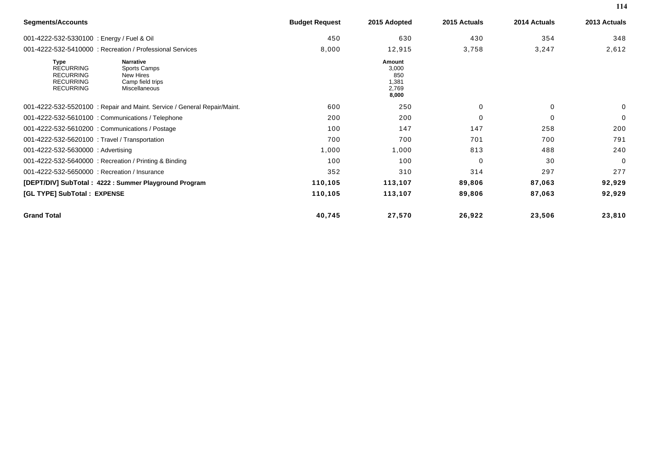| <b>Segments/Accounts</b>                                                                    |                                                                                    | <b>Budget Request</b> | 2015 Adopted                                      | 2015 Actuals | 2014 Actuals | 2013 Actuals |
|---------------------------------------------------------------------------------------------|------------------------------------------------------------------------------------|-----------------------|---------------------------------------------------|--------------|--------------|--------------|
| 001-4222-532-5330100 : Energy / Fuel & Oil                                                  |                                                                                    | 450                   | 630                                               | 430          | 354          | 348          |
|                                                                                             | 001-4222-532-5410000 : Recreation / Professional Services                          | 8,000                 | 12,915                                            | 3,758        | 3,247        | 2,612        |
| <b>Type</b><br><b>RECURRING</b><br><b>RECURRING</b><br><b>RECURRING</b><br><b>RECURRING</b> | <b>Narrative</b><br>Sports Camps<br>New Hires<br>Camp field trips<br>Miscellaneous |                       | Amount<br>3,000<br>850<br>1,381<br>2,769<br>8,000 |              |              |              |
|                                                                                             | 001-4222-532-5520100: Repair and Maint. Service / General Repair/Maint.            | 600                   | 250                                               | 0            | 0            | 0            |
|                                                                                             | 001-4222-532-5610100: Communications / Telephone                                   | 200                   | 200                                               | 0            | 0            | 0            |
|                                                                                             | 001-4222-532-5610200 : Communications / Postage                                    | 100                   | 147                                               | 147          | 258          | 200          |
| 001-4222-532-5620100 : Travel / Transportation                                              |                                                                                    | 700                   | 700                                               | 701          | 700          | 791          |
| 001-4222-532-5630000: Advertising                                                           |                                                                                    | 1,000                 | 1,000                                             | 813          | 488          | 240          |
|                                                                                             | 001-4222-532-5640000: Recreation / Printing & Binding                              | 100                   | 100                                               | 0            | 30           | 0            |
| 001-4222-532-5650000 : Recreation / Insurance                                               |                                                                                    | 352                   | 310                                               | 314          | 297          | 277          |
|                                                                                             | [DEPT/DIV] SubTotal: 4222: Summer Playground Program                               | 110,105               | 113,107                                           | 89,806       | 87,063       | 92,929       |
| [GL TYPE] SubTotal: EXPENSE                                                                 |                                                                                    | 110,105               | 113,107                                           | 89,806       | 87,063       | 92,929       |
| <b>Grand Total</b>                                                                          |                                                                                    | 40,745                | 27,570                                            | 26,922       | 23,506       | 23,810       |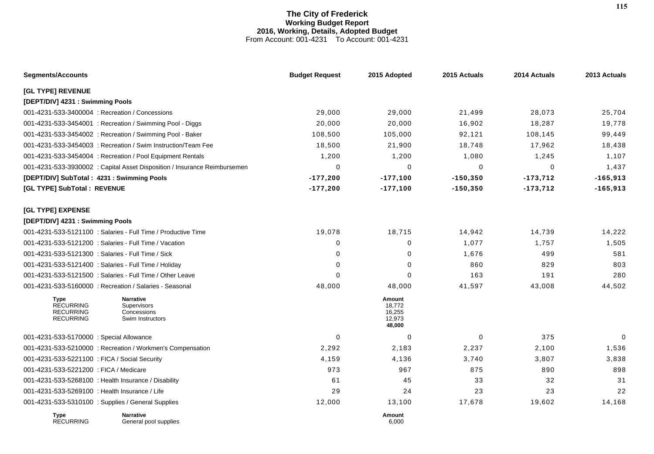# **The City of Frederick Working Budget Report 2016, Working, Details, Adopted Budget** From Account: 001-4231 To Account: 001-4231

| <b>Segments/Accounts</b>                                         |                                                                           | <b>Budget Request</b> | 2015 Adopted                                   | 2015 Actuals | 2014 Actuals | 2013 Actuals |
|------------------------------------------------------------------|---------------------------------------------------------------------------|-----------------------|------------------------------------------------|--------------|--------------|--------------|
| [GL TYPE] REVENUE                                                |                                                                           |                       |                                                |              |              |              |
| [DEPT/DIV] 4231 : Swimming Pools                                 |                                                                           |                       |                                                |              |              |              |
|                                                                  | 001-4231-533-3400004 : Recreation / Concessions                           | 29,000                | 29,000                                         | 21,499       | 28,073       | 25,704       |
|                                                                  | 001-4231-533-3454001 : Recreation / Swimming Pool - Diggs                 | 20,000                | 20,000                                         | 16,902       | 18,287       | 19,778       |
|                                                                  | 001-4231-533-3454002 : Recreation / Swimming Pool - Baker                 | 108,500               | 105,000                                        | 92,121       | 108,145      | 99,449       |
|                                                                  | 001-4231-533-3454003 : Recreation / Swim Instruction/Team Fee             | 18,500                | 21,900                                         | 18,748       | 17,962       | 18,438       |
|                                                                  | 001-4231-533-3454004 : Recreation / Pool Equipment Rentals                | 1,200                 | 1,200                                          | 1,080        | 1,245        | 1,107        |
|                                                                  | 001-4231-533-3930002 : Capital Asset Disposition / Insurance Reimbursemen | 0                     | $\Omega$                                       | $\Omega$     | $\Omega$     | 1,437        |
| [DEPT/DIV] SubTotal: 4231: Swimming Pools                        |                                                                           | $-177,200$            | $-177,100$                                     | $-150,350$   | $-173,712$   | $-165,913$   |
| [GL TYPE] SubTotal: REVENUE                                      |                                                                           | $-177,200$            | $-177,100$                                     | $-150,350$   | $-173,712$   | $-165,913$   |
| [GL TYPE] EXPENSE                                                |                                                                           |                       |                                                |              |              |              |
| [DEPT/DIV] 4231 : Swimming Pools                                 |                                                                           |                       |                                                |              |              |              |
|                                                                  | 001-4231-533-5121100 : Salaries - Full Time / Productive Time             | 19,078                | 18,715                                         | 14,942       | 14,739       | 14,222       |
|                                                                  | 001-4231-533-5121200 : Salaries - Full Time / Vacation                    | 0                     | 0                                              | 1,077        | 1,757        | 1,505        |
|                                                                  | 001-4231-533-5121300 : Salaries - Full Time / Sick                        | 0                     | 0                                              | 1,676        | 499          | 581          |
|                                                                  | 001-4231-533-5121400 : Salaries - Full Time / Holiday                     | 0                     | 0                                              | 860          | 829          | 803          |
|                                                                  | 001-4231-533-5121500 : Salaries - Full Time / Other Leave                 | $\Omega$              | $\Omega$                                       | 163          | 191          | 280          |
|                                                                  | 001-4231-533-5160000 : Recreation / Salaries - Seasonal                   | 48,000                | 48,000                                         | 41,597       | 43,008       | 44,502       |
| Type<br><b>RECURRING</b><br><b>RECURRING</b><br><b>RECURRING</b> | <b>Narrative</b><br>Supervisors<br>Concessions<br>Swim Instructors        |                       | Amount<br>18,772<br>16,255<br>12,973<br>48,000 |              |              |              |
| 001-4231-533-5170000 : Special Allowance                         |                                                                           | 0                     | $\Omega$                                       | $\Omega$     | 375          | 0            |
|                                                                  | 001-4231-533-5210000 : Recreation / Workmen's Compensation                | 2,292                 | 2,183                                          | 2,237        | 2,100        | 1,536        |
| 001-4231-533-5221100 : FICA / Social Security                    |                                                                           | 4,159                 | 4,136                                          | 3,740        | 3,807        | 3,838        |
| 001-4231-533-5221200 : FICA / Medicare                           |                                                                           | 973                   | 967                                            | 875          | 890          | 898          |
|                                                                  | 001-4231-533-5268100 : Health Insurance / Disability                      | 61                    | 45                                             | 33           | 32           | 31           |
| 001-4231-533-5269100 : Health Insurance / Life                   |                                                                           | 29                    | 24                                             | 23           | 23           | 22           |
|                                                                  | 001-4231-533-5310100 : Supplies / General Supplies                        | 12,000                | 13,100                                         | 17,678       | 19,602       | 14,168       |
| <b>Type</b><br><b>RECURRING</b>                                  | <b>Narrative</b><br>General pool supplies                                 |                       | Amount<br>6,000                                |              |              |              |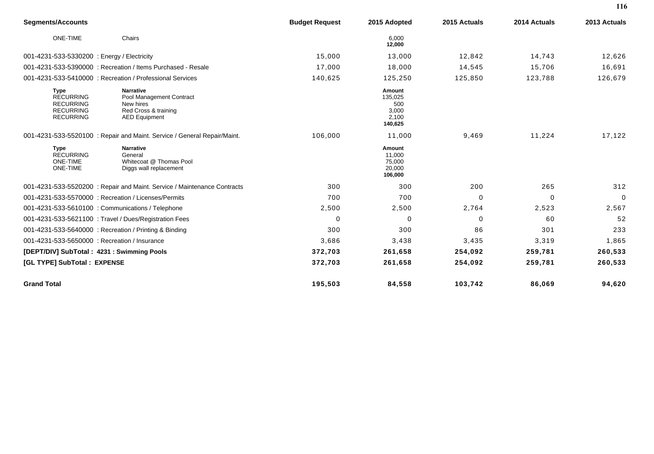| <b>Segments/Accounts</b>                                                                    |                                                                                                           | <b>Budget Request</b> | 2015 Adopted                                          | 2015 Actuals | 2014 Actuals | 2013 Actuals |
|---------------------------------------------------------------------------------------------|-----------------------------------------------------------------------------------------------------------|-----------------------|-------------------------------------------------------|--------------|--------------|--------------|
| <b>ONE-TIME</b>                                                                             | Chairs                                                                                                    |                       | 6,000<br>12,000                                       |              |              |              |
| 001-4231-533-5330200 : Energy / Electricity                                                 |                                                                                                           | 15,000                | 13,000                                                | 12,842       | 14,743       | 12,626       |
|                                                                                             | 001-4231-533-5390000 : Recreation / Items Purchased - Resale                                              | 17,000                | 18,000                                                | 14,545       | 15,706       | 16,691       |
|                                                                                             | 001-4231-533-5410000 : Recreation / Professional Services                                                 | 140,625               | 125,250                                               | 125,850      | 123,788      | 126,679      |
| <b>Type</b><br><b>RECURRING</b><br><b>RECURRING</b><br><b>RECURRING</b><br><b>RECURRING</b> | <b>Narrative</b><br>Pool Management Contract<br>New hires<br>Red Cross & training<br><b>AED Equipment</b> |                       | Amount<br>135,025<br>500<br>3,000<br>2.100<br>140,625 |              |              |              |
|                                                                                             | 001-4231-533-5520100 : Repair and Maint. Service / General Repair/Maint.                                  | 106,000               | 11,000                                                | 9,469        | 11,224       | 17,122       |
| Type<br><b>RECURRING</b><br><b>ONE-TIME</b><br><b>ONE-TIME</b>                              | <b>Narrative</b><br>General<br>Whitecoat @ Thomas Pool<br>Diggs wall replacement                          |                       | Amount<br>11,000<br>75,000<br>20,000<br>106,000       |              |              |              |
|                                                                                             | 001-4231-533-5520200 : Repair and Maint. Service / Maintenance Contracts                                  | 300                   | 300                                                   | 200          | 265          | 312          |
|                                                                                             | 001-4231-533-5570000 : Recreation / Licenses/Permits                                                      | 700                   | 700                                                   | 0            | 0            | 0            |
|                                                                                             | 001-4231-533-5610100 : Communications / Telephone                                                         | 2,500                 | 2,500                                                 | 2,764        | 2,523        | 2,567        |
|                                                                                             | 001-4231-533-5621100 : Travel / Dues/Registration Fees                                                    | $\Omega$              | 0                                                     | 0            | 60           | 52           |
|                                                                                             | 001-4231-533-5640000 : Recreation / Printing & Binding                                                    | 300                   | 300                                                   | 86           | 301          | 233          |
| 001-4231-533-5650000 : Recreation / Insurance                                               |                                                                                                           | 3,686                 | 3,438                                                 | 3,435        | 3,319        | 1,865        |
| [DEPT/DIV] SubTotal: 4231: Swimming Pools                                                   |                                                                                                           | 372,703               | 261,658                                               | 254,092      | 259,781      | 260,533      |
| [GL TYPE] SubTotal: EXPENSE                                                                 |                                                                                                           | 372,703               | 261,658                                               | 254,092      | 259,781      | 260,533      |
| <b>Grand Total</b>                                                                          |                                                                                                           | 195,503               | 84,558                                                | 103,742      | 86,069       | 94,620       |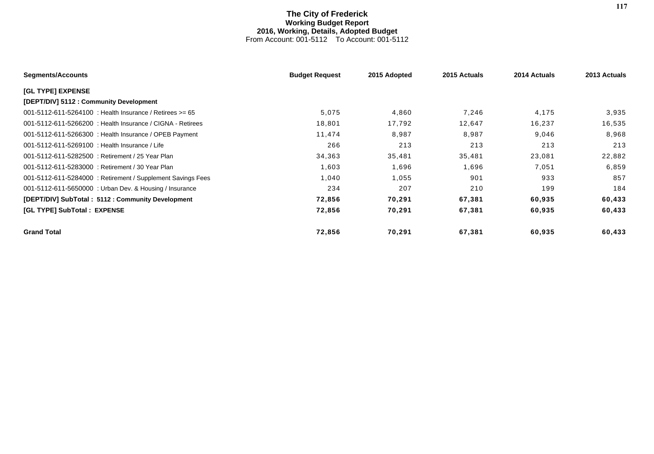# **The City of Frederick Working Budget Report 2016, Working, Details, Adopted Budget** From Account: 001-5112 To Account: 001-5112

| <b>Segments/Accounts</b>                                      | <b>Budget Request</b> | 2015 Adopted | 2015 Actuals | 2014 Actuals | 2013 Actuals |
|---------------------------------------------------------------|-----------------------|--------------|--------------|--------------|--------------|
| <b>IGL TYPEI EXPENSE</b>                                      |                       |              |              |              |              |
| [DEPT/DIV] 5112 : Community Development                       |                       |              |              |              |              |
| 001-5112-611-5264100 : Health Insurance / Retirees $\ge$ = 65 | 5,075                 | 4,860        | 7,246        | 4,175        | 3,935        |
| 001-5112-611-5266200 : Health Insurance / CIGNA - Retirees    | 18,801                | 17,792       | 12,647       | 16,237       | 16,535       |
| 001-5112-611-5266300 : Health Insurance / OPEB Payment        | 11,474                | 8,987        | 8,987        | 9,046        | 8,968        |
| 001-5112-611-5269100 : Health Insurance / Life                | 266                   | 213          | 213          | 213          | 213          |
| 001-5112-611-5282500: Retirement / 25 Year Plan               | 34,363                | 35,481       | 35,481       | 23,081       | 22,882       |
| 001-5112-611-5283000: Retirement / 30 Year Plan               | 1,603                 | 1,696        | 1,696        | 7,051        | 6,859        |
| 001-5112-611-5284000: Retirement / Supplement Savings Fees    | 1,040                 | 1,055        | 901          | 933          | 857          |
| 001-5112-611-5650000 : Urban Dev. & Housing / Insurance       | 234                   | 207          | 210          | 199          | 184          |
| [DEPT/DIV] SubTotal: 5112: Community Development              | 72,856                | 70,291       | 67,381       | 60,935       | 60,433       |
| [GL TYPE] SubTotal: EXPENSE                                   | 72,856                | 70,291       | 67,381       | 60,935       | 60,433       |
| <b>Grand Total</b>                                            | 72,856                | 70,291       | 67,381       | 60,935       | 60,433       |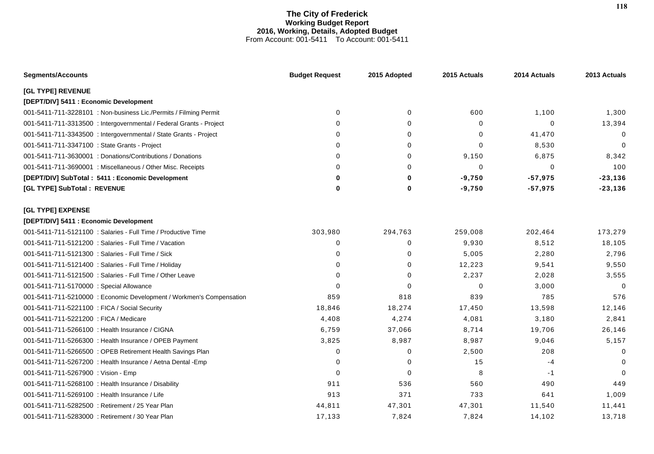# **The City of Frederick Working Budget Report 2016, Working, Details, Adopted Budget** From Account: 001-5411 To Account: 001-5411

| <b>Segments/Accounts</b>                                             | <b>Budget Request</b> | 2015 Adopted | 2015 Actuals | 2014 Actuals | 2013 Actuals |
|----------------------------------------------------------------------|-----------------------|--------------|--------------|--------------|--------------|
| [GL TYPE] REVENUE                                                    |                       |              |              |              |              |
| [DEPT/DIV] 5411 : Economic Development                               |                       |              |              |              |              |
| 001-5411-711-3228101 : Non-business Lic./Permits / Filming Permit    | 0                     | 0            | 600          | 1,100        | 1,300        |
| 001-5411-711-3313500 : Intergovernmental / Federal Grants - Project  | 0                     | 0            | 0            | $\Omega$     | 13,394       |
| 001-5411-711-3343500 : Intergovernmental / State Grants - Project    | 0                     | 0            | 0            | 41,470       | 0            |
| 001-5411-711-3347100 : State Grants - Project                        | 0                     | $\Omega$     | 0            | 8,530        | $\mathbf 0$  |
| 001-5411-711-3630001 : Donations/Contributions / Donations           | 0                     | 0            | 9,150        | 6,875        | 8,342        |
| 001-5411-711-3690001 : Miscellaneous / Other Misc. Receipts          | 0                     | 0            | $\mathbf 0$  | 0            | 100          |
| [DEPT/DIV] SubTotal: 5411: Economic Development                      | 0                     | $\bf{0}$     | $-9,750$     | $-57,975$    | $-23,136$    |
| [GL TYPE] SubTotal: REVENUE                                          | $\bf{0}$              | $\bf{0}$     | $-9,750$     | $-57,975$    | $-23,136$    |
| [GL TYPE] EXPENSE                                                    |                       |              |              |              |              |
| [DEPT/DIV] 5411 : Economic Development                               |                       |              |              |              |              |
| 001-5411-711-5121100 : Salaries - Full Time / Productive Time        | 303,980               | 294,763      | 259,008      | 202,464      | 173,279      |
| 001-5411-711-5121200 : Salaries - Full Time / Vacation               | 0                     | 0            | 9,930        | 8,512        | 18,105       |
| 001-5411-711-5121300 : Salaries - Full Time / Sick                   | 0                     | 0            | 5,005        | 2,280        | 2,796        |
| 001-5411-711-5121400 : Salaries - Full Time / Holiday                | 0                     | 0            | 12,223       | 9,541        | 9,550        |
| 001-5411-711-5121500 : Salaries - Full Time / Other Leave            | 0                     | $\Omega$     | 2,237        | 2,028        | 3,555        |
| 001-5411-711-5170000 : Special Allowance                             | 0                     | 0            | 0            | 3,000        | 0            |
| 001-5411-711-5210000 : Economic Development / Workmen's Compensation | 859                   | 818          | 839          | 785          | 576          |
| 001-5411-711-5221100 : FICA / Social Security                        | 18,846                | 18,274       | 17,450       | 13,598       | 12,146       |
| 001-5411-711-5221200 : FICA / Medicare                               | 4,408                 | 4,274        | 4,081        | 3,180        | 2,841        |
| 001-5411-711-5266100 : Health Insurance / CIGNA                      | 6,759                 | 37,066       | 8,714        | 19,706       | 26,146       |
| 001-5411-711-5266300 : Health Insurance / OPEB Payment               | 3,825                 | 8,987        | 8,987        | 9,046        | 5,157        |
| 001-5411-711-5266500 : OPEB Retirement Health Savings Plan           | 0                     | 0            | 2,500        | 208          | $\mathbf 0$  |
| 001-5411-711-5267200 : Health Insurance / Aetna Dental -Emp          | 0                     | $\Omega$     | 15           | -4           | $\Omega$     |
| 001-5411-711-5267900 : Vision - Emp                                  | 0                     | $\Omega$     | 8            | -1           | $\Omega$     |
| 001-5411-711-5268100 : Health Insurance / Disability                 | 911                   | 536          | 560          | 490          | 449          |
| 001-5411-711-5269100 : Health Insurance / Life                       | 913                   | 371          | 733          | 641          | 1,009        |
| 001-5411-711-5282500: Retirement / 25 Year Plan                      | 44,811                | 47,301       | 47,301       | 11,540       | 11,441       |
| 001-5411-711-5283000 : Retirement / 30 Year Plan                     | 17,133                | 7,824        | 7,824        | 14,102       | 13,718       |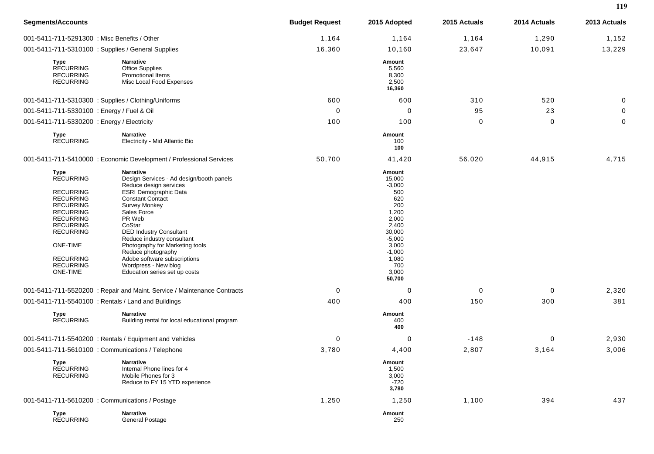| <b>Segments/Accounts</b>                                                                                                                                                                                                                    |                                                                                                                                                                                                                                                                                                                                                                                                                         | <b>Budget Request</b> | 2015 Adopted                                                                                                                                               | 2015 Actuals | 2014 Actuals | 2013 Actuals |
|---------------------------------------------------------------------------------------------------------------------------------------------------------------------------------------------------------------------------------------------|-------------------------------------------------------------------------------------------------------------------------------------------------------------------------------------------------------------------------------------------------------------------------------------------------------------------------------------------------------------------------------------------------------------------------|-----------------------|------------------------------------------------------------------------------------------------------------------------------------------------------------|--------------|--------------|--------------|
| 001-5411-711-5291300 : Misc Benefits / Other                                                                                                                                                                                                |                                                                                                                                                                                                                                                                                                                                                                                                                         | 1,164                 | 1,164                                                                                                                                                      | 1,164        | 1,290        | 1,152        |
| 001-5411-711-5310100 : Supplies / General Supplies                                                                                                                                                                                          |                                                                                                                                                                                                                                                                                                                                                                                                                         | 16,360                | 10,160                                                                                                                                                     | 23,647       | 10,091       | 13,229       |
| <b>Type</b><br><b>RECURRING</b><br><b>RECURRING</b><br><b>RECURRING</b>                                                                                                                                                                     | Narrative<br><b>Office Supplies</b><br><b>Promotional Items</b><br>Misc Local Food Expenses                                                                                                                                                                                                                                                                                                                             |                       | Amount<br>5,560<br>8,300<br>2,500<br>16,360                                                                                                                |              |              |              |
| 001-5411-711-5310300: Supplies / Clothing/Uniforms                                                                                                                                                                                          |                                                                                                                                                                                                                                                                                                                                                                                                                         | 600                   | 600                                                                                                                                                        | 310          | 520          | 0            |
| 001-5411-711-5330100 : Energy / Fuel & Oil                                                                                                                                                                                                  |                                                                                                                                                                                                                                                                                                                                                                                                                         | 0                     | $\mathbf 0$                                                                                                                                                | 95           | 23           | 0            |
| 001-5411-711-5330200 : Energy / Electricity                                                                                                                                                                                                 |                                                                                                                                                                                                                                                                                                                                                                                                                         | 100                   | 100                                                                                                                                                        | 0            | 0            | 0            |
| <b>Type</b><br><b>RECURRING</b>                                                                                                                                                                                                             | <b>Narrative</b><br>Electricity - Mid Atlantic Bio                                                                                                                                                                                                                                                                                                                                                                      |                       | Amount<br>100<br>100                                                                                                                                       |              |              |              |
|                                                                                                                                                                                                                                             | 001-5411-711-5410000 : Economic Development / Professional Services                                                                                                                                                                                                                                                                                                                                                     | 50,700                | 41,420                                                                                                                                                     | 56,020       | 44,915       | 4,715        |
| Type<br><b>RECURRING</b><br><b>RECURRING</b><br><b>RECURRING</b><br><b>RECURRING</b><br><b>RECURRING</b><br><b>RECURRING</b><br><b>RECURRING</b><br><b>RECURRING</b><br><b>ONE-TIME</b><br><b>RECURRING</b><br><b>RECURRING</b><br>ONE-TIME | <b>Narrative</b><br>Design Services - Ad design/booth panels<br>Reduce design services<br><b>ESRI Demographic Data</b><br><b>Constant Contact</b><br>Survey Monkey<br>Sales Force<br>PR Web<br>CoStar<br><b>DED Industry Consultant</b><br>Reduce industry consultant<br>Photography for Marketing tools<br>Reduce photography<br>Adobe software subscriptions<br>Wordpress - New blog<br>Education series set up costs |                       | Amount<br>15,000<br>$-3,000$<br>500<br>620<br>200<br>1,200<br>2,000<br>2,400<br>30,000<br>$-5,000$<br>3,000<br>$-1,000$<br>1,080<br>700<br>3,000<br>50,700 |              |              |              |
|                                                                                                                                                                                                                                             | 001-5411-711-5520200 : Repair and Maint. Service / Maintenance Contracts                                                                                                                                                                                                                                                                                                                                                | 0                     | 0                                                                                                                                                          | 0            | 0            | 2,320        |
| 001-5411-711-5540100 : Rentals / Land and Buildings<br><b>Type</b><br><b>RECURRING</b>                                                                                                                                                      | <b>Narrative</b><br>Building rental for local educational program                                                                                                                                                                                                                                                                                                                                                       | 400                   | 400<br>Amount<br>400<br>400                                                                                                                                | 150          | 300          | 381          |
| 001-5411-711-5540200: Rentals / Equipment and Vehicles                                                                                                                                                                                      |                                                                                                                                                                                                                                                                                                                                                                                                                         | 0                     | 0                                                                                                                                                          | $-148$       | 0            | 2,930        |
| 001-5411-711-5610100 : Communications / Telephone                                                                                                                                                                                           |                                                                                                                                                                                                                                                                                                                                                                                                                         | 3,780                 | 4,400                                                                                                                                                      | 2,807        | 3,164        | 3,006        |
| Type<br><b>RECURRING</b><br><b>RECURRING</b>                                                                                                                                                                                                | Narrative<br>Internal Phone lines for 4<br>Mobile Phones for 3<br>Reduce to FY 15 YTD experience                                                                                                                                                                                                                                                                                                                        |                       | Amount<br>1,500<br>3,000<br>$-720$<br>3,780                                                                                                                |              |              |              |
| 001-5411-711-5610200 : Communications / Postage                                                                                                                                                                                             |                                                                                                                                                                                                                                                                                                                                                                                                                         | 1,250                 | 1,250                                                                                                                                                      | 1,100        | 394          | 437          |
| Type<br><b>RECURRING</b>                                                                                                                                                                                                                    | <b>Narrative</b><br><b>General Postage</b>                                                                                                                                                                                                                                                                                                                                                                              |                       | Amount<br>250                                                                                                                                              |              |              |              |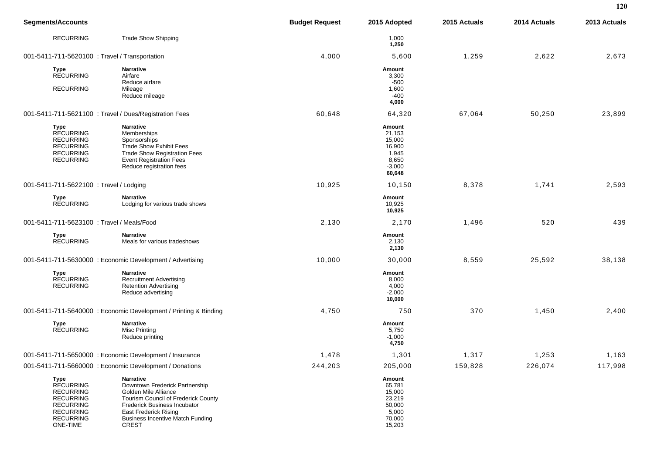| <b>Segments/Accounts</b>                                                                                                          |                                                                                                                                                                                                                                | <b>Budget Request</b> | 2015 Adopted                                                                 | 2015 Actuals | 2014 Actuals | 2013 Actuals |
|-----------------------------------------------------------------------------------------------------------------------------------|--------------------------------------------------------------------------------------------------------------------------------------------------------------------------------------------------------------------------------|-----------------------|------------------------------------------------------------------------------|--------------|--------------|--------------|
| <b>RECURRING</b>                                                                                                                  | <b>Trade Show Shipping</b>                                                                                                                                                                                                     |                       | 1,000<br>1,250                                                               |              |              |              |
| 001-5411-711-5620100 : Travel / Transportation                                                                                    |                                                                                                                                                                                                                                | 4,000                 | 5,600                                                                        | 1,259        | 2,622        | 2,673        |
| Type<br><b>RECURRING</b><br><b>RECURRING</b>                                                                                      | Narrative<br>Airfare<br>Reduce airfare<br>Mileage<br>Reduce mileage                                                                                                                                                            |                       | Amount<br>3,300<br>$-500$<br>1,600<br>$-400$<br>4,000                        |              |              |              |
| 001-5411-711-5621100 : Travel / Dues/Registration Fees                                                                            |                                                                                                                                                                                                                                | 60,648                | 64,320                                                                       | 67,064       | 50,250       | 23,899       |
| Type<br><b>RECURRING</b><br><b>RECURRING</b><br><b>RECURRING</b><br><b>RECURRING</b><br><b>RECURRING</b>                          | Narrative<br>Memberships<br>Sponsorships<br><b>Trade Show Exhibit Fees</b><br><b>Trade Show Registration Fees</b><br><b>Event Registration Fees</b><br>Reduce registration fees                                                |                       | Amount<br>21,153<br>15,000<br>16,900<br>1,945<br>8,650<br>$-3,000$<br>60,648 |              |              |              |
| 001-5411-711-5622100 : Travel / Lodging                                                                                           |                                                                                                                                                                                                                                | 10,925                | 10,150                                                                       | 8,378        | 1,741        | 2,593        |
| Type<br><b>RECURRING</b>                                                                                                          | <b>Narrative</b><br>Lodging for various trade shows                                                                                                                                                                            |                       | Amount<br>10,925<br>10,925                                                   |              |              |              |
| 001-5411-711-5623100 : Travel / Meals/Food                                                                                        |                                                                                                                                                                                                                                | 2,130                 | 2,170                                                                        | 1,496        | 520          | 439          |
| <b>Type</b><br><b>RECURRING</b>                                                                                                   | <b>Narrative</b><br>Meals for various tradeshows                                                                                                                                                                               |                       | Amount<br>2,130<br>2,130                                                     |              |              |              |
| 001-5411-711-5630000: Economic Development / Advertising                                                                          |                                                                                                                                                                                                                                | 10,000                | 30,000                                                                       | 8,559        | 25,592       | 38,138       |
| Type<br><b>RECURRING</b><br><b>RECURRING</b>                                                                                      | <b>Narrative</b><br><b>Recruitment Advertising</b><br><b>Retention Advertising</b><br>Reduce advertising                                                                                                                       |                       | Amount<br>8,000<br>4,000<br>$-2,000$<br>10,000                               |              |              |              |
|                                                                                                                                   | 001-5411-711-5640000: Economic Development / Printing & Binding                                                                                                                                                                | 4,750                 | 750                                                                          | 370          | 1,450        | 2,400        |
| <b>Type</b><br><b>RECURRING</b>                                                                                                   | <b>Narrative</b><br>Misc Printing<br>Reduce printing                                                                                                                                                                           |                       | Amount<br>5,750<br>$-1,000$<br>4,750                                         |              |              |              |
| 001-5411-711-5650000 : Economic Development / Insurance                                                                           |                                                                                                                                                                                                                                | 1,478                 | 1,301                                                                        | 1,317        | 1,253        | 1,163        |
| 001-5411-711-5660000: Economic Development / Donations                                                                            |                                                                                                                                                                                                                                | 244,203               | 205,000                                                                      | 159,828      | 226,074      | 117,998      |
| Type<br>RECURRING<br><b>RECURRING</b><br><b>RECURRING</b><br><b>RECURRING</b><br><b>RECURRING</b><br><b>RECURRING</b><br>ONE-TIME | Narrative<br>Downtown Frederick Partnership<br>Golden Mile Alliance<br>Tourism Council of Frederick County<br>Frederick Business Incubator<br><b>East Frederick Rising</b><br><b>Business Incentive Match Funding</b><br>CREST |                       | Amount<br>65,781<br>15,000<br>23,219<br>50,000<br>5,000<br>70,000<br>15,203  |              |              |              |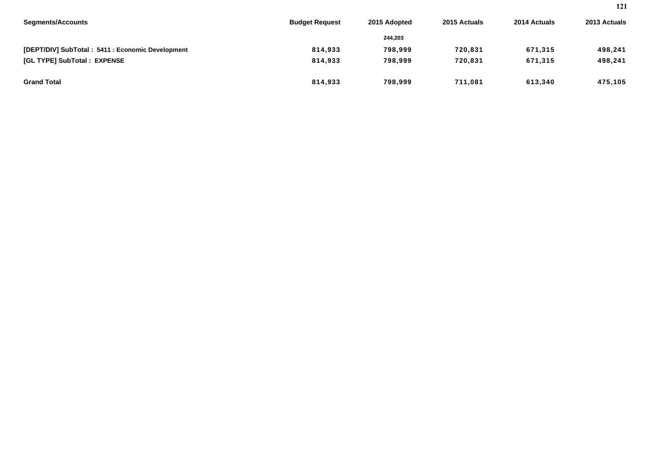| <b>Segments/Accounts</b>                        | <b>Budget Request</b> | 2015 Adopted | 2015 Actuals | 2014 Actuals | 2013 Actuals |
|-------------------------------------------------|-----------------------|--------------|--------------|--------------|--------------|
|                                                 |                       | 244.203      |              |              |              |
| [DEPT/DIV] SubTotal: 5411: Economic Development | 814,933               | 798,999      | 720,831      | 671,315      | 498.241      |
| [GL TYPE] SubTotal: EXPENSE                     | 814,933               | 798.999      | 720,831      | 671,315      | 498,241      |
|                                                 |                       |              |              |              |              |
| <b>Grand Total</b>                              | 814,933               | 798,999      | 711,081      | 613,340      | 475,105      |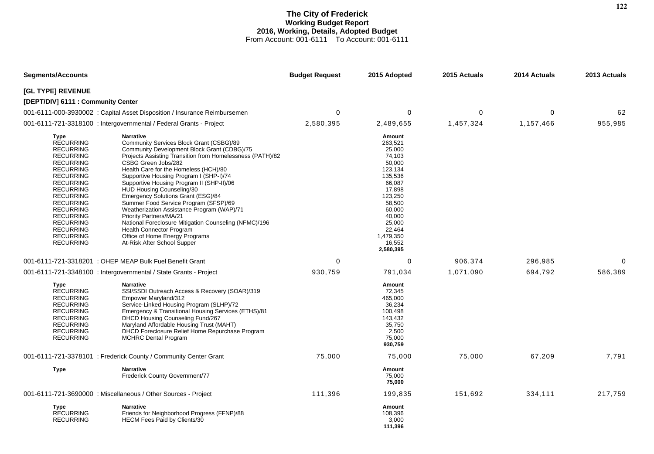| <b>Segments/Accounts</b>                                                                                                                                                                                                                                                                                                             |                                                                                                                                                                                                                                                                                                                                                                                                                                                                                                                                                                                                                                                                             | <b>Budget Request</b> | 2015 Adopted                                                                                                                                                                               | 2015 Actuals | 2014 Actuals | 2013 Actuals |
|--------------------------------------------------------------------------------------------------------------------------------------------------------------------------------------------------------------------------------------------------------------------------------------------------------------------------------------|-----------------------------------------------------------------------------------------------------------------------------------------------------------------------------------------------------------------------------------------------------------------------------------------------------------------------------------------------------------------------------------------------------------------------------------------------------------------------------------------------------------------------------------------------------------------------------------------------------------------------------------------------------------------------------|-----------------------|--------------------------------------------------------------------------------------------------------------------------------------------------------------------------------------------|--------------|--------------|--------------|
| [GL TYPE] REVENUE                                                                                                                                                                                                                                                                                                                    |                                                                                                                                                                                                                                                                                                                                                                                                                                                                                                                                                                                                                                                                             |                       |                                                                                                                                                                                            |              |              |              |
| [DEPT/DIV] 6111 : Community Center                                                                                                                                                                                                                                                                                                   |                                                                                                                                                                                                                                                                                                                                                                                                                                                                                                                                                                                                                                                                             |                       |                                                                                                                                                                                            |              |              |              |
|                                                                                                                                                                                                                                                                                                                                      | 001-6111-000-3930002 : Capital Asset Disposition / Insurance Reimbursemen                                                                                                                                                                                                                                                                                                                                                                                                                                                                                                                                                                                                   | 0                     | 0                                                                                                                                                                                          | 0            | $\mathbf 0$  | 62           |
|                                                                                                                                                                                                                                                                                                                                      | 001-6111-721-3318100 : Intergovernmental / Federal Grants - Project                                                                                                                                                                                                                                                                                                                                                                                                                                                                                                                                                                                                         | 2,580,395             | 2,489,655                                                                                                                                                                                  | 1,457,324    | 1,157,466    | 955,985      |
| Type<br><b>RECURRING</b><br><b>RECURRING</b><br><b>RECURRING</b><br><b>RECURRING</b><br><b>RECURRING</b><br><b>RECURRING</b><br><b>RECURRING</b><br><b>RECURRING</b><br><b>RECURRING</b><br><b>RECURRING</b><br><b>RECURRING</b><br><b>RECURRING</b><br><b>RECURRING</b><br><b>RECURRING</b><br><b>RECURRING</b><br><b>RECURRING</b> | <b>Narrative</b><br>Community Services Block Grant (CSBG)/89<br>Community Development Block Grant (CDBG)/75<br>Projects Assisting Transition from Homelessness (PATH)/82<br>CSBG Green Jobs/282<br>Health Care for the Homeless (HCH)/80<br>Supportive Housing Program I (SHP-I)/74<br>Supportive Housing Program II (SHP-II)/06<br>HUD Housing Counseling/30<br>Emergency Solutions Grant (ESG)/84<br>Summer Food Service Program (SFSP)/69<br>Weatherization Assistance Program (WAP)/71<br>Priority Partners/MA/21<br>National Foreclosure Mitigation Counseling (NFMC)/196<br>Health Connector Program<br>Office of Home Energy Programs<br>At-Risk After School Supper |                       | Amount<br>263,521<br>25,000<br>74,103<br>50,000<br>123,134<br>135,536<br>66,087<br>17,898<br>123,250<br>58,500<br>60,000<br>40,000<br>25,000<br>22,464<br>1,479,350<br>16,552<br>2,580,395 |              |              |              |
|                                                                                                                                                                                                                                                                                                                                      | 001-6111-721-3318201 : OHEP MEAP Bulk Fuel Benefit Grant                                                                                                                                                                                                                                                                                                                                                                                                                                                                                                                                                                                                                    | 0                     | 0                                                                                                                                                                                          | 906.374      | 296,985      | $\Omega$     |
|                                                                                                                                                                                                                                                                                                                                      | 001-6111-721-3348100 : Intergovernmental / State Grants - Project                                                                                                                                                                                                                                                                                                                                                                                                                                                                                                                                                                                                           | 930,759               | 791,034                                                                                                                                                                                    | 1,071,090    | 694,792      | 586,389      |
| Type<br><b>RECURRING</b><br><b>RECURRING</b><br><b>RECURRING</b><br><b>RECURRING</b><br><b>RECURRING</b><br><b>RECURRING</b><br><b>RECURRING</b><br><b>RECURRING</b>                                                                                                                                                                 | <b>Narrative</b><br>SSI/SSDI Outreach Access & Recovery (SOAR)/319<br>Empower Maryland/312<br>Service-Linked Housing Program (SLHP)/72<br>Emergency & Transitional Housing Services (ETHS)/81<br>DHCD Housing Counseling Fund/267<br>Maryland Affordable Housing Trust (MAHT)<br>DHCD Foreclosure Relief Home Repurchase Program<br><b>MCHRC Dental Program</b>                                                                                                                                                                                                                                                                                                             |                       | Amount<br>72,345<br>465,000<br>36,234<br>100,498<br>143.432<br>35,750<br>2,500<br>75,000<br>930,759                                                                                        |              |              |              |
|                                                                                                                                                                                                                                                                                                                                      | 001-6111-721-3378101 : Frederick County / Community Center Grant                                                                                                                                                                                                                                                                                                                                                                                                                                                                                                                                                                                                            | 75,000                | 75,000                                                                                                                                                                                     | 75,000       | 67,209       | 7,791        |
| Type                                                                                                                                                                                                                                                                                                                                 | <b>Narrative</b><br>Frederick County Government/77                                                                                                                                                                                                                                                                                                                                                                                                                                                                                                                                                                                                                          |                       | Amount<br>75,000<br>75,000                                                                                                                                                                 |              |              |              |
|                                                                                                                                                                                                                                                                                                                                      | 001-6111-721-3690000 : Miscellaneous / Other Sources - Project                                                                                                                                                                                                                                                                                                                                                                                                                                                                                                                                                                                                              | 111,396               | 199,835                                                                                                                                                                                    | 151,692      | 334,111      | 217,759      |
| Type<br><b>RECURRING</b><br><b>RECURRING</b>                                                                                                                                                                                                                                                                                         | <b>Narrative</b><br>Friends for Neighborhood Progress (FFNP)/88<br>HECM Fees Paid by Clients/30                                                                                                                                                                                                                                                                                                                                                                                                                                                                                                                                                                             |                       | Amount<br>108,396<br>3,000<br>111,396                                                                                                                                                      |              |              |              |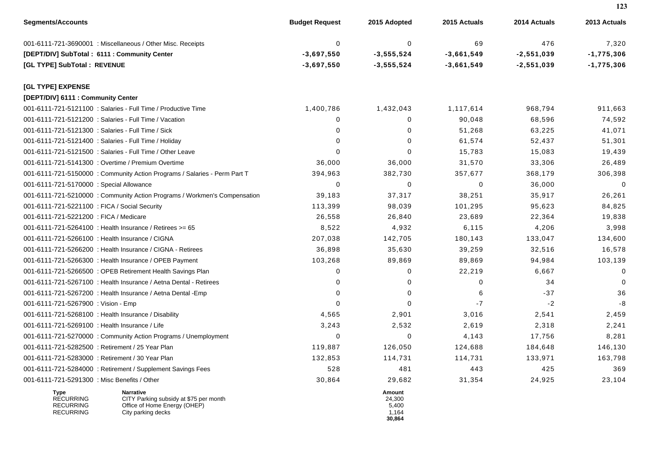| <b>Segments/Accounts</b>                                         |                                                                                                                  | <b>Budget Request</b> | 2015 Adopted                                 | 2015 Actuals | 2014 Actuals | 2013 Actuals |
|------------------------------------------------------------------|------------------------------------------------------------------------------------------------------------------|-----------------------|----------------------------------------------|--------------|--------------|--------------|
|                                                                  | 001-6111-721-3690001 : Miscellaneous / Other Misc. Receipts                                                      | 0                     | 0                                            | 69           | 476          | 7,320        |
| [DEPT/DIV] SubTotal: 6111 : Community Center                     |                                                                                                                  | $-3,697,550$          | $-3,555,524$                                 | $-3,661,549$ | $-2,551,039$ | $-1,775,306$ |
| [GL TYPE] SubTotal: REVENUE                                      |                                                                                                                  | $-3,697,550$          | $-3,555,524$                                 | $-3,661,549$ | $-2,551,039$ | $-1,775,306$ |
| [GL TYPE] EXPENSE                                                |                                                                                                                  |                       |                                              |              |              |              |
| [DEPT/DIV] 6111 : Community Center                               |                                                                                                                  |                       |                                              |              |              |              |
|                                                                  | 001-6111-721-5121100 : Salaries - Full Time / Productive Time                                                    | 1,400,786             | 1,432,043                                    | 1,117,614    | 968,794      | 911,663      |
| 001-6111-721-5121200 : Salaries - Full Time / Vacation           |                                                                                                                  | 0                     | 0                                            | 90,048       | 68,596       | 74,592       |
| 001-6111-721-5121300 : Salaries - Full Time / Sick               |                                                                                                                  | 0                     | 0                                            | 51,268       | 63,225       | 41,071       |
| 001-6111-721-5121400 : Salaries - Full Time / Holiday            |                                                                                                                  | 0                     | $\Omega$                                     | 61,574       | 52,437       | 51,301       |
| 001-6111-721-5121500 : Salaries - Full Time / Other Leave        |                                                                                                                  | 0                     | $\Omega$                                     | 15,783       | 15,083       | 19,439       |
| 001-6111-721-5141300 : Overtime / Premium Overtime               |                                                                                                                  | 36,000                | 36,000                                       | 31,570       | 33,306       | 26,489       |
|                                                                  | 001-6111-721-5150000: Community Action Programs / Salaries - Perm Part T                                         | 394,963               | 382,730                                      | 357,677      | 368,179      | 306,398      |
| 001-6111-721-5170000 : Special Allowance                         |                                                                                                                  | 0                     | 0                                            | 0            | 36,000       | 0            |
|                                                                  | 001-6111-721-5210000 : Community Action Programs / Workmen's Compensation                                        | 39,183                | 37,317                                       | 38,251       | 35,917       | 26,261       |
| 001-6111-721-5221100 : FICA / Social Security                    |                                                                                                                  | 113,399               | 98,039                                       | 101,295      | 95,623       | 84,825       |
| 001-6111-721-5221200 : FICA / Medicare                           |                                                                                                                  | 26,558                | 26,840                                       | 23,689       | 22,364       | 19,838       |
| 001-6111-721-5264100 : Health Insurance / Retirees >= 65         |                                                                                                                  | 8,522                 | 4,932                                        | 6,115        | 4,206        | 3,998        |
| 001-6111-721-5266100 : Health Insurance / CIGNA                  |                                                                                                                  | 207,038               | 142,705                                      | 180,143      | 133,047      | 134,600      |
| 001-6111-721-5266200 : Health Insurance / CIGNA - Retirees       |                                                                                                                  | 36,898                | 35,630                                       | 39,259       | 32,516       | 16,578       |
| 001-6111-721-5266300 : Health Insurance / OPEB Payment           |                                                                                                                  | 103,268               | 89,869                                       | 89,869       | 94,984       | 103,139      |
|                                                                  | 001-6111-721-5266500 : OPEB Retirement Health Savings Plan                                                       | 0                     | 0                                            | 22,219       | 6,667        | 0            |
|                                                                  | 001-6111-721-5267100 : Health Insurance / Aetna Dental - Retirees                                                | 0                     | 0                                            | 0            | 34           | 0            |
|                                                                  | 001-6111-721-5267200 : Health Insurance / Aetna Dental - Emp                                                     | 0                     | 0                                            | 6            | $-37$        | 36           |
| 001-6111-721-5267900 : Vision - Emp                              |                                                                                                                  | 0                     | 0                                            | $-7$         | $-2$         | -8           |
| 001-6111-721-5268100 : Health Insurance / Disability             |                                                                                                                  | 4,565                 | 2,901                                        | 3,016        | 2,541        | 2,459        |
| 001-6111-721-5269100 : Health Insurance / Life                   |                                                                                                                  | 3,243                 | 2,532                                        | 2,619        | 2,318        | 2,241        |
|                                                                  | 001-6111-721-5270000: Community Action Programs / Unemployment                                                   | 0                     | $\Omega$                                     | 4,143        | 17,756       | 8,281        |
| 001-6111-721-5282500 : Retirement / 25 Year Plan                 |                                                                                                                  | 119,887               | 126,050                                      | 124,688      | 184,648      | 146,130      |
| 001-6111-721-5283000: Retirement / 30 Year Plan                  |                                                                                                                  | 132,853               | 114.731                                      | 114,731      | 133,971      | 163,798      |
|                                                                  | 001-6111-721-5284000: Retirement / Supplement Savings Fees                                                       | 528                   | 481                                          | 443          | 425          | 369          |
| 001-6111-721-5291300 : Misc Benefits / Other                     |                                                                                                                  | 30,864                | 29,682                                       | 31,354       | 24,925       | 23,104       |
| Type<br><b>RECURRING</b><br><b>RECURRING</b><br><b>RECURRING</b> | <b>Narrative</b><br>CITY Parking subsidy at \$75 per month<br>Office of Home Energy (OHEP)<br>City parking decks |                       | Amount<br>24,300<br>5,400<br>1,164<br>30,864 |              |              |              |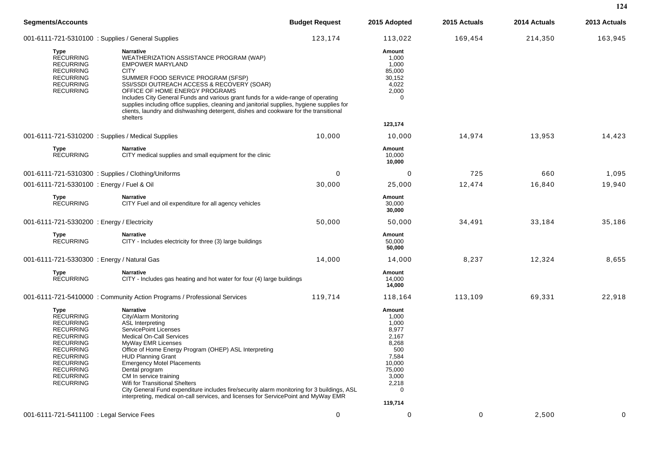| <b>Segments/Accounts</b>                                                                                                                                                                                                         |                                                                                                                                                                                                                                                                                                                                                                                                                                                                                                                                                      | <b>Budget Request</b> | 2015 Adopted                                                                                              | 2015 Actuals | 2014 Actuals | 2013 Actuals |
|----------------------------------------------------------------------------------------------------------------------------------------------------------------------------------------------------------------------------------|------------------------------------------------------------------------------------------------------------------------------------------------------------------------------------------------------------------------------------------------------------------------------------------------------------------------------------------------------------------------------------------------------------------------------------------------------------------------------------------------------------------------------------------------------|-----------------------|-----------------------------------------------------------------------------------------------------------|--------------|--------------|--------------|
| 001-6111-721-5310100 : Supplies / General Supplies                                                                                                                                                                               |                                                                                                                                                                                                                                                                                                                                                                                                                                                                                                                                                      | 123,174               | 113,022                                                                                                   | 169,454      | 214,350      | 163,945      |
| <b>Type</b><br><b>RECURRING</b><br><b>RECURRING</b><br><b>RECURRING</b><br><b>RECURRING</b><br><b>RECURRING</b><br><b>RECURRING</b>                                                                                              | Narrative<br>WEATHERIZATION ASSISTANCE PROGRAM (WAP)<br><b>EMPOWER MARYLAND</b><br><b>CITY</b><br>SUMMER FOOD SERVICE PROGRAM (SFSP)<br>SSI/SSDI OUTREACH ACCESS & RECOVERY (SOAR)<br>OFFICE OF HOME ENERGY PROGRAMS<br>Includes City General Funds and various grant funds for a wide-range of operating<br>supplies including office supplies, cleaning and janitorial supplies, hygiene supplies for<br>clients, laundry and dishwashing detergent, dishes and cookware for the transitional<br>shelters                                          |                       | Amount<br>1,000<br>1,000<br>85,000<br>30,152<br>4,022<br>2,000<br>$\Omega$                                |              |              |              |
|                                                                                                                                                                                                                                  |                                                                                                                                                                                                                                                                                                                                                                                                                                                                                                                                                      |                       | 123,174                                                                                                   |              |              |              |
| 001-6111-721-5310200 : Supplies / Medical Supplies<br>Type<br><b>RECURRING</b>                                                                                                                                                   | Narrative<br>CITY medical supplies and small equipment for the clinic                                                                                                                                                                                                                                                                                                                                                                                                                                                                                | 10,000                | 10,000<br>Amount<br>10,000<br>10,000                                                                      | 14,974       | 13,953       | 14,423       |
| 001-6111-721-5310300: Supplies / Clothing/Uniforms                                                                                                                                                                               |                                                                                                                                                                                                                                                                                                                                                                                                                                                                                                                                                      | 0                     | 0                                                                                                         | 725          | 660          | 1,095        |
| 001-6111-721-5330100 : Energy / Fuel & Oil                                                                                                                                                                                       |                                                                                                                                                                                                                                                                                                                                                                                                                                                                                                                                                      | 30,000                | 25,000                                                                                                    | 12,474       | 16,840       | 19,940       |
| Type<br><b>RECURRING</b>                                                                                                                                                                                                         | <b>Narrative</b><br>CITY Fuel and oil expenditure for all agency vehicles                                                                                                                                                                                                                                                                                                                                                                                                                                                                            |                       | Amount<br>30,000<br>30,000                                                                                |              |              |              |
| 001-6111-721-5330200 : Energy / Electricity                                                                                                                                                                                      |                                                                                                                                                                                                                                                                                                                                                                                                                                                                                                                                                      | 50,000                | 50,000                                                                                                    | 34,491       | 33,184       | 35,186       |
| Type<br><b>RECURRING</b>                                                                                                                                                                                                         | <b>Narrative</b><br>CITY - Includes electricity for three (3) large buildings                                                                                                                                                                                                                                                                                                                                                                                                                                                                        |                       | Amount<br>50,000<br>50,000                                                                                |              |              |              |
| 001-6111-721-5330300 : Energy / Natural Gas                                                                                                                                                                                      |                                                                                                                                                                                                                                                                                                                                                                                                                                                                                                                                                      | 14,000                | 14,000                                                                                                    | 8,237        | 12,324       | 8,655        |
| Type<br><b>RECURRING</b>                                                                                                                                                                                                         | Narrative<br>CITY - Includes gas heating and hot water for four (4) large buildings                                                                                                                                                                                                                                                                                                                                                                                                                                                                  |                       | Amount<br>14,000<br>14,000                                                                                |              |              |              |
|                                                                                                                                                                                                                                  | 001-6111-721-5410000 : Community Action Programs / Professional Services                                                                                                                                                                                                                                                                                                                                                                                                                                                                             | 119,714               | 118,164                                                                                                   | 113,109      | 69,331       | 22,918       |
| Type<br><b>RECURRING</b><br><b>RECURRING</b><br><b>RECURRING</b><br><b>RECURRING</b><br><b>RECURRING</b><br><b>RECURRING</b><br><b>RECURRING</b><br><b>RECURRING</b><br><b>RECURRING</b><br><b>RECURRING</b><br><b>RECURRING</b> | Narrative<br>City/Alarm Monitoring<br><b>ASL Interpreting</b><br><b>ServicePoint Licenses</b><br><b>Medical On-Call Services</b><br>MyWay EMR Licenses<br>Office of Home Energy Program (OHEP) ASL Interpreting<br><b>HUD Planning Grant</b><br><b>Emergency Motel Placements</b><br>Dental program<br>CM In service training<br>Wifi for Transitional Shelters<br>City General Fund expenditure includes fire/security alarm monitoring for 3 buildings, ASL<br>interpreting, medical on-call services, and licenses for ServicePoint and MyWay EMR |                       | Amount<br>1,000<br>1,000<br>8,977<br>2,167<br>8,268<br>500<br>7,584<br>10,000<br>75,000<br>3,000<br>2,218 |              |              |              |
|                                                                                                                                                                                                                                  |                                                                                                                                                                                                                                                                                                                                                                                                                                                                                                                                                      |                       | 119,714                                                                                                   |              |              |              |
| 001-6111-721-5411100 : Legal Service Fees                                                                                                                                                                                        |                                                                                                                                                                                                                                                                                                                                                                                                                                                                                                                                                      | 0                     | 0                                                                                                         | 0            | 2,500        | 0            |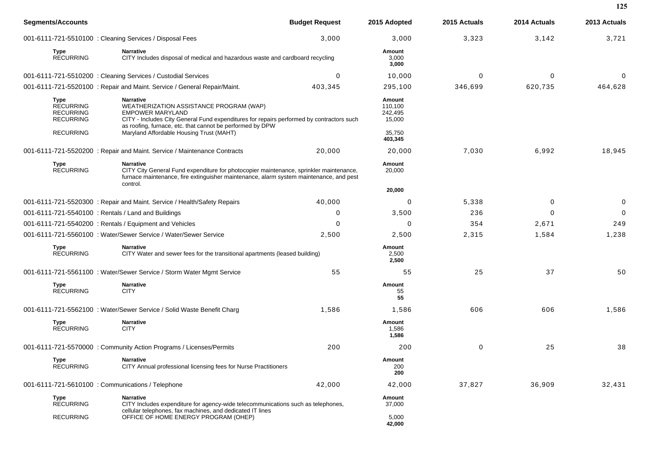| <b>Segments/Accounts</b>                                                             |                                                                                                                                                                                                                                                                                             | <b>Budget Request</b> | 2015 Adopted                                                | 2015 Actuals | 2014 Actuals | 2013 Actuals |
|--------------------------------------------------------------------------------------|---------------------------------------------------------------------------------------------------------------------------------------------------------------------------------------------------------------------------------------------------------------------------------------------|-----------------------|-------------------------------------------------------------|--------------|--------------|--------------|
|                                                                                      | 001-6111-721-5510100 : Cleaning Services / Disposal Fees                                                                                                                                                                                                                                    | 3,000                 | 3,000                                                       | 3,323        | 3,142        | 3,721        |
| Type<br><b>RECURRING</b>                                                             | <b>Narrative</b><br>CITY Includes disposal of medical and hazardous waste and cardboard recycling                                                                                                                                                                                           |                       | Amount<br>3,000<br>3,000                                    |              |              |              |
|                                                                                      | 001-6111-721-5510200 : Cleaning Services / Custodial Services                                                                                                                                                                                                                               | 0                     | 10,000                                                      | 0            | 0            | 0            |
|                                                                                      | 001-6111-721-5520100 : Repair and Maint. Service / General Repair/Maint.                                                                                                                                                                                                                    | 403,345               | 295,100                                                     | 346,699      | 620,735      | 464,628      |
| Type<br><b>RECURRING</b><br><b>RECURRING</b><br><b>RECURRING</b><br><b>RECURRING</b> | <b>Narrative</b><br>WEATHERIZATION ASSISTANCE PROGRAM (WAP)<br><b>EMPOWER MARYLAND</b><br>CITY - Includes City General Fund expenditures for repairs performed by contractors such<br>as roofing, furnace, etc. that cannot be performed by DPW<br>Maryland Affordable Housing Trust (MAHT) |                       | Amount<br>110,100<br>242,495<br>15,000<br>35,750<br>403,345 |              |              |              |
|                                                                                      | 001-6111-721-5520200 : Repair and Maint. Service / Maintenance Contracts                                                                                                                                                                                                                    | 20,000                | 20,000                                                      | 7,030        | 6,992        | 18,945       |
| Type<br><b>RECURRING</b>                                                             | <b>Narrative</b><br>CITY City General Fund expenditure for photocopier maintenance, sprinkler maintenance,<br>furnace maintenance, fire extinguisher maintenance, alarm system maintenance, and pest<br>control.                                                                            |                       | Amount<br>20,000                                            |              |              |              |
|                                                                                      |                                                                                                                                                                                                                                                                                             |                       | 20,000                                                      |              |              |              |
|                                                                                      | 001-6111-721-5520300 : Repair and Maint. Service / Health/Safety Repairs                                                                                                                                                                                                                    | 40,000                | 0                                                           | 5,338        | 0            | 0            |
|                                                                                      | 001-6111-721-5540100 : Rentals / Land and Buildings                                                                                                                                                                                                                                         | 0                     | 3,500                                                       | 236          | 0            | 0            |
|                                                                                      | 001-6111-721-5540200: Rentals / Equipment and Vehicles                                                                                                                                                                                                                                      | 0                     | $\Omega$                                                    | 354          | 2,671        | 249          |
|                                                                                      | 001-6111-721-5560100 : Water/Sewer Service / Water/Sewer Service                                                                                                                                                                                                                            | 2,500                 | 2,500                                                       | 2,315        | 1,584        | 1,238        |
| Type<br><b>RECURRING</b>                                                             | <b>Narrative</b><br>CITY Water and sewer fees for the transitional apartments (leased building)                                                                                                                                                                                             |                       | Amount<br>2,500<br>2,500                                    |              |              |              |
|                                                                                      | 001-6111-721-5561100 : Water/Sewer Service / Storm Water Mgmt Service                                                                                                                                                                                                                       | 55                    | 55                                                          | 25           | 37           | 50           |
| Type<br><b>RECURRING</b>                                                             | <b>Narrative</b><br><b>CITY</b>                                                                                                                                                                                                                                                             |                       | Amount<br>55<br>55                                          |              |              |              |
|                                                                                      | 001-6111-721-5562100 : Water/Sewer Service / Solid Waste Benefit Charg                                                                                                                                                                                                                      | 1,586                 | 1,586                                                       | 606          | 606          | 1,586        |
| <b>Type</b><br><b>RECURRING</b>                                                      | Narrative<br><b>CITY</b>                                                                                                                                                                                                                                                                    |                       | Amount<br>1,586<br>1,586                                    |              |              |              |
|                                                                                      | 001-6111-721-5570000 : Community Action Programs / Licenses/Permits                                                                                                                                                                                                                         | 200                   | 200                                                         | $\Omega$     | 25           | 38           |
| Type<br><b>RECURRING</b>                                                             | <b>Narrative</b><br>CITY Annual professional licensing fees for Nurse Practitioners                                                                                                                                                                                                         |                       | Amount<br>200<br>200                                        |              |              |              |
|                                                                                      | 001-6111-721-5610100 : Communications / Telephone                                                                                                                                                                                                                                           | 42,000                | 42,000                                                      | 37,827       | 36,909       | 32,431       |
| Type<br><b>RECURRING</b>                                                             | <b>Narrative</b><br>CITY Includes expenditure for agency-wide telecommunications such as telephones,<br>cellular telephones, fax machines, and dedicated IT lines                                                                                                                           |                       | Amount<br>37,000                                            |              |              |              |
| <b>RECURRING</b>                                                                     | OFFICE OF HOME ENERGY PROGRAM (OHEP)                                                                                                                                                                                                                                                        |                       | 5,000<br>42,000                                             |              |              |              |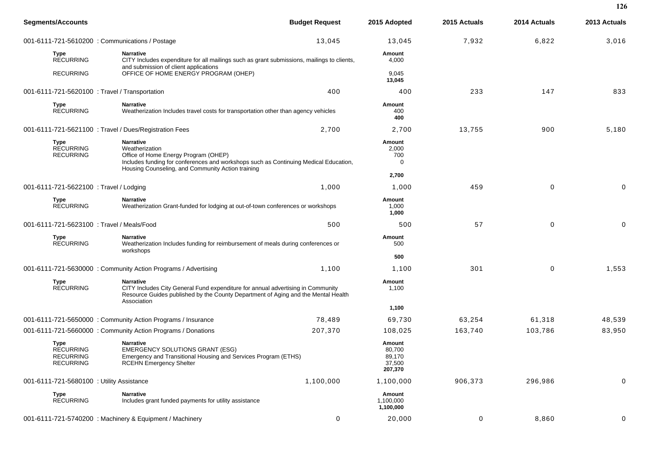| <b>Segments/Accounts</b>                                         |                                                                                                                                                                                                                  | <b>Budget Request</b> | 2015 Adopted                                    | 2015 Actuals | 2014 Actuals | 2013 Actuals |
|------------------------------------------------------------------|------------------------------------------------------------------------------------------------------------------------------------------------------------------------------------------------------------------|-----------------------|-------------------------------------------------|--------------|--------------|--------------|
|                                                                  | 001-6111-721-5610200 : Communications / Postage                                                                                                                                                                  | 13,045                | 13,045                                          | 7,932        | 6,822        | 3,016        |
| Type<br><b>RECURRING</b>                                         | <b>Narrative</b><br>CITY Includes expenditure for all mailings such as grant submissions, mailings to clients,                                                                                                   |                       | Amount<br>4,000                                 |              |              |              |
| <b>RECURRING</b>                                                 | and submission of client applications<br>OFFICE OF HOME ENERGY PROGRAM (OHEP)                                                                                                                                    |                       | 9,045<br>13,045                                 |              |              |              |
|                                                                  | 001-6111-721-5620100 : Travel / Transportation                                                                                                                                                                   | 400                   | 400                                             | 233          | 147          | 833          |
| Type<br><b>RECURRING</b>                                         | <b>Narrative</b><br>Weatherization Includes travel costs for transportation other than agency vehicles                                                                                                           |                       | Amount<br>400<br>400                            |              |              |              |
|                                                                  | 001-6111-721-5621100 : Travel / Dues/Registration Fees                                                                                                                                                           | 2,700                 | 2,700                                           | 13,755       | 900          | 5,180        |
| Type<br><b>RECURRING</b><br><b>RECURRING</b>                     | Narrative<br>Weatherization<br>Office of Home Energy Program (OHEP)<br>Includes funding for conferences and workshops such as Continuing Medical Education,<br>Housing Counseling, and Community Action training |                       | Amount<br>2,000<br>700<br>$\Omega$              |              |              |              |
|                                                                  |                                                                                                                                                                                                                  |                       | 2,700                                           |              |              |              |
| 001-6111-721-5622100 : Travel / Lodging                          |                                                                                                                                                                                                                  | 1,000                 | 1,000                                           | 459          | 0            | 0            |
| Type<br><b>RECURRING</b>                                         | <b>Narrative</b><br>Weatherization Grant-funded for lodging at out-of-town conferences or workshops                                                                                                              |                       | Amount<br>1,000<br>1,000                        |              |              |              |
| 001-6111-721-5623100 : Travel / Meals/Food                       |                                                                                                                                                                                                                  | 500                   | 500                                             | 57           | 0            | 0            |
| Type<br><b>RECURRING</b>                                         | Narrative<br>Weatherization Includes funding for reimbursement of meals during conferences or<br>workshops                                                                                                       |                       | Amount<br>500                                   |              |              |              |
|                                                                  |                                                                                                                                                                                                                  |                       | 500                                             |              |              |              |
|                                                                  | 001-6111-721-5630000: Community Action Programs / Advertising                                                                                                                                                    | 1,100                 | 1,100                                           | 301          | 0            | 1,553        |
| Type<br><b>RECURRING</b>                                         | <b>Narrative</b><br>CITY Includes City General Fund expenditure for annual advertising in Community<br>Resource Guides published by the County Department of Aging and the Mental Health                         |                       | Amount<br>1,100                                 |              |              |              |
|                                                                  | Association                                                                                                                                                                                                      |                       | 1,100                                           |              |              |              |
|                                                                  | 001-6111-721-5650000: Community Action Programs / Insurance                                                                                                                                                      | 78,489                | 69,730                                          | 63,254       | 61,318       | 48,539       |
|                                                                  | 001-6111-721-5660000: Community Action Programs / Donations                                                                                                                                                      | 207,370               | 108,025                                         | 163,740      | 103,786      | 83,950       |
| Type<br><b>RECURRING</b><br><b>RECURRING</b><br><b>RECURRING</b> | Narrative<br><b>EMERGENCY SOLUTIONS GRANT (ESG)</b><br>Emergency and Transitional Housing and Services Program (ETHS)<br><b>RCEHN Emergency Shelter</b>                                                          |                       | Amount<br>80,700<br>89,170<br>37,500<br>207,370 |              |              |              |
| 001-6111-721-5680100 : Utility Assistance                        |                                                                                                                                                                                                                  | 1,100,000             | 1,100,000                                       | 906,373      | 296,986      | 0            |
| Type<br><b>RECURRING</b>                                         | <b>Narrative</b><br>Includes grant funded payments for utility assistance                                                                                                                                        |                       | Amount<br>1.100.000<br>1,100,000                |              |              |              |
|                                                                  | 001-6111-721-5740200 : Machinery & Equipment / Machinery                                                                                                                                                         | 0                     | 20,000                                          | 0            | 8,860        | $\mathbf 0$  |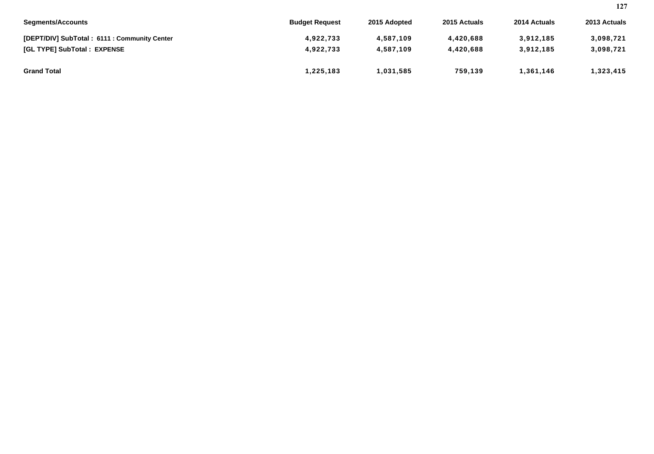| <b>Segments/Accounts</b>                                                   | <b>Budget Reguest</b>  | 2015 Adopted           | 2015 Actuals           | 2014 Actuals           | 2013 Actuals           |
|----------------------------------------------------------------------------|------------------------|------------------------|------------------------|------------------------|------------------------|
| [DEPT/DIV] SubTotal: 6111: Community Center<br>[GL TYPE] SubTotal: EXPENSE | 4,922,733<br>4,922,733 | 4.587.109<br>4.587.109 | 4.420.688<br>4.420.688 | 3,912,185<br>3,912,185 | 3,098,721<br>3,098,721 |
| <b>Grand Total</b>                                                         | 1,225,183              | .031.585               | 759,139                | 361,146. ا             | 1,323,415              |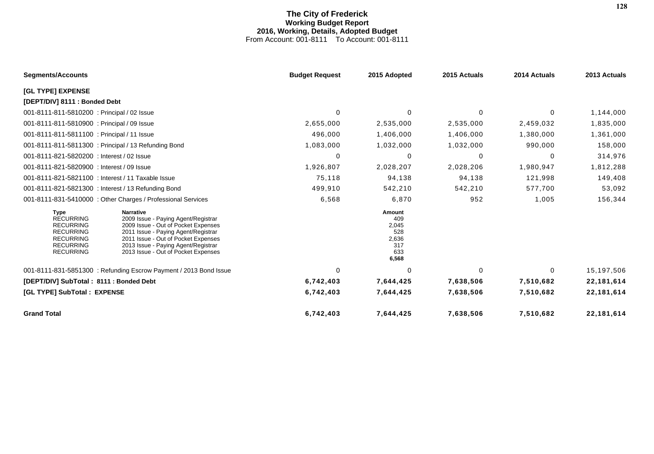# **The City of Frederick Working Budget Report 2016, Working, Details, Adopted Budget** From Account: 001-8111 To Account: 001-8111

| <b>Segments/Accounts</b>                                                                                                            |                                                                                                                                                                                                                                                            | <b>Budget Request</b> | 2015 Adopted                                                  | 2015 Actuals | 2014 Actuals | 2013 Actuals |
|-------------------------------------------------------------------------------------------------------------------------------------|------------------------------------------------------------------------------------------------------------------------------------------------------------------------------------------------------------------------------------------------------------|-----------------------|---------------------------------------------------------------|--------------|--------------|--------------|
| [GL TYPE] EXPENSE                                                                                                                   |                                                                                                                                                                                                                                                            |                       |                                                               |              |              |              |
| [DEPT/DIV] 8111 : Bonded Debt                                                                                                       |                                                                                                                                                                                                                                                            |                       |                                                               |              |              |              |
| 001-8111-811-5810200 : Principal / 02 Issue                                                                                         |                                                                                                                                                                                                                                                            | $\Omega$              | $\Omega$                                                      | 0            | 0            | 1,144,000    |
| 001-8111-811-5810900 : Principal / 09 Issue                                                                                         |                                                                                                                                                                                                                                                            | 2,655,000             | 2,535,000                                                     | 2,535,000    | 2,459,032    | 1,835,000    |
| 001-8111-811-5811100 : Principal / 11 Issue                                                                                         |                                                                                                                                                                                                                                                            | 496,000               | 1,406,000                                                     | 1,406,000    | 1,380,000    | 1,361,000    |
| 001-8111-811-5811300 : Principal / 13 Refunding Bond                                                                                |                                                                                                                                                                                                                                                            | 1,083,000             | 1,032,000                                                     | 1,032,000    | 990,000      | 158,000      |
| 001-8111-821-5820200 : Interest / 02 Issue                                                                                          |                                                                                                                                                                                                                                                            | 0                     | $\Omega$                                                      | 0            | 0            | 314,976      |
| 001-8111-821-5820900 : Interest / 09 Issue                                                                                          |                                                                                                                                                                                                                                                            | 1,926,807             | 2,028,207                                                     | 2,028,206    | 1,980,947    | 1,812,288    |
| 001-8111-821-5821100 : Interest / 11 Taxable Issue                                                                                  |                                                                                                                                                                                                                                                            | 75,118                | 94,138                                                        | 94,138       | 121,998      | 149,408      |
| 001-8111-821-5821300 : Interest / 13 Refunding Bond                                                                                 |                                                                                                                                                                                                                                                            | 499,910               | 542,210                                                       | 542,210      | 577,700      | 53,092       |
| 001-8111-831-5410000 : Other Charges / Professional Services                                                                        |                                                                                                                                                                                                                                                            | 6,568                 | 6,870                                                         | 952          | 1,005        | 156,344      |
| <b>Type</b><br><b>RECURRING</b><br><b>RECURRING</b><br><b>RECURRING</b><br><b>RECURRING</b><br><b>RECURRING</b><br><b>RECURRING</b> | <b>Narrative</b><br>2009 Issue - Paying Agent/Registrar<br>2009 Issue - Out of Pocket Expenses<br>2011 Issue - Paying Agent/Registrar<br>2011 Issue - Out of Pocket Expenses<br>2013 Issue - Paying Agent/Registrar<br>2013 Issue - Out of Pocket Expenses |                       | Amount<br>409<br>2,045<br>528<br>2,636<br>317<br>633<br>6,568 |              |              |              |
|                                                                                                                                     | 001-8111-831-5851300: Refunding Escrow Payment / 2013 Bond Issue                                                                                                                                                                                           | 0                     |                                                               | $\Omega$     | $\Omega$     | 15,197,506   |
| [DEPT/DIV] SubTotal: 8111: Bonded Debt                                                                                              |                                                                                                                                                                                                                                                            | 6,742,403             | 7,644,425                                                     | 7,638,506    | 7,510,682    | 22, 181, 614 |
| [GL TYPE] SubTotal: EXPENSE                                                                                                         |                                                                                                                                                                                                                                                            | 6,742,403             | 7,644,425                                                     | 7,638,506    | 7,510,682    | 22, 181, 614 |
| <b>Grand Total</b>                                                                                                                  |                                                                                                                                                                                                                                                            | 6,742,403             | 7,644,425                                                     | 7,638,506    | 7,510,682    | 22, 181, 614 |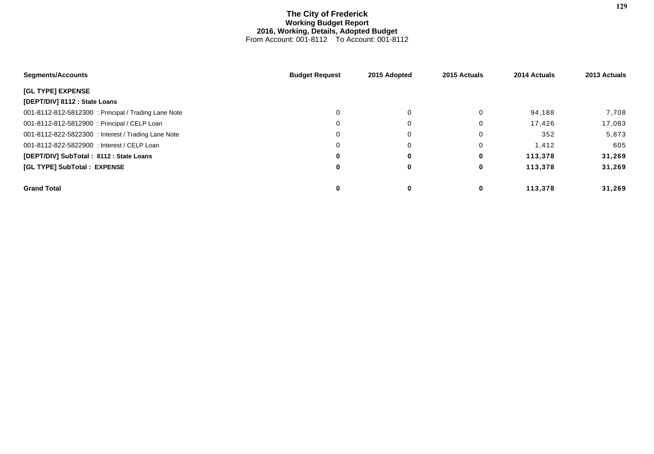# **The City of Frederick Working Budget Report 2016, Working, Details, Adopted Budget** From Account: 001-8112 To Account: 001-8112

| Segments/Accounts                                    | <b>Budget Request</b> | 2015 Adopted | 2015 Actuals | 2014 Actuals | 2013 Actuals |
|------------------------------------------------------|-----------------------|--------------|--------------|--------------|--------------|
| [GL TYPE] EXPENSE                                    |                       |              |              |              |              |
| [DEPT/DIV] 8112 : State Loans                        |                       |              |              |              |              |
| 001-8112-812-5812300 : Principal / Trading Lane Note |                       | 0            | $\Omega$     | 94,188       | 7,708        |
| 001-8112-812-5812900 : Principal / CELP Loan         | 0                     | 0            | 0            | 17,426       | 17,083       |
| 001-8112-822-5822300 : Interest / Trading Lane Note  |                       | $\Omega$     | $\Omega$     | 352          | 5,873        |
| 001-8112-822-5822900 : Interest / CELP Loan          |                       | $\Omega$     | $\Omega$     | 1,412        | 605          |
| [DEPT/DIV] SubTotal: 8112 : State Loans              | 0                     | 0            | 0            | 113,378      | 31,269       |
| [GL TYPE] SubTotal: EXPENSE                          | 0                     | 0            | 0            | 113,378      | 31,269       |
| <b>Grand Total</b>                                   |                       | 0            | 0            | 113,378      | 31,269       |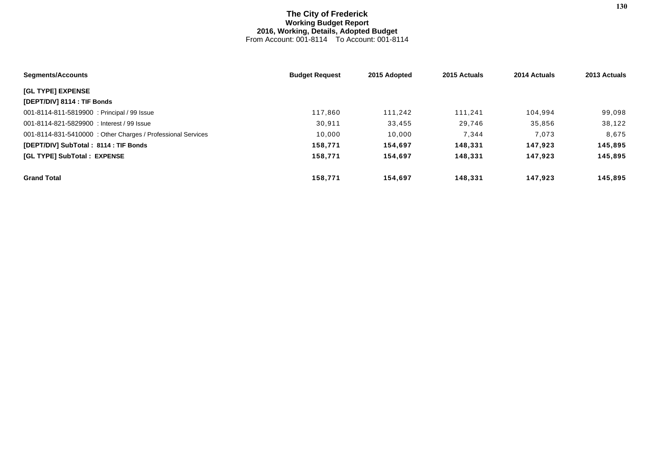# **The City of Frederick Working Budget Report 2016, Working, Details, Adopted Budget** From Account: 001-8114 To Account: 001-8114

| Segments/Accounts                                           | <b>Budget Request</b> | 2015 Adopted | 2015 Actuals | 2014 Actuals | 2013 Actuals |
|-------------------------------------------------------------|-----------------------|--------------|--------------|--------------|--------------|
| [GL TYPE] EXPENSE                                           |                       |              |              |              |              |
| [DEPT/DIV] 8114 : TIF Bonds                                 |                       |              |              |              |              |
| 001-8114-811-5819900 : Principal / 99 Issue                 | 117,860               | 111.242      | 111.241      | 104,994      | 99,098       |
| 001-8114-821-5829900 : Interest / 99 Issue                  | 30,911                | 33.455       | 29.746       | 35,856       | 38,122       |
| 001-8114-831-5410000: Other Charges / Professional Services | 10,000                | 10,000       | 7,344        | 7,073        | 8,675        |
| [DEPT/DIV] SubTotal: 8114 : TIF Bonds                       | 158,771               | 154.697      | 148,331      | 147,923      | 145,895      |
| [GL TYPE] SubTotal: EXPENSE                                 | 158.771               | 154.697      | 148.331      | 147.923      | 145,895      |
| <b>Grand Total</b>                                          | 158.771               | 154.697      | 148.331      | 147.923      | 145.895      |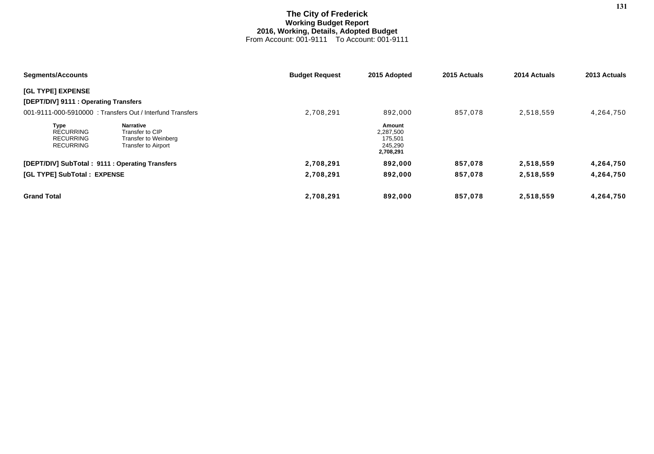# **The City of Frederick Working Budget Report 2016, Working, Details, Adopted Budget** From Account: 001-9111 To Account: 001-9111

| <b>Segments/Accounts</b>                                          |                                                                                           | <b>Budget Request</b> | 2015 Adopted                                           | 2015 Actuals | 2014 Actuals | 2013 Actuals |
|-------------------------------------------------------------------|-------------------------------------------------------------------------------------------|-----------------------|--------------------------------------------------------|--------------|--------------|--------------|
| <b>IGL TYPEI EXPENSE</b><br>[DEPT/DIV] 9111 : Operating Transfers | 001-9111-000-5910000: Transfers Out / Interfund Transfers                                 | 2,708,291             | 892.000                                                | 857.078      | 2,518,559    | 4,264,750    |
| Type<br><b>RECURRING</b><br><b>RECURRING</b><br><b>RECURRING</b>  | <b>Narrative</b><br>Transfer to CIP<br>Transfer to Weinberg<br><b>Transfer to Airport</b> |                       | Amount<br>2,287,500<br>175,501<br>245,290<br>2,708,291 |              |              |              |
| [DEPT/DIV] SubTotal: 9111: Operating Transfers                    |                                                                                           | 2,708,291             | 892,000                                                | 857,078      | 2,518,559    | 4,264,750    |
| [GL TYPE] SubTotal: EXPENSE                                       |                                                                                           | 2,708,291             | 892,000                                                | 857,078      | 2,518,559    | 4,264,750    |
| <b>Grand Total</b>                                                |                                                                                           | 2,708,291             | 892,000                                                | 857,078      | 2,518,559    | 4,264,750    |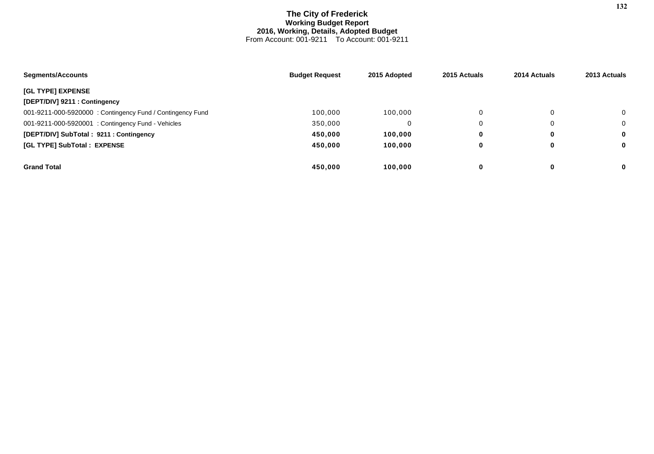# **The City of Frederick Working Budget Report 2016, Working, Details, Adopted Budget** From Account: 001-9211 To Account: 001-9211

| <b>Segments/Accounts</b>                                  | <b>Budget Request</b> | 2015 Adopted | 2015 Actuals | 2014 Actuals | 2013 Actuals |
|-----------------------------------------------------------|-----------------------|--------------|--------------|--------------|--------------|
| <b>IGL TYPEI EXPENSE</b>                                  |                       |              |              |              |              |
| [DEPT/DIV] 9211 : Contingency                             |                       |              |              |              |              |
| 001-9211-000-5920000: Contingency Fund / Contingency Fund | 100.000               | 100.000      | 0            | 0            | $\Omega$     |
| 001-9211-000-5920001 : Contingency Fund - Vehicles        | 350,000               | $\Omega$     | 0            | 0            | 0            |
| [DEPT/DIV] SubTotal: 9211: Contingency                    | 450,000               | 100,000      | 0            | 0            | $\bf{0}$     |
| [GL TYPE] SubTotal: EXPENSE                               | 450,000               | 100,000      | 0            | 0            | 0            |
| <b>Grand Total</b>                                        | 450,000               | 100.000      | 0            | U            | 0            |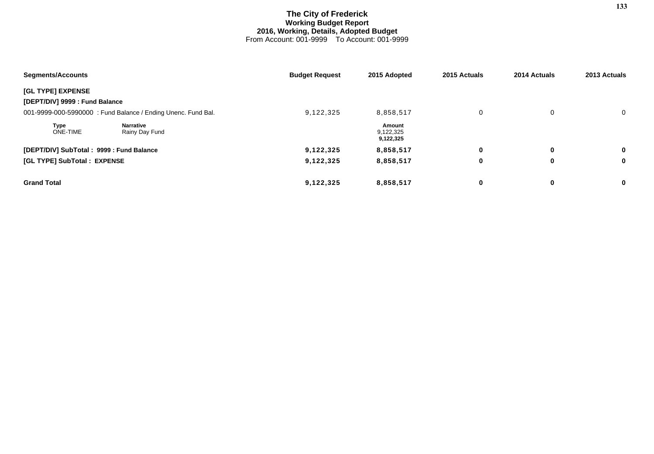# **The City of Frederick Working Budget Report 2016, Working, Details, Adopted Budget** From Account: 001-9999 To Account: 001-9999

| <b>Segments/Accounts</b>                            |                                                              | <b>Budget Request</b> | 2015 Adopted                     | 2015 Actuals | 2014 Actuals | 2013 Actuals |
|-----------------------------------------------------|--------------------------------------------------------------|-----------------------|----------------------------------|--------------|--------------|--------------|
| [GL TYPE] EXPENSE<br>[DEPT/DIV] 9999 : Fund Balance |                                                              |                       |                                  |              |              |              |
|                                                     | 001-9999-000-5990000: Fund Balance / Ending Unenc. Fund Bal. | 9,122,325             | 8,858,517                        | 0            | 0            | 0            |
| <b>Type</b><br>ONE-TIME                             | Narrative<br>Rainy Day Fund                                  |                       | Amount<br>9,122,325<br>9,122,325 |              |              |              |
| [DEPT/DIV] SubTotal: 9999 : Fund Balance            |                                                              | 9,122,325             | 8,858,517                        | 0            | 0            | $\mathbf 0$  |
| [GL TYPE] SubTotal: EXPENSE                         |                                                              | 9,122,325             | 8,858,517                        | 0            | 0            | 0            |
| <b>Grand Total</b>                                  |                                                              | 9,122,325             | 8,858,517                        | 0            | 0            | 0            |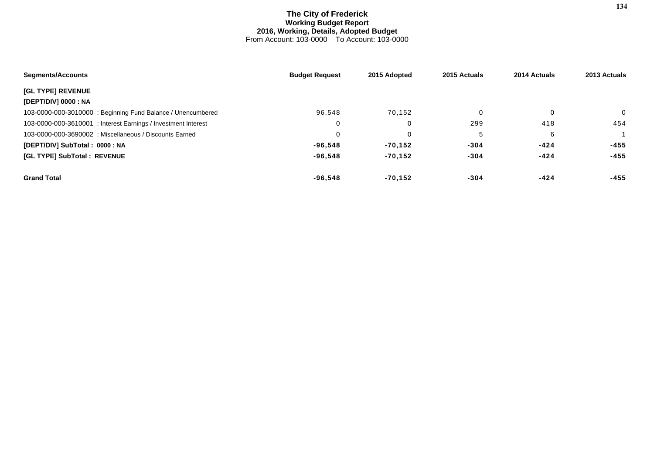# **The City of Frederick Working Budget Report 2016, Working, Details, Adopted Budget** From Account: 103-0000 To Account: 103-0000

| <b>Segments/Accounts</b>                                       | <b>Budget Request</b> | 2015 Adopted | 2015 Actuals | 2014 Actuals | 2013 Actuals |
|----------------------------------------------------------------|-----------------------|--------------|--------------|--------------|--------------|
| [GL TYPE] REVENUE<br>[DEPT/DIV] 0000 : NA                      |                       |              |              |              |              |
| 103-0000-000-3010000 : Beginning Fund Balance / Unencumbered   | 96.548                | 70,152       | 0            | 0            | $\mathbf{0}$ |
| 103-0000-000-3610001 : Interest Earnings / Investment Interest | 0                     | 0            | 299          | 418          | 454          |
| 103-0000-000-3690002 : Miscellaneous / Discounts Earned        | 0                     | 0            | 5            | 6            |              |
| [DEPT/DIV] SubTotal: 0000: NA                                  | $-96.548$             | $-70, 152$   | $-304$       | -424         | $-455$       |
| <b>[GL TYPE] SubTotal: REVENUE</b>                             | $-96.548$             | $-70, 152$   | $-304$       | $-424$       | $-455$       |
| <b>Grand Total</b>                                             | -96,548               | $-70.152$    | $-304$       | -424         | -455         |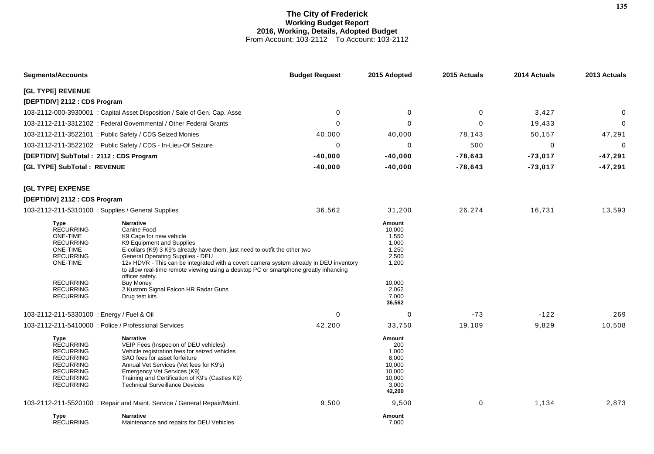# **The City of Frederick Working Budget Report 2016, Working, Details, Adopted Budget** From Account: 103-2112 To Account: 103-2112

| <b>Segments/Accounts</b>                                                                                                                                                       |                                                                                                                                                                                                                                                                                                                                                                                                                                                                                              | <b>Budget Request</b> | 2015 Adopted                                                                              | 2015 Actuals | 2014 Actuals | 2013 Actuals |
|--------------------------------------------------------------------------------------------------------------------------------------------------------------------------------|----------------------------------------------------------------------------------------------------------------------------------------------------------------------------------------------------------------------------------------------------------------------------------------------------------------------------------------------------------------------------------------------------------------------------------------------------------------------------------------------|-----------------------|-------------------------------------------------------------------------------------------|--------------|--------------|--------------|
| [GL TYPE] REVENUE                                                                                                                                                              |                                                                                                                                                                                                                                                                                                                                                                                                                                                                                              |                       |                                                                                           |              |              |              |
| [DEPT/DIV] 2112 : CDS Program                                                                                                                                                  |                                                                                                                                                                                                                                                                                                                                                                                                                                                                                              |                       |                                                                                           |              |              |              |
|                                                                                                                                                                                | 103-2112-000-3930001: Capital Asset Disposition / Sale of Gen. Cap. Asse                                                                                                                                                                                                                                                                                                                                                                                                                     | 0                     | $\mathbf 0$                                                                               | $\mathbf 0$  | 3,427        | $\mathbf 0$  |
|                                                                                                                                                                                | 103-2112-211-3312102 : Federal Governmental / Other Federal Grants                                                                                                                                                                                                                                                                                                                                                                                                                           | $\Omega$              | $\Omega$                                                                                  | $\Omega$     | 19,433       | $\Omega$     |
| 103-2112-211-3522101 : Public Safety / CDS Seized Monies                                                                                                                       |                                                                                                                                                                                                                                                                                                                                                                                                                                                                                              | 40,000                | 40,000                                                                                    | 78,143       | 50,157       | 47,291       |
|                                                                                                                                                                                | 103-2112-211-3522102 : Public Safety / CDS - In-Lieu-Of Seizure                                                                                                                                                                                                                                                                                                                                                                                                                              | 0                     | 0                                                                                         | 500          | $\mathbf 0$  | $\mathbf 0$  |
| [DEPT/DIV] SubTotal: 2112: CDS Program                                                                                                                                         |                                                                                                                                                                                                                                                                                                                                                                                                                                                                                              | $-40,000$             | $-40,000$                                                                                 | $-78,643$    | $-73,017$    | $-47,291$    |
| [GL TYPE] SubTotal: REVENUE                                                                                                                                                    |                                                                                                                                                                                                                                                                                                                                                                                                                                                                                              | $-40,000$             | $-40,000$                                                                                 | $-78,643$    | $-73,017$    | $-47,291$    |
| [GL TYPE] EXPENSE                                                                                                                                                              |                                                                                                                                                                                                                                                                                                                                                                                                                                                                                              |                       |                                                                                           |              |              |              |
| [DEPT/DIV] 2112 : CDS Program                                                                                                                                                  |                                                                                                                                                                                                                                                                                                                                                                                                                                                                                              |                       |                                                                                           |              |              |              |
| 103-2112-211-5310100 : Supplies / General Supplies                                                                                                                             |                                                                                                                                                                                                                                                                                                                                                                                                                                                                                              | 36,562                | 31,200                                                                                    | 26,274       | 16,731       | 13,593       |
| <b>Type</b><br><b>RECURRING</b><br>ONE-TIME<br><b>RECURRING</b><br>ONE-TIME<br><b>RECURRING</b><br><b>ONE-TIME</b><br><b>RECURRING</b><br><b>RECURRING</b><br><b>RECURRING</b> | <b>Narrative</b><br>Canine Food<br>K9 Cage for new vehicle<br>K9 Equipment and Supplies<br>E-collars (K9) 3 K9's already have them, just need to outfit the other two<br>General Operating Supplies - DEU<br>12v HDVR - This can be integrated with a covert camera system already in DEU inventory<br>to allow real-time remote viewing using a desktop PC or smartphone greatly inhancing<br>officer safety.<br><b>Buy Money</b><br>2 Kustom Signal Falcon HR Radar Guns<br>Drug test kits |                       | Amount<br>10,000<br>1,550<br>1,000<br>1,250<br>2,500<br>1,200<br>10,000<br>2.062<br>7,000 |              |              |              |
| 103-2112-211-5330100 : Energy / Fuel & Oil                                                                                                                                     |                                                                                                                                                                                                                                                                                                                                                                                                                                                                                              | 0                     | 36,562<br>0                                                                               | $-73$        | $-122$       | 269          |
| 103-2112-211-5410000 : Police / Professional Services                                                                                                                          |                                                                                                                                                                                                                                                                                                                                                                                                                                                                                              | 42,200                | 33,750                                                                                    | 19,109       | 9,829        | 10,508       |
| <b>Type</b><br><b>RECURRING</b><br><b>RECURRING</b><br><b>RECURRING</b><br><b>RECURRING</b><br><b>RECURRING</b><br><b>RECURRING</b><br><b>RECURRING</b>                        | <b>Narrative</b><br>VEIP Fees (Inspecion of DEU vehicles)<br>Vehicle registration fees for seized vehicles<br>SAO fees for asset forfeiture<br>Annual Vet Services (Vet fees for K9's)<br>Emergency Vet Services (K9)<br>Training and Certification of K9's (Castles K9)<br><b>Technical Surveillance Devices</b>                                                                                                                                                                            |                       | Amount<br>200<br>1,000<br>8,000<br>10,000<br>10,000<br>10.000<br>3,000<br>42,200          |              |              |              |
|                                                                                                                                                                                | 103-2112-211-5520100 : Repair and Maint. Service / General Repair/Maint.                                                                                                                                                                                                                                                                                                                                                                                                                     | 9,500                 | 9,500                                                                                     | 0            | 1,134        | 2,873        |
| Type<br><b>RECURRING</b>                                                                                                                                                       | <b>Narrative</b><br>Maintenance and repairs for DEU Vehicles                                                                                                                                                                                                                                                                                                                                                                                                                                 |                       | Amount<br>7,000                                                                           |              |              |              |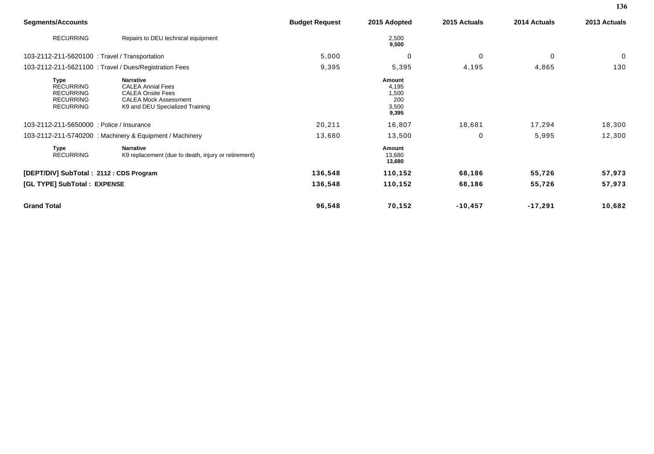| <b>Segments/Accounts</b>                                                                    |                                                                                                                                      | <b>Budget Request</b> | 2015 Adopted                                      | 2015 Actuals | 2014 Actuals | 2013 Actuals |
|---------------------------------------------------------------------------------------------|--------------------------------------------------------------------------------------------------------------------------------------|-----------------------|---------------------------------------------------|--------------|--------------|--------------|
| <b>RECURRING</b>                                                                            | Repairs to DEU technical equipment                                                                                                   |                       | 2,500<br>9,500                                    |              |              |              |
| 103-2112-211-5620100 : Travel / Transportation                                              |                                                                                                                                      | 5,000                 | $\mathbf 0$                                       | 0            | 0            | $\mathbf 0$  |
|                                                                                             | 103-2112-211-5621100 : Travel / Dues/Registration Fees                                                                               | 9,395                 | 5,395                                             | 4,195        | 4,865        | 130          |
| <b>Type</b><br><b>RECURRING</b><br><b>RECURRING</b><br><b>RECURRING</b><br><b>RECURRING</b> | Narrative<br><b>CALEA Annial Fees</b><br><b>CALEA Onsite Fees</b><br><b>CALEA Mock Assessment</b><br>K9 and DEU Specialized Training |                       | Amount<br>4,195<br>1,500<br>200<br>3,500<br>9,395 |              |              |              |
| 103-2112-211-5650000 : Police / Insurance                                                   |                                                                                                                                      | 20,211                | 16,807                                            | 18,681       | 17,294       | 18,300       |
|                                                                                             | 103-2112-211-5740200 : Machinery & Equipment / Machinery                                                                             | 13,680                | 13,500                                            | $\mathbf 0$  | 5,995        | 12,300       |
| <b>Type</b><br><b>RECURRING</b>                                                             | <b>Narrative</b><br>K9 replacement (due to death, injury or retirement)                                                              |                       | Amount<br>13,680<br>13,680                        |              |              |              |
| [DEPT/DIV] SubTotal: 2112: CDS Program                                                      |                                                                                                                                      | 136,548               | 110,152                                           | 68,186       | 55,726       | 57,973       |
| [GL TYPE] SubTotal: EXPENSE                                                                 |                                                                                                                                      | 136,548               | 110,152                                           | 68,186       | 55,726       | 57,973       |
| <b>Grand Total</b>                                                                          |                                                                                                                                      | 96,548                | 70,152                                            | $-10,457$    | $-17,291$    | 10,682       |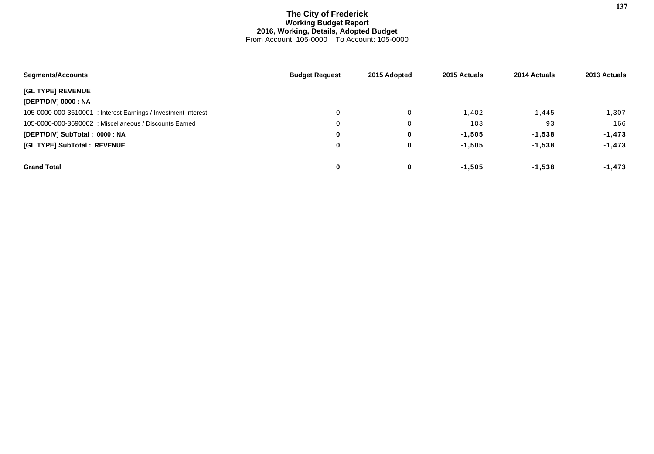# **The City of Frederick Working Budget Report 2016, Working, Details, Adopted Budget** From Account: 105-0000 To Account: 105-0000

| <b>Segments/Accounts</b>                                       | <b>Budget Request</b> | 2015 Adopted | 2015 Actuals | 2014 Actuals | 2013 Actuals |
|----------------------------------------------------------------|-----------------------|--------------|--------------|--------------|--------------|
| <b>IGL TYPEI REVENUE</b><br>[DEPT/DIV] 0000 : NA               |                       |              |              |              |              |
| 105-0000-000-3610001 : Interest Earnings / Investment Interest |                       | 0            | 1,402        | .445         | 1,307        |
| 105-0000-000-3690002 : Miscellaneous / Discounts Earned        |                       | 0            | 103          | 93           | 166          |
| [DEPT/DIV] SubTotal: 0000: NA                                  | 0                     | 0            | $-1,505$     | $-1,538$     | -1,473       |
| [GL TYPE] SubTotal: REVENUE                                    | 0                     | 0            | $-1,505$     | $-1,538$     | -1,473       |
| <b>Grand Total</b>                                             | 0                     | 0            | $-1.505$     | $-1,538$     | $-1,473$     |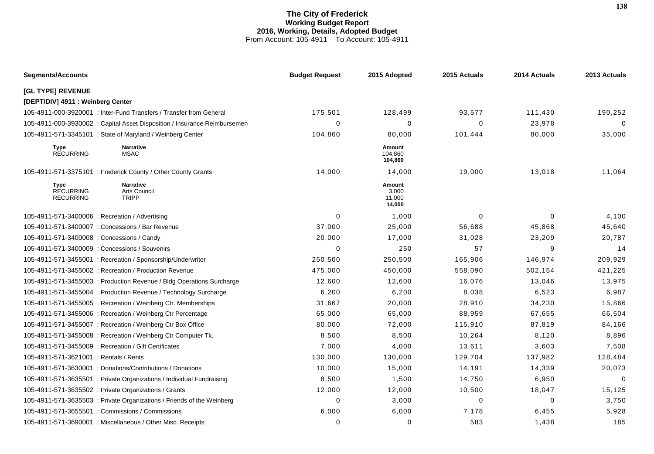# **The City of Frederick Working Budget Report 2016, Working, Details, Adopted Budget** From Account: 105-4911 To Account: 105-4911

| <b>Segments/Accounts</b>                        |                                                                           | <b>Budget Request</b> | 2015 Adopted                        | 2015 Actuals | 2014 Actuals | 2013 Actuals |
|-------------------------------------------------|---------------------------------------------------------------------------|-----------------------|-------------------------------------|--------------|--------------|--------------|
| [GL TYPE] REVENUE                               |                                                                           |                       |                                     |              |              |              |
| [DEPT/DIV] 4911 : Weinberg Center               |                                                                           |                       |                                     |              |              |              |
|                                                 | 105-4911-000-3920001: Inter-Fund Transfers / Transfer from General        | 175,501               | 128,499                             | 93,577       | 111,430      | 190,252      |
|                                                 | 105-4911-000-3930002 : Capital Asset Disposition / Insurance Reimbursemen | 0                     | $\Omega$                            | $\Omega$     | 23,978       |              |
|                                                 | 105-4911-571-3345101 : State of Maryland / Weinberg Center                | 104,860               | 80,000                              | 101.444      | 80,000       | 35,000       |
| Type<br><b>RECURRING</b>                        | <b>Narrative</b><br><b>MSAC</b>                                           |                       | Amount<br>104,860<br>104,860        |              |              |              |
|                                                 | 105-4911-571-3375101 : Frederick County / Other County Grants             | 14,000                | 14,000                              | 19,000       | 13,018       | 11,064       |
| Type<br><b>RECURRING</b><br><b>RECURRING</b>    | <b>Narrative</b><br><b>Arts Council</b><br><b>TRIPP</b>                   |                       | Amount<br>3,000<br>11,000<br>14,000 |              |              |              |
| 105-4911-571-3400006 : Recreation / Advertising |                                                                           | 0                     | 1,000                               | 0            | 0            | 4,100        |
|                                                 | 105-4911-571-3400007 : Concessions / Bar Revenue                          | 37,000                | 25,000                              | 56,688       | 45,868       | 45,640       |
| 105-4911-571-3400008 : Concessions / Candy      |                                                                           | 20,000                | 17,000                              | 31,028       | 23,209       | 20,787       |
|                                                 | 105-4911-571-3400009 : Concessions / Souvenirs                            | 0                     | 250                                 | 57           | 9            | 14           |
|                                                 | 105-4911-571-3455001 : Recreation / Sponsorship/Underwriter               | 250,500               | 250,500                             | 165,906      | 146,974      | 209,929      |
|                                                 | 105-4911-571-3455002 : Recreation / Production Revenue                    | 475,000               | 450,000                             | 558,090      | 502,154      | 421,225      |
|                                                 | 105-4911-571-3455003 : Production Revenue / Bldg Operations Surcharge     | 12,600                | 12,600                              | 16,076       | 13,046       | 13,975       |
|                                                 | 105-4911-571-3455004 : Production Revenue / Technology Surcharge          | 6,200                 | 6,200                               | 8,038        | 6,523        | 6,987        |
|                                                 | 105-4911-571-3455005: Recreation / Weinberg Ctr. Memberships              | 31,667                | 20,000                              | 28,910       | 34,230       | 15,866       |
|                                                 | 105-4911-571-3455006 : Recreation / Weinberg Ctr Percentage               | 65,000                | 65,000                              | 88,959       | 67,655       | 66,504       |
|                                                 | 105-4911-571-3455007 : Recreation / Weinberg Ctr Box Office               | 80,000                | 72,000                              | 115,910      | 87,819       | 84,166       |
|                                                 | 105-4911-571-3455008 : Recreation / Weinberg Ctr Computer Tk.             | 8,500                 | 8,500                               | 10,264       | 8,120        | 8,896        |
|                                                 | 105-4911-571-3455009 : Recreation / Gift Certificates                     | 7,000                 | 4,000                               | 13,611       | 3,603        | 7,508        |
| 105-4911-571-3621001 : Rentals / Rents          |                                                                           | 130,000               | 130,000                             | 129,704      | 137,982      | 128,484      |
|                                                 | 105-4911-571-3630001 : Donations/Contributions / Donations                | 10,000                | 15,000                              | 14,191       | 14,339       | 20,073       |
|                                                 | 105-4911-571-3635501 : Private Organizations / Individual Fundraising     | 8,500                 | 1,500                               | 14,750       | 6,950        | $\mathbf 0$  |
|                                                 | 105-4911-571-3635502 : Private Organizations / Grants                     | 12,000                | 12,000                              | 10,500       | 18,047       | 15,125       |
|                                                 | 105-4911-571-3635503 : Private Organizations / Friends of the Weinberg    | 0                     | 3,000                               | $\Omega$     | 0            | 3,750        |
|                                                 | 105-4911-571-3655501 : Commissions / Commissions                          | 6,000                 | 6,000                               | 7,178        | 6,455        | 5,928        |
|                                                 | 105-4911-571-3690001 : Miscellaneous / Other Misc. Receipts               | 0                     | 0                                   | 583          | 1,438        | 185          |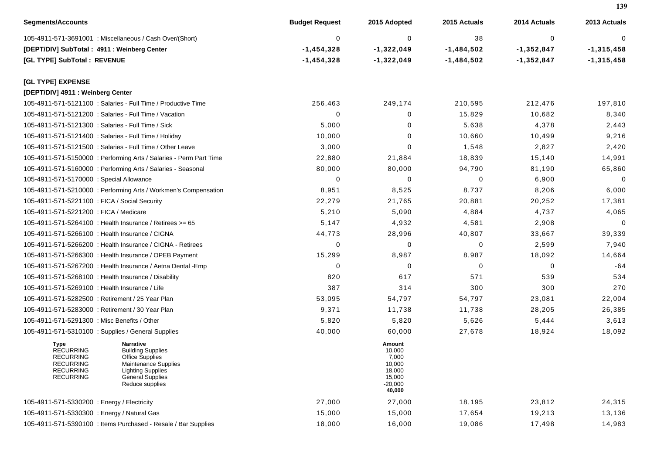| <b>Segments/Accounts</b>                                                                                                                                                                                                                                                      | <b>Budget Request</b> | 2015 Adopted                                                                   | 2015 Actuals | 2014 Actuals | 2013 Actuals   |
|-------------------------------------------------------------------------------------------------------------------------------------------------------------------------------------------------------------------------------------------------------------------------------|-----------------------|--------------------------------------------------------------------------------|--------------|--------------|----------------|
| 105-4911-571-3691001 : Miscellaneous / Cash Over/(Short)                                                                                                                                                                                                                      | 0                     | 0                                                                              | 38           | 0            | 0              |
| [DEPT/DIV] SubTotal: 4911: Weinberg Center                                                                                                                                                                                                                                    | $-1,454,328$          | $-1,322,049$                                                                   | $-1,484,502$ | $-1,352,847$ | $-1, 315, 458$ |
| [GL TYPE] SubTotal: REVENUE                                                                                                                                                                                                                                                   | $-1,454,328$          | $-1,322,049$                                                                   | $-1,484,502$ | $-1,352,847$ | $-1, 315, 458$ |
| [GL TYPE] EXPENSE                                                                                                                                                                                                                                                             |                       |                                                                                |              |              |                |
| [DEPT/DIV] 4911 : Weinberg Center                                                                                                                                                                                                                                             |                       |                                                                                |              |              |                |
| 105-4911-571-5121100 : Salaries - Full Time / Productive Time                                                                                                                                                                                                                 | 256,463               | 249,174                                                                        | 210,595      | 212,476      | 197,810        |
| 105-4911-571-5121200 : Salaries - Full Time / Vacation                                                                                                                                                                                                                        | 0                     | 0                                                                              | 15,829       | 10,682       | 8,340          |
| 105-4911-571-5121300 : Salaries - Full Time / Sick                                                                                                                                                                                                                            | 5,000                 | 0                                                                              | 5,638        | 4,378        | 2,443          |
| 105-4911-571-5121400 : Salaries - Full Time / Holiday                                                                                                                                                                                                                         | 10,000                | 0                                                                              | 10,660       | 10,499       | 9,216          |
| 105-4911-571-5121500 : Salaries - Full Time / Other Leave                                                                                                                                                                                                                     | 3,000                 | 0                                                                              | 1,548        | 2,827        | 2,420          |
| 105-4911-571-5150000: Performing Arts / Salaries - Perm Part Time                                                                                                                                                                                                             | 22,880                | 21,884                                                                         | 18,839       | 15,140       | 14,991         |
| 105-4911-571-5160000: Performing Arts / Salaries - Seasonal                                                                                                                                                                                                                   | 80,000                | 80,000                                                                         | 94,790       | 81,190       | 65,860         |
| 105-4911-571-5170000 : Special Allowance                                                                                                                                                                                                                                      | 0                     | 0                                                                              | 0            | 6,900        | $\Omega$       |
| 105-4911-571-5210000: Performing Arts / Workmen's Compensation                                                                                                                                                                                                                | 8,951                 | 8,525                                                                          | 8,737        | 8,206        | 6,000          |
| 105-4911-571-5221100 : FICA / Social Security                                                                                                                                                                                                                                 | 22,279                | 21,765                                                                         | 20,881       | 20,252       | 17,381         |
| 105-4911-571-5221200 : FICA / Medicare                                                                                                                                                                                                                                        | 5,210                 | 5,090                                                                          | 4,884        | 4,737        | 4,065          |
| 105-4911-571-5264100 : Health Insurance / Retirees >= 65                                                                                                                                                                                                                      | 5,147                 | 4,932                                                                          | 4,581        | 2,908        | $\Omega$       |
| 105-4911-571-5266100 : Health Insurance / CIGNA                                                                                                                                                                                                                               | 44,773                | 28,996                                                                         | 40,807       | 33,667       | 39,339         |
| 105-4911-571-5266200 : Health Insurance / CIGNA - Retirees                                                                                                                                                                                                                    | 0                     | 0                                                                              | 0            | 2,599        | 7,940          |
| 105-4911-571-5266300 : Health Insurance / OPEB Payment                                                                                                                                                                                                                        | 15,299                | 8,987                                                                          | 8,987        | 18,092       | 14,664         |
| 105-4911-571-5267200 : Health Insurance / Aetna Dental - Emp                                                                                                                                                                                                                  | 0                     | 0                                                                              | 0            | 0            | $-64$          |
| 105-4911-571-5268100 : Health Insurance / Disability                                                                                                                                                                                                                          | 820                   | 617                                                                            | 571          | 539          | 534            |
| 105-4911-571-5269100 : Health Insurance / Life                                                                                                                                                                                                                                | 387                   | 314                                                                            | 300          | 300          | 270            |
| 105-4911-571-5282500 : Retirement / 25 Year Plan                                                                                                                                                                                                                              | 53,095                | 54,797                                                                         | 54,797       | 23,081       | 22,004         |
| 105-4911-571-5283000 : Retirement / 30 Year Plan                                                                                                                                                                                                                              | 9,371                 | 11,738                                                                         | 11,738       | 28,205       | 26,385         |
| 105-4911-571-5291300 : Misc Benefits / Other                                                                                                                                                                                                                                  | 5,820                 | 5,820                                                                          | 5,626        | 5,444        | 3,613          |
| 105-4911-571-5310100 : Supplies / General Supplies                                                                                                                                                                                                                            | 40,000                | 60,000                                                                         | 27,678       | 18,924       | 18,092         |
| Type<br>Narrative<br><b>RECURRING</b><br><b>Building Supplies</b><br><b>RECURRING</b><br><b>Office Supplies</b><br><b>RECURRING</b><br>Maintenance Supplies<br><b>RECURRING</b><br><b>Lighting Supplies</b><br><b>RECURRING</b><br><b>General Supplies</b><br>Reduce supplies |                       | Amount<br>10,000<br>7,000<br>10,000<br>18,000<br>15,000<br>$-20,000$<br>40,000 |              |              |                |
| 105-4911-571-5330200 : Energy / Electricity                                                                                                                                                                                                                                   | 27,000                | 27,000                                                                         | 18,195       | 23,812       | 24,315         |
| 105-4911-571-5330300 : Energy / Natural Gas                                                                                                                                                                                                                                   | 15,000                | 15,000                                                                         | 17,654       | 19,213       | 13,136         |
| 105-4911-571-5390100 : Items Purchased - Resale / Bar Supplies                                                                                                                                                                                                                | 18,000                | 16,000                                                                         | 19,086       | 17,498       | 14,983         |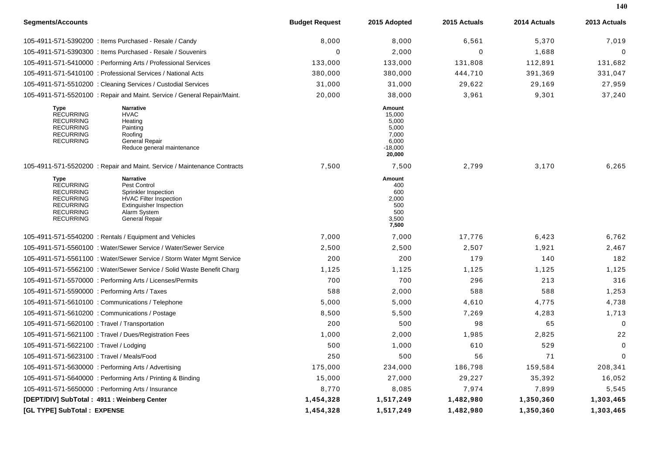| <b>Segments/Accounts</b>                                                                                                            |                                                                                                                                                                      | <b>Budget Request</b> | 2015 Adopted                                                                | 2015 Actuals | 2014 Actuals | 2013 Actuals |
|-------------------------------------------------------------------------------------------------------------------------------------|----------------------------------------------------------------------------------------------------------------------------------------------------------------------|-----------------------|-----------------------------------------------------------------------------|--------------|--------------|--------------|
|                                                                                                                                     | 105-4911-571-5390200 : Items Purchased - Resale / Candy                                                                                                              | 8,000                 | 8,000                                                                       | 6,561        | 5,370        | 7,019        |
|                                                                                                                                     | 105-4911-571-5390300 : Items Purchased - Resale / Souvenirs                                                                                                          | 0                     | 2,000                                                                       | 0            | 1,688        | $\Omega$     |
|                                                                                                                                     | 105-4911-571-5410000: Performing Arts / Professional Services                                                                                                        | 133,000               | 133,000                                                                     | 131,808      | 112,891      | 131,682      |
|                                                                                                                                     | 105-4911-571-5410100 : Professional Services / National Acts                                                                                                         | 380,000               | 380,000                                                                     | 444,710      | 391,369      | 331,047      |
|                                                                                                                                     | 105-4911-571-5510200 : Cleaning Services / Custodial Services                                                                                                        | 31,000                | 31,000                                                                      | 29,622       | 29,169       | 27,959       |
|                                                                                                                                     | 105-4911-571-5520100 : Repair and Maint. Service / General Repair/Maint.                                                                                             | 20,000                | 38,000                                                                      | 3,961        | 9,301        | 37,240       |
| Type<br><b>RECURRING</b><br><b>RECURRING</b><br><b>RECURRING</b><br><b>RECURRING</b><br><b>RECURRING</b>                            | <b>Narrative</b><br>HVAC<br>Heating<br>Painting<br>Roofing<br>General Repair<br>Reduce general maintenance                                                           |                       | Amount<br>15,000<br>5,000<br>5,000<br>7,000<br>6,000<br>$-18,000$<br>20,000 |              |              |              |
|                                                                                                                                     | 105-4911-571-5520200 : Repair and Maint. Service / Maintenance Contracts                                                                                             | 7,500                 | 7,500                                                                       | 2,799        | 3,170        | 6,265        |
| <b>Type</b><br><b>RECURRING</b><br><b>RECURRING</b><br><b>RECURRING</b><br><b>RECURRING</b><br><b>RECURRING</b><br><b>RECURRING</b> | <b>Narrative</b><br>Pest Control<br>Sprinkler Inspection<br><b>HVAC Filter Inspection</b><br><b>Extinguisher Inspection</b><br>Alarm System<br><b>General Repair</b> |                       | Amount<br>400<br>600<br>2,000<br>500<br>500<br>3,500<br>7,500               |              |              |              |
|                                                                                                                                     | 105-4911-571-5540200 : Rentals / Equipment and Vehicles                                                                                                              | 7,000                 | 7,000                                                                       | 17,776       | 6,423        | 6,762        |
|                                                                                                                                     | 105-4911-571-5560100: Water/Sewer Service / Water/Sewer Service                                                                                                      | 2,500                 | 2,500                                                                       | 2,507        | 1,921        | 2,467        |
|                                                                                                                                     | 105-4911-571-5561100 : Water/Sewer Service / Storm Water Mgmt Service                                                                                                | 200                   | 200                                                                         | 179          | 140          | 182          |
|                                                                                                                                     | 105-4911-571-5562100 : Water/Sewer Service / Solid Waste Benefit Charg                                                                                               | 1,125                 | 1,125                                                                       | 1,125        | 1,125        | 1,125        |
|                                                                                                                                     | 105-4911-571-5570000: Performing Arts / Licenses/Permits                                                                                                             | 700                   | 700                                                                         | 296          | 213          | 316          |
| 105-4911-571-5590000 : Performing Arts / Taxes                                                                                      |                                                                                                                                                                      | 588                   | 2,000                                                                       | 588          | 588          | 1,253        |
|                                                                                                                                     | 105-4911-571-5610100 : Communications / Telephone                                                                                                                    | 5,000                 | 5,000                                                                       | 4,610        | 4,775        | 4,738        |
|                                                                                                                                     | 105-4911-571-5610200 : Communications / Postage                                                                                                                      | 8,500                 | 5,500                                                                       | 7,269        | 4,283        | 1,713        |
| 105-4911-571-5620100 : Travel / Transportation                                                                                      |                                                                                                                                                                      | 200                   | 500                                                                         | 98           | 65           | 0            |
|                                                                                                                                     | 105-4911-571-5621100 : Travel / Dues/Registration Fees                                                                                                               | 1,000                 | 2,000                                                                       | 1,985        | 2,825        | 22           |
| 105-4911-571-5622100 : Travel / Lodging                                                                                             |                                                                                                                                                                      | 500                   | 1,000                                                                       | 610          | 529          | $\Omega$     |
| 105-4911-571-5623100 : Travel / Meals/Food                                                                                          |                                                                                                                                                                      | 250                   | 500                                                                         | 56           | 71           | 0            |
|                                                                                                                                     | 105-4911-571-5630000: Performing Arts / Advertising                                                                                                                  | 175,000               | 234,000                                                                     | 186,798      | 159,584      | 208,341      |
|                                                                                                                                     | 105-4911-571-5640000: Performing Arts / Printing & Binding                                                                                                           | 15,000                | 27,000                                                                      | 29,227       | 35,392       | 16,052       |
|                                                                                                                                     | 105-4911-571-5650000 : Performing Arts / Insurance                                                                                                                   | 8,770                 | 8,085                                                                       | 7,974        | 7,899        | 5,545        |
| [DEPT/DIV] SubTotal: 4911: Weinberg Center                                                                                          |                                                                                                                                                                      | 1,454,328             | 1,517,249                                                                   | 1,482,980    | 1,350,360    | 1,303,465    |
| [GL TYPE] SubTotal: EXPENSE                                                                                                         |                                                                                                                                                                      | 1,454,328             | 1,517,249                                                                   | 1,482,980    | 1,350,360    | 1,303,465    |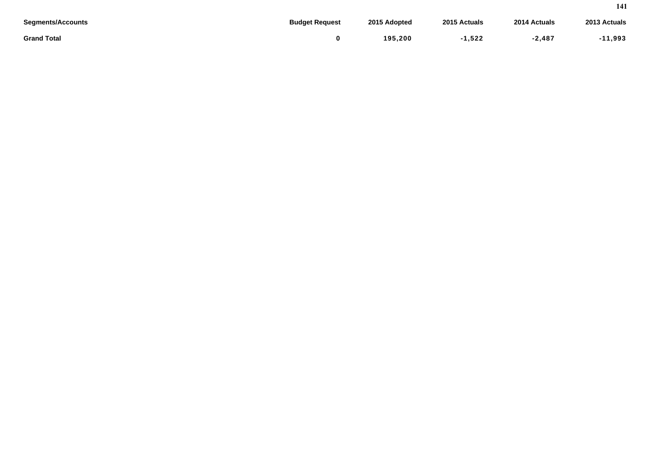| <b>Segments/Accounts</b> | <b>Budget Request</b> | 2015 Adopted | 2015 Actuals | 2014 Actuals | 2013 Actuals |
|--------------------------|-----------------------|--------------|--------------|--------------|--------------|
| <b>Grand Total</b>       |                       | 195,200      | .522         | 2.487        | 1.993        |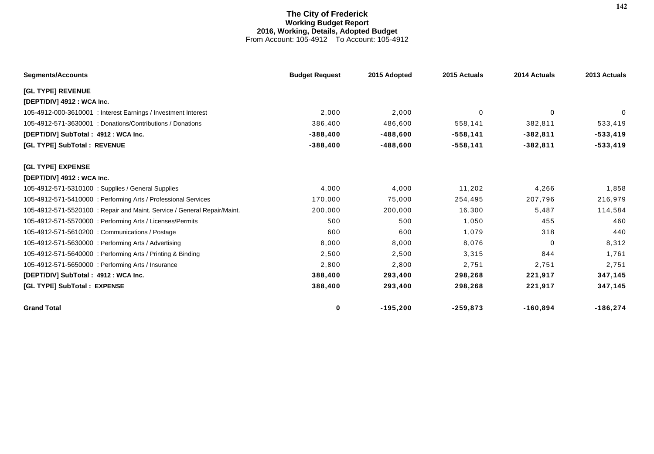# **The City of Frederick Working Budget Report 2016, Working, Details, Adopted Budget** From Account: 105-4912 To Account: 105-4912

| <b>Segments/Accounts</b>                                                 | <b>Budget Request</b> | 2015 Adopted | 2015 Actuals | 2014 Actuals | 2013 Actuals |
|--------------------------------------------------------------------------|-----------------------|--------------|--------------|--------------|--------------|
| [GL TYPE] REVENUE                                                        |                       |              |              |              |              |
| [DEPT/DIV] 4912 : WCA Inc.                                               |                       |              |              |              |              |
| 105-4912-000-3610001 : Interest Earnings / Investment Interest           | 2,000                 | 2,000        | 0            | 0            | 0            |
| 105-4912-571-3630001 : Donations/Contributions / Donations               | 386,400               | 486,600      | 558,141      | 382,811      | 533,419      |
| [DEPT/DIV] SubTotal: 4912: WCA Inc.                                      | $-388,400$            | $-488,600$   | $-558,141$   | $-382,811$   | $-533,419$   |
| [GL TYPE] SubTotal: REVENUE                                              | $-388,400$            | $-488,600$   | $-558,141$   | $-382,811$   | $-533,419$   |
| [GL TYPE] EXPENSE                                                        |                       |              |              |              |              |
| [DEPT/DIV] 4912 : WCA Inc.                                               |                       |              |              |              |              |
| 105-4912-571-5310100 : Supplies / General Supplies                       | 4,000                 | 4,000        | 11,202       | 4,266        | 1,858        |
| 105-4912-571-5410000: Performing Arts / Professional Services            | 170,000               | 75,000       | 254,495      | 207,796      | 216,979      |
| 105-4912-571-5520100 : Repair and Maint. Service / General Repair/Maint. | 200,000               | 200,000      | 16,300       | 5,487        | 114,584      |
| 105-4912-571-5570000: Performing Arts / Licenses/Permits                 | 500                   | 500          | 1,050        | 455          | 460          |
| 105-4912-571-5610200 : Communications / Postage                          | 600                   | 600          | 1,079        | 318          | 440          |
| 105-4912-571-5630000 : Performing Arts / Advertising                     | 8,000                 | 8,000        | 8,076        | 0            | 8,312        |
| 105-4912-571-5640000: Performing Arts / Printing & Binding               | 2,500                 | 2,500        | 3,315        | 844          | 1,761        |
| 105-4912-571-5650000: Performing Arts / Insurance                        | 2,800                 | 2,800        | 2,751        | 2,751        | 2,751        |
| [DEPT/DIV] SubTotal: 4912: WCA Inc.                                      | 388,400               | 293,400      | 298,268      | 221,917      | 347,145      |
| [GL TYPE] SubTotal: EXPENSE                                              | 388,400               | 293,400      | 298,268      | 221,917      | 347,145      |
| <b>Grand Total</b>                                                       | 0                     | $-195,200$   | $-259.873$   | $-160,894$   | $-186,274$   |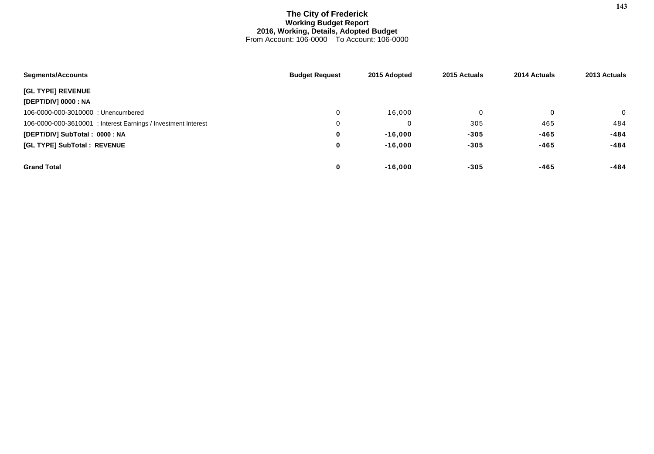# **The City of Frederick Working Budget Report 2016, Working, Details, Adopted Budget** From Account: 106-0000 To Account: 106-0000

| <b>Segments/Accounts</b>                                       | <b>Budget Request</b> | 2015 Adopted | 2015 Actuals | 2014 Actuals | 2013 Actuals |
|----------------------------------------------------------------|-----------------------|--------------|--------------|--------------|--------------|
| [GL TYPE] REVENUE                                              |                       |              |              |              |              |
| [DEPT/DIV] 0000 : NA<br>106-0000-000-3010000: Unencumbered     | 0                     | 16.000       | 0            | 0            | $\mathbf{0}$ |
| 106-0000-000-3610001 : Interest Earnings / Investment Interest | 0                     | 0            | 305          | 465          | 484          |
| [DEPT/DIV] SubTotal: 0000: NA                                  | 0                     | $-16,000$    | $-305$       | $-465$       | $-484$       |
| <b>[GL TYPE] SubTotal: REVENUE</b>                             | 0                     | $-16,000$    | $-305$       | $-465$       | $-484$       |
|                                                                |                       |              |              |              |              |
| <b>Grand Total</b>                                             | 0                     | $-16.000$    | $-305$       | $-465$       | -484         |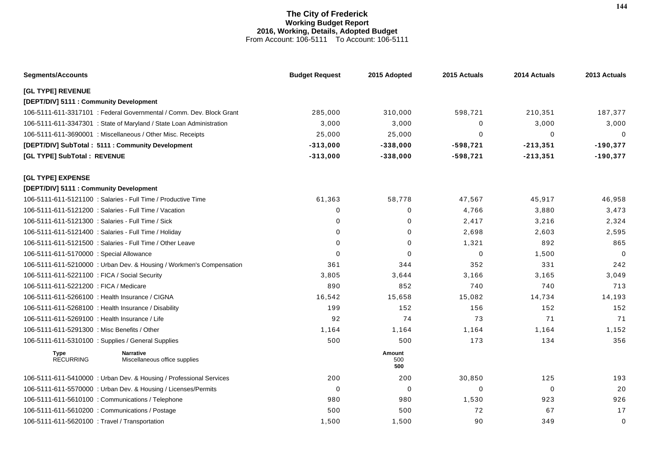# **The City of Frederick Working Budget Report 2016, Working, Details, Adopted Budget** From Account: 106-5111 To Account: 106-5111

| <b>Segments/Accounts</b>                                                             | <b>Budget Request</b> | 2015 Adopted         | 2015 Actuals | 2014 Actuals | 2013 Actuals |
|--------------------------------------------------------------------------------------|-----------------------|----------------------|--------------|--------------|--------------|
| [GL TYPE] REVENUE                                                                    |                       |                      |              |              |              |
| [DEPT/DIV] 5111 : Community Development                                              |                       |                      |              |              |              |
| 106-5111-611-3317101: Federal Governmental / Comm. Dev. Block Grant                  | 285,000               | 310,000              | 598,721      | 210,351      | 187,377      |
| 106-5111-611-3347301 : State of Maryland / State Loan Administration                 | 3,000                 | 3,000                | $\mathbf 0$  | 3,000        | 3,000        |
| 106-5111-611-3690001 : Miscellaneous / Other Misc. Receipts                          | 25,000                | 25,000               | $\mathbf 0$  | 0            | 0            |
| [DEPT/DIV] SubTotal: 5111: Community Development                                     | $-313,000$            | $-338,000$           | $-598,721$   | $-213,351$   | $-190,377$   |
| [GL TYPE] SubTotal: REVENUE                                                          | $-313,000$            | $-338,000$           | $-598,721$   | $-213,351$   | $-190,377$   |
| [GL TYPE] EXPENSE                                                                    |                       |                      |              |              |              |
| [DEPT/DIV] 5111 : Community Development                                              |                       |                      |              |              |              |
| 106-5111-611-5121100 : Salaries - Full Time / Productive Time                        | 61,363                | 58,778               | 47,567       | 45,917       | 46,958       |
| 106-5111-611-5121200 : Salaries - Full Time / Vacation                               | 0                     | 0                    | 4,766        | 3,880        | 3,473        |
| 106-5111-611-5121300 : Salaries - Full Time / Sick                                   | 0                     | 0                    | 2,417        | 3,216        | 2,324        |
| 106-5111-611-5121400 : Salaries - Full Time / Holiday                                | 0                     | $\Omega$             | 2,698        | 2,603        | 2,595        |
| 106-5111-611-5121500 : Salaries - Full Time / Other Leave                            | $\mathbf 0$           | $\mathbf 0$          | 1,321        | 892          | 865          |
| 106-5111-611-5170000 : Special Allowance                                             | $\Omega$              | $\Omega$             | $\mathbf 0$  | 1,500        | $\mathbf{0}$ |
| 106-5111-611-5210000 : Urban Dev. & Housing / Workmen's Compensation                 | 361                   | 344                  | 352          | 331          | 242          |
| 106-5111-611-5221100 : FICA / Social Security                                        | 3,805                 | 3,644                | 3,166        | 3,165        | 3,049        |
| 106-5111-611-5221200 : FICA / Medicare                                               | 890                   | 852                  | 740          | 740          | 713          |
| 106-5111-611-5266100 : Health Insurance / CIGNA                                      | 16,542                | 15,658               | 15,082       | 14,734       | 14,193       |
| 106-5111-611-5268100 : Health Insurance / Disability                                 | 199                   | 152                  | 156          | 152          | 152          |
| 106-5111-611-5269100 : Health Insurance / Life                                       | 92                    | 74                   | 73           | 71           | 71           |
| 106-5111-611-5291300 : Misc Benefits / Other                                         | 1,164                 | 1,164                | 1,164        | 1,164        | 1,152        |
| 106-5111-611-5310100 : Supplies / General Supplies                                   | 500                   | 500                  | 173          | 134          | 356          |
| <b>Narrative</b><br><b>Type</b><br>Miscellaneous office supplies<br><b>RECURRING</b> |                       | Amount<br>500<br>500 |              |              |              |
| 106-5111-611-5410000 : Urban Dev. & Housing / Professional Services                  | 200                   | 200                  | 30,850       | 125          | 193          |
| 106-5111-611-5570000 : Urban Dev. & Housing / Licenses/Permits                       | $\mathbf 0$           | $\mathbf 0$          | $\mathbf 0$  | 0            | 20           |
| 106-5111-611-5610100 : Communications / Telephone                                    | 980                   | 980                  | 1,530        | 923          | 926          |
| 106-5111-611-5610200 : Communications / Postage                                      | 500                   | 500                  | 72           | 67           | 17           |
| 106-5111-611-5620100 : Travel / Transportation                                       | 1,500                 | 1,500                | 90           | 349          | 0            |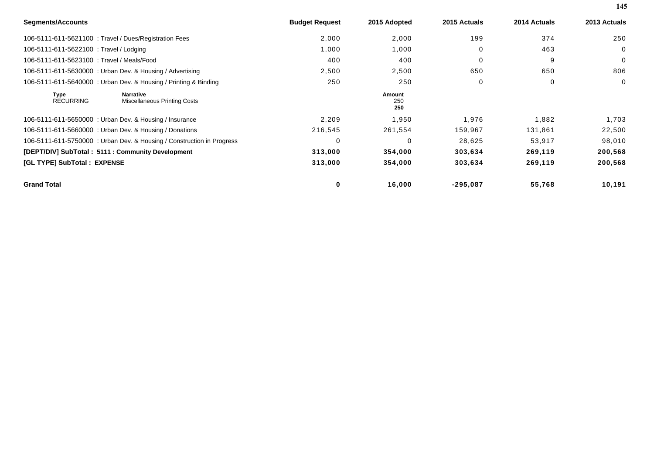| <b>Segments/Accounts</b>                   |                                                                       | <b>Budget Request</b> | 2015 Adopted         | 2015 Actuals | 2014 Actuals | 2013 Actuals |
|--------------------------------------------|-----------------------------------------------------------------------|-----------------------|----------------------|--------------|--------------|--------------|
|                                            | 106-5111-611-5621100 : Travel / Dues/Registration Fees                | 2,000                 | 2,000                | 199          | 374          | 250          |
| 106-5111-611-5622100 : Travel / Lodging    |                                                                       | 1,000                 | 1,000                | $\mathbf 0$  | 463          | 0            |
| 106-5111-611-5623100 : Travel / Meals/Food |                                                                       | 400                   | 400                  | $\mathbf 0$  | 9            | 0            |
|                                            | 106-5111-611-5630000 : Urban Dev. & Housing / Advertising             | 2,500                 | 2,500                | 650          | 650          | 806          |
|                                            | 106-5111-611-5640000 : Urban Dev. & Housing / Printing & Binding      | 250                   | 250                  | $\mathbf 0$  | $\Omega$     | 0            |
| Type<br><b>RECURRING</b>                   | <b>Narrative</b><br><b>Miscellaneous Printing Costs</b>               |                       | Amount<br>250<br>250 |              |              |              |
|                                            | 106-5111-611-5650000 : Urban Dev. & Housing / Insurance               | 2,209                 | 1,950                | 1,976        | 1,882        | 1,703        |
|                                            | 106-5111-611-5660000 : Urban Dev. & Housing / Donations               | 216,545               | 261,554              | 159,967      | 131,861      | 22,500       |
|                                            | 106-5111-611-5750000: Urban Dev. & Housing / Construction in Progress | $\Omega$              | 0                    | 28,625       | 53,917       | 98,010       |
|                                            | [DEPT/DIV] SubTotal: 5111: Community Development                      | 313,000               | 354,000              | 303,634      | 269,119      | 200,568      |
| [GL TYPE] SubTotal: EXPENSE                |                                                                       | 313,000               | 354,000              | 303,634      | 269,119      | 200,568      |
| <b>Grand Total</b>                         |                                                                       | 0                     | 16,000               | $-295.087$   | 55,768       | 10,191       |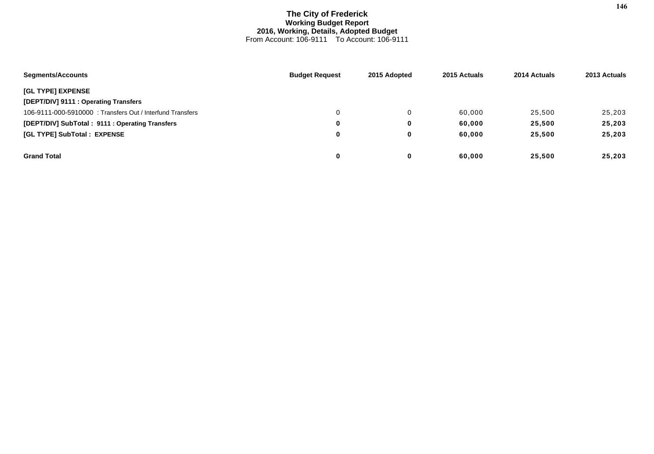# **The City of Frederick Working Budget Report 2016, Working, Details, Adopted Budget** From Account: 106-9111 To Account: 106-9111

| <b>Segments/Accounts</b>                                  | <b>Budget Request</b> | 2015 Adopted | 2015 Actuals | 2014 Actuals | 2013 Actuals |
|-----------------------------------------------------------|-----------------------|--------------|--------------|--------------|--------------|
| <b>IGL TYPEI EXPENSE</b>                                  |                       |              |              |              |              |
| [DEPT/DIV] 9111 : Operating Transfers                     |                       |              |              |              |              |
| 106-9111-000-5910000: Transfers Out / Interfund Transfers |                       | 0            | 60.000       | 25,500       | 25,203       |
| [DEPT/DIV] SubTotal: 9111: Operating Transfers            | 0                     | $\mathbf 0$  | 60.000       | 25,500       | 25,203       |
| [GL TYPE] SubTotal: EXPENSE                               | 0                     | 0            | 60.000       | 25.500       | 25,203       |
| <b>Grand Total</b>                                        | 0                     | $\mathbf{0}$ | 60.000       | 25.500       | 25,203       |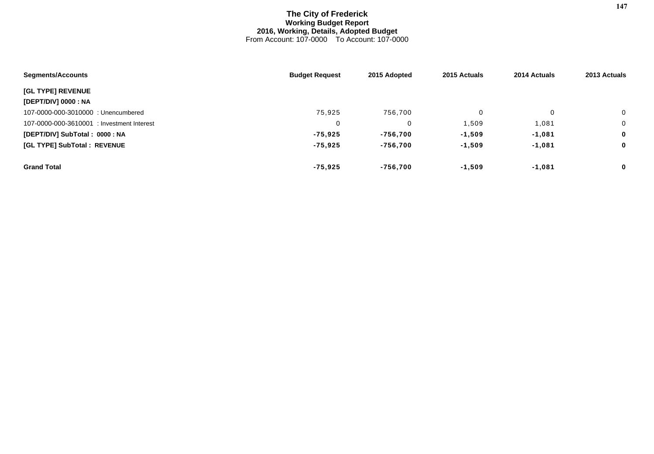# **The City of Frederick Working Budget Report 2016, Working, Details, Adopted Budget** From Account: 107-0000 To Account: 107-0000

| <b>Segments/Accounts</b>                   | <b>Budget Request</b> | 2015 Adopted | 2015 Actuals | 2014 Actuals | 2013 Actuals |
|--------------------------------------------|-----------------------|--------------|--------------|--------------|--------------|
| [GL TYPE] REVENUE<br>[DEPT/DIV] 0000 : NA  |                       |              |              |              |              |
| 107-0000-000-3010000: Unencumbered         | 75,925                | 756,700      | 0            |              | 0            |
| 107-0000-000-3610001 : Investment Interest |                       | $\mathbf{0}$ | .509         | 1,081        | 0            |
| [DEPT/DIV] SubTotal: 0000: NA              | $-75,925$             | $-756,700$   | $-1,509$     | $-1,081$     | 0            |
| [GL TYPE] SubTotal: REVENUE                | $-75,925$             | $-756,700$   | $-1,509$     | $-1,081$     | 0            |
| <b>Grand Total</b>                         | $-75,925$             | $-756.700$   | $-1.509$     | $-1,081$     | 0            |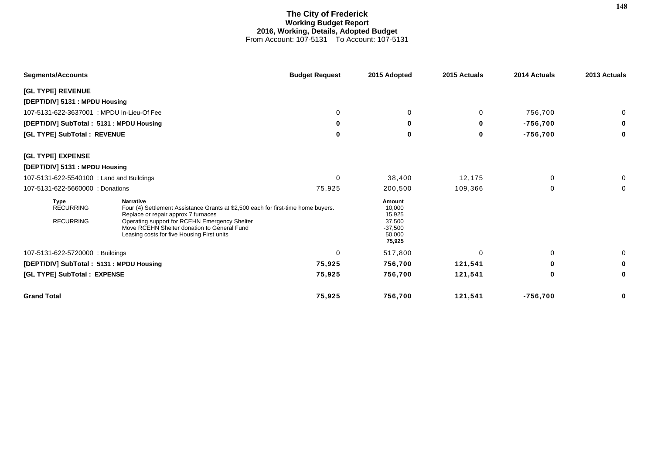# **The City of Frederick Working Budget Report 2016, Working, Details, Adopted Budget** From Account: 107-5131 To Account: 107-5131

| <b>Segments/Accounts</b>                                                                                                             |                                                                                                                                                                                                                                                                                            | <b>Budget Request</b> | 2015 Adopted                                                          | 2015 Actuals      | 2014 Actuals | 2013 Actuals |
|--------------------------------------------------------------------------------------------------------------------------------------|--------------------------------------------------------------------------------------------------------------------------------------------------------------------------------------------------------------------------------------------------------------------------------------------|-----------------------|-----------------------------------------------------------------------|-------------------|--------------|--------------|
| [GL TYPE] REVENUE<br>[DEPT/DIV] 5131 : MPDU Housing<br>107-5131-622-3637001 : MPDU In-Lieu-Of Fee                                    |                                                                                                                                                                                                                                                                                            | 0                     | 0                                                                     | 0                 | 756,700      | 0            |
| [DEPT/DIV] SubTotal: 5131: MPDU Housing                                                                                              |                                                                                                                                                                                                                                                                                            |                       | 0                                                                     | 0                 | $-756,700$   | 0            |
| [GL TYPE] SubTotal: REVENUE                                                                                                          |                                                                                                                                                                                                                                                                                            | 0                     | 0                                                                     | 0                 | $-756,700$   | 0            |
| [GL TYPE] EXPENSE<br>[DEPT/DIV] 5131 : MPDU Housing<br>107-5131-622-5540100 : Land and Buildings<br>107-5131-622-5660000 : Donations |                                                                                                                                                                                                                                                                                            | $\Omega$<br>75,925    | 38,400<br>200,500                                                     | 12,175<br>109,366 | 0<br>0       | 0<br>0       |
| <b>Type</b><br><b>RECURRING</b><br><b>RECURRING</b>                                                                                  | <b>Narrative</b><br>Four (4) Settlement Assistance Grants at \$2,500 each for first-time home buyers.<br>Replace or repair approx 7 furnaces<br>Operating support for RCEHN Emergency Shelter<br>Move RCEHN Shelter donation to General Fund<br>Leasing costs for five Housing First units |                       | Amount<br>10,000<br>15,925<br>37,500<br>$-37,500$<br>50,000<br>75,925 |                   |              |              |
| 107-5131-622-5720000 : Buildings                                                                                                     |                                                                                                                                                                                                                                                                                            | $\Omega$              | 517,800                                                               | 0                 | 0            | 0            |
| [DEPT/DIV] SubTotal: 5131: MPDU Housing                                                                                              |                                                                                                                                                                                                                                                                                            | 75,925                | 756,700                                                               | 121,541           | 0            | 0            |
| [GL TYPE] SubTotal: EXPENSE                                                                                                          |                                                                                                                                                                                                                                                                                            | 75,925                | 756,700                                                               | 121,541           | 0            | 0            |
| <b>Grand Total</b>                                                                                                                   |                                                                                                                                                                                                                                                                                            | 75,925                | 756,700                                                               | 121,541           | $-756,700$   | 0            |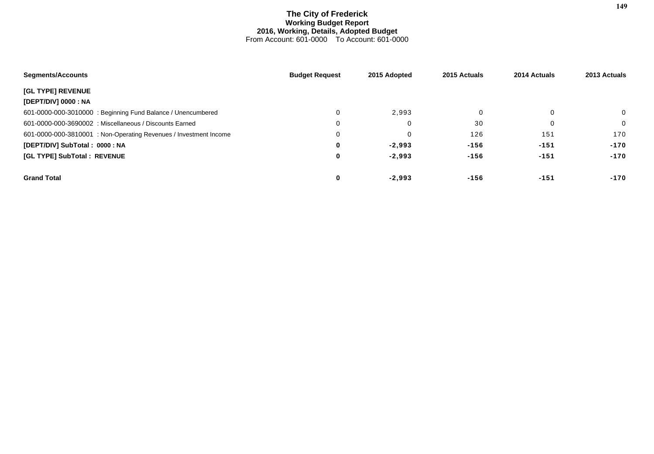# **The City of Frederick Working Budget Report 2016, Working, Details, Adopted Budget** From Account: 601-0000 To Account: 601-0000

| <b>Segments/Accounts</b>                                         | <b>Budget Request</b> | 2015 Adopted | 2015 Actuals | 2014 Actuals | 2013 Actuals   |
|------------------------------------------------------------------|-----------------------|--------------|--------------|--------------|----------------|
| [GL TYPE] REVENUE<br>[DEPT/DIV] 0000 : NA                        |                       |              |              |              |                |
| 601-0000-000-3010000: Beginning Fund Balance / Unencumbered      | 0                     | 2,993        | 0            | 0            | $\overline{0}$ |
| 601-0000-000-3690002 : Miscellaneous / Discounts Earned          | 0                     | 0            | 30           | 0            | $\mathbf 0$    |
| 601-0000-000-3810001: Non-Operating Revenues / Investment Income | 0                     | 0            | 126          | 151          | 170            |
| [DEPT/DIV] SubTotal: 0000: NA                                    | 0                     | $-2,993$     | $-156$       | $-151$       | $-170$         |
| [GL TYPE] SubTotal: REVENUE                                      | 0                     | $-2,993$     | $-156$       | $-151$       | $-170$         |
| <b>Grand Total</b>                                               | 0                     | $-2,993$     | $-156$       | $-151$       | $-170$         |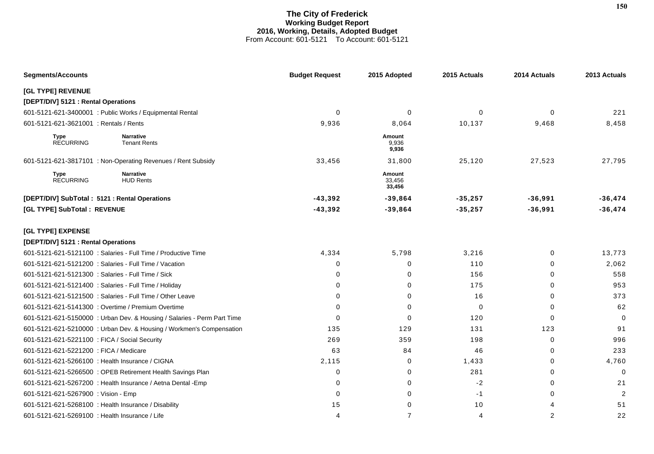# **The City of Frederick Working Budget Report 2016, Working, Details, Adopted Budget** From Account: 601-5121 To Account: 601-5121

| <b>Segments/Accounts</b>                                                | <b>Budget Request</b> | 2015 Adopted               | 2015 Actuals | 2014 Actuals   | 2013 Actuals   |
|-------------------------------------------------------------------------|-----------------------|----------------------------|--------------|----------------|----------------|
| [GL TYPE] REVENUE                                                       |                       |                            |              |                |                |
| [DEPT/DIV] 5121 : Rental Operations                                     |                       |                            |              |                |                |
| 601-5121-621-3400001 : Public Works / Equipmental Rental                | $\Omega$              | $\Omega$                   | $\Omega$     | $\Omega$       | 221            |
| 601-5121-621-3621001 : Rentals / Rents                                  | 9,936                 | 8,064                      | 10,137       | 9,468          | 8,458          |
| <b>Narrative</b><br>Type<br><b>RECURRING</b><br><b>Tenant Rents</b>     |                       | Amount<br>9,936<br>9,936   |              |                |                |
| 601-5121-621-3817101: Non-Operating Revenues / Rent Subsidy             | 33,456                | 31,800                     | 25,120       | 27,523         | 27,795         |
| <b>Narrative</b><br><b>Type</b><br><b>RECURRING</b><br><b>HUD Rents</b> |                       | Amount<br>33,456<br>33,456 |              |                |                |
| [DEPT/DIV] SubTotal: 5121: Rental Operations                            | $-43,392$             | $-39,864$                  | $-35,257$    | $-36,991$      | $-36,474$      |
| [GL TYPE] SubTotal: REVENUE                                             | $-43,392$             | $-39,864$                  | $-35,257$    | $-36,991$      | $-36,474$      |
| [GL TYPE] EXPENSE                                                       |                       |                            |              |                |                |
| [DEPT/DIV] 5121 : Rental Operations                                     |                       |                            |              |                |                |
| 601-5121-621-5121100 : Salaries - Full Time / Productive Time           | 4,334                 | 5,798                      | 3,216        | $\mathbf{0}$   | 13,773         |
| 601-5121-621-5121200 : Salaries - Full Time / Vacation                  | 0                     | $\Omega$                   | 110          | $\mathbf 0$    | 2,062          |
| 601-5121-621-5121300 : Salaries - Full Time / Sick                      | 0                     | $\Omega$                   | 156          | $\mathbf 0$    | 558            |
| 601-5121-621-5121400 : Salaries - Full Time / Holiday                   | 0                     | $\Omega$                   | 175          | $\Omega$       | 953            |
| 601-5121-621-5121500 : Salaries - Full Time / Other Leave               | $\Omega$              | $\Omega$                   | 16           | $\Omega$       | 373            |
| 601-5121-621-5141300 : Overtime / Premium Overtime                      | 0                     | 0                          | 0            | 0              | 62             |
| 601-5121-621-5150000 : Urban Dev. & Housing / Salaries - Perm Part Time | 0                     | $\Omega$                   | 120          | $\mathbf 0$    | $\Omega$       |
| 601-5121-621-5210000 : Urban Dev. & Housing / Workmen's Compensation    | 135                   | 129                        | 131          | 123            | 91             |
| 601-5121-621-5221100 : FICA / Social Security                           | 269                   | 359                        | 198          | $\mathbf 0$    | 996            |
| 601-5121-621-5221200 : FICA / Medicare                                  | 63                    | 84                         | 46           | $\mathbf 0$    | 233            |
| 601-5121-621-5266100 : Health Insurance / CIGNA                         | 2,115                 | $\Omega$                   | 1,433        | $\Omega$       | 4,760          |
| 601-5121-621-5266500 : OPEB Retirement Health Savings Plan              | 0                     | $\Omega$                   | 281          | $\mathbf 0$    | $\Omega$       |
| 601-5121-621-5267200 : Health Insurance / Aetna Dental - Emp            | 0                     | 0                          | $-2$         | 0              | 21             |
| 601-5121-621-5267900 : Vision - Emp                                     | 0                     | 0                          | $-1$         | 0              | $\overline{2}$ |
| 601-5121-621-5268100 : Health Insurance / Disability                    | 15                    | $\mathbf 0$                | 10           | 4              | 51             |
| 601-5121-621-5269100 : Health Insurance / Life                          | 4                     | $\overline{7}$             | 4            | $\overline{2}$ | 22             |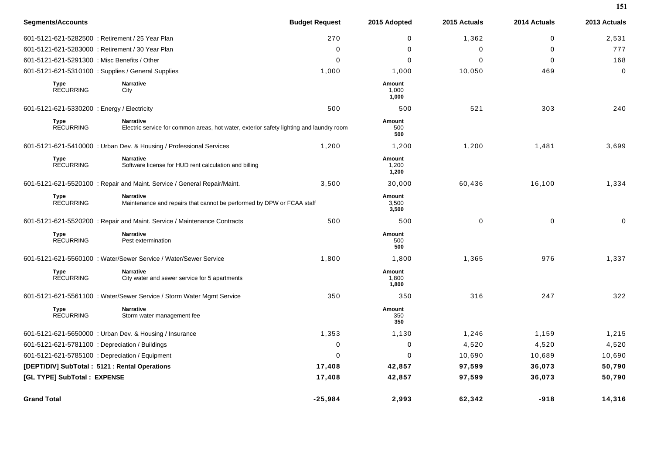| <b>Segments/Accounts</b>                                                                      | <b>Budget Request</b>                                                                   | 2015 Adopted             | 2015 Actuals | 2014 Actuals | 2013 Actuals |
|-----------------------------------------------------------------------------------------------|-----------------------------------------------------------------------------------------|--------------------------|--------------|--------------|--------------|
| 601-5121-621-5282500 : Retirement / 25 Year Plan                                              | 270                                                                                     | 0                        | 1,362        | 0            | 2,531        |
| 601-5121-621-5283000 : Retirement / 30 Year Plan                                              | 0                                                                                       | 0                        | 0            | 0            | 777          |
| 601-5121-621-5291300 : Misc Benefits / Other                                                  | 0                                                                                       | $\mathbf 0$              | 0            | 0            | 168          |
| 601-5121-621-5310100 : Supplies / General Supplies                                            | 1,000                                                                                   | 1,000                    | 10,050       | 469          | 0            |
| <b>Narrative</b><br>Type<br><b>RECURRING</b><br>City                                          |                                                                                         | Amount<br>1,000<br>1,000 |              |              |              |
| 601-5121-621-5330200 : Energy / Electricity                                                   | 500                                                                                     | 500                      | 521          | 303          | 240          |
| <b>Narrative</b><br>Type<br><b>RECURRING</b>                                                  | Electric service for common areas, hot water, exterior safety lighting and laundry room | Amount<br>500<br>500     |              |              |              |
| 601-5121-621-5410000 : Urban Dev. & Housing / Professional Services                           | 1,200                                                                                   | 1,200                    | 1,200        | 1,481        | 3,699        |
| <b>Narrative</b><br><b>Type</b><br><b>RECURRING</b>                                           | Software license for HUD rent calculation and billing                                   | Amount<br>1,200<br>1,200 |              |              |              |
| 601-5121-621-5520100: Repair and Maint. Service / General Repair/Maint.                       | 3,500                                                                                   | 30,000                   | 60,436       | 16,100       | 1,334        |
| <b>Narrative</b><br>Type<br><b>RECURRING</b>                                                  | Maintenance and repairs that cannot be performed by DPW or FCAA staff                   | Amount<br>3,500<br>3,500 |              |              |              |
| 601-5121-621-5520200 : Repair and Maint. Service / Maintenance Contracts                      | 500                                                                                     | 500                      | 0            | 0            | 0            |
| <b>Narrative</b><br>Type<br><b>RECURRING</b><br>Pest extermination                            |                                                                                         | Amount<br>500<br>500     |              |              |              |
| 601-5121-621-5560100 : Water/Sewer Service / Water/Sewer Service                              | 1,800                                                                                   | 1,800                    | 1,365        | 976          | 1,337        |
| <b>Narrative</b><br>Type<br><b>RECURRING</b><br>City water and sewer service for 5 apartments |                                                                                         | Amount<br>1,800<br>1,800 |              |              |              |
| 601-5121-621-5561100 : Water/Sewer Service / Storm Water Mgmt Service                         | 350                                                                                     | 350                      | 316          | 247          | 322          |
| <b>Narrative</b><br><b>Type</b><br><b>RECURRING</b><br>Storm water management fee             |                                                                                         | Amount<br>350<br>350     |              |              |              |
| 601-5121-621-5650000 : Urban Dev. & Housing / Insurance                                       | 1,353                                                                                   | 1,130                    | 1,246        | 1,159        | 1,215        |
| 601-5121-621-5781100 : Depreciation / Buildings                                               | 0                                                                                       | 0                        | 4,520        | 4,520        | 4,520        |
| 601-5121-621-5785100 : Depreciation / Equipment                                               | $\mathbf 0$                                                                             | $\pmb{0}$                | 10,690       | 10,689       | 10,690       |
| [DEPT/DIV] SubTotal: 5121: Rental Operations                                                  | 17,408                                                                                  | 42,857                   | 97,599       | 36,073       | 50,790       |
| [GL TYPE] SubTotal: EXPENSE                                                                   | 17,408                                                                                  | 42,857                   | 97,599       | 36,073       | 50,790       |
| <b>Grand Total</b>                                                                            | $-25,984$                                                                               | 2,993                    | 62,342       | $-918$       | 14,316       |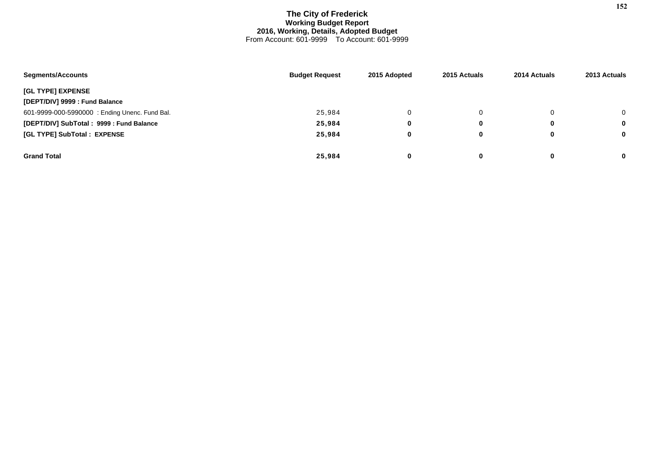# **The City of Frederick Working Budget Report 2016, Working, Details, Adopted Budget** From Account: 601-9999 To Account: 601-9999

| <b>Segments/Accounts</b>                       | <b>Budget Request</b> | 2015 Adopted | 2015 Actuals | 2014 Actuals | 2013 Actuals |
|------------------------------------------------|-----------------------|--------------|--------------|--------------|--------------|
| <b>[GL TYPE] EXPENSE</b>                       |                       |              |              |              |              |
| [DEPT/DIV] 9999 : Fund Balance                 |                       |              |              |              |              |
| 601-9999-000-5990000 : Ending Unenc. Fund Bal. | 25,984                | $\mathbf{0}$ | 0            |              | $\Omega$     |
| [DEPT/DIV] SubTotal: 9999: Fund Balance        | 25,984                | $\bf{0}$     | 0            | 0            | 0            |
| [GL TYPE] SubTotal: EXPENSE                    | 25,984                | $\bf{0}$     | 0            | 0            | 0            |
| <b>Grand Total</b>                             | 25,984                | $\bf{0}$     | 0            | 0            | 0            |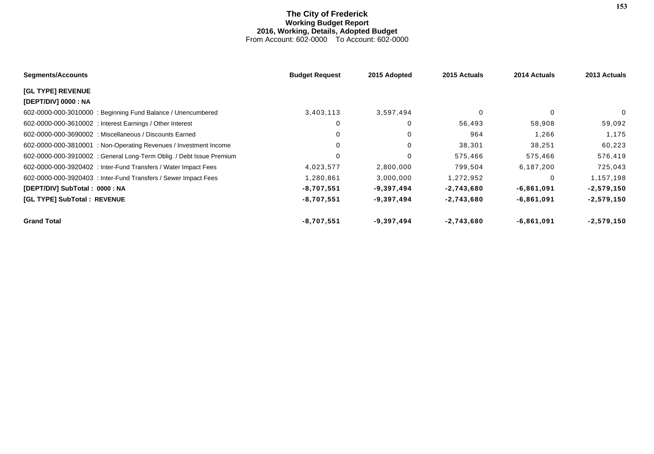# **The City of Frederick Working Budget Report 2016, Working, Details, Adopted Budget** From Account: 602-0000 To Account: 602-0000

| <b>Segments/Accounts</b>                                             | <b>Budget Request</b> | 2015 Adopted | 2015 Actuals | 2014 Actuals | 2013 Actuals |
|----------------------------------------------------------------------|-----------------------|--------------|--------------|--------------|--------------|
| <b>IGL TYPEI REVENUE</b>                                             |                       |              |              |              |              |
| [DEPT/DIV] 0000 : NA                                                 |                       |              |              |              |              |
| 602-0000-000-3010000: Beginning Fund Balance / Unencumbered          | 3,403,113             | 3,597,494    | 0            | 0            | 0            |
| 602-0000-000-3610002 : Interest Earnings / Other Interest            | 0                     | 0            | 56,493       | 58,908       | 59,092       |
| 602-0000-000-3690002 : Miscellaneous / Discounts Earned              | 0                     | 0            | 964          | 1,266        | 1,175        |
| 602-0000-000-3810001: Non-Operating Revenues / Investment Income     | 0                     | 0            | 38,301       | 38,251       | 60,223       |
| 602-0000-000-3910002 : General Long-Term Oblig. / Debt Issue Premium | 0                     | 0            | 575,466      | 575,466      | 576,419      |
| 602-0000-000-3920402 : Inter-Fund Transfers / Water Impact Fees      | 4,023,577             | 2,800,000    | 799,504      | 6,187,200    | 725,043      |
| 602-0000-000-3920403 : Inter-Fund Transfers / Sewer Impact Fees      | 1,280,861             | 3,000,000    | 1,272,952    | 0            | 1,157,198    |
| [DEPT/DIV] SubTotal: 0000: NA                                        | $-8,707,551$          | $-9,397,494$ | $-2,743,680$ | $-6,861,091$ | $-2,579,150$ |
| <b>[GL TYPE] SubTotal: REVENUE</b>                                   | $-8,707,551$          | $-9,397,494$ | $-2,743,680$ | -6,861,091   | $-2,579,150$ |
| <b>Grand Total</b>                                                   | $-8,707,551$          | $-9,397,494$ | $-2,743,680$ | $-6,861,091$ | $-2,579,150$ |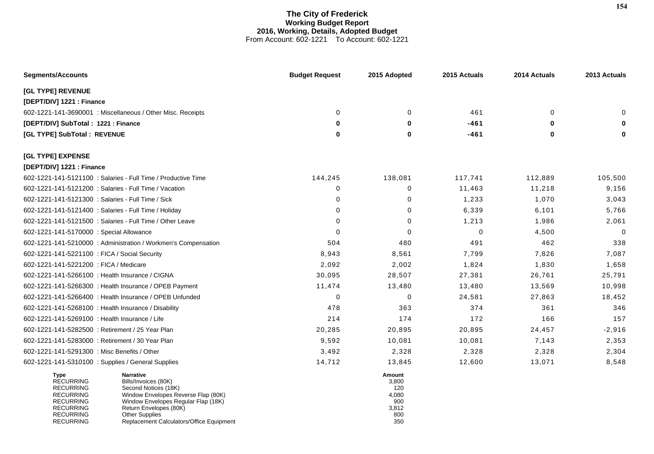# **The City of Frederick Working Budget Report 2016, Working, Details, Adopted Budget** From Account: 602-1221 To Account: 602-1221

| <b>Segments/Accounts</b>                           |                                                               | <b>Budget Request</b> | 2015 Adopted | 2015 Actuals | 2014 Actuals | 2013 Actuals |
|----------------------------------------------------|---------------------------------------------------------------|-----------------------|--------------|--------------|--------------|--------------|
| [GL TYPE] REVENUE                                  |                                                               |                       |              |              |              |              |
| [DEPT/DIV] 1221 : Finance                          |                                                               |                       |              |              |              |              |
|                                                    | 602-1221-141-3690001 : Miscellaneous / Other Misc. Receipts   | $\Omega$              | 0            | 461          | 0            | 0            |
| [DEPT/DIV] SubTotal: 1221: Finance                 |                                                               | 0                     | $\bf{0}$     | $-461$       | 0            | 0            |
| [GL TYPE] SubTotal: REVENUE                        |                                                               | $\bf{0}$              | $\bf{0}$     | $-461$       | 0            | 0            |
| [GL TYPE] EXPENSE                                  |                                                               |                       |              |              |              |              |
| [DEPT/DIV] 1221 : Finance                          |                                                               |                       |              |              |              |              |
|                                                    | 602-1221-141-5121100 : Salaries - Full Time / Productive Time | 144,245               | 138,081      | 117,741      | 112,889      | 105,500      |
|                                                    | 602-1221-141-5121200 : Salaries - Full Time / Vacation        | 0                     | $\Omega$     | 11,463       | 11,218       | 9,156        |
| 602-1221-141-5121300 : Salaries - Full Time / Sick |                                                               | 0                     | 0            | 1,233        | 1,070        | 3,043        |
|                                                    | 602-1221-141-5121400 : Salaries - Full Time / Holiday         | 0                     | 0            | 6,339        | 6,101        | 5,766        |
|                                                    | 602-1221-141-5121500 : Salaries - Full Time / Other Leave     | 0                     | $\Omega$     | 1,213        | 1,986        | 2,061        |
| 602-1221-141-5170000 : Special Allowance           |                                                               | $\Omega$              | $\mathbf 0$  | 0            | 4,500        | $\Omega$     |
|                                                    | 602-1221-141-5210000: Administration / Workmen's Compensation | 504                   | 480          | 491          | 462          | 338          |
| 602-1221-141-5221100 : FICA / Social Security      |                                                               | 8,943                 | 8,561        | 7,799        | 7,826        | 7,087        |
| 602-1221-141-5221200 : FICA / Medicare             |                                                               | 2,092                 | 2,002        | 1,824        | 1,830        | 1,658        |
| 602-1221-141-5266100 : Health Insurance / CIGNA    |                                                               | 30,095                | 28,507       | 27,381       | 26,761       | 25,791       |
|                                                    | 602-1221-141-5266300 : Health Insurance / OPEB Payment        | 11,474                | 13,480       | 13,480       | 13,569       | 10,998       |
|                                                    | 602-1221-141-5266400 : Health Insurance / OPEB Unfunded       | 0                     | 0            | 24,581       | 27,863       | 18,452       |
|                                                    | 602-1221-141-5268100 : Health Insurance / Disability          | 478                   | 363          | 374          | 361          | 346          |
| 602-1221-141-5269100 : Health Insurance / Life     |                                                               | 214                   | 174          | 172          | 166          | 157          |
| 602-1221-141-5282500 : Retirement / 25 Year Plan   |                                                               | 20,285                | 20,895       | 20,895       | 24,457       | $-2,916$     |
| 602-1221-141-5283000 : Retirement / 30 Year Plan   |                                                               | 9,592                 | 10,081       | 10,081       | 7,143        | 2,353        |
| 602-1221-141-5291300 : Misc Benefits / Other       |                                                               | 3,492                 | 2,328        | 2,328        | 2,328        | 2,304        |
|                                                    | 602-1221-141-5310100 : Supplies / General Supplies            | 14,712                | 13,845       | 12,600       | 13,071       | 8,548        |
| <b>Tyno</b>                                        | Narrativo                                                     |                       | Amount       |              |              |              |

| l ype            | Narrative                                | Amount |
|------------------|------------------------------------------|--------|
| <b>RECURRING</b> | Bills/Invoices (80K)                     | 3.800  |
| <b>RECURRING</b> | Second Notices (18K)                     | 120    |
| <b>RECURRING</b> | Window Envelopes Reverse Flap (80K)      | 4.080  |
| <b>RECURRING</b> | Window Envelopes Regular Flap (18K)      | 900    |
| <b>RECURRING</b> | Return Envelopes (80K)                   | 3.812  |
| <b>RECURRING</b> | <b>Other Supplies</b>                    | 800    |
| <b>RECURRING</b> | Replacement Calculators/Office Equipment | 350    |
|                  |                                          |        |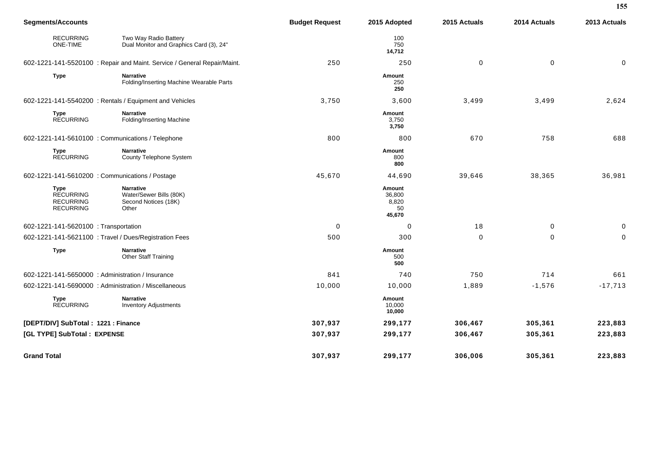|                    | <b>Segments/Accounts</b>                                         |                                                                              | <b>Budget Request</b> | 2015 Adopted                              | 2015 Actuals | 2014 Actuals | 2013 Actuals |
|--------------------|------------------------------------------------------------------|------------------------------------------------------------------------------|-----------------------|-------------------------------------------|--------------|--------------|--------------|
|                    | <b>RECURRING</b><br>ONE-TIME                                     | Two Way Radio Battery<br>Dual Monitor and Graphics Card (3), 24"             |                       | 100<br>750<br>14,712                      |              |              |              |
|                    |                                                                  | 602-1221-141-5520100 : Repair and Maint. Service / General Repair/Maint.     | 250                   | 250                                       | $\pmb{0}$    | $\pmb{0}$    | 0            |
|                    | <b>Type</b>                                                      | <b>Narrative</b><br>Folding/Inserting Machine Wearable Parts                 |                       | Amount<br>250<br>250                      |              |              |              |
|                    |                                                                  | 602-1221-141-5540200 : Rentals / Equipment and Vehicles                      | 3,750                 | 3,600                                     | 3,499        | 3,499        | 2,624        |
|                    | Type<br><b>RECURRING</b>                                         | <b>Narrative</b><br><b>Folding/Inserting Machine</b>                         |                       | Amount<br>3,750<br>3,750                  |              |              |              |
|                    |                                                                  | 602-1221-141-5610100 : Communications / Telephone                            | 800                   | 800                                       | 670          | 758          | 688          |
|                    | <b>Type</b><br><b>RECURRING</b>                                  | <b>Narrative</b><br>County Telephone System                                  |                       | Amount<br>800<br>800                      |              |              |              |
|                    | 602-1221-141-5610200 : Communications / Postage                  |                                                                              | 45,670                | 44,690                                    | 39,646       | 38,365       | 36,981       |
|                    | Type<br><b>RECURRING</b><br><b>RECURRING</b><br><b>RECURRING</b> | <b>Narrative</b><br>Water/Sewer Bills (80K)<br>Second Notices (18K)<br>Other |                       | Amount<br>36,800<br>8,820<br>50<br>45,670 |              |              |              |
|                    | 602-1221-141-5620100 : Transportation                            |                                                                              | 0                     | 0                                         | 18           | 0            | 0            |
|                    |                                                                  | 602-1221-141-5621100 : Travel / Dues/Registration Fees                       | 500                   | 300                                       | $\mathbf 0$  | $\mathbf 0$  | $\mathbf 0$  |
|                    | <b>Type</b>                                                      | Narrative<br>Other Staff Training                                            |                       | Amount<br>500<br>500                      |              |              |              |
|                    | 602-1221-141-5650000 : Administration / Insurance                |                                                                              | 841                   | 740                                       | 750          | 714          | 661          |
|                    |                                                                  | 602-1221-141-5690000 : Administration / Miscellaneous                        | 10,000                | 10,000                                    | 1,889        | $-1,576$     | $-17,713$    |
|                    | <b>Type</b><br><b>RECURRING</b>                                  | <b>Narrative</b><br><b>Inventory Adjustments</b>                             |                       | Amount<br>10,000<br>10,000                |              |              |              |
|                    | [DEPT/DIV] SubTotal: 1221: Finance                               |                                                                              | 307,937               | 299,177                                   | 306,467      | 305,361      | 223,883      |
|                    | [GL TYPE] SubTotal: EXPENSE                                      |                                                                              | 307,937               | 299,177                                   | 306,467      | 305,361      | 223,883      |
| <b>Grand Total</b> |                                                                  |                                                                              | 307,937               | 299,177                                   | 306,006      | 305,361      | 223,883      |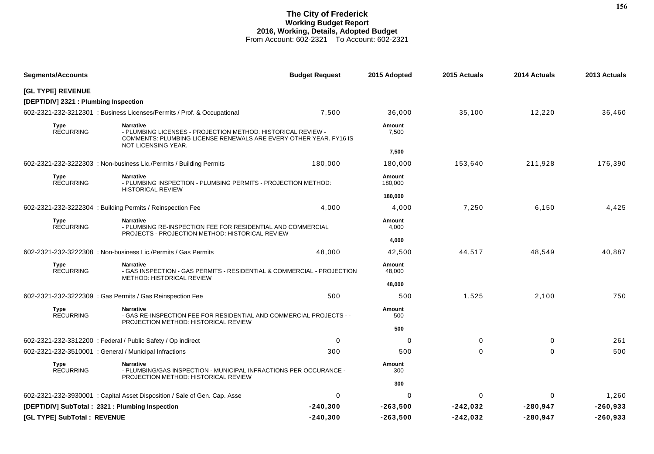# **The City of Frederick Working Budget Report 2016, Working, Details, Adopted Budget** From Account: 602-2321 To Account: 602-2321

| <b>Segments/Accounts</b>                                                                                                                                                                                        |                                                                                                                                 | <b>Budget Request</b> | 2015 Adopted      | 2015 Actuals | 2014 Actuals | 2013 Actuals |
|-----------------------------------------------------------------------------------------------------------------------------------------------------------------------------------------------------------------|---------------------------------------------------------------------------------------------------------------------------------|-----------------------|-------------------|--------------|--------------|--------------|
| [GL TYPE] REVENUE                                                                                                                                                                                               |                                                                                                                                 |                       |                   |              |              |              |
| [DEPT/DIV] 2321 : Plumbing Inspection                                                                                                                                                                           |                                                                                                                                 |                       |                   |              |              |              |
|                                                                                                                                                                                                                 | 602-2321-232-3212301 : Business Licenses/Permits / Prof. & Occupational                                                         | 7,500                 | 36,000            | 35,100       | 12,220       | 36,460       |
| <b>Narrative</b><br><b>Type</b><br><b>RECURRING</b><br>- PLUMBING LICENSES - PROJECTION METHOD: HISTORICAL REVIEW -<br>COMMENTS: PLUMBING LICENSE RENEWALS ARE EVERY OTHER YEAR. FY16 IS<br>NOT LICENSING YEAR. |                                                                                                                                 |                       | Amount<br>7,500   |              |              |              |
|                                                                                                                                                                                                                 |                                                                                                                                 |                       | 7,500             |              |              |              |
|                                                                                                                                                                                                                 | 602-2321-232-3222303 : Non-business Lic./Permits / Building Permits                                                             | 180,000               | 180,000           | 153,640      | 211,928      | 176,390      |
| <b>Type</b><br><b>RECURRING</b>                                                                                                                                                                                 | <b>Narrative</b><br>- PLUMBING INSPECTION - PLUMBING PERMITS - PROJECTION METHOD:<br><b>HISTORICAL REVIEW</b>                   |                       | Amount<br>180,000 |              |              |              |
|                                                                                                                                                                                                                 |                                                                                                                                 |                       | 180,000           |              |              |              |
|                                                                                                                                                                                                                 | 602-2321-232-3222304 : Building Permits / Reinspection Fee                                                                      | 4.000                 | 4,000             | 7,250        | 6,150        | 4,425        |
| <b>Narrative</b><br>Type<br><b>RECURRING</b><br>- PLUMBING RE-INSPECTION FEE FOR RESIDENTIAL AND COMMERCIAL                                                                                                     |                                                                                                                                 |                       | Amount<br>4,000   |              |              |              |
|                                                                                                                                                                                                                 | PROJECTS - PROJECTION METHOD: HISTORICAL REVIEW                                                                                 |                       | 4,000             |              |              |              |
|                                                                                                                                                                                                                 | 602-2321-232-3222308 : Non-business Lic./Permits / Gas Permits                                                                  | 48,000                | 42,500            | 44,517       | 48,549       | 40,887       |
| Type<br><b>RECURRING</b>                                                                                                                                                                                        | <b>Narrative</b><br>- GAS INSPECTION - GAS PERMITS - RESIDENTIAL & COMMERCIAL - PROJECTION<br>METHOD: HISTORICAL REVIEW         |                       | Amount<br>48,000  |              |              |              |
|                                                                                                                                                                                                                 |                                                                                                                                 |                       | 48,000            |              |              |              |
|                                                                                                                                                                                                                 | 602-2321-232-3222309 : Gas Permits / Gas Reinspection Fee                                                                       | 500                   | 500               | 1,525        | 2,100        | 750          |
| <b>Type</b><br><b>RECURRING</b>                                                                                                                                                                                 | <b>Narrative</b><br>- GAS RE-INSPECTION FEE FOR RESIDENTIAL AND COMMERCIAL PROJECTS - -<br>PROJECTION METHOD: HISTORICAL REVIEW |                       | Amount<br>500     |              |              |              |
|                                                                                                                                                                                                                 |                                                                                                                                 |                       | 500               |              |              |              |
|                                                                                                                                                                                                                 | 602-2321-232-3312200 : Federal / Public Safety / Op indirect                                                                    | 0                     | 0                 | 0            | $\mathbf 0$  | 261          |
|                                                                                                                                                                                                                 | 602-2321-232-3510001 : General / Municipal Infractions                                                                          | 300                   | 500               | $\Omega$     | $\Omega$     | 500          |
| <b>Type</b><br><b>RECURRING</b>                                                                                                                                                                                 | <b>Narrative</b><br>- PLUMBING/GAS INSPECTION - MUNICIPAL INFRACTIONS PER OCCURANCE -<br>PROJECTION METHOD: HISTORICAL REVIEW   |                       | Amount<br>300     |              |              |              |
|                                                                                                                                                                                                                 |                                                                                                                                 |                       | 300               |              |              |              |
|                                                                                                                                                                                                                 | 602-2321-232-3930001: Capital Asset Disposition / Sale of Gen. Cap. Asse                                                        | 0                     | 0                 | $\Omega$     | $\mathbf 0$  | 1,260        |
|                                                                                                                                                                                                                 | [DEPT/DIV] SubTotal: 2321: Plumbing Inspection                                                                                  | $-240,300$            | $-263,500$        | $-242,032$   | $-280,947$   | $-260,933$   |
| [GL TYPE] SubTotal: REVENUE                                                                                                                                                                                     |                                                                                                                                 | $-240.300$            | $-263.500$        | $-242.032$   | $-280.947$   | $-260,933$   |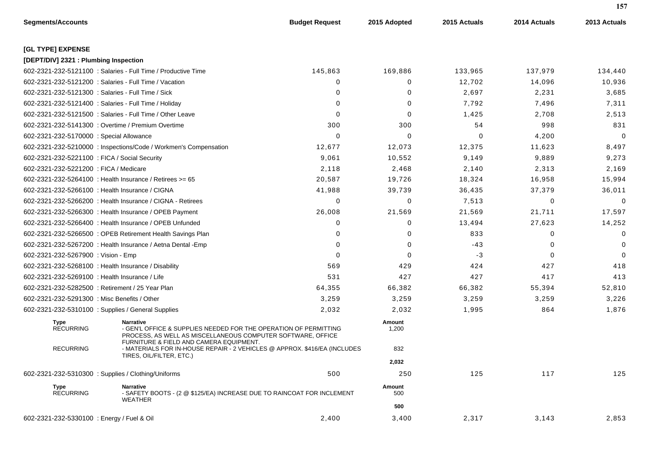| <b>Segments/Accounts</b>                                                                                                                                                                                                   | <b>Budget Request</b> | 2015 Adopted    | 2015 Actuals | 2014 Actuals | 2013 Actuals |
|----------------------------------------------------------------------------------------------------------------------------------------------------------------------------------------------------------------------------|-----------------------|-----------------|--------------|--------------|--------------|
| [GL TYPE] EXPENSE                                                                                                                                                                                                          |                       |                 |              |              |              |
| [DEPT/DIV] 2321 : Plumbing Inspection                                                                                                                                                                                      |                       |                 |              |              |              |
| 602-2321-232-5121100 : Salaries - Full Time / Productive Time                                                                                                                                                              | 145,863               | 169,886         | 133,965      | 137,979      | 134,440      |
| 602-2321-232-5121200 : Salaries - Full Time / Vacation                                                                                                                                                                     | 0                     | 0               | 12,702       | 14,096       | 10,936       |
| 602-2321-232-5121300 : Salaries - Full Time / Sick                                                                                                                                                                         | 0                     | 0               | 2,697        | 2,231        | 3,685        |
| 602-2321-232-5121400 : Salaries - Full Time / Holiday                                                                                                                                                                      | 0                     | $\Omega$        | 7,792        | 7,496        | 7,311        |
| 602-2321-232-5121500 : Salaries - Full Time / Other Leave                                                                                                                                                                  | 0                     | 0               | 1,425        | 2,708        | 2,513        |
| 602-2321-232-5141300 : Overtime / Premium Overtime                                                                                                                                                                         | 300                   | 300             | 54           | 998          | 831          |
| 602-2321-232-5170000 : Special Allowance                                                                                                                                                                                   | $\Omega$              | $\Omega$        | 0            | 4,200        | $\mathbf 0$  |
| 602-2321-232-5210000 : Inspections/Code / Workmen's Compensation                                                                                                                                                           | 12,677                | 12,073          | 12,375       | 11,623       | 8,497        |
| 602-2321-232-5221100 : FICA / Social Security                                                                                                                                                                              | 9,061                 | 10,552          | 9,149        | 9,889        | 9,273        |
| 602-2321-232-5221200 : FICA / Medicare                                                                                                                                                                                     | 2,118                 | 2,468           | 2,140        | 2,313        | 2,169        |
| 602-2321-232-5264100 : Health Insurance / Retirees >= 65                                                                                                                                                                   | 20,587                | 19,726          | 18,324       | 16,958       | 15,994       |
| 602-2321-232-5266100 : Health Insurance / CIGNA                                                                                                                                                                            | 41,988                | 39,739          | 36,435       | 37,379       | 36,011       |
| 602-2321-232-5266200 : Health Insurance / CIGNA - Retirees                                                                                                                                                                 | 0                     | 0               | 7,513        | 0            | 0            |
| 602-2321-232-5266300 : Health Insurance / OPEB Payment                                                                                                                                                                     | 26,008                | 21,569          | 21,569       | 21,711       | 17,597       |
| 602-2321-232-5266400 : Health Insurance / OPEB Unfunded                                                                                                                                                                    | 0                     | $\Omega$        | 13,494       | 27,623       | 14,252       |
| 602-2321-232-5266500 : OPEB Retirement Health Savings Plan                                                                                                                                                                 | 0                     | 0               | 833          | 0            | 0            |
| 602-2321-232-5267200 : Health Insurance / Aetna Dental - Emp                                                                                                                                                               | 0                     | $\Omega$        | $-43$        | $\Omega$     | 0            |
| 602-2321-232-5267900 : Vision - Emp                                                                                                                                                                                        | 0                     | $\Omega$        | $-3$         | $\Omega$     | $\Omega$     |
| 602-2321-232-5268100 : Health Insurance / Disability                                                                                                                                                                       | 569                   | 429             | 424          | 427          | 418          |
| 602-2321-232-5269100 : Health Insurance / Life                                                                                                                                                                             | 531                   | 427             | 427          | 417          | 413          |
| 602-2321-232-5282500 : Retirement / 25 Year Plan                                                                                                                                                                           | 64,355                | 66,382          | 66,382       | 55,394       | 52,810       |
| 602-2321-232-5291300 : Misc Benefits / Other                                                                                                                                                                               | 3,259                 | 3,259           | 3,259        | 3,259        | 3,226        |
| 602-2321-232-5310100 : Supplies / General Supplies                                                                                                                                                                         | 2,032                 | 2,032           | 1,995        | 864          | 1,876        |
| Type<br><b>Narrative</b><br><b>RECURRING</b><br>- GEN'L OFFICE & SUPPLIES NEEDED FOR THE OPERATION OF PERMITTING<br>PROCESS, AS WELL AS MISCELLANEOUS COMPUTER SOFTWARE, OFFICE<br>FURNITURE & FIELD AND CAMERA EQUIPMENT. |                       | Amount<br>1,200 |              |              |              |
| <b>RECURRING</b><br>- MATERIALS FOR IN-HOUSE REPAIR - 2 VEHICLES @ APPROX. \$416/EA (INCLUDES                                                                                                                              |                       | 832             |              |              |              |
| TIRES, OIL/FILTER, ETC.)                                                                                                                                                                                                   |                       | 2,032           |              |              |              |
| 602-2321-232-5310300: Supplies / Clothing/Uniforms                                                                                                                                                                         | 500                   | 250             | 125          | 117          | 125          |
| <b>Narrative</b><br>Type<br><b>RECURRING</b><br>- SAFETY BOOTS - (2 @ \$125/EA) INCREASE DUE TO RAINCOAT FOR INCLEMENT<br>WEATHER                                                                                          |                       | Amount<br>500   |              |              |              |
|                                                                                                                                                                                                                            |                       | 500             |              |              |              |
| 602-2321-232-5330100 : Energy / Fuel & Oil                                                                                                                                                                                 | 2,400                 | 3,400           | 2,317        | 3,143        | 2,853        |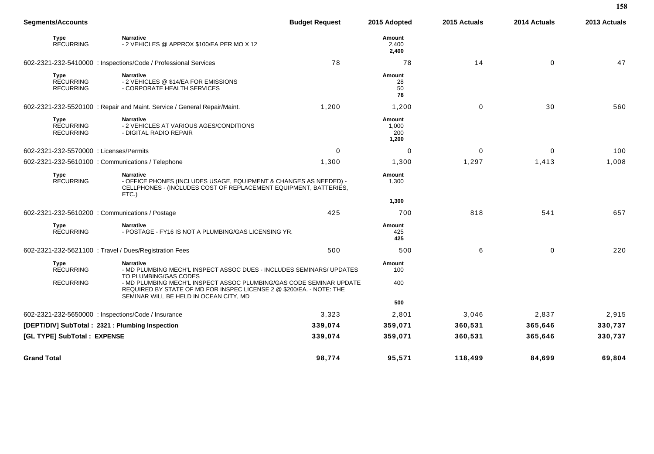|                    | <b>Segments/Accounts</b>                            |                                                                                                                                                                                       | <b>Budget Request</b> | 2015 Adopted                    | 2015 Actuals | 2014 Actuals | 2013 Actuals |
|--------------------|-----------------------------------------------------|---------------------------------------------------------------------------------------------------------------------------------------------------------------------------------------|-----------------------|---------------------------------|--------------|--------------|--------------|
|                    | <b>Type</b><br><b>RECURRING</b>                     | <b>Narrative</b><br>- 2 VEHICLES @ APPROX \$100/EA PER MO X 12                                                                                                                        |                       | Amount<br>2,400<br>2,400        |              |              |              |
|                    |                                                     | 602-2321-232-5410000 : Inspections/Code / Professional Services                                                                                                                       | 78                    | 78                              | 14           | $\pmb{0}$    | 47           |
|                    | <b>Type</b><br><b>RECURRING</b><br><b>RECURRING</b> | <b>Narrative</b><br>- 2 VEHICLES @ \$14/EA FOR EMISSIONS<br>- CORPORATE HEALTH SERVICES                                                                                               |                       | Amount<br>28<br>50<br>78        |              |              |              |
|                    |                                                     | 602-2321-232-5520100 : Repair and Maint. Service / General Repair/Maint.                                                                                                              | 1,200                 | 1,200                           | 0            | 30           | 560          |
|                    | Type<br><b>RECURRING</b><br><b>RECURRING</b>        | <b>Narrative</b><br>- 2 VEHICLES AT VARIOUS AGES/CONDITIONS<br>- DIGITAL RADIO REPAIR                                                                                                 |                       | Amount<br>1,000<br>200<br>1,200 |              |              |              |
|                    | 602-2321-232-5570000 : Licenses/Permits             |                                                                                                                                                                                       | 0                     | 0                               | 0            | 0            | 100          |
|                    | 602-2321-232-5610100 : Communications / Telephone   |                                                                                                                                                                                       | 1,300                 | 1,300                           | 1,297        | 1,413        | 1,008        |
|                    | <b>Type</b><br><b>RECURRING</b>                     | <b>Narrative</b><br>- OFFICE PHONES (INCLUDES USAGE, EQUIPMENT & CHANGES AS NEEDED) -<br>CELLPHONES - (INCLUDES COST OF REPLACEMENT EQUIPMENT, BATTERIES,<br>ETC.)                    |                       | Amount<br>1,300                 |              |              |              |
|                    |                                                     |                                                                                                                                                                                       |                       | 1,300                           |              |              |              |
|                    | 602-2321-232-5610200 : Communications / Postage     |                                                                                                                                                                                       | 425                   | 700                             | 818          | 541          | 657          |
|                    | <b>Type</b><br><b>RECURRING</b>                     | <b>Narrative</b><br>- POSTAGE - FY16 IS NOT A PLUMBING/GAS LICENSING YR.                                                                                                              |                       | Amount<br>425<br>425            |              |              |              |
|                    |                                                     | 602-2321-232-5621100 : Travel / Dues/Registration Fees                                                                                                                                | 500                   | 500                             | 6            | $\mathbf 0$  | 220          |
|                    | <b>Type</b><br><b>RECURRING</b>                     | <b>Narrative</b><br>- MD PLUMBING MECH'L INSPECT ASSOC DUES - INCLUDES SEMINARS/ UPDATES<br>TO PLUMBING/GAS CODES                                                                     |                       | Amount<br>100                   |              |              |              |
|                    | <b>RECURRING</b>                                    | - MD PLUMBING MECH'L INSPECT ASSOC PLUMBING/GAS CODE SEMINAR UPDATE<br>REQUIRED BY STATE OF MD FOR INSPEC LICENSE 2 @ \$200/EA. - NOTE: THE<br>SEMINAR WILL BE HELD IN OCEAN CITY, MD |                       | 400                             |              |              |              |
|                    |                                                     |                                                                                                                                                                                       |                       | 500                             |              |              |              |
|                    | 602-2321-232-5650000 : Inspections/Code / Insurance |                                                                                                                                                                                       | 3,323                 | 2,801                           | 3,046        | 2,837        | 2,915        |
|                    | [DEPT/DIV] SubTotal: 2321: Plumbing Inspection      |                                                                                                                                                                                       | 339,074               | 359,071                         | 360,531      | 365,646      | 330,737      |
|                    | [GL TYPE] SubTotal: EXPENSE                         |                                                                                                                                                                                       | 339,074               | 359,071                         | 360,531      | 365,646      | 330,737      |
| <b>Grand Total</b> |                                                     |                                                                                                                                                                                       | 98,774                | 95,571                          | 118,499      | 84,699       | 69.804       |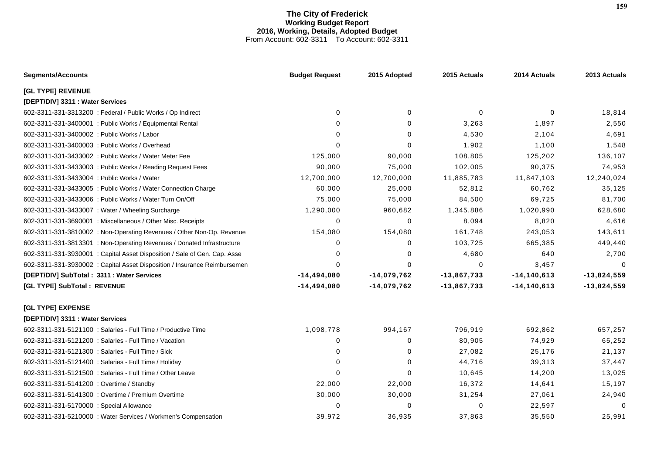# **The City of Frederick Working Budget Report 2016, Working, Details, Adopted Budget** From Account: 602-3311 To Account: 602-3311

| <b>Segments/Accounts</b>                                                  | <b>Budget Request</b> | 2015 Adopted  | 2015 Actuals  | 2014 Actuals    | 2013 Actuals  |
|---------------------------------------------------------------------------|-----------------------|---------------|---------------|-----------------|---------------|
| [GL TYPE] REVENUE                                                         |                       |               |               |                 |               |
| [DEPT/DIV] 3311 : Water Services                                          |                       |               |               |                 |               |
| 602-3311-331-3313200 : Federal / Public Works / Op Indirect               | 0                     | $\Omega$      | $\mathbf 0$   | $\mathbf 0$     | 18,814        |
| 602-3311-331-3400001 : Public Works / Equipmental Rental                  | $\Omega$              | 0             | 3,263         | 1,897           | 2,550         |
| 602-3311-331-3400002 : Public Works / Labor                               | $\Omega$              | $\Omega$      | 4,530         | 2,104           | 4,691         |
| 602-3311-331-3400003 : Public Works / Overhead                            | 0                     | $\Omega$      | 1,902         | 1,100           | 1,548         |
| 602-3311-331-3433002 : Public Works / Water Meter Fee                     | 125,000               | 90,000        | 108,805       | 125,202         | 136,107       |
| 602-3311-331-3433003 : Public Works / Reading Request Fees                | 90,000                | 75,000        | 102,005       | 90,375          | 74,953        |
| 602-3311-331-3433004 : Public Works / Water                               | 12,700,000            | 12,700,000    | 11,885,783    | 11,847,103      | 12,240,024    |
| 602-3311-331-3433005 : Public Works / Water Connection Charge             | 60,000                | 25,000        | 52,812        | 60,762          | 35,125        |
| 602-3311-331-3433006 : Public Works / Water Turn On/Off                   | 75,000                | 75,000        | 84,500        | 69,725          | 81,700        |
| 602-3311-331-3433007 : Water / Wheeling Surcharge                         | 1,290,000             | 960,682       | 1,345,886     | 1,020,990       | 628,680       |
| 602-3311-331-3690001 : Miscellaneous / Other Misc. Receipts               | 0                     | 0             | 8,094         | 8,820           | 4,616         |
| 602-3311-331-3810002 : Non-Operating Revenues / Other Non-Op. Revenue     | 154,080               | 154,080       | 161,748       | 243,053         | 143,611       |
| 602-3311-331-3813301: Non-Operating Revenues / Donated Infrastructure     | 0                     | 0             | 103,725       | 665,385         | 449,440       |
| 602-3311-331-3930001 : Capital Asset Disposition / Sale of Gen. Cap. Asse | 0                     | 0             | 4,680         | 640             | 2,700         |
| 602-3311-331-3930002 : Capital Asset Disposition / Insurance Reimbursemen | 0                     | 0             | 0             | 3,457           | 0             |
| [DEPT/DIV] SubTotal: 3311: Water Services                                 | $-14, 494, 080$       | $-14,079,762$ | $-13,867,733$ | $-14, 140, 613$ | $-13,824,559$ |
| [GL TYPE] SubTotal: REVENUE                                               | $-14, 494, 080$       | $-14,079,762$ | $-13,867,733$ | $-14, 140, 613$ | $-13,824,559$ |
| [GL TYPE] EXPENSE                                                         |                       |               |               |                 |               |
| [DEPT/DIV] 3311 : Water Services                                          |                       |               |               |                 |               |
| 602-3311-331-5121100 : Salaries - Full Time / Productive Time             | 1,098,778             | 994,167       | 796,919       | 692,862         | 657,257       |
| 602-3311-331-5121200 : Salaries - Full Time / Vacation                    | 0                     | 0             | 80,905        | 74,929          | 65,252        |
| 602-3311-331-5121300 : Salaries - Full Time / Sick                        | 0                     | 0             | 27,082        | 25,176          | 21,137        |
| 602-3311-331-5121400 : Salaries - Full Time / Holiday                     | $\Omega$              | $\Omega$      | 44,716        | 39,313          | 37,447        |
| 602-3311-331-5121500 : Salaries - Full Time / Other Leave                 | $\Omega$              | $\Omega$      | 10,645        | 14,200          | 13,025        |
| 602-3311-331-5141200 : Overtime / Standby                                 | 22,000                | 22,000        | 16,372        | 14,641          | 15,197        |
| 602-3311-331-5141300 : Overtime / Premium Overtime                        | 30,000                | 30,000        | 31,254        | 27,061          | 24,940        |
| 602-3311-331-5170000 : Special Allowance                                  | 0                     | $\Omega$      | $\Omega$      | 22,597          | $\Omega$      |
| 602-3311-331-5210000 : Water Services / Workmen's Compensation            | 39,972                | 36,935        | 37,863        | 35,550          | 25,991        |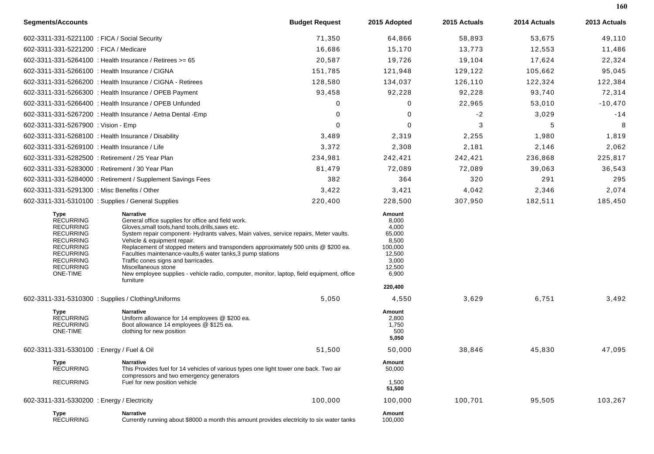| <b>Segments/Accounts</b>                                                                                                                                                         |                                                                                                                                                                                                                                                                                                                                                                                                                                                                                                                                                                             | <b>Budget Request</b> | 2015 Adopted                                                                                            | 2015 Actuals | 2014 Actuals | 2013 Actuals |
|----------------------------------------------------------------------------------------------------------------------------------------------------------------------------------|-----------------------------------------------------------------------------------------------------------------------------------------------------------------------------------------------------------------------------------------------------------------------------------------------------------------------------------------------------------------------------------------------------------------------------------------------------------------------------------------------------------------------------------------------------------------------------|-----------------------|---------------------------------------------------------------------------------------------------------|--------------|--------------|--------------|
| 602-3311-331-5221100 : FICA / Social Security                                                                                                                                    |                                                                                                                                                                                                                                                                                                                                                                                                                                                                                                                                                                             | 71,350                | 64,866                                                                                                  | 58,893       | 53,675       | 49,110       |
| 602-3311-331-5221200 : FICA / Medicare                                                                                                                                           |                                                                                                                                                                                                                                                                                                                                                                                                                                                                                                                                                                             | 16,686                | 15,170                                                                                                  | 13,773       | 12,553       | 11,486       |
|                                                                                                                                                                                  | 602-3311-331-5264100 : Health Insurance / Retirees >= 65                                                                                                                                                                                                                                                                                                                                                                                                                                                                                                                    | 20,587                | 19,726                                                                                                  | 19,104       | 17,624       | 22,324       |
|                                                                                                                                                                                  | 602-3311-331-5266100 : Health Insurance / CIGNA                                                                                                                                                                                                                                                                                                                                                                                                                                                                                                                             | 151,785               | 121,948                                                                                                 | 129,122      | 105,662      | 95,045       |
|                                                                                                                                                                                  | 602-3311-331-5266200 : Health Insurance / CIGNA - Retirees                                                                                                                                                                                                                                                                                                                                                                                                                                                                                                                  | 128,580               | 134,037                                                                                                 | 126,110      | 122,324      | 122,384      |
|                                                                                                                                                                                  | 602-3311-331-5266300 : Health Insurance / OPEB Payment                                                                                                                                                                                                                                                                                                                                                                                                                                                                                                                      | 93,458                | 92,228                                                                                                  | 92,228       | 93,740       | 72,314       |
|                                                                                                                                                                                  | 602-3311-331-5266400 : Health Insurance / OPEB Unfunded                                                                                                                                                                                                                                                                                                                                                                                                                                                                                                                     | 0                     | 0                                                                                                       | 22,965       | 53,010       | $-10,470$    |
|                                                                                                                                                                                  | 602-3311-331-5267200 : Health Insurance / Aetna Dental - Emp                                                                                                                                                                                                                                                                                                                                                                                                                                                                                                                | 0                     | $\Omega$                                                                                                | $-2$         | 3,029        | $-14$        |
| 602-3311-331-5267900 : Vision - Emp                                                                                                                                              |                                                                                                                                                                                                                                                                                                                                                                                                                                                                                                                                                                             | $\Omega$              | $\mathbf 0$                                                                                             | 3            | 5            | 8            |
|                                                                                                                                                                                  | 602-3311-331-5268100 : Health Insurance / Disability                                                                                                                                                                                                                                                                                                                                                                                                                                                                                                                        | 3,489                 | 2,319                                                                                                   | 2,255        | 1,980        | 1,819        |
| 602-3311-331-5269100 : Health Insurance / Life                                                                                                                                   |                                                                                                                                                                                                                                                                                                                                                                                                                                                                                                                                                                             | 3,372                 | 2,308                                                                                                   | 2,181        | 2,146        | 2,062        |
|                                                                                                                                                                                  | 602-3311-331-5282500 : Retirement / 25 Year Plan                                                                                                                                                                                                                                                                                                                                                                                                                                                                                                                            | 234,981               | 242,421                                                                                                 | 242,421      | 236,868      | 225,817      |
|                                                                                                                                                                                  | 602-3311-331-5283000 : Retirement / 30 Year Plan                                                                                                                                                                                                                                                                                                                                                                                                                                                                                                                            | 81,479                | 72,089                                                                                                  | 72,089       | 39,063       | 36,543       |
|                                                                                                                                                                                  | 602-3311-331-5284000: Retirement / Supplement Savings Fees                                                                                                                                                                                                                                                                                                                                                                                                                                                                                                                  | 382                   | 364                                                                                                     | 320          | 291          | 295          |
| 602-3311-331-5291300 : Misc Benefits / Other                                                                                                                                     |                                                                                                                                                                                                                                                                                                                                                                                                                                                                                                                                                                             | 3,422                 | 3,421                                                                                                   | 4,042        | 2,346        | 2,074        |
|                                                                                                                                                                                  | 602-3311-331-5310100 : Supplies / General Supplies                                                                                                                                                                                                                                                                                                                                                                                                                                                                                                                          | 220,400               | 228,500                                                                                                 | 307,950      | 182,511      | 185,450      |
| Type<br><b>RECURRING</b><br><b>RECURRING</b><br><b>RECURRING</b><br><b>RECURRING</b><br><b>RECURRING</b><br><b>RECURRING</b><br><b>RECURRING</b><br><b>RECURRING</b><br>ONE-TIME | Narrative<br>General office supplies for office and field work.<br>Gloves, small tools, hand tools, drills, saws etc.<br>System repair component- Hydrants valves, Main valves, service repairs, Meter vaults.<br>Vehicle & equipment repair.<br>Replacement of stopped meters and transponders approximately 500 units @ \$200 ea.<br>Faculties maintenance-vaults, 6 water tanks, 3 pump stations<br>Traffic cones signs and barricades.<br>Miscellaneous stone<br>New employee supplies - vehicle radio, computer, monitor, laptop, field equipment, office<br>furniture |                       | Amount<br>8,000<br>4,000<br>65,000<br>8,500<br>100,000<br>12,500<br>3,000<br>12,500<br>6,900<br>220,400 |              |              |              |
|                                                                                                                                                                                  | 602-3311-331-5310300: Supplies / Clothing/Uniforms                                                                                                                                                                                                                                                                                                                                                                                                                                                                                                                          | 5,050                 | 4,550                                                                                                   | 3,629        | 6,751        | 3,492        |
| Type<br><b>RECURRING</b><br><b>RECURRING</b><br>ONE-TIME                                                                                                                         | <b>Narrative</b><br>Uniform allowance for 14 employees @ \$200 ea.<br>Boot allowance 14 employees @ \$125 ea.<br>clothing for new position                                                                                                                                                                                                                                                                                                                                                                                                                                  |                       | Amount<br>2,800<br>1,750<br>500<br>5,050                                                                |              |              |              |
| 602-3311-331-5330100 : Energy / Fuel & Oil                                                                                                                                       |                                                                                                                                                                                                                                                                                                                                                                                                                                                                                                                                                                             | 51,500                | 50,000                                                                                                  | 38,846       | 45,830       | 47,095       |
| Type<br><b>RECURRING</b><br><b>RECURRING</b>                                                                                                                                     | <b>Narrative</b><br>This Provides fuel for 14 vehicles of various types one light tower one back. Two air<br>compressors and two emergency generators<br>Fuel for new position vehicle                                                                                                                                                                                                                                                                                                                                                                                      |                       | Amount<br>50,000<br>1,500<br>51,500                                                                     |              |              |              |
| 602-3311-331-5330200 : Energy / Electricity                                                                                                                                      |                                                                                                                                                                                                                                                                                                                                                                                                                                                                                                                                                                             | 100,000               | 100,000                                                                                                 | 100,701      | 95,505       | 103,267      |
| <b>Type</b><br><b>RECURRING</b>                                                                                                                                                  | Narrative<br>Currently running about \$8000 a month this amount provides electricity to six water tanks                                                                                                                                                                                                                                                                                                                                                                                                                                                                     |                       | Amount<br>100,000                                                                                       |              |              |              |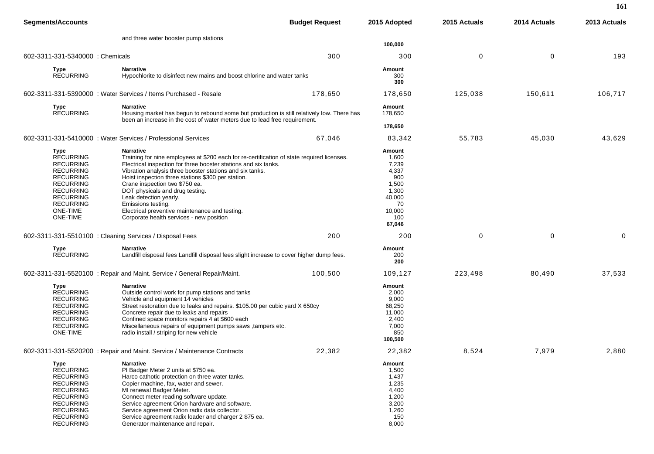| <b>Segments/Accounts</b>                                                                                                                                                                            |                                                                                                                                                                                                                                                                                                                                                                                                                                                                                                                        | <b>Budget Request</b> | 2015 Adopted                                                                                          | 2015 Actuals | 2014 Actuals | 2013 Actuals |
|-----------------------------------------------------------------------------------------------------------------------------------------------------------------------------------------------------|------------------------------------------------------------------------------------------------------------------------------------------------------------------------------------------------------------------------------------------------------------------------------------------------------------------------------------------------------------------------------------------------------------------------------------------------------------------------------------------------------------------------|-----------------------|-------------------------------------------------------------------------------------------------------|--------------|--------------|--------------|
|                                                                                                                                                                                                     | and three water booster pump stations                                                                                                                                                                                                                                                                                                                                                                                                                                                                                  |                       | 100,000                                                                                               |              |              |              |
| 602-3311-331-5340000 : Chemicals                                                                                                                                                                    |                                                                                                                                                                                                                                                                                                                                                                                                                                                                                                                        | 300                   | 300                                                                                                   | 0            | 0            | 193          |
| Type<br><b>RECURRING</b>                                                                                                                                                                            | <b>Narrative</b><br>Hypochlorite to disinfect new mains and boost chlorine and water tanks                                                                                                                                                                                                                                                                                                                                                                                                                             |                       | Amount<br>300<br>300                                                                                  |              |              |              |
|                                                                                                                                                                                                     | 602-3311-331-5390000: Water Services / Items Purchased - Resale                                                                                                                                                                                                                                                                                                                                                                                                                                                        | 178,650               | 178,650                                                                                               | 125,038      | 150,611      | 106,717      |
| Type<br><b>RECURRING</b>                                                                                                                                                                            | <b>Narrative</b><br>Housing market has begun to rebound some but production is still relatively low. There has<br>been an increase in the cost of water meters due to lead free requirement.                                                                                                                                                                                                                                                                                                                           |                       | Amount<br>178,650<br>178,650                                                                          |              |              |              |
| 602-3311-331-5410000 : Water Services / Professional Services                                                                                                                                       |                                                                                                                                                                                                                                                                                                                                                                                                                                                                                                                        | 67,046                | 83,342                                                                                                | 55,783       | 45,030       | 43,629       |
| Type<br><b>RECURRING</b><br><b>RECURRING</b><br><b>RECURRING</b><br><b>RECURRING</b><br><b>RECURRING</b><br><b>RECURRING</b><br><b>RECURRING</b><br><b>RECURRING</b><br>ONE-TIME<br><b>ONE-TIME</b> | <b>Narrative</b><br>Training for nine employees at \$200 each for re-certification of state required licenses.<br>Electrical inspection for three booster stations and six tanks.<br>Vibration analysis three booster stations and six tanks.<br>Hoist inspection three stations \$300 per station.<br>Crane inspection two \$750 ea.<br>DOT physicals and drug testing.<br>Leak detection yearly.<br>Emissions testing.<br>Electrical preventive maintenance and testing.<br>Corporate health services - new position |                       | Amount<br>1,600<br>7,239<br>4,337<br>900<br>1,500<br>1,300<br>40,000<br>70<br>10,000<br>100<br>67,046 |              |              |              |
| 602-3311-331-5510100 : Cleaning Services / Disposal Fees                                                                                                                                            |                                                                                                                                                                                                                                                                                                                                                                                                                                                                                                                        | 200                   | 200                                                                                                   | 0            | 0            | 0            |
| Type<br><b>RECURRING</b>                                                                                                                                                                            | <b>Narrative</b><br>Landfill disposal fees Landfill disposal fees slight increase to cover higher dump fees.                                                                                                                                                                                                                                                                                                                                                                                                           |                       | Amount<br>200<br>200                                                                                  |              |              |              |
|                                                                                                                                                                                                     | 602-3311-331-5520100 : Repair and Maint. Service / General Repair/Maint.                                                                                                                                                                                                                                                                                                                                                                                                                                               | 100,500               | 109,127                                                                                               | 223,498      | 80,490       | 37,533       |
| Type<br><b>RECURRING</b><br><b>RECURRING</b><br><b>RECURRING</b><br><b>RECURRING</b><br><b>RECURRING</b><br><b>RECURRING</b><br>ONE-TIME                                                            | <b>Narrative</b><br>Outside control work for pump stations and tanks<br>Vehicle and equipment 14 vehicles<br>Street restoration due to leaks and repairs. \$105.00 per cubic yard X 650cy<br>Concrete repair due to leaks and repairs<br>Confined space monitors repairs 4 at \$600 each<br>Miscellaneous repairs of equipment pumps saws , tampers etc.<br>radio install / striping for new vehicle                                                                                                                   |                       | Amount<br>2,000<br>9,000<br>68,250<br>11,000<br>2,400<br>7,000<br>850<br>100,500                      |              |              |              |
|                                                                                                                                                                                                     | 602-3311-331-5520200 : Repair and Maint. Service / Maintenance Contracts                                                                                                                                                                                                                                                                                                                                                                                                                                               | 22,382                | 22,382                                                                                                | 8,524        | 7,979        | 2,880        |
| Type<br><b>RECURRING</b><br><b>RECURRING</b><br><b>RECURRING</b><br><b>RECURRING</b><br><b>RECURRING</b><br><b>RECURRING</b><br><b>RECURRING</b><br><b>RECURRING</b><br><b>RECURRING</b>            | <b>Narrative</b><br>PI Badger Meter 2 units at \$750 ea.<br>Harco cathotic protection on three water tanks.<br>Copier machine, fax, water and sewer.<br>MI renewal Badger Meter.<br>Connect meter reading software update.<br>Service agreement Orion hardware and software.<br>Service agreement Orion radix data collector.<br>Service agreement radix loader and charger 2 \$75 ea.<br>Generator maintenance and repair.                                                                                            |                       | Amount<br>1,500<br>1,437<br>1,235<br>4,400<br>1,200<br>3,200<br>1,260<br>150<br>8,000                 |              |              |              |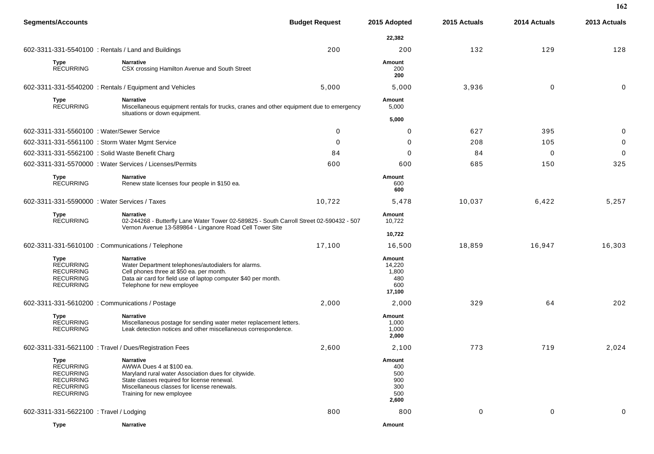| <b>Segments/Accounts</b>                                                                                 |                                                                                                                                                                                                                         | <b>Budget Request</b> | 2015 Adopted                                       | 2015 Actuals | 2014 Actuals | 2013 Actuals |
|----------------------------------------------------------------------------------------------------------|-------------------------------------------------------------------------------------------------------------------------------------------------------------------------------------------------------------------------|-----------------------|----------------------------------------------------|--------------|--------------|--------------|
|                                                                                                          |                                                                                                                                                                                                                         |                       | 22,382                                             |              |              |              |
| 602-3311-331-5540100 : Rentals / Land and Buildings                                                      |                                                                                                                                                                                                                         | 200                   | 200                                                | 132          | 129          | 128          |
| Type<br><b>RECURRING</b>                                                                                 | <b>Narrative</b><br>CSX crossing Hamilton Avenue and South Street                                                                                                                                                       |                       | Amount<br>200<br>200                               |              |              |              |
|                                                                                                          | 602-3311-331-5540200 : Rentals / Equipment and Vehicles                                                                                                                                                                 | 5,000                 | 5,000                                              | 3,936        | 0            | 0            |
| <b>Type</b><br><b>RECURRING</b>                                                                          | Narrative<br>Miscellaneous equipment rentals for trucks, cranes and other equipment due to emergency<br>situations or down equipment.                                                                                   |                       | Amount<br>5,000                                    |              |              |              |
|                                                                                                          |                                                                                                                                                                                                                         |                       | 5,000                                              |              |              |              |
| 602-3311-331-5560100 : Water/Sewer Service                                                               |                                                                                                                                                                                                                         | 0                     | 0                                                  | 627          | 395          | 0            |
| 602-3311-331-5561100 : Storm Water Mgmt Service                                                          |                                                                                                                                                                                                                         | 0                     | $\Omega$                                           | 208          | 105          | 0            |
| 602-3311-331-5562100 : Solid Waste Benefit Charg                                                         |                                                                                                                                                                                                                         | 84                    | 0                                                  | 84           | 0            | 0            |
|                                                                                                          | 602-3311-331-5570000 : Water Services / Licenses/Permits                                                                                                                                                                | 600                   | 600                                                | 685          | 150          | 325          |
| Type<br><b>RECURRING</b>                                                                                 | <b>Narrative</b><br>Renew state licenses four people in \$150 ea.                                                                                                                                                       |                       | Amount<br>600<br>600                               |              |              |              |
| 602-3311-331-5590000 : Water Services / Taxes                                                            |                                                                                                                                                                                                                         | 10,722                | 5,478                                              | 10,037       | 6,422        | 5,257        |
| Type<br><b>RECURRING</b>                                                                                 | <b>Narrative</b><br>02-244268 - Butterfly Lane Water Tower 02-589825 - South Carroll Street 02-590432 - 507<br>Vernon Avenue 13-589864 - Linganore Road Cell Tower Site                                                 |                       | Amount<br>10,722                                   |              |              |              |
|                                                                                                          |                                                                                                                                                                                                                         |                       | 10,722                                             |              |              |              |
| 602-3311-331-5610100 : Communications / Telephone                                                        |                                                                                                                                                                                                                         | 17,100                | 16,500                                             | 18,859       | 16,947       | 16,303       |
| Type<br><b>RECURRING</b><br><b>RECURRING</b><br><b>RECURRING</b><br><b>RECURRING</b>                     | <b>Narrative</b><br>Water Department telephones/autodialers for alarms.<br>Cell phones three at \$50 ea. per month.<br>Data air card for field use of laptop computer \$40 per month.<br>Telephone for new employee     |                       | Amount<br>14,220<br>1,800<br>480<br>600<br>17,100  |              |              |              |
| 602-3311-331-5610200 : Communications / Postage                                                          |                                                                                                                                                                                                                         | 2,000                 | 2,000                                              | 329          | 64           | 202          |
| Type<br><b>RECURRING</b><br><b>RECURRING</b>                                                             | Narrative<br>Miscellaneous postage for sending water meter replacement letters.<br>Leak detection notices and other miscellaneous correspondence.                                                                       |                       | Amount<br>1,000<br>1,000<br>2,000                  |              |              |              |
|                                                                                                          | 602-3311-331-5621100 : Travel / Dues/Registration Fees                                                                                                                                                                  | 2,600                 | 2,100                                              | 773          | 719          | 2,024        |
| Type<br><b>RECURRING</b><br><b>RECURRING</b><br><b>RECURRING</b><br><b>RECURRING</b><br><b>RECURRING</b> | Narrative<br>AWWA Dues 4 at \$100 ea.<br>Maryland rural water Association dues for citywide.<br>State classes required for license renewal.<br>Miscellaneous classes for license renewals.<br>Training for new employee |                       | Amount<br>400<br>500<br>900<br>300<br>500<br>2,600 |              |              |              |
| 602-3311-331-5622100 : Travel / Lodging                                                                  |                                                                                                                                                                                                                         | 800                   | 800                                                | 0            | 0            | 0            |
| Type                                                                                                     | <b>Narrative</b>                                                                                                                                                                                                        |                       | Amount                                             |              |              |              |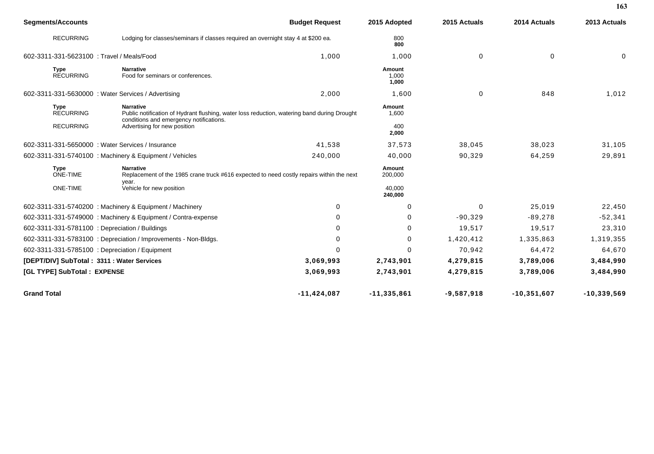| <b>Segments/Accounts</b>                        |                                                                                                                                                            | <b>Budget Request</b> | 2015 Adopted             | 2015 Actuals | 2014 Actuals  | 2013 Actuals  |
|-------------------------------------------------|------------------------------------------------------------------------------------------------------------------------------------------------------------|-----------------------|--------------------------|--------------|---------------|---------------|
| <b>RECURRING</b>                                | Lodging for classes/seminars if classes required an overnight stay 4 at \$200 ea.                                                                          |                       | 800<br>800               |              |               |               |
| 602-3311-331-5623100 : Travel / Meals/Food      |                                                                                                                                                            | 1,000                 | 1,000                    | $\mathbf 0$  | $\pmb{0}$     | 0             |
| <b>Type</b><br><b>RECURRING</b>                 | <b>Narrative</b><br>Food for seminars or conferences.                                                                                                      |                       | Amount<br>1,000<br>1,000 |              |               |               |
|                                                 | 602-3311-331-5630000 : Water Services / Advertising                                                                                                        | 2,000                 | 1,600                    | 0            | 848           | 1,012         |
| Type<br><b>RECURRING</b>                        | <b>Narrative</b><br>Public notification of Hydrant flushing, water loss reduction, watering band during Drought<br>conditions and emergency notifications. |                       | Amount<br>1,600          |              |               |               |
| <b>RECURRING</b>                                | Advertising for new position                                                                                                                               |                       | 400<br>2,000             |              |               |               |
|                                                 | 602-3311-331-5650000 : Water Services / Insurance                                                                                                          | 41.538                | 37,573                   | 38,045       | 38,023        | 31,105        |
|                                                 | 602-3311-331-5740100 : Machinery & Equipment / Vehicles                                                                                                    | 240,000               | 40,000                   | 90,329       | 64,259        | 29,891        |
| <b>Type</b><br>ONE-TIME                         | <b>Narrative</b><br>Replacement of the 1985 crane truck #616 expected to need costly repairs within the next                                               |                       | Amount<br>200,000        |              |               |               |
| <b>ONE-TIME</b>                                 | year.<br>Vehicle for new position                                                                                                                          |                       | 40,000<br>240,000        |              |               |               |
|                                                 | 602-3311-331-5740200 : Machinery & Equipment / Machinery                                                                                                   | $\Omega$              | $\Omega$                 | 0            | 25,019        | 22,450        |
|                                                 | 602-3311-331-5749000 : Machinery & Equipment / Contra-expense                                                                                              | $\Omega$              | $\Omega$                 | $-90,329$    | $-89,278$     | $-52,341$     |
| 602-3311-331-5781100 : Depreciation / Buildings |                                                                                                                                                            | $\Omega$              | 0                        | 19,517       | 19,517        | 23,310        |
|                                                 | 602-3311-331-5783100 : Depreciation / Improvements - Non-Bldgs.                                                                                            | $\Omega$              | $\Omega$                 | 1,420,412    | 1,335,863     | 1,319,355     |
|                                                 | 602-3311-331-5785100 : Depreciation / Equipment                                                                                                            | 0                     | 0                        | 70,942       | 64,472        | 64,670        |
| [DEPT/DIV] SubTotal: 3311: Water Services       |                                                                                                                                                            | 3,069,993             | 2,743,901                | 4,279,815    | 3,789,006     | 3,484,990     |
| [GL TYPE] SubTotal: EXPENSE                     |                                                                                                                                                            | 3,069,993             | 2,743,901                | 4,279,815    | 3,789,006     | 3,484,990     |
| <b>Grand Total</b>                              |                                                                                                                                                            | $-11,424,087$         | $-11, 335, 861$          | $-9,587,918$ | $-10,351,607$ | $-10,339,569$ |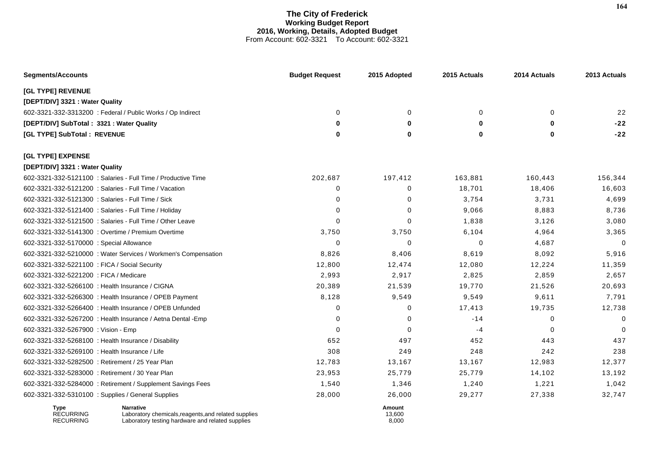# **The City of Frederick Working Budget Report 2016, Working, Details, Adopted Budget** From Account: 602-3321 To Account: 602-3321

| <b>Segments/Accounts</b>                                                                                                                                                     | <b>Budget Request</b> | 2015 Adopted              | 2015 Actuals | 2014 Actuals | 2013 Actuals |
|------------------------------------------------------------------------------------------------------------------------------------------------------------------------------|-----------------------|---------------------------|--------------|--------------|--------------|
| [GL TYPE] REVENUE                                                                                                                                                            |                       |                           |              |              |              |
| [DEPT/DIV] 3321 : Water Quality                                                                                                                                              |                       |                           |              |              |              |
| 602-3321-332-3313200 : Federal / Public Works / Op Indirect                                                                                                                  | 0                     | 0                         | 0            | 0            | 22           |
| [DEPT/DIV] SubTotal: 3321: Water Quality                                                                                                                                     | 0                     | 0                         | 0            | 0            | $-22$        |
| [GL TYPE] SubTotal: REVENUE                                                                                                                                                  | 0                     | 0                         | $\mathbf 0$  | $\bf{0}$     | $-22$        |
| [GL TYPE] EXPENSE                                                                                                                                                            |                       |                           |              |              |              |
| [DEPT/DIV] 3321 : Water Quality                                                                                                                                              |                       |                           |              |              |              |
| 602-3321-332-5121100 : Salaries - Full Time / Productive Time                                                                                                                | 202,687               | 197,412                   | 163,881      | 160,443      | 156,344      |
| 602-3321-332-5121200 : Salaries - Full Time / Vacation                                                                                                                       | 0                     | 0                         | 18,701       | 18,406       | 16,603       |
| 602-3321-332-5121300 : Salaries - Full Time / Sick                                                                                                                           | 0                     | 0                         | 3,754        | 3,731        | 4,699        |
| 602-3321-332-5121400 : Salaries - Full Time / Holiday                                                                                                                        | 0                     | $\Omega$                  | 9,066        | 8,883        | 8,736        |
| 602-3321-332-5121500 : Salaries - Full Time / Other Leave                                                                                                                    | 0                     | $\Omega$                  | 1,838        | 3,126        | 3,080        |
| 602-3321-332-5141300 : Overtime / Premium Overtime                                                                                                                           | 3,750                 | 3,750                     | 6,104        | 4,964        | 3,365        |
| 602-3321-332-5170000 : Special Allowance                                                                                                                                     | 0                     | $\Omega$                  | 0            | 4,687        | $\Omega$     |
| 602-3321-332-5210000 : Water Services / Workmen's Compensation                                                                                                               | 8.826                 | 8,406                     | 8,619        | 8,092        | 5,916        |
| 602-3321-332-5221100 : FICA / Social Security                                                                                                                                | 12,800                | 12,474                    | 12,080       | 12,224       | 11,359       |
| 602-3321-332-5221200 : FICA / Medicare                                                                                                                                       | 2,993                 | 2,917                     | 2,825        | 2,859        | 2,657        |
| 602-3321-332-5266100 : Health Insurance / CIGNA                                                                                                                              | 20,389                | 21,539                    | 19,770       | 21,526       | 20,693       |
| 602-3321-332-5266300 : Health Insurance / OPEB Payment                                                                                                                       | 8,128                 | 9,549                     | 9,549        | 9,611        | 7,791        |
| 602-3321-332-5266400 : Health Insurance / OPEB Unfunded                                                                                                                      | 0                     | 0                         | 17,413       | 19,735       | 12,738       |
| 602-3321-332-5267200 : Health Insurance / Aetna Dental - Emp                                                                                                                 | 0                     | $\Omega$                  | $-14$        | 0            | $\Omega$     |
| 602-3321-332-5267900 : Vision - Emp                                                                                                                                          | 0                     | $\Omega$                  | $-4$         | 0            | $\Omega$     |
| 602-3321-332-5268100 : Health Insurance / Disability                                                                                                                         | 652                   | 497                       | 452          | 443          | 437          |
| 602-3321-332-5269100 : Health Insurance / Life                                                                                                                               | 308                   | 249                       | 248          | 242          | 238          |
| 602-3321-332-5282500 : Retirement / 25 Year Plan                                                                                                                             | 12,783                | 13,167                    | 13,167       | 12,983       | 12,377       |
| 602-3321-332-5283000 : Retirement / 30 Year Plan                                                                                                                             | 23,953                | 25,779                    | 25,779       | 14,102       | 13,192       |
| 602-3321-332-5284000: Retirement / Supplement Savings Fees                                                                                                                   | 1,540                 | 1,346                     | 1,240        | 1,221        | 1,042        |
| 602-3321-332-5310100 : Supplies / General Supplies                                                                                                                           | 28,000                | 26,000                    | 29,277       | 27,338       | 32,747       |
| Type<br><b>Narrative</b><br><b>RECURRING</b><br>Laboratory chemicals, reagents, and related supplies<br><b>RECURRING</b><br>Laboratory testing hardware and related supplies |                       | Amount<br>13,600<br>8,000 |              |              |              |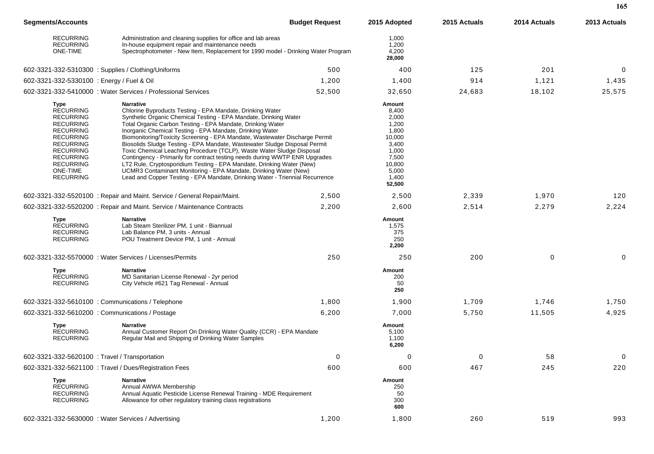| <b>Segments/Accounts</b>                                                                                                                                                                                                 |                                                                                                                                                                                                                                                                                                                                                                                                                                                                                                                                                                                                                                                                                                                                                                                                                       | <b>Budget Request</b> | 2015 Adopted                                                                                                          | 2015 Actuals | 2014 Actuals | 2013 Actuals |
|--------------------------------------------------------------------------------------------------------------------------------------------------------------------------------------------------------------------------|-----------------------------------------------------------------------------------------------------------------------------------------------------------------------------------------------------------------------------------------------------------------------------------------------------------------------------------------------------------------------------------------------------------------------------------------------------------------------------------------------------------------------------------------------------------------------------------------------------------------------------------------------------------------------------------------------------------------------------------------------------------------------------------------------------------------------|-----------------------|-----------------------------------------------------------------------------------------------------------------------|--------------|--------------|--------------|
| <b>RECURRING</b><br><b>RECURRING</b><br>ONE-TIME                                                                                                                                                                         | Administration and cleaning supplies for office and lab areas<br>In-house equipment repair and maintenance needs<br>Spectrophotometer - New Item, Replacement for 1990 model - Drinking Water Program                                                                                                                                                                                                                                                                                                                                                                                                                                                                                                                                                                                                                 |                       | 1,000<br>1,200<br>4,200<br>28,000                                                                                     |              |              |              |
| 602-3321-332-5310300: Supplies / Clothing/Uniforms                                                                                                                                                                       |                                                                                                                                                                                                                                                                                                                                                                                                                                                                                                                                                                                                                                                                                                                                                                                                                       | 500                   | 400                                                                                                                   | 125          | 201          | 0            |
| 602-3321-332-5330100 : Energy / Fuel & Oil                                                                                                                                                                               |                                                                                                                                                                                                                                                                                                                                                                                                                                                                                                                                                                                                                                                                                                                                                                                                                       | 1,200                 | 1,400                                                                                                                 | 914          | 1,121        | 1,435        |
|                                                                                                                                                                                                                          | 602-3321-332-5410000 : Water Services / Professional Services                                                                                                                                                                                                                                                                                                                                                                                                                                                                                                                                                                                                                                                                                                                                                         | 52,500                | 32,650                                                                                                                | 24,683       | 18,102       | 25,575       |
| Type<br><b>RECURRING</b><br><b>RECURRING</b><br><b>RECURRING</b><br><b>RECURRING</b><br><b>RECURRING</b><br><b>RECURRING</b><br><b>RECURRING</b><br><b>RECURRING</b><br><b>RECURRING</b><br>ONE-TIME<br><b>RECURRING</b> | Narrative<br>Chlorine Byproducts Testing - EPA Mandate, Drinking Water<br>Synthetic Organic Chemical Testing - EPA Mandate, Drinking Water<br>Total Organic Carbon Testing - EPA Mandate, Drinking Water<br>Inorganic Chemical Testing - EPA Mandate, Drinking Water<br>Biomonitoring/Toxicity Screening - EPA Mandate, Wastewater Discharge Permit<br>Biosolids Sludge Testing - EPA Mandate, Wastewater Sludge Disposal Permit<br>Toxic Chemical Leaching Procedure (TCLP), Waste Water Sludge Disposal<br>Contingency - Primarily for contract testing needs during WWTP ENR Upgrades<br>LT2 Rule, Cryptosporidium Testing - EPA Mandate, Drinking Water (New)<br>UCMR3 Contaminant Monitoring - EPA Mandate, Drinking Water (New)<br>Lead and Copper Testing - EPA Mandate, Drinking Water - Triennial Recurrence |                       | Amount<br>8,400<br>2,000<br>1,200<br>1,800<br>10,000<br>3,400<br>1,000<br>7,500<br>10,800<br>5,000<br>1,400<br>52,500 |              |              |              |
|                                                                                                                                                                                                                          | 602-3321-332-5520100 : Repair and Maint. Service / General Repair/Maint.                                                                                                                                                                                                                                                                                                                                                                                                                                                                                                                                                                                                                                                                                                                                              | 2,500                 | 2,500                                                                                                                 | 2,339        | 1,970        | 120          |
|                                                                                                                                                                                                                          | 602-3321-332-5520200 : Repair and Maint. Service / Maintenance Contracts                                                                                                                                                                                                                                                                                                                                                                                                                                                                                                                                                                                                                                                                                                                                              | 2,200                 | 2,600                                                                                                                 | 2,514        | 2,279        | 2,224        |
| Type<br><b>RECURRING</b><br><b>RECURRING</b><br><b>RECURRING</b>                                                                                                                                                         | <b>Narrative</b><br>Lab Steam Sterilizer PM. 1 unit - Biannual<br>Lab Balance PM, 3 units - Annual<br>POU Treatment Device PM, 1 unit - Annual                                                                                                                                                                                                                                                                                                                                                                                                                                                                                                                                                                                                                                                                        |                       | Amount<br>1,575<br>375<br>250<br>2,200                                                                                |              |              |              |
|                                                                                                                                                                                                                          | 602-3321-332-5570000 : Water Services / Licenses/Permits                                                                                                                                                                                                                                                                                                                                                                                                                                                                                                                                                                                                                                                                                                                                                              | 250                   | 250                                                                                                                   | 200          | $\mathbf 0$  | 0            |
| Type<br><b>RECURRING</b><br><b>RECURRING</b>                                                                                                                                                                             | <b>Narrative</b><br>MD Sanitarian License Renewal - 2yr period<br>City Vehicle #621 Tag Renewal - Annual                                                                                                                                                                                                                                                                                                                                                                                                                                                                                                                                                                                                                                                                                                              |                       | Amount<br>200<br>50<br>250                                                                                            |              |              |              |
| 602-3321-332-5610100 : Communications / Telephone                                                                                                                                                                        |                                                                                                                                                                                                                                                                                                                                                                                                                                                                                                                                                                                                                                                                                                                                                                                                                       | 1,800                 | 1,900                                                                                                                 | 1,709        | 1,746        | 1,750        |
| 602-3321-332-5610200 : Communications / Postage                                                                                                                                                                          |                                                                                                                                                                                                                                                                                                                                                                                                                                                                                                                                                                                                                                                                                                                                                                                                                       | 6,200                 | 7,000                                                                                                                 | 5,750        | 11,505       | 4,925        |
| Type<br><b>RECURRING</b><br><b>RECURRING</b>                                                                                                                                                                             | <b>Narrative</b><br>Annual Customer Report On Drinking Water Quality (CCR) - EPA Mandate<br>Regular Mail and Shipping of Drinking Water Samples                                                                                                                                                                                                                                                                                                                                                                                                                                                                                                                                                                                                                                                                       |                       | Amount<br>5,100<br>1,100<br>6,200                                                                                     |              |              |              |
| 602-3321-332-5620100 : Travel / Transportation                                                                                                                                                                           |                                                                                                                                                                                                                                                                                                                                                                                                                                                                                                                                                                                                                                                                                                                                                                                                                       | 0                     | 0                                                                                                                     | 0            | 58           | 0            |
| 602-3321-332-5621100 : Travel / Dues/Registration Fees                                                                                                                                                                   |                                                                                                                                                                                                                                                                                                                                                                                                                                                                                                                                                                                                                                                                                                                                                                                                                       | 600                   | 600                                                                                                                   | 467          | 245          | 220          |
| Type<br><b>RECURRING</b><br><b>RECURRING</b><br><b>RECURRING</b>                                                                                                                                                         | <b>Narrative</b><br>Annual AWWA Membership<br>Annual Aquatic Pesticide License Renewal Training - MDE Requirement<br>Allowance for other regulatory training class registrations                                                                                                                                                                                                                                                                                                                                                                                                                                                                                                                                                                                                                                      |                       | Amount<br>250<br>50<br>300<br>600                                                                                     |              |              |              |
| 602-3321-332-5630000 : Water Services / Advertising                                                                                                                                                                      |                                                                                                                                                                                                                                                                                                                                                                                                                                                                                                                                                                                                                                                                                                                                                                                                                       | 1,200                 | 1,800                                                                                                                 | 260          | 519          | 993          |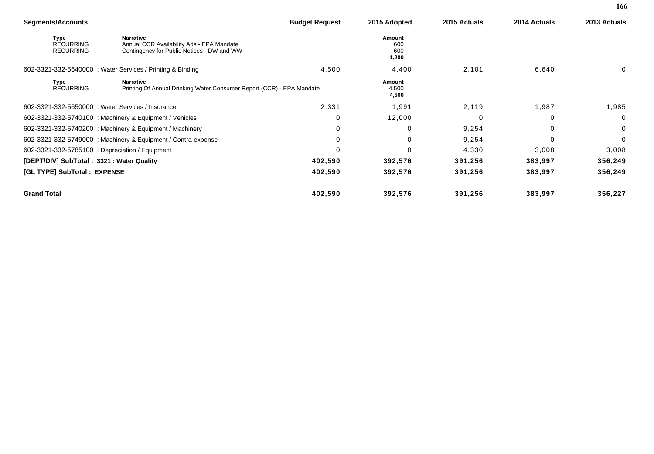| Segments/Accounts                               |                                                                                                             | <b>Budget Request</b> | 2015 Adopted                  | 2015 Actuals | 2014 Actuals | 2013 Actuals |
|-------------------------------------------------|-------------------------------------------------------------------------------------------------------------|-----------------------|-------------------------------|--------------|--------------|--------------|
| Type<br><b>RECURRING</b><br><b>RECURRING</b>    | <b>Narrative</b><br>Annual CCR Availability Ads - EPA Mandate<br>Contingency for Public Notices - DW and WW |                       | Amount<br>600<br>600<br>1,200 |              |              |              |
|                                                 | 602-3321-332-5640000 : Water Services / Printing & Binding                                                  | 4,500                 | 4,400                         | 2,101        | 6,640        | 0            |
| Type<br><b>RECURRING</b>                        | <b>Narrative</b><br>Printing Of Annual Drinking Water Consumer Report (CCR) - EPA Mandate                   |                       | Amount<br>4,500<br>4,500      |              |              |              |
|                                                 | 602-3321-332-5650000 : Water Services / Insurance                                                           | 2,331                 | 1,991                         | 2,119        | 1,987        | 1,985        |
|                                                 | 602-3321-332-5740100 : Machinery & Equipment / Vehicles                                                     |                       | 12,000                        | 0            | 0            | 0            |
|                                                 | 602-3321-332-5740200 : Machinery & Equipment / Machinery                                                    |                       | $\Omega$                      | 9,254        | $\Omega$     | 0            |
|                                                 | 602-3321-332-5749000 : Machinery & Equipment / Contra-expense                                               |                       | $\Omega$                      | $-9,254$     | $\Omega$     | 0            |
| 602-3321-332-5785100 : Depreciation / Equipment |                                                                                                             |                       | $\Omega$                      | 4,330        | 3,008        | 3,008        |
| [DEPT/DIV] SubTotal: 3321: Water Quality        |                                                                                                             | 402,590               | 392,576                       | 391,256      | 383,997      | 356,249      |
| [GL TYPE] SubTotal: EXPENSE                     |                                                                                                             | 402,590               | 392,576                       | 391,256      | 383,997      | 356,249      |
| <b>Grand Total</b>                              |                                                                                                             | 402,590               | 392,576                       | 391,256      | 383,997      | 356,227      |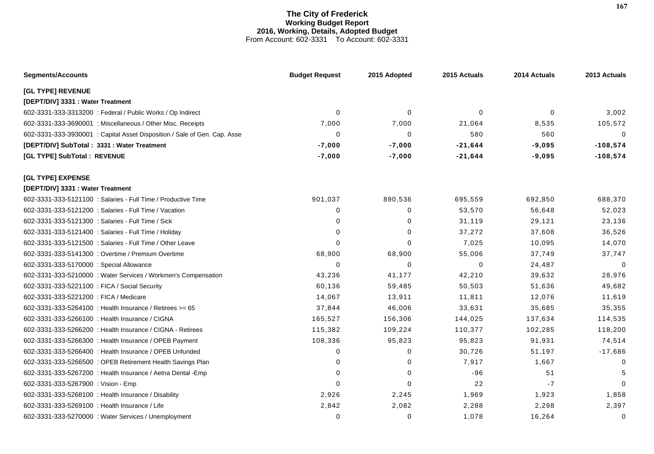# **The City of Frederick Working Budget Report 2016, Working, Details, Adopted Budget** From Account: 602-3331 To Account: 602-3331

| <b>Segments/Accounts</b>                                                 | <b>Budget Request</b> | 2015 Adopted | 2015 Actuals | 2014 Actuals | 2013 Actuals |
|--------------------------------------------------------------------------|-----------------------|--------------|--------------|--------------|--------------|
| [GL TYPE] REVENUE                                                        |                       |              |              |              |              |
| [DEPT/DIV] 3331 : Water Treatment                                        |                       |              |              |              |              |
| 602-3331-333-3313200 : Federal / Public Works / Op Indirect              | $\mathbf{0}$          | $\Omega$     | $\mathbf 0$  | $\mathbf 0$  | 3,002        |
| 602-3331-333-3690001 : Miscellaneous / Other Misc. Receipts              | 7,000                 | 7,000        | 21,064       | 8,535        | 105,572      |
| 602-3331-333-3930001: Capital Asset Disposition / Sale of Gen. Cap. Asse | 0                     | 0            | 580          | 560          | 0            |
| [DEPT/DIV] SubTotal: 3331: Water Treatment                               | $-7,000$              | $-7,000$     | $-21,644$    | $-9,095$     | $-108,574$   |
| [GL TYPE] SubTotal: REVENUE                                              | $-7,000$              | $-7,000$     | $-21,644$    | $-9,095$     | $-108,574$   |
| [GL TYPE] EXPENSE                                                        |                       |              |              |              |              |
| [DEPT/DIV] 3331 : Water Treatment                                        |                       |              |              |              |              |
| 602-3331-333-5121100 : Salaries - Full Time / Productive Time            | 901,037               | 890,536      | 695,559      | 692,850      | 688,370      |
| 602-3331-333-5121200 : Salaries - Full Time / Vacation                   | 0                     | 0            | 53,570       | 56,648       | 52,023       |
| 602-3331-333-5121300 : Salaries - Full Time / Sick                       | 0                     | $\Omega$     | 31,119       | 29,121       | 23,136       |
| 602-3331-333-5121400 : Salaries - Full Time / Holiday                    | 0                     | $\Omega$     | 37,272       | 37,608       | 36,526       |
| 602-3331-333-5121500 : Salaries - Full Time / Other Leave                | 0                     | $\Omega$     | 7,025        | 10,095       | 14,070       |
| 602-3331-333-5141300 : Overtime / Premium Overtime                       | 68,900                | 68,900       | 55,006       | 37,749       | 37,747       |
| 602-3331-333-5170000 : Special Allowance                                 | 0                     | 0            | 0            | 24,487       | 0            |
| 602-3331-333-5210000 : Water Services / Workmen's Compensation           | 43,236                | 41,177       | 42,210       | 39,632       | 28,976       |
| 602-3331-333-5221100 : FICA / Social Security                            | 60,136                | 59,485       | 50,503       | 51,636       | 49,682       |
| 602-3331-333-5221200 : FICA / Medicare                                   | 14,067                | 13,911       | 11,811       | 12,076       | 11,619       |
| 602-3331-333-5264100 : Health Insurance / Retirees $>= 65$               | 37,844                | 46,006       | 33,631       | 35,685       | 35,355       |
| 602-3331-333-5266100 : Health Insurance / CIGNA                          | 165,527               | 156,306      | 144,025      | 137,634      | 114,535      |
| 602-3331-333-5266200 : Health Insurance / CIGNA - Retirees               | 115,382               | 109,224      | 110,377      | 102,285      | 118,200      |
| 602-3331-333-5266300 : Health Insurance / OPEB Payment                   | 108,336               | 95,823       | 95,823       | 91,931       | 74,514       |
| 602-3331-333-5266400 : Health Insurance / OPEB Unfunded                  | 0                     | 0            | 30,726       | 51,197       | $-17,686$    |
| 602-3331-333-5266500 : OPEB Retirement Health Savings Plan               | 0                     | 0            | 7,917        | 1,667        | $\Omega$     |
| 602-3331-333-5267200 : Health Insurance / Aetna Dental -Emp              | 0                     | $\Omega$     | $-96$        | 51           | 5            |
| 602-3331-333-5267900 : Vision - Emp                                      | $\Omega$              | $\Omega$     | 22           | $-7$         | $\Omega$     |
| 602-3331-333-5268100 : Health Insurance / Disability                     | 2,926                 | 2,245        | 1,969        | 1,923        | 1,858        |
| 602-3331-333-5269100 : Health Insurance / Life                           | 2,842                 | 2,082        | 2,288        | 2,298        | 2,397        |
| 602-3331-333-5270000 : Water Services / Unemployment                     | 0                     | 0            | 1,078        | 16,264       | 0            |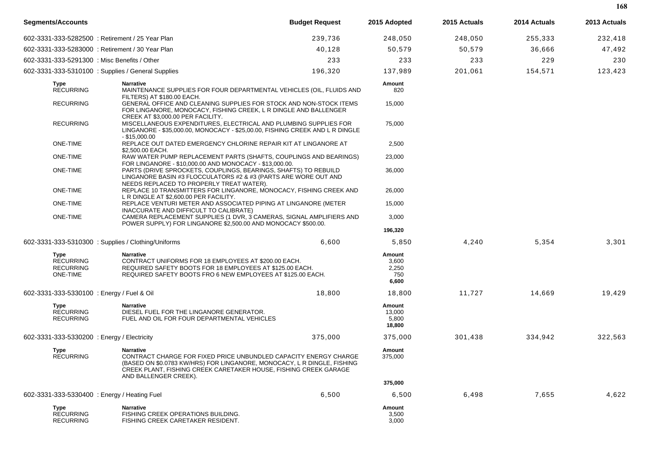| <b>Segments/Accounts</b>                                 |                                                                                                                                                                                                                                                       | <b>Budget Request</b> | 2015 Adopted                             | 2015 Actuals | 2014 Actuals | 2013 Actuals |
|----------------------------------------------------------|-------------------------------------------------------------------------------------------------------------------------------------------------------------------------------------------------------------------------------------------------------|-----------------------|------------------------------------------|--------------|--------------|--------------|
| 602-3331-333-5282500 : Retirement / 25 Year Plan         |                                                                                                                                                                                                                                                       | 239,736               | 248,050                                  | 248,050      | 255,333      | 232,418      |
| 602-3331-333-5283000 : Retirement / 30 Year Plan         |                                                                                                                                                                                                                                                       | 40,128                | 50,579                                   | 50,579       | 36,666       | 47,492       |
| 602-3331-333-5291300 : Misc Benefits / Other             |                                                                                                                                                                                                                                                       | 233                   | 233                                      | 233          | 229          | 230          |
| 602-3331-333-5310100 : Supplies / General Supplies       |                                                                                                                                                                                                                                                       | 196,320               | 137,989                                  | 201,061      | 154,571      | 123,423      |
| Type<br><b>RECURRING</b>                                 | <b>Narrative</b><br>MAINTENANCE SUPPLIES FOR FOUR DEPARTMENTAL VEHICLES (OIL, FLUIDS AND<br>FILTERS) AT \$180.00 EACH.                                                                                                                                |                       | Amount<br>820                            |              |              |              |
| <b>RECURRING</b>                                         | GENERAL OFFICE AND CLEANING SUPPLIES FOR STOCK AND NON-STOCK ITEMS<br>FOR LINGANORE, MONOCACY, FISHING CREEK, L R DINGLE AND BALLENGER<br>CREEK AT \$3,000.00 PER FACILITY.                                                                           |                       | 15,000                                   |              |              |              |
| <b>RECURRING</b>                                         | MISCELLANEOUS EXPENDITURES, ELECTRICAL AND PLUMBING SUPPLIES FOR<br>LINGANORE - \$35,000.00, MONOCACY - \$25,00.00, FISHING CREEK AND L R DINGLE<br>$-$ \$15,000.00                                                                                   |                       | 75,000                                   |              |              |              |
| ONE-TIME                                                 | REPLACE OUT DATED EMERGENCY CHLORINE REPAIR KIT AT LINGANORE AT<br>\$2,500.00 EACH.                                                                                                                                                                   |                       | 2,500                                    |              |              |              |
| ONE-TIME                                                 | RAW WATER PUMP REPLACEMENT PARTS (SHAFTS, COUPLINGS AND BEARINGS)<br>FOR LINGANORE - \$10,000.00 AND MONOCACY - \$13,000.00.                                                                                                                          |                       | 23,000                                   |              |              |              |
| ONE-TIME                                                 | PARTS (DRIVE SPROCKETS, COUPLINGS, BEARINGS, SHAFTS) TO REBUILD<br>LINGANORE BASIN #3 FLOCCULATORS #2 & #3 (PARTS ARE WORE OUT AND<br>NEEDS REPLACED TO PROPERLY TREAT WATER).                                                                        |                       | 36,000                                   |              |              |              |
| ONE-TIME                                                 | REPLACE 10 TRANSMITTERS FOR LINGANORE, MONOCACY, FISHING CREEK AND<br>L R DINGLE AT \$2,600.00 PER FACILITY.                                                                                                                                          |                       | 26,000                                   |              |              |              |
| ONE-TIME                                                 | REPLACE VENTURI METER AND ASSOCIATED PIPING AT LINGANORE (METER<br>INACCURATE AND DIFFICULT TO CALIBRATE)                                                                                                                                             |                       | 15,000                                   |              |              |              |
| ONE-TIME                                                 | CAMERA REPLACEMENT SUPPLIES (1 DVR, 3 CAMERAS, SIGNAL AMPLIFIERS AND<br>POWER SUPPLY) FOR LINGANORE \$2,500.00 AND MONOCACY \$500.00.                                                                                                                 |                       | 3,000                                    |              |              |              |
|                                                          |                                                                                                                                                                                                                                                       |                       | 196,320                                  |              |              |              |
| 602-3331-333-5310300: Supplies / Clothing/Uniforms       |                                                                                                                                                                                                                                                       | 6,600                 | 5,850                                    | 4,240        | 5,354        | 3,301        |
| Type<br><b>RECURRING</b><br><b>RECURRING</b><br>ONE-TIME | <b>Narrative</b><br>CONTRACT UNIFORMS FOR 18 EMPLOYEES AT \$200.00 EACH.<br>REQUIRED SAFETY BOOTS FOR 18 EMPLOYEES AT \$125.00 EACH.<br>REQUIRED SAFETY BOOTS FRO 6 NEW EMPLOYEES AT \$125.00 EACH.                                                   |                       | Amount<br>3,600<br>2,250<br>750<br>6,600 |              |              |              |
| 602-3331-333-5330100 : Energy / Fuel & Oil               |                                                                                                                                                                                                                                                       | 18,800                | 18,800                                   | 11,727       | 14,669       | 19,429       |
| Type<br><b>RECURRING</b><br><b>RECURRING</b>             | <b>Narrative</b><br>DIESEL FUEL FOR THE LINGANORE GENERATOR.<br>FUEL AND OIL FOR FOUR DEPARTMENTAL VEHICLES                                                                                                                                           |                       | Amount<br>13,000<br>5,800<br>18,800      |              |              |              |
| 602-3331-333-5330200 : Energy / Electricity              |                                                                                                                                                                                                                                                       | 375.000               | 375,000                                  | 301.438      | 334,942      | 322,563      |
| Type<br><b>RECURRING</b>                                 | Narrative<br>CONTRACT CHARGE FOR FIXED PRICE UNBUNDLED CAPACITY ENERGY CHARGE<br>(BASED ON \$0.0783 KW/HRS) FOR LINGANORE, MONOCACY, L R DINGLE, FISHING<br>CREEK PLANT. FISHING CREEK CARETAKER HOUSE. FISHING CREEK GARAGE<br>AND BALLENGER CREEK). |                       | Amount<br>375,000                        |              |              |              |
|                                                          |                                                                                                                                                                                                                                                       |                       | 375,000                                  |              |              |              |
| 602-3331-333-5330400 : Energy / Heating Fuel             |                                                                                                                                                                                                                                                       | 6,500                 | 6,500                                    | 6,498        | 7,655        | 4,622        |
| Type<br><b>RECURRING</b><br><b>RECURRING</b>             | <b>Narrative</b><br><b>FISHING CREEK OPERATIONS BUILDING.</b><br>FISHING CREEK CARETAKER RESIDENT.                                                                                                                                                    |                       | Amount<br>3,500<br>3,000                 |              |              |              |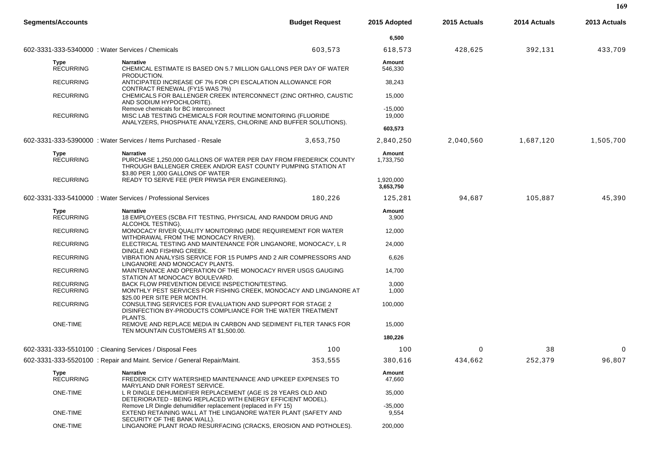| <b>Segments/Accounts</b>                          |                                                                                                                                                                                      | <b>Budget Request</b> | 2015 Adopted                 | 2015 Actuals | 2014 Actuals | 2013 Actuals |
|---------------------------------------------------|--------------------------------------------------------------------------------------------------------------------------------------------------------------------------------------|-----------------------|------------------------------|--------------|--------------|--------------|
|                                                   |                                                                                                                                                                                      |                       | 6,500                        |              |              |              |
| 602-3331-333-5340000 : Water Services / Chemicals |                                                                                                                                                                                      | 603,573               | 618,573                      | 428,625      | 392,131      | 433,709      |
| Type<br><b>RECURRING</b>                          | <b>Narrative</b><br>CHEMICAL ESTIMATE IS BASED ON 5.7 MILLION GALLONS PER DAY OF WATER<br>PRODUCTION.                                                                                |                       | Amount<br>546,330            |              |              |              |
| <b>RECURRING</b>                                  | ANTICIPATED INCREASE OF 7% FOR CPI ESCALATION ALLOWANCE FOR<br>CONTRACT RENEWAL (FY15 WAS 7%)                                                                                        |                       | 38,243                       |              |              |              |
| <b>RECURRING</b>                                  | CHEMICALS FOR BALLENGER CREEK INTERCONNECT (ZINC ORTHRO, CAUSTIC<br>AND SODIUM HYPOCHLORITE).                                                                                        |                       | 15,000                       |              |              |              |
| <b>RECURRING</b>                                  | Remove chemicals for BC Interconnect<br>MISC LAB TESTING CHEMICALS FOR ROUTINE MONITORING (FLUORIDE<br>ANALYZERS, PHOSPHATE ANALYZERS, CHLORINE AND BUFFER SOLUTIONS).               |                       | -15,000<br>19,000<br>603,573 |              |              |              |
|                                                   |                                                                                                                                                                                      |                       |                              |              |              |              |
|                                                   | 602-3331-333-5390000: Water Services / Items Purchased - Resale                                                                                                                      | 3,653,750             | 2,840,250                    | 2,040,560    | 1,687,120    | 1,505,700    |
| Type<br><b>RECURRING</b>                          | Narrative<br>PURCHASE 1,250,000 GALLONS OF WATER PER DAY FROM FREDERICK COUNTY<br>THROUGH BALLENGER CREEK AND/OR EAST COUNTY PUMPING STATION AT<br>\$3.80 PER 1,000 GALLONS OF WATER |                       | Amount<br>1,733,750          |              |              |              |
| <b>RECURRING</b>                                  | READY TO SERVE FEE (PER PRWSA PER ENGINEERING).                                                                                                                                      |                       | 1,920,000<br>3,653,750       |              |              |              |
|                                                   | 602-3331-333-5410000 : Water Services / Professional Services                                                                                                                        | 180,226               | 125,281                      | 94,687       | 105,887      | 45,390       |
| Type                                              | Narrative                                                                                                                                                                            |                       | Amount                       |              |              |              |
| <b>RECURRING</b>                                  | 18 EMPLOYEES (SCBA FIT TESTING, PHYSICAL AND RANDOM DRUG AND<br>ALCOHOL TESTING).                                                                                                    |                       | 3,900                        |              |              |              |
| <b>RECURRING</b>                                  | MONOCACY RIVER QUALITY MONITORING (MDE REQUIREMENT FOR WATER<br>WITHDRAWAL FROM THE MONOCACY RIVER).                                                                                 |                       | 12,000                       |              |              |              |
| <b>RECURRING</b>                                  | ELECTRICAL TESTING AND MAINTENANCE FOR LINGANORE, MONOCACY, L R<br>DINGLE AND FISHING CREEK.                                                                                         |                       | 24,000                       |              |              |              |
| <b>RECURRING</b>                                  | VIBRATION ANALYSIS SERVICE FOR 15 PUMPS AND 2 AIR COMPRESSORS AND<br>LINGANORE AND MONOCACY PLANTS.                                                                                  |                       | 6,626                        |              |              |              |
| <b>RECURRING</b>                                  | MAINTENANCE AND OPERATION OF THE MONOCACY RIVER USGS GAUGING<br>STATION AT MONOCACY BOULEVARD.                                                                                       |                       | 14,700                       |              |              |              |
| <b>RECURRING</b>                                  | BACK FLOW PREVENTION DEVICE INSPECTION/TESTING.                                                                                                                                      |                       | 3,000                        |              |              |              |
| <b>RECURRING</b>                                  | MONTHLY PEST SERVICES FOR FISHING CREEK, MONOCACY AND LINGANORE AT<br>\$25.00 PER SITE PER MONTH.                                                                                    |                       | 1,000                        |              |              |              |
| <b>RECURRING</b>                                  | CONSULTING SERVICES FOR EVALUATION AND SUPPORT FOR STAGE 2<br>DISINFECTION BY-PRODUCTS COMPLIANCE FOR THE WATER TREATMENT<br>PLANTS.                                                 |                       | 100,000                      |              |              |              |
| <b>ONE-TIME</b>                                   | REMOVE AND REPLACE MEDIA IN CARBON AND SEDIMENT FILTER TANKS FOR<br>TEN MOUNTAIN CUSTOMERS AT \$1,500.00.                                                                            |                       | 15,000                       |              |              |              |
|                                                   |                                                                                                                                                                                      |                       | 180,226                      |              |              |              |
|                                                   | 602-3331-333-5510100 : Cleaning Services / Disposal Fees                                                                                                                             | 100                   | 100                          | $\mathbf 0$  | 38           | 0            |
|                                                   | 602-3331-333-5520100: Repair and Maint. Service / General Repair/Maint.                                                                                                              | 353,555               | 380,616                      | 434,662      | 252,379      | 96,807       |
| Type<br><b>RECURRING</b>                          | Narrative<br>FREDERICK CITY WATERSHED MAINTENANCE AND UPKEEP EXPENSES TO<br>MARYLAND DNR FOREST SERVICE.                                                                             |                       | Amount<br>47,660             |              |              |              |
| ONE-TIME                                          | L R DINGLE DEHUMIDIFIER REPLACEMENT (AGE IS 28 YEARS OLD AND<br>DETERIORATED - BEING REPLACED WITH ENERGY EFFICIENT MODEL).                                                          |                       | 35,000                       |              |              |              |
| ONE-TIME                                          | Remove LR Dingle dehumidifier replacement (replaced in FY 15)<br>EXTEND RETAINING WALL AT THE LINGANORE WATER PLANT (SAFETY AND                                                      |                       | $-35,000$<br>9,554           |              |              |              |
| ONE-TIME                                          | SECURITY OF THE BANK WALL).<br>LINGANORE PLANT ROAD RESURFACING (CRACKS, EROSION AND POTHOLES).                                                                                      |                       | 200,000                      |              |              |              |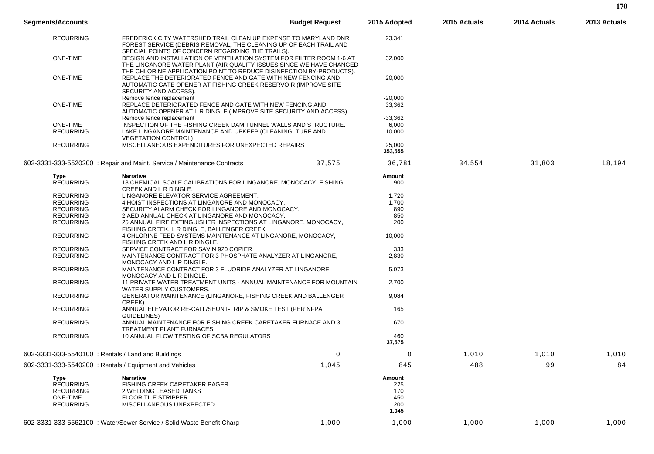| <b>Segments/Accounts</b>             |                                                                                                                                                                                                                                | <b>Budget Request</b> | 2015 Adopted      | 2015 Actuals | 2014 Actuals | 2013 Actuals |
|--------------------------------------|--------------------------------------------------------------------------------------------------------------------------------------------------------------------------------------------------------------------------------|-----------------------|-------------------|--------------|--------------|--------------|
| <b>RECURRING</b>                     | FREDERICK CITY WATERSHED TRAIL CLEAN UP EXPENSE TO MARYLAND DNR<br>FOREST SERVICE (DEBRIS REMOVAL, THE CLEANING UP OF EACH TRAIL AND<br>SPECIAL POINTS OF CONCERN REGARDING THE TRAILS).                                       |                       | 23,341            |              |              |              |
| <b>ONE-TIME</b>                      | DESIGN AND INSTALLATION OF VENTILATION SYSTEM FOR FILTER ROOM 1-6 AT<br>THE LINGANORE WATER PLANT (AIR QUALITY ISSUES SINCE WE HAVE CHANGED                                                                                    |                       | 32,000            |              |              |              |
| <b>ONE-TIME</b>                      | THE CHLORINE APPLICATION POINT TO REDUCE DISINFECTION BY-PRODUCTS).<br>REPLACE THE DETERIORATED FENCE AND GATE WITH NEW FENCING AND<br>AUTOMATIC GATE OPENER AT FISHING CREEK RESERVOIR (IMPROVE SITE<br>SECURITY AND ACCESS). |                       | 20,000            |              |              |              |
|                                      | Remove fence replacement                                                                                                                                                                                                       |                       | $-20,000$         |              |              |              |
| <b>ONE-TIME</b>                      | REPLACE DETERIORATED FENCE AND GATE WITH NEW FENCING AND<br>AUTOMATIC OPENER AT L R DINGLE (IMPROVE SITE SECURITY AND ACCESS).                                                                                                 |                       | 33,362            |              |              |              |
|                                      | Remove fence replacement                                                                                                                                                                                                       |                       | $-33,362$         |              |              |              |
| ONE-TIME<br><b>RECURRING</b>         | INSPECTION OF THE FISHING CREEK DAM TUNNEL WALLS AND STRUCTURE.<br>LAKE LINGANORE MAINTENANCE AND UPKEEP (CLEANING, TURF AND<br><b>VEGETATION CONTROL)</b>                                                                     |                       | 6,000<br>10,000   |              |              |              |
| <b>RECURRING</b>                     | MISCELLANEOUS EXPENDITURES FOR UNEXPECTED REPAIRS                                                                                                                                                                              |                       | 25.000<br>353,555 |              |              |              |
|                                      | 602-3331-333-5520200 : Repair and Maint. Service / Maintenance Contracts                                                                                                                                                       | 37,575                | 36,781            | 34,554       | 31,803       | 18,194       |
| Type                                 | Narrative                                                                                                                                                                                                                      |                       | Amount            |              |              |              |
| <b>RECURRING</b>                     | 18 CHEMICAL SCALE CALIBRATIONS FOR LINGANORE, MONOCACY, FISHING<br>CREEK AND L R DINGLE.                                                                                                                                       |                       | 900               |              |              |              |
| <b>RECURRING</b>                     | LINGANORE ELEVATOR SERVICE AGREEMENT.                                                                                                                                                                                          |                       | 1,720             |              |              |              |
| <b>RECURRING</b>                     | 4 HOIST INSPECTIONS AT LINGANORE AND MONOCACY.                                                                                                                                                                                 |                       | 1,700             |              |              |              |
| <b>RECURRING</b><br><b>RECURRING</b> | SECURITY ALARM CHECK FOR LINGANORE AND MONOCACY.<br>2 AED ANNUAL CHECK AT LINGANORE AND MONOCACY.                                                                                                                              |                       | 890<br>850        |              |              |              |
| <b>RECURRING</b>                     | 25 ANNUAL FIRE EXTINGUISHER INSPECTIONS AT LINGANORE, MONOCACY,<br>FISHING CREEK, L R DINGLE, BALLENGER CREEK                                                                                                                  |                       | 200               |              |              |              |
| <b>RECURRING</b>                     | 4 CHLORINE FEED SYSTEMS MAINTENANCE AT LINGANORE, MONOCACY,<br>FISHING CREEK AND L R DINGLE.                                                                                                                                   |                       | 10,000            |              |              |              |
| <b>RECURRING</b><br><b>RECURRING</b> | SERVICE CONTRACT FOR SAVIN 920 COPIER<br>MAINTENANCE CONTRACT FOR 3 PHOSPHATE ANALYZER AT LINGANORE,                                                                                                                           |                       | 333<br>2,830      |              |              |              |
| <b>RECURRING</b>                     | MONOCACY AND L R DINGLE.<br>MAINTENANCE CONTRACT FOR 3 FLUORIDE ANALYZER AT LINGANORE,                                                                                                                                         |                       | 5,073             |              |              |              |
| <b>RECURRING</b>                     | MONOCACY AND L R DINGLE.<br>11 PRIVATE WATER TREATMENT UNITS - ANNUAL MAINTENANCE FOR MOUNTAIN                                                                                                                                 |                       | 2,700             |              |              |              |
| <b>RECURRING</b>                     | WATER SUPPLY CUSTOMERS.<br>GENERATOR MAINTENANCE (LINGANORE, FISHING CREEK AND BALLENGER<br>CREEK)                                                                                                                             |                       | 9,084             |              |              |              |
| <b>RECURRING</b>                     | ANNUAL ELEVATOR RE-CALL/SHUNT-TRIP & SMOKE TEST (PER NFPA<br>GUIDELINES)                                                                                                                                                       |                       | 165               |              |              |              |
| <b>RECURRING</b>                     | ANNUAL MAINTENANCE FOR FISHING CREEK CARETAKER FURNACE AND 3<br>TREATMENT PLANT FURNACES                                                                                                                                       |                       | 670               |              |              |              |
| <b>RECURRING</b>                     | 10 ANNUAL FLOW TESTING OF SCBA REGULATORS                                                                                                                                                                                      |                       | 460<br>37,575     |              |              |              |
|                                      | 602-3331-333-5540100 : Rentals / Land and Buildings                                                                                                                                                                            | 0                     | 0                 | 1,010        | 1,010        | 1,010        |
|                                      | 602-3331-333-5540200 : Rentals / Equipment and Vehicles                                                                                                                                                                        | 1,045                 | 845               | 488          | 99           | 84           |
| Type                                 | <b>Narrative</b>                                                                                                                                                                                                               |                       | Amount            |              |              |              |
| <b>RECURRING</b>                     | FISHING CREEK CARETAKER PAGER.                                                                                                                                                                                                 |                       | 225               |              |              |              |
| <b>RECURRING</b><br>ONE-TIME         | 2 WELDING LEASED TANKS<br>FLOOR TILE STRIPPER                                                                                                                                                                                  |                       | 170<br>450        |              |              |              |
| <b>RECURRING</b>                     | MISCELLANEOUS UNEXPECTED                                                                                                                                                                                                       |                       | 200<br>1,045      |              |              |              |
|                                      | 602-3331-333-5562100 : Water/Sewer Service / Solid Waste Benefit Charg                                                                                                                                                         | 1,000                 | 1,000             | 1,000        | 1,000        | 1,000        |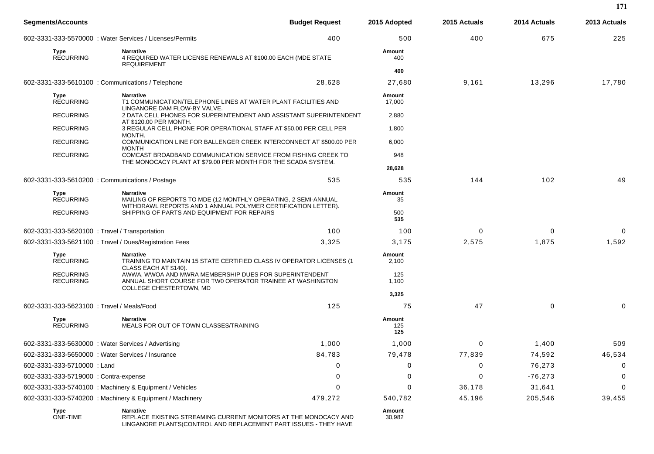| <b>Segments/Accounts</b>                       |                                                                                                                                                         | <b>Budget Request</b> | 2015 Adopted         | 2015 Actuals | 2014 Actuals | 2013 Actuals |
|------------------------------------------------|---------------------------------------------------------------------------------------------------------------------------------------------------------|-----------------------|----------------------|--------------|--------------|--------------|
|                                                | 602-3331-333-5570000 : Water Services / Licenses/Permits                                                                                                | 400                   | 500                  | 400          | 675          | 225          |
| Type<br><b>RECURRING</b>                       | <b>Narrative</b><br>4 REQUIRED WATER LICENSE RENEWALS AT \$100.00 EACH (MDE STATE<br><b>REQUIREMENT</b>                                                 |                       | Amount<br>400        |              |              |              |
|                                                |                                                                                                                                                         |                       | 400                  |              |              |              |
|                                                | 602-3331-333-5610100 : Communications / Telephone                                                                                                       | 28,628                | 27,680               | 9,161        | 13,296       | 17,780       |
| <b>Type</b><br><b>RECURRING</b>                | <b>Narrative</b><br>T1 COMMUNICATION/TELEPHONE LINES AT WATER PLANT FACILITIES AND<br>LINGANORE DAM FLOW-BY VALVE.                                      |                       | Amount<br>17,000     |              |              |              |
| <b>RECURRING</b>                               | 2 DATA CELL PHONES FOR SUPERINTENDENT AND ASSISTANT SUPERINTENDENT                                                                                      |                       | 2,880                |              |              |              |
| <b>RECURRING</b>                               | AT \$120.00 PER MONTH.<br>3 REGULAR CELL PHONE FOR OPERATIONAL STAFF AT \$50.00 PER CELL PER                                                            |                       | 1,800                |              |              |              |
| <b>RECURRING</b>                               | MONTH.<br>COMMUNICATION LINE FOR BALLENGER CREEK INTERCONNECT AT \$500.00 PER                                                                           |                       | 6,000                |              |              |              |
| <b>RECURRING</b>                               | <b>MONTH</b><br>COMCAST BROADBAND COMMUNICATION SERVICE FROM FISHING CREEK TO                                                                           |                       | 948                  |              |              |              |
|                                                | THE MONOCACY PLANT AT \$79.00 PER MONTH FOR THE SCADA SYSTEM.                                                                                           |                       | 28,628               |              |              |              |
|                                                | 602-3331-333-5610200 : Communications / Postage                                                                                                         | 535                   | 535                  | 144          | 102          | 49           |
| Type<br><b>RECURRING</b>                       | Narrative<br>MAILING OF REPORTS TO MDE (12 MONTHLY OPERATING, 2 SEMI-ANNUAL<br>WITHDRAWL REPORTS AND 1 ANNUAL POLYMER CERTIFICATION LETTER).            |                       | Amount<br>35         |              |              |              |
| <b>RECURRING</b>                               | SHIPPING OF PARTS AND EQUIPMENT FOR REPAIRS                                                                                                             |                       | 500<br>535           |              |              |              |
| 602-3331-333-5620100 : Travel / Transportation |                                                                                                                                                         | 100                   | 100                  | 0            | 0            | 0            |
|                                                | 602-3331-333-5621100 : Travel / Dues/Registration Fees                                                                                                  | 3,325                 | 3,175                | 2,575        | 1,875        | 1,592        |
| Type<br><b>RECURRING</b>                       | <b>Narrative</b><br>TRAINING TO MAINTAIN 15 STATE CERTIFIED CLASS IV OPERATOR LICENSES (1<br>CLASS EACH AT \$140).                                      |                       | Amount<br>2,100      |              |              |              |
| <b>RECURRING</b><br><b>RECURRING</b>           | AWWA, WWOA AND MWRA MEMBERSHIP DUES FOR SUPERINTENDENT<br>ANNUAL SHORT COURSE FOR TWO OPERATOR TRAINEE AT WASHINGTON<br>COLLEGE CHESTERTOWN, MD         |                       | 125<br>1,100         |              |              |              |
|                                                |                                                                                                                                                         |                       | 3,325                |              |              |              |
| 602-3331-333-5623100 : Travel / Meals/Food     |                                                                                                                                                         | 125                   | 75                   | 47           | 0            | 0            |
| Type<br><b>RECURRING</b>                       | Narrative<br>MEALS FOR OUT OF TOWN CLASSES/TRAINING                                                                                                     |                       | Amount<br>125<br>125 |              |              |              |
|                                                | 602-3331-333-5630000 : Water Services / Advertising                                                                                                     | 1,000                 | 1,000                | 0            | 1,400        | 509          |
|                                                | 602-3331-333-5650000 : Water Services / Insurance                                                                                                       | 84,783                | 79,478               | 77,839       | 74,592       | 46,534       |
| 602-3331-333-5710000: Land                     |                                                                                                                                                         |                       | -0                   | 0            | 76,273       |              |
| 602-3331-333-5719000 : Contra-expense          |                                                                                                                                                         | 0                     | 0                    | 0            | $-76,273$    |              |
|                                                | 602-3331-333-5740100 : Machinery & Equipment / Vehicles                                                                                                 | ∩                     | 0                    | 36,178       | 31,641       | 0            |
|                                                | 602-3331-333-5740200 : Machinery & Equipment / Machinery                                                                                                | 479,272               | 540,782              | 45,196       | 205,546      | 39,455       |
| Type<br>ONE-TIME                               | <b>Narrative</b><br>REPLACE EXISTING STREAMING CURRENT MONITORS AT THE MONOCACY AND<br>LINGANORE PLANTS(CONTROL AND REPLACEMENT PART ISSUES - THEY HAVE |                       | Amount<br>30,982     |              |              |              |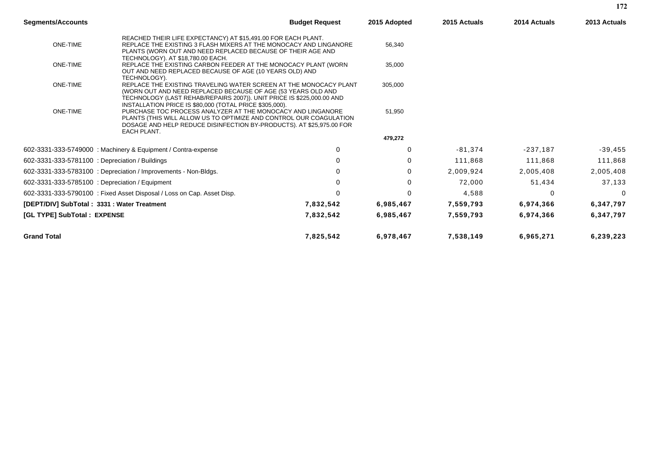| <b>Segments/Accounts</b>                        |                                                                                                                                                                                                                                                                       | <b>Budget Request</b> | 2015 Adopted | 2015 Actuals | 2014 Actuals | 2013 Actuals |
|-------------------------------------------------|-----------------------------------------------------------------------------------------------------------------------------------------------------------------------------------------------------------------------------------------------------------------------|-----------------------|--------------|--------------|--------------|--------------|
| ONE-TIME                                        | REACHED THEIR LIFE EXPECTANCY) AT \$15,491.00 FOR EACH PLANT.<br>REPLACE THE EXISTING 3 FLASH MIXERS AT THE MONOCACY AND LINGANORE<br>PLANTS (WORN OUT AND NEED REPLACED BECAUSE OF THEIR AGE AND                                                                     |                       | 56.340       |              |              |              |
| <b>ONE-TIME</b>                                 | TECHNOLOGY). AT \$18,780.00 EACH.<br>REPLACE THE EXISTING CARBON FEEDER AT THE MONOCACY PLANT (WORN<br>OUT AND NEED REPLACED BECAUSE OF AGE (10 YEARS OLD) AND<br>TECHNOLOGY).                                                                                        |                       | 35.000       |              |              |              |
| <b>ONE-TIME</b>                                 | REPLACE THE EXISTING TRAVELING WATER SCREEN AT THE MONOCACY PLANT<br>(WORN OUT AND NEED REPLACED BECAUSE OF AGE (53 YEARS OLD AND<br>TECHNOLOGY (LAST REHAB/REPAIRS 2007)). UNIT PRICE IS \$225,000.00 AND<br>INSTALLATION PRICE IS \$80,000 (TOTAL PRICE \$305,000). |                       | 305,000      |              |              |              |
| <b>ONE-TIME</b>                                 | PURCHASE TOC PROCESS ANALYZER AT THE MONOCACY AND LINGANORE<br>PLANTS (THIS WILL ALLOW US TO OPTIMIZE AND CONTROL OUR COAGULATION<br>DOSAGE AND HELP REDUCE DISINFECTION BY-PRODUCTS). AT \$25,975.00 FOR<br>EACH PLANT.                                              |                       | 51,950       |              |              |              |
|                                                 |                                                                                                                                                                                                                                                                       |                       | 479,272      |              |              |              |
|                                                 | 602-3331-333-5749000: Machinery & Equipment / Contra-expense                                                                                                                                                                                                          | 0                     | $\Omega$     | $-81,374$    | $-237,187$   | -39,455      |
| 602-3331-333-5781100 : Depreciation / Buildings |                                                                                                                                                                                                                                                                       |                       | $\Omega$     | 111,868      | 111,868      | 111,868      |
|                                                 | 602-3331-333-5783100 : Depreciation / Improvements - Non-Bldgs.                                                                                                                                                                                                       |                       | $\Omega$     | 2,009,924    | 2,005,408    | 2,005,408    |
|                                                 | 602-3331-333-5785100 : Depreciation / Equipment                                                                                                                                                                                                                       |                       | $\Omega$     | 72,000       | 51,434       | 37,133       |
|                                                 | 602-3331-333-5790100 : Fixed Asset Disposal / Loss on Cap. Asset Disp.                                                                                                                                                                                                |                       | $\Omega$     | 4,588        | 0            | $\Omega$     |
| [DEPT/DIV] SubTotal: 3331: Water Treatment      |                                                                                                                                                                                                                                                                       | 7,832,542             | 6,985,467    | 7,559,793    | 6,974,366    | 6,347,797    |
| [GL TYPE] SubTotal: EXPENSE                     |                                                                                                                                                                                                                                                                       | 7,832,542             | 6,985,467    | 7,559,793    | 6,974,366    | 6,347,797    |
| <b>Grand Total</b>                              |                                                                                                                                                                                                                                                                       | 7,825,542             | 6,978,467    | 7,538,149    | 6,965,271    | 6,239,223    |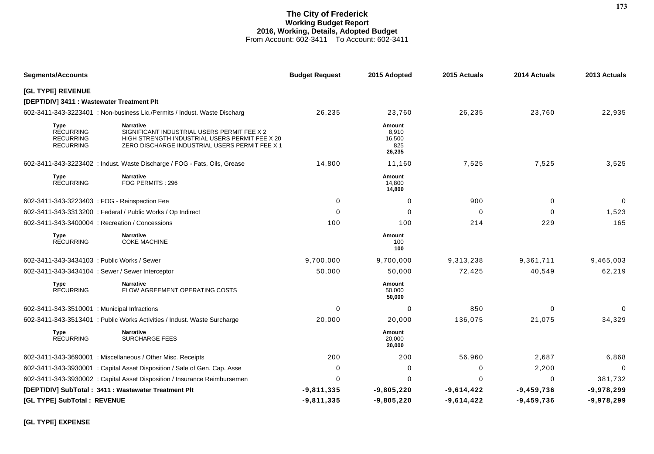# **The City of Frederick Working Budget Report 2016, Working, Details, Adopted Budget** From Account: 602-3411 To Account: 602-3411

| <b>Segments/Accounts</b>                                         |                                                                                                                                                                     | <b>Budget Request</b> | 2015 Adopted                               | 2015 Actuals | 2014 Actuals | 2013 Actuals |
|------------------------------------------------------------------|---------------------------------------------------------------------------------------------------------------------------------------------------------------------|-----------------------|--------------------------------------------|--------------|--------------|--------------|
| [GL TYPE] REVENUE                                                |                                                                                                                                                                     |                       |                                            |              |              |              |
| [DEPT/DIV] 3411 : Wastewater Treatment Plt                       |                                                                                                                                                                     |                       |                                            |              |              |              |
|                                                                  | 602-3411-343-3223401 : Non-business Lic./Permits / Indust. Waste Discharg                                                                                           | 26,235                | 23,760                                     | 26,235       | 23,760       | 22,935       |
| Type<br><b>RECURRING</b><br><b>RECURRING</b><br><b>RECURRING</b> | <b>Narrative</b><br>SIGNIFICANT INDUSTRIAL USERS PERMIT FEE X 2<br>HIGH STRENGTH INDUSTRIAL USERS PERMIT FEE X 20<br>ZERO DISCHARGE INDUSTRIAL USERS PERMIT FEE X 1 |                       | Amount<br>8,910<br>16,500<br>825<br>26,235 |              |              |              |
|                                                                  | 602-3411-343-3223402 : Indust. Waste Discharge / FOG - Fats, Oils, Grease                                                                                           | 14,800                | 11,160                                     | 7,525        | 7,525        | 3,525        |
| Type<br><b>RECURRING</b>                                         | <b>Narrative</b><br>FOG PERMITS: 296                                                                                                                                |                       | Amount<br>14,800<br>14,800                 |              |              |              |
|                                                                  | 602-3411-343-3223403 : FOG - Reinspection Fee                                                                                                                       | $\mathbf 0$           | 0                                          | 900          | $\Omega$     | $\mathbf 0$  |
|                                                                  | 602-3411-343-3313200 : Federal / Public Works / Op Indirect                                                                                                         | 0                     | 0                                          | 0            | 0            | 1,523        |
|                                                                  | 602-3411-343-3400004 : Recreation / Concessions                                                                                                                     | 100                   | 100                                        | 214          | 229          | 165          |
| Type<br><b>RECURRING</b>                                         | <b>Narrative</b><br><b>COKE MACHINE</b>                                                                                                                             |                       | Amount<br>100<br>100                       |              |              |              |
| 602-3411-343-3434103 : Public Works / Sewer                      |                                                                                                                                                                     | 9,700,000             | 9,700,000                                  | 9,313,238    | 9,361,711    | 9,465,003    |
|                                                                  | 602-3411-343-3434104 : Sewer / Sewer Interceptor                                                                                                                    | 50,000                | 50,000                                     | 72,425       | 40,549       | 62,219       |
| Type<br><b>RECURRING</b>                                         | <b>Narrative</b><br>FLOW AGREEMENT OPERATING COSTS                                                                                                                  |                       | Amount<br>50,000<br>50,000                 |              |              |              |
| 602-3411-343-3510001 : Municipal Infractions                     |                                                                                                                                                                     | 0                     | 0                                          | 850          | $\Omega$     | $\Omega$     |
|                                                                  | 602-3411-343-3513401 : Public Works Activities / Indust. Waste Surcharge                                                                                            | 20,000                | 20,000                                     | 136,075      | 21,075       | 34,329       |
| <b>Type</b><br><b>RECURRING</b>                                  | <b>Narrative</b><br><b>SURCHARGE FEES</b>                                                                                                                           |                       | Amount<br>20,000<br>20,000                 |              |              |              |
|                                                                  | 602-3411-343-3690001 : Miscellaneous / Other Misc. Receipts                                                                                                         | 200                   | 200                                        | 56,960       | 2,687        | 6,868        |
|                                                                  | 602-3411-343-3930001: Capital Asset Disposition / Sale of Gen. Cap. Asse                                                                                            | 0                     | $\Omega$                                   | 0            | 2,200        | $\Omega$     |
|                                                                  | 602-3411-343-3930002 : Capital Asset Disposition / Insurance Reimbursemen                                                                                           | 0                     | $\Omega$                                   | 0            | $\mathbf 0$  | 381,732      |
|                                                                  | [DEPT/DIV] SubTotal: 3411: Wastewater Treatment Plt                                                                                                                 | $-9,811,335$          | $-9,805,220$                               | $-9,614,422$ | $-9,459,736$ | $-9,978,299$ |
| [GL TYPE] SubTotal: REVENUE                                      |                                                                                                                                                                     | $-9,811,335$          | $-9.805.220$                               | $-9,614,422$ | $-9,459,736$ | $-9,978,299$ |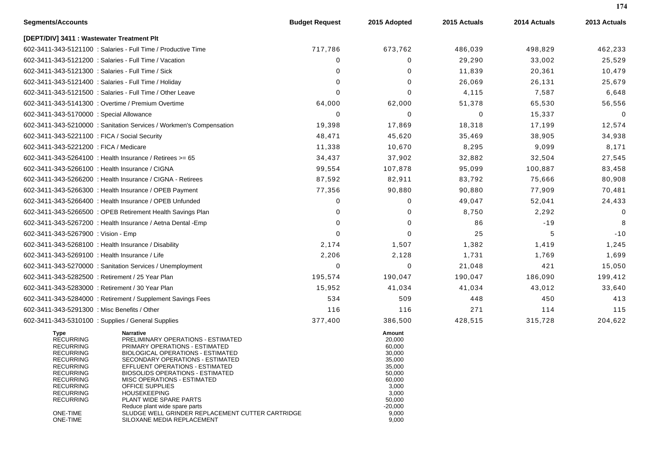| <b>Segments/Accounts</b>                                                                                        |                                                                                                                                                                                                      | <b>Budget Request</b> | 2015 Adopted                                             | 2015 Actuals | 2014 Actuals | 2013 Actuals |
|-----------------------------------------------------------------------------------------------------------------|------------------------------------------------------------------------------------------------------------------------------------------------------------------------------------------------------|-----------------------|----------------------------------------------------------|--------------|--------------|--------------|
| [DEPT/DIV] 3411 : Wastewater Treatment Plt                                                                      |                                                                                                                                                                                                      |                       |                                                          |              |              |              |
|                                                                                                                 | 602-3411-343-5121100 : Salaries - Full Time / Productive Time                                                                                                                                        | 717,786               | 673,762                                                  | 486,039      | 498,829      | 462,233      |
|                                                                                                                 | 602-3411-343-5121200 : Salaries - Full Time / Vacation                                                                                                                                               | 0                     | 0                                                        | 29,290       | 33,002       | 25,529       |
|                                                                                                                 | 602-3411-343-5121300 : Salaries - Full Time / Sick                                                                                                                                                   | 0                     | 0                                                        | 11,839       | 20,361       | 10,479       |
|                                                                                                                 | 602-3411-343-5121400 : Salaries - Full Time / Holiday                                                                                                                                                | $\Omega$              | $\Omega$                                                 | 26,069       | 26,131       | 25,679       |
|                                                                                                                 | 602-3411-343-5121500 : Salaries - Full Time / Other Leave                                                                                                                                            | $\Omega$              | $\Omega$                                                 | 4,115        | 7,587        | 6,648        |
|                                                                                                                 | 602-3411-343-5141300 : Overtime / Premium Overtime                                                                                                                                                   | 64,000                | 62,000                                                   | 51,378       | 65,530       | 56,556       |
| 602-3411-343-5170000 : Special Allowance                                                                        |                                                                                                                                                                                                      | 0                     | $\Omega$                                                 | 0            | 15,337       | $\Omega$     |
|                                                                                                                 | 602-3411-343-5210000 : Sanitation Services / Workmen's Compensation                                                                                                                                  | 19,398                | 17,869                                                   | 18,318       | 17,199       | 12,574       |
| 602-3411-343-5221100 : FICA / Social Security                                                                   |                                                                                                                                                                                                      | 48,471                | 45,620                                                   | 35,469       | 38,905       | 34,938       |
| 602-3411-343-5221200 : FICA / Medicare                                                                          |                                                                                                                                                                                                      | 11,338                | 10,670                                                   | 8,295        | 9,099        | 8,171        |
|                                                                                                                 | 602-3411-343-5264100 : Health Insurance / Retirees >= 65                                                                                                                                             | 34,437                | 37,902                                                   | 32,882       | 32,504       | 27,545       |
|                                                                                                                 | 602-3411-343-5266100 : Health Insurance / CIGNA                                                                                                                                                      | 99,554                | 107,878                                                  | 95,099       | 100,887      | 83,458       |
|                                                                                                                 | 602-3411-343-5266200 : Health Insurance / CIGNA - Retirees                                                                                                                                           | 87,592                | 82,911                                                   | 83,792       | 75,666       | 80,908       |
|                                                                                                                 | 602-3411-343-5266300 : Health Insurance / OPEB Payment                                                                                                                                               | 77,356                | 90,880                                                   | 90,880       | 77,909       | 70,481       |
|                                                                                                                 | 602-3411-343-5266400 : Health Insurance / OPEB Unfunded                                                                                                                                              | $\Omega$              | $\Omega$                                                 | 49,047       | 52,041       | 24,433       |
|                                                                                                                 | 602-3411-343-5266500 : OPEB Retirement Health Savings Plan                                                                                                                                           | $\Omega$              | $\Omega$                                                 | 8,750        | 2,292        | $\Omega$     |
|                                                                                                                 | 602-3411-343-5267200 : Health Insurance / Aetna Dental - Emp                                                                                                                                         | 0                     | $\Omega$                                                 | 86           | $-19$        | 8            |
| 602-3411-343-5267900 : Vision - Emp                                                                             |                                                                                                                                                                                                      | $\Omega$              | $\Omega$                                                 | 25           | 5            | $-10$        |
|                                                                                                                 | 602-3411-343-5268100 : Health Insurance / Disability                                                                                                                                                 | 2,174                 | 1,507                                                    | 1,382        | 1,419        | 1,245        |
| 602-3411-343-5269100 : Health Insurance / Life                                                                  |                                                                                                                                                                                                      | 2,206                 | 2,128                                                    | 1,731        | 1,769        | 1,699        |
|                                                                                                                 | 602-3411-343-5270000 : Sanitation Services / Unemployment                                                                                                                                            | $\Omega$              | $\Omega$                                                 | 21,048       | 421          | 15,050       |
|                                                                                                                 | 602-3411-343-5282500 : Retirement / 25 Year Plan                                                                                                                                                     | 195,574               | 190,047                                                  | 190,047      | 186,090      | 199,412      |
|                                                                                                                 | 602-3411-343-5283000 : Retirement / 30 Year Plan                                                                                                                                                     | 15,952                | 41,034                                                   | 41,034       | 43,012       | 33,640       |
|                                                                                                                 | 602-3411-343-5284000: Retirement / Supplement Savings Fees                                                                                                                                           | 534                   | 509                                                      | 448          | 450          | 413          |
| 602-3411-343-5291300 : Misc Benefits / Other                                                                    |                                                                                                                                                                                                      | 116                   | 116                                                      | 271          | 114          | 115          |
|                                                                                                                 | 602-3411-343-5310100 : Supplies / General Supplies                                                                                                                                                   | 377,400               | 386,500                                                  | 428,515      | 315,728      | 204,622      |
| <b>Type</b><br><b>RECURRING</b><br><b>RECURRING</b><br><b>RECURRING</b><br><b>RECURRING</b><br><b>RECURRING</b> | Narrative<br>PRELIMINARY OPERATIONS - ESTIMATED<br>PRIMARY OPERATIONS - ESTIMATED<br><b>BIOLOGICAL OPERATIONS - ESTIMATED</b><br>SECONDARY OPERATIONS - ESTIMATED<br>EFFLUENT OPERATIONS - ESTIMATED |                       | Amount<br>20,000<br>60,000<br>30,000<br>35,000<br>35,000 |              |              |              |

RECURRING BIOSOLIDS OPERATIONS - ESTIMATED<br>RECURRING MISC OPERATIONS - ESTIMATED 50,000 SO,000 RECURRING MISC OPERATIONS - ESTIMATED 60,000<br>RECURRING OFFICE SUPPLIES 3,000 RECURRING OFFICE SUPPLIES AND SUPPLIES AND SUPPLIES AND SUPPLIES AND SUPPLIES AND SUPPLIES AND SUPPLIES AND SUPPLIES RECURRING HOUSEKEEPING 3,000

ONE-TIME SLUDGE WELL GRINDER REPLACEMENT CUTTER CARTRIDGE **1996 FOR CONSTRUCT 1999**<br>ONE-TIME SILOXANE MEDIA REPLACEMENT 9,000

SILOXANE MEDIA REPLACEMENT

PLANT WIDE SPARE PARTS 50,000<br>Reduce plant wide spare parts 50,000 and 20,000 cm  $-20,000$ Reduce plant wide spare parts<br>SLUDGE WELL GRINDER REPLACEMENT CUTTER CARTRIDGE  $9,000$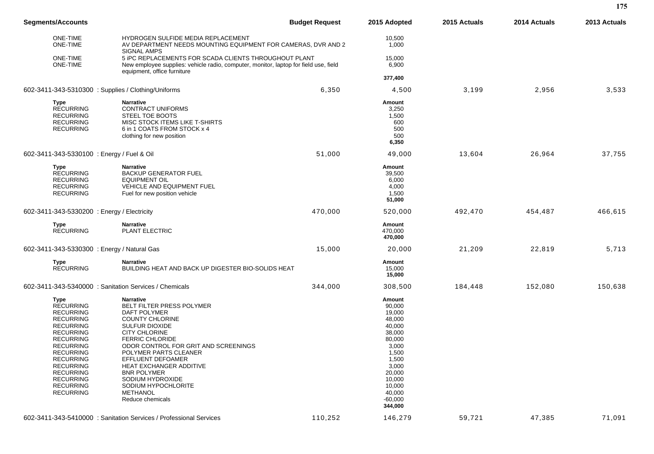| <b>Segments/Accounts</b>                                                                                                                                                                                                                                                                     |                                                                                                                                                                                                                                                                                                                                                                               | <b>Budget Request</b>                                                               | 2015 Adopted                                                                                                                                                           | 2015 Actuals | 2014 Actuals | 2013 Actuals |
|----------------------------------------------------------------------------------------------------------------------------------------------------------------------------------------------------------------------------------------------------------------------------------------------|-------------------------------------------------------------------------------------------------------------------------------------------------------------------------------------------------------------------------------------------------------------------------------------------------------------------------------------------------------------------------------|-------------------------------------------------------------------------------------|------------------------------------------------------------------------------------------------------------------------------------------------------------------------|--------------|--------------|--------------|
| ONE-TIME<br><b>ONE-TIME</b>                                                                                                                                                                                                                                                                  | HYDROGEN SULFIDE MEDIA REPLACEMENT                                                                                                                                                                                                                                                                                                                                            | AV DEPARTMENT NEEDS MOUNTING EQUIPMENT FOR CAMERAS, DVR AND 2<br><b>SIGNAL AMPS</b> |                                                                                                                                                                        |              |              |              |
| <b>ONE-TIME</b><br><b>ONE-TIME</b>                                                                                                                                                                                                                                                           | 5 IPC REPLACEMENTS FOR SCADA CLIENTS THROUGHOUT PLANT<br>New employee supplies: vehicle radio, computer, monitor, laptop for field use, field                                                                                                                                                                                                                                 |                                                                                     | 15,000<br>6,900                                                                                                                                                        |              |              |              |
|                                                                                                                                                                                                                                                                                              | equipment, office furniture                                                                                                                                                                                                                                                                                                                                                   |                                                                                     | 377,400                                                                                                                                                                |              |              |              |
|                                                                                                                                                                                                                                                                                              | 602-3411-343-5310300 : Supplies / Clothing/Uniforms                                                                                                                                                                                                                                                                                                                           | 6,350                                                                               | 4,500                                                                                                                                                                  | 3,199        | 2,956        | 3,533        |
| Type<br><b>RECURRING</b><br><b>RECURRING</b><br><b>RECURRING</b><br><b>RECURRING</b>                                                                                                                                                                                                         | <b>Narrative</b><br><b>CONTRACT UNIFORMS</b><br><b>STEEL TOE BOOTS</b><br>MISC STOCK ITEMS LIKE T-SHIRTS<br>6 in 1 COATS FROM STOCK x 4<br>clothing for new position                                                                                                                                                                                                          |                                                                                     | Amount<br>3,250<br>1,500<br>600<br>500<br>500<br>6,350                                                                                                                 |              |              |              |
| 602-3411-343-5330100 : Energy / Fuel & Oil                                                                                                                                                                                                                                                   |                                                                                                                                                                                                                                                                                                                                                                               | 51,000                                                                              | 49,000                                                                                                                                                                 | 13,604       | 26,964       | 37,755       |
| Type<br><b>RECURRING</b><br><b>RECURRING</b><br><b>RECURRING</b><br><b>RECURRING</b>                                                                                                                                                                                                         | Narrative<br><b>BACKUP GENERATOR FUEL</b><br><b>EQUIPMENT OIL</b><br>VEHICLE AND EQUIPMENT FUEL<br>Fuel for new position vehicle                                                                                                                                                                                                                                              |                                                                                     | Amount<br>39,500<br>6,000<br>4,000<br>1,500<br>51,000                                                                                                                  |              |              |              |
| 602-3411-343-5330200 : Energy / Electricity                                                                                                                                                                                                                                                  |                                                                                                                                                                                                                                                                                                                                                                               | 470,000                                                                             | 520,000                                                                                                                                                                | 492,470      | 454,487      | 466,615      |
| Type<br><b>RECURRING</b>                                                                                                                                                                                                                                                                     | <b>Narrative</b><br>PLANT ELECTRIC                                                                                                                                                                                                                                                                                                                                            |                                                                                     | Amount<br>470,000<br>470,000                                                                                                                                           |              |              |              |
| 602-3411-343-5330300 : Energy / Natural Gas                                                                                                                                                                                                                                                  |                                                                                                                                                                                                                                                                                                                                                                               | 15,000                                                                              | 20,000                                                                                                                                                                 | 21,209       | 22,819       | 5,713        |
| Type<br><b>RECURRING</b>                                                                                                                                                                                                                                                                     | <b>Narrative</b><br>BUILDING HEAT AND BACK UP DIGESTER BIO-SOLIDS HEAT                                                                                                                                                                                                                                                                                                        |                                                                                     | Amount<br>15,000<br>15,000                                                                                                                                             |              |              |              |
|                                                                                                                                                                                                                                                                                              | 602-3411-343-5340000 : Sanitation Services / Chemicals                                                                                                                                                                                                                                                                                                                        | 344,000                                                                             | 308,500                                                                                                                                                                | 184,448      | 152,080      | 150,638      |
| Type<br><b>RECURRING</b><br><b>RECURRING</b><br><b>RECURRING</b><br><b>RECURRING</b><br><b>RECURRING</b><br><b>RECURRING</b><br><b>RECURRING</b><br><b>RECURRING</b><br><b>RECURRING</b><br><b>RECURRING</b><br><b>RECURRING</b><br><b>RECURRING</b><br><b>RECURRING</b><br><b>RECURRING</b> | Narrative<br>BELT FILTER PRESS POLYMER<br>DAFT POLYMER<br><b>COUNTY CHLORINE</b><br><b>SULFUR DIOXIDE</b><br><b>CITY CHLORINE</b><br><b>FERRIC CHLORIDE</b><br>ODOR CONTROL FOR GRIT AND SCREENINGS<br>POLYMER PARTS CLEANER<br>EFFLUENT DEFOAMER<br>HEAT EXCHANGER ADDITIVE<br><b>BNR POLYMER</b><br>SODIUM HYDROXIDE<br>SODIUM HYPOCHLORITE<br>METHANOL<br>Reduce chemicals |                                                                                     | Amount<br>90,000<br>19,000<br>48,000<br>40,000<br>38,000<br>80,000<br>3,000<br>1,500<br>1,500<br>3,000<br>20,000<br>10,000<br>10,000<br>40,000<br>$-60,000$<br>344,000 |              |              |              |
|                                                                                                                                                                                                                                                                                              | 602-3411-343-5410000: Sanitation Services / Professional Services                                                                                                                                                                                                                                                                                                             | 110,252                                                                             | 146,279                                                                                                                                                                | 59,721       | 47,385       | 71,091       |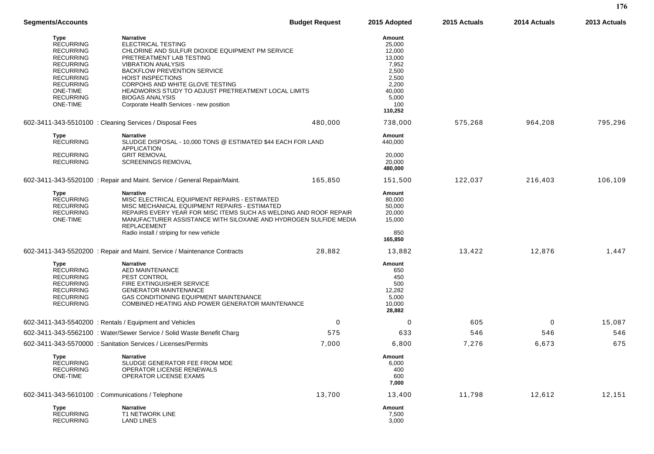| <b>Segments/Accounts</b>                                                                                                                                                                                   |                                                                                                                                                                                                                                                                                                                                                                                              | <b>Budget Request</b> | 2015 Adopted                                                                                                  | 2015 Actuals | 2014 Actuals | 2013 Actuals |
|------------------------------------------------------------------------------------------------------------------------------------------------------------------------------------------------------------|----------------------------------------------------------------------------------------------------------------------------------------------------------------------------------------------------------------------------------------------------------------------------------------------------------------------------------------------------------------------------------------------|-----------------------|---------------------------------------------------------------------------------------------------------------|--------------|--------------|--------------|
| Type<br><b>RECURRING</b><br><b>RECURRING</b><br><b>RECURRING</b><br><b>RECURRING</b><br><b>RECURRING</b><br><b>RECURRING</b><br><b>RECURRING</b><br><b>ONE-TIME</b><br><b>RECURRING</b><br><b>ONE-TIME</b> | <b>Narrative</b><br><b>ELECTRICAL TESTING</b><br>CHLORINE AND SULFUR DIOXIDE EQUIPMENT PM SERVICE<br>PRETREATMENT LAB TESTING<br><b>VIBRATION ANALYSIS</b><br><b>BACKFLOW PREVENTION SERVICE</b><br><b>HOIST INSPECTIONS</b><br>CORPOHS AND WHITE GLOVE TESTING<br>HEADWORKS STUDY TO ADJUST PRETREATMENT LOCAL LIMITS<br><b>BIOGAS ANALYSIS</b><br>Corporate Health Services - new position |                       | Amount<br>25,000<br>12,000<br>13,000<br>7,952<br>2,500<br>2,500<br>2,200<br>40,000<br>5,000<br>100<br>110,252 |              |              |              |
| 602-3411-343-5510100 : Cleaning Services / Disposal Fees                                                                                                                                                   |                                                                                                                                                                                                                                                                                                                                                                                              | 480,000               | 738,000                                                                                                       | 575,268      | 964,208      | 795,296      |
| Type<br><b>RECURRING</b><br><b>RECURRING</b><br><b>RECURRING</b>                                                                                                                                           | <b>Narrative</b><br>SLUDGE DISPOSAL - 10,000 TONS @ ESTIMATED \$44 EACH FOR LAND<br><b>APPLICATION</b><br><b>GRIT REMOVAL</b><br><b>SCREENINGS REMOVAL</b>                                                                                                                                                                                                                                   |                       | Amount<br>440,000<br>20,000<br>20,000<br>480,000                                                              |              |              |              |
|                                                                                                                                                                                                            | 602-3411-343-5520100 : Repair and Maint. Service / General Repair/Maint.                                                                                                                                                                                                                                                                                                                     | 165,850               | 151,500                                                                                                       | 122,037      | 216,403      | 106,109      |
| Type<br><b>RECURRING</b><br><b>RECURRING</b><br><b>RECURRING</b><br><b>ONE-TIME</b>                                                                                                                        | <b>Narrative</b><br>MISC ELECTRICAL EQUIPMENT REPAIRS - ESTIMATED<br>MISC MECHANICAL EQUIPMENT REPAIRS - ESTIMATED<br>REPAIRS EVERY YEAR FOR MISC ITEMS SUCH AS WELDING AND ROOF REPAIR<br>MANUFACTURER ASSISTANCE WITH SILOXANE AND HYDROGEN SULFIDE MEDIA<br><b>REPLACEMENT</b><br>Radio install / striping for new vehicle                                                                |                       | Amount<br>80,000<br>50,000<br>20,000<br>15,000<br>850<br>165,850                                              |              |              |              |
|                                                                                                                                                                                                            | 602-3411-343-5520200 : Repair and Maint. Service / Maintenance Contracts                                                                                                                                                                                                                                                                                                                     | 28,882                | 13,882                                                                                                        | 13,422       | 12,876       | 1,447        |
| Type<br><b>RECURRING</b><br><b>RECURRING</b><br><b>RECURRING</b><br><b>RECURRING</b><br><b>RECURRING</b><br><b>RECURRING</b>                                                                               | <b>Narrative</b><br><b>AED MAINTENANCE</b><br>PEST CONTROL<br>FIRE EXTINGUISHER SERVICE<br><b>GENERATOR MAINTENANCE</b><br><b>GAS CONDITIONING EQUIPMENT MAINTENANCE</b><br>COMBINED HEATING AND POWER GENERATOR MAINTENANCE                                                                                                                                                                 |                       | Amount<br>650<br>450<br>500<br>12,282<br>5,000<br>10,000<br>28,882                                            |              |              |              |
| 602-3411-343-5540200 : Rentals / Equipment and Vehicles                                                                                                                                                    |                                                                                                                                                                                                                                                                                                                                                                                              | 0                     | 0                                                                                                             | 605          | 0            | 15,087       |
|                                                                                                                                                                                                            | 602-3411-343-5562100 : Water/Sewer Service / Solid Waste Benefit Charg                                                                                                                                                                                                                                                                                                                       | 575                   | 633                                                                                                           | 546          | 546          | 546          |
|                                                                                                                                                                                                            | 602-3411-343-5570000 : Sanitation Services / Licenses/Permits                                                                                                                                                                                                                                                                                                                                | 7,000                 | 6,800                                                                                                         | 7,276        | 6,673        | 675          |
| <b>Type</b><br><b>RECURRING</b><br><b>RECURRING</b><br>ONE-TIME                                                                                                                                            | <b>Narrative</b><br>SLUDGE GENERATOR FEE FROM MDE<br><b>OPERATOR LICENSE RENEWALS</b><br><b>OPERATOR LICENSE EXAMS</b>                                                                                                                                                                                                                                                                       |                       | Amount<br>6,000<br>400<br>600<br>7,000                                                                        |              |              |              |
| 602-3411-343-5610100 : Communications / Telephone                                                                                                                                                          |                                                                                                                                                                                                                                                                                                                                                                                              | 13,700                | 13,400                                                                                                        | 11,798       | 12,612       | 12,151       |
| <b>Type</b><br><b>RECURRING</b><br><b>RECURRING</b>                                                                                                                                                        | <b>Narrative</b><br>T1 NETWORK LINE<br><b>LAND LINES</b>                                                                                                                                                                                                                                                                                                                                     |                       | Amount<br>7,500<br>3,000                                                                                      |              |              |              |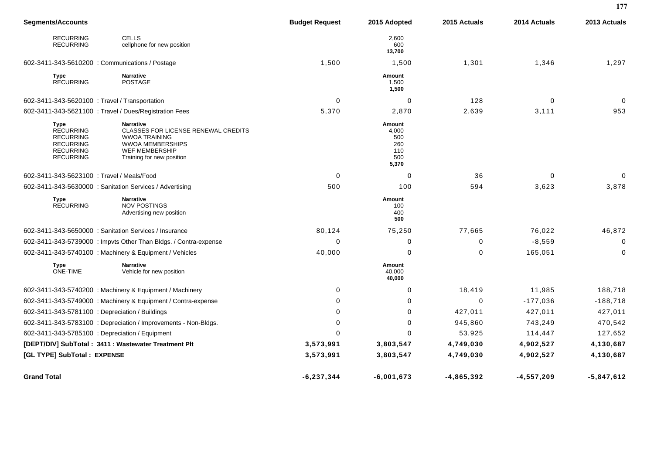| <b>Segments/Accounts</b>                                                                                 |                                                                                                                                                                  | <b>Budget Request</b> | 2015 Adopted                                         | 2015 Actuals | 2014 Actuals | 2013 Actuals |
|----------------------------------------------------------------------------------------------------------|------------------------------------------------------------------------------------------------------------------------------------------------------------------|-----------------------|------------------------------------------------------|--------------|--------------|--------------|
| <b>RECURRING</b><br><b>RECURRING</b>                                                                     | <b>CELLS</b><br>cellphone for new position                                                                                                                       |                       | 2,600<br>600<br>13,700                               |              |              |              |
|                                                                                                          | 602-3411-343-5610200 : Communications / Postage                                                                                                                  | 1,500                 | 1,500                                                | 1,301        | 1,346        | 1,297        |
| Type<br><b>RECURRING</b>                                                                                 | Narrative<br><b>POSTAGE</b>                                                                                                                                      |                       | Amount<br>1,500<br>1,500                             |              |              |              |
| 602-3411-343-5620100 : Travel / Transportation                                                           |                                                                                                                                                                  | $\mathbf 0$           | $\mathbf 0$                                          | 128          | $\mathbf 0$  | $\mathbf 0$  |
|                                                                                                          | 602-3411-343-5621100 : Travel / Dues/Registration Fees                                                                                                           | 5,370                 | 2,870                                                | 2,639        | 3,111        | 953          |
| Type<br><b>RECURRING</b><br><b>RECURRING</b><br><b>RECURRING</b><br><b>RECURRING</b><br><b>RECURRING</b> | <b>Narrative</b><br>CLASSES FOR LICENSE RENEWAL CREDITS<br><b>WWOA TRAINING</b><br><b>WWOA MEMBERSHIPS</b><br><b>WEF MEMBERSHIP</b><br>Training for new position |                       | Amount<br>4,000<br>500<br>260<br>110<br>500<br>5,370 |              |              |              |
| 602-3411-343-5623100 : Travel / Meals/Food                                                               |                                                                                                                                                                  | $\mathbf 0$           | $\mathbf 0$                                          | 36           | $\mathbf 0$  | $\mathbf 0$  |
|                                                                                                          | 602-3411-343-5630000 : Sanitation Services / Advertising                                                                                                         | 500                   | 100                                                  | 594          | 3,623        | 3,878        |
| Type<br><b>RECURRING</b>                                                                                 | <b>Narrative</b><br><b>NOV POSTINGS</b><br>Advertising new position                                                                                              |                       | Amount<br>100<br>400<br>500                          |              |              |              |
|                                                                                                          | 602-3411-343-5650000 : Sanitation Services / Insurance                                                                                                           | 80,124                | 75,250                                               | 77,665       | 76,022       | 46,872       |
|                                                                                                          | 602-3411-343-5739000 : Impvts Other Than Bldgs. / Contra-expense                                                                                                 | 0                     | 0                                                    | 0            | $-8,559$     | 0            |
|                                                                                                          | 602-3411-343-5740100 : Machinery & Equipment / Vehicles                                                                                                          | 40,000                | $\overline{0}$                                       | $\mathbf 0$  | 165,051      | 0            |
| Type<br>ONE-TIME                                                                                         | <b>Narrative</b><br>Vehicle for new position                                                                                                                     |                       | Amount<br>40,000<br>40,000                           |              |              |              |
|                                                                                                          | 602-3411-343-5740200 : Machinery & Equipment / Machinery                                                                                                         | 0                     | $\mathbf 0$                                          | 18,419       | 11,985       | 188,718      |
|                                                                                                          | 602-3411-343-5749000 : Machinery & Equipment / Contra-expense                                                                                                    | 0                     | $\Omega$                                             | $\mathbf 0$  | $-177,036$   | $-188,718$   |
|                                                                                                          | 602-3411-343-5781100 : Depreciation / Buildings                                                                                                                  | 0                     | 0                                                    | 427,011      | 427,011      | 427,011      |
|                                                                                                          | 602-3411-343-5783100 : Depreciation / Improvements - Non-Bldgs.                                                                                                  | 0                     | $\mathbf 0$                                          | 945,860      | 743,249      | 470,542      |
|                                                                                                          | 602-3411-343-5785100 : Depreciation / Equipment                                                                                                                  | 0                     | $\Omega$                                             | 53,925       | 114,447      | 127,652      |
|                                                                                                          | [DEPT/DIV] SubTotal: 3411: Wastewater Treatment Plt                                                                                                              | 3,573,991             | 3,803,547                                            | 4,749,030    | 4,902,527    | 4,130,687    |
| [GL TYPE] SubTotal: EXPENSE                                                                              |                                                                                                                                                                  | 3,573,991             | 3,803,547                                            | 4,749,030    | 4,902,527    | 4,130,687    |
| <b>Grand Total</b>                                                                                       |                                                                                                                                                                  | $-6, 237, 344$        | -6,001,673                                           | $-4,865,392$ | $-4,557,209$ | $-5,847,612$ |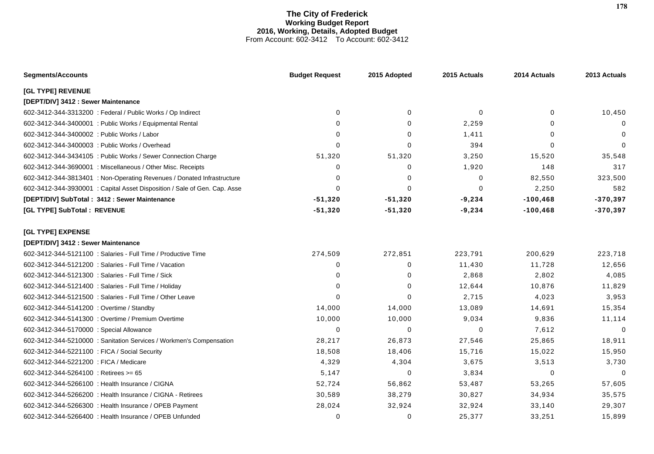# **The City of Frederick Working Budget Report 2016, Working, Details, Adopted Budget** From Account: 602-3412 To Account: 602-3412

| <b>Segments/Accounts</b>                                                                             | <b>Budget Request</b> | 2015 Adopted | 2015 Actuals | 2014 Actuals | 2013 Actuals |
|------------------------------------------------------------------------------------------------------|-----------------------|--------------|--------------|--------------|--------------|
| [GL TYPE] REVENUE                                                                                    |                       |              |              |              |              |
| [DEPT/DIV] 3412 : Sewer Maintenance                                                                  |                       |              |              |              |              |
| 602-3412-344-3313200 : Federal / Public Works / Op Indirect                                          | 0                     | $\Omega$     | 0            | 0            | 10,450       |
| 602-3412-344-3400001 : Public Works / Equipmental Rental                                             | 0                     | $\Omega$     | 2,259        | $\Omega$     | $\Omega$     |
| 602-3412-344-3400002 : Public Works / Labor                                                          | 0                     | 0            | 1,411        | $\Omega$     | 0            |
| 602-3412-344-3400003 : Public Works / Overhead                                                       | 0                     | 0            | 394          | $\Omega$     | $\mathbf 0$  |
| 602-3412-344-3434105 : Public Works / Sewer Connection Charge                                        | 51,320                | 51,320       | 3,250        | 15,520       | 35,548       |
| 602-3412-344-3690001 : Miscellaneous / Other Misc. Receipts                                          | 0                     | 0            | 1,920        | 148          | 317          |
| 602-3412-344-3813401 : Non-Operating Revenues / Donated Infrastructure                               | 0                     | 0            | $\Omega$     | 82,550       | 323,500      |
| 602-3412-344-3930001: Capital Asset Disposition / Sale of Gen. Cap. Asse                             | 0                     | $\Omega$     | $\mathbf{0}$ | 2,250        | 582          |
| [DEPT/DIV] SubTotal: 3412: Sewer Maintenance                                                         | $-51,320$             | $-51,320$    | $-9,234$     | $-100, 468$  | $-370,397$   |
| [GL TYPE] SubTotal: REVENUE                                                                          | $-51,320$             | $-51,320$    | $-9,234$     | $-100, 468$  | $-370,397$   |
| [GL TYPE] EXPENSE                                                                                    |                       |              |              |              |              |
|                                                                                                      |                       |              |              |              |              |
| [DEPT/DIV] 3412 : Sewer Maintenance<br>602-3412-344-5121100 : Salaries - Full Time / Productive Time | 274,509               | 272,851      | 223,791      | 200,629      | 223,718      |
| 602-3412-344-5121200 : Salaries - Full Time / Vacation                                               | 0                     | 0            | 11,430       | 11,728       | 12,656       |
| 602-3412-344-5121300 : Salaries - Full Time / Sick                                                   | 0                     | 0            | 2,868        | 2,802        | 4,085        |
| 602-3412-344-5121400 : Salaries - Full Time / Holiday                                                | $\Omega$              | $\Omega$     | 12,644       | 10,876       | 11,829       |
| 602-3412-344-5121500 : Salaries - Full Time / Other Leave                                            | 0                     | $\Omega$     | 2,715        | 4,023        | 3,953        |
| 602-3412-344-5141200 : Overtime / Standby                                                            | 14,000                | 14,000       | 13,089       | 14,691       | 15,354       |
| 602-3412-344-5141300 : Overtime / Premium Overtime                                                   | 10,000                | 10,000       | 9,034        | 9,836        | 11,114       |
| 602-3412-344-5170000 : Special Allowance                                                             | 0                     | 0            | $\Omega$     | 7,612        | $\mathbf 0$  |
| 602-3412-344-5210000: Sanitation Services / Workmen's Compensation                                   | 28,217                | 26,873       | 27,546       | 25,865       | 18,911       |
| 602-3412-344-5221100 : FICA / Social Security                                                        | 18,508                | 18,406       | 15,716       | 15,022       | 15,950       |
| 602-3412-344-5221200 : FICA / Medicare                                                               | 4,329                 | 4,304        | 3,675        | 3,513        | 3,730        |
| 602-3412-344-5264100 : Retirees >= 65                                                                | 5,147                 | 0            | 3,834        | 0            | $\mathbf 0$  |
| 602-3412-344-5266100 : Health Insurance / CIGNA                                                      | 52,724                | 56,862       | 53,487       | 53,265       | 57,605       |
| 602-3412-344-5266200 : Health Insurance / CIGNA - Retirees                                           | 30,589                | 38,279       | 30,827       | 34,934       | 35,575       |
| 602-3412-344-5266300 : Health Insurance / OPEB Payment                                               | 28,024                | 32,924       | 32,924       | 33,140       | 29,307       |
| 602-3412-344-5266400 : Health Insurance / OPEB Unfunded                                              | 0                     | 0            | 25,377       | 33,251       | 15,899       |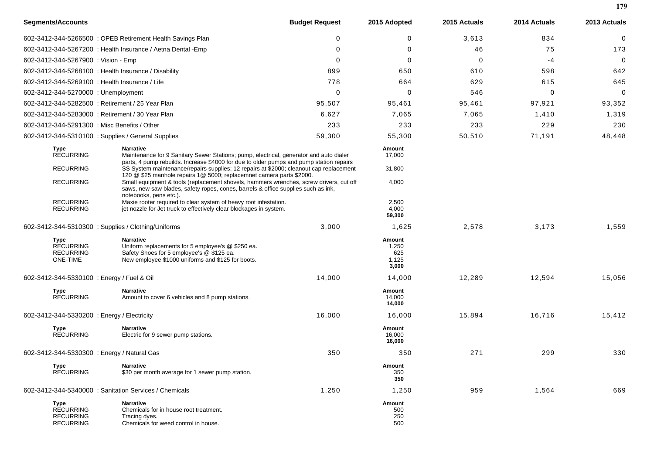| <b>Segments/Accounts</b>                                         |                                                                                                                                                                                                                                                                                                                                                                  | <b>Budget Request</b> | 2015 Adopted                             | 2015 Actuals | 2014 Actuals | 2013 Actuals |
|------------------------------------------------------------------|------------------------------------------------------------------------------------------------------------------------------------------------------------------------------------------------------------------------------------------------------------------------------------------------------------------------------------------------------------------|-----------------------|------------------------------------------|--------------|--------------|--------------|
|                                                                  | 602-3412-344-5266500 : OPEB Retirement Health Savings Plan                                                                                                                                                                                                                                                                                                       | 0                     | $\Omega$                                 | 3,613        | 834          | $\mathbf 0$  |
|                                                                  | 602-3412-344-5267200 : Health Insurance / Aetna Dental - Emp                                                                                                                                                                                                                                                                                                     | 0                     | 0                                        | 46           | 75           | 173          |
| 602-3412-344-5267900 : Vision - Emp                              |                                                                                                                                                                                                                                                                                                                                                                  | 0                     | $\Omega$                                 | 0            | -4           | $\mathbf 0$  |
| 602-3412-344-5268100 : Health Insurance / Disability             |                                                                                                                                                                                                                                                                                                                                                                  | 899                   | 650                                      | 610          | 598          | 642          |
| 602-3412-344-5269100 : Health Insurance / Life                   |                                                                                                                                                                                                                                                                                                                                                                  | 778                   | 664                                      | 629          | 615          | 645          |
| 602-3412-344-5270000 : Unemployment                              |                                                                                                                                                                                                                                                                                                                                                                  | 0                     | 0                                        | 546          | $\Omega$     | $\mathbf 0$  |
| 602-3412-344-5282500 : Retirement / 25 Year Plan                 |                                                                                                                                                                                                                                                                                                                                                                  | 95,507                | 95,461                                   | 95,461       | 97,921       | 93,352       |
| 602-3412-344-5283000 : Retirement / 30 Year Plan                 |                                                                                                                                                                                                                                                                                                                                                                  | 6,627                 | 7,065                                    | 7,065        | 1,410        | 1,319        |
| 602-3412-344-5291300 : Misc Benefits / Other                     |                                                                                                                                                                                                                                                                                                                                                                  | 233                   | 233                                      | 233          | 229          | 230          |
| 602-3412-344-5310100 : Supplies / General Supplies               |                                                                                                                                                                                                                                                                                                                                                                  | 59,300                | 55,300                                   | 50,510       | 71,191       | 48,448       |
| Type<br><b>RECURRING</b><br><b>RECURRING</b>                     | Narrative<br>Maintenance for 9 Sanitary Sewer Stations; pump, electrical, generator and auto dialer<br>parts, 4 pump rebuilds. Increase \$4000 for due to older pumps and pump station repairs<br>SS System maintenance/repairs supplies; 12 repairs at \$2000; cleanout cap replacement<br>120 @ \$25 manhole repairs 1@ 5000; replacemnet camera parts \$2000. |                       | Amount<br>17,000<br>31,800               |              |              |              |
| <b>RECURRING</b>                                                 | Small equipment & tools (replacement shovels, hammers wrenches, screw drivers, cut off<br>saws, new saw blades, safety ropes, cones, barrels & office supplies such as ink,<br>notebooks, pens etc.).                                                                                                                                                            |                       | 4,000                                    |              |              |              |
| <b>RECURRING</b><br><b>RECURRING</b>                             | Maxie rooter required to clear system of heavy root infestation.<br>jet nozzle for Jet truck to effectively clear blockages in system.                                                                                                                                                                                                                           |                       | 2,500<br>4,000<br>59,300                 |              |              |              |
| 602-3412-344-5310300: Supplies / Clothing/Uniforms               |                                                                                                                                                                                                                                                                                                                                                                  | 3,000                 | 1,625                                    | 2,578        | 3,173        | 1,559        |
| Type<br><b>RECURRING</b><br><b>RECURRING</b><br>ONE-TIME         | <b>Narrative</b><br>Uniform replacements for 5 employee's @ \$250 ea.<br>Safety Shoes for 5 employee's @ \$125 ea.<br>New employee \$1000 uniforms and \$125 for boots.                                                                                                                                                                                          |                       | Amount<br>1,250<br>625<br>1,125<br>3,000 |              |              |              |
| 602-3412-344-5330100 : Energy / Fuel & Oil                       |                                                                                                                                                                                                                                                                                                                                                                  | 14,000                | 14,000                                   | 12,289       | 12,594       | 15,056       |
| Type<br><b>RECURRING</b>                                         | <b>Narrative</b><br>Amount to cover 6 vehicles and 8 pump stations.                                                                                                                                                                                                                                                                                              |                       | Amount<br>14,000<br>14,000               |              |              |              |
| 602-3412-344-5330200 : Energy / Electricity                      |                                                                                                                                                                                                                                                                                                                                                                  | 16,000                | 16,000                                   | 15,894       | 16,716       | 15,412       |
| <b>Type</b><br><b>RECURRING</b>                                  | <b>Narrative</b><br>Electric for 9 sewer pump stations.                                                                                                                                                                                                                                                                                                          |                       | Amount<br>16,000<br>16,000               |              |              |              |
| 602-3412-344-5330300 : Energy / Natural Gas                      |                                                                                                                                                                                                                                                                                                                                                                  | 350                   | 350                                      | 271          | 299          | 330          |
| Type<br><b>RECURRING</b>                                         | <b>Narrative</b><br>\$30 per month average for 1 sewer pump station.                                                                                                                                                                                                                                                                                             |                       | Amount<br>350<br>350                     |              |              |              |
| 602-3412-344-5340000 : Sanitation Services / Chemicals           |                                                                                                                                                                                                                                                                                                                                                                  | 1,250                 | 1,250                                    | 959          | 1,564        | 669          |
| Type<br><b>RECURRING</b><br><b>RECURRING</b><br><b>RECURRING</b> | <b>Narrative</b><br>Chemicals for in house root treatment.<br>Tracing dyes.<br>Chemicals for weed control in house.                                                                                                                                                                                                                                              |                       | Amount<br>500<br>250<br>500              |              |              |              |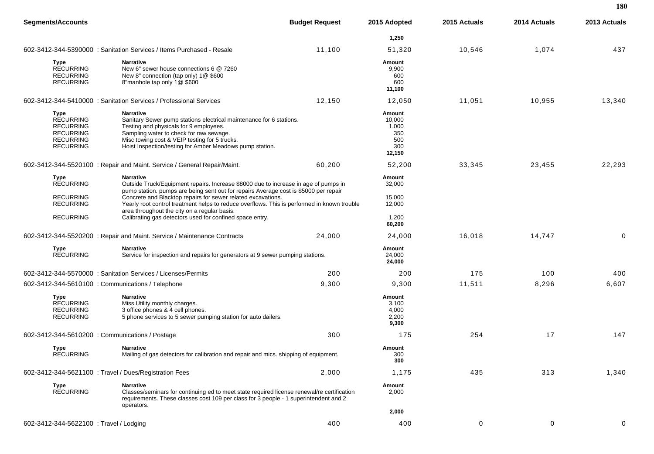| <b>Segments/Accounts</b>                                                                                 |                                                                                                                                                                                                                                                                                                     | <b>Budget Request</b> | 2015 Adopted                                             | 2015 Actuals | 2014 Actuals | 2013 Actuals |
|----------------------------------------------------------------------------------------------------------|-----------------------------------------------------------------------------------------------------------------------------------------------------------------------------------------------------------------------------------------------------------------------------------------------------|-----------------------|----------------------------------------------------------|--------------|--------------|--------------|
|                                                                                                          |                                                                                                                                                                                                                                                                                                     |                       | 1,250                                                    |              |              |              |
|                                                                                                          | 602-3412-344-5390000: Sanitation Services / Items Purchased - Resale                                                                                                                                                                                                                                | 11,100                | 51,320                                                   | 10,546       | 1,074        | 437          |
| Type<br><b>RECURRING</b><br><b>RECURRING</b><br><b>RECURRING</b>                                         | <b>Narrative</b><br>New 6" sewer house connections 6 @ 7260<br>New 8" connection (tap only) 1@ \$600<br>8"manhole tap only 1@ \$600                                                                                                                                                                 |                       | Amount<br>9,900<br>600<br>600<br>11,100                  |              |              |              |
|                                                                                                          | 602-3412-344-5410000: Sanitation Services / Professional Services                                                                                                                                                                                                                                   | 12,150                | 12,050                                                   | 11,051       | 10,955       | 13,340       |
| Type<br><b>RECURRING</b><br><b>RECURRING</b><br><b>RECURRING</b><br><b>RECURRING</b><br><b>RECURRING</b> | <b>Narrative</b><br>Sanitary Sewer pump stations electrical maintenance for 6 stations.<br>Testing and physicals for 9 employees.<br>Sampling water to check for raw sewage.<br>Misc towing cost & VEIP testing for 5 trucks.<br>Hoist Inspection/testing for Amber Meadows pump station.           |                       | Amount<br>10,000<br>1,000<br>350<br>500<br>300<br>12,150 |              |              |              |
|                                                                                                          | 602-3412-344-5520100 : Repair and Maint. Service / General Repair/Maint.                                                                                                                                                                                                                            | 60,200                | 52,200                                                   | 33,345       | 23,455       | 22,293       |
| Type<br><b>RECURRING</b>                                                                                 | <b>Narrative</b><br>Outside Truck/Equipment repairs. Increase \$8000 due to increase in age of pumps in                                                                                                                                                                                             |                       | Amount<br>32,000                                         |              |              |              |
| <b>RECURRING</b><br><b>RECURRING</b>                                                                     | pump station. pumps are being sent out for repairs Average cost is \$5000 per repair<br>Concrete and Blacktop repairs for sewer related excavations.<br>Yearly root control treatment helps to reduce overflows. This is performed in known trouble<br>area throughout the city on a regular basis. |                       | 15,000<br>12,000                                         |              |              |              |
| <b>RECURRING</b>                                                                                         | Calibrating gas detectors used for confined space entry.                                                                                                                                                                                                                                            |                       | 1,200<br>60,200                                          |              |              |              |
|                                                                                                          | 602-3412-344-5520200 : Repair and Maint. Service / Maintenance Contracts                                                                                                                                                                                                                            | 24,000                | 24,000                                                   | 16,018       | 14,747       | 0            |
| Type<br><b>RECURRING</b>                                                                                 | <b>Narrative</b><br>Service for inspection and repairs for generators at 9 sewer pumping stations.                                                                                                                                                                                                  |                       | Amount<br>24,000<br>24,000                               |              |              |              |
|                                                                                                          | 602-3412-344-5570000 : Sanitation Services / Licenses/Permits                                                                                                                                                                                                                                       | 200                   | 200                                                      | 175          | 100          | 400          |
|                                                                                                          | 602-3412-344-5610100 : Communications / Telephone                                                                                                                                                                                                                                                   | 9,300                 | 9,300                                                    | 11,511       | 8,296        | 6,607        |
| <b>Type</b><br><b>RECURRING</b><br><b>RECURRING</b><br><b>RECURRING</b>                                  | Narrative<br>Miss Utility monthly charges.<br>3 office phones & 4 cell phones.<br>5 phone services to 5 sewer pumping station for auto dailers.                                                                                                                                                     |                       | Amount<br>3,100<br>4,000<br>2,200<br>9,300               |              |              |              |
|                                                                                                          | 602-3412-344-5610200 : Communications / Postage                                                                                                                                                                                                                                                     | 300                   | 175                                                      | 254          | 17           | 147          |
| Type<br><b>RECURRING</b>                                                                                 | Narrative<br>Mailing of gas detectors for calibration and repair and mics. shipping of equipment.                                                                                                                                                                                                   |                       | Amount<br>300<br>300                                     |              |              |              |
|                                                                                                          | 602-3412-344-5621100 : Travel / Dues/Registration Fees                                                                                                                                                                                                                                              | 2,000                 | 1,175                                                    | 435          | 313          | 1,340        |
| Type<br><b>RECURRING</b>                                                                                 | <b>Narrative</b><br>Classes/seminars for continuing ed to meet state required license renewal/re certification<br>requirements. These classes cost 109 per class for 3 people - 1 superintendent and 2<br>operators.                                                                                |                       | Amount<br>2,000                                          |              |              |              |
|                                                                                                          |                                                                                                                                                                                                                                                                                                     |                       | 2,000                                                    |              |              |              |
| 602-3412-344-5622100 : Travel / Lodging                                                                  |                                                                                                                                                                                                                                                                                                     | 400                   | 400                                                      | 0            | 0            | 0            |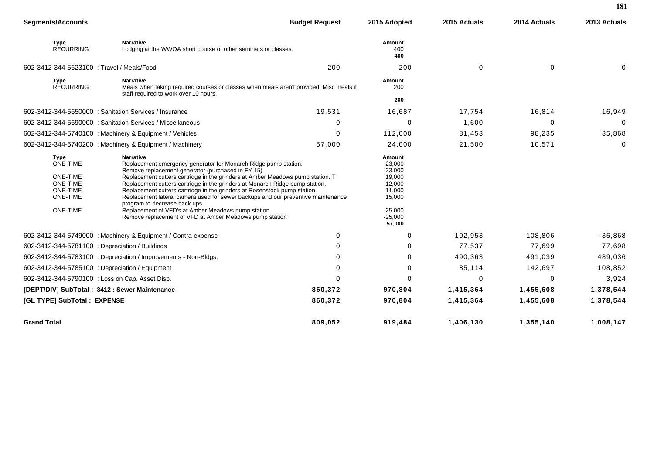| <b>Segments/Accounts</b>                                                                                        |                                                                                                                                                                                                                                                                                                                                                                                                                                                                                                                                                                                                                              | <b>Budget Request</b> | 2015 Adopted                                                                                           | 2015 Actuals | 2014 Actuals | 2013 Actuals |
|-----------------------------------------------------------------------------------------------------------------|------------------------------------------------------------------------------------------------------------------------------------------------------------------------------------------------------------------------------------------------------------------------------------------------------------------------------------------------------------------------------------------------------------------------------------------------------------------------------------------------------------------------------------------------------------------------------------------------------------------------------|-----------------------|--------------------------------------------------------------------------------------------------------|--------------|--------------|--------------|
| <b>Type</b><br><b>RECURRING</b>                                                                                 | <b>Narrative</b><br>Lodging at the WWOA short course or other seminars or classes.                                                                                                                                                                                                                                                                                                                                                                                                                                                                                                                                           |                       | Amount<br>400<br>400                                                                                   |              |              |              |
| 602-3412-344-5623100 : Travel / Meals/Food                                                                      |                                                                                                                                                                                                                                                                                                                                                                                                                                                                                                                                                                                                                              | 200                   | 200                                                                                                    | 0            | $\mathbf 0$  | 0            |
| <b>Type</b><br><b>RECURRING</b>                                                                                 | <b>Narrative</b><br>Meals when taking required courses or classes when meals aren't provided. Misc meals if<br>staff required to work over 10 hours.                                                                                                                                                                                                                                                                                                                                                                                                                                                                         |                       | Amount<br>200                                                                                          |              |              |              |
|                                                                                                                 |                                                                                                                                                                                                                                                                                                                                                                                                                                                                                                                                                                                                                              |                       | 200                                                                                                    |              |              |              |
|                                                                                                                 | 602-3412-344-5650000 : Sanitation Services / Insurance                                                                                                                                                                                                                                                                                                                                                                                                                                                                                                                                                                       | 19,531                | 16,687                                                                                                 | 17,754       | 16,814       | 16,949       |
|                                                                                                                 | 602-3412-344-5690000 : Sanitation Services / Miscellaneous                                                                                                                                                                                                                                                                                                                                                                                                                                                                                                                                                                   | 0                     | $\Omega$                                                                                               | 1,600        | $\Omega$     | $\Omega$     |
|                                                                                                                 | 602-3412-344-5740100 : Machinery & Equipment / Vehicles                                                                                                                                                                                                                                                                                                                                                                                                                                                                                                                                                                      | 0                     | 112,000                                                                                                | 81,453       | 98,235       | 35,868       |
|                                                                                                                 | 602-3412-344-5740200 : Machinery & Equipment / Machinery                                                                                                                                                                                                                                                                                                                                                                                                                                                                                                                                                                     | 57,000                | 24,000                                                                                                 | 21,500       | 10,571       | 0            |
| <b>Type</b><br><b>ONE-TIME</b><br><b>ONE-TIME</b><br><b>ONE-TIME</b><br><b>ONE-TIME</b><br>ONE-TIME<br>ONE-TIME | <b>Narrative</b><br>Replacement emergency generator for Monarch Ridge pump station.<br>Remove replacement generator (purchased in FY 15)<br>Replacement cutters cartridge in the grinders at Amber Meadows pump station. T<br>Replacement cutters cartridge in the grinders at Monarch Ridge pump station.<br>Replacement cutters cartridge in the grinders at Rosenstock pump station.<br>Replacement lateral camera used for sewer backups and our preventive maintenance<br>program to decrease back ups<br>Replacement of VFD's at Amber Meadows pump station<br>Remove replacement of VFD at Amber Meadows pump station |                       | Amount<br>23,000<br>$-23,000$<br>19.000<br>12,000<br>11,000<br>15,000<br>25,000<br>$-25,000$<br>57,000 |              |              |              |
|                                                                                                                 | 602-3412-344-5749000: Machinery & Equipment / Contra-expense                                                                                                                                                                                                                                                                                                                                                                                                                                                                                                                                                                 | 0                     | $\Omega$                                                                                               | $-102,953$   | $-108,806$   | $-35,868$    |
| 602-3412-344-5781100 : Depreciation / Buildings                                                                 |                                                                                                                                                                                                                                                                                                                                                                                                                                                                                                                                                                                                                              | 0                     | 0                                                                                                      | 77,537       | 77,699       | 77,698       |
|                                                                                                                 | 602-3412-344-5783100 : Depreciation / Improvements - Non-Bldgs.                                                                                                                                                                                                                                                                                                                                                                                                                                                                                                                                                              | 0                     | 0                                                                                                      | 490,363      | 491,039      | 489,036      |
|                                                                                                                 | 602-3412-344-5785100 : Depreciation / Equipment                                                                                                                                                                                                                                                                                                                                                                                                                                                                                                                                                                              | $\Omega$              | $\Omega$                                                                                               | 85,114       | 142,697      | 108,852      |
|                                                                                                                 | 602-3412-344-5790100 : Loss on Cap. Asset Disp.                                                                                                                                                                                                                                                                                                                                                                                                                                                                                                                                                                              | 0                     | $\Omega$                                                                                               | 0            | 0            | 3,924        |
|                                                                                                                 | [DEPT/DIV] SubTotal: 3412: Sewer Maintenance                                                                                                                                                                                                                                                                                                                                                                                                                                                                                                                                                                                 | 860,372               | 970,804                                                                                                | 1,415,364    | 1,455,608    | 1,378,544    |
| [GL TYPE] SubTotal: EXPENSE                                                                                     |                                                                                                                                                                                                                                                                                                                                                                                                                                                                                                                                                                                                                              | 860,372               | 970,804                                                                                                | 1,415,364    | 1,455,608    | 1,378,544    |
| <b>Grand Total</b>                                                                                              |                                                                                                                                                                                                                                                                                                                                                                                                                                                                                                                                                                                                                              | 809,052               | 919,484                                                                                                | 1,406,130    | 1,355,140    | 1,008,147    |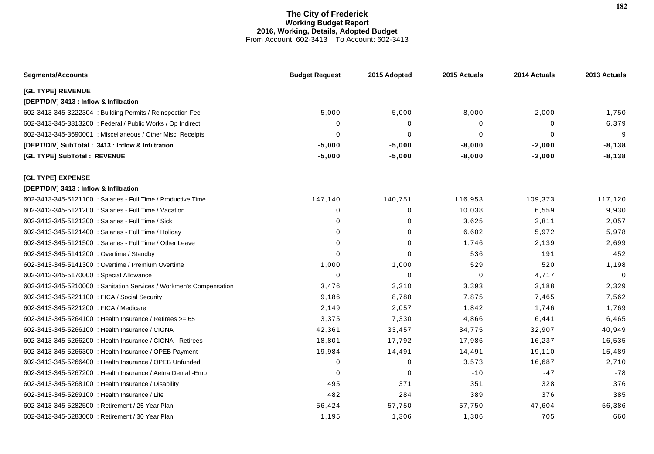# **The City of Frederick Working Budget Report 2016, Working, Details, Adopted Budget** From Account: 602-3413 To Account: 602-3413

| <b>Segments/Accounts</b>                                           | <b>Budget Request</b> | 2015 Adopted | 2015 Actuals | 2014 Actuals | 2013 Actuals |
|--------------------------------------------------------------------|-----------------------|--------------|--------------|--------------|--------------|
| [GL TYPE] REVENUE                                                  |                       |              |              |              |              |
| [DEPT/DIV] 3413 : Inflow & Infiltration                            |                       |              |              |              |              |
| 602-3413-345-3222304 : Building Permits / Reinspection Fee         | 5,000                 | 5,000        | 8,000        | 2,000        | 1,750        |
| 602-3413-345-3313200 : Federal / Public Works / Op Indirect        | 0                     | 0            | $\Omega$     | 0            | 6,379        |
| 602-3413-345-3690001 : Miscellaneous / Other Misc. Receipts        | $\Omega$              | $\Omega$     | $\Omega$     | $\Omega$     | 9            |
| [DEPT/DIV] SubTotal: 3413: Inflow & Infiltration                   | $-5,000$              | $-5,000$     | $-8,000$     | $-2,000$     | $-8,138$     |
| [GL TYPE] SubTotal: REVENUE                                        | $-5,000$              | $-5,000$     | $-8,000$     | $-2,000$     | $-8,138$     |
| [GL TYPE] EXPENSE                                                  |                       |              |              |              |              |
| [DEPT/DIV] 3413 : Inflow & Infiltration                            |                       |              |              |              |              |
| 602-3413-345-5121100 : Salaries - Full Time / Productive Time      | 147,140               | 140,751      | 116,953      | 109,373      | 117,120      |
| 602-3413-345-5121200 : Salaries - Full Time / Vacation             | 0                     | 0            | 10,038       | 6,559        | 9,930        |
| 602-3413-345-5121300 : Salaries - Full Time / Sick                 | 0                     | 0            | 3,625        | 2,811        | 2,057        |
| 602-3413-345-5121400 : Salaries - Full Time / Holiday              | 0                     | 0            | 6,602        | 5,972        | 5,978        |
| 602-3413-345-5121500 : Salaries - Full Time / Other Leave          | 0                     | 0            | 1,746        | 2,139        | 2,699        |
| 602-3413-345-5141200 : Overtime / Standby                          | $\Omega$              | 0            | 536          | 191          | 452          |
| 602-3413-345-5141300 : Overtime / Premium Overtime                 | 1,000                 | 1,000        | 529          | 520          | 1,198        |
| 602-3413-345-5170000 : Special Allowance                           | 0                     | 0            | 0            | 4,717        | $\mathbf 0$  |
| 602-3413-345-5210000: Sanitation Services / Workmen's Compensation | 3,476                 | 3,310        | 3,393        | 3,188        | 2,329        |
| 602-3413-345-5221100 : FICA / Social Security                      | 9,186                 | 8,788        | 7,875        | 7,465        | 7,562        |
| 602-3413-345-5221200 : FICA / Medicare                             | 2,149                 | 2,057        | 1,842        | 1,746        | 1,769        |
| 602-3413-345-5264100 : Health Insurance / Retirees >= 65           | 3,375                 | 7,330        | 4,866        | 6,441        | 6,465        |
| 602-3413-345-5266100 : Health Insurance / CIGNA                    | 42,361                | 33,457       | 34,775       | 32,907       | 40,949       |
| 602-3413-345-5266200 : Health Insurance / CIGNA - Retirees         | 18,801                | 17,792       | 17,986       | 16,237       | 16,535       |
| 602-3413-345-5266300 : Health Insurance / OPEB Payment             | 19,984                | 14,491       | 14,491       | 19,110       | 15,489       |
| 602-3413-345-5266400 : Health Insurance / OPEB Unfunded            | 0                     | $\Omega$     | 3,573        | 16,687       | 2,710        |
| 602-3413-345-5267200 : Health Insurance / Aetna Dental - Emp       | 0                     | $\Omega$     | $-10$        | $-47$        | $-78$        |
| 602-3413-345-5268100 : Health Insurance / Disability               | 495                   | 371          | 351          | 328          | 376          |
| 602-3413-345-5269100 : Health Insurance / Life                     | 482                   | 284          | 389          | 376          | 385          |
| 602-3413-345-5282500 : Retirement / 25 Year Plan                   | 56,424                | 57,750       | 57,750       | 47,604       | 56,386       |
| 602-3413-345-5283000 : Retirement / 30 Year Plan                   | 1,195                 | 1,306        | 1,306        | 705          | 660          |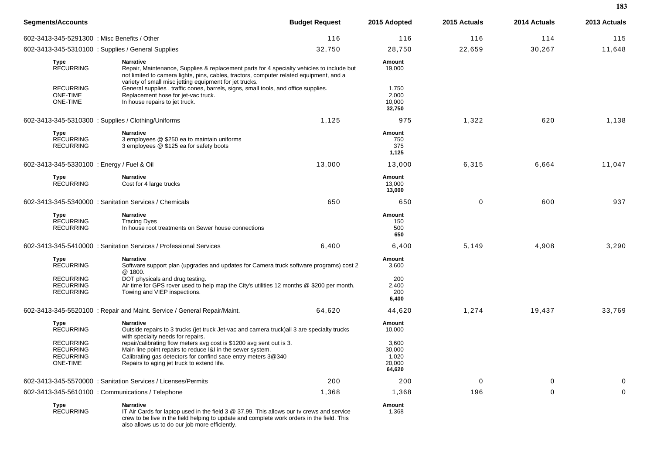| <b>Segments/Accounts</b>                                      |  |                                                                                                                                                                                                                                                   | <b>Budget Request</b> | 2015 Adopted                                 | 2015 Actuals | 2014 Actuals | 2013 Actuals |
|---------------------------------------------------------------|--|---------------------------------------------------------------------------------------------------------------------------------------------------------------------------------------------------------------------------------------------------|-----------------------|----------------------------------------------|--------------|--------------|--------------|
| 602-3413-345-5291300 : Misc Benefits / Other                  |  |                                                                                                                                                                                                                                                   | 116                   | 116                                          | 116          | 114          | 115          |
|                                                               |  | 602-3413-345-5310100 : Supplies / General Supplies                                                                                                                                                                                                | 32,750                | 28,750                                       | 22,659       | 30,267       | 11,648       |
| Type<br><b>RECURRING</b>                                      |  | <b>Narrative</b><br>Repair, Maintenance, Supplies & replacement parts for 4 specialty vehicles to include but<br>not limited to camera lights, pins, cables, tractors, computer related equipment, and a                                          | Amount<br>19,000      |                                              |              |              |              |
| <b>RECURRING</b><br><b>ONE-TIME</b><br><b>ONE-TIME</b>        |  | variety of small misc jetting equipment for jet trucks.<br>General supplies, traffic cones, barrels, signs, small tools, and office supplies.<br>Replacement hose for jet-vac truck.<br>In house repairs to jet truck.                            |                       | 1,750<br>2,000<br>10,000<br>32,750           |              |              |              |
|                                                               |  | 602-3413-345-5310300 : Supplies / Clothing/Uniforms                                                                                                                                                                                               | 1,125                 | 975                                          | 1,322        | 620          | 1,138        |
| Type<br><b>RECURRING</b><br><b>RECURRING</b>                  |  | <b>Narrative</b><br>3 employees @ \$250 ea to maintain uniforms<br>3 employees @ \$125 ea for safety boots                                                                                                                                        |                       | Amount<br>750<br>375<br>1,125                |              |              |              |
| 602-3413-345-5330100 : Energy / Fuel & Oil                    |  |                                                                                                                                                                                                                                                   | 13,000                | 13,000                                       | 6,315        | 6,664        | 11,047       |
| <b>Type</b><br><b>RECURRING</b>                               |  | <b>Narrative</b><br>Cost for 4 large trucks                                                                                                                                                                                                       |                       | Amount<br>13,000<br>13,000                   |              |              |              |
| 602-3413-345-5340000 : Sanitation Services / Chemicals        |  | 650                                                                                                                                                                                                                                               | 650                   | 0                                            | 600          | 937          |              |
| Type<br><b>RECURRING</b><br><b>RECURRING</b>                  |  | <b>Narrative</b><br><b>Tracing Dyes</b><br>In house root treatments on Sewer house connections                                                                                                                                                    |                       | Amount<br>150<br>500<br>650                  |              |              |              |
|                                                               |  | 602-3413-345-5410000: Sanitation Services / Professional Services                                                                                                                                                                                 | 6,400                 | 6,400                                        | 5,149        | 4,908        | 3,290        |
| Type<br><b>RECURRING</b>                                      |  | <b>Narrative</b><br>Software support plan (upgrades and updates for Camera truck software programs) cost 2<br>@ 1800.                                                                                                                             |                       | Amount<br>3,600                              |              |              |              |
| <b>RECURRING</b><br><b>RECURRING</b><br><b>RECURRING</b>      |  | DOT physicals and drug testing.<br>Air time for GPS rover used to help map the City's utilities 12 months @ \$200 per month.<br>Towing and VIEP inspections.                                                                                      |                       | 200<br>2,400<br>200<br>6,400                 |              |              |              |
|                                                               |  | 602-3413-345-5520100 : Repair and Maint. Service / General Repair/Maint.                                                                                                                                                                          | 64,620                | 44,620                                       | 1,274        | 19,437       | 33,769       |
| Type<br><b>RECURRING</b>                                      |  | <b>Narrative</b><br>Outside repairs to 3 trucks (jet truck Jet-vac and camera truck) all 3 are specialty trucks<br>with specialty needs for repairs.                                                                                              |                       | Amount<br>10,000                             |              |              |              |
| <b>RECURRING</b><br>RECURRING<br><b>RECURRING</b><br>ONE-TIME |  | repair/calibrating flow meters avg cost is \$1200 avg sent out is 3.<br>Main line point repairs to reduce I&I in the sewer system.<br>Calibrating gas detectors for confind sace entry meters 3@340<br>Repairs to aging jet truck to extend life. |                       | 3,600<br>30,000<br>1,020<br>20,000<br>64,620 |              |              |              |
|                                                               |  | 602-3413-345-5570000 : Sanitation Services / Licenses/Permits                                                                                                                                                                                     | 200                   | 200                                          | 0            | 0            | 0            |
|                                                               |  | 602-3413-345-5610100 : Communications / Telephone                                                                                                                                                                                                 | 1,368                 | 1,368                                        | 196          | $\mathbf 0$  | $\mathbf{0}$ |
| Type<br><b>RECURRING</b>                                      |  | <b>Narrative</b><br>IT Air Cards for laptop used in the field 3 @ 37.99. This allows our tv crews and service                                                                                                                                     |                       | Amount<br>1,368                              |              |              |              |

**183**

crew to be live in the field helping to update and complete work orders in the field. This

also allows us to do our job more efficiently.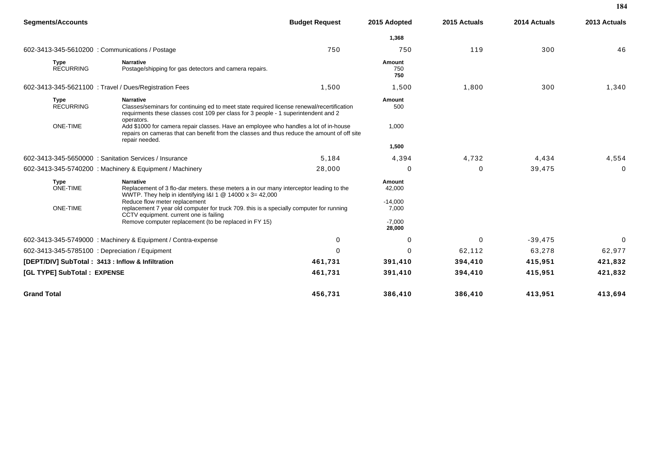| <b>Segments/Accounts</b>                                 |                                                                                                                                                                                                                   | <b>Budget Request</b> | 2015 Adopted         | 2015 Actuals | 2014 Actuals | 2013 Actuals |
|----------------------------------------------------------|-------------------------------------------------------------------------------------------------------------------------------------------------------------------------------------------------------------------|-----------------------|----------------------|--------------|--------------|--------------|
|                                                          |                                                                                                                                                                                                                   |                       | 1,368                |              |              |              |
| 602-3413-345-5610200 : Communications / Postage          |                                                                                                                                                                                                                   | 750                   | 750                  | 119          | 300          | 46           |
| Type<br><b>RECURRING</b>                                 | <b>Narrative</b><br>Postage/shipping for gas detectors and camera repairs.                                                                                                                                        |                       | Amount<br>750<br>750 |              |              |              |
| 602-3413-345-5621100 : Travel / Dues/Registration Fees   |                                                                                                                                                                                                                   | 1,500                 | 1,500                | 1,800        | 300          | 1,340        |
| Type<br><b>RECURRING</b>                                 | <b>Narrative</b><br>Classes/seminars for continuing ed to meet state required license renewal/recertification<br>requirments these classes cost 109 per class for 3 people - 1 superintendent and 2<br>operators. |                       | Amount<br>500        |              |              |              |
| <b>ONE-TIME</b>                                          | Add \$1000 for camera repair classes. Have an employee who handles a lot of in-house<br>repairs on cameras that can benefit from the classes and thus reduce the amount of off site<br>repair needed.             |                       | 1,000                |              |              |              |
|                                                          |                                                                                                                                                                                                                   |                       | 1,500                |              |              |              |
| 602-3413-345-5650000 : Sanitation Services / Insurance   |                                                                                                                                                                                                                   | 5,184                 | 4,394                | 4.732        | 4,434        | 4,554        |
| 602-3413-345-5740200 : Machinery & Equipment / Machinery |                                                                                                                                                                                                                   | 28,000                | $\Omega$             | 0            | 39,475       | 0            |
| <b>Type</b><br>ONE-TIME                                  | <b>Narrative</b><br>Replacement of 3 flo-dar meters, these meters a in our many interceptor leading to the<br>WWTP. They help in identifying $1811 \t{0}$ 14000 x 3= 42,000                                       |                       | Amount<br>42,000     |              |              |              |
| <b>ONE-TIME</b>                                          | Reduce flow meter replacement<br>replacement 7 year old computer for truck 709. this is a specially computer for running<br>CCTV equipment. current one is failing                                                |                       | $-14,000$<br>7,000   |              |              |              |
|                                                          | Remove computer replacement (to be replaced in FY 15)                                                                                                                                                             |                       | $-7,000$<br>28,000   |              |              |              |
|                                                          | 602-3413-345-5749000 : Machinery & Equipment / Contra-expense                                                                                                                                                     | $\Omega$              | $\Omega$             | 0            | $-39,475$    | $\Omega$     |
| 602-3413-345-5785100 : Depreciation / Equipment          |                                                                                                                                                                                                                   | $\Omega$              | $\Omega$             | 62,112       | 63,278       | 62,977       |
| [DEPT/DIV] SubTotal: 3413: Inflow & Infiltration         |                                                                                                                                                                                                                   | 461,731               | 391,410              | 394,410      | 415,951      | 421,832      |
| [GL TYPE] SubTotal: EXPENSE                              |                                                                                                                                                                                                                   | 461,731               | 391,410              | 394,410      | 415,951      | 421,832      |
| <b>Grand Total</b>                                       |                                                                                                                                                                                                                   | 456,731               | 386,410              | 386,410      | 413,951      | 413,694      |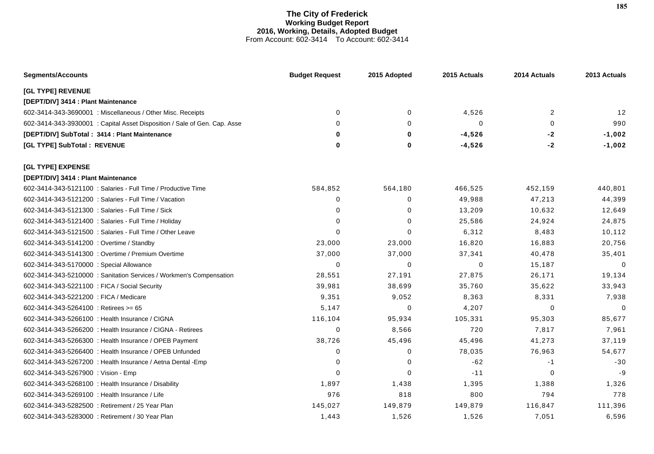# **The City of Frederick Working Budget Report 2016, Working, Details, Adopted Budget** From Account: 602-3414 To Account: 602-3414

| <b>Segments/Accounts</b>                                                 | <b>Budget Request</b> | 2015 Adopted | 2015 Actuals | 2014 Actuals | 2013 Actuals |
|--------------------------------------------------------------------------|-----------------------|--------------|--------------|--------------|--------------|
| [GL TYPE] REVENUE                                                        |                       |              |              |              |              |
| [DEPT/DIV] 3414 : Plant Maintenance                                      |                       |              |              |              |              |
| 602-3414-343-3690001 : Miscellaneous / Other Misc. Receipts              | $\Omega$              | $\Omega$     | 4,526        | 2            | 12           |
| 602-3414-343-3930001: Capital Asset Disposition / Sale of Gen. Cap. Asse | 0                     | 0            | $\Omega$     | $\mathbf 0$  | 990          |
| [DEPT/DIV] SubTotal: 3414 : Plant Maintenance                            | 0                     | 0            | $-4,526$     | -2           | $-1,002$     |
| [GL TYPE] SubTotal: REVENUE                                              | O                     | 0            | $-4,526$     | $-2$         | $-1,002$     |
| [GL TYPE] EXPENSE                                                        |                       |              |              |              |              |
| [DEPT/DIV] 3414 : Plant Maintenance                                      |                       |              |              |              |              |
| 602-3414-343-5121100 : Salaries - Full Time / Productive Time            | 584,852               | 564,180      | 466,525      | 452,159      | 440,801      |
| 602-3414-343-5121200 : Salaries - Full Time / Vacation                   | 0                     | 0            | 49,988       | 47,213       | 44,399       |
| 602-3414-343-5121300 : Salaries - Full Time / Sick                       | 0                     | 0            | 13,209       | 10,632       | 12,649       |
| 602-3414-343-5121400 : Salaries - Full Time / Holiday                    | $\Omega$              | $\Omega$     | 25,586       | 24,924       | 24,875       |
| 602-3414-343-5121500 : Salaries - Full Time / Other Leave                | $\Omega$              | $\Omega$     | 6,312        | 8,483        | 10,112       |
| 602-3414-343-5141200 : Overtime / Standby                                | 23,000                | 23,000       | 16,820       | 16,883       | 20,756       |
| 602-3414-343-5141300 : Overtime / Premium Overtime                       | 37,000                | 37,000       | 37,341       | 40,478       | 35,401       |
| 602-3414-343-5170000 : Special Allowance                                 | $\mathbf 0$           | $\Omega$     | $\Omega$     | 15,187       | $\mathbf 0$  |
| 602-3414-343-5210000 : Sanitation Services / Workmen's Compensation      | 28,551                | 27,191       | 27,875       | 26,171       | 19,134       |
| 602-3414-343-5221100 : FICA / Social Security                            | 39,981                | 38,699       | 35,760       | 35,622       | 33,943       |
| 602-3414-343-5221200 : FICA / Medicare                                   | 9,351                 | 9,052        | 8,363        | 8,331        | 7,938        |
| 602-3414-343-5264100 : Retirees >= 65                                    | 5,147                 | $\Omega$     | 4,207        | $\mathbf 0$  | $\Omega$     |
| 602-3414-343-5266100 : Health Insurance / CIGNA                          | 116,104               | 95,934       | 105,331      | 95,303       | 85,677       |
| 602-3414-343-5266200 : Health Insurance / CIGNA - Retirees               | 0                     | 8,566        | 720          | 7,817        | 7,961        |
| 602-3414-343-5266300 : Health Insurance / OPEB Payment                   | 38,726                | 45,496       | 45,496       | 41,273       | 37,119       |
| 602-3414-343-5266400 : Health Insurance / OPEB Unfunded                  | 0                     | 0            | 78,035       | 76,963       | 54,677       |
| 602-3414-343-5267200 : Health Insurance / Aetna Dental - Emp             | 0                     | 0            | $-62$        | -1           | $-30$        |
| 602-3414-343-5267900 : Vision - Emp                                      | $\Omega$              | 0            | $-11$        | $\Omega$     | -9           |
| 602-3414-343-5268100 : Health Insurance / Disability                     | 1,897                 | 1,438        | 1,395        | 1,388        | 1,326        |
| 602-3414-343-5269100 : Health Insurance / Life                           | 976                   | 818          | 800          | 794          | 778          |
| 602-3414-343-5282500 : Retirement / 25 Year Plan                         | 145,027               | 149,879      | 149,879      | 116,847      | 111,396      |
| 602-3414-343-5283000 : Retirement / 30 Year Plan                         | 1,443                 | 1,526        | 1,526        | 7,051        | 6,596        |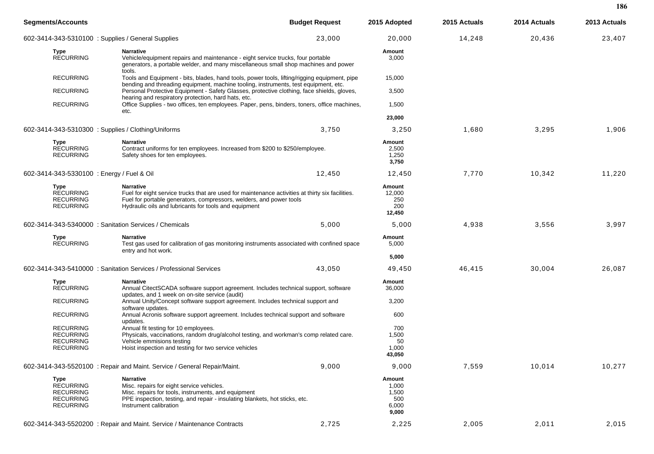| <b>Segments/Accounts</b>                                                             |                                                                                                                                                                                                                                                      | <b>Budget Request</b> | 2015 Adopted                                      | 2015 Actuals | 2014 Actuals | 2013 Actuals |
|--------------------------------------------------------------------------------------|------------------------------------------------------------------------------------------------------------------------------------------------------------------------------------------------------------------------------------------------------|-----------------------|---------------------------------------------------|--------------|--------------|--------------|
|                                                                                      | 602-3414-343-5310100 : Supplies / General Supplies                                                                                                                                                                                                   | 23,000                | 20,000                                            | 14,248       | 20,436       | 23,407       |
| Type<br><b>RECURRING</b>                                                             | <b>Narrative</b><br>Vehicle/equipment repairs and maintenance - eight service trucks, four portable<br>generators, a portable welder, and many miscellaneous small shop machines and power<br>tools.                                                 |                       | Amount<br>3,000                                   |              |              |              |
| <b>RECURRING</b>                                                                     | Tools and Equipment - bits, blades, hand tools, power tools, lifting/rigging equipment, pipe<br>bending and threading equipment, machine tooling, instruments, test equipment, etc.                                                                  |                       | 15,000                                            |              |              |              |
| <b>RECURRING</b>                                                                     | Personal Protective Equipment - Safety Glasses, protective clothing, face shields, gloves,<br>hearing and respiratory protection, hard hats, etc.                                                                                                    |                       | 3,500                                             |              |              |              |
| <b>RECURRING</b>                                                                     | Office Supplies - two offices, ten employees. Paper, pens, binders, toners, office machines,<br>etc.                                                                                                                                                 |                       | 1,500                                             |              |              |              |
|                                                                                      |                                                                                                                                                                                                                                                      |                       | 23,000                                            |              |              |              |
|                                                                                      | 602-3414-343-5310300: Supplies / Clothing/Uniforms                                                                                                                                                                                                   | 3,750                 | 3,250                                             | 1,680        | 3,295        | 1,906        |
| Type<br><b>RECURRING</b><br><b>RECURRING</b>                                         | <b>Narrative</b><br>Contract uniforms for ten employees. Increased from \$200 to \$250/employee.<br>Safety shoes for ten employees.                                                                                                                  |                       | Amount<br>2,500<br>1,250<br>3,750                 |              |              |              |
| 602-3414-343-5330100 : Energy / Fuel & Oil                                           |                                                                                                                                                                                                                                                      | 12,450                | 12,450                                            | 7,770        | 10,342       | 11,220       |
| Type<br><b>RECURRING</b><br><b>RECURRING</b><br><b>RECURRING</b>                     | <b>Narrative</b><br>Fuel for eight service trucks that are used for maintenance activities at thirty six facilities.<br>Fuel for portable generators, compressors, welders, and power tools<br>Hydraulic oils and lubricants for tools and equipment |                       | Amount<br>12,000<br>250<br>200<br>12,450          |              |              |              |
|                                                                                      | 602-3414-343-5340000 : Sanitation Services / Chemicals                                                                                                                                                                                               | 5,000                 | 5,000                                             | 4,938        | 3,556        | 3,997        |
| Type<br><b>RECURRING</b>                                                             | <b>Narrative</b><br>Test gas used for calibration of gas monitoring instruments associated with confined space<br>entry and hot work.                                                                                                                |                       | Amount<br>5,000<br>5,000                          |              |              |              |
|                                                                                      | 602-3414-343-5410000: Sanitation Services / Professional Services                                                                                                                                                                                    | 43,050                | 49,450                                            | 46,415       | 30,004       | 26,087       |
| Type<br><b>RECURRING</b>                                                             | <b>Narrative</b><br>Annual CitectSCADA software support agreement. Includes technical support, software                                                                                                                                              |                       | Amount<br>36,000                                  |              |              |              |
| <b>RECURRING</b>                                                                     | updates, and 1 week on on-site service (audit)<br>Annual Unity/Concept software support agreement. Includes technical support and<br>software updates.                                                                                               |                       | 3,200                                             |              |              |              |
| <b>RECURRING</b>                                                                     | Annual Acronis software support agreement. Includes technical support and software<br>updates.                                                                                                                                                       |                       | 600                                               |              |              |              |
| <b>RECURRING</b><br><b>RECURRING</b><br><b>RECURRING</b><br><b>RECURRING</b>         | Annual fit testing for 10 employees.<br>Physicals, vaccinations, random drug/alcohol testing, and workman's comp related care.<br>Vehicle emmisions testing<br>Hoist inspection and testing for two service vehicles                                 |                       | 700<br>1,500<br>50<br>1,000<br>43,050             |              |              |              |
|                                                                                      | 602-3414-343-5520100 : Repair and Maint. Service / General Repair/Maint.                                                                                                                                                                             | 9,000                 | 9,000                                             | 7,559        | 10,014       | 10,277       |
| Type<br><b>RECURRING</b><br><b>RECURRING</b><br><b>RECURRING</b><br><b>RECURRING</b> | <b>Narrative</b><br>Misc. repairs for eight service vehicles.<br>Misc. repairs for tools, instruments, and equipment<br>PPE inspection, testing, and repair - insulating blankets, hot sticks, etc.<br>Instrument calibration                        |                       | Amount<br>1,000<br>1,500<br>500<br>6,000<br>9,000 |              |              |              |
|                                                                                      | 602-3414-343-5520200 : Repair and Maint. Service / Maintenance Contracts                                                                                                                                                                             | 2,725                 | 2,225                                             | 2,005        | 2,011        | 2,015        |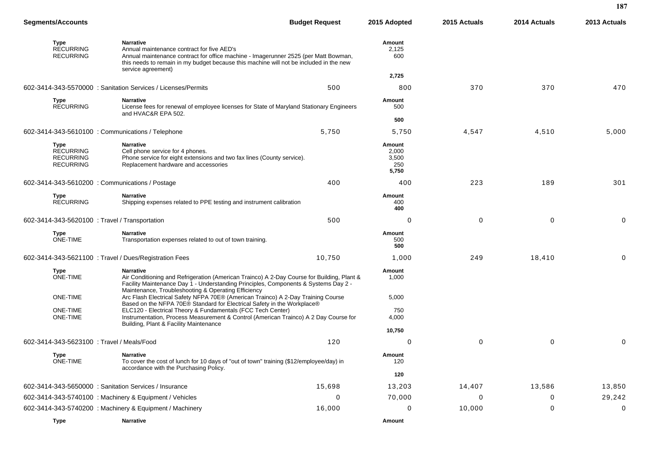| <b>Segments/Accounts</b>                                         |                                                                                                                                                                                                                                                              | <b>Budget Request</b> | 2015 Adopted                             | 2015 Actuals | 2014 Actuals | 2013 Actuals |
|------------------------------------------------------------------|--------------------------------------------------------------------------------------------------------------------------------------------------------------------------------------------------------------------------------------------------------------|-----------------------|------------------------------------------|--------------|--------------|--------------|
| Type<br><b>RECURRING</b><br><b>RECURRING</b>                     | Narrative<br>Annual maintenance contract for five AED's<br>Annual maintenance contract for office machine - Imagerunner 2525 (per Matt Bowman,<br>this needs to remain in my budget because this machine will not be included in the new                     |                       | Amount<br>2,125<br>600                   |              |              |              |
|                                                                  | service agreement)                                                                                                                                                                                                                                           |                       | 2,725                                    |              |              |              |
|                                                                  | 602-3414-343-5570000 : Sanitation Services / Licenses/Permits                                                                                                                                                                                                | 500                   | 800                                      | 370          | 370          | 470          |
| Type<br><b>RECURRING</b>                                         | <b>Narrative</b><br>License fees for renewal of employee licenses for State of Maryland Stationary Engineers<br>and HVAC&R EPA 502.                                                                                                                          |                       | Amount<br>500                            |              |              |              |
|                                                                  |                                                                                                                                                                                                                                                              |                       | 500                                      |              |              |              |
| 602-3414-343-5610100 : Communications / Telephone                |                                                                                                                                                                                                                                                              | 5,750                 | 5,750                                    | 4,547        | 4,510        | 5,000        |
| Type<br><b>RECURRING</b><br><b>RECURRING</b><br><b>RECURRING</b> | <b>Narrative</b><br>Cell phone service for 4 phones.<br>Phone service for eight extensions and two fax lines (County service).<br>Replacement hardware and accessories                                                                                       |                       | Amount<br>2,000<br>3,500<br>250<br>5,750 |              |              |              |
| 602-3414-343-5610200 : Communications / Postage                  |                                                                                                                                                                                                                                                              | 400                   | 400                                      | 223          | 189          | 301          |
| Type<br><b>RECURRING</b>                                         | <b>Narrative</b><br>Shipping expenses related to PPE testing and instrument calibration                                                                                                                                                                      |                       | Amount<br>400<br>400                     |              |              |              |
| 602-3414-343-5620100 : Travel / Transportation                   |                                                                                                                                                                                                                                                              | 500                   | 0                                        | 0            | $\mathbf 0$  | 0            |
| Type<br>ONE-TIME                                                 | Narrative<br>Transportation expenses related to out of town training.                                                                                                                                                                                        |                       | Amount<br>500<br>500                     |              |              |              |
| 602-3414-343-5621100 : Travel / Dues/Registration Fees           |                                                                                                                                                                                                                                                              | 10,750                | 1,000                                    | 249          | 18,410       | 0            |
| Type<br><b>ONE-TIME</b>                                          | <b>Narrative</b><br>Air Conditioning and Refrigeration (American Trainco) A 2-Day Course for Building, Plant &<br>Facility Maintenance Day 1 - Understanding Principles, Components & Systems Day 2 -<br>Maintenance, Troubleshooting & Operating Efficiency |                       | Amount<br>1,000                          |              |              |              |
| <b>ONE-TIME</b>                                                  | Arc Flash Electrical Safety NFPA 70E® (American Trainco) A 2-Day Training Course<br>Based on the NFPA 70E® Standard for Electrical Safety in the Workplace®                                                                                                  |                       | 5,000                                    |              |              |              |
| <b>ONE-TIME</b><br><b>ONE-TIME</b>                               | ELC120 - Electrical Theory & Fundamentals (FCC Tech Center)<br>Instrumentation, Process Measurement & Control (American Trainco) A 2 Day Course for<br>Building, Plant & Facility Maintenance                                                                |                       | 750<br>4,000                             |              |              |              |
|                                                                  |                                                                                                                                                                                                                                                              |                       | 10,750                                   |              |              |              |
| 602-3414-343-5623100 : Travel / Meals/Food                       |                                                                                                                                                                                                                                                              | 120                   | 0                                        | 0            | 0            | 0            |
| <b>Type</b><br><b>ONE-TIME</b>                                   | <b>Narrative</b><br>To cover the cost of lunch for 10 days of "out of town" training (\$12/employee/day) in<br>accordance with the Purchasing Policy.                                                                                                        |                       | Amount<br>120                            |              |              |              |
|                                                                  |                                                                                                                                                                                                                                                              |                       | 120                                      |              |              |              |
| 602-3414-343-5650000 : Sanitation Services / Insurance           |                                                                                                                                                                                                                                                              | 15,698                | 13,203                                   | 14,407       | 13,586       | 13,850       |
|                                                                  | 602-3414-343-5740100 : Machinery & Equipment / Vehicles                                                                                                                                                                                                      | 0                     | 70,000                                   | 0            | 0            | 29,242       |
|                                                                  | 602-3414-343-5740200 : Machinery & Equipment / Machinery                                                                                                                                                                                                     | 16,000                | 0                                        | 10,000       | 0            | 0            |
| Type                                                             | Narrative                                                                                                                                                                                                                                                    |                       | Amount                                   |              |              |              |

**187**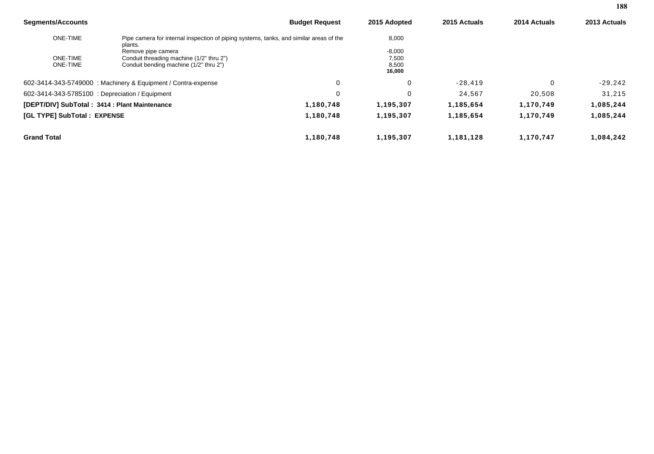| <b>Segments/Accounts</b>                        |                                                                                                          | <b>Budget Request</b> | 2015 Adopted                         | 2015 Actuals | 2014 Actuals | 2013 Actuals |
|-------------------------------------------------|----------------------------------------------------------------------------------------------------------|-----------------------|--------------------------------------|--------------|--------------|--------------|
| <b>ONE-TIME</b>                                 | Pipe camera for internal inspection of piping systems, tanks, and similar areas of the<br>plants.        |                       | 8,000                                |              |              |              |
| <b>ONE-TIME</b><br><b>ONE-TIME</b>              | Remove pipe camera<br>Conduit threading machine (1/2" thru 2")<br>Conduit bending machine (1/2" thru 2") |                       | $-8,000$<br>7,500<br>8,500<br>16,000 |              |              |              |
|                                                 | 602-3414-343-5749000 : Machinery & Equipment / Contra-expense                                            |                       | $\Omega$                             | $-28,419$    | 0            | $-29,242$    |
| 602-3414-343-5785100 : Depreciation / Equipment |                                                                                                          |                       | 0                                    | 24,567       | 20,508       | 31,215       |
| [DEPT/DIV] SubTotal: 3414 : Plant Maintenance   |                                                                                                          | 1,180,748             | 1,195,307                            | 1,185,654    | 1,170,749    | 1,085,244    |
| [GL TYPE] SubTotal: EXPENSE                     |                                                                                                          | 1,180,748             | 1,195,307                            | 1,185,654    | 1,170,749    | 1,085,244    |
| <b>Grand Total</b>                              |                                                                                                          | 1.180.748             | 1.195.307                            | 1.181.128    | 1.170.747    | 1.084.242    |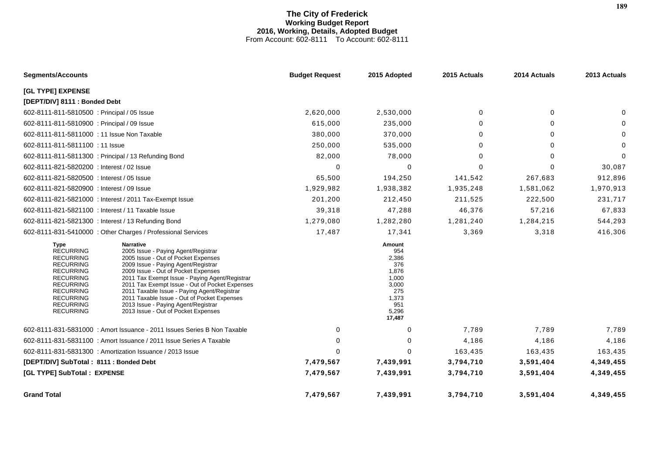# **The City of Frederick Working Budget Report 2016, Working, Details, Adopted Budget** From Account: 602-8111 To Account: 602-8111

| <b>Segments/Accounts</b>                                                                                                                                                                                     |                                                                                                                                                                                                                                                                                                                                                                                                                                                              | <b>Budget Request</b> | 2015 Adopted                                                                                       | 2015 Actuals | 2014 Actuals | 2013 Actuals |
|--------------------------------------------------------------------------------------------------------------------------------------------------------------------------------------------------------------|--------------------------------------------------------------------------------------------------------------------------------------------------------------------------------------------------------------------------------------------------------------------------------------------------------------------------------------------------------------------------------------------------------------------------------------------------------------|-----------------------|----------------------------------------------------------------------------------------------------|--------------|--------------|--------------|
| [GL TYPE] EXPENSE                                                                                                                                                                                            |                                                                                                                                                                                                                                                                                                                                                                                                                                                              |                       |                                                                                                    |              |              |              |
| [DEPT/DIV] 8111 : Bonded Debt                                                                                                                                                                                |                                                                                                                                                                                                                                                                                                                                                                                                                                                              |                       |                                                                                                    |              |              |              |
| 602-8111-811-5810500 : Principal / 05 Issue                                                                                                                                                                  |                                                                                                                                                                                                                                                                                                                                                                                                                                                              | 2,620,000             | 2,530,000                                                                                          | 0            | 0            | 0            |
| 602-8111-811-5810900 : Principal / 09 Issue                                                                                                                                                                  |                                                                                                                                                                                                                                                                                                                                                                                                                                                              | 615,000               | 235,000                                                                                            | 0            | $\Omega$     | 0            |
| 602-8111-811-5811000 : 11 Issue Non Taxable                                                                                                                                                                  |                                                                                                                                                                                                                                                                                                                                                                                                                                                              | 380,000               | 370,000                                                                                            | $\Omega$     | 0            | 0            |
| 602-8111-811-5811100 : 11 Issue                                                                                                                                                                              |                                                                                                                                                                                                                                                                                                                                                                                                                                                              | 250,000               | 535,000                                                                                            | 0            | 0            | 0            |
|                                                                                                                                                                                                              | 602-8111-811-5811300 : Principal / 13 Refunding Bond                                                                                                                                                                                                                                                                                                                                                                                                         | 82,000                | 78,000                                                                                             | $\Omega$     | $\Omega$     | $\mathbf 0$  |
| 602-8111-821-5820200 : Interest / 02 Issue                                                                                                                                                                   |                                                                                                                                                                                                                                                                                                                                                                                                                                                              | $\Omega$              | 0                                                                                                  | $\Omega$     | $\Omega$     | 30,087       |
| 602-8111-821-5820500 : Interest / 05 Issue                                                                                                                                                                   |                                                                                                                                                                                                                                                                                                                                                                                                                                                              | 65,500                | 194,250                                                                                            | 141,542      | 267,683      | 912,896      |
| 602-8111-821-5820900 : Interest / 09 Issue                                                                                                                                                                   |                                                                                                                                                                                                                                                                                                                                                                                                                                                              | 1,929,982             | 1,938,382                                                                                          | 1,935,248    | 1,581,062    | 1,970,913    |
|                                                                                                                                                                                                              | 602-8111-821-5821000 : Interest / 2011 Tax-Exempt Issue                                                                                                                                                                                                                                                                                                                                                                                                      | 201,200               | 212,450                                                                                            | 211,525      | 222,500      | 231,717      |
|                                                                                                                                                                                                              | 602-8111-821-5821100 : Interest / 11 Taxable Issue                                                                                                                                                                                                                                                                                                                                                                                                           | 39,318                | 47,288                                                                                             | 46,376       | 57,216       | 67,833       |
|                                                                                                                                                                                                              | 602-8111-821-5821300 : Interest / 13 Refunding Bond                                                                                                                                                                                                                                                                                                                                                                                                          | 1,279,080             | 1,282,280                                                                                          | 1,281,240    | 1,284,215    | 544,293      |
|                                                                                                                                                                                                              | 602-8111-831-5410000 : Other Charges / Professional Services                                                                                                                                                                                                                                                                                                                                                                                                 | 17,487                | 17,341                                                                                             | 3,369        | 3,318        | 416,306      |
| Type<br><b>RECURRING</b><br><b>RECURRING</b><br><b>RECURRING</b><br><b>RECURRING</b><br><b>RECURRING</b><br><b>RECURRING</b><br><b>RECURRING</b><br><b>RECURRING</b><br><b>RECURRING</b><br><b>RECURRING</b> | <b>Narrative</b><br>2005 Issue - Paying Agent/Registrar<br>2005 Issue - Out of Pocket Expenses<br>2009 Issue - Paying Agent/Registrar<br>2009 Issue - Out of Pocket Expenses<br>2011 Tax Exempt Issue - Paying Agent/Registrar<br>2011 Tax Exempt Issue - Out of Pocket Expenses<br>2011 Taxable Issue - Paying Agent/Registrar<br>2011 Taxable Issue - Out of Pocket Expenses<br>2013 Issue - Paying Agent/Registrar<br>2013 Issue - Out of Pocket Expenses |                       | Amount<br>954<br>2,386<br>376<br>1,876<br>1,000<br>3,000<br>275<br>1,373<br>951<br>5,296<br>17,487 |              |              |              |
|                                                                                                                                                                                                              | 602-8111-831-5831000 : Amort Issuance - 2011 Issues Series B Non Taxable                                                                                                                                                                                                                                                                                                                                                                                     | $\Omega$              | $\Omega$                                                                                           | 7.789        | 7,789        | 7,789        |
|                                                                                                                                                                                                              | 602-8111-831-5831100 : Amort Issuance / 2011 Issue Series A Taxable                                                                                                                                                                                                                                                                                                                                                                                          | $\Omega$              | $\Omega$                                                                                           | 4,186        | 4,186        | 4,186        |
|                                                                                                                                                                                                              | 602-8111-831-5831300 : Amortization Issuance / 2013 Issue                                                                                                                                                                                                                                                                                                                                                                                                    | $\Omega$              | $\Omega$                                                                                           | 163,435      | 163,435      | 163,435      |
| [DEPT/DIV] SubTotal: 8111: Bonded Debt                                                                                                                                                                       |                                                                                                                                                                                                                                                                                                                                                                                                                                                              | 7,479,567             | 7,439,991                                                                                          | 3,794,710    | 3,591,404    | 4,349,455    |
| [GL TYPE] SubTotal: EXPENSE                                                                                                                                                                                  |                                                                                                                                                                                                                                                                                                                                                                                                                                                              | 7,479,567             | 7,439,991                                                                                          | 3,794,710    | 3,591,404    | 4,349,455    |
| <b>Grand Total</b>                                                                                                                                                                                           |                                                                                                                                                                                                                                                                                                                                                                                                                                                              | 7,479,567             | 7,439,991                                                                                          | 3,794,710    | 3,591,404    | 4,349,455    |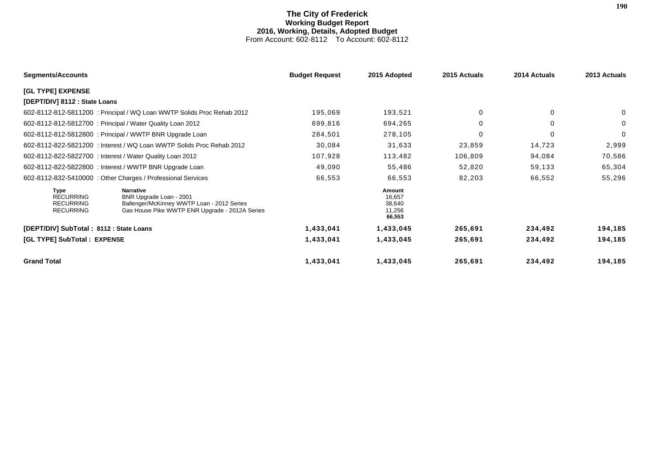# **The City of Frederick Working Budget Report 2016, Working, Details, Adopted Budget** From Account: 602-8112 To Account: 602-8112

| <b>Segments/Accounts</b>                                                |                                                                                                                                             | <b>Budget Request</b> | 2015 Adopted                                   | 2015 Actuals | 2014 Actuals | 2013 Actuals |
|-------------------------------------------------------------------------|---------------------------------------------------------------------------------------------------------------------------------------------|-----------------------|------------------------------------------------|--------------|--------------|--------------|
| [GL TYPE] EXPENSE                                                       |                                                                                                                                             |                       |                                                |              |              |              |
| [DEPT/DIV] 8112 : State Loans                                           |                                                                                                                                             |                       |                                                |              |              |              |
|                                                                         | 602-8112-812-5811200 : Principal / WQ Loan WWTP Solids Proc Rehab 2012                                                                      | 195,069               | 193,521                                        | 0            | 0            | 0            |
|                                                                         | 602-8112-812-5812700 : Principal / Water Quality Loan 2012                                                                                  | 699,816               | 694,265                                        | 0            | 0            | 0            |
|                                                                         | 602-8112-812-5812800 : Principal / WWTP BNR Upgrade Loan                                                                                    | 284,501               | 278,105                                        | 0            | 0            | 0            |
|                                                                         | 602-8112-822-5821200 : Interest / WQ Loan WWTP Solids Proc Rehab 2012                                                                       | 30,084                | 31,633                                         | 23,859       | 14,723       | 2,999        |
|                                                                         | 602-8112-822-5822700 : Interest / Water Quality Loan 2012                                                                                   | 107,928               | 113,482                                        | 106,809      | 94,084       | 70,586       |
|                                                                         | 602-8112-822-5822800 : Interest / WWTP BNR Upgrade Loan                                                                                     | 49,090                | 55,486                                         | 52,820       | 59,133       | 65,304       |
|                                                                         | 602-8112-832-5410000 : Other Charges / Professional Services                                                                                | 66,553                | 66,553                                         | 82,203       | 66,552       | 55,296       |
| <b>Type</b><br><b>RECURRING</b><br><b>RECURRING</b><br><b>RECURRING</b> | <b>Narrative</b><br>BNR Upgrade Loan - 2001<br>Ballenger/McKinney WWTP Loan - 2012 Series<br>Gas House Pike WWTP ENR Upgrade - 2012A Series |                       | Amount<br>16,657<br>38,640<br>11,256<br>66,553 |              |              |              |
| [DEPT/DIV] SubTotal: 8112: State Loans                                  |                                                                                                                                             | 1,433,041             | 1,433,045                                      | 265,691      | 234,492      | 194,185      |
| [GL TYPE] SubTotal: EXPENSE                                             |                                                                                                                                             | 1,433,041             | 1,433,045                                      | 265,691      | 234,492      | 194,185      |
| <b>Grand Total</b>                                                      |                                                                                                                                             | 1,433,041             | 1,433,045                                      | 265,691      | 234,492      | 194,185      |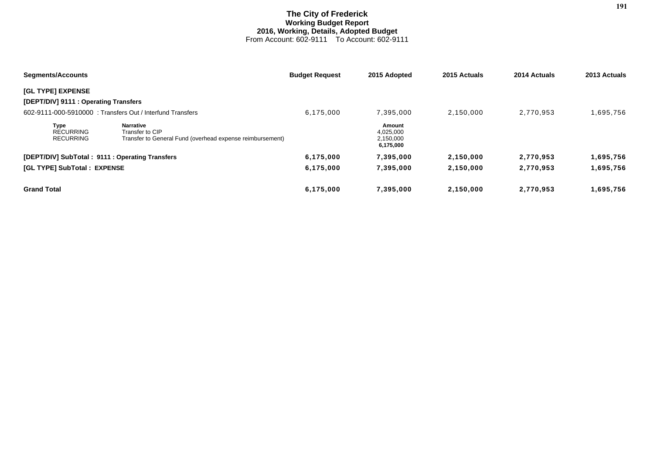# **The City of Frederick Working Budget Report 2016, Working, Details, Adopted Budget** From Account: 602-9111 To Account: 602-9111

| <b>Segments/Accounts</b>                                          |                                                                                           | <b>Budget Request</b> | 2015 Adopted                                  | 2015 Actuals | 2014 Actuals | 2013 Actuals |
|-------------------------------------------------------------------|-------------------------------------------------------------------------------------------|-----------------------|-----------------------------------------------|--------------|--------------|--------------|
| <b>IGL TYPEI EXPENSE</b><br>[DEPT/DIV] 9111 : Operating Transfers | 602-9111-000-5910000: Transfers Out / Interfund Transfers                                 | 6,175,000             | 7.395.000                                     | 2,150,000    | 2.770.953    | 1,695,756    |
| Type<br><b>RECURRING</b><br><b>RECURRING</b>                      | Narrative<br>Transfer to CIP<br>Transfer to General Fund (overhead expense reimbursement) |                       | Amount<br>4,025,000<br>2,150,000<br>6,175,000 |              |              |              |
|                                                                   | [DEPT/DIV] SubTotal: 9111: Operating Transfers                                            | 6,175,000             | 7.395.000                                     | 2,150,000    | 2,770,953    | 1,695,756    |
| [GL TYPE] SubTotal: EXPENSE                                       |                                                                                           | 6,175,000             | 7,395,000                                     | 2,150,000    | 2,770,953    | 1,695,756    |
| <b>Grand Total</b>                                                |                                                                                           | 6,175,000             | 7.395.000                                     | 2,150,000    | 2,770,953    | 1,695,756    |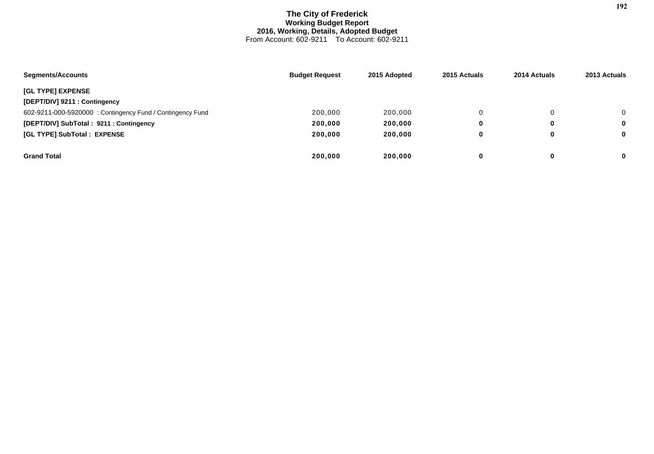# **The City of Frederick Working Budget Report 2016, Working, Details, Adopted Budget** From Account: 602-9211 To Account: 602-9211

| <b>Segments/Accounts</b>                                  | <b>Budget Request</b> | 2015 Adopted | 2015 Actuals | 2014 Actuals | 2013 Actuals |
|-----------------------------------------------------------|-----------------------|--------------|--------------|--------------|--------------|
| <b>IGL TYPEI EXPENSE</b>                                  |                       |              |              |              |              |
| [DEPT/DIV] 9211 : Contingency                             |                       |              |              |              |              |
| 602-9211-000-5920000: Contingency Fund / Contingency Fund | 200.000               | 200,000      | 0            |              | 0            |
| [DEPT/DIV] SubTotal: 9211: Contingency                    | 200,000               | 200,000      | 0            | 0            | 0            |
| [GL TYPE] SubTotal: EXPENSE                               | 200,000               | 200,000      | 0            | 0            | 0            |
| <b>Grand Total</b>                                        | 200,000               | 200.000      | 0            | 0            | 0            |
|                                                           |                       |              |              |              |              |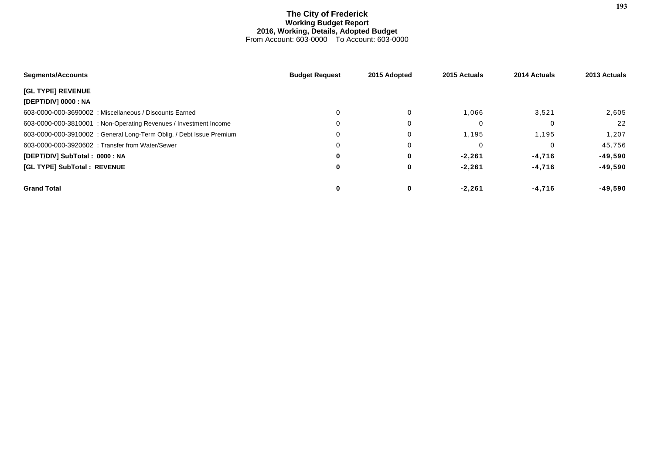### **The City of Frederick Working Budget Report 2016, Working, Details, Adopted Budget** From Account: 603-0000 To Account: 603-0000

| <b>Segments/Accounts</b>                                             | <b>Budget Request</b> | 2015 Adopted | 2015 Actuals | 2014 Actuals | 2013 Actuals |
|----------------------------------------------------------------------|-----------------------|--------------|--------------|--------------|--------------|
| <b>IGL TYPEI REVENUE</b>                                             |                       |              |              |              |              |
| [DEPT/DIV] 0000 : NA                                                 |                       |              |              |              |              |
| 603-0000-000-3690002 : Miscellaneous / Discounts Earned              |                       | $\Omega$     | 1.066        | 3,521        | 2,605        |
| 603-0000-000-3810001: Non-Operating Revenues / Investment Income     |                       | 0            | 0            | 0            | 22           |
| 603-0000-000-3910002 : General Long-Term Oblig. / Debt Issue Premium |                       | 0            | 1,195        | 1,195        | 1,207        |
| 603-0000-000-3920602 : Transfer from Water/Sewer                     |                       | $\Omega$     | 0            | 0            | 45.756       |
| [DEPT/DIV] SubTotal: 0000: NA                                        | 0                     | 0            | $-2.261$     | $-4,716$     | $-49,590$    |
| [GL TYPE] SubTotal: REVENUE                                          | 0                     | 0            | $-2,261$     | $-4,716$     | $-49,590$    |
| <b>Grand Total</b>                                                   | O                     | 0            | $-2.261$     | $-4.716$     | $-49,590$    |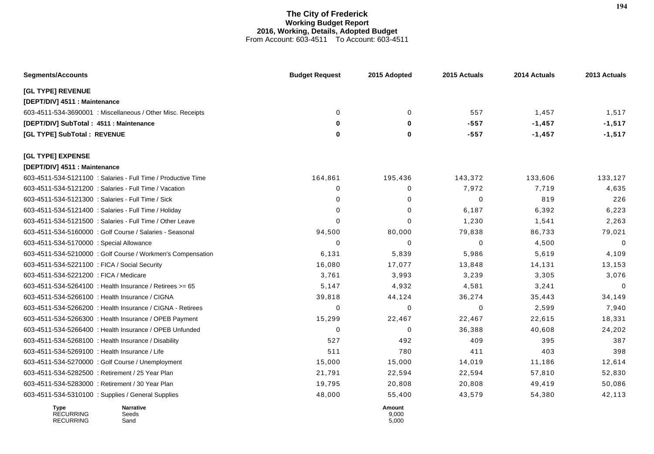# **The City of Frederick Working Budget Report 2016, Working, Details, Adopted Budget** From Account: 603-4511 To Account: 603-4511

| <b>Segments/Accounts</b>                                                                 | <b>Budget Request</b> | 2015 Adopted             | 2015 Actuals | 2014 Actuals | 2013 Actuals |
|------------------------------------------------------------------------------------------|-----------------------|--------------------------|--------------|--------------|--------------|
| [GL TYPE] REVENUE                                                                        |                       |                          |              |              |              |
| [DEPT/DIV] 4511 : Maintenance                                                            |                       |                          |              |              |              |
| 603-4511-534-3690001 : Miscellaneous / Other Misc. Receipts                              | 0                     | $\Omega$                 | 557          | 1,457        | 1,517        |
| [DEPT/DIV] SubTotal: 4511: Maintenance                                                   | 0                     | 0                        | $-557$       | $-1,457$     | $-1,517$     |
| [GL TYPE] SubTotal: REVENUE                                                              | $\bf{0}$              | 0                        | $-557$       | $-1,457$     | $-1,517$     |
| [GL TYPE] EXPENSE                                                                        |                       |                          |              |              |              |
| [DEPT/DIV] 4511 : Maintenance                                                            |                       |                          |              |              |              |
| 603-4511-534-5121100 : Salaries - Full Time / Productive Time                            | 164,861               | 195,436                  | 143,372      | 133,606      | 133,127      |
| 603-4511-534-5121200 : Salaries - Full Time / Vacation                                   | 0                     | 0                        | 7,972        | 7,719        | 4,635        |
| 603-4511-534-5121300 : Salaries - Full Time / Sick                                       | 0                     | $\Omega$                 | $\Omega$     | 819          | 226          |
| 603-4511-534-5121400 : Salaries - Full Time / Holiday                                    | 0                     | $\Omega$                 | 6,187        | 6,392        | 6,223        |
| 603-4511-534-5121500 : Salaries - Full Time / Other Leave                                | $\Omega$              | 0                        | 1,230        | 1,541        | 2,263        |
| 603-4511-534-5160000 : Golf Course / Salaries - Seasonal                                 | 94,500                | 80,000                   | 79,838       | 86,733       | 79,021       |
| 603-4511-534-5170000 : Special Allowance                                                 | 0                     | 0                        | $\mathbf 0$  | 4,500        | $\mathbf 0$  |
| 603-4511-534-5210000 : Golf Course / Workmen's Compensation                              | 6,131                 | 5,839                    | 5,986        | 5,619        | 4,109        |
| 603-4511-534-5221100 : FICA / Social Security                                            | 16,080                | 17,077                   | 13,848       | 14,131       | 13,153       |
| 603-4511-534-5221200 : FICA / Medicare                                                   | 3,761                 | 3,993                    | 3,239        | 3,305        | 3,076        |
| 603-4511-534-5264100 : Health Insurance / Retirees $>= 65$                               | 5,147                 | 4,932                    | 4,581        | 3,241        | 0            |
| 603-4511-534-5266100 : Health Insurance / CIGNA                                          | 39,818                | 44,124                   | 36,274       | 35,443       | 34,149       |
| 603-4511-534-5266200 : Health Insurance / CIGNA - Retirees                               | 0                     | 0                        | 0            | 2,599        | 7,940        |
| 603-4511-534-5266300 : Health Insurance / OPEB Payment                                   | 15,299                | 22,467                   | 22,467       | 22,615       | 18,331       |
| 603-4511-534-5266400 : Health Insurance / OPEB Unfunded                                  | $\mathbf 0$           | 0                        | 36,388       | 40,608       | 24,202       |
| 603-4511-534-5268100 : Health Insurance / Disability                                     | 527                   | 492                      | 409          | 395          | 387          |
| 603-4511-534-5269100 : Health Insurance / Life                                           | 511                   | 780                      | 411          | 403          | 398          |
| 603-4511-534-5270000 : Golf Course / Unemployment                                        | 15,000                | 15,000                   | 14,019       | 11,186       | 12,614       |
| 603-4511-534-5282500 : Retirement / 25 Year Plan                                         | 21,791                | 22,594                   | 22,594       | 57,810       | 52,830       |
| 603-4511-534-5283000 : Retirement / 30 Year Plan                                         | 19,795                | 20,808                   | 20,808       | 49,419       | 50,086       |
| 603-4511-534-5310100 : Supplies / General Supplies                                       | 48,000                | 55,400                   | 43,579       | 54,380       | 42,113       |
| <b>Narrative</b><br><b>Type</b><br><b>RECURRING</b><br>Seeds<br><b>RECURRING</b><br>Sand |                       | Amount<br>9,000<br>5,000 |              |              |              |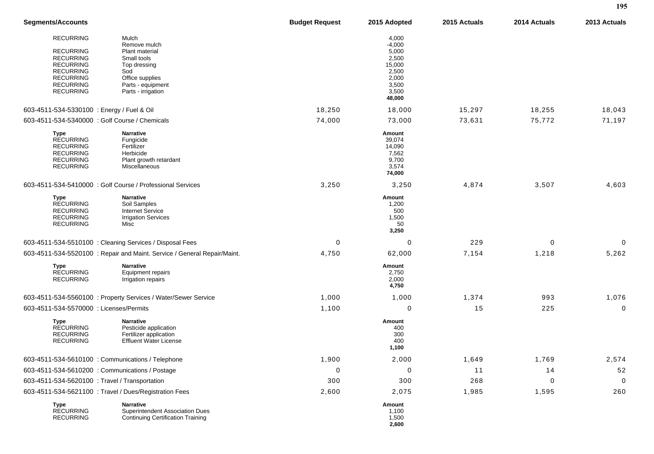| <b>Segments/Accounts</b>                                                                                                                                     |                                                                                                                                             | <b>Budget Request</b> | 2015 Adopted                                                                                | 2015 Actuals | 2014 Actuals | 2013 Actuals |
|--------------------------------------------------------------------------------------------------------------------------------------------------------------|---------------------------------------------------------------------------------------------------------------------------------------------|-----------------------|---------------------------------------------------------------------------------------------|--------------|--------------|--------------|
| <b>RECURRING</b><br><b>RECURRING</b><br><b>RECURRING</b><br><b>RECURRING</b><br><b>RECURRING</b><br><b>RECURRING</b><br><b>RECURRING</b><br><b>RECURRING</b> | Mulch<br>Remove mulch<br>Plant material<br>Small tools<br>Top dressing<br>Sod<br>Office supplies<br>Parts - equipment<br>Parts - irrigation |                       | 4,000<br>$-4,000$<br>5,000<br>2,500<br>15,000<br>2,500<br>2,000<br>3,500<br>3,500<br>48,000 |              |              |              |
| 603-4511-534-5330100 : Energy / Fuel & Oil                                                                                                                   |                                                                                                                                             | 18,250                | 18,000                                                                                      | 15,297       | 18,255       | 18,043       |
| 603-4511-534-5340000 : Golf Course / Chemicals                                                                                                               |                                                                                                                                             | 74,000                | 73,000                                                                                      | 73,631       | 75,772       | 71,197       |
| Type<br><b>RECURRING</b><br><b>RECURRING</b><br><b>RECURRING</b><br><b>RECURRING</b><br><b>RECURRING</b>                                                     | Narrative<br>Fungicide<br>Fertilizer<br>Herbicide<br>Plant growth retardant<br>Miscellaneous                                                |                       | Amount<br>39,074<br>14,090<br>7,562<br>9,700<br>3,574<br>74,000                             |              |              |              |
| 603-4511-534-5410000 : Golf Course / Professional Services                                                                                                   |                                                                                                                                             | 3,250                 | 3,250                                                                                       | 4,874        | 3,507        | 4,603        |
| Type<br><b>RECURRING</b><br><b>RECURRING</b><br><b>RECURRING</b><br><b>RECURRING</b>                                                                         | Narrative<br>Soil Samples<br><b>Internet Service</b><br><b>Irrigation Services</b><br>Misc                                                  |                       | Amount<br>1,200<br>500<br>1,500<br>50<br>3,250                                              |              |              |              |
| 603-4511-534-5510100 : Cleaning Services / Disposal Fees                                                                                                     |                                                                                                                                             | 0                     | 0                                                                                           | 229          | 0            | 0            |
|                                                                                                                                                              | 603-4511-534-5520100 : Repair and Maint. Service / General Repair/Maint.                                                                    | 4,750                 | 62,000                                                                                      | 7,154        | 1,218        | 5,262        |
| Type<br><b>RECURRING</b><br><b>RECURRING</b>                                                                                                                 | Narrative<br><b>Equipment repairs</b><br>Irrigation repairs                                                                                 |                       | Amount<br>2,750<br>2,000<br>4,750                                                           |              |              |              |
|                                                                                                                                                              | 603-4511-534-5560100 : Property Services / Water/Sewer Service                                                                              | 1,000                 | 1,000                                                                                       | 1,374        | 993          | 1,076        |
| 603-4511-534-5570000 : Licenses/Permits                                                                                                                      |                                                                                                                                             | 1,100                 | $\mathbf 0$                                                                                 | 15           | 225          | 0            |
| <b>Type</b><br><b>RECURRING</b><br><b>RECURRING</b><br><b>RECURRING</b>                                                                                      | Narrative<br>Pesticide application<br>Fertilizer application<br><b>Effluent Water License</b>                                               |                       | Amount<br>400<br>300<br>400<br>1,100                                                        |              |              |              |
| 603-4511-534-5610100 : Communications / Telephone                                                                                                            |                                                                                                                                             | 1,900                 | 2,000                                                                                       | 1,649        | 1,769        | 2,574        |
| 603-4511-534-5610200 : Communications / Postage                                                                                                              |                                                                                                                                             | 0                     | $\mathbf 0$                                                                                 | 11           | 14           | 52           |
| 603-4511-534-5620100 : Travel / Transportation                                                                                                               |                                                                                                                                             | 300                   | 300                                                                                         | 268          | 0            | $\mathbf 0$  |
| 603-4511-534-5621100 : Travel / Dues/Registration Fees                                                                                                       |                                                                                                                                             | 2,600                 | 2,075                                                                                       | 1,985        | 1,595        | 260          |
| Type<br><b>RECURRING</b><br><b>RECURRING</b>                                                                                                                 | Narrative<br>Superintendent Association Dues<br><b>Continuing Certification Training</b>                                                    |                       | Amount<br>1,100<br>1,500<br>2,600                                                           |              |              |              |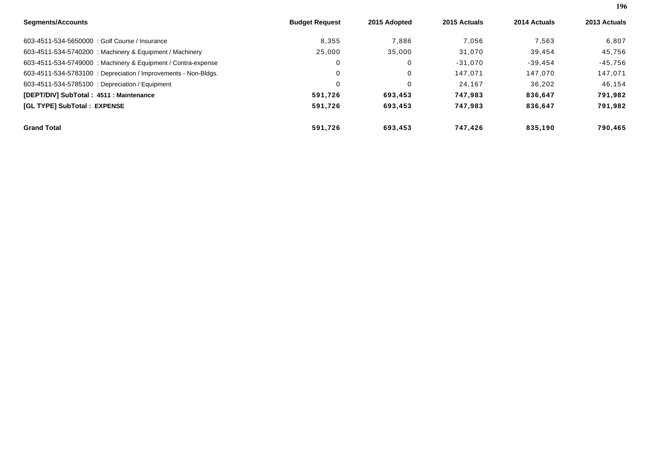| <b>Segments/Accounts</b>                                        | <b>Budget Request</b> | 2015 Adopted | 2015 Actuals | 2014 Actuals | 2013 Actuals |
|-----------------------------------------------------------------|-----------------------|--------------|--------------|--------------|--------------|
| 603-4511-534-5650000 : Golf Course / Insurance                  | 8.355                 | 7,886        | 7,056        | 7,563        | 6,807        |
| 603-4511-534-5740200 : Machinery & Equipment / Machinery        | 25,000                | 35,000       | 31,070       | 39,454       | 45,756       |
| 603-4511-534-5749000: Machinery & Equipment / Contra-expense    | 0                     | 0            | $-31.070$    | $-39.454$    | $-45,756$    |
| 603-4511-534-5783100 : Depreciation / Improvements - Non-Bldgs. | 0                     | 0            | 147.071      | 147,070      | 147,071      |
| 603-4511-534-5785100 : Depreciation / Equipment                 | 0                     | 0            | 24,167       | 36,202       | 46,154       |
| [DEPT/DIV] SubTotal: 4511: Maintenance                          | 591.726               | 693.453      | 747.983      | 836.647      | 791,982      |
| [GL TYPE] SubTotal: EXPENSE                                     | 591,726               | 693,453      | 747,983      | 836,647      | 791,982      |
| <b>Grand Total</b>                                              | 591.726               | 693.453      | 747.426      | 835.190      | 790.465      |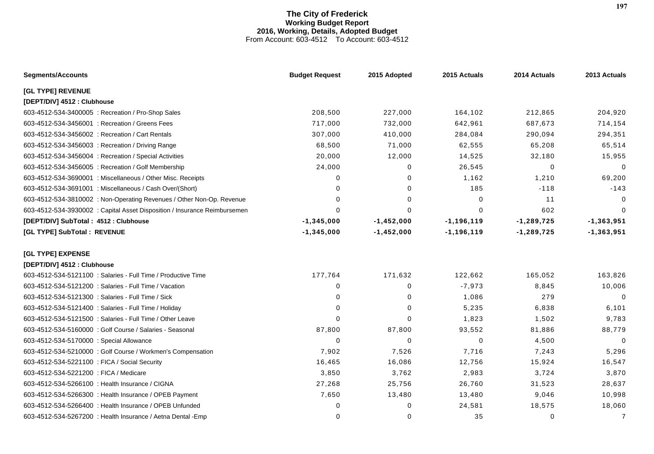# **The City of Frederick Working Budget Report 2016, Working, Details, Adopted Budget** From Account: 603-4512 To Account: 603-4512

| <b>Segments/Accounts</b>                                                  | <b>Budget Request</b> | 2015 Adopted | 2015 Actuals   | 2014 Actuals | 2013 Actuals   |
|---------------------------------------------------------------------------|-----------------------|--------------|----------------|--------------|----------------|
| [GL TYPE] REVENUE                                                         |                       |              |                |              |                |
| [DEPT/DIV] 4512 : Clubhouse                                               |                       |              |                |              |                |
| 603-4512-534-3400005 : Recreation / Pro-Shop Sales                        | 208,500               | 227,000      | 164,102        | 212,865      | 204,920        |
| 603-4512-534-3456001 : Recreation / Greens Fees                           | 717,000               | 732,000      | 642,961        | 687,673      | 714,154        |
| 603-4512-534-3456002 : Recreation / Cart Rentals                          | 307,000               | 410,000      | 284,084        | 290,094      | 294,351        |
| 603-4512-534-3456003 : Recreation / Driving Range                         | 68,500                | 71,000       | 62,555         | 65,208       | 65,514         |
| 603-4512-534-3456004 : Recreation / Special Activities                    | 20,000                | 12,000       | 14,525         | 32,180       | 15,955         |
| 603-4512-534-3456005 : Recreation / Golf Membership                       | 24,000                | $\Omega$     | 26,545         | 0            | 0              |
| 603-4512-534-3690001 : Miscellaneous / Other Misc. Receipts               | 0                     | $\Omega$     | 1,162          | 1,210        | 69,200         |
| 603-4512-534-3691001 : Miscellaneous / Cash Over/(Short)                  | $\Omega$              | $\Omega$     | 185            | $-118$       | $-143$         |
| 603-4512-534-3810002 : Non-Operating Revenues / Other Non-Op. Revenue     | $\Omega$              | $\Omega$     | 0              | 11           | $\Omega$       |
| 603-4512-534-3930002 : Capital Asset Disposition / Insurance Reimbursemen | $\Omega$              | 0            | 0              | 602          | $\Omega$       |
| [DEPT/DIV] SubTotal: 4512: Clubhouse                                      | $-1,345,000$          | $-1,452,000$ | $-1, 196, 119$ | $-1,289,725$ | $-1,363,951$   |
| [GL TYPE] SubTotal: REVENUE                                               | $-1,345,000$          | $-1,452,000$ | $-1, 196, 119$ | $-1,289,725$ | $-1, 363, 951$ |
| [GL TYPE] EXPENSE                                                         |                       |              |                |              |                |
| [DEPT/DIV] 4512 : Clubhouse                                               |                       |              |                |              |                |
| 603-4512-534-5121100 : Salaries - Full Time / Productive Time             | 177,764               | 171,632      | 122,662        | 165,052      | 163,826        |
| 603-4512-534-5121200 : Salaries - Full Time / Vacation                    | 0                     | 0            | $-7,973$       | 8,845        | 10,006         |
| 603-4512-534-5121300 : Salaries - Full Time / Sick                        | 0                     | $\Omega$     | 1,086          | 279          | 0              |
| 603-4512-534-5121400 : Salaries - Full Time / Holiday                     | 0                     | $\Omega$     | 5,235          | 6,838        | 6,101          |
| 603-4512-534-5121500 : Salaries - Full Time / Other Leave                 | $\Omega$              | $\Omega$     | 1,823          | 1,502        | 9,783          |
| 603-4512-534-5160000 : Golf Course / Salaries - Seasonal                  | 87,800                | 87,800       | 93,552         | 81,886       | 88,779         |
| 603-4512-534-5170000 : Special Allowance                                  | 0                     | 0            | 0              | 4,500        | 0              |
| 603-4512-534-5210000 : Golf Course / Workmen's Compensation               | 7,902                 | 7,526        | 7,716          | 7,243        | 5,296          |
| 603-4512-534-5221100 : FICA / Social Security                             | 16,465                | 16,086       | 12,756         | 15,924       | 16,547         |
| 603-4512-534-5221200 : FICA / Medicare                                    | 3,850                 | 3,762        | 2,983          | 3,724        | 3,870          |
| 603-4512-534-5266100 : Health Insurance / CIGNA                           | 27,268                | 25,756       | 26,760         | 31,523       | 28,637         |
| 603-4512-534-5266300 : Health Insurance / OPEB Payment                    | 7,650                 | 13,480       | 13,480         | 9,046        | 10,998         |
| 603-4512-534-5266400 : Health Insurance / OPEB Unfunded                   | 0                     | 0            | 24,581         | 18,575       | 18,060         |
| 603-4512-534-5267200 : Health Insurance / Aetna Dental -Emp               | 0                     | $\Omega$     | 35             | 0            | $\overline{7}$ |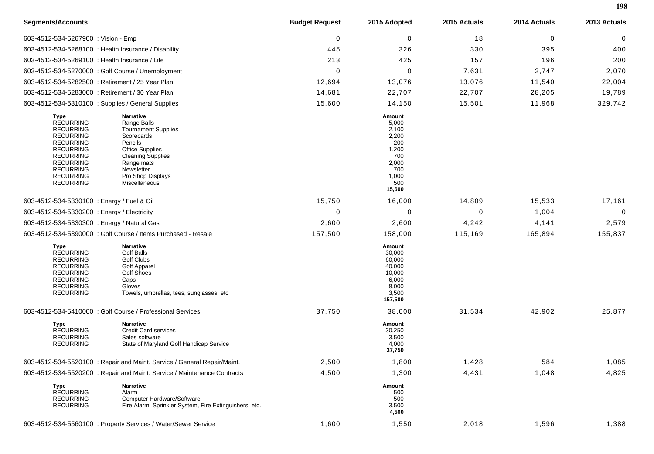| <b>Segments/Accounts</b>                                                                                                                                                                                            |                                                                                                                                                                                                                | <b>Budget Request</b> | 2015 Adopted                                                                                       | 2015 Actuals | 2014 Actuals | 2013 Actuals |
|---------------------------------------------------------------------------------------------------------------------------------------------------------------------------------------------------------------------|----------------------------------------------------------------------------------------------------------------------------------------------------------------------------------------------------------------|-----------------------|----------------------------------------------------------------------------------------------------|--------------|--------------|--------------|
| 603-4512-534-5267900 : Vision - Emp                                                                                                                                                                                 |                                                                                                                                                                                                                | 0                     | $\mathbf 0$                                                                                        | 18           | 0            | $\pmb{0}$    |
| 603-4512-534-5268100 : Health Insurance / Disability                                                                                                                                                                |                                                                                                                                                                                                                | 445                   | 326                                                                                                | 330          | 395          | 400          |
| 603-4512-534-5269100 : Health Insurance / Life                                                                                                                                                                      |                                                                                                                                                                                                                | 213                   | 425                                                                                                | 157          | 196          | 200          |
| 603-4512-534-5270000 : Golf Course / Unemployment                                                                                                                                                                   |                                                                                                                                                                                                                | 0                     | 0                                                                                                  | 7,631        | 2,747        | 2,070        |
| 603-4512-534-5282500 : Retirement / 25 Year Plan                                                                                                                                                                    |                                                                                                                                                                                                                | 12,694                | 13,076                                                                                             | 13,076       | 11,540       | 22,004       |
| 603-4512-534-5283000 : Retirement / 30 Year Plan                                                                                                                                                                    |                                                                                                                                                                                                                | 14,681                | 22,707                                                                                             | 22,707       | 28,205       | 19,789       |
| 603-4512-534-5310100 : Supplies / General Supplies                                                                                                                                                                  |                                                                                                                                                                                                                | 15,600                | 14,150                                                                                             | 15,501       | 11,968       | 329,742      |
| <b>Type</b><br><b>RECURRING</b><br><b>RECURRING</b><br><b>RECURRING</b><br><b>RECURRING</b><br><b>RECURRING</b><br><b>RECURRING</b><br><b>RECURRING</b><br><b>RECURRING</b><br><b>RECURRING</b><br><b>RECURRING</b> | <b>Narrative</b><br>Range Balls<br><b>Tournament Supplies</b><br>Scorecards<br>Pencils<br><b>Office Supplies</b><br><b>Cleaning Supplies</b><br>Range mats<br>Newsletter<br>Pro Shop Displays<br>Miscellaneous |                       | Amount<br>5,000<br>2,100<br>2,200<br>200<br>1,200<br>700<br>2,000<br>700<br>1,000<br>500<br>15,600 |              |              |              |
| 603-4512-534-5330100 : Energy / Fuel & Oil                                                                                                                                                                          |                                                                                                                                                                                                                | 15,750                | 16,000                                                                                             | 14,809       | 15,533       | 17,161       |
| 603-4512-534-5330200 : Energy / Electricity                                                                                                                                                                         |                                                                                                                                                                                                                | 0                     | 0                                                                                                  | 0            | 1,004        | $\mathbf 0$  |
| 603-4512-534-5330300 : Energy / Natural Gas                                                                                                                                                                         |                                                                                                                                                                                                                | 2,600                 | 2,600                                                                                              | 4,242        | 4,141        | 2,579        |
|                                                                                                                                                                                                                     | 603-4512-534-5390000 : Golf Course / Items Purchased - Resale                                                                                                                                                  | 157,500               | 158,000                                                                                            | 115,169      | 165,894      | 155,837      |
| <b>Type</b><br><b>RECURRING</b><br><b>RECURRING</b><br><b>RECURRING</b><br><b>RECURRING</b><br><b>RECURRING</b><br><b>RECURRING</b><br><b>RECURRING</b>                                                             | <b>Narrative</b><br>Golf Balls<br>Golf Clubs<br><b>Golf Apparel</b><br><b>Golf Shoes</b><br>Caps<br>Gloves<br>Towels, umbrellas, tees, sunglasses, etc.                                                        |                       | Amount<br>30,000<br>60,000<br>40,000<br>10,000<br>6,000<br>8,000<br>3,500<br>157,500               |              |              |              |
|                                                                                                                                                                                                                     | 603-4512-534-5410000 : Golf Course / Professional Services                                                                                                                                                     | 37,750                | 38,000                                                                                             | 31,534       | 42,902       | 25,877       |
| <b>Type</b><br><b>RECURRING</b><br><b>RECURRING</b><br><b>RECURRING</b>                                                                                                                                             | <b>Narrative</b><br><b>Credit Card services</b><br>Sales software<br>State of Maryland Golf Handicap Service                                                                                                   |                       | Amount<br>30,250<br>3,500<br>4,000<br>37,750                                                       |              |              |              |
|                                                                                                                                                                                                                     | 603-4512-534-5520100 : Repair and Maint. Service / General Repair/Maint.                                                                                                                                       | 2,500                 | 1,800                                                                                              | 1,428        | 584          | 1,085        |
|                                                                                                                                                                                                                     | 603-4512-534-5520200 : Repair and Maint. Service / Maintenance Contracts                                                                                                                                       | 4,500                 | 1,300                                                                                              | 4,431        | 1,048        | 4,825        |
| <b>Type</b><br><b>RECURRING</b><br><b>RECURRING</b><br><b>RECURRING</b>                                                                                                                                             | <b>Narrative</b><br>Alarm<br><b>Computer Hardware/Software</b><br>Fire Alarm, Sprinkler System, Fire Extinguishers, etc.                                                                                       |                       | Amount<br>500<br>500<br>3,500<br>4,500                                                             |              |              |              |
|                                                                                                                                                                                                                     | 603-4512-534-5560100 : Property Services / Water/Sewer Service                                                                                                                                                 | 1,600                 | 1,550                                                                                              | 2,018        | 1,596        | 1,388        |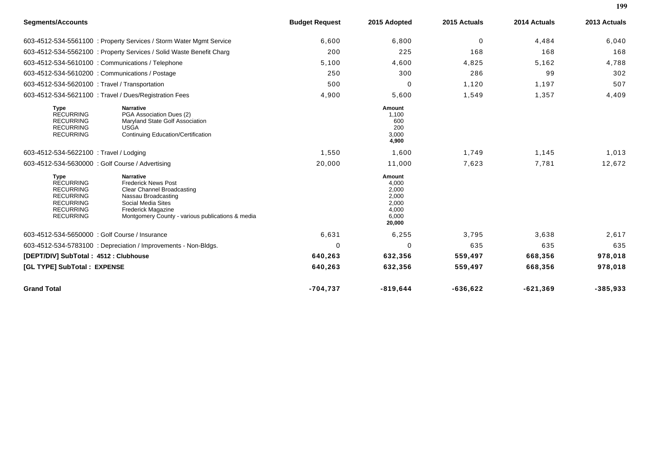| <b>Segments/Accounts</b>                                                                                                            |                                                                                                                                                                                                                   | <b>Budget Request</b> | 2015 Adopted                                                           | 2015 Actuals | 2014 Actuals | 2013 Actuals |
|-------------------------------------------------------------------------------------------------------------------------------------|-------------------------------------------------------------------------------------------------------------------------------------------------------------------------------------------------------------------|-----------------------|------------------------------------------------------------------------|--------------|--------------|--------------|
|                                                                                                                                     | 603-4512-534-5561100 : Property Services / Storm Water Mgmt Service                                                                                                                                               | 6,600                 | 6,800                                                                  | $\mathbf 0$  | 4,484        | 6,040        |
|                                                                                                                                     | 603-4512-534-5562100 : Property Services / Solid Waste Benefit Charg                                                                                                                                              | 200                   | 225                                                                    | 168          | 168          | 168          |
| 603-4512-534-5610100 : Communications / Telephone                                                                                   |                                                                                                                                                                                                                   | 5,100                 | 4,600                                                                  | 4,825        | 5,162        | 4,788        |
| 603-4512-534-5610200 : Communications / Postage                                                                                     |                                                                                                                                                                                                                   | 250                   | 300                                                                    | 286          | 99           | 302          |
| 603-4512-534-5620100 : Travel / Transportation                                                                                      |                                                                                                                                                                                                                   | 500                   | $\mathbf 0$                                                            | 1,120        | 1,197        | 507          |
|                                                                                                                                     | 603-4512-534-5621100 : Travel / Dues/Registration Fees                                                                                                                                                            | 4,900                 | 5,600                                                                  | 1,549        | 1,357        | 4,409        |
| <b>Type</b><br><b>RECURRING</b><br><b>RECURRING</b><br><b>RECURRING</b><br><b>RECURRING</b>                                         | <b>Narrative</b><br>PGA Association Dues (2)<br>Maryland State Golf Association<br><b>USGA</b><br>Continuing Education/Certification                                                                              |                       | Amount<br>1,100<br>600<br>200<br>3,000<br>4,900                        |              |              |              |
| 603-4512-534-5622100 : Travel / Lodging                                                                                             |                                                                                                                                                                                                                   | 1,550                 | 1,600                                                                  | 1,749        | 1,145        | 1,013        |
| 603-4512-534-5630000 : Golf Course / Advertising                                                                                    |                                                                                                                                                                                                                   | 20,000                | 11,000                                                                 | 7,623        | 7,781        | 12,672       |
| <b>Type</b><br><b>RECURRING</b><br><b>RECURRING</b><br><b>RECURRING</b><br><b>RECURRING</b><br><b>RECURRING</b><br><b>RECURRING</b> | <b>Narrative</b><br><b>Frederick News Post</b><br><b>Clear Channel Broadcasting</b><br>Nassau Broadcasting<br>Social Media Sites<br><b>Frederick Magazine</b><br>Montgomery County - various publications & media |                       | Amount<br>4,000<br>2,000<br>2,000<br>2,000<br>4,000<br>6,000<br>20,000 |              |              |              |
| 603-4512-534-5650000 : Golf Course / Insurance                                                                                      |                                                                                                                                                                                                                   | 6,631                 | 6,255                                                                  | 3,795        | 3,638        | 2,617        |
|                                                                                                                                     | 603-4512-534-5783100 : Depreciation / Improvements - Non-Bldgs.                                                                                                                                                   | $\Omega$              | $\Omega$                                                               | 635          | 635          | 635          |
| [DEPT/DIV] SubTotal: 4512: Clubhouse                                                                                                |                                                                                                                                                                                                                   | 640,263               | 632,356                                                                | 559,497      | 668,356      | 978,018      |
| [GL TYPE] SubTotal: EXPENSE                                                                                                         |                                                                                                                                                                                                                   | 640,263               | 632,356                                                                | 559,497      | 668,356      | 978,018      |
| <b>Grand Total</b>                                                                                                                  |                                                                                                                                                                                                                   | $-704,737$            | $-819.644$                                                             | $-636.622$   | $-621.369$   | $-385,933$   |

**199**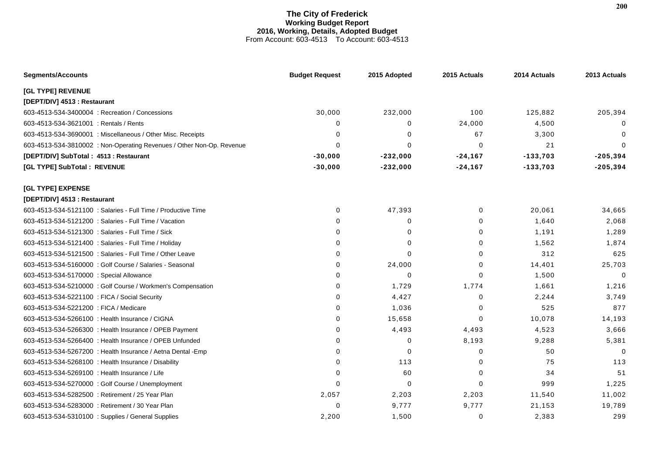# **The City of Frederick Working Budget Report 2016, Working, Details, Adopted Budget** From Account: 603-4513 To Account: 603-4513

| <b>Segments/Accounts</b>                                              | <b>Budget Request</b> | 2015 Adopted | 2015 Actuals | 2014 Actuals | 2013 Actuals |
|-----------------------------------------------------------------------|-----------------------|--------------|--------------|--------------|--------------|
| [GL TYPE] REVENUE                                                     |                       |              |              |              |              |
| [DEPT/DIV] 4513 : Restaurant                                          |                       |              |              |              |              |
| 603-4513-534-3400004 : Recreation / Concessions                       | 30,000                | 232,000      | 100          | 125,882      | 205,394      |
| 603-4513-534-3621001 : Rentals / Rents                                | 0                     | 0            | 24,000       | 4,500        | 0            |
| 603-4513-534-3690001 : Miscellaneous / Other Misc. Receipts           | 0                     | $\Omega$     | 67           | 3,300        | $\Omega$     |
| 603-4513-534-3810002 : Non-Operating Revenues / Other Non-Op. Revenue | $\Omega$              | $\Omega$     | 0            | 21           | $\Omega$     |
| [DEPT/DIV] SubTotal: 4513: Restaurant                                 | $-30,000$             | $-232,000$   | $-24,167$    | $-133,703$   | $-205,394$   |
| [GL TYPE] SubTotal: REVENUE                                           | $-30,000$             | $-232,000$   | $-24,167$    | $-133,703$   | $-205,394$   |
| [GL TYPE] EXPENSE                                                     |                       |              |              |              |              |
| [DEPT/DIV] 4513 : Restaurant                                          |                       |              |              |              |              |
| 603-4513-534-5121100 : Salaries - Full Time / Productive Time         | 0                     | 47,393       | 0            | 20,061       | 34,665       |
| 603-4513-534-5121200 : Salaries - Full Time / Vacation                | 0                     | 0            | 0            | 1,640        | 2,068        |
| 603-4513-534-5121300 : Salaries - Full Time / Sick                    | 0                     | 0            | 0            | 1,191        | 1,289        |
| 603-4513-534-5121400 : Salaries - Full Time / Holiday                 | 0                     | 0            | 0            | 1,562        | 1,874        |
| 603-4513-534-5121500 : Salaries - Full Time / Other Leave             | $\Omega$              | ∩            | $\Omega$     | 312          | 625          |
| 603-4513-534-5160000 : Golf Course / Salaries - Seasonal              | 0                     | 24,000       | $\Omega$     | 14,401       | 25,703       |
| 603-4513-534-5170000 : Special Allowance                              | 0                     | 0            | 0            | 1,500        | 0            |
| 603-4513-534-5210000 : Golf Course / Workmen's Compensation           | 0                     | 1,729        | 1,774        | 1,661        | 1,216        |
| 603-4513-534-5221100 : FICA / Social Security                         | 0                     | 4,427        | 0            | 2,244        | 3,749        |
| 603-4513-534-5221200 : FICA / Medicare                                | 0                     | 1,036        | $\Omega$     | 525          | 877          |
| 603-4513-534-5266100 : Health Insurance / CIGNA                       | 0                     | 15,658       | 0            | 10,078       | 14,193       |
| 603-4513-534-5266300 : Health Insurance / OPEB Payment                | 0                     | 4,493        | 4,493        | 4,523        | 3,666        |
| 603-4513-534-5266400 : Health Insurance / OPEB Unfunded               | 0                     | 0            | 8,193        | 9,288        | 5,381        |
| 603-4513-534-5267200 : Health Insurance / Aetna Dental - Emp          | 0                     | $\Omega$     | 0            | 50           | $\mathbf 0$  |
| 603-4513-534-5268100 : Health Insurance / Disability                  | $\Omega$              | 113          | $\Omega$     | 75           | 113          |
| 603-4513-534-5269100 : Health Insurance / Life                        | 0                     | 60           | 0            | 34           | 51           |
| 603-4513-534-5270000 : Golf Course / Unemployment                     | $\Omega$              | $\Omega$     | $\Omega$     | 999          | 1,225        |
| 603-4513-534-5282500 : Retirement / 25 Year Plan                      | 2,057                 | 2,203        | 2,203        | 11,540       | 11,002       |
| 603-4513-534-5283000 : Retirement / 30 Year Plan                      | $\Omega$              | 9,777        | 9,777        | 21,153       | 19,789       |
| 603-4513-534-5310100 : Supplies / General Supplies                    | 2,200                 | 1,500        | 0            | 2,383        | 299          |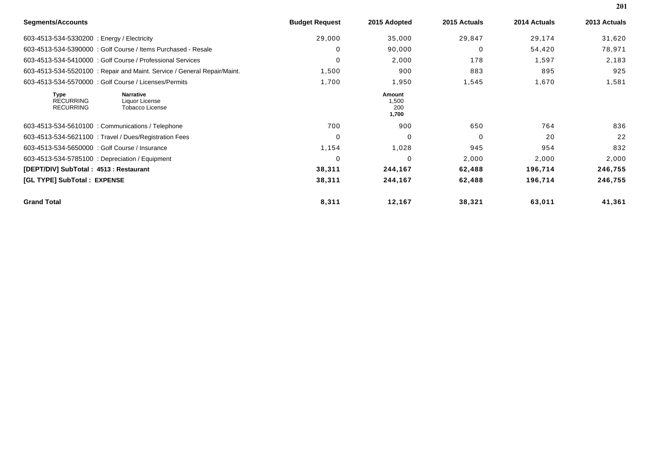| <b>Segments/Accounts</b>                            |                                                                          | <b>Budget Request</b> | 2015 Adopted                    | 2015 Actuals | 2014 Actuals | 2013 Actuals |
|-----------------------------------------------------|--------------------------------------------------------------------------|-----------------------|---------------------------------|--------------|--------------|--------------|
| 603-4513-534-5330200 : Energy / Electricity         |                                                                          | 29,000                | 35,000                          | 29,847       | 29,174       | 31,620       |
|                                                     | 603-4513-534-5390000 : Golf Course / Items Purchased - Resale            | 0                     | 90,000                          | 0            | 54,420       | 78,971       |
|                                                     | 603-4513-534-5410000 : Golf Course / Professional Services               | 0                     | 2,000                           | 178          | 1,597        | 2,183        |
|                                                     | 603-4513-534-5520100 : Repair and Maint. Service / General Repair/Maint. | ,500                  | 900                             | 883          | 895          | 925          |
|                                                     | 603-4513-534-5570000 : Golf Course / Licenses/Permits                    | 1,700                 | 1,950                           | 1,545        | 1,670        | 1,581        |
| <b>Type</b><br><b>RECURRING</b><br><b>RECURRING</b> | <b>Narrative</b><br>Liquor License<br>Tobacco License                    |                       | Amount<br>1,500<br>200<br>1,700 |              |              |              |
|                                                     | 603-4513-534-5610100 : Communications / Telephone                        | 700                   | 900                             | 650          | 764          | 836          |
|                                                     | 603-4513-534-5621100 : Travel / Dues/Registration Fees                   | 0                     | 0                               | 0            | 20           | 22           |
| 603-4513-534-5650000 : Golf Course / Insurance      |                                                                          | 1,154                 | 1,028                           | 945          | 954          | 832          |
|                                                     | 603-4513-534-5785100 : Depreciation / Equipment                          |                       | $\Omega$                        | 2,000        | 2,000        | 2,000        |
| [DEPT/DIV] SubTotal: 4513: Restaurant               |                                                                          | 38,311                | 244,167                         | 62,488       | 196,714      | 246,755      |
| [GL TYPE] SubTotal: EXPENSE                         |                                                                          | 38,311                | 244,167                         | 62,488       | 196,714      | 246,755      |
| <b>Grand Total</b>                                  |                                                                          | 8,311                 | 12,167                          | 38,321       | 63,011       | 41,361       |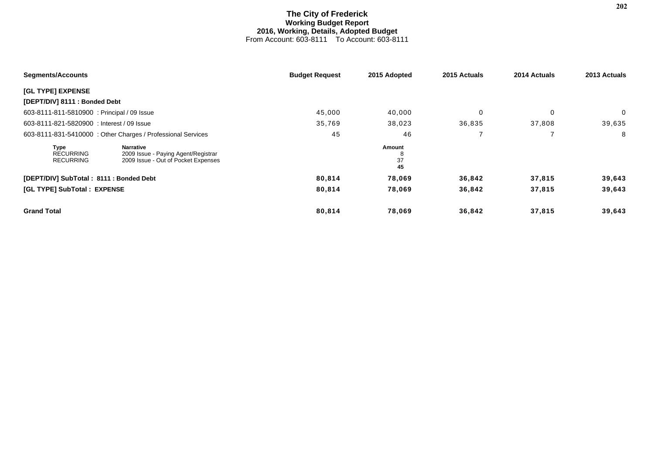# **The City of Frederick Working Budget Report 2016, Working, Details, Adopted Budget** From Account: 603-8111 To Account: 603-8111

| <b>Segments/Accounts</b>                            |                                                                                                | <b>Budget Request</b> | 2015 Adopted            | 2015 Actuals | 2014 Actuals | 2013 Actuals |
|-----------------------------------------------------|------------------------------------------------------------------------------------------------|-----------------------|-------------------------|--------------|--------------|--------------|
| [GL TYPE] EXPENSE                                   |                                                                                                |                       |                         |              |              |              |
| [DEPT/DIV] 8111 : Bonded Debt                       |                                                                                                |                       |                         |              |              |              |
| 603-8111-811-5810900 : Principal / 09 Issue         |                                                                                                | 45,000                | 40,000                  | 0            | 0            | 0            |
| 603-8111-821-5820900 : Interest / 09 Issue          |                                                                                                | 35,769                | 38,023                  | 36,835       | 37,808       | 39,635       |
|                                                     | 603-8111-831-5410000 : Other Charges / Professional Services                                   | 45                    | 46                      | ⇁            |              | 8            |
| <b>Type</b><br><b>RECURRING</b><br><b>RECURRING</b> | <b>Narrative</b><br>2009 Issue - Paying Agent/Registrar<br>2009 Issue - Out of Pocket Expenses |                       | Amount<br>8<br>37<br>45 |              |              |              |
| [DEPT/DIV] SubTotal: 8111: Bonded Debt              |                                                                                                | 80,814                | 78,069                  | 36,842       | 37,815       | 39,643       |
| [GL TYPE] SubTotal: EXPENSE                         |                                                                                                | 80,814                | 78,069                  | 36,842       | 37,815       | 39,643       |
| <b>Grand Total</b>                                  |                                                                                                | 80,814                | 78,069                  | 36,842       | 37,815       | 39,643       |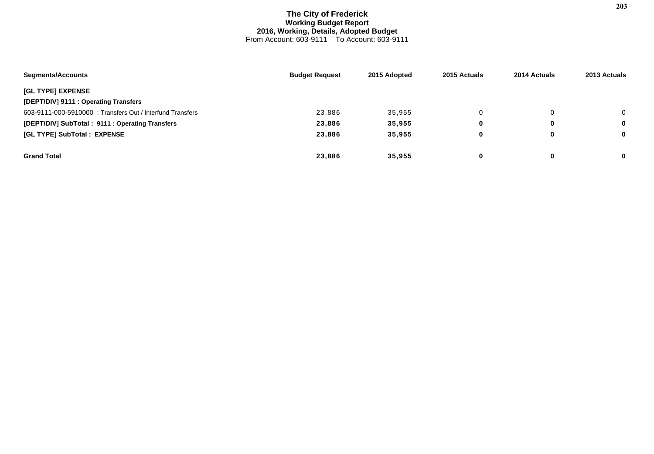# **The City of Frederick Working Budget Report 2016, Working, Details, Adopted Budget** From Account: 603-9111 To Account: 603-9111

| <b>Segments/Accounts</b>                                  | <b>Budget Request</b> | 2015 Adopted | 2015 Actuals | 2014 Actuals | 2013 Actuals |
|-----------------------------------------------------------|-----------------------|--------------|--------------|--------------|--------------|
| <b>IGL TYPEI EXPENSE</b>                                  |                       |              |              |              |              |
| [DEPT/DIV] 9111 : Operating Transfers                     |                       |              |              |              |              |
| 603-9111-000-5910000: Transfers Out / Interfund Transfers | 23.886                | 35.955       | 0            | 0            | $\Omega$     |
| [DEPT/DIV] SubTotal: 9111: Operating Transfers            | 23,886                | 35,955       | 0            | 0            | 0            |
| [GL TYPE] SubTotal: EXPENSE                               | 23,886                | 35,955       | 0            | 0            | 0            |
| <b>Grand Total</b>                                        | 23,886                | 35.955       | 0            | 0            | 0            |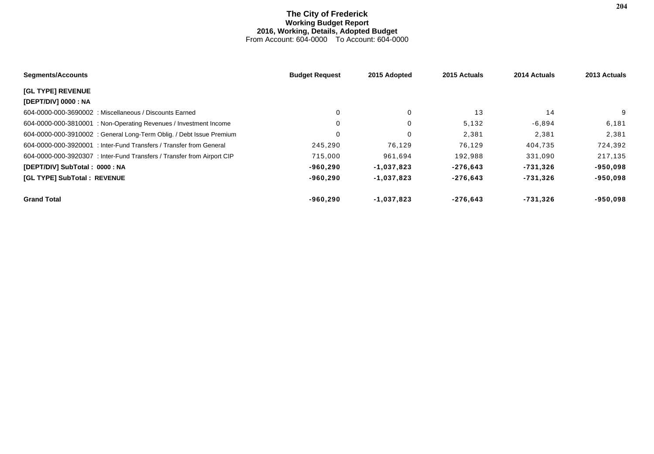#### **The City of Frederick Working Budget Report 2016, Working, Details, Adopted Budget** From Account: 604-0000 To Account: 604-0000

| <b>Segments/Accounts</b>                                                | <b>Budget Request</b> | 2015 Adopted | 2015 Actuals | 2014 Actuals | 2013 Actuals |
|-------------------------------------------------------------------------|-----------------------|--------------|--------------|--------------|--------------|
| <b>IGL TYPEI REVENUE</b>                                                |                       |              |              |              |              |
| [DEPT/DIV] 0000 : NA                                                    |                       |              |              |              |              |
| 604-0000-000-3690002 : Miscellaneous / Discounts Earned                 |                       | 0            | 13           | 14           | 9            |
| 604-0000-000-3810001: Non-Operating Revenues / Investment Income        |                       | 0            | 5,132        | $-6,894$     | 6,181        |
| 604-0000-000-3910002 : General Long-Term Oblig. / Debt Issue Premium    |                       | 0            | 2,381        | 2,381        | 2,381        |
| 604-0000-000-3920001: Inter-Fund Transfers / Transfer from General      | 245,290               | 76.129       | 76,129       | 404,735      | 724,392      |
| 604-0000-000-3920307 : Inter-Fund Transfers / Transfer from Airport CIP | 715,000               | 961.694      | 192.988      | 331,090      | 217,135      |
| [DEPT/DIV] SubTotal: 0000: NA                                           | $-960,290$            | $-1,037,823$ | $-276,643$   | $-731.326$   | $-950,098$   |
| [GL TYPE] SubTotal: REVENUE                                             | $-960,290$            | $-1,037,823$ | $-276,643$   | $-731,326$   | $-950,098$   |
| <b>Grand Total</b>                                                      | $-960.290$            | $-1,037,823$ | $-276.643$   | -731,326     | $-950,098$   |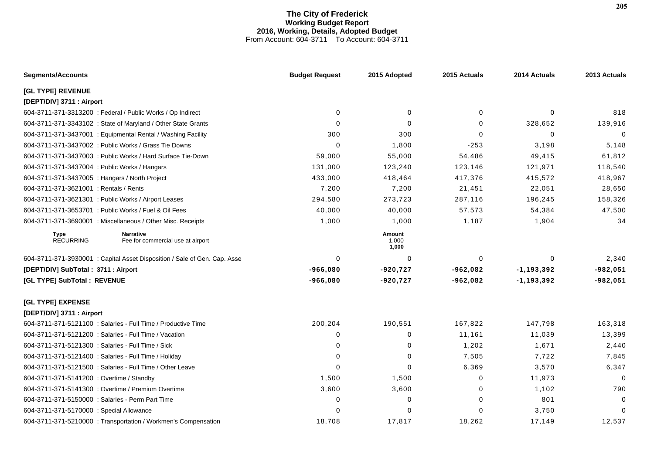# **The City of Frederick Working Budget Report 2016, Working, Details, Adopted Budget** From Account: 604-3711 To Account: 604-3711

| <b>Segments/Accounts</b>                                                                 | <b>Budget Request</b> | 2015 Adopted             | 2015 Actuals | 2014 Actuals   | 2013 Actuals |
|------------------------------------------------------------------------------------------|-----------------------|--------------------------|--------------|----------------|--------------|
| [GL TYPE] REVENUE                                                                        |                       |                          |              |                |              |
| [DEPT/DIV] 3711 : Airport                                                                |                       |                          |              |                |              |
| 604-3711-371-3313200 : Federal / Public Works / Op Indirect                              | 0                     | 0                        | 0            | 0              | 818          |
| 604-3711-371-3343102 : State of Maryland / Other State Grants                            | $\Omega$              | $\Omega$                 | $\Omega$     | 328,652        | 139,916      |
| 604-3711-371-3437001 : Equipmental Rental / Washing Facility                             | 300                   | 300                      | $\Omega$     | 0              | 0            |
| 604-3711-371-3437002 : Public Works / Grass Tie Downs                                    | 0                     | 1,800                    | $-253$       | 3,198          | 5,148        |
| 604-3711-371-3437003 : Public Works / Hard Surface Tie-Down                              | 59,000                | 55,000                   | 54,486       | 49,415         | 61,812       |
| 604-3711-371-3437004 : Public Works / Hangars                                            | 131,000               | 123,240                  | 123,146      | 121,971        | 118,540      |
| 604-3711-371-3437005 : Hangars / North Project                                           | 433,000               | 418,464                  | 417,376      | 415,572        | 418,967      |
| 604-3711-371-3621001 : Rentals / Rents                                                   | 7,200                 | 7,200                    | 21,451       | 22,051         | 28,650       |
| 604-3711-371-3621301 : Public Works / Airport Leases                                     | 294,580               | 273,723                  | 287,116      | 196,245        | 158,326      |
| 604-3711-371-3653701 : Public Works / Fuel & Oil Fees                                    | 40,000                | 40,000                   | 57,573       | 54,384         | 47,500       |
| 604-3711-371-3690001 : Miscellaneous / Other Misc. Receipts                              | 1,000                 | 1,000                    | 1,187        | 1,904          | 34           |
| <b>Narrative</b><br><b>Type</b><br><b>RECURRING</b><br>Fee for commercial use at airport |                       | Amount<br>1,000<br>1,000 |              |                |              |
| 604-3711-371-3930001 : Capital Asset Disposition / Sale of Gen. Cap. Asse                | 0                     | $\Omega$                 | $\mathbf 0$  | $\mathbf 0$    | 2,340        |
| [DEPT/DIV] SubTotal: 3711: Airport                                                       | $-966,080$            | $-920,727$               | $-962,082$   | $-1, 193, 392$ | $-982,051$   |
| [GL TYPE] SubTotal: REVENUE                                                              | $-966,080$            | $-920,727$               | $-962,082$   | $-1, 193, 392$ | $-982,051$   |
| [GL TYPE] EXPENSE                                                                        |                       |                          |              |                |              |
| [DEPT/DIV] 3711 : Airport                                                                |                       |                          |              |                |              |
| 604-3711-371-5121100 : Salaries - Full Time / Productive Time                            | 200,204               | 190,551                  | 167,822      | 147,798        | 163,318      |
| 604-3711-371-5121200 : Salaries - Full Time / Vacation                                   | 0                     | 0                        | 11,161       | 11,039         | 13,399       |
| 604-3711-371-5121300 : Salaries - Full Time / Sick                                       | 0                     | 0                        | 1,202        | 1,671          | 2,440        |
| 604-3711-371-5121400 : Salaries - Full Time / Holiday                                    | 0                     | 0                        | 7,505        | 7,722          | 7,845        |
| 604-3711-371-5121500 : Salaries - Full Time / Other Leave                                | $\Omega$              | $\Omega$                 | 6,369        | 3,570          | 6,347        |
| 604-3711-371-5141200 : Overtime / Standby                                                | 1,500                 | 1,500                    | 0            | 11,973         | $\Omega$     |
| 604-3711-371-5141300 : Overtime / Premium Overtime                                       | 3,600                 | 3,600                    | $\Omega$     | 1,102          | 790          |
| 604-3711-371-5150000 : Salaries - Perm Part Time                                         | 0                     | 0                        | 0            | 801            | $\Omega$     |
| 604-3711-371-5170000 : Special Allowance                                                 | 0                     | $\Omega$                 | $\Omega$     | 3,750          | $\Omega$     |
| 604-3711-371-5210000: Transportation / Workmen's Compensation                            | 18.708                | 17,817                   | 18,262       | 17,149         | 12,537       |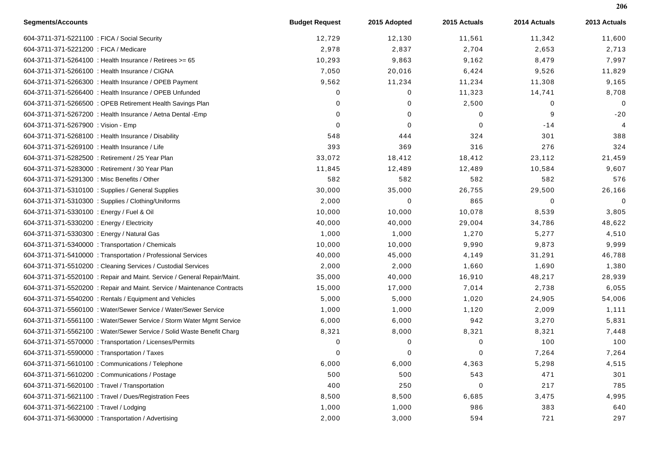| <b>Segments/Accounts</b>                                                 | <b>Budget Request</b> | 2015 Adopted | 2015 Actuals | 2014 Actuals | 2013 Actuals |
|--------------------------------------------------------------------------|-----------------------|--------------|--------------|--------------|--------------|
| 604-3711-371-5221100 : FICA / Social Security                            | 12,729                | 12,130       | 11,561       | 11,342       | 11,600       |
| 604-3711-371-5221200 : FICA / Medicare                                   | 2,978                 | 2,837        | 2,704        | 2,653        | 2,713        |
| 604-3711-371-5264100 : Health Insurance / Retirees >= 65                 | 10,293                | 9,863        | 9,162        | 8,479        | 7,997        |
| 604-3711-371-5266100 : Health Insurance / CIGNA                          | 7,050                 | 20,016       | 6,424        | 9,526        | 11,829       |
| 604-3711-371-5266300 : Health Insurance / OPEB Payment                   | 9,562                 | 11,234       | 11,234       | 11,308       | 9,165        |
| 604-3711-371-5266400 : Health Insurance / OPEB Unfunded                  | 0                     | 0            | 11,323       | 14,741       | 8,708        |
| 604-3711-371-5266500 : OPEB Retirement Health Savings Plan               | 0                     | 0            | 2,500        | 0            | 0            |
| 604-3711-371-5267200 : Health Insurance / Aetna Dental - Emp             | 0                     | 0            | 0            | 9            | $-20$        |
| 604-3711-371-5267900 : Vision - Emp                                      | $\Omega$              | 0            | 0            | $-14$        | 4            |
| 604-3711-371-5268100 : Health Insurance / Disability                     | 548                   | 444          | 324          | 301          | 388          |
| 604-3711-371-5269100 : Health Insurance / Life                           | 393                   | 369          | 316          | 276          | 324          |
| 604-3711-371-5282500 : Retirement / 25 Year Plan                         | 33,072                | 18,412       | 18,412       | 23,112       | 21,459       |
| 604-3711-371-5283000 : Retirement / 30 Year Plan                         | 11,845                | 12,489       | 12,489       | 10,584       | 9,607        |
| 604-3711-371-5291300 : Misc Benefits / Other                             | 582                   | 582          | 582          | 582          | 576          |
| 604-3711-371-5310100 : Supplies / General Supplies                       | 30,000                | 35,000       | 26,755       | 29,500       | 26,166       |
| 604-3711-371-5310300 : Supplies / Clothing/Uniforms                      | 2,000                 | 0            | 865          | 0            | 0            |
| 604-3711-371-5330100 : Energy / Fuel & Oil                               | 10,000                | 10,000       | 10,078       | 8,539        | 3,805        |
| 604-3711-371-5330200 : Energy / Electricity                              | 40,000                | 40,000       | 29,004       | 34,786       | 48,622       |
| 604-3711-371-5330300 : Energy / Natural Gas                              | 1,000                 | 1,000        | 1,270        | 5,277        | 4,510        |
| 604-3711-371-5340000 : Transportation / Chemicals                        | 10,000                | 10,000       | 9,990        | 9,873        | 9,999        |
| 604-3711-371-5410000 : Transportation / Professional Services            | 40,000                | 45,000       | 4,149        | 31,291       | 46,788       |
| 604-3711-371-5510200 : Cleaning Services / Custodial Services            | 2,000                 | 2,000        | 1,660        | 1,690        | 1,380        |
| 604-3711-371-5520100 : Repair and Maint. Service / General Repair/Maint. | 35,000                | 40,000       | 16,910       | 48,217       | 28,939       |
| 604-3711-371-5520200 : Repair and Maint. Service / Maintenance Contracts | 15,000                | 17,000       | 7,014        | 2,738        | 6,055        |
| 604-3711-371-5540200 : Rentals / Equipment and Vehicles                  | 5,000                 | 5,000        | 1,020        | 24,905       | 54,006       |
| 604-3711-371-5560100 : Water/Sewer Service / Water/Sewer Service         | 1,000                 | 1,000        | 1,120        | 2,009        | 1,111        |
| 604-3711-371-5561100 : Water/Sewer Service / Storm Water Mgmt Service    | 6,000                 | 6,000        | 942          | 3,270        | 5,831        |
| 604-3711-371-5562100 : Water/Sewer Service / Solid Waste Benefit Charg   | 8,321                 | 8,000        | 8,321        | 8,321        | 7,448        |
| 604-3711-371-5570000 : Transportation / Licenses/Permits                 | 0                     | 0            | 0            | 100          | 100          |
| 604-3711-371-5590000 : Transportation / Taxes                            | 0                     | 0            | 0            | 7,264        | 7,264        |
| 604-3711-371-5610100 : Communications / Telephone                        | 6,000                 | 6,000        | 4,363        | 5,298        | 4,515        |
| 604-3711-371-5610200 : Communications / Postage                          | 500                   | 500          | 543          | 471          | 301          |
| 604-3711-371-5620100 : Travel / Transportation                           | 400                   | 250          | 0            | 217          | 785          |
| 604-3711-371-5621100 : Travel / Dues/Registration Fees                   | 8,500                 | 8,500        | 6,685        | 3,475        | 4,995        |
| 604-3711-371-5622100 : Travel / Lodging                                  | 1,000                 | 1,000        | 986          | 383          | 640          |
| 604-3711-371-5630000 : Transportation / Advertising                      | 2,000                 | 3,000        | 594          | 721          | 297          |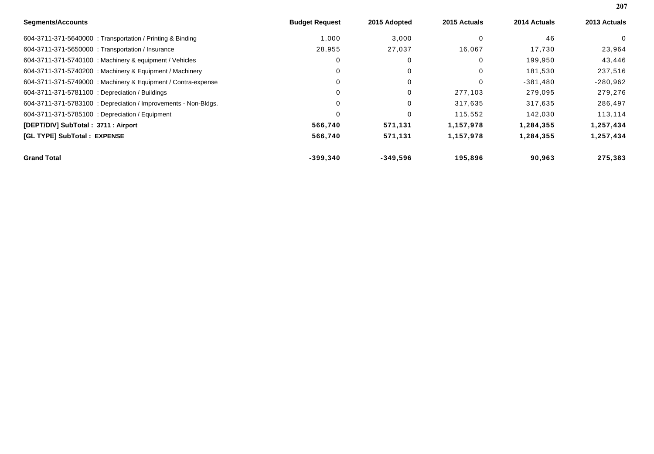| <b>Segments/Accounts</b>                                        | <b>Budget Request</b> | 2015 Adopted | 2015 Actuals | 2014 Actuals | 2013 Actuals   |
|-----------------------------------------------------------------|-----------------------|--------------|--------------|--------------|----------------|
| 604-3711-371-5640000: Transportation / Printing & Binding       | 1.000                 | 3,000        | 0            | 46           | $\overline{0}$ |
| 604-3711-371-5650000 : Transportation / Insurance               | 28,955                | 27,037       | 16,067       | 17.730       | 23,964         |
| 604-3711-371-5740100 : Machinery & equipment / Vehicles         |                       | 0            | 0            | 199,950      | 43,446         |
| 604-3711-371-5740200 : Machinery & Equipment / Machinery        |                       | 0            | 0            | 181,530      | 237,516        |
| 604-3711-371-5749000: Machinery & Equipment / Contra-expense    |                       | $\Omega$     | 0            | $-381,480$   | $-280,962$     |
| 604-3711-371-5781100 : Depreciation / Buildings                 |                       | $\Omega$     | 277,103      | 279,095      | 279,276        |
| 604-3711-371-5783100 : Depreciation / Improvements - Non-Bldgs. |                       | $\mathbf{0}$ | 317,635      | 317,635      | 286,497        |
| 604-3711-371-5785100 : Depreciation / Equipment                 |                       | 0            | 115.552      | 142,030      | 113,114        |
| [DEPT/DIV] SubTotal: 3711: Airport                              | 566,740               | 571,131      | 1,157,978    | 1,284,355    | 1,257,434      |
| [GL TYPE] SubTotal: EXPENSE                                     | 566,740               | 571,131      | 1,157,978    | 1,284,355    | 1,257,434      |
| <b>Grand Total</b>                                              | $-399,340$            | $-349.596$   | 195,896      | 90,963       | 275,383        |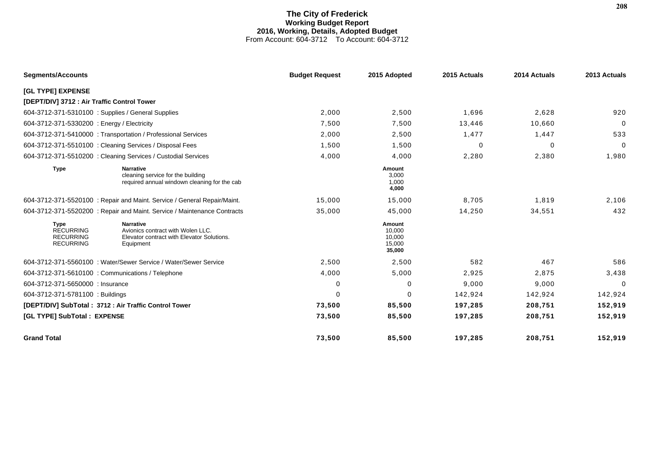# **The City of Frederick Working Budget Report 2016, Working, Details, Adopted Budget** From Account: 604-3712 To Account: 604-3712

| <b>Segments/Accounts</b>                                         |                                                                                                                  | <b>Budget Request</b> | 2015 Adopted                                   | 2015 Actuals | 2014 Actuals | 2013 Actuals |
|------------------------------------------------------------------|------------------------------------------------------------------------------------------------------------------|-----------------------|------------------------------------------------|--------------|--------------|--------------|
| [GL TYPE] EXPENSE                                                |                                                                                                                  |                       |                                                |              |              |              |
| [DEPT/DIV] 3712 : Air Traffic Control Tower                      |                                                                                                                  |                       |                                                |              |              |              |
|                                                                  | 604-3712-371-5310100 : Supplies / General Supplies                                                               | 2,000                 | 2,500                                          | 1,696        | 2,628        | 920          |
| 604-3712-371-5330200 : Energy / Electricity                      |                                                                                                                  | 7,500                 | 7,500                                          | 13,446       | 10,660       | $\Omega$     |
|                                                                  | 604-3712-371-5410000 : Transportation / Professional Services                                                    | 2,000                 | 2,500                                          | 1,477        | 1,447        | 533          |
|                                                                  | 604-3712-371-5510100 : Cleaning Services / Disposal Fees                                                         | 1,500                 | 1,500                                          | 0            | 0            | $\Omega$     |
|                                                                  | 604-3712-371-5510200 : Cleaning Services / Custodial Services                                                    | 4,000                 | 4,000                                          | 2,280        | 2,380        | 1,980        |
| <b>Type</b>                                                      | <b>Narrative</b><br>cleaning service for the building<br>required annual windown cleaning for the cab            |                       | Amount<br>3,000<br>1,000<br>4,000              |              |              |              |
|                                                                  | 604-3712-371-5520100 : Repair and Maint. Service / General Repair/Maint.                                         | 15,000                | 15,000                                         | 8,705        | 1,819        | 2,106        |
|                                                                  | 604-3712-371-5520200 : Repair and Maint. Service / Maintenance Contracts                                         | 35,000                | 45,000                                         | 14,250       | 34,551       | 432          |
| Type<br><b>RECURRING</b><br><b>RECURRING</b><br><b>RECURRING</b> | <b>Narrative</b><br>Avionics contract with Wolen LLC.<br>Elevator contract with Elevator Solutions.<br>Equipment |                       | Amount<br>10,000<br>10.000<br>15,000<br>35,000 |              |              |              |
|                                                                  | 604-3712-371-5560100 : Water/Sewer Service / Water/Sewer Service                                                 | 2,500                 | 2,500                                          | 582          | 467          | 586          |
|                                                                  | 604-3712-371-5610100 : Communications / Telephone                                                                | 4,000                 | 5,000                                          | 2,925        | 2,875        | 3,438        |
| 604-3712-371-5650000 : Insurance                                 |                                                                                                                  | 0                     | $\Omega$                                       | 9,000        | 9,000        | $\Omega$     |
| 604-3712-371-5781100 : Buildings                                 |                                                                                                                  | 0                     | 0                                              | 142,924      | 142,924      | 142,924      |
|                                                                  | [DEPT/DIV] SubTotal: 3712: Air Traffic Control Tower                                                             | 73,500                | 85,500                                         | 197,285      | 208,751      | 152,919      |
| [GL TYPE] SubTotal: EXPENSE                                      |                                                                                                                  | 73,500                | 85,500                                         | 197,285      | 208,751      | 152,919      |
| <b>Grand Total</b>                                               |                                                                                                                  | 73,500                | 85,500                                         | 197,285      | 208,751      | 152,919      |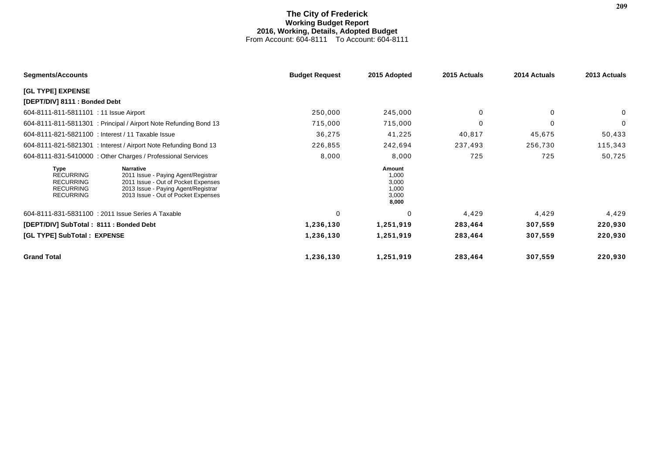# **The City of Frederick Working Budget Report 2016, Working, Details, Adopted Budget** From Account: 604-8111 To Account: 604-8111

| <b>Segments/Accounts</b>                                                                                                                                                                                                                                                    | <b>Budget Request</b> | 2015 Adopted                                        | 2015 Actuals | 2014 Actuals | 2013 Actuals |
|-----------------------------------------------------------------------------------------------------------------------------------------------------------------------------------------------------------------------------------------------------------------------------|-----------------------|-----------------------------------------------------|--------------|--------------|--------------|
| [GL TYPE] EXPENSE                                                                                                                                                                                                                                                           |                       |                                                     |              |              |              |
| [DEPT/DIV] 8111 : Bonded Debt                                                                                                                                                                                                                                               |                       |                                                     |              |              |              |
| 604-8111-811-5811101 : 11 Issue Airport                                                                                                                                                                                                                                     | 250,000               | 245,000                                             | 0            | 0            | 0            |
| 604-8111-811-5811301 : Principal / Airport Note Refunding Bond 13                                                                                                                                                                                                           | 715,000               | 715,000                                             | 0            | 0            | 0            |
| 604-8111-821-5821100 : Interest / 11 Taxable Issue                                                                                                                                                                                                                          | 36,275                | 41,225                                              | 40,817       | 45,675       | 50,433       |
| 604-8111-821-5821301 : Interest / Airport Note Refunding Bond 13                                                                                                                                                                                                            | 226,855               | 242,694                                             | 237,493      | 256,730      | 115,343      |
| 604-8111-831-5410000 : Other Charges / Professional Services                                                                                                                                                                                                                | 8,000                 | 8,000                                               | 725          | 725          | 50,725       |
| <b>Type</b><br><b>Narrative</b><br><b>RECURRING</b><br>2011 Issue - Paying Agent/Registrar<br><b>RECURRING</b><br>2011 Issue - Out of Pocket Expenses<br>2013 Issue - Paying Agent/Registrar<br><b>RECURRING</b><br><b>RECURRING</b><br>2013 Issue - Out of Pocket Expenses |                       | Amount<br>1,000<br>3,000<br>1,000<br>3,000<br>8,000 |              |              |              |
| 604-8111-831-5831100 : 2011 Issue Series A Taxable                                                                                                                                                                                                                          | $\Omega$              | $\Omega$                                            | 4,429        | 4,429        | 4,429        |
| [DEPT/DIV] SubTotal: 8111: Bonded Debt                                                                                                                                                                                                                                      | 1,236,130             | 1,251,919                                           | 283,464      | 307,559      | 220,930      |
| [GL TYPE] SubTotal: EXPENSE                                                                                                                                                                                                                                                 | 1,236,130             | 1,251,919                                           | 283,464      | 307,559      | 220,930      |
| <b>Grand Total</b>                                                                                                                                                                                                                                                          | 1,236,130             | 1,251,919                                           | 283,464      | 307,559      | 220,930      |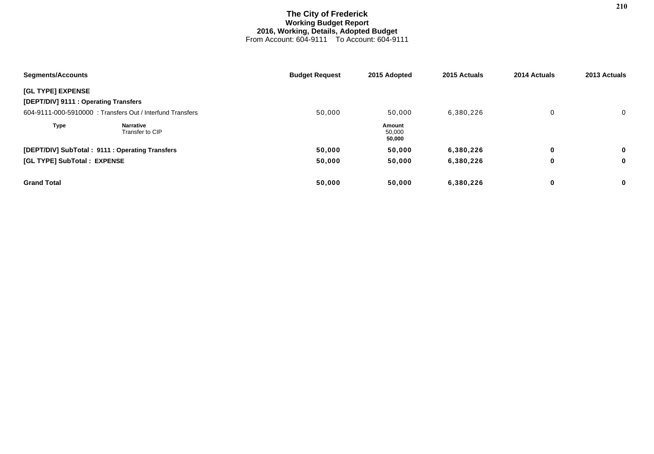# **The City of Frederick Working Budget Report 2016, Working, Details, Adopted Budget** From Account: 604-9111 To Account: 604-9111

| <b>Segments/Accounts</b>                                                                                                |                              | <b>Budget Request</b> | 2015 Adopted               | 2015 Actuals | 2014 Actuals | 2013 Actuals   |
|-------------------------------------------------------------------------------------------------------------------------|------------------------------|-----------------------|----------------------------|--------------|--------------|----------------|
| [GL TYPE] EXPENSE<br>[DEPT/DIV] 9111 : Operating Transfers<br>604-9111-000-5910000: Transfers Out / Interfund Transfers |                              | 50,000                | 50,000                     | 6,380,226    | $\mathbf 0$  | $\overline{0}$ |
| Type                                                                                                                    | Narrative<br>Transfer to CIP |                       | Amount<br>50,000<br>50,000 |              |              |                |
| [DEPT/DIV] SubTotal: 9111: Operating Transfers                                                                          |                              | 50,000                | 50,000                     | 6,380,226    | $\bf{0}$     | $\mathbf 0$    |
| [GL TYPE] SubTotal: EXPENSE                                                                                             |                              | 50,000                | 50,000                     | 6,380,226    | 0            | $\mathbf 0$    |
| <b>Grand Total</b>                                                                                                      |                              | 50.000                | 50.000                     | 6.380.226    | 0            | $\mathbf 0$    |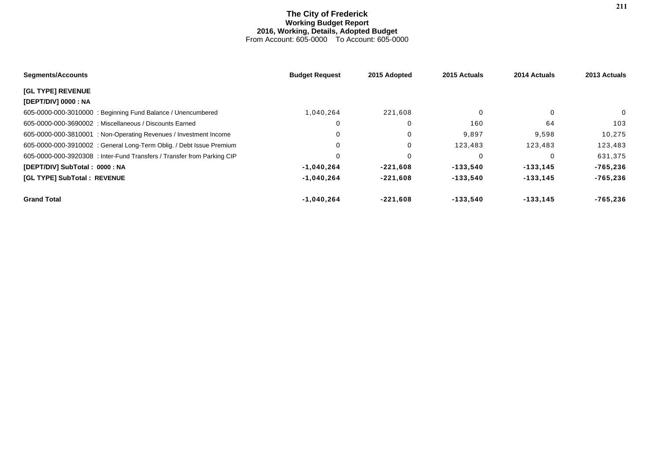### **The City of Frederick Working Budget Report 2016, Working, Details, Adopted Budget** From Account: 605-0000 To Account: 605-0000

| Segments/Accounts                                                       | <b>Budget Request</b> | 2015 Adopted | 2015 Actuals | 2014 Actuals | 2013 Actuals |
|-------------------------------------------------------------------------|-----------------------|--------------|--------------|--------------|--------------|
| <b>IGL TYPEI REVENUE</b>                                                |                       |              |              |              |              |
| [DEPT/DIV] 0000 : NA                                                    |                       |              |              |              |              |
| 605-0000-000-3010000: Beginning Fund Balance / Unencumbered             | 1.040.264             | 221.608      | 0            | $\Omega$     | $\Omega$     |
| 605-0000-000-3690002 : Miscellaneous / Discounts Earned                 | 0                     | 0            | 160          | 64           | 103          |
| 605-0000-000-3810001: Non-Operating Revenues / Investment Income        |                       | 0            | 9,897        | 9,598        | 10,275       |
| 605-0000-000-3910002 : General Long-Term Oblig. / Debt Issue Premium    |                       | $\Omega$     | 123,483      | 123.483      | 123,483      |
| 605-0000-000-3920308 : Inter-Fund Transfers / Transfer from Parking CIP |                       | $\Omega$     | 0            | 0            | 631,375      |
| [DEPT/DIV] SubTotal: 0000: NA                                           | $-1,040,264$          | $-221,608$   | $-133.540$   | $-133, 145$  | $-765,236$   |
| [GL TYPE] SubTotal: REVENUE                                             | $-1,040,264$          | $-221.608$   | $-133.540$   | $-133.145$   | $-765.236$   |
| <b>Grand Total</b>                                                      | $-1.040.264$          | $-221.608$   | $-133.540$   | $-133.145$   | $-765.236$   |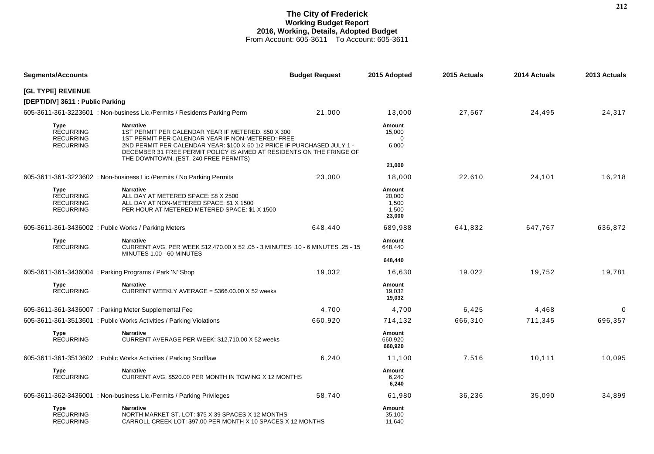### **The City of Frederick Working Budget Report 2016, Working, Details, Adopted Budget** From Account: 605-3611 To Account: 605-3611

| <b>Segments/Accounts</b>                                                |                                                                                                                                                                                                                                                                                                                            | <b>Budget Request</b> | 2015 Adopted                                           | 2015 Actuals | 2014 Actuals | 2013 Actuals |
|-------------------------------------------------------------------------|----------------------------------------------------------------------------------------------------------------------------------------------------------------------------------------------------------------------------------------------------------------------------------------------------------------------------|-----------------------|--------------------------------------------------------|--------------|--------------|--------------|
| [GL TYPE] REVENUE                                                       |                                                                                                                                                                                                                                                                                                                            |                       |                                                        |              |              |              |
| [DEPT/DIV] 3611 : Public Parking                                        |                                                                                                                                                                                                                                                                                                                            |                       |                                                        |              |              |              |
|                                                                         | 605-3611-361-3223601 : Non-business Lic./Permits / Residents Parking Perm                                                                                                                                                                                                                                                  | 21.000                | 13,000                                                 | 27.567       | 24,495       | 24,317       |
| Type<br><b>RECURRING</b><br><b>RECURRING</b><br><b>RECURRING</b>        | <b>Narrative</b><br>1ST PERMIT PER CALENDAR YEAR IF METERED: \$50 X 300<br>1ST PERMIT PER CALENDAR YEAR IF NON-METERED: FREE<br>2ND PERMIT PER CALENDAR YEAR: \$100 X 60 1/2 PRICE IF PURCHASED JULY 1 -<br>DECEMBER 31 FREE PERMIT POLICY IS AIMED AT RESIDENTS ON THE FRINGE OF<br>THE DOWNTOWN. (EST. 240 FREE PERMITS) |                       | Amount<br>15,000<br>$\Omega$<br>6,000<br>21,000        |              |              |              |
|                                                                         |                                                                                                                                                                                                                                                                                                                            |                       |                                                        |              |              |              |
| <b>Type</b><br><b>RECURRING</b><br><b>RECURRING</b><br><b>RECURRING</b> | 605-3611-361-3223602 : Non-business Lic./Permits / No Parking Permits<br><b>Narrative</b><br>ALL DAY AT METERED SPACE: \$8 X 2500<br>ALL DAY AT NON-METERED SPACE: \$1 X 1500<br>PER HOUR AT METERED METERED SPACE: \$1 X 1500                                                                                             | 23,000                | 18.000<br>Amount<br>20,000<br>1,500<br>1,500<br>23,000 | 22,610       | 24,101       | 16,218       |
|                                                                         | 605-3611-361-3436002 : Public Works / Parking Meters                                                                                                                                                                                                                                                                       | 648.440               | 689,988                                                | 641.832      | 647,767      | 636,872      |
| <b>Type</b><br><b>RECURRING</b>                                         | <b>Narrative</b><br>CURRENT AVG. PER WEEK \$12,470.00 X 52 .05 - 3 MINUTES .10 - 6 MINUTES .25 - 15<br>MINUTES 1.00 - 60 MINUTES                                                                                                                                                                                           |                       | Amount<br>648,440                                      |              |              |              |
|                                                                         |                                                                                                                                                                                                                                                                                                                            |                       | 648,440                                                |              |              |              |
|                                                                         | 605-3611-361-3436004 : Parking Programs / Park 'N' Shop                                                                                                                                                                                                                                                                    | 19,032                | 16,630                                                 | 19,022       | 19,752       | 19,781       |
| Type<br><b>RECURRING</b>                                                | <b>Narrative</b><br>CURRENT WEEKLY AVERAGE = \$366,00,00 X 52 weeks                                                                                                                                                                                                                                                        |                       | Amount<br>19,032<br>19,032                             |              |              |              |
|                                                                         | 605-3611-361-3436007 : Parking Meter Supplemental Fee                                                                                                                                                                                                                                                                      | 4.700                 | 4.700                                                  | 6,425        | 4,468        | $\mathbf 0$  |
|                                                                         | 605-3611-361-3513601 : Public Works Activities / Parking Violations                                                                                                                                                                                                                                                        | 660,920               | 714,132                                                | 666,310      | 711,345      | 696,357      |
| Type<br><b>RECURRING</b>                                                | <b>Narrative</b><br>CURRENT AVERAGE PER WEEK: \$12,710.00 X 52 weeks                                                                                                                                                                                                                                                       |                       | Amount<br>660,920<br>660,920                           |              |              |              |
|                                                                         | 605-3611-361-3513602 : Public Works Activities / Parking Scofflaw                                                                                                                                                                                                                                                          | 6,240                 | 11,100                                                 | 7,516        | 10,111       | 10,095       |
| Type<br><b>RECURRING</b>                                                | <b>Narrative</b><br>CURRENT AVG. \$520.00 PER MONTH IN TOWING X 12 MONTHS                                                                                                                                                                                                                                                  |                       | Amount<br>6,240<br>6,240                               |              |              |              |
|                                                                         | 605-3611-362-3436001: Non-business Lic./Permits / Parking Privileges                                                                                                                                                                                                                                                       | 58,740                | 61,980                                                 | 36,236       | 35,090       | 34,899       |
| Type<br><b>RECURRING</b><br><b>RECURRING</b>                            | Narrative<br>NORTH MARKET ST. LOT: \$75 X 39 SPACES X 12 MONTHS<br>CARROLL CREEK LOT: \$97.00 PER MONTH X 10 SPACES X 12 MONTHS                                                                                                                                                                                            |                       | Amount<br>35,100<br>11,640                             |              |              |              |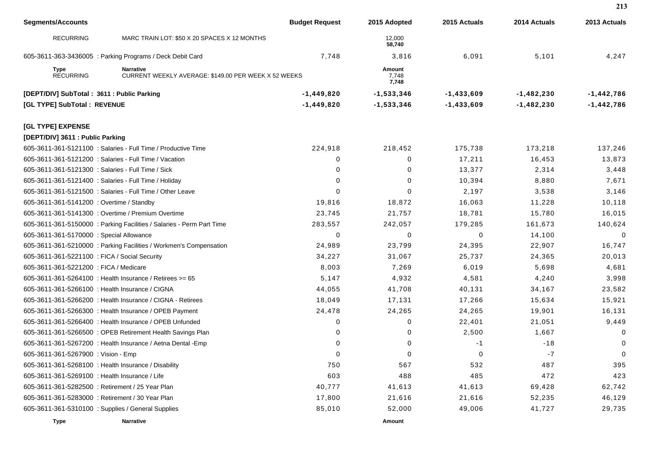| <b>Segments/Accounts</b>                               |                                                                          | <b>Budget Request</b> | 2015 Adopted             | 2015 Actuals | 2014 Actuals | 2013 Actuals |
|--------------------------------------------------------|--------------------------------------------------------------------------|-----------------------|--------------------------|--------------|--------------|--------------|
| <b>RECURRING</b>                                       | MARC TRAIN LOT: \$50 X 20 SPACES X 12 MONTHS                             |                       | 12,000<br>58,740         |              |              |              |
|                                                        | 605-3611-363-3436005 : Parking Programs / Deck Debit Card                | 7,748                 | 3,816                    | 6,091        | 5,101        | 4,247        |
| Type<br><b>RECURRING</b>                               | <b>Narrative</b><br>CURRENT WEEKLY AVERAGE: \$149.00 PER WEEK X 52 WEEKS |                       | Amount<br>7,748<br>7,748 |              |              |              |
| [DEPT/DIV] SubTotal: 3611: Public Parking              |                                                                          | $-1,449,820$          | $-1,533,346$             | $-1,433,609$ | $-1,482,230$ | $-1,442,786$ |
| [GL TYPE] SubTotal: REVENUE                            |                                                                          | $-1,449,820$          | $-1,533,346$             | $-1,433,609$ | $-1,482,230$ | $-1,442,786$ |
|                                                        |                                                                          |                       |                          |              |              |              |
| [GL TYPE] EXPENSE                                      |                                                                          |                       |                          |              |              |              |
| [DEPT/DIV] 3611 : Public Parking                       | 605-3611-361-5121100 : Salaries - Full Time / Productive Time            | 224,918               | 218,452                  | 175,738      | 173,218      | 137,246      |
| 605-3611-361-5121200 : Salaries - Full Time / Vacation |                                                                          | 0                     | 0                        | 17,211       | 16,453       | 13,873       |
| 605-3611-361-5121300 : Salaries - Full Time / Sick     |                                                                          | 0                     | 0                        | 13,377       | 2,314        | 3,448        |
| 605-3611-361-5121400 : Salaries - Full Time / Holiday  |                                                                          | 0                     | 0                        | 10,394       | 8,880        | 7,671        |
|                                                        | 605-3611-361-5121500 : Salaries - Full Time / Other Leave                | 0                     | ∩                        | 2,197        | 3,538        | 3,146        |
| 605-3611-361-5141200 : Overtime / Standby              |                                                                          | 19,816                | 18,872                   | 16,063       | 11,228       | 10,118       |
| 605-3611-361-5141300 : Overtime / Premium Overtime     |                                                                          | 23,745                | 21,757                   | 18,781       | 15,780       | 16,015       |
|                                                        | 605-3611-361-5150000: Parking Facilities / Salaries - Perm Part Time     | 283,557               | 242,057                  | 179,285      | 161,673      | 140,624      |
| 605-3611-361-5170000 : Special Allowance               |                                                                          | 0                     | $\Omega$                 | 0            | 14,100       | 0            |
|                                                        | 605-3611-361-5210000: Parking Facilities / Workmen's Compensation        | 24,989                | 23,799                   | 24,395       | 22,907       | 16,747       |
| 605-3611-361-5221100 : FICA / Social Security          |                                                                          | 34,227                | 31,067                   | 25,737       | 24,365       | 20,013       |
| 605-3611-361-5221200 : FICA / Medicare                 |                                                                          | 8,003                 | 7,269                    | 6,019        | 5,698        | 4,681        |
|                                                        | 605-3611-361-5264100 : Health Insurance / Retirees >= 65                 | 5,147                 | 4,932                    | 4,581        | 4,240        | 3,998        |
| 605-3611-361-5266100 : Health Insurance / CIGNA        |                                                                          | 44,055                | 41,708                   | 40,131       | 34,167       | 23,582       |
|                                                        | 605-3611-361-5266200 : Health Insurance / CIGNA - Retirees               | 18,049                | 17,131                   | 17,266       | 15,634       | 15,921       |
|                                                        | 605-3611-361-5266300 : Health Insurance / OPEB Payment                   | 24,478                | 24,265                   | 24,265       | 19,901       | 16,131       |
|                                                        | 605-3611-361-5266400 : Health Insurance / OPEB Unfunded                  | 0                     | 0                        | 22,401       | 21,051       | 9,449        |
|                                                        | 605-3611-361-5266500 : OPEB Retirement Health Savings Plan               | 0                     | 0                        | 2,500        | 1,667        | 0            |
|                                                        | 605-3611-361-5267200 : Health Insurance / Aetna Dental - Emp             | 0                     | 0                        | -1           | $-18$        | 0            |
| 605-3611-361-5267900 : Vision - Emp                    |                                                                          | 0                     | 0                        | 0            | -7           | 0            |
| 605-3611-361-5268100 : Health Insurance / Disability   |                                                                          | 750                   | 567                      | 532          | 487          | 395          |
| 605-3611-361-5269100 : Health Insurance / Life         |                                                                          | 603                   | 488                      | 485          | 472          | 423          |
| 605-3611-361-5282500 : Retirement / 25 Year Plan       |                                                                          | 40,777                | 41,613                   | 41,613       | 69,428       | 62,742       |
| 605-3611-361-5283000 : Retirement / 30 Year Plan       |                                                                          | 17,800                | 21,616                   | 21,616       | 52,235       | 46,129       |
| 605-3611-361-5310100 : Supplies / General Supplies     |                                                                          | 85,010                | 52,000                   | 49,006       | 41,727       | 29,735       |
| <b>Type</b>                                            | Narrative                                                                |                       | Amount                   |              |              |              |

**213**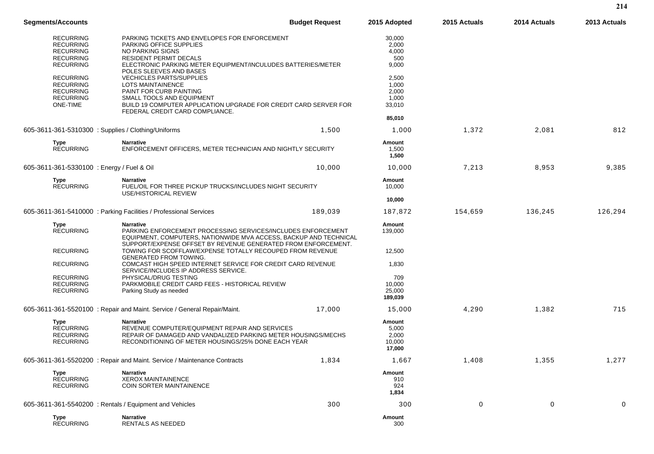| <b>Segments/Accounts</b>                                                                                                   |                                                                                                                                                                                                                                                       | <b>Budget Request</b> | 2015 Adopted                                 | 2015 Actuals | 2014 Actuals | 2013 Actuals |
|----------------------------------------------------------------------------------------------------------------------------|-------------------------------------------------------------------------------------------------------------------------------------------------------------------------------------------------------------------------------------------------------|-----------------------|----------------------------------------------|--------------|--------------|--------------|
| <b>RECURRING</b><br><b>RECURRING</b><br><b>RECURRING</b><br><b>RECURRING</b><br><b>RECURRING</b>                           | PARKING TICKETS AND ENVELOPES FOR ENFORCEMENT<br>PARKING OFFICE SUPPLIES<br>NO PARKING SIGNS<br><b>RESIDENT PERMIT DECALS</b><br>ELECTRONIC PARKING METER EQUIPMENT/INCULUDES BATTERIES/METER                                                         |                       | 30,000<br>2,000<br>4,000<br>500<br>9,000     |              |              |              |
| <b>RECURRING</b><br><b>RECURRING</b><br><b>RECURRING</b><br><b>RECURRING</b><br>ONE-TIME                                   | POLES SLEEVES AND BASES<br><b>VECHICLES PARTS/SUPPLIES</b><br><b>LOTS MAINTAINENCE</b><br>PAINT FOR CURB PAINTING<br>SMALL TOOLS AND EQUIPMENT<br>BUILD 19 COMPUTER APPLICATION UPGRADE FOR CREDIT CARD SERVER FOR<br>FEDERAL CREDIT CARD COMPLIANCE. |                       | 2,500<br>1,000<br>2,000<br>1,000<br>33,010   |              |              |              |
|                                                                                                                            |                                                                                                                                                                                                                                                       |                       | 85,010                                       |              |              |              |
|                                                                                                                            | 605-3611-361-5310300: Supplies / Clothing/Uniforms                                                                                                                                                                                                    | 1,500                 | 1,000                                        | 1,372        | 2,081        | 812          |
| Type<br><b>RECURRING</b>                                                                                                   | <b>Narrative</b><br>ENFORCEMENT OFFICERS, METER TECHNICIAN AND NIGHTLY SECURITY                                                                                                                                                                       |                       | Amount<br>1,500<br>1,500                     |              |              |              |
| 605-3611-361-5330100 : Energy / Fuel & Oil                                                                                 |                                                                                                                                                                                                                                                       | 10,000                | 10,000                                       | 7,213        | 8,953        | 9,385        |
| Type<br>Narrative<br><b>RECURRING</b><br>FUEL/OIL FOR THREE PICKUP TRUCKS/INCLUDES NIGHT SECURITY<br>USE/HISTORICAL REVIEW |                                                                                                                                                                                                                                                       |                       | Amount<br>10,000                             |              |              |              |
|                                                                                                                            |                                                                                                                                                                                                                                                       |                       | 10,000                                       |              |              |              |
|                                                                                                                            | 605-3611-361-5410000: Parking Facilities / Professional Services                                                                                                                                                                                      | 189,039               | 187,872                                      | 154,659      | 136,245      | 126,294      |
| Type<br><b>RECURRING</b>                                                                                                   | <b>Narrative</b><br>PARKING ENFORCEMENT PROCESSING SERVICES/INCLUDES ENFORCEMENT<br>EQUIPMENT, COMPUTERS, NATIONWIDE MVA ACCESS, BACKUP AND TECHNICAL<br>SUPPORT/EXPENSE OFFSET BY REVENUE GENERATED FROM ENFORCEMENT.                                |                       | Amount<br>139,000                            |              |              |              |
| <b>RECURRING</b>                                                                                                           | TOWING FOR SCOFFLAW/EXPENSE TOTALLY RECOUPED FROM REVENUE<br><b>GENERATED FROM TOWING.</b>                                                                                                                                                            |                       | 12,500                                       |              |              |              |
| <b>RECURRING</b>                                                                                                           | COMCAST HIGH SPEED INTERNET SERVICE FOR CREDIT CARD REVENUE<br>SERVICE/INCLUDES IP ADDRESS SERVICE.                                                                                                                                                   |                       | 1,830                                        |              |              |              |
| <b>RECURRING</b><br><b>RECURRING</b><br><b>RECURRING</b>                                                                   | PHYSICAL/DRUG TESTING<br>PARKMOBILE CREDIT CARD FEES - HISTORICAL REVIEW<br>Parking Study as needed                                                                                                                                                   |                       | 709<br>10,000<br>25,000<br>189,039           |              |              |              |
|                                                                                                                            | 605-3611-361-5520100 : Repair and Maint. Service / General Repair/Maint.                                                                                                                                                                              | 17,000                | 15,000                                       | 4,290        | 1,382        | 715          |
| Type<br><b>RECURRING</b><br><b>RECURRING</b><br><b>RECURRING</b>                                                           | <b>Narrative</b><br>REVENUE COMPUTER/EQUIPMENT REPAIR AND SERVICES<br>REPAIR OF DAMAGED AND VANDALIZED PARKING METER HOUSINGS/MECHS<br>RECONDITIONING OF METER HOUSINGS/25% DONE EACH YEAR                                                            |                       | Amount<br>5,000<br>2,000<br>10,000<br>17,000 |              |              |              |
|                                                                                                                            | 605-3611-361-5520200 : Repair and Maint. Service / Maintenance Contracts                                                                                                                                                                              | 1,834                 | 1,667                                        | 1,408        | 1,355        | 1,277        |
| Type<br><b>RECURRING</b><br><b>RECURRING</b>                                                                               | Narrative<br><b>XEROX MAINTAINENCE</b><br>COIN SORTER MAINTAINENCE                                                                                                                                                                                    |                       | Amount<br>910<br>924<br>1,834                |              |              |              |
|                                                                                                                            | 605-3611-361-5540200 : Rentals / Equipment and Vehicles                                                                                                                                                                                               | 300                   | 300                                          | 0            | 0            | 0            |
| Type<br>RECURRING                                                                                                          | <b>Narrative</b><br>RENTALS AS NEEDED                                                                                                                                                                                                                 |                       | Amount<br>300                                |              |              |              |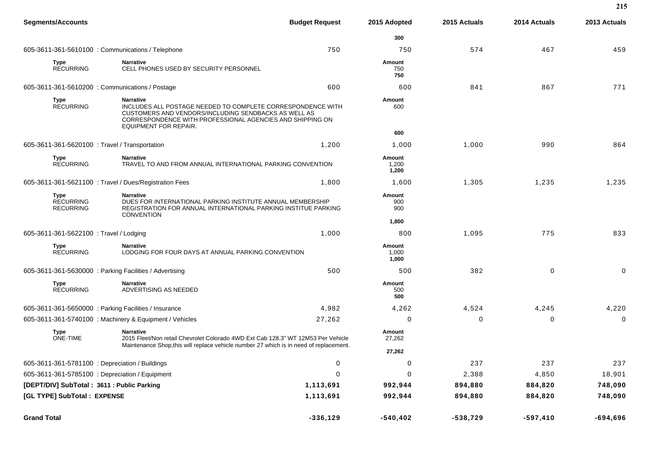| <b>Segments/Accounts</b>                                        |                                                                                                                                                                                                                               | <b>Budget Request</b>                              | 2015 Adopted         | 2015 Actuals | 2014 Actuals | 2013 Actuals |
|-----------------------------------------------------------------|-------------------------------------------------------------------------------------------------------------------------------------------------------------------------------------------------------------------------------|----------------------------------------------------|----------------------|--------------|--------------|--------------|
|                                                                 |                                                                                                                                                                                                                               |                                                    | 300                  |              |              |              |
| 605-3611-361-5610100 : Communications / Telephone               |                                                                                                                                                                                                                               | 750                                                | 750                  | 574          | 467          | 459          |
| Type<br><b>RECURRING</b>                                        | <b>Narrative</b><br>CELL PHONES USED BY SECURITY PERSONNEL                                                                                                                                                                    |                                                    | Amount<br>750<br>750 |              |              |              |
| 605-3611-361-5610200 : Communications / Postage                 |                                                                                                                                                                                                                               | 600                                                | 600                  | 841          | 867          | 771          |
| Type<br><b>RECURRING</b>                                        | <b>Narrative</b><br>INCLUDES ALL POSTAGE NEEDED TO COMPLETE CORRESPONDENCE WITH<br>CUSTOMERS AND VENDORS/INCLUDING SENDBACKS AS WELL AS<br>CORRESPONDENCE WITH PROFESSIONAL AGENCIES AND SHIPPING ON<br>EQUIPMENT FOR REPAIR. |                                                    | Amount<br>600        |              |              |              |
|                                                                 |                                                                                                                                                                                                                               |                                                    | 600                  |              |              |              |
| 605-3611-361-5620100 : Travel / Transportation                  |                                                                                                                                                                                                                               | 1,200                                              | 1,000                | 1,000        | 990          | 864          |
| <b>Type</b><br><b>RECURRING</b>                                 | <b>Narrative</b><br>TRAVEL TO AND FROM ANNUAL INTERNATIONAL PARKING CONVENTION                                                                                                                                                | Amount<br>1,200<br>1,200                           |                      |              |              |              |
| 1,800<br>605-3611-361-5621100 : Travel / Dues/Registration Fees |                                                                                                                                                                                                                               | 1,600                                              | 1,305                | 1,235        | 1,235        |              |
| Type<br><b>RECURRING</b><br><b>RECURRING</b>                    | <b>Narrative</b><br>DUES FOR INTERNATIONAL PARKING INSTITUTE ANNUAL MEMBERSHIP<br>REGISTRATION FOR ANNUAL INTERNATIONAL PARKING INSTITUE PARKING<br><b>CONVENTION</b>                                                         |                                                    | Amount<br>900<br>900 |              |              |              |
|                                                                 |                                                                                                                                                                                                                               |                                                    | 1,800                |              |              |              |
| 1,000<br>605-3611-361-5622100 : Travel / Lodging                |                                                                                                                                                                                                                               | 800                                                | 1,095                | 775          | 833          |              |
| Type<br><b>RECURRING</b>                                        | <b>Narrative</b>                                                                                                                                                                                                              | LODGING FOR FOUR DAYS AT ANNUAL PARKING CONVENTION |                      |              |              |              |
| 605-3611-361-5630000: Parking Facilities / Advertising          |                                                                                                                                                                                                                               | 500                                                | 500                  | 382          | $\mathbf 0$  | 0            |
| Type<br><b>RECURRING</b>                                        | <b>Narrative</b><br>ADVERTISING AS NEEDED                                                                                                                                                                                     |                                                    | Amount<br>500<br>500 |              |              |              |
| 605-3611-361-5650000 : Parking Facilities / Insurance           |                                                                                                                                                                                                                               | 4,982                                              | 4,262                | 4,524        | 4,245        | 4,220        |
| 605-3611-361-5740100 : Machinery & Equipment / Vehicles         |                                                                                                                                                                                                                               | 27,262                                             | 0                    | 0            | 0            | 0            |
| <b>Type</b><br><b>ONE-TIME</b>                                  | <b>Narrative</b><br>2015 Fleet/Non retail Chevrolet Colorado 4WD Ext Cab 128.3" WT 12M53 Per Vehicle<br>Maintenance Shop, this will replace vehicle number 27 which is in need of replacement.                                |                                                    | Amount<br>27,262     |              |              |              |
|                                                                 |                                                                                                                                                                                                                               |                                                    | 27,262               |              |              |              |
| 605-3611-361-5781100 : Depreciation / Buildings                 |                                                                                                                                                                                                                               | 0                                                  | 0                    | 237          | 237          | 237          |
| 605-3611-361-5785100 : Depreciation / Equipment                 |                                                                                                                                                                                                                               | 0                                                  | $\mathbf 0$          | 2,388        | 4,850        | 18,901       |
| [DEPT/DIV] SubTotal: 3611 : Public Parking                      |                                                                                                                                                                                                                               | 1,113,691                                          | 992,944              | 894,880      | 884,820      | 748,090      |
| [GL TYPE] SubTotal: EXPENSE                                     |                                                                                                                                                                                                                               | 1,113,691                                          | 992,944              | 894,880      | 884,820      | 748,090      |
| <b>Grand Total</b>                                              |                                                                                                                                                                                                                               | $-336,129$                                         | $-540,402$           | $-538,729$   | $-597,410$   | $-694,696$   |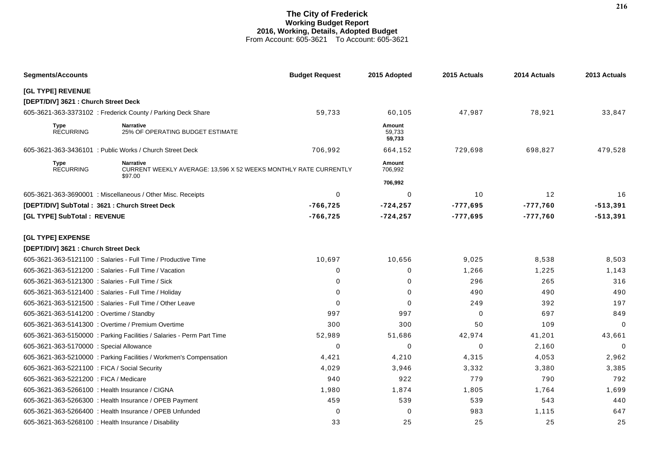## **The City of Frederick Working Budget Report 2016, Working, Details, Adopted Budget** From Account: 605-3621 To Account: 605-3621

| <b>Segments/Accounts</b>                                  |                                                                                                 | <b>Budget Request</b> | 2015 Adopted               | 2015 Actuals | 2014 Actuals | 2013 Actuals |
|-----------------------------------------------------------|-------------------------------------------------------------------------------------------------|-----------------------|----------------------------|--------------|--------------|--------------|
| [GL TYPE] REVENUE                                         |                                                                                                 |                       |                            |              |              |              |
| [DEPT/DIV] 3621 : Church Street Deck                      |                                                                                                 |                       |                            |              |              |              |
|                                                           | 605-3621-363-3373102 : Frederick County / Parking Deck Share                                    | 59,733                | 60,105                     | 47,987       | 78,921       | 33,847       |
| Type<br><b>RECURRING</b>                                  | <b>Narrative</b><br>25% OF OPERATING BUDGET ESTIMATE                                            |                       | Amount<br>59,733<br>59,733 |              |              |              |
| 605-3621-363-3436101 : Public Works / Church Street Deck  |                                                                                                 | 706,992               | 664,152                    | 729,698      | 698,827      | 479,528      |
| <b>Type</b><br><b>RECURRING</b>                           | <b>Narrative</b><br>CURRENT WEEKLY AVERAGE: 13,596 X 52 WEEKS MONTHLY RATE CURRENTLY<br>\$97.00 |                       | Amount<br>706,992          |              |              |              |
|                                                           |                                                                                                 |                       | 706,992                    |              |              |              |
|                                                           | 605-3621-363-3690001 : Miscellaneous / Other Misc. Receipts                                     | 0                     | 0                          | 10           | 12           | 16           |
| [DEPT/DIV] SubTotal: 3621: Church Street Deck             |                                                                                                 | $-766,725$            | $-724, 257$                | $-777,695$   | $-777,760$   | $-513,391$   |
| [GL TYPE] SubTotal: REVENUE                               |                                                                                                 | $-766,725$            | $-724, 257$                | $-777,695$   | $-777,760$   | $-513,391$   |
| [GL TYPE] EXPENSE<br>[DEPT/DIV] 3621 : Church Street Deck |                                                                                                 |                       |                            |              |              |              |
|                                                           | 605-3621-363-5121100 : Salaries - Full Time / Productive Time                                   | 10,697                | 10,656                     | 9,025        | 8,538        | 8,503        |
| 605-3621-363-5121200 : Salaries - Full Time / Vacation    |                                                                                                 | 0                     | $\Omega$                   | 1,266        | 1,225        | 1,143        |
| 605-3621-363-5121300 : Salaries - Full Time / Sick        |                                                                                                 | $\Omega$              | 0                          | 296          | 265          | 316          |
| 605-3621-363-5121400 : Salaries - Full Time / Holiday     |                                                                                                 | 0                     | $\Omega$                   | 490          | 490          | 490          |
| 605-3621-363-5121500 : Salaries - Full Time / Other Leave |                                                                                                 | $\Omega$              | $\Omega$                   | 249          | 392          | 197          |
| 605-3621-363-5141200 : Overtime / Standby                 |                                                                                                 | 997                   | 997                        | $\Omega$     | 697          | 849          |
| 605-3621-363-5141300 : Overtime / Premium Overtime        |                                                                                                 | 300                   | 300                        | 50           | 109          | $\Omega$     |
|                                                           | 605-3621-363-5150000: Parking Facilities / Salaries - Perm Part Time                            | 52,989                | 51,686                     | 42,974       | 41,201       | 43,661       |
| 605-3621-363-5170000 : Special Allowance                  |                                                                                                 | 0                     | 0                          | 0            | 2,160        | $\mathbf 0$  |
|                                                           | 605-3621-363-5210000: Parking Facilities / Workmen's Compensation                               | 4,421                 | 4,210                      | 4,315        | 4,053        | 2,962        |
| 605-3621-363-5221100 : FICA / Social Security             |                                                                                                 | 4,029                 | 3,946                      | 3,332        | 3,380        | 3,385        |
| 605-3621-363-5221200 : FICA / Medicare                    |                                                                                                 | 940                   | 922                        | 779          | 790          | 792          |
| 605-3621-363-5266100 : Health Insurance / CIGNA           |                                                                                                 | 1,980                 | 1,874                      | 1,805        | 1,764        | 1,699        |
| 605-3621-363-5266300 : Health Insurance / OPEB Payment    |                                                                                                 | 459                   | 539                        | 539          | 543          | 440          |
|                                                           | 605-3621-363-5266400 : Health Insurance / OPEB Unfunded                                         | 0                     | $\Omega$                   | 983          | 1,115        | 647          |
| 605-3621-363-5268100 : Health Insurance / Disability      |                                                                                                 | 33                    | 25                         | 25           | 25           | 25           |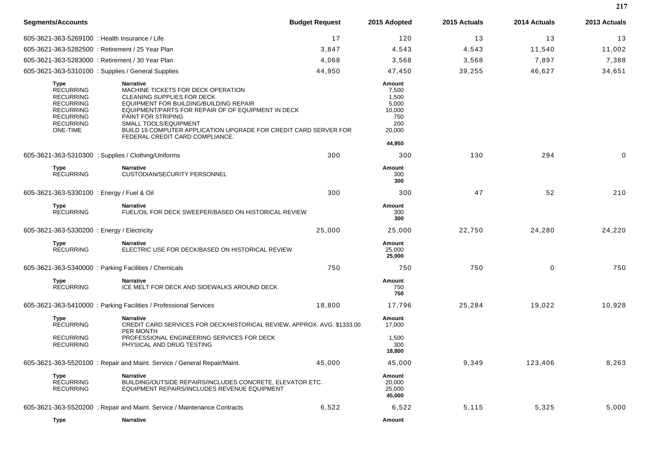| <b>Segments/Accounts</b>                                                                                                                        |                                                                                                                                                                                                                                                                                                                                            | <b>Budget Request</b> | 2015 Adopted                                                                  | 2015 Actuals | 2014 Actuals | 2013 Actuals |
|-------------------------------------------------------------------------------------------------------------------------------------------------|--------------------------------------------------------------------------------------------------------------------------------------------------------------------------------------------------------------------------------------------------------------------------------------------------------------------------------------------|-----------------------|-------------------------------------------------------------------------------|--------------|--------------|--------------|
| 605-3621-363-5269100 : Health Insurance / Life                                                                                                  |                                                                                                                                                                                                                                                                                                                                            | 17                    | 120                                                                           | 13           | 13           | 13           |
|                                                                                                                                                 | 605-3621-363-5282500 : Retirement / 25 Year Plan                                                                                                                                                                                                                                                                                           | 3,847                 | 4,543                                                                         | 4,543        | 11,540       | 11,002       |
|                                                                                                                                                 | 605-3621-363-5283000 : Retirement / 30 Year Plan                                                                                                                                                                                                                                                                                           | 4,068                 | 3,568                                                                         | 3,568        | 7,897        | 7,388        |
|                                                                                                                                                 | 605-3621-363-5310100 : Supplies / General Supplies                                                                                                                                                                                                                                                                                         | 44,950                | 47,450                                                                        | 39,255       | 46,627       | 34,651       |
| Type<br><b>RECURRING</b><br><b>RECURRING</b><br><b>RECURRING</b><br><b>RECURRING</b><br><b>RECURRING</b><br><b>RECURRING</b><br><b>ONE-TIME</b> | Narrative<br>MACHINE TICKETS FOR DECK OPERATION<br>CLEANING SUPPLIES FOR DECK<br>EQUIPMENT FOR BUILDING/BUILDING REPAIR<br>EQUIPMENT/PARTS FOR REPAIR OF OF EQUIPMENT IN DECK<br>PAINT FOR STRIPING<br><b>SMALL TOOLS/EQUIPMENT</b><br>BUILD 19 COMPUTER APPLICATION UPGRADE FOR CREDIT CARD SERVER FOR<br>FEDERAL CREDIT CARD COMPLIANCE. |                       | Amount<br>7,500<br>1,500<br>5,000<br>10,000<br>750<br>200<br>20,000<br>44,950 |              |              |              |
|                                                                                                                                                 | 605-3621-363-5310300: Supplies / Clothing/Uniforms                                                                                                                                                                                                                                                                                         | 300                   | 300                                                                           | 130          | 294          | 0            |
| Type<br><b>RECURRING</b>                                                                                                                        | <b>Narrative</b><br><b>CUSTODIAN/SECURITY PERSONNEL</b>                                                                                                                                                                                                                                                                                    |                       | Amount<br>300<br>300                                                          |              |              |              |
| 605-3621-363-5330100 : Energy / Fuel & Oil                                                                                                      |                                                                                                                                                                                                                                                                                                                                            | 300                   | 300                                                                           | 47           | 52           | 210          |
| Type<br><b>RECURRING</b>                                                                                                                        | <b>Narrative</b><br>FUEL/OIL FOR DECK SWEEPER/BASED ON HISTORICAL REVIEW                                                                                                                                                                                                                                                                   |                       | Amount<br>300<br>300                                                          |              |              |              |
| 605-3621-363-5330200 : Energy / Electricity                                                                                                     |                                                                                                                                                                                                                                                                                                                                            | 25,000                | 25,000                                                                        | 22,750       | 24,280       | 24,220       |
| Type<br><b>RECURRING</b>                                                                                                                        | Narrative<br>ELECTRIC USE FOR DECK/BASED ON HISTORICAL REVIEW                                                                                                                                                                                                                                                                              |                       | Amount<br>25,000<br>25,000                                                    |              |              |              |
|                                                                                                                                                 | 605-3621-363-5340000 : Parking Facilities / Chemicals                                                                                                                                                                                                                                                                                      | 750                   | 750                                                                           | 750          | 0            | 750          |
| Type<br><b>RECURRING</b>                                                                                                                        | Narrative<br>ICE MELT FOR DECK AND SIDEWALKS AROUND DECK                                                                                                                                                                                                                                                                                   |                       | Amount<br>750<br>750                                                          |              |              |              |
|                                                                                                                                                 | 605-3621-363-5410000: Parking Facilities / Professional Services                                                                                                                                                                                                                                                                           | 18,800                | 17,796                                                                        | 25,284       | 19,022       | 10,928       |
| Type<br><b>RECURRING</b>                                                                                                                        | <b>Narrative</b><br>CREDIT CARD SERVICES FOR DECK/HISTORICAL REVIEW, APPROX. AVG. \$1333.00<br><b>PER MONTH</b>                                                                                                                                                                                                                            |                       | Amount<br>17,000                                                              |              |              |              |
| <b>RECURRING</b><br><b>RECURRING</b>                                                                                                            | PROFESSIONAL ENGINEERING SERVICES FOR DECK<br>PHYSICAL AND DRUG TESTING                                                                                                                                                                                                                                                                    |                       | 1,500<br>300<br>18,800                                                        |              |              |              |
|                                                                                                                                                 | 605-3621-363-5520100 : Repair and Maint. Service / General Repair/Maint.                                                                                                                                                                                                                                                                   | 45,000                | 45,000                                                                        | 9,349        | 123,406      | 8,263        |
| Type<br><b>RECURRING</b><br><b>RECURRING</b>                                                                                                    | <b>Narrative</b><br>BUILDING/OUTSIDE REPAIRS/INCLUDES CONCRETE, ELEVATOR ETC.<br>EQUIPMENT REPAIRS/INCLUDES REVENUE EQUIPMENT                                                                                                                                                                                                              |                       | Amount<br>20,000<br>25,000<br>45,000                                          |              |              |              |
|                                                                                                                                                 | 605-3621-363-5520200 : Repair and Maint. Service / Maintenance Contracts                                                                                                                                                                                                                                                                   | 6,522                 | 6,522                                                                         | 5,115        | 5,325        | 5,000        |
| Type                                                                                                                                            | Narrative                                                                                                                                                                                                                                                                                                                                  |                       | Amount                                                                        |              |              |              |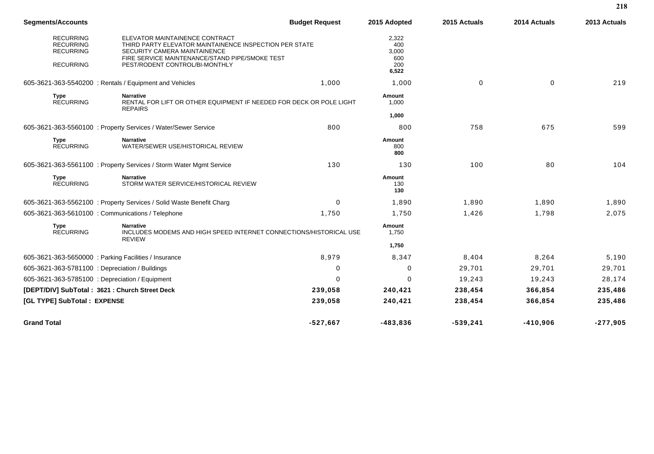| <b>Segments/Accounts</b>                                                                                                                     |                                                                                                                                                                                                              | <b>Budget Request</b> | 2015 Adopted                                 | 2015 Actuals | 2014 Actuals | 2013 Actuals |
|----------------------------------------------------------------------------------------------------------------------------------------------|--------------------------------------------------------------------------------------------------------------------------------------------------------------------------------------------------------------|-----------------------|----------------------------------------------|--------------|--------------|--------------|
| <b>RECURRING</b><br><b>RECURRING</b><br><b>RECURRING</b><br><b>RECURRING</b>                                                                 | ELEVATOR MAINTAINENCE CONTRACT<br>THIRD PARTY ELEVATOR MAINTAINENCE INSPECTION PER STATE<br>SECURITY CAMERA MAINTAINENCE<br>FIRE SERVICE MAINTENANCE/STAND PIPE/SMOKE TEST<br>PEST/RODENT CONTROL/BI-MONTHLY |                       | 2,322<br>400<br>3,000<br>600<br>200<br>6,522 |              |              |              |
|                                                                                                                                              | 605-3621-363-5540200: Rentals / Equipment and Vehicles                                                                                                                                                       | 1,000                 | 1,000                                        | $\mathbf 0$  | $\pmb{0}$    | 219          |
| <b>Narrative</b><br><b>Type</b><br><b>RECURRING</b><br>RENTAL FOR LIFT OR OTHER EQUIPMENT IF NEEDED FOR DECK OR POLE LIGHT<br><b>REPAIRS</b> |                                                                                                                                                                                                              |                       | Amount<br>1,000                              |              |              |              |
|                                                                                                                                              |                                                                                                                                                                                                              |                       | 1,000                                        |              |              |              |
|                                                                                                                                              | 605-3621-363-5560100: Property Services / Water/Sewer Service                                                                                                                                                | 800                   | 800                                          | 758          | 675          | 599          |
| <b>Type</b><br><b>RECURRING</b>                                                                                                              | <b>Narrative</b><br>WATER/SEWER USE/HISTORICAL REVIEW                                                                                                                                                        |                       | Amount<br>800<br>800                         |              |              |              |
|                                                                                                                                              | 605-3621-363-5561100: Property Services / Storm Water Mgmt Service                                                                                                                                           | 130                   | 130                                          | 100          | 80           | 104          |
| Type<br><b>RECURRING</b>                                                                                                                     | <b>Narrative</b><br>STORM WATER SERVICE/HISTORICAL REVIEW                                                                                                                                                    |                       | Amount<br>130<br>130                         |              |              |              |
|                                                                                                                                              | 605-3621-363-5562100: Property Services / Solid Waste Benefit Charg                                                                                                                                          | $\Omega$              | 1,890                                        | 1,890        | 1,890        | 1,890        |
|                                                                                                                                              | 605-3621-363-5610100 : Communications / Telephone                                                                                                                                                            | 1,750                 | 1,750                                        | 1,426        | 1,798        | 2,075        |
| Type<br><b>RECURRING</b>                                                                                                                     | <b>Narrative</b><br>INCLUDES MODEMS AND HIGH SPEED INTERNET CONNECTIONS/HISTORICAL USE<br><b>REVIEW</b>                                                                                                      |                       | Amount<br>1,750                              |              |              |              |
|                                                                                                                                              |                                                                                                                                                                                                              |                       | 1,750                                        |              |              |              |
| 605-3621-363-5650000: Parking Facilities / Insurance                                                                                         |                                                                                                                                                                                                              | 8,979                 | 8,347                                        | 8,404        | 8,264        | 5,190        |
| 605-3621-363-5781100 : Depreciation / Buildings                                                                                              |                                                                                                                                                                                                              | $\Omega$              | $\Omega$                                     | 29,701       | 29.701       | 29,701       |
| 605-3621-363-5785100 : Depreciation / Equipment                                                                                              |                                                                                                                                                                                                              | $\Omega$              | $\Omega$                                     | 19,243       | 19,243       | 28,174       |
| [DEPT/DIV] SubTotal: 3621: Church Street Deck                                                                                                |                                                                                                                                                                                                              | 239,058               | 240,421                                      | 238,454      | 366,854      | 235,486      |
| [GL TYPE] SubTotal: EXPENSE                                                                                                                  |                                                                                                                                                                                                              | 239,058               | 240,421                                      | 238,454      | 366,854      | 235,486      |
| <b>Grand Total</b>                                                                                                                           |                                                                                                                                                                                                              | $-527,667$            | $-483,836$                                   | $-539,241$   | $-410,906$   | $-277,905$   |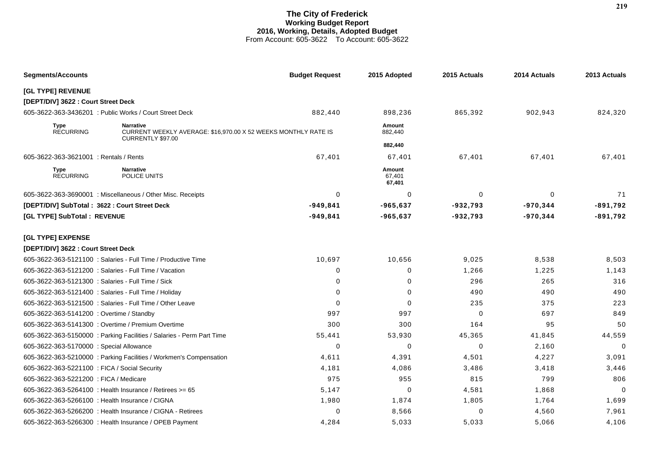## **The City of Frederick Working Budget Report 2016, Working, Details, Adopted Budget** From Account: 605-3622 To Account: 605-3622

| <b>Segments/Accounts</b>                                 |                                                                                                         | <b>Budget Request</b> | 2015 Adopted               | 2015 Actuals | 2014 Actuals | 2013 Actuals |
|----------------------------------------------------------|---------------------------------------------------------------------------------------------------------|-----------------------|----------------------------|--------------|--------------|--------------|
| [GL TYPE] REVENUE                                        |                                                                                                         |                       |                            |              |              |              |
| [DEPT/DIV] 3622 : Court Street Deck                      |                                                                                                         |                       |                            |              |              |              |
|                                                          | 605-3622-363-3436201: Public Works / Court Street Deck                                                  | 882,440               | 898,236                    | 865,392      | 902,943      | 824,320      |
| <b>Type</b><br><b>RECURRING</b>                          | <b>Narrative</b><br>CURRENT WEEKLY AVERAGE: \$16,970.00 X 52 WEEKS MONTHLY RATE IS<br>CURRENTLY \$97.00 |                       | Amount<br>882,440          |              |              |              |
|                                                          |                                                                                                         |                       | 882,440                    |              |              |              |
| 605-3622-363-3621001 : Rentals / Rents                   |                                                                                                         | 67,401                | 67,401                     | 67,401       | 67,401       | 67,401       |
| Type<br><b>RECURRING</b>                                 | <b>Narrative</b><br>POLICE UNITS                                                                        |                       | Amount<br>67,401<br>67,401 |              |              |              |
|                                                          | 605-3622-363-3690001 : Miscellaneous / Other Misc. Receipts                                             | 0                     | 0                          | 0            | 0            | 71           |
| [DEPT/DIV] SubTotal: 3622: Court Street Deck             |                                                                                                         | $-949,841$            | $-965,637$                 | $-932,793$   | $-970,344$   | $-891,792$   |
| [GL TYPE] SubTotal: REVENUE                              |                                                                                                         | $-949,841$            | $-965,637$                 | $-932,793$   | $-970,344$   | $-891,792$   |
| [GL TYPE] EXPENSE<br>[DEPT/DIV] 3622 : Court Street Deck |                                                                                                         |                       |                            |              |              |              |
|                                                          | 605-3622-363-5121100 : Salaries - Full Time / Productive Time                                           | 10,697                | 10,656                     | 9,025        | 8,538        | 8,503        |
|                                                          | 605-3622-363-5121200 : Salaries - Full Time / Vacation                                                  | 0                     | 0                          | 1,266        | 1,225        | 1,143        |
| 605-3622-363-5121300 : Salaries - Full Time / Sick       |                                                                                                         | 0                     | $\Omega$                   | 296          | 265          | 316          |
|                                                          | 605-3622-363-5121400 : Salaries - Full Time / Holiday                                                   | 0                     | 0                          | 490          | 490          | 490          |
|                                                          | 605-3622-363-5121500 : Salaries - Full Time / Other Leave                                               | 0                     | $\Omega$                   | 235          | 375          | 223          |
| 605-3622-363-5141200 : Overtime / Standby                |                                                                                                         | 997                   | 997                        | $\mathbf 0$  | 697          | 849          |
|                                                          | 605-3622-363-5141300 : Overtime / Premium Overtime                                                      | 300                   | 300                        | 164          | 95           | 50           |
|                                                          | 605-3622-363-5150000: Parking Facilities / Salaries - Perm Part Time                                    | 55,441                | 53,930                     | 45,365       | 41,845       | 44,559       |
| 605-3622-363-5170000 : Special Allowance                 |                                                                                                         | 0                     | 0                          | 0            | 2,160        | $\mathbf 0$  |
|                                                          | 605-3622-363-5210000: Parking Facilities / Workmen's Compensation                                       | 4,611                 | 4,391                      | 4,501        | 4,227        | 3,091        |
| 605-3622-363-5221100 : FICA / Social Security            |                                                                                                         | 4,181                 | 4,086                      | 3,486        | 3,418        | 3,446        |
| 605-3622-363-5221200 : FICA / Medicare                   |                                                                                                         | 975                   | 955                        | 815          | 799          | 806          |
|                                                          | 605-3622-363-5264100 : Health Insurance / Retirees >= 65                                                | 5,147                 | $\Omega$                   | 4,581        | 1,868        | $\mathbf{0}$ |
| 605-3622-363-5266100 : Health Insurance / CIGNA          |                                                                                                         | 1,980                 | 1,874                      | 1,805        | 1,764        | 1,699        |
|                                                          | 605-3622-363-5266200 : Health Insurance / CIGNA - Retirees                                              | 0                     | 8,566                      | $\Omega$     | 4,560        | 7,961        |
|                                                          | 605-3622-363-5266300 : Health Insurance / OPEB Payment                                                  | 4,284                 | 5,033                      | 5,033        | 5,066        | 4,106        |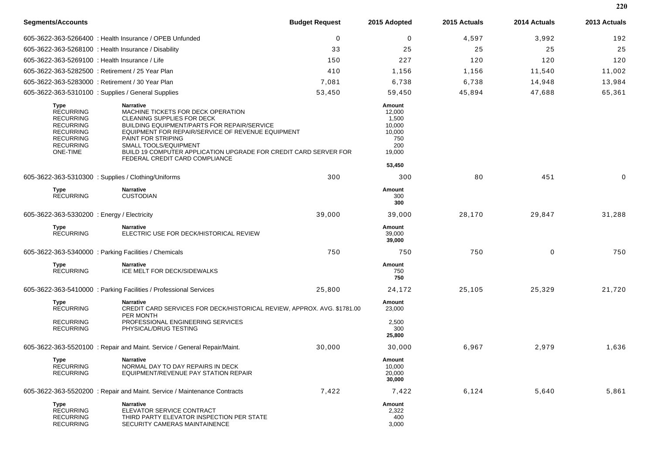| <b>Segments/Accounts</b>                                                                                                                 |                                                                                                                                                                                                                                                                                                                                               | <b>Budget Request</b> | 2015 Adopted                                                                    | 2015 Actuals | 2014 Actuals | 2013 Actuals |
|------------------------------------------------------------------------------------------------------------------------------------------|-----------------------------------------------------------------------------------------------------------------------------------------------------------------------------------------------------------------------------------------------------------------------------------------------------------------------------------------------|-----------------------|---------------------------------------------------------------------------------|--------------|--------------|--------------|
|                                                                                                                                          | 605-3622-363-5266400 : Health Insurance / OPEB Unfunded                                                                                                                                                                                                                                                                                       | 0                     | 0                                                                               | 4,597        | 3,992        | 192          |
|                                                                                                                                          | 605-3622-363-5268100 : Health Insurance / Disability                                                                                                                                                                                                                                                                                          | 33                    | 25                                                                              | 25           | 25           | 25           |
| 605-3622-363-5269100 : Health Insurance / Life                                                                                           |                                                                                                                                                                                                                                                                                                                                               | 150                   | 227                                                                             | 120          | 120          | 120          |
|                                                                                                                                          | 605-3622-363-5282500 : Retirement / 25 Year Plan                                                                                                                                                                                                                                                                                              | 410                   | 1,156                                                                           | 1,156        | 11,540       | 11,002       |
|                                                                                                                                          | 605-3622-363-5283000 : Retirement / 30 Year Plan                                                                                                                                                                                                                                                                                              | 7,081                 | 6,738                                                                           | 6,738        | 14,948       | 13,984       |
|                                                                                                                                          | 605-3622-363-5310100 : Supplies / General Supplies                                                                                                                                                                                                                                                                                            | 53,450                | 59,450                                                                          | 45,894       | 47,688       | 65,361       |
| Type<br><b>RECURRING</b><br><b>RECURRING</b><br><b>RECURRING</b><br><b>RECURRING</b><br><b>RECURRING</b><br><b>RECURRING</b><br>ONE-TIME | Narrative<br>MACHINE TICKETS FOR DECK OPERATION<br>CLEANING SUPPLIES FOR DECK<br><b>BUILDING EQUIPMENT/PARTS FOR REPAIR/SERVICE</b><br>EQUIPMENT FOR REPAIR/SERVICE OF REVENUE EQUIPMENT<br>PAINT FOR STRIPING<br>SMALL TOOLS/EQUIPMENT<br>BUILD 19 COMPUTER APPLICATION UPGRADE FOR CREDIT CARD SERVER FOR<br>FEDERAL CREDIT CARD COMPLIANCE |                       | Amount<br>12,000<br>1,500<br>10,000<br>10,000<br>750<br>200<br>19,000<br>53,450 |              |              |              |
|                                                                                                                                          | 605-3622-363-5310300 : Supplies / Clothing/Uniforms                                                                                                                                                                                                                                                                                           | 300                   | 300                                                                             | 80           | 451          | 0            |
| Type<br><b>RECURRING</b>                                                                                                                 | <b>Narrative</b><br><b>CUSTODIAN</b>                                                                                                                                                                                                                                                                                                          |                       | Amount<br>300<br>300                                                            |              |              |              |
| 605-3622-363-5330200 : Energy / Electricity                                                                                              |                                                                                                                                                                                                                                                                                                                                               | 39,000                | 39,000                                                                          | 28,170       | 29,847       | 31,288       |
| Type<br><b>RECURRING</b>                                                                                                                 | <b>Narrative</b><br>ELECTRIC USE FOR DECK/HISTORICAL REVIEW                                                                                                                                                                                                                                                                                   |                       | Amount<br>39,000<br>39,000                                                      |              |              |              |
|                                                                                                                                          | 605-3622-363-5340000 : Parking Facilities / Chemicals                                                                                                                                                                                                                                                                                         | 750                   | 750                                                                             | 750          | 0            | 750          |
| Type<br><b>RECURRING</b>                                                                                                                 | Narrative<br>ICE MELT FOR DECK/SIDEWALKS                                                                                                                                                                                                                                                                                                      |                       | Amount<br>750<br>750                                                            |              |              |              |
|                                                                                                                                          | 605-3622-363-5410000: Parking Facilities / Professional Services                                                                                                                                                                                                                                                                              | 25,800                | 24,172                                                                          | 25,105       | 25,329       | 21,720       |
| Type<br><b>RECURRING</b><br><b>RECURRING</b>                                                                                             | <b>Narrative</b><br>CREDIT CARD SERVICES FOR DECK/HISTORICAL REVIEW, APPROX. AVG. \$1781.00<br><b>PER MONTH</b><br>PROFESSIONAL ENGINEERING SERVICES                                                                                                                                                                                          |                       | Amount<br>23,000<br>2,500                                                       |              |              |              |
| <b>RECURRING</b>                                                                                                                         | PHYSICAL/DRUG TESTING                                                                                                                                                                                                                                                                                                                         |                       | 300<br>25,800                                                                   |              |              |              |
|                                                                                                                                          | 605-3622-363-5520100 : Repair and Maint. Service / General Repair/Maint.                                                                                                                                                                                                                                                                      | 30,000                | 30,000                                                                          | 6,967        | 2,979        | 1,636        |
| Type<br><b>RECURRING</b><br><b>RECURRING</b>                                                                                             | <b>Narrative</b><br>NORMAL DAY TO DAY REPAIRS IN DECK<br>EQUIPMENT/REVENUE PAY STATION REPAIR                                                                                                                                                                                                                                                 |                       | Amount<br>10,000<br>20,000<br>30,000                                            |              |              |              |
|                                                                                                                                          | 605-3622-363-5520200: Repair and Maint. Service / Maintenance Contracts                                                                                                                                                                                                                                                                       | 7,422                 | 7,422                                                                           | 6,124        | 5,640        | 5,861        |
| Type<br><b>RECURRING</b><br><b>RECURRING</b><br><b>RECURRING</b>                                                                         | <b>Narrative</b><br>ELEVATOR SERVICE CONTRACT<br>THIRD PARTY ELEVATOR INSPECTION PER STATE<br>SECURITY CAMERAS MAINTAINENCE                                                                                                                                                                                                                   |                       | Amount<br>2,322<br>400<br>3,000                                                 |              |              |              |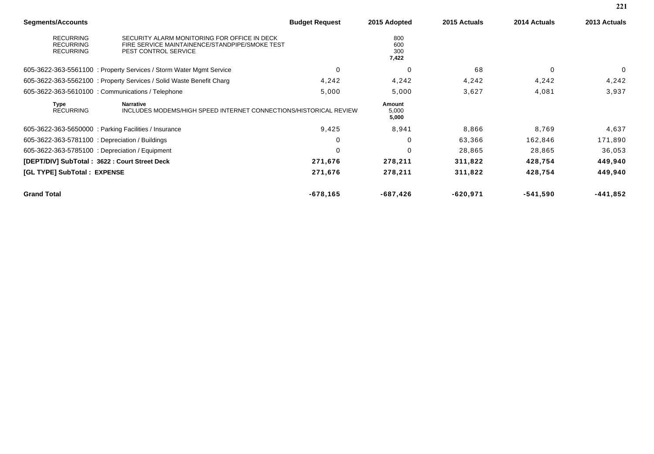| <b>Segments/Accounts</b>                                 |                                                                                                                        | <b>Budget Request</b> | 2015 Adopted               | 2015 Actuals | 2014 Actuals | 2013 Actuals |
|----------------------------------------------------------|------------------------------------------------------------------------------------------------------------------------|-----------------------|----------------------------|--------------|--------------|--------------|
| <b>RECURRING</b><br><b>RECURRING</b><br><b>RECURRING</b> | SECURITY ALARM MONITORING FOR OFFICE IN DECK<br>FIRE SERVICE MAINTAINENCE/STANDPIPE/SMOKE TEST<br>PEST CONTROL SERVICE |                       | 800<br>600<br>300<br>7,422 |              |              |              |
|                                                          | 605-3622-363-5561100: Property Services / Storm Water Mgmt Service                                                     | 0                     | 0                          | 68           | 0            | $\mathbf 0$  |
|                                                          | 605-3622-363-5562100 : Property Services / Solid Waste Benefit Charg                                                   | 4,242                 | 4,242                      | 4,242        | 4,242        | 4,242        |
|                                                          | 605-3622-363-5610100 : Communications / Telephone                                                                      | 5,000                 | 5,000                      | 3,627        | 4,081        | 3,937        |
| Type<br><b>RECURRING</b>                                 | <b>Narrative</b><br>INCLUDES MODEMS/HIGH SPEED INTERNET CONNECTIONS/HISTORICAL REVIEW                                  |                       | Amount<br>5,000<br>5,000   |              |              |              |
|                                                          | 605-3622-363-5650000 : Parking Facilities / Insurance                                                                  | 9,425                 | 8,941                      | 8,866        | 8,769        | 4,637        |
| 605-3622-363-5781100 : Depreciation / Buildings          |                                                                                                                        | 0                     | $\Omega$                   | 63,366       | 162,846      | 171,890      |
|                                                          | 605-3622-363-5785100 : Depreciation / Equipment                                                                        | 0                     | $\Omega$                   | 28,865       | 28,865       | 36,053       |
|                                                          | [DEPT/DIV] SubTotal: 3622: Court Street Deck                                                                           | 271,676               | 278,211                    | 311,822      | 428,754      | 449,940      |
| [GL TYPE] SubTotal: EXPENSE                              |                                                                                                                        | 271,676               | 278,211                    | 311,822      | 428,754      | 449,940      |
| <b>Grand Total</b>                                       |                                                                                                                        | $-678,165$            | $-687,426$                 | $-620.971$   | $-541,590$   | -441,852     |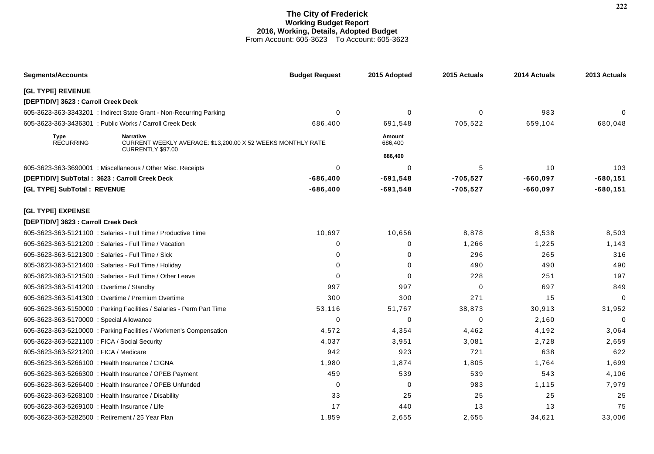### **The City of Frederick Working Budget Report 2016, Working, Details, Adopted Budget** From Account: 605-3623 To Account: 605-3623

| <b>Segments/Accounts</b>                       |                                                                                                      | <b>Budget Request</b> | 2015 Adopted      | 2015 Actuals | 2014 Actuals | 2013 Actuals |
|------------------------------------------------|------------------------------------------------------------------------------------------------------|-----------------------|-------------------|--------------|--------------|--------------|
| [GL TYPE] REVENUE                              |                                                                                                      |                       |                   |              |              |              |
| [DEPT/DIV] 3623 : Carroll Creek Deck           |                                                                                                      |                       |                   |              |              |              |
|                                                | 605-3623-363-3343201 : Indirect State Grant - Non-Recurring Parking                                  | $\Omega$              | $\mathbf{0}$      | $\Omega$     | 983          | $\Omega$     |
|                                                | 605-3623-363-3436301 : Public Works / Carroll Creek Deck                                             | 686,400               | 691,548           | 705,522      | 659,104      | 680,048      |
| Type<br><b>RECURRING</b>                       | <b>Narrative</b><br>CURRENT WEEKLY AVERAGE: \$13,200.00 X 52 WEEKS MONTHLY RATE<br>CURRENTLY \$97.00 |                       | Amount<br>686,400 |              |              |              |
|                                                |                                                                                                      |                       | 686,400           |              |              |              |
|                                                | 605-3623-363-3690001 : Miscellaneous / Other Misc. Receipts                                          | 0                     | 0                 | 5            | 10           | 103          |
|                                                | [DEPT/DIV] SubTotal: 3623: Carroll Creek Deck                                                        | $-686,400$            | $-691,548$        | $-705,527$   | $-660,097$   | $-680, 151$  |
| [GL TYPE] SubTotal: REVENUE                    |                                                                                                      | $-686,400$            | $-691,548$        | $-705,527$   | $-660,097$   | $-680, 151$  |
| [GL TYPE] EXPENSE                              |                                                                                                      |                       |                   |              |              |              |
| [DEPT/DIV] 3623 : Carroll Creek Deck           |                                                                                                      |                       |                   |              |              |              |
|                                                | 605-3623-363-5121100 : Salaries - Full Time / Productive Time                                        | 10,697                | 10,656            | 8,878        | 8,538        | 8,503        |
|                                                | 605-3623-363-5121200 : Salaries - Full Time / Vacation                                               | 0                     | 0                 | 1,266        | 1,225        | 1,143        |
|                                                | 605-3623-363-5121300 : Salaries - Full Time / Sick                                                   | 0                     | $\Omega$          | 296          | 265          | 316          |
|                                                | 605-3623-363-5121400 : Salaries - Full Time / Holiday                                                | 0                     | $\Omega$          | 490          | 490          | 490          |
|                                                | 605-3623-363-5121500 : Salaries - Full Time / Other Leave                                            | 0                     | 0                 | 228          | 251          | 197          |
| 605-3623-363-5141200 : Overtime / Standby      |                                                                                                      | 997                   | 997               | 0            | 697          | 849          |
|                                                | 605-3623-363-5141300 : Overtime / Premium Overtime                                                   | 300                   | 300               | 271          | 15           | $\Omega$     |
|                                                | 605-3623-363-5150000 : Parking Facilities / Salaries - Perm Part Time                                | 53,116                | 51,767            | 38,873       | 30,913       | 31,952       |
| 605-3623-363-5170000 : Special Allowance       |                                                                                                      | 0                     | $\Omega$          | 0            | 2,160        | $\Omega$     |
|                                                | 605-3623-363-5210000: Parking Facilities / Workmen's Compensation                                    | 4,572                 | 4,354             | 4,462        | 4,192        | 3,064        |
| 605-3623-363-5221100 : FICA / Social Security  |                                                                                                      | 4,037                 | 3,951             | 3,081        | 2,728        | 2,659        |
| 605-3623-363-5221200 : FICA / Medicare         |                                                                                                      | 942                   | 923               | 721          | 638          | 622          |
|                                                | 605-3623-363-5266100 : Health Insurance / CIGNA                                                      | 1,980                 | 1,874             | 1,805        | 1,764        | 1,699        |
|                                                | 605-3623-363-5266300 : Health Insurance / OPEB Payment                                               | 459                   | 539               | 539          | 543          | 4,106        |
|                                                | 605-3623-363-5266400 : Health Insurance / OPEB Unfunded                                              | 0                     | $\Omega$          | 983          | 1,115        | 7,979        |
|                                                | 605-3623-363-5268100 : Health Insurance / Disability                                                 | 33                    | 25                | 25           | 25           | 25           |
| 605-3623-363-5269100 : Health Insurance / Life |                                                                                                      | 17                    | 440               | 13           | 13           | 75           |
|                                                | 605-3623-363-5282500 : Retirement / 25 Year Plan                                                     | 1,859                 | 2,655             | 2,655        | 34,621       | 33,006       |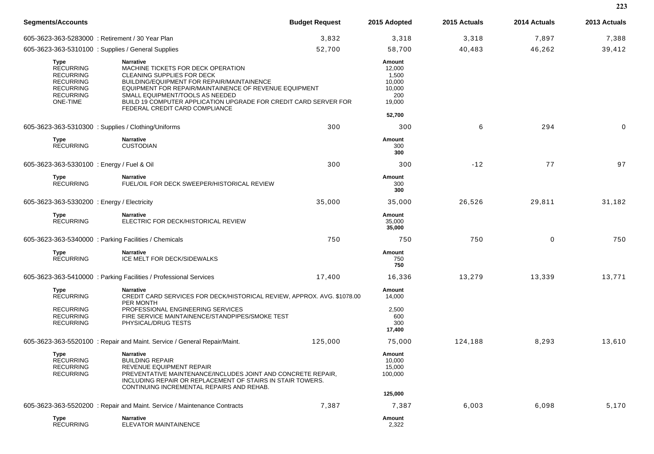| <b>Segments/Accounts</b>                                                                                             |                                                                                                                                                                                                                                                                                                                                       | <b>Budget Request</b> | 2015 Adopted                                                             | 2015 Actuals | 2014 Actuals | 2013 Actuals |
|----------------------------------------------------------------------------------------------------------------------|---------------------------------------------------------------------------------------------------------------------------------------------------------------------------------------------------------------------------------------------------------------------------------------------------------------------------------------|-----------------------|--------------------------------------------------------------------------|--------------|--------------|--------------|
| 605-3623-363-5283000 : Retirement / 30 Year Plan                                                                     |                                                                                                                                                                                                                                                                                                                                       | 3,832                 | 3,318                                                                    | 3,318        | 7,897        | 7,388        |
| 605-3623-363-5310100 : Supplies / General Supplies                                                                   |                                                                                                                                                                                                                                                                                                                                       | 52,700                | 58,700                                                                   | 40,483       | 46,262       | 39,412       |
| Type<br><b>RECURRING</b><br><b>RECURRING</b><br><b>RECURRING</b><br><b>RECURRING</b><br><b>RECURRING</b><br>ONE-TIME | <b>Narrative</b><br>MACHINE TICKETS FOR DECK OPERATION<br>CLEANING SUPPLIES FOR DECK<br>BUILDING/EQUIPMENT FOR REPAIR/MAINTAINENCE<br>EQUIPMENT FOR REPAIR/MAINTAINENCE OF REVENUE EQUIPMENT<br>SMALL EQUIPMENT/TOOLS AS NEEDED<br>BUILD 19 COMPUTER APPLICATION UPGRADE FOR CREDIT CARD SERVER FOR<br>FEDERAL CREDIT CARD COMPLIANCE |                       | Amount<br>12,000<br>1,500<br>10,000<br>10,000<br>200<br>19,000<br>52,700 |              |              |              |
| 605-3623-363-5310300 : Supplies / Clothing/Uniforms                                                                  |                                                                                                                                                                                                                                                                                                                                       | 300                   | 300                                                                      | 6            | 294          | 0            |
| Type<br><b>RECURRING</b>                                                                                             | <b>Narrative</b><br><b>CUSTODIAN</b>                                                                                                                                                                                                                                                                                                  |                       | Amount<br>300<br>300                                                     |              |              |              |
| 605-3623-363-5330100 : Energy / Fuel & Oil                                                                           |                                                                                                                                                                                                                                                                                                                                       | 300                   | 300                                                                      | $-12$        | 77           | 97           |
| Type<br><b>RECURRING</b>                                                                                             | <b>Narrative</b><br>FUEL/OIL FOR DECK SWEEPER/HISTORICAL REVIEW                                                                                                                                                                                                                                                                       |                       | Amount<br>300<br>300                                                     |              |              |              |
| 605-3623-363-5330200 : Energy / Electricity                                                                          |                                                                                                                                                                                                                                                                                                                                       | 35,000                | 35,000                                                                   | 26,526       | 29,811       | 31,182       |
| Type<br><b>RECURRING</b>                                                                                             | <b>Narrative</b><br>ELECTRIC FOR DECK/HISTORICAL REVIEW                                                                                                                                                                                                                                                                               |                       | Amount<br>35,000<br>35,000                                               |              |              |              |
| 605-3623-363-5340000 : Parking Facilities / Chemicals                                                                |                                                                                                                                                                                                                                                                                                                                       | 750                   | 750                                                                      | 750          | $\mathbf 0$  | 750          |
| Type<br><b>RECURRING</b>                                                                                             | <b>Narrative</b><br>ICE MELT FOR DECK/SIDEWALKS                                                                                                                                                                                                                                                                                       |                       | Amount<br>750<br>750                                                     |              |              |              |
|                                                                                                                      | 605-3623-363-5410000 : Parking Facilities / Professional Services                                                                                                                                                                                                                                                                     | 17,400                | 16,336                                                                   | 13,279       | 13,339       | 13,771       |
| Type<br><b>RECURRING</b>                                                                                             | Narrative<br>CREDIT CARD SERVICES FOR DECK/HISTORICAL REVIEW, APPROX. AVG. \$1078.00                                                                                                                                                                                                                                                  |                       | Amount<br>14,000                                                         |              |              |              |
| <b>RECURRING</b><br><b>RECURRING</b><br><b>RECURRING</b>                                                             | <b>PER MONTH</b><br>PROFESSIONAL ENGINEERING SERVICES<br>FIRE SERVICE MAINTAINENCE/STANDPIPES/SMOKE TEST<br>PHYSICAL/DRUG TESTS                                                                                                                                                                                                       |                       | 2,500<br>600<br>300<br>17,400                                            |              |              |              |
|                                                                                                                      | 605-3623-363-5520100 : Repair and Maint. Service / General Repair/Maint.                                                                                                                                                                                                                                                              | 125,000               | 75,000                                                                   | 124,188      | 8,293        | 13,610       |
| Type<br><b>RECURRING</b><br><b>RECURRING</b><br><b>RECURRING</b>                                                     | <b>Narrative</b><br><b>BUILDING REPAIR</b><br><b>REVENUE EQUIPMENT REPAIR</b><br>PREVENTATIVE MAINTENANCE/INCLUDES JOINT AND CONCRETE REPAIR,<br>INCLUDING REPAIR OR REPLACEMENT OF STAIRS IN STAIR TOWERS.<br>CONTINUING INCREMENTAL REPAIRS AND REHAB.                                                                              |                       | Amount<br>10,000<br>15,000<br>100,000                                    |              |              |              |
|                                                                                                                      |                                                                                                                                                                                                                                                                                                                                       |                       | 125,000                                                                  |              |              |              |
|                                                                                                                      | 605-3623-363-5520200 : Repair and Maint. Service / Maintenance Contracts                                                                                                                                                                                                                                                              | 7,387                 | 7,387                                                                    | 6,003        | 6,098        | 5,170        |
| Type<br><b>RECURRING</b>                                                                                             | <b>Narrative</b><br>ELEVATOR MAINTAINENCE                                                                                                                                                                                                                                                                                             |                       | Amount<br>2,322                                                          |              |              |              |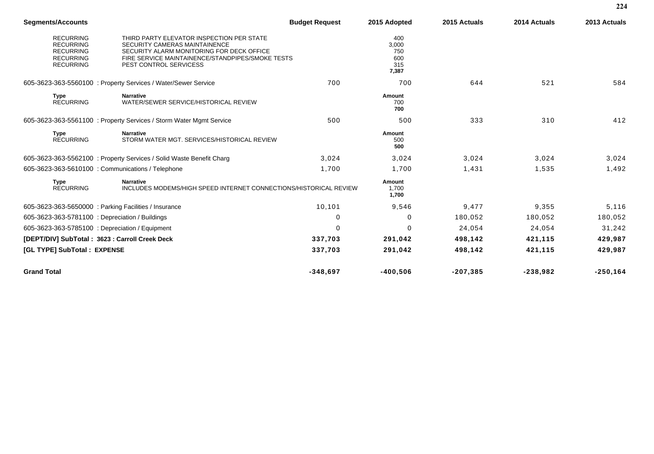| <b>Segments/Accounts</b>                                                                         |                                                                                                                                                                                                       | <b>Budget Request</b> | 2015 Adopted                               | 2015 Actuals | 2014 Actuals | 2013 Actuals |
|--------------------------------------------------------------------------------------------------|-------------------------------------------------------------------------------------------------------------------------------------------------------------------------------------------------------|-----------------------|--------------------------------------------|--------------|--------------|--------------|
| <b>RECURRING</b><br><b>RECURRING</b><br><b>RECURRING</b><br><b>RECURRING</b><br><b>RECURRING</b> | THIRD PARTY ELEVATOR INSPECTION PER STATE<br>SECURITY CAMERAS MAINTAINENCE<br>SECURITY ALARM MONITORING FOR DECK OFFICE<br>FIRE SERVICE MAINTAINENCE/STANDPIPES/SMOKE TESTS<br>PEST CONTROL SERVICESS |                       | 400<br>3,000<br>750<br>600<br>315<br>7,387 |              |              |              |
|                                                                                                  | 605-3623-363-5560100: Property Services / Water/Sewer Service                                                                                                                                         | 700                   | 700                                        | 644          | 521          | 584          |
| <b>Type</b><br><b>RECURRING</b>                                                                  | <b>Narrative</b><br>WATER/SEWER SERVICE/HISTORICAL REVIEW                                                                                                                                             |                       | Amount<br>700<br>700                       |              |              |              |
|                                                                                                  | 605-3623-363-5561100: Property Services / Storm Water Mgmt Service                                                                                                                                    | 500                   | 500                                        | 333          | 310          | 412          |
| <b>Type</b><br><b>RECURRING</b>                                                                  | <b>Narrative</b><br>STORM WATER MGT. SERVICES/HISTORICAL REVIEW                                                                                                                                       |                       | Amount<br>500<br>500                       |              |              |              |
|                                                                                                  | 605-3623-363-5562100: Property Services / Solid Waste Benefit Charg                                                                                                                                   | 3,024                 | 3,024                                      | 3,024        | 3,024        | 3,024        |
| 605-3623-363-5610100 : Communications / Telephone                                                |                                                                                                                                                                                                       | 1,700                 | 1,700                                      | 1,431        | 1,535        | 1,492        |
| <b>Type</b><br><b>RECURRING</b>                                                                  | <b>Narrative</b><br>INCLUDES MODEMS/HIGH SPEED INTERNET CONNECTIONS/HISTORICAL REVIEW                                                                                                                 |                       | Amount<br>1,700<br>1,700                   |              |              |              |
| 605-3623-363-5650000 : Parking Facilities / Insurance                                            |                                                                                                                                                                                                       | 10,101                | 9,546                                      | 9,477        | 9,355        | 5,116        |
| 605-3623-363-5781100 : Depreciation / Buildings                                                  |                                                                                                                                                                                                       | 0                     | 0                                          | 180,052      | 180,052      | 180,052      |
| 605-3623-363-5785100 : Depreciation / Equipment                                                  |                                                                                                                                                                                                       | $\Omega$              | $\Omega$                                   | 24,054       | 24,054       | 31,242       |
| [DEPT/DIV] SubTotal: 3623: Carroll Creek Deck                                                    |                                                                                                                                                                                                       | 337,703               | 291,042                                    | 498,142      | 421,115      | 429,987      |
| [GL TYPE] SubTotal: EXPENSE                                                                      |                                                                                                                                                                                                       | 337,703               | 291,042                                    | 498,142      | 421,115      | 429,987      |
| <b>Grand Total</b>                                                                               |                                                                                                                                                                                                       | $-348,697$            | $-400,506$                                 | $-207,385$   | $-238,982$   | $-250, 164$  |

**224**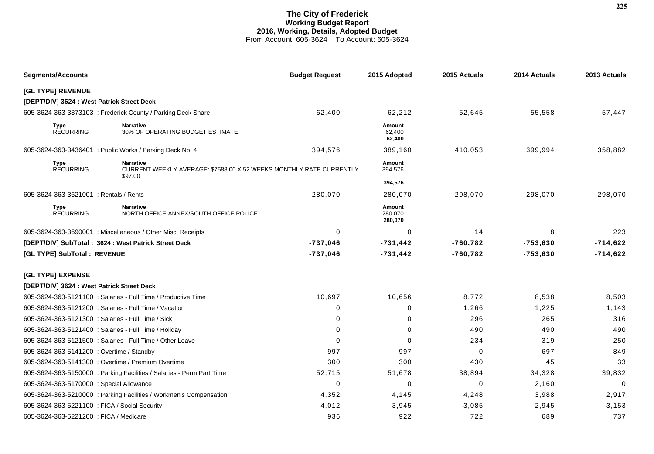# **The City of Frederick Working Budget Report 2016, Working, Details, Adopted Budget** From Account: 605-3624 To Account: 605-3624

| <b>Segments/Accounts</b>                            |                                                                                         | <b>Budget Request</b> | 2015 Adopted                 | 2015 Actuals | 2014 Actuals | 2013 Actuals |
|-----------------------------------------------------|-----------------------------------------------------------------------------------------|-----------------------|------------------------------|--------------|--------------|--------------|
| [GL TYPE] REVENUE                                   |                                                                                         |                       |                              |              |              |              |
| [DEPT/DIV] 3624 : West Patrick Street Deck          |                                                                                         |                       |                              |              |              |              |
|                                                     | 605-3624-363-3373103 : Frederick County / Parking Deck Share                            | 62,400                | 62,212                       | 52,645       | 55,558       | 57,447       |
| Type<br><b>RECURRING</b>                            | <b>Narrative</b><br>30% OF OPERATING BUDGET ESTIMATE                                    |                       | Amount<br>62,400<br>62,400   |              |              |              |
|                                                     | 605-3624-363-3436401 : Public Works / Parking Deck No. 4                                | 394,576               | 389,160                      | 410,053      | 399,994      | 358,882      |
| Type<br><b>RECURRING</b>                            | <b>Narrative</b><br>CURRENT WEEKLY AVERAGE: \$7588.00 X 52 WEEKS MONTHLY RATE CURRENTLY |                       | Amount<br>394,576            |              |              |              |
|                                                     | \$97.00                                                                                 |                       | 394,576                      |              |              |              |
| 605-3624-363-3621001 : Rentals / Rents              |                                                                                         | 280,070               | 280,070                      | 298,070      | 298,070      | 298,070      |
| <b>Type</b><br><b>RECURRING</b>                     | <b>Narrative</b><br>NORTH OFFICE ANNEX/SOUTH OFFICE POLICE                              |                       | Amount<br>280,070<br>280,070 |              |              |              |
|                                                     | 605-3624-363-3690001 : Miscellaneous / Other Misc. Receipts                             | $\Omega$              | $\Omega$                     | 14           | 8            | 223          |
| [DEPT/DIV] SubTotal: 3624: West Patrick Street Deck |                                                                                         | -737,046              | $-731,442$                   | -760,782     | $-753,630$   | $-714,622$   |
| [GL TYPE] SubTotal: REVENUE                         |                                                                                         | $-737,046$            | $-731, 442$                  | $-760,782$   | $-753,630$   | $-714,622$   |
| [GL TYPE] EXPENSE                                   |                                                                                         |                       |                              |              |              |              |
| [DEPT/DIV] 3624 : West Patrick Street Deck          |                                                                                         |                       |                              |              |              |              |
|                                                     | 605-3624-363-5121100 : Salaries - Full Time / Productive Time                           | 10,697                | 10,656                       | 8,772        | 8,538        | 8,503        |
|                                                     | 605-3624-363-5121200 : Salaries - Full Time / Vacation                                  | 0                     | $\Omega$                     | 1,266        | 1,225        | 1,143        |
| 605-3624-363-5121300 : Salaries - Full Time / Sick  |                                                                                         | 0                     | $\Omega$                     | 296          | 265          | 316          |
|                                                     | 605-3624-363-5121400 : Salaries - Full Time / Holiday                                   | 0                     | 0                            | 490          | 490          | 490          |
|                                                     | 605-3624-363-5121500 : Salaries - Full Time / Other Leave                               | $\Omega$              | $\Omega$                     | 234          | 319          | 250          |
| 605-3624-363-5141200 : Overtime / Standby           |                                                                                         | 997                   | 997                          | 0            | 697          | 849          |
|                                                     | 605-3624-363-5141300 : Overtime / Premium Overtime                                      | 300                   | 300                          | 430          | 45           | 33           |
|                                                     | 605-3624-363-5150000: Parking Facilities / Salaries - Perm Part Time                    | 52,715                | 51,678                       | 38,894       | 34,328       | 39,832       |
| 605-3624-363-5170000 : Special Allowance            |                                                                                         | 0                     | $\Omega$                     | $\Omega$     | 2,160        | $\mathbf{0}$ |
|                                                     | 605-3624-363-5210000: Parking Facilities / Workmen's Compensation                       | 4,352                 | 4,145                        | 4,248        | 3,988        | 2,917        |
| 605-3624-363-5221100 : FICA / Social Security       |                                                                                         | 4,012                 | 3,945                        | 3,085        | 2,945        | 3,153        |
| 605-3624-363-5221200 : FICA / Medicare              |                                                                                         | 936                   | 922                          | 722          | 689          | 737          |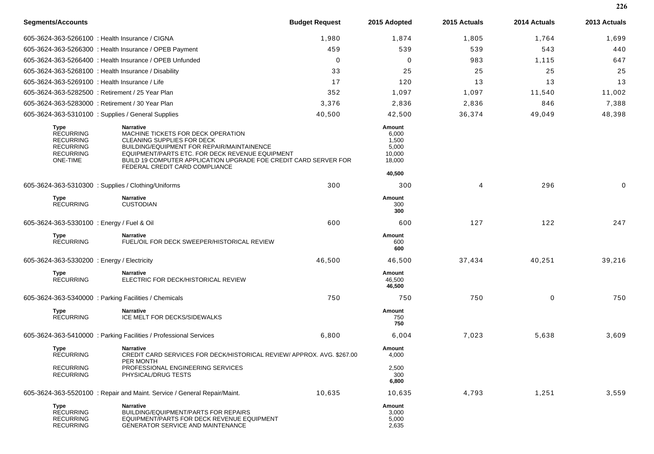| <b>Segments/Accounts</b>                                                                                |                                                                                                                                                                                                                                                                                                    | <b>Budget Request</b> | 2015 Adopted                                                    | 2015 Actuals | 2014 Actuals | 2013 Actuals |
|---------------------------------------------------------------------------------------------------------|----------------------------------------------------------------------------------------------------------------------------------------------------------------------------------------------------------------------------------------------------------------------------------------------------|-----------------------|-----------------------------------------------------------------|--------------|--------------|--------------|
| 605-3624-363-5266100 : Health Insurance / CIGNA                                                         |                                                                                                                                                                                                                                                                                                    | 1,980                 | 1,874                                                           | 1,805        | 1,764        | 1,699        |
|                                                                                                         | 605-3624-363-5266300 : Health Insurance / OPEB Payment                                                                                                                                                                                                                                             | 459                   | 539                                                             | 539          | 543          | 440          |
|                                                                                                         | 605-3624-363-5266400 : Health Insurance / OPEB Unfunded                                                                                                                                                                                                                                            | 0                     | 0                                                               | 983          | 1,115        | 647          |
| 605-3624-363-5268100 : Health Insurance / Disability                                                    |                                                                                                                                                                                                                                                                                                    | 33                    | 25                                                              | 25           | 25           | 25           |
| 605-3624-363-5269100 : Health Insurance / Life                                                          |                                                                                                                                                                                                                                                                                                    | 17                    | 120                                                             | 13           | 13           | 13           |
| 605-3624-363-5282500 : Retirement / 25 Year Plan                                                        |                                                                                                                                                                                                                                                                                                    | 352                   | 1,097                                                           | 1,097        | 11,540       | 11,002       |
| 605-3624-363-5283000 : Retirement / 30 Year Plan                                                        |                                                                                                                                                                                                                                                                                                    | 3,376                 | 2,836                                                           | 2,836        | 846          | 7,388        |
| 605-3624-363-5310100 : Supplies / General Supplies                                                      |                                                                                                                                                                                                                                                                                                    | 40,500                | 42,500                                                          | 36,374       | 49,049       | 48,398       |
| <b>Type</b><br><b>RECURRING</b><br><b>RECURRING</b><br><b>RECURRING</b><br><b>RECURRING</b><br>ONE-TIME | <b>Narrative</b><br>MACHINE TICKETS FOR DECK OPERATION<br>CLEANING SUPPLIES FOR DECK<br><b>BUILDING/EQUIPMENT FOR REPAIR/MAINTAINENCE</b><br>EQUIPMENT/PARTS ETC. FOR DECK REVENUE EQUIPMENT<br>BUILD 19 COMPUTER APPLICATION UPGRADE FOE CREDIT CARD SERVER FOR<br>FEDERAL CREDIT CARD COMPLIANCE |                       | Amount<br>6,000<br>1,500<br>5,000<br>10,000<br>18,000<br>40,500 |              |              |              |
| 605-3624-363-5310300: Supplies / Clothing/Uniforms                                                      |                                                                                                                                                                                                                                                                                                    | 300                   | 300                                                             | 4            | 296          | 0            |
| Type<br><b>RECURRING</b>                                                                                | Narrative<br><b>CUSTODIAN</b>                                                                                                                                                                                                                                                                      |                       | Amount<br>300<br>300                                            |              |              |              |
| 605-3624-363-5330100 : Energy / Fuel & Oil                                                              |                                                                                                                                                                                                                                                                                                    | 600                   | 600                                                             | 127          | 122          | 247          |
| <b>Type</b><br><b>RECURRING</b>                                                                         | <b>Narrative</b><br>FUEL/OIL FOR DECK SWEEPER/HISTORICAL REVIEW                                                                                                                                                                                                                                    |                       | Amount<br>600<br>600                                            |              |              |              |
| 605-3624-363-5330200 : Energy / Electricity                                                             |                                                                                                                                                                                                                                                                                                    | 46,500                | 46,500                                                          | 37,434       | 40,251       | 39,216       |
| Type<br><b>RECURRING</b>                                                                                | <b>Narrative</b><br>ELECTRIC FOR DECK/HISTORICAL REVIEW                                                                                                                                                                                                                                            |                       | Amount<br>46,500<br>46,500                                      |              |              |              |
| 605-3624-363-5340000 : Parking Facilities / Chemicals                                                   |                                                                                                                                                                                                                                                                                                    | 750                   | 750                                                             | 750          | $\mathbf 0$  | 750          |
| Type<br><b>RECURRING</b>                                                                                | <b>Narrative</b><br>ICE MELT FOR DECKS/SIDEWALKS                                                                                                                                                                                                                                                   |                       | Amount<br>750<br>750                                            |              |              |              |
|                                                                                                         | 605-3624-363-5410000: Parking Facilities / Professional Services                                                                                                                                                                                                                                   | 6,800                 | 6,004                                                           | 7,023        | 5,638        | 3,609        |
| Type<br><b>RECURRING</b>                                                                                | Narrative<br>CREDIT CARD SERVICES FOR DECK/HISTORICAL REVIEW/ APPROX. AVG. \$267.00<br>PER MONTH                                                                                                                                                                                                   |                       | Amount<br>4,000                                                 |              |              |              |
| <b>RECURRING</b><br><b>RECURRING</b>                                                                    | PROFESSIONAL ENGINEERING SERVICES<br>PHYSICAL/DRUG TESTS                                                                                                                                                                                                                                           |                       | 2,500<br>300<br>6,800                                           |              |              |              |
|                                                                                                         | 605-3624-363-5520100 : Repair and Maint. Service / General Repair/Maint.                                                                                                                                                                                                                           | 10,635                | 10,635                                                          | 4,793        | 1,251        | 3,559        |
| Type<br><b>RECURRING</b><br><b>RECURRING</b><br><b>RECURRING</b>                                        | Narrative<br>BUILDING/EQUIPMENT/PARTS FOR REPAIRS<br>EQUIPMENT/PARTS FOR DECK REVENUE EQUIPMENT<br><b>GENERATOR SERVICE AND MAINTENANCE</b>                                                                                                                                                        |                       | Amount<br>3,000<br>5,000<br>2,635                               |              |              |              |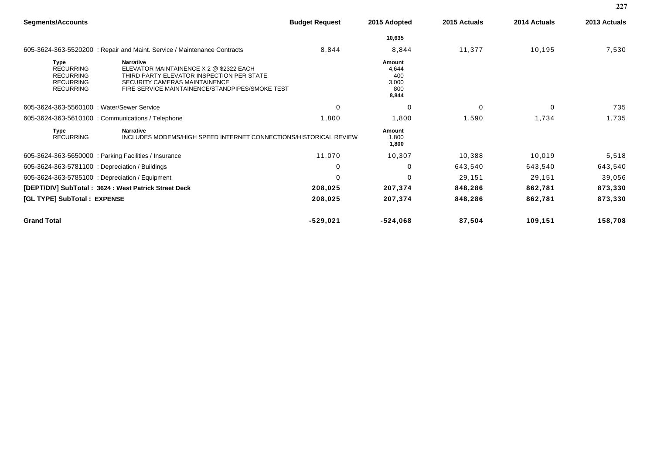| <b>Segments/Accounts</b>                                                                    |                                                                                                                                                                                              | <b>Budget Request</b> | 2015 Adopted                                    | 2015 Actuals | 2014 Actuals | 2013 Actuals |
|---------------------------------------------------------------------------------------------|----------------------------------------------------------------------------------------------------------------------------------------------------------------------------------------------|-----------------------|-------------------------------------------------|--------------|--------------|--------------|
|                                                                                             |                                                                                                                                                                                              |                       | 10,635                                          |              |              |              |
|                                                                                             | 605-3624-363-5520200: Repair and Maint. Service / Maintenance Contracts                                                                                                                      | 8,844                 | 8,844                                           | 11,377       | 10,195       | 7,530        |
| <b>Type</b><br><b>RECURRING</b><br><b>RECURRING</b><br><b>RECURRING</b><br><b>RECURRING</b> | <b>Narrative</b><br>ELEVATOR MAINTAINENCE X 2 @ \$2322 EACH<br>THIRD PARTY ELEVATOR INSPECTION PER STATE<br>SECURITY CAMERAS MAINTAINENCE<br>FIRE SERVICE MAINTAINENCE/STANDPIPES/SMOKE TEST |                       | Amount<br>4,644<br>400<br>3,000<br>800<br>8,844 |              |              |              |
| 605-3624-363-5560100 : Water/Sewer Service                                                  |                                                                                                                                                                                              | $\Omega$              | 0                                               | 0            | $\mathbf 0$  | 735          |
|                                                                                             | 605-3624-363-5610100 : Communications / Telephone                                                                                                                                            | 1,800                 | 1,800                                           | 1,590        | 1,734        | 1,735        |
| <b>Type</b><br><b>RECURRING</b>                                                             | <b>Narrative</b><br>INCLUDES MODEMS/HIGH SPEED INTERNET CONNECTIONS/HISTORICAL REVIEW                                                                                                        |                       | Amount<br>1,800<br>1,800                        |              |              |              |
|                                                                                             | 605-3624-363-5650000 : Parking Facilities / Insurance                                                                                                                                        | 11,070                | 10,307                                          | 10,388       | 10,019       | 5,518        |
| 605-3624-363-5781100 : Depreciation / Buildings                                             |                                                                                                                                                                                              | 0                     | 0                                               | 643,540      | 643,540      | 643,540      |
|                                                                                             | 605-3624-363-5785100 : Depreciation / Equipment                                                                                                                                              | 0                     | 0                                               | 29,151       | 29,151       | 39,056       |
|                                                                                             | [DEPT/DIV] SubTotal: 3624: West Patrick Street Deck                                                                                                                                          | 208,025               | 207,374                                         | 848,286      | 862,781      | 873,330      |
| [GL TYPE] SubTotal: EXPENSE                                                                 |                                                                                                                                                                                              | 208,025               | 207,374                                         | 848,286      | 862,781      | 873,330      |
| <b>Grand Total</b>                                                                          |                                                                                                                                                                                              | $-529,021$            | $-524.068$                                      | 87,504       | 109,151      | 158,708      |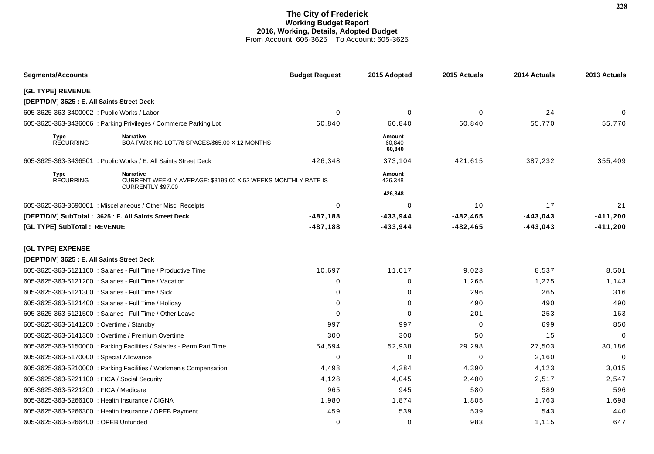## **The City of Frederick Working Budget Report 2016, Working, Details, Adopted Budget** From Account: 605-3625 To Account: 605-3625

| <b>Segments/Accounts</b>                                  |                                                                                  | <b>Budget Request</b> | 2015 Adopted               | 2015 Actuals | 2014 Actuals | 2013 Actuals |
|-----------------------------------------------------------|----------------------------------------------------------------------------------|-----------------------|----------------------------|--------------|--------------|--------------|
| [GL TYPE] REVENUE                                         |                                                                                  |                       |                            |              |              |              |
| [DEPT/DIV] 3625 : E. All Saints Street Deck               |                                                                                  |                       |                            |              |              |              |
| 605-3625-363-3400002 : Public Works / Labor               |                                                                                  | 0                     | $\Omega$                   | 0            | 24           | $\Omega$     |
|                                                           | 605-3625-363-3436006 : Parking Privileges / Commerce Parking Lot                 | 60,840                | 60,840                     | 60,840       | 55,770       | 55,770       |
| Type<br><b>RECURRING</b>                                  | <b>Narrative</b><br>BOA PARKING LOT/78 SPACES/\$65.00 X 12 MONTHS                |                       | Amount<br>60,840<br>60,840 |              |              |              |
|                                                           | 605-3625-363-3436501: Public Works / E. All Saints Street Deck                   | 426,348               | 373,104                    | 421,615      | 387,232      | 355,409      |
| <b>Type</b><br><b>RECURRING</b>                           | <b>Narrative</b><br>CURRENT WEEKLY AVERAGE: \$8199.00 X 52 WEEKS MONTHLY RATE IS |                       | Amount<br>426,348          |              |              |              |
|                                                           | CURRENTLY \$97.00                                                                |                       | 426,348                    |              |              |              |
|                                                           | 605-3625-363-3690001 : Miscellaneous / Other Misc. Receipts                      | $\Omega$              | $\Omega$                   | 10           | 17           | 21           |
| [DEPT/DIV] SubTotal: 3625 : E. All Saints Street Deck     |                                                                                  | $-487,188$            | $-433,944$                 | $-482, 465$  | $-443,043$   | $-411,200$   |
| [GL TYPE] SubTotal: REVENUE                               |                                                                                  | $-487, 188$           | $-433,944$                 | $-482, 465$  | $-443,043$   | $-411,200$   |
| [GL TYPE] EXPENSE                                         |                                                                                  |                       |                            |              |              |              |
| [DEPT/DIV] 3625 : E. All Saints Street Deck               |                                                                                  |                       |                            |              |              |              |
|                                                           | 605-3625-363-5121100 : Salaries - Full Time / Productive Time                    | 10,697                | 11,017                     | 9,023        | 8,537        | 8,501        |
| 605-3625-363-5121200 : Salaries - Full Time / Vacation    |                                                                                  | 0                     | 0                          | 1,265        | 1,225        | 1,143        |
| 605-3625-363-5121300 : Salaries - Full Time / Sick        |                                                                                  | 0                     | 0                          | 296          | 265          | 316          |
| 605-3625-363-5121400 : Salaries - Full Time / Holiday     |                                                                                  | 0                     | $\Omega$                   | 490          | 490          | 490          |
| 605-3625-363-5121500 : Salaries - Full Time / Other Leave |                                                                                  | $\mathbf 0$           | $\Omega$                   | 201          | 253          | 163          |
| 605-3625-363-5141200 : Overtime / Standby                 |                                                                                  | 997                   | 997                        | $\Omega$     | 699          | 850          |
| 605-3625-363-5141300 : Overtime / Premium Overtime        |                                                                                  | 300                   | 300                        | 50           | 15           | $\Omega$     |
|                                                           | 605-3625-363-5150000: Parking Facilities / Salaries - Perm Part Time             | 54,594                | 52,938                     | 29,298       | 27,503       | 30,186       |
| 605-3625-363-5170000 : Special Allowance                  |                                                                                  | 0                     | $\Omega$                   | 0            | 2,160        | $\mathbf 0$  |
|                                                           | 605-3625-363-5210000: Parking Facilities / Workmen's Compensation                | 4,498                 | 4,284                      | 4,390        | 4,123        | 3,015        |
| 605-3625-363-5221100 : FICA / Social Security             |                                                                                  | 4,128                 | 4,045                      | 2,480        | 2,517        | 2,547        |
| 605-3625-363-5221200 : FICA / Medicare                    |                                                                                  | 965                   | 945                        | 580          | 589          | 596          |
| 605-3625-363-5266100 : Health Insurance / CIGNA           |                                                                                  | 1,980                 | 1,874                      | 1,805        | 1,763        | 1,698        |
| 605-3625-363-5266300 : Health Insurance / OPEB Payment    |                                                                                  | 459                   | 539                        | 539          | 543          | 440          |
| 605-3625-363-5266400 : OPEB Unfunded                      |                                                                                  | 0                     | $\Omega$                   | 983          | 1,115        | 647          |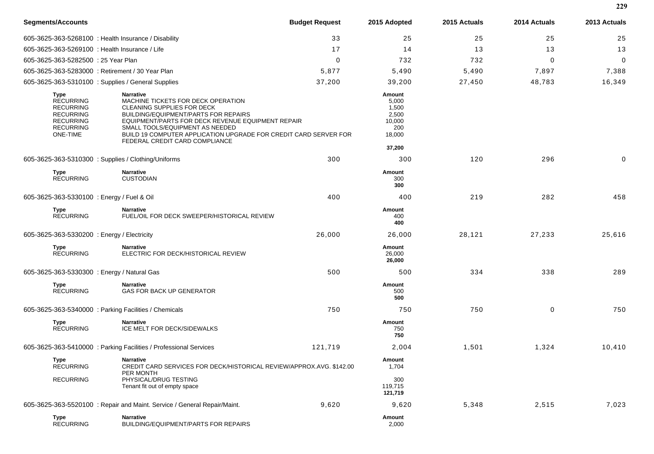| <b>Segments/Accounts</b>                                                                                             |                                                                                                                                                                                                                                                                                                                                   | <b>Budget Request</b> | 2015 Adopted                                                           | 2015 Actuals | 2014 Actuals | 2013 Actuals |
|----------------------------------------------------------------------------------------------------------------------|-----------------------------------------------------------------------------------------------------------------------------------------------------------------------------------------------------------------------------------------------------------------------------------------------------------------------------------|-----------------------|------------------------------------------------------------------------|--------------|--------------|--------------|
| 605-3625-363-5268100 : Health Insurance / Disability                                                                 |                                                                                                                                                                                                                                                                                                                                   | 33                    | 25                                                                     | 25           | 25           | 25           |
| 605-3625-363-5269100 : Health Insurance / Life                                                                       |                                                                                                                                                                                                                                                                                                                                   | 17                    | 14                                                                     | 13           | 13           | 13           |
| 605-3625-363-5282500 : 25 Year Plan                                                                                  |                                                                                                                                                                                                                                                                                                                                   | 0                     | 732                                                                    | 732          | 0            | 0            |
| 605-3625-363-5283000 : Retirement / 30 Year Plan                                                                     |                                                                                                                                                                                                                                                                                                                                   | 5,877                 | 5,490                                                                  | 5,490        | 7,897        | 7,388        |
| 605-3625-363-5310100 : Supplies / General Supplies                                                                   |                                                                                                                                                                                                                                                                                                                                   | 37,200                | 39,200                                                                 | 27,450       | 48,783       | 16,349       |
| Type<br><b>RECURRING</b><br><b>RECURRING</b><br><b>RECURRING</b><br><b>RECURRING</b><br><b>RECURRING</b><br>ONE-TIME | <b>Narrative</b><br>MACHINE TICKETS FOR DECK OPERATION<br>CLEANING SUPPLIES FOR DECK<br><b>BUILDING/EQUIPMENT/PARTS FOR REPAIRS</b><br>EQUIPMENT/PARTS FOR DECK REVENUE EQUIPMENT REPAIR<br>SMALL TOOLS/EQUIPMENT AS NEEDED<br>BUILD 19 COMPUTER APPLICATION UPGRADE FOR CREDIT CARD SERVER FOR<br>FEDERAL CREDIT CARD COMPLIANCE |                       | Amount<br>5,000<br>1,500<br>2,500<br>10,000<br>200<br>18,000<br>37,200 |              |              |              |
| 605-3625-363-5310300: Supplies / Clothing/Uniforms                                                                   |                                                                                                                                                                                                                                                                                                                                   | 300                   | 300                                                                    | 120          | 296          | 0            |
| Type<br><b>RECURRING</b>                                                                                             | <b>Narrative</b><br><b>CUSTODIAN</b>                                                                                                                                                                                                                                                                                              |                       | Amount<br>300<br>300                                                   |              |              |              |
| 605-3625-363-5330100 : Energy / Fuel & Oil                                                                           |                                                                                                                                                                                                                                                                                                                                   | 400                   | 400                                                                    | 219          | 282          | 458          |
| Type<br><b>RECURRING</b>                                                                                             | <b>Narrative</b><br>FUEL/OIL FOR DECK SWEEPER/HISTORICAL REVIEW                                                                                                                                                                                                                                                                   |                       | Amount<br>400<br>400                                                   |              |              |              |
| 605-3625-363-5330200 : Energy / Electricity                                                                          |                                                                                                                                                                                                                                                                                                                                   | 26,000                | 26,000                                                                 | 28,121       | 27,233       | 25,616       |
| Type<br><b>RECURRING</b>                                                                                             | <b>Narrative</b><br>ELECTRIC FOR DECK/HISTORICAL REVIEW                                                                                                                                                                                                                                                                           |                       | Amount<br>26,000<br>26,000                                             |              |              |              |
| 605-3625-363-5330300 : Energy / Natural Gas                                                                          |                                                                                                                                                                                                                                                                                                                                   | 500                   | 500                                                                    | 334          | 338          | 289          |
| Type<br><b>RECURRING</b>                                                                                             | <b>Narrative</b><br><b>GAS FOR BACK UP GENERATOR</b>                                                                                                                                                                                                                                                                              |                       | Amount<br>500<br>500                                                   |              |              |              |
| 605-3625-363-5340000 : Parking Facilities / Chemicals                                                                |                                                                                                                                                                                                                                                                                                                                   | 750                   | 750                                                                    | 750          | 0            | 750          |
| Type<br><b>RECURRING</b>                                                                                             | Narrative<br>ICE MELT FOR DECK/SIDEWALKS                                                                                                                                                                                                                                                                                          |                       | Amount<br>750<br>750                                                   |              |              |              |
|                                                                                                                      | 605-3625-363-5410000: Parking Facilities / Professional Services                                                                                                                                                                                                                                                                  | 121,719               | 2,004                                                                  | 1,501        | 1,324        | 10,410       |
| Type<br><b>RECURRING</b>                                                                                             | <b>Narrative</b><br>CREDIT CARD SERVICES FOR DECK/HISTORICAL REVIEW/APPROX.AVG. \$142.00<br>PER MONTH                                                                                                                                                                                                                             |                       | Amount<br>1,704                                                        |              |              |              |
| <b>RECURRING</b>                                                                                                     | PHYSICAL/DRUG TESTING<br>Tenant fit out of empty space                                                                                                                                                                                                                                                                            |                       | 300<br>119,715<br>121,719                                              |              |              |              |
|                                                                                                                      | 605-3625-363-5520100: Repair and Maint. Service / General Repair/Maint.                                                                                                                                                                                                                                                           | 9,620                 | 9,620                                                                  | 5,348        | 2,515        | 7,023        |
| Type<br>RECURRING                                                                                                    | <b>Narrative</b><br>BUILDING/EQUIPMENT/PARTS FOR REPAIRS                                                                                                                                                                                                                                                                          |                       | Amount<br>2,000                                                        |              |              |              |

**229**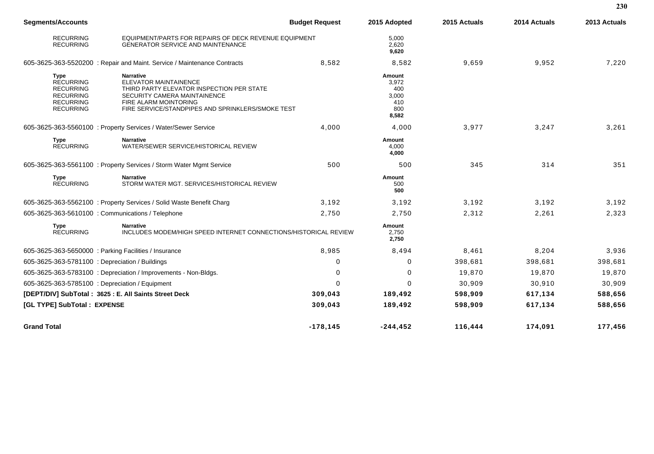| <b>Segments/Accounts</b>                                                                                 |                                                                                                                                                                                                             | <b>Budget Request</b> | 2015 Adopted                                           | 2015 Actuals | 2014 Actuals | 2013 Actuals |
|----------------------------------------------------------------------------------------------------------|-------------------------------------------------------------------------------------------------------------------------------------------------------------------------------------------------------------|-----------------------|--------------------------------------------------------|--------------|--------------|--------------|
| <b>RECURRING</b><br><b>RECURRING</b>                                                                     | EQUIPMENT/PARTS FOR REPAIRS OF DECK REVENUE EQUIPMENT<br><b>GENERATOR SERVICE AND MAINTENANCE</b>                                                                                                           |                       | 5,000<br>2,620<br>9,620                                |              |              |              |
|                                                                                                          | 605-3625-363-5520200 : Repair and Maint. Service / Maintenance Contracts                                                                                                                                    | 8.582                 | 8,582                                                  | 9,659        | 9,952        | 7,220        |
| Type<br><b>RECURRING</b><br><b>RECURRING</b><br><b>RECURRING</b><br><b>RECURRING</b><br><b>RECURRING</b> | <b>Narrative</b><br><b>ELEVATOR MAINTAINENCE</b><br>THIRD PARTY ELEVATOR INSPECTION PER STATE<br>SECURITY CAMERA MAINTAINENCE<br>FIRE ALARM MOINTORING<br>FIRE SERVICE/STANDPIPES AND SPRINKLERS/SMOKE TEST |                       | Amount<br>3,972<br>400<br>3,000<br>410<br>800<br>8,582 |              |              |              |
|                                                                                                          | 605-3625-363-5560100 : Property Services / Water/Sewer Service                                                                                                                                              | 4.000                 | 4,000                                                  | 3,977        | 3,247        | 3,261        |
| <b>Type</b><br><b>RECURRING</b>                                                                          | <b>Narrative</b><br>WATER/SEWER SERVICE/HISTORICAL REVIEW                                                                                                                                                   |                       | Amount<br>4,000<br>4,000                               |              |              |              |
|                                                                                                          | 605-3625-363-5561100: Property Services / Storm Water Mgmt Service                                                                                                                                          | 500                   | 500                                                    | 345          | 314          | 351          |
| Type<br><b>RECURRING</b>                                                                                 | <b>Narrative</b><br>STORM WATER MGT. SERVICES/HISTORICAL REVIEW                                                                                                                                             |                       | Amount<br>500<br>500                                   |              |              |              |
|                                                                                                          | 605-3625-363-5562100: Property Services / Solid Waste Benefit Charg                                                                                                                                         | 3,192                 | 3,192                                                  | 3,192        | 3,192        | 3,192        |
| 605-3625-363-5610100 : Communications / Telephone                                                        |                                                                                                                                                                                                             | 2,750                 | 2.750                                                  | 2,312        | 2,261        | 2,323        |
| Type<br><b>RECURRING</b>                                                                                 | <b>Narrative</b><br>INCLUDES MODEM/HIGH SPEED INTERNET CONNECTIONS/HISTORICAL REVIEW                                                                                                                        |                       | Amount<br>2,750<br>2,750                               |              |              |              |
| 605-3625-363-5650000 : Parking Facilities / Insurance                                                    |                                                                                                                                                                                                             | 8,985                 | 8,494                                                  | 8,461        | 8,204        | 3,936        |
| 605-3625-363-5781100 : Depreciation / Buildings                                                          |                                                                                                                                                                                                             | 0                     | $\Omega$                                               | 398,681      | 398,681      | 398,681      |
|                                                                                                          | 605-3625-363-5783100 : Depreciation / Improvements - Non-Bldgs.                                                                                                                                             | 0                     | $\Omega$                                               | 19,870       | 19.870       | 19,870       |
| 605-3625-363-5785100 : Depreciation / Equipment                                                          |                                                                                                                                                                                                             | 0                     | $\Omega$                                               | 30,909       | 30,910       | 30,909       |
| [DEPT/DIV] SubTotal: 3625 : E. All Saints Street Deck                                                    |                                                                                                                                                                                                             | 309,043               | 189.492                                                | 598,909      | 617,134      | 588,656      |
| [GL TYPE] SubTotal: EXPENSE                                                                              |                                                                                                                                                                                                             | 309,043               | 189,492                                                | 598,909      | 617,134      | 588,656      |
| <b>Grand Total</b>                                                                                       |                                                                                                                                                                                                             | $-178, 145$           | $-244, 452$                                            | 116,444      | 174,091      | 177,456      |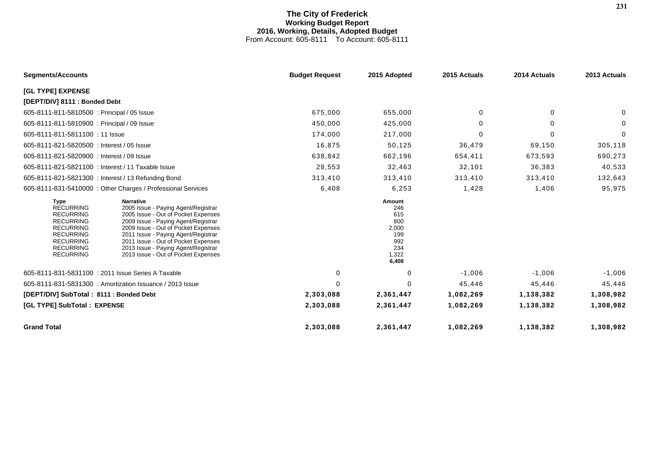# **The City of Frederick Working Budget Report 2016, Working, Details, Adopted Budget** From Account: 605-8111 To Account: 605-8111

| <b>Segments/Accounts</b>                                                                                                                                                    |                                                                                                                                                                                                                                                                                                                                          | <b>Budget Request</b> | 2015 Adopted                                                                | 2015 Actuals | 2014 Actuals | 2013 Actuals |
|-----------------------------------------------------------------------------------------------------------------------------------------------------------------------------|------------------------------------------------------------------------------------------------------------------------------------------------------------------------------------------------------------------------------------------------------------------------------------------------------------------------------------------|-----------------------|-----------------------------------------------------------------------------|--------------|--------------|--------------|
| [GL TYPE] EXPENSE                                                                                                                                                           |                                                                                                                                                                                                                                                                                                                                          |                       |                                                                             |              |              |              |
| [DEPT/DIV] 8111 : Bonded Debt                                                                                                                                               |                                                                                                                                                                                                                                                                                                                                          |                       |                                                                             |              |              |              |
| 605-8111-811-5810500 : Principal / 05 Issue                                                                                                                                 |                                                                                                                                                                                                                                                                                                                                          | 675,000               | 655,000                                                                     | 0            | $\mathbf 0$  | 0            |
| 605-8111-811-5810900 : Principal / 09 Issue                                                                                                                                 |                                                                                                                                                                                                                                                                                                                                          | 450,000               | 425,000                                                                     | 0            | 0            | 0            |
| 605-8111-811-5811100 : 11 Issue                                                                                                                                             |                                                                                                                                                                                                                                                                                                                                          | 174,000               | 217,000                                                                     | 0            | 0            | 0            |
| 605-8111-821-5820500 : Interest / 05 Issue                                                                                                                                  |                                                                                                                                                                                                                                                                                                                                          | 16,875                | 50,125                                                                      | 36,479       | 69,150       | 305,118      |
| 605-8111-821-5820900 : Interest / 09 Issue                                                                                                                                  |                                                                                                                                                                                                                                                                                                                                          | 638,842               | 662,196                                                                     | 654,411      | 673,593      | 690,273      |
|                                                                                                                                                                             | 605-8111-821-5821100 : Interest / 11 Taxable Issue                                                                                                                                                                                                                                                                                       | 28,553                | 32,463                                                                      | 32,101       | 36,383       | 40,533       |
|                                                                                                                                                                             | 605-8111-821-5821300 : Interest / 13 Refunding Bond                                                                                                                                                                                                                                                                                      | 313,410               | 313,410                                                                     | 313,410      | 313,410      | 132,643      |
|                                                                                                                                                                             | 605-8111-831-5410000 : Other Charges / Professional Services                                                                                                                                                                                                                                                                             | 6,408                 | 6,253                                                                       | 1,428        | 1,406        | 95,975       |
| <b>Type</b><br><b>RECURRING</b><br><b>RECURRING</b><br><b>RECURRING</b><br><b>RECURRING</b><br><b>RECURRING</b><br><b>RECURRING</b><br><b>RECURRING</b><br><b>RECURRING</b> | <b>Narrative</b><br>2005 Issue - Paying Agent/Registrar<br>2005 Issue - Out of Pocket Expenses<br>2009 Issue - Paying Agent/Registrar<br>2009 Issue - Out of Pocket Expenses<br>2011 Issue - Paying Agent/Registrar<br>2011 Issue - Out of Pocket Expenses<br>2013 Issue - Paying Agent/Registrar<br>2013 Issue - Out of Pocket Expenses |                       | Amount<br>246<br>615<br>800<br>2,000<br>199<br>992<br>234<br>1,322<br>6,408 |              |              |              |
|                                                                                                                                                                             | 605-8111-831-5831100 : 2011 Issue Series A Taxable                                                                                                                                                                                                                                                                                       | $\mathbf 0$           | 0                                                                           | $-1,006$     | $-1,006$     | $-1,006$     |
|                                                                                                                                                                             | 605-8111-831-5831300 : Amortization Issuance / 2013 Issue                                                                                                                                                                                                                                                                                | $\Omega$              | $\Omega$                                                                    | 45,446       | 45,446       | 45,446       |
| [DEPT/DIV] SubTotal: 8111: Bonded Debt                                                                                                                                      |                                                                                                                                                                                                                                                                                                                                          | 2,303,088             | 2,361,447                                                                   | 1,082,269    | 1,138,382    | 1,308,982    |
| [GL TYPE] SubTotal: EXPENSE                                                                                                                                                 |                                                                                                                                                                                                                                                                                                                                          | 2,303,088             | 2,361,447                                                                   | 1,082,269    | 1,138,382    | 1,308,982    |
| <b>Grand Total</b>                                                                                                                                                          |                                                                                                                                                                                                                                                                                                                                          | 2,303,088             | 2,361,447                                                                   | 1,082,269    | 1,138,382    | 1,308,982    |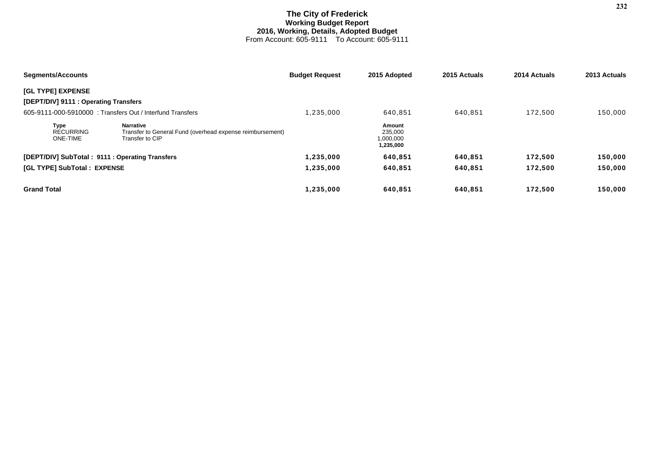# **The City of Frederick Working Budget Report 2016, Working, Details, Adopted Budget** From Account: 605-9111 To Account: 605-9111

| <b>Segments/Accounts</b> |                                                    |                                                                                                  | <b>Budget Request</b> | 2015 Adopted                                | 2015 Actuals | 2014 Actuals | 2013 Actuals |
|--------------------------|----------------------------------------------------|--------------------------------------------------------------------------------------------------|-----------------------|---------------------------------------------|--------------|--------------|--------------|
| <b>IGL TYPEI EXPENSE</b> | [DEPT/DIV] 9111 : Operating Transfers              | 605-9111-000-5910000: Transfers Out / Interfund Transfers                                        | 1.235.000             | 640.851                                     | 640.851      | 172.500      | 150.000      |
|                          | <b>Type</b><br><b>RECURRING</b><br><b>ONE-TIME</b> | <b>Narrative</b><br>Transfer to General Fund (overhead expense reimbursement)<br>Transfer to CIP |                       | Amount<br>235,000<br>1,000,000<br>1,235,000 |              |              |              |
|                          | [DEPT/DIV] SubTotal: 9111: Operating Transfers     |                                                                                                  | 1.235.000             | 640,851                                     | 640.851      | 172,500      | 150,000      |
|                          | [GL TYPE] SubTotal: EXPENSE                        |                                                                                                  | 1.235.000             | 640.851                                     | 640.851      | 172.500      | 150,000      |
| <b>Grand Total</b>       |                                                    |                                                                                                  | 1,235,000             | 640,851                                     | 640,851      | 172,500      | 150,000      |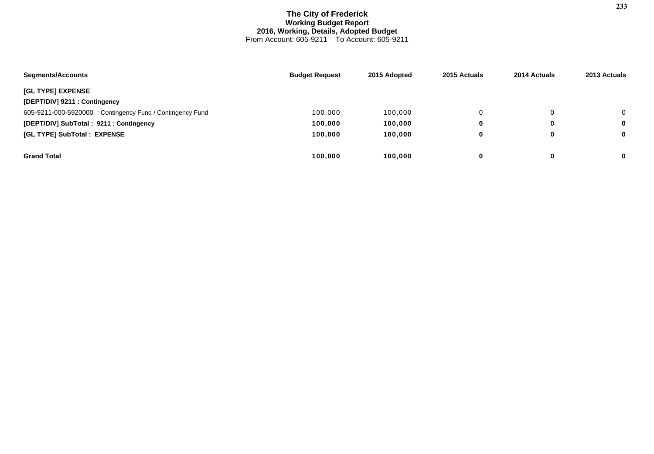# **The City of Frederick Working Budget Report 2016, Working, Details, Adopted Budget** From Account: 605-9211 To Account: 605-9211

| Segments/Accounts                                         | <b>Budget Request</b> | 2015 Adopted | 2015 Actuals | 2014 Actuals | 2013 Actuals |
|-----------------------------------------------------------|-----------------------|--------------|--------------|--------------|--------------|
| <b>IGL TYPEI EXPENSE</b>                                  |                       |              |              |              |              |
| [DEPT/DIV] 9211 : Contingency                             |                       |              |              |              |              |
| 605-9211-000-5920000: Contingency Fund / Contingency Fund | 100.000               | 100.000      | 0            |              | $\Omega$     |
| [DEPT/DIV] SubTotal: 9211: Contingency                    | 100.000               | 100,000      | 0            | 0            | 0            |
| [GL TYPE] SubTotal: EXPENSE                               | 100.000               | 100.000      | 0            | 0            | 0            |
| <b>Grand Total</b>                                        | 100.000               | 100.000      | 0            | 0            | 0            |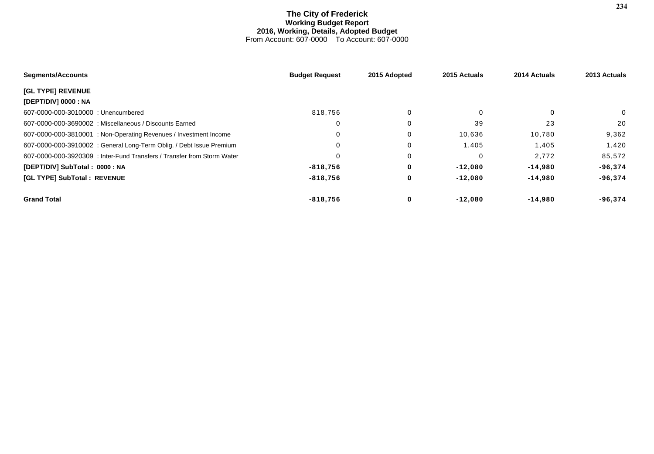## **The City of Frederick Working Budget Report 2016, Working, Details, Adopted Budget** From Account: 607-0000 To Account: 607-0000

| <b>Segments/Accounts</b>                                                | <b>Budget Request</b> | 2015 Adopted | 2015 Actuals | 2014 Actuals | 2013 Actuals |
|-------------------------------------------------------------------------|-----------------------|--------------|--------------|--------------|--------------|
| [GL TYPE] REVENUE                                                       |                       |              |              |              |              |
| [DEPT/DIV] 0000 : NA                                                    |                       |              |              |              |              |
| 607-0000-000-3010000 : Unencumbered                                     | 818.756               | 0            | 0            | 0            | 0            |
| 607-0000-000-3690002 : Miscellaneous / Discounts Earned                 | 0                     | 0            | 39           | 23           | 20           |
| 607-0000-000-3810001: Non-Operating Revenues / Investment Income        | 0                     | 0            | 10,636       | 10,780       | 9,362        |
| 607-0000-000-3910002 : General Long-Term Oblig. / Debt Issue Premium    | 0                     | 0            | 1,405        | 1,405        | 1,420        |
| 607-0000-000-3920309 : Inter-Fund Transfers / Transfer from Storm Water |                       | $\mathbf 0$  | 0            | 2,772        | 85,572       |
| [DEPT/DIV] SubTotal: 0000: NA                                           | $-818,756$            | $\mathbf 0$  | $-12,080$    | $-14,980$    | $-96,374$    |
| <b>[GL TYPE] SubTotal: REVENUE</b>                                      | $-818,756$            | $\mathbf 0$  | $-12.080$    | $-14,980$    | $-96,374$    |
| <b>Grand Total</b>                                                      | $-818.756$            | $\bf{0}$     | $-12.080$    | $-14.980$    | $-96.374$    |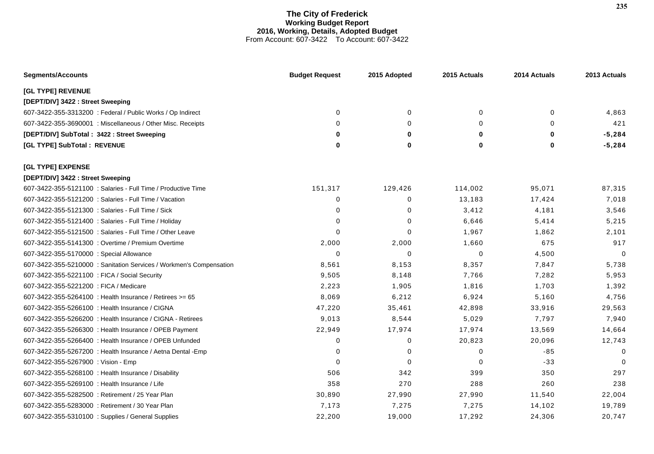# **The City of Frederick Working Budget Report 2016, Working, Details, Adopted Budget** From Account: 607-3422 To Account: 607-3422

| <b>Segments/Accounts</b>                                           | <b>Budget Request</b> | 2015 Adopted | 2015 Actuals | 2014 Actuals | 2013 Actuals |
|--------------------------------------------------------------------|-----------------------|--------------|--------------|--------------|--------------|
| [GL TYPE] REVENUE                                                  |                       |              |              |              |              |
| [DEPT/DIV] 3422 : Street Sweeping                                  |                       |              |              |              |              |
| 607-3422-355-3313200 : Federal / Public Works / Op Indirect        | $\Omega$              | $\Omega$     | $\Omega$     | $\Omega$     | 4,863        |
| 607-3422-355-3690001 : Miscellaneous / Other Misc. Receipts        | 0                     | 0            | $\Omega$     | 0            | 421          |
| [DEPT/DIV] SubTotal: 3422: Street Sweeping                         | 0                     | 0            | 0            | 0            | $-5,284$     |
| [GL TYPE] SubTotal: REVENUE                                        | O                     | 0            | 0            | $\bf{0}$     | $-5,284$     |
| [GL TYPE] EXPENSE                                                  |                       |              |              |              |              |
| [DEPT/DIV] 3422 : Street Sweeping                                  |                       |              |              |              |              |
| 607-3422-355-5121100 : Salaries - Full Time / Productive Time      | 151,317               | 129,426      | 114,002      | 95,071       | 87,315       |
| 607-3422-355-5121200 : Salaries - Full Time / Vacation             | 0                     | 0            | 13,183       | 17,424       | 7,018        |
| 607-3422-355-5121300 : Salaries - Full Time / Sick                 | 0                     | 0            | 3,412        | 4,181        | 3,546        |
| 607-3422-355-5121400 : Salaries - Full Time / Holiday              | $\Omega$              | $\Omega$     | 6,646        | 5,414        | 5,215        |
| 607-3422-355-5121500 : Salaries - Full Time / Other Leave          | $\Omega$              | $\Omega$     | 1,967        | 1,862        | 2,101        |
| 607-3422-355-5141300 : Overtime / Premium Overtime                 | 2,000                 | 2,000        | 1,660        | 675          | 917          |
| 607-3422-355-5170000 : Special Allowance                           | $\Omega$              | $\Omega$     | $\Omega$     | 4,500        | $\Omega$     |
| 607-3422-355-5210000: Sanitation Services / Workmen's Compensation | 8,561                 | 8,153        | 8,357        | 7,847        | 5,738        |
| 607-3422-355-5221100 : FICA / Social Security                      | 9,505                 | 8,148        | 7,766        | 7,282        | 5,953        |
| 607-3422-355-5221200 : FICA / Medicare                             | 2,223                 | 1,905        | 1,816        | 1,703        | 1,392        |
| 607-3422-355-5264100 : Health Insurance / Retirees >= 65           | 8,069                 | 6,212        | 6,924        | 5,160        | 4,756        |
| 607-3422-355-5266100 : Health Insurance / CIGNA                    | 47,220                | 35,461       | 42,898       | 33,916       | 29,563       |
| 607-3422-355-5266200 : Health Insurance / CIGNA - Retirees         | 9,013                 | 8,544        | 5,029        | 7,797        | 7,940        |
| 607-3422-355-5266300 : Health Insurance / OPEB Payment             | 22,949                | 17,974       | 17,974       | 13,569       | 14,664       |
| 607-3422-355-5266400 : Health Insurance / OPEB Unfunded            | 0                     | 0            | 20,823       | 20,096       | 12,743       |
| 607-3422-355-5267200 : Health Insurance / Aetna Dental - Emp       | $\mathbf 0$           | $\Omega$     | 0            | -85          | $\mathbf 0$  |
| 607-3422-355-5267900 : Vision - Emp                                | 0                     | 0            | 0            | $-33$        | $\mathbf 0$  |
| 607-3422-355-5268100 : Health Insurance / Disability               | 506                   | 342          | 399          | 350          | 297          |
| 607-3422-355-5269100 : Health Insurance / Life                     | 358                   | 270          | 288          | 260          | 238          |
| 607-3422-355-5282500 : Retirement / 25 Year Plan                   | 30,890                | 27,990       | 27,990       | 11,540       | 22,004       |
| 607-3422-355-5283000: Retirement / 30 Year Plan                    | 7,173                 | 7,275        | 7,275        | 14,102       | 19,789       |
| 607-3422-355-5310100 : Supplies / General Supplies                 | 22,200                | 19,000       | 17,292       | 24,306       | 20,747       |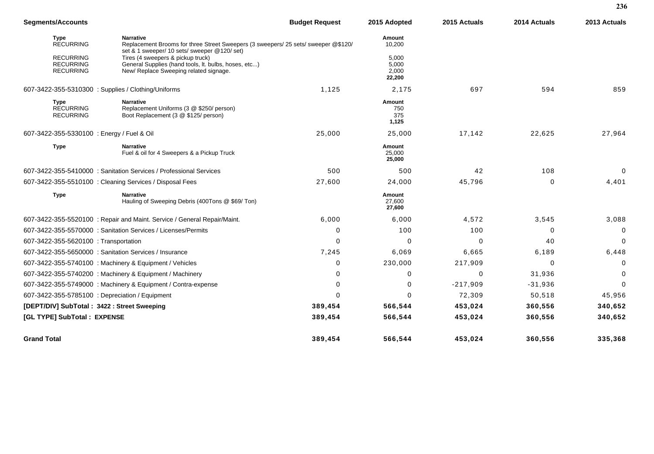| <b>Segments/Accounts</b>                                 |                                                                                                                                                                                    | <b>Budget Request</b> | 2015 Adopted                      | 2015 Actuals | 2014 Actuals | 2013 Actuals |
|----------------------------------------------------------|------------------------------------------------------------------------------------------------------------------------------------------------------------------------------------|-----------------------|-----------------------------------|--------------|--------------|--------------|
| <b>Type</b><br><b>RECURRING</b>                          | <b>Narrative</b><br>Replacement Brooms for three Street Sweepers (3 sweepers/ 25 sets/ sweeper @\$120/                                                                             |                       | Amount<br>10,200                  |              |              |              |
| <b>RECURRING</b><br><b>RECURRING</b><br><b>RECURRING</b> | set & 1 sweeper/ 10 sets/ sweeper @120/ set)<br>Tires (4 sweepers & pickup truck)<br>General Supplies (hand tools, lt. bulbs, hoses, etc)<br>New/Replace Sweeping related signage. |                       | 5,000<br>5,000<br>2.000<br>22,200 |              |              |              |
|                                                          | 607-3422-355-5310300: Supplies / Clothing/Uniforms                                                                                                                                 | 1,125                 | 2,175                             | 697          | 594          | 859          |
| Type<br><b>RECURRING</b><br><b>RECURRING</b>             | <b>Narrative</b><br>Replacement Uniforms (3 @ \$250/ person)<br>Boot Replacement (3 @ \$125/ person)                                                                               |                       | Amount<br>750<br>375<br>1,125     |              |              |              |
| 607-3422-355-5330100 : Energy / Fuel & Oil               |                                                                                                                                                                                    | 25,000                | 25,000                            | 17,142       | 22,625       | 27,964       |
| <b>Type</b>                                              | <b>Narrative</b><br>Fuel & oil for 4 Sweepers & a Pickup Truck                                                                                                                     |                       | Amount<br>25,000<br>25,000        |              |              |              |
|                                                          | 607-3422-355-5410000 : Sanitation Services / Professional Services                                                                                                                 | 500                   | 500                               | 42           | 108          | $\Omega$     |
|                                                          | 607-3422-355-5510100 : Cleaning Services / Disposal Fees                                                                                                                           | 27,600                | 24,000                            | 45,796       | 0            | 4,401        |
| <b>Type</b>                                              | <b>Narrative</b><br>Hauling of Sweeping Debris (400Tons @ \$69/Ton)                                                                                                                |                       | Amount<br>27,600<br>27,600        |              |              |              |
|                                                          | 607-3422-355-5520100 : Repair and Maint. Service / General Repair/Maint.                                                                                                           | 6,000                 | 6,000                             | 4,572        | 3,545        | 3,088        |
|                                                          | 607-3422-355-5570000 : Sanitation Services / Licenses/Permits                                                                                                                      | 0                     | 100                               | 100          | 0            | $\Omega$     |
| 607-3422-355-5620100 : Transportation                    |                                                                                                                                                                                    | $\Omega$              | $\Omega$                          | $\Omega$     | 40           | $\Omega$     |
|                                                          | 607-3422-355-5650000 : Sanitation Services / Insurance                                                                                                                             | 7,245                 | 6,069                             | 6,665        | 6,189        | 6,448        |
|                                                          | 607-3422-355-5740100 : Machinery & Equipment / Vehicles                                                                                                                            | 0                     | 230,000                           | 217,909      | $\Omega$     | 0            |
|                                                          | 607-3422-355-5740200 : Machinery & Equipment / Machinery                                                                                                                           | 0                     | 0                                 | $\mathbf 0$  | 31,936       | $\Omega$     |
|                                                          | 607-3422-355-5749000 : Machinery & Equipment / Contra-expense                                                                                                                      | $\Omega$              | $\Omega$                          | $-217,909$   | $-31,936$    | $\Omega$     |
|                                                          | 607-3422-355-5785100 : Depreciation / Equipment                                                                                                                                    | $\Omega$              | $\Omega$                          | 72,309       | 50,518       | 45,956       |
| [DEPT/DIV] SubTotal: 3422: Street Sweeping               |                                                                                                                                                                                    | 389,454               | 566,544                           | 453,024      | 360,556      | 340,652      |
| [GL TYPE] SubTotal: EXPENSE                              |                                                                                                                                                                                    | 389,454               | 566,544                           | 453,024      | 360,556      | 340,652      |
| <b>Grand Total</b>                                       |                                                                                                                                                                                    | 389,454               | 566,544                           | 453,024      | 360,556      | 335,368      |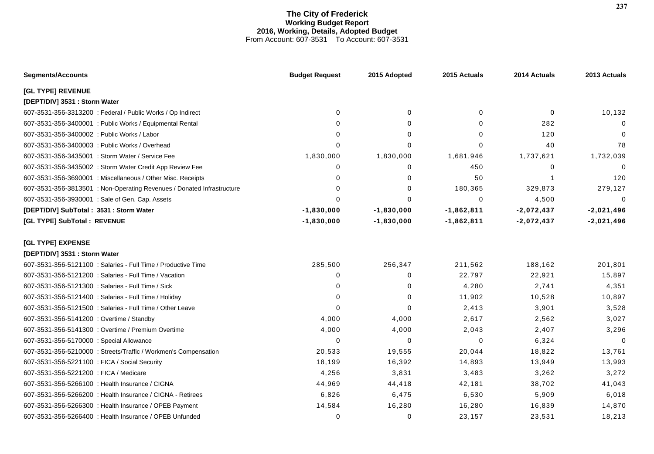# **The City of Frederick Working Budget Report 2016, Working, Details, Adopted Budget** From Account: 607-3531 To Account: 607-3531

| <b>Segments/Accounts</b>                                              | <b>Budget Request</b> | 2015 Adopted | 2015 Actuals | 2014 Actuals | 2013 Actuals |
|-----------------------------------------------------------------------|-----------------------|--------------|--------------|--------------|--------------|
| [GL TYPE] REVENUE                                                     |                       |              |              |              |              |
| [DEPT/DIV] 3531 : Storm Water                                         |                       |              |              |              |              |
| 607-3531-356-3313200 : Federal / Public Works / Op Indirect           | 0                     | $\Omega$     | 0            | 0            | 10,132       |
| 607-3531-356-3400001 : Public Works / Equipmental Rental              | 0                     | 0            | 0            | 282          | 0            |
| 607-3531-356-3400002 : Public Works / Labor                           | 0                     | 0            | $\Omega$     | 120          | $\Omega$     |
| 607-3531-356-3400003 : Public Works / Overhead                        | 0                     | $\Omega$     | $\Omega$     | 40           | 78           |
| 607-3531-356-3435001 : Storm Water / Service Fee                      | 1,830,000             | 1,830,000    | 1,681,946    | 1,737,621    | 1,732,039    |
| 607-3531-356-3435002 : Storm Water Credit App Review Fee              | 0                     | $\Omega$     | 450          | 0            | $\Omega$     |
| 607-3531-356-3690001 : Miscellaneous / Other Misc. Receipts           | 0                     | $\Omega$     | 50           |              | 120          |
| 607-3531-356-3813501: Non-Operating Revenues / Donated Infrastructure | 0                     | $\Omega$     | 180,365      | 329,873      | 279,127      |
| 607-3531-356-3930001 : Sale of Gen. Cap. Assets                       | 0                     | $\Omega$     | 0            | 4,500        | 0            |
| [DEPT/DIV] SubTotal: 3531: Storm Water                                | $-1,830,000$          | $-1,830,000$ | $-1,862,811$ | $-2,072,437$ | $-2,021,496$ |
| [GL TYPE] SubTotal: REVENUE                                           | $-1,830,000$          | $-1,830,000$ | $-1,862,811$ | $-2,072,437$ | $-2,021,496$ |
| [GL TYPE] EXPENSE                                                     |                       |              |              |              |              |
| [DEPT/DIV] 3531 : Storm Water                                         |                       |              |              |              |              |
| 607-3531-356-5121100 : Salaries - Full Time / Productive Time         | 285,500               | 256,347      | 211,562      | 188,162      | 201,801      |
| 607-3531-356-5121200 : Salaries - Full Time / Vacation                | 0                     | 0            | 22,797       | 22,921       | 15,897       |
| 607-3531-356-5121300 : Salaries - Full Time / Sick                    | 0                     | 0            | 4,280        | 2,741        | 4,351        |
| 607-3531-356-5121400 : Salaries - Full Time / Holiday                 | 0                     | $\Omega$     | 11,902       | 10,528       | 10,897       |
| 607-3531-356-5121500 : Salaries - Full Time / Other Leave             | 0                     | $\Omega$     | 2,413        | 3,901        | 3,528        |
| 607-3531-356-5141200 : Overtime / Standby                             | 4,000                 | 4,000        | 2,617        | 2,562        | 3,027        |
| 607-3531-356-5141300 : Overtime / Premium Overtime                    | 4,000                 | 4,000        | 2,043        | 2,407        | 3,296        |
| 607-3531-356-5170000 : Special Allowance                              | 0                     | $\Omega$     | $\mathbf{0}$ | 6,324        | $\mathbf 0$  |
| 607-3531-356-5210000: Streets/Traffic / Workmen's Compensation        | 20,533                | 19,555       | 20,044       | 18,822       | 13,761       |
| 607-3531-356-5221100 : FICA / Social Security                         | 18,199                | 16,392       | 14,893       | 13,949       | 13,993       |
| 607-3531-356-5221200 : FICA / Medicare                                | 4,256                 | 3,831        | 3,483        | 3,262        | 3,272        |
| 607-3531-356-5266100 : Health Insurance / CIGNA                       | 44,969                | 44,418       | 42,181       | 38,702       | 41,043       |
| 607-3531-356-5266200 : Health Insurance / CIGNA - Retirees            | 6,826                 | 6,475        | 6,530        | 5,909        | 6,018        |
| 607-3531-356-5266300 : Health Insurance / OPEB Payment                | 14,584                | 16,280       | 16,280       | 16,839       | 14,870       |
| 607-3531-356-5266400 : Health Insurance / OPEB Unfunded               | 0                     | 0            | 23,157       | 23,531       | 18,213       |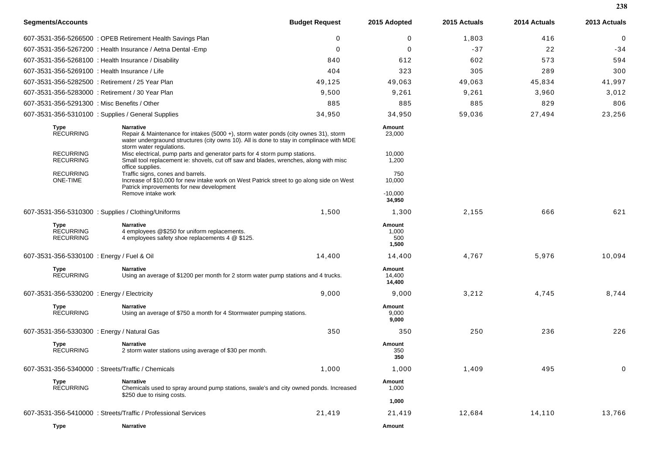| <b>Segments/Accounts</b>                       |                                                                                                                                                                                                                                 | <b>Budget Request</b> | 2015 Adopted                    | 2015 Actuals | 2014 Actuals | 2013 Actuals |
|------------------------------------------------|---------------------------------------------------------------------------------------------------------------------------------------------------------------------------------------------------------------------------------|-----------------------|---------------------------------|--------------|--------------|--------------|
|                                                | 607-3531-356-5266500 : OPEB Retirement Health Savings Plan                                                                                                                                                                      | 0                     | 0                               | 1,803        | 416          | 0            |
|                                                | 607-3531-356-5267200 : Health Insurance / Aetna Dental - Emp                                                                                                                                                                    | 0                     | 0                               | $-37$        | 22           | $-34$        |
|                                                | 607-3531-356-5268100 : Health Insurance / Disability                                                                                                                                                                            | 840                   | 612                             | 602          | 573          | 594          |
| 607-3531-356-5269100 : Health Insurance / Life |                                                                                                                                                                                                                                 | 404                   | 323                             | 305          | 289          | 300          |
|                                                | 607-3531-356-5282500 : Retirement / 25 Year Plan                                                                                                                                                                                | 49,125                | 49,063                          | 49,063       | 45,834       | 41,997       |
|                                                | 607-3531-356-5283000 : Retirement / 30 Year Plan                                                                                                                                                                                | 9,500                 | 9,261                           | 9,261        | 3,960        | 3,012        |
| 607-3531-356-5291300 : Misc Benefits / Other   |                                                                                                                                                                                                                                 | 885                   | 885                             | 885          | 829          | 806          |
|                                                | 607-3531-356-5310100 : Supplies / General Supplies                                                                                                                                                                              | 34,950                | 34,950                          | 59,036       | 27,494       | 23,256       |
| <b>Type</b><br><b>RECURRING</b>                | <b>Narrative</b><br>Repair & Maintenance for intakes (5000 +), storm water ponds (city ownes 31), storm<br>water undergraound structures (city owns 10). All is done to stay in complinace with MDE<br>storm water regulations. |                       | Amount<br>23,000                |              |              |              |
| <b>RECURRING</b><br><b>RECURRING</b>           | Misc electrical, pump parts and generator parts for 4 storm pump stations.<br>Small tool replacement ie: shovels, cut off saw and blades, wrenches, along with misc<br>office supplies.                                         |                       | 10,000<br>1,200                 |              |              |              |
| <b>RECURRING</b><br>ONE-TIME                   | Traffic signs, cones and barrels.<br>Increase of \$10,000 for new intake work on West Patrick street to go along side on West<br>Patrick improvements for new development                                                       |                       | 750<br>10,000                   |              |              |              |
|                                                | Remove intake work                                                                                                                                                                                                              |                       | $-10,000$<br>34,950             |              |              |              |
|                                                | 607-3531-356-5310300: Supplies / Clothing/Uniforms                                                                                                                                                                              | 1,500                 | 1,300                           | 2,155        | 666          | 621          |
| Type<br><b>RECURRING</b><br><b>RECURRING</b>   | <b>Narrative</b><br>4 employees @\$250 for uniform replacements.<br>4 employees safety shoe replacements 4 @ \$125.                                                                                                             |                       | Amount<br>1,000<br>500<br>1,500 |              |              |              |
| 607-3531-356-5330100 : Energy / Fuel & Oil     |                                                                                                                                                                                                                                 | 14,400                | 14,400                          | 4,767        | 5,976        | 10,094       |
| Type<br><b>RECURRING</b>                       | <b>Narrative</b><br>Using an average of \$1200 per month for 2 storm water pump stations and 4 trucks.                                                                                                                          |                       | Amount<br>14,400<br>14,400      |              |              |              |
| 607-3531-356-5330200 : Energy / Electricity    |                                                                                                                                                                                                                                 | 9,000                 | 9,000                           | 3,212        | 4,745        | 8,744        |
| Type<br><b>RECURRING</b>                       | <b>Narrative</b><br>Using an average of \$750 a month for 4 Stormwater pumping stations.                                                                                                                                        |                       | Amount<br>9,000<br>9,000        |              |              |              |
| 607-3531-356-5330300 : Energy / Natural Gas    |                                                                                                                                                                                                                                 | 350                   | 350                             | 250          | 236          | 226          |
| Type<br><b>RECURRING</b>                       | <b>Narrative</b><br>2 storm water stations using average of \$30 per month.                                                                                                                                                     |                       | Amount<br>350<br>350            |              |              |              |
|                                                | 607-3531-356-5340000 : Streets/Traffic / Chemicals                                                                                                                                                                              | 1,000                 | 1,000                           | 1,409        | 495          | 0            |
| <b>Type</b><br><b>RECURRING</b>                | <b>Narrative</b><br>Chemicals used to spray around pump stations, swale's and city owned ponds. Increased<br>\$250 due to rising costs.                                                                                         |                       | Amount<br>1,000                 |              |              |              |
|                                                |                                                                                                                                                                                                                                 |                       | 1,000                           |              |              |              |
|                                                | 607-3531-356-5410000: Streets/Traffic / Professional Services                                                                                                                                                                   | 21,419                | 21,419                          | 12,684       | 14,110       | 13,766       |
| <b>Type</b>                                    | <b>Narrative</b>                                                                                                                                                                                                                |                       | Amount                          |              |              |              |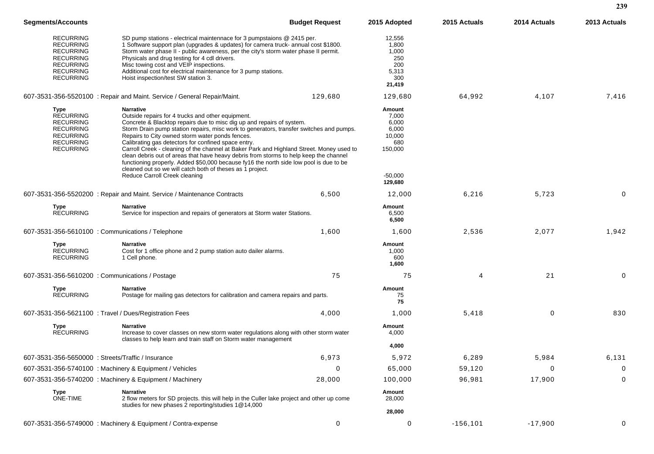| <b>Segments/Accounts</b>                                                                                                                 |                                                                                                                                                                                                                                                                                                                                                                                                                                                                                                                                                                                                                                                                                                 | <b>Budget Request</b> | 2015 Adopted                                                     | 2015 Actuals | 2014 Actuals | 2013 Actuals |
|------------------------------------------------------------------------------------------------------------------------------------------|-------------------------------------------------------------------------------------------------------------------------------------------------------------------------------------------------------------------------------------------------------------------------------------------------------------------------------------------------------------------------------------------------------------------------------------------------------------------------------------------------------------------------------------------------------------------------------------------------------------------------------------------------------------------------------------------------|-----------------------|------------------------------------------------------------------|--------------|--------------|--------------|
| <b>RECURRING</b><br><b>RECURRING</b><br><b>RECURRING</b><br><b>RECURRING</b><br><b>RECURRING</b><br><b>RECURRING</b><br><b>RECURRING</b> | SD pump stations - electrical maintennace for 3 pumpstaions @ 2415 per.<br>1 Software support plan (upgrades & updates) for camera truck- annual cost \$1800.<br>Storm water phase II - public awareness, per the city's storm water phase II permit.<br>Physicals and drug testing for 4 cdl drivers.<br>Misc towing cost and VEIP inspections.<br>Additional cost for electrical maintenance for 3 pump stations.<br>Hoist inspection/test SW station 3.                                                                                                                                                                                                                                      |                       | 12,556<br>1,800<br>1,000<br>250<br>200<br>5,313<br>300<br>21,419 |              |              |              |
|                                                                                                                                          | 607-3531-356-5520100: Repair and Maint. Service / General Repair/Maint.                                                                                                                                                                                                                                                                                                                                                                                                                                                                                                                                                                                                                         | 129,680               | 129,680                                                          | 64,992       | 4,107        | 7,416        |
| Type<br><b>RECURRING</b><br><b>RECURRING</b><br><b>RECURRING</b><br><b>RECURRING</b><br><b>RECURRING</b><br><b>RECURRING</b>             | <b>Narrative</b><br>Outside repairs for 4 trucks and other equipment.<br>Concrete & Blacktop repairs due to misc dig up and repairs of system.<br>Storm Drain pump station repairs, misc work to generators, transfer switches and pumps.<br>Repairs to City owned storm water ponds fences.<br>Calibrating gas detectors for confined space entry.<br>Carroll Creek - cleaning of the channel at Baker Park and Highland Street. Money used to<br>clean debris out of areas that have heavy debris from storms to help keep the channel<br>functioning properly. Added \$50,000 because fy16 the north side low pool is due to be<br>cleaned out so we will catch both of theses as 1 project. |                       | Amount<br>7,000<br>6,000<br>6,000<br>10,000<br>680<br>150,000    |              |              |              |
|                                                                                                                                          | Reduce Carroll Creek cleaning                                                                                                                                                                                                                                                                                                                                                                                                                                                                                                                                                                                                                                                                   |                       | $-50,000$<br>129,680                                             |              |              |              |
|                                                                                                                                          | 607-3531-356-5520200 : Repair and Maint. Service / Maintenance Contracts                                                                                                                                                                                                                                                                                                                                                                                                                                                                                                                                                                                                                        | 6,500                 | 12,000                                                           | 6,216        | 5,723        | 0            |
| Type<br><b>RECURRING</b>                                                                                                                 | <b>Narrative</b><br>Service for inspection and repairs of generators at Storm water Stations.                                                                                                                                                                                                                                                                                                                                                                                                                                                                                                                                                                                                   |                       | Amount<br>6,500<br>6,500                                         |              |              |              |
| 607-3531-356-5610100 : Communications / Telephone                                                                                        |                                                                                                                                                                                                                                                                                                                                                                                                                                                                                                                                                                                                                                                                                                 | 1,600                 | 1,600                                                            | 2,536        | 2,077        | 1,942        |
| Type<br><b>RECURRING</b><br><b>RECURRING</b>                                                                                             | <b>Narrative</b><br>Cost for 1 office phone and 2 pump station auto dailer alarms.<br>1 Cell phone.                                                                                                                                                                                                                                                                                                                                                                                                                                                                                                                                                                                             |                       | Amount<br>1,000<br>600<br>1,600                                  |              |              |              |
| 607-3531-356-5610200 : Communications / Postage                                                                                          |                                                                                                                                                                                                                                                                                                                                                                                                                                                                                                                                                                                                                                                                                                 | 75                    | 75                                                               | 4            | 21           | 0            |
| <b>Type</b><br><b>RECURRING</b>                                                                                                          | <b>Narrative</b><br>Postage for mailing gas detectors for calibration and camera repairs and parts.                                                                                                                                                                                                                                                                                                                                                                                                                                                                                                                                                                                             |                       | Amount<br>75<br>75                                               |              |              |              |
| 607-3531-356-5621100 : Travel / Dues/Registration Fees                                                                                   |                                                                                                                                                                                                                                                                                                                                                                                                                                                                                                                                                                                                                                                                                                 | 4,000                 | 1,000                                                            | 5,418        | $\mathbf 0$  | 830          |
| Type<br><b>RECURRING</b>                                                                                                                 | <b>Narrative</b><br>Increase to cover classes on new storm water regulations along with other storm water<br>classes to help learn and train staff on Storm water management                                                                                                                                                                                                                                                                                                                                                                                                                                                                                                                    |                       | Amount<br>4,000                                                  |              |              |              |
|                                                                                                                                          |                                                                                                                                                                                                                                                                                                                                                                                                                                                                                                                                                                                                                                                                                                 |                       | 4.000                                                            |              |              |              |
| 607-3531-356-5650000: Streets/Traffic / Insurance                                                                                        |                                                                                                                                                                                                                                                                                                                                                                                                                                                                                                                                                                                                                                                                                                 | 6,973                 | 5,972                                                            | 6,289        | 5,984        | 6,131        |
| 607-3531-356-5740100 : Machinery & Equipment / Vehicles                                                                                  |                                                                                                                                                                                                                                                                                                                                                                                                                                                                                                                                                                                                                                                                                                 | 0                     | 65,000                                                           | 59,120       | 0            | 0            |
|                                                                                                                                          | 607-3531-356-5740200 : Machinery & Equipment / Machinery                                                                                                                                                                                                                                                                                                                                                                                                                                                                                                                                                                                                                                        | 28,000                | 100,000                                                          | 96,981       | 17,900       | 0            |
| Type<br><b>ONE-TIME</b>                                                                                                                  | <b>Narrative</b><br>2 flow meters for SD projects. this will help in the Culler lake project and other up come<br>studies for new phases 2 reporting/studies 1@14,000                                                                                                                                                                                                                                                                                                                                                                                                                                                                                                                           |                       | Amount<br>28,000                                                 |              |              |              |
|                                                                                                                                          |                                                                                                                                                                                                                                                                                                                                                                                                                                                                                                                                                                                                                                                                                                 |                       | 28,000                                                           |              |              |              |
|                                                                                                                                          | 607-3531-356-5749000 : Machinery & Equipment / Contra-expense                                                                                                                                                                                                                                                                                                                                                                                                                                                                                                                                                                                                                                   | 0                     | 0                                                                | $-156, 101$  | $-17,900$    | 0            |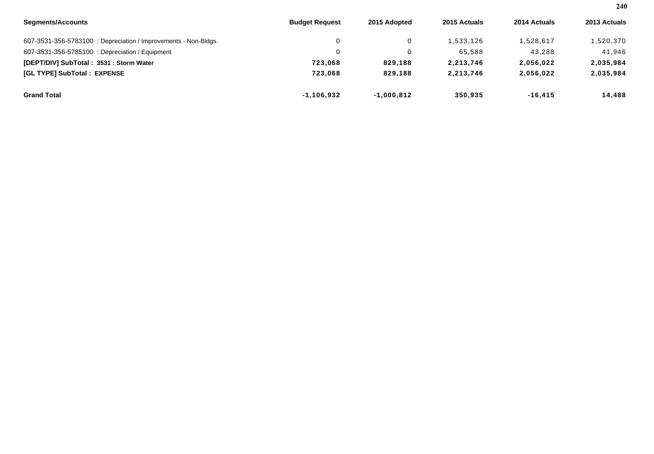| <b>Segments/Accounts</b>                                        | <b>Budget Reguest</b> | 2015 Adopted | 2015 Actuals | 2014 Actuals | 2013 Actuals |
|-----------------------------------------------------------------|-----------------------|--------------|--------------|--------------|--------------|
| 607-3531-356-5783100 : Depreciation / Improvements - Non-Bldgs. |                       | $\mathbf{0}$ | 1.533.126    | .528.617     | .520,370     |
| 607-3531-356-5785100 : Depreciation / Equipment                 |                       | 0            | 65.588       | 43.288       | 41,946       |
| [DEPT/DIV] SubTotal: 3531: Storm Water                          | 723.068               | 829.188      | 2,213,746    | 2,056,022    | 2,035,984    |
| [GL TYPE] SubTotal: EXPENSE                                     | 723.068               | 829.188      | 2,213,746    | 2,056,022    | 2,035,984    |
| <b>Grand Total</b>                                              | $-1,106,932$          | $-1.000.812$ | 350,935      | $-16.415$    | 14,488       |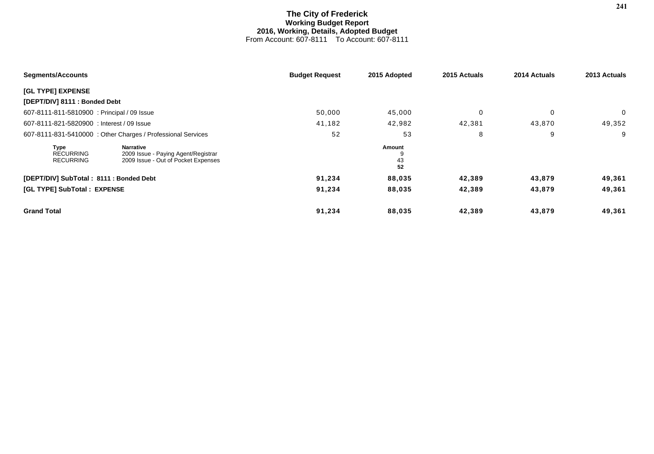# **The City of Frederick Working Budget Report 2016, Working, Details, Adopted Budget** From Account: 607-8111 To Account: 607-8111

| <b>Segments/Accounts</b>                            |                                                                                                | <b>Budget Request</b> | 2015 Adopted       | 2015 Actuals | 2014 Actuals | 2013 Actuals |
|-----------------------------------------------------|------------------------------------------------------------------------------------------------|-----------------------|--------------------|--------------|--------------|--------------|
| [GL TYPE] EXPENSE                                   |                                                                                                |                       |                    |              |              |              |
| [DEPT/DIV] 8111 : Bonded Debt                       |                                                                                                |                       |                    |              |              |              |
| 607-8111-811-5810900 : Principal / 09 Issue         |                                                                                                | 50,000                | 45,000             | $\mathbf 0$  | 0            | $\mathbf 0$  |
| 607-8111-821-5820900 : Interest / 09 Issue          |                                                                                                | 41,182                | 42,982             | 42,381       | 43,870       | 49,352       |
|                                                     | 607-8111-831-5410000: Other Charges / Professional Services                                    | 52                    | 53                 | 8            | 9            | 9            |
| <b>Type</b><br><b>RECURRING</b><br><b>RECURRING</b> | <b>Narrative</b><br>2009 Issue - Paying Agent/Registrar<br>2009 Issue - Out of Pocket Expenses |                       | Amount<br>43<br>52 |              |              |              |
| [DEPT/DIV] SubTotal: 8111: Bonded Debt              |                                                                                                | 91,234                | 88,035             | 42,389       | 43,879       | 49,361       |
| [GL TYPE] SubTotal: EXPENSE                         |                                                                                                | 91,234                | 88,035             | 42,389       | 43,879       | 49,361       |
| <b>Grand Total</b>                                  |                                                                                                | 91,234                | 88,035             | 42,389       | 43,879       | 49,361       |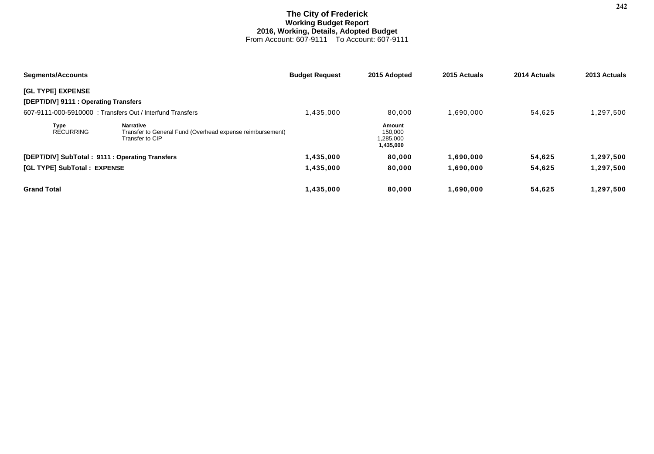# **The City of Frederick Working Budget Report 2016, Working, Details, Adopted Budget** From Account: 607-9111 To Account: 607-9111

| <b>Segments/Accounts</b>                                          |                                                                                                  | <b>Budget Request</b> | 2015 Adopted                                | 2015 Actuals | 2014 Actuals | 2013 Actuals |
|-------------------------------------------------------------------|--------------------------------------------------------------------------------------------------|-----------------------|---------------------------------------------|--------------|--------------|--------------|
| <b>IGL TYPEI EXPENSE</b><br>[DEPT/DIV] 9111 : Operating Transfers | 607-9111-000-5910000: Transfers Out / Interfund Transfers                                        | 1.435.000             | 80.000                                      | 1.690.000    | 54.625       | 1,297,500    |
| <b>Type</b><br><b>RECURRING</b>                                   | <b>Narrative</b><br>Transfer to General Fund (Overhead expense reimbursement)<br>Transfer to CIP |                       | Amount<br>150,000<br>1,285,000<br>1,435,000 |              |              |              |
|                                                                   | [DEPT/DIV] SubTotal: 9111: Operating Transfers                                                   | 1.435.000             | 80,000                                      | 1,690,000    | 54,625       | 1,297,500    |
| [GL TYPE] SubTotal: EXPENSE                                       |                                                                                                  | 1.435.000             | 80.000                                      | 1,690,000    | 54,625       | 1,297,500    |
| <b>Grand Total</b>                                                |                                                                                                  | 1,435,000             | 80,000                                      | 1,690,000    | 54,625       | 1,297,500    |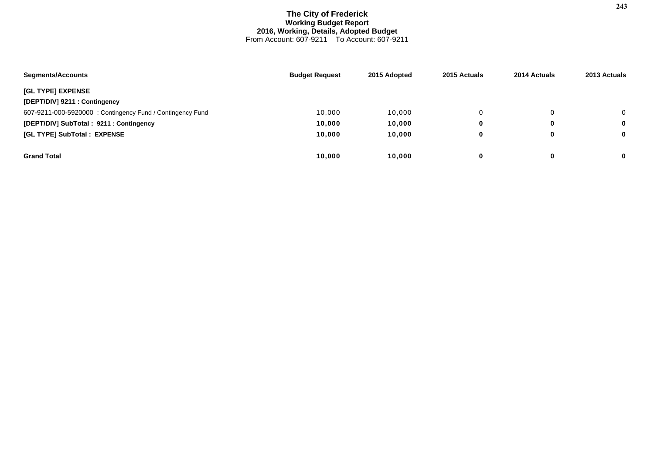# **The City of Frederick Working Budget Report 2016, Working, Details, Adopted Budget** From Account: 607-9211 To Account: 607-9211

| <b>Segments/Accounts</b>                                  | <b>Budget Request</b> | 2015 Adopted | 2015 Actuals | 2014 Actuals | 2013 Actuals |
|-----------------------------------------------------------|-----------------------|--------------|--------------|--------------|--------------|
| <b>IGL TYPEI EXPENSE</b>                                  |                       |              |              |              |              |
| [DEPT/DIV] 9211 : Contingency                             |                       |              |              |              |              |
| 607-9211-000-5920000: Contingency Fund / Contingency Fund | 10.000                | 10.000       | 0            |              | $\Omega$     |
| [DEPT/DIV] SubTotal: 9211: Contingency                    | 10.000                | 10.000       | 0            | 0            | 0            |
| [GL TYPE] SubTotal: EXPENSE                               | 10.000                | 10.000       | 0            | 0            | 0            |
| <b>Grand Total</b>                                        | 10.000                | 10.000       | 0            | 0            | 0            |